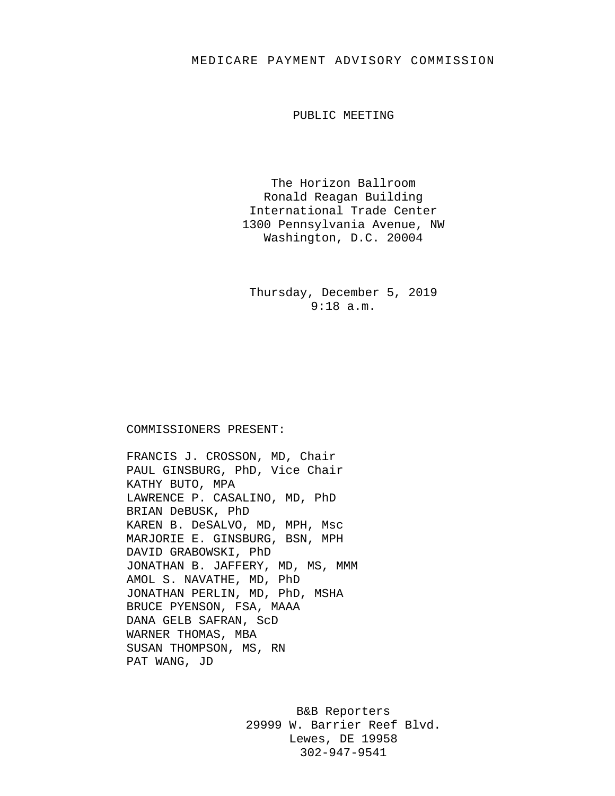## MEDICARE PAYMENT ADVISORY COMMISSION

PUBLIC MEETING

The Horizon Ballroom Ronald Reagan Building International Trade Center 1300 Pennsylvania Avenue, NW Washington, D.C. 20004

Thursday, December 5, 2019 9:18 a.m.

## COMMISSIONERS PRESENT:

FRANCIS J. CROSSON, MD, Chair PAUL GINSBURG, PhD, Vice Chair KATHY BUTO, MPA LAWRENCE P. CASALINO, MD, PhD BRIAN DeBUSK, PhD KAREN B. DeSALVO, MD, MPH, Msc MARJORIE E. GINSBURG, BSN, MPH DAVID GRABOWSKI, PhD JONATHAN B. JAFFERY, MD, MS, MMM AMOL S. NAVATHE, MD, PhD JONATHAN PERLIN, MD, PhD, MSHA BRUCE PYENSON, FSA, MAAA DANA GELB SAFRAN, ScD WARNER THOMAS, MBA SUSAN THOMPSON, MS, RN PAT WANG, JD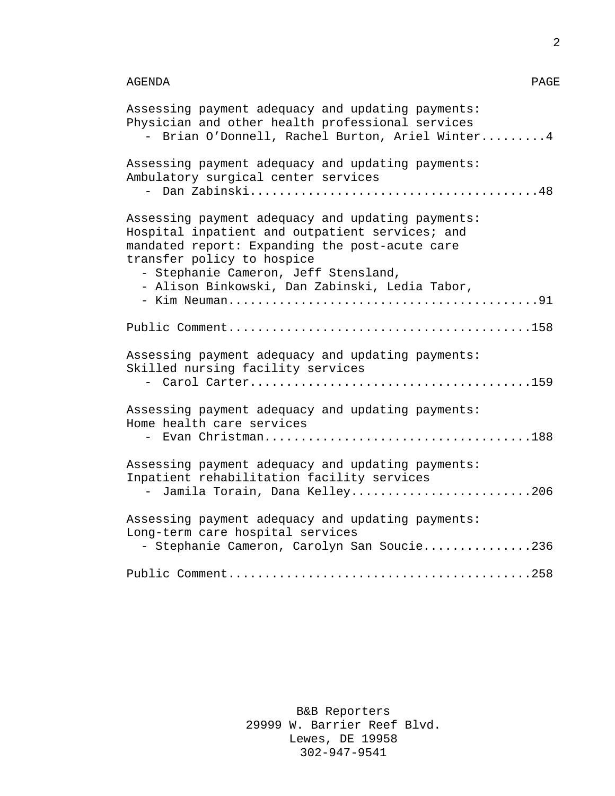## AGENDA PAGE

| Assessing payment adequacy and updating payments:<br>Physician and other health professional services<br>Brian O'Donnell, Rachel Burton, Ariel Winter4                                                                                                                         |
|--------------------------------------------------------------------------------------------------------------------------------------------------------------------------------------------------------------------------------------------------------------------------------|
| Assessing payment adequacy and updating payments:<br>Ambulatory surgical center services                                                                                                                                                                                       |
| Assessing payment adequacy and updating payments:<br>Hospital inpatient and outpatient services; and<br>mandated report: Expanding the post-acute care<br>transfer policy to hospice<br>- Stephanie Cameron, Jeff Stensland,<br>- Alison Binkowski, Dan Zabinski, Ledia Tabor, |
|                                                                                                                                                                                                                                                                                |
|                                                                                                                                                                                                                                                                                |
| Assessing payment adequacy and updating payments:<br>Skilled nursing facility services                                                                                                                                                                                         |
| Assessing payment adequacy and updating payments:<br>Home health care services                                                                                                                                                                                                 |
| Assessing payment adequacy and updating payments:<br>Inpatient rehabilitation facility services<br>- Jamila Torain, Dana Kelley206                                                                                                                                             |
| Assessing payment adequacy and updating payments:<br>Long-term care hospital services                                                                                                                                                                                          |
| - Stephanie Cameron, Carolyn San Soucie236                                                                                                                                                                                                                                     |
|                                                                                                                                                                                                                                                                                |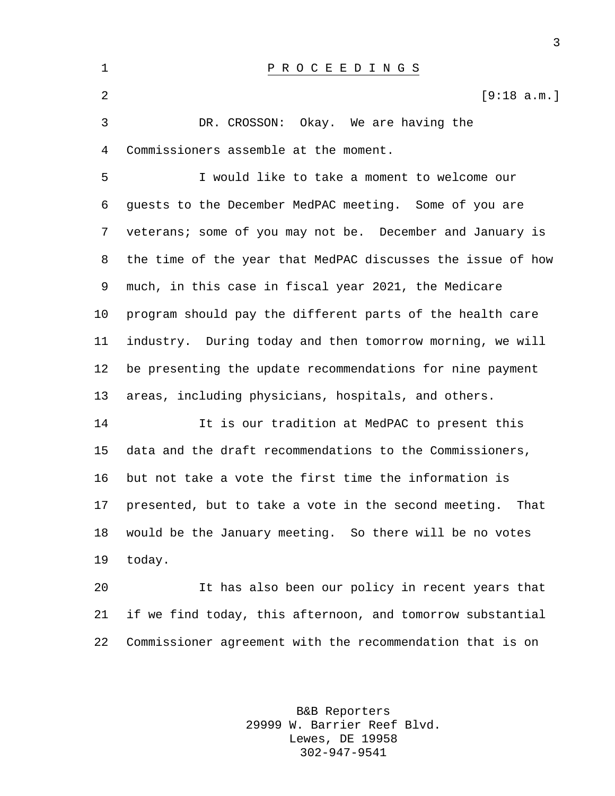| 1       | P R O C E E D I N G S                                        |
|---------|--------------------------------------------------------------|
| 2       | [9:18 a.m.]                                                  |
| 3       | DR. CROSSON: Okay. We are having the                         |
| 4       | Commissioners assemble at the moment.                        |
| 5       | I would like to take a moment to welcome our                 |
| 6       | guests to the December MedPAC meeting. Some of you are       |
| 7       | veterans; some of you may not be. December and January is    |
| 8       | the time of the year that MedPAC discusses the issue of how  |
| 9       | much, in this case in fiscal year 2021, the Medicare         |
| $10 \,$ | program should pay the different parts of the health care    |
| 11      | industry. During today and then tomorrow morning, we will    |
| 12      | be presenting the update recommendations for nine payment    |
| 13      | areas, including physicians, hospitals, and others.          |
| 14      | It is our tradition at MedPAC to present this                |
| 15      | data and the draft recommendations to the Commissioners,     |
| 16      | but not take a vote the first time the information is        |
| 17      | presented, but to take a vote in the second meeting.<br>That |
| 18      | would be the January meeting. So there will be no votes      |
| 19      | today.                                                       |
| 20      | It has also been our policy in recent years that             |
| 21      | if we find today, this afternoon, and tomorrow substantial   |
| 22      | Commissioner agreement with the recommendation that is on    |

B&B Reporters 29999 W. Barrier Reef Blvd. Lewes, DE 19958 302-947-9541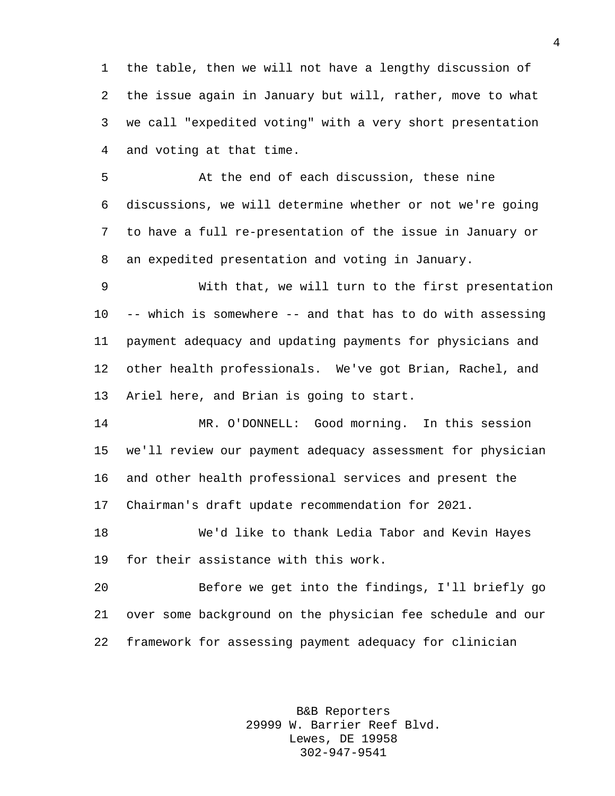the table, then we will not have a lengthy discussion of the issue again in January but will, rather, move to what we call "expedited voting" with a very short presentation and voting at that time.

 At the end of each discussion, these nine discussions, we will determine whether or not we're going to have a full re-presentation of the issue in January or an expedited presentation and voting in January.

 With that, we will turn to the first presentation -- which is somewhere -- and that has to do with assessing payment adequacy and updating payments for physicians and other health professionals. We've got Brian, Rachel, and Ariel here, and Brian is going to start.

 MR. O'DONNELL: Good morning. In this session we'll review our payment adequacy assessment for physician and other health professional services and present the Chairman's draft update recommendation for 2021.

 We'd like to thank Ledia Tabor and Kevin Hayes for their assistance with this work.

 Before we get into the findings, I'll briefly go over some background on the physician fee schedule and our framework for assessing payment adequacy for clinician

> B&B Reporters 29999 W. Barrier Reef Blvd. Lewes, DE 19958 302-947-9541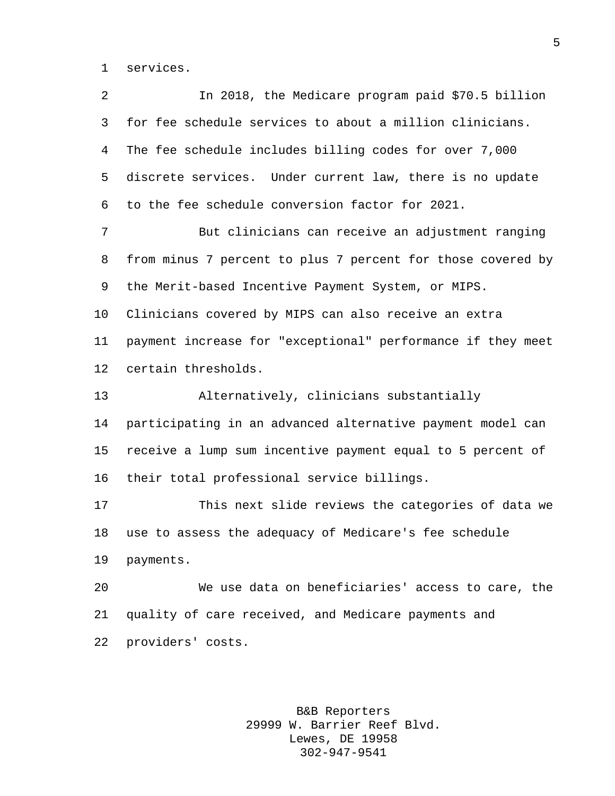services.

 In 2018, the Medicare program paid \$70.5 billion for fee schedule services to about a million clinicians. The fee schedule includes billing codes for over 7,000 discrete services. Under current law, there is no update to the fee schedule conversion factor for 2021. But clinicians can receive an adjustment ranging from minus 7 percent to plus 7 percent for those covered by the Merit-based Incentive Payment System, or MIPS. Clinicians covered by MIPS can also receive an extra payment increase for "exceptional" performance if they meet certain thresholds. Alternatively, clinicians substantially participating in an advanced alternative payment model can receive a lump sum incentive payment equal to 5 percent of their total professional service billings. This next slide reviews the categories of data we use to assess the adequacy of Medicare's fee schedule payments. We use data on beneficiaries' access to care, the quality of care received, and Medicare payments and providers' costs.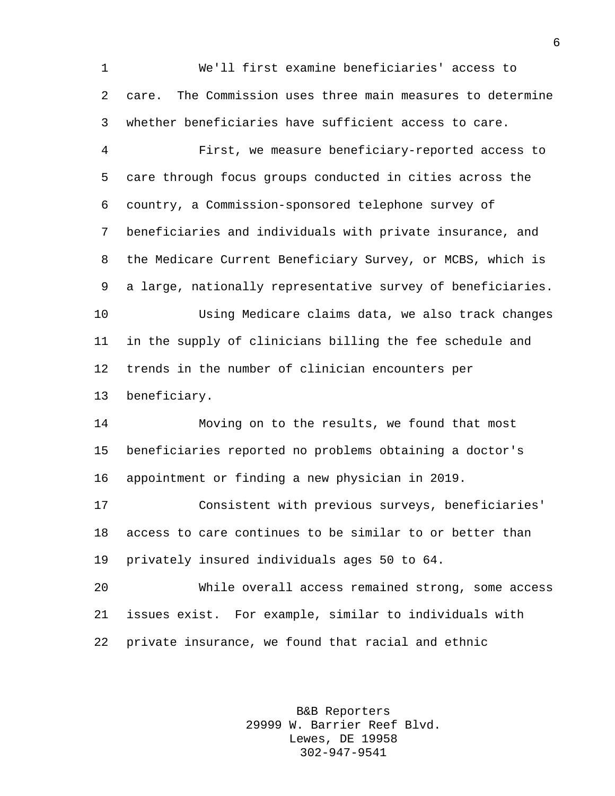We'll first examine beneficiaries' access to care. The Commission uses three main measures to determine whether beneficiaries have sufficient access to care.

 First, we measure beneficiary-reported access to care through focus groups conducted in cities across the country, a Commission-sponsored telephone survey of beneficiaries and individuals with private insurance, and the Medicare Current Beneficiary Survey, or MCBS, which is a large, nationally representative survey of beneficiaries. Using Medicare claims data, we also track changes in the supply of clinicians billing the fee schedule and trends in the number of clinician encounters per

beneficiary.

 Moving on to the results, we found that most beneficiaries reported no problems obtaining a doctor's appointment or finding a new physician in 2019.

 Consistent with previous surveys, beneficiaries' access to care continues to be similar to or better than privately insured individuals ages 50 to 64.

 While overall access remained strong, some access issues exist. For example, similar to individuals with private insurance, we found that racial and ethnic

> B&B Reporters 29999 W. Barrier Reef Blvd. Lewes, DE 19958 302-947-9541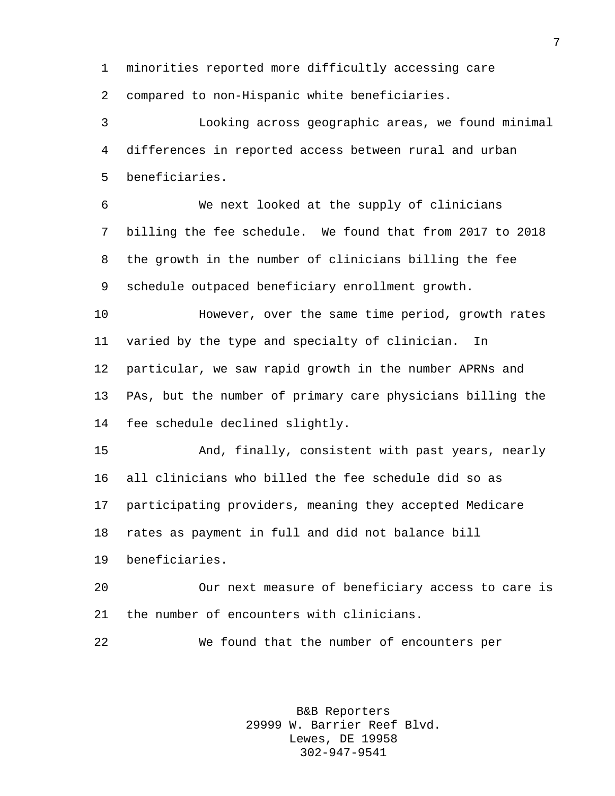minorities reported more difficultly accessing care

compared to non-Hispanic white beneficiaries.

 Looking across geographic areas, we found minimal differences in reported access between rural and urban beneficiaries.

 We next looked at the supply of clinicians billing the fee schedule. We found that from 2017 to 2018 the growth in the number of clinicians billing the fee schedule outpaced beneficiary enrollment growth.

 However, over the same time period, growth rates varied by the type and specialty of clinician. In particular, we saw rapid growth in the number APRNs and PAs, but the number of primary care physicians billing the fee schedule declined slightly.

 And, finally, consistent with past years, nearly all clinicians who billed the fee schedule did so as participating providers, meaning they accepted Medicare rates as payment in full and did not balance bill beneficiaries.

 Our next measure of beneficiary access to care is the number of encounters with clinicians.

We found that the number of encounters per

B&B Reporters 29999 W. Barrier Reef Blvd. Lewes, DE 19958 302-947-9541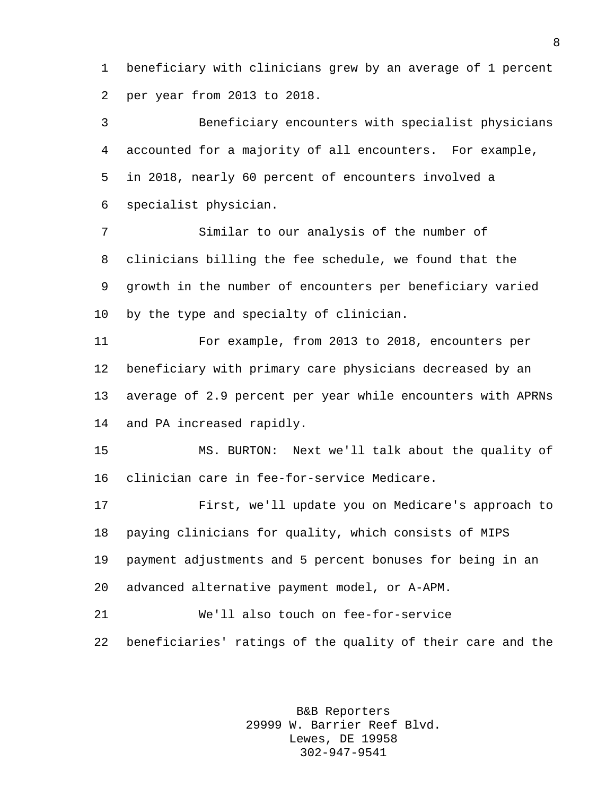beneficiary with clinicians grew by an average of 1 percent per year from 2013 to 2018.

 Beneficiary encounters with specialist physicians accounted for a majority of all encounters. For example, in 2018, nearly 60 percent of encounters involved a specialist physician.

 Similar to our analysis of the number of clinicians billing the fee schedule, we found that the growth in the number of encounters per beneficiary varied by the type and specialty of clinician.

 For example, from 2013 to 2018, encounters per beneficiary with primary care physicians decreased by an average of 2.9 percent per year while encounters with APRNs and PA increased rapidly.

 MS. BURTON: Next we'll talk about the quality of clinician care in fee-for-service Medicare.

 First, we'll update you on Medicare's approach to paying clinicians for quality, which consists of MIPS payment adjustments and 5 percent bonuses for being in an advanced alternative payment model, or A-APM.

 We'll also touch on fee-for-service beneficiaries' ratings of the quality of their care and the

> B&B Reporters 29999 W. Barrier Reef Blvd. Lewes, DE 19958 302-947-9541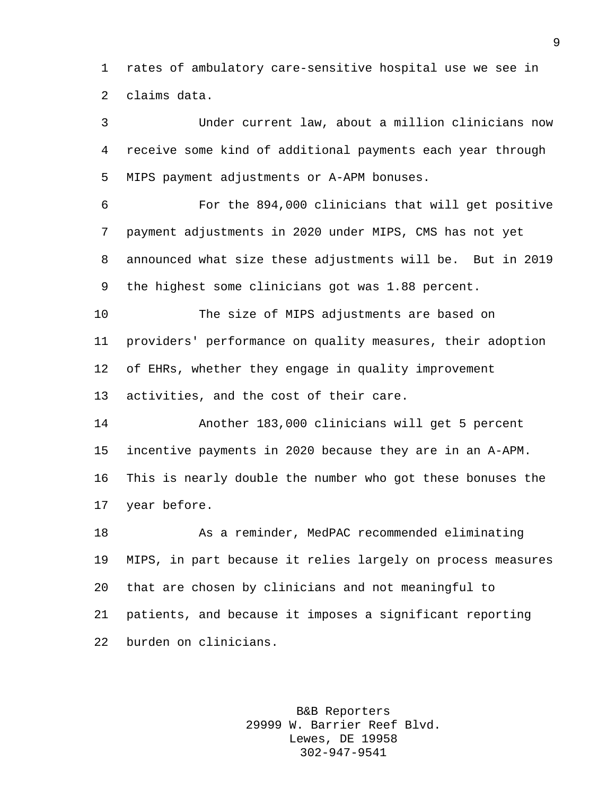rates of ambulatory care-sensitive hospital use we see in claims data.

 Under current law, about a million clinicians now receive some kind of additional payments each year through MIPS payment adjustments or A-APM bonuses.

 For the 894,000 clinicians that will get positive payment adjustments in 2020 under MIPS, CMS has not yet announced what size these adjustments will be. But in 2019 the highest some clinicians got was 1.88 percent.

 The size of MIPS adjustments are based on providers' performance on quality measures, their adoption of EHRs, whether they engage in quality improvement activities, and the cost of their care.

 Another 183,000 clinicians will get 5 percent incentive payments in 2020 because they are in an A-APM. This is nearly double the number who got these bonuses the year before.

 As a reminder, MedPAC recommended eliminating MIPS, in part because it relies largely on process measures that are chosen by clinicians and not meaningful to patients, and because it imposes a significant reporting burden on clinicians.

> B&B Reporters 29999 W. Barrier Reef Blvd. Lewes, DE 19958 302-947-9541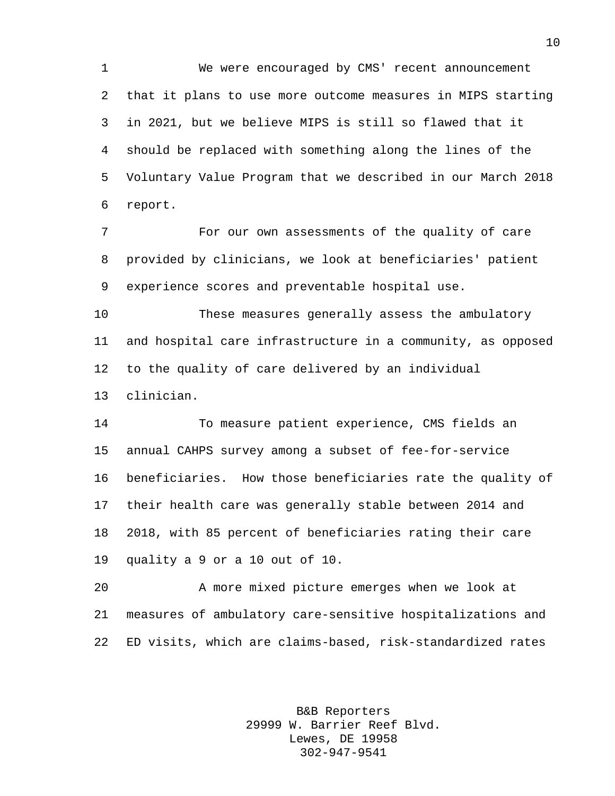We were encouraged by CMS' recent announcement that it plans to use more outcome measures in MIPS starting in 2021, but we believe MIPS is still so flawed that it should be replaced with something along the lines of the Voluntary Value Program that we described in our March 2018 report.

 For our own assessments of the quality of care provided by clinicians, we look at beneficiaries' patient experience scores and preventable hospital use.

 These measures generally assess the ambulatory and hospital care infrastructure in a community, as opposed to the quality of care delivered by an individual clinician.

 To measure patient experience, CMS fields an annual CAHPS survey among a subset of fee-for-service beneficiaries. How those beneficiaries rate the quality of their health care was generally stable between 2014 and 2018, with 85 percent of beneficiaries rating their care quality a 9 or a 10 out of 10.

 A more mixed picture emerges when we look at measures of ambulatory care-sensitive hospitalizations and ED visits, which are claims-based, risk-standardized rates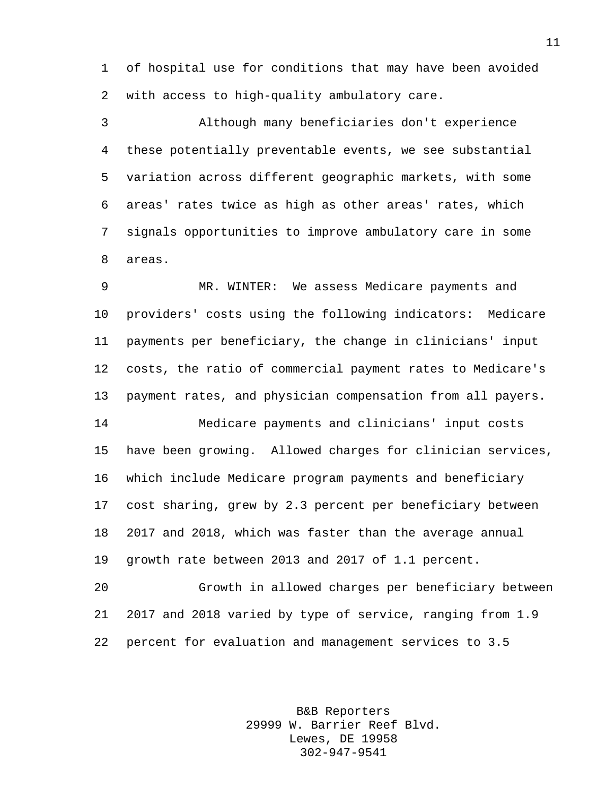of hospital use for conditions that may have been avoided with access to high-quality ambulatory care.

 Although many beneficiaries don't experience these potentially preventable events, we see substantial variation across different geographic markets, with some areas' rates twice as high as other areas' rates, which signals opportunities to improve ambulatory care in some areas.

 MR. WINTER: We assess Medicare payments and providers' costs using the following indicators: Medicare payments per beneficiary, the change in clinicians' input costs, the ratio of commercial payment rates to Medicare's payment rates, and physician compensation from all payers. Medicare payments and clinicians' input costs have been growing. Allowed charges for clinician services, which include Medicare program payments and beneficiary cost sharing, grew by 2.3 percent per beneficiary between 2017 and 2018, which was faster than the average annual growth rate between 2013 and 2017 of 1.1 percent.

 Growth in allowed charges per beneficiary between 2017 and 2018 varied by type of service, ranging from 1.9 percent for evaluation and management services to 3.5

> B&B Reporters 29999 W. Barrier Reef Blvd. Lewes, DE 19958 302-947-9541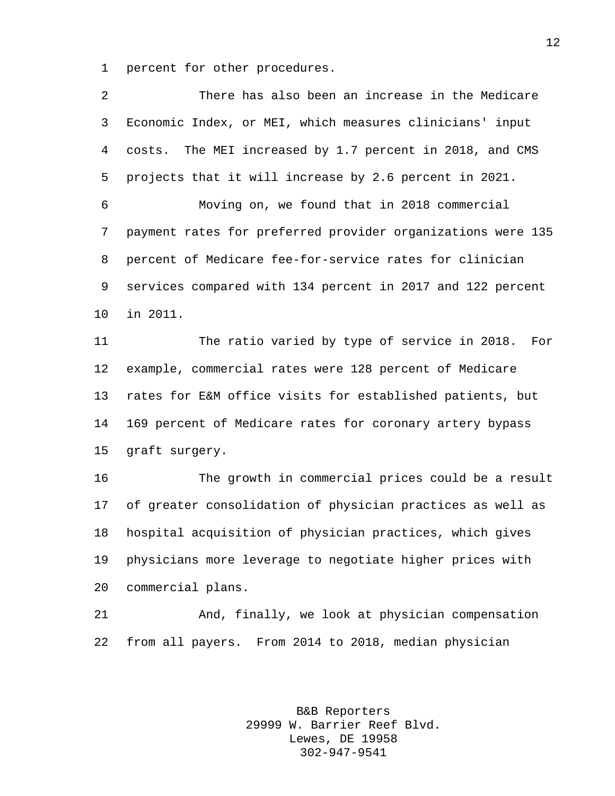percent for other procedures.

| 2  | There has also been an increase in the Medicare             |
|----|-------------------------------------------------------------|
| 3  | Economic Index, or MEI, which measures clinicians' input    |
| 4  | costs. The MEI increased by 1.7 percent in 2018, and CMS    |
| 5  | projects that it will increase by 2.6 percent in 2021.      |
| 6  | Moving on, we found that in 2018 commercial                 |
| 7  | payment rates for preferred provider organizations were 135 |
| 8  | percent of Medicare fee-for-service rates for clinician     |
| 9  | services compared with 134 percent in 2017 and 122 percent  |
| 10 | in 2011.                                                    |
| 11 | The ratio varied by type of service in 2018.<br>For         |
| 12 | example, commercial rates were 128 percent of Medicare      |
| 13 | rates for E&M office visits for established patients, but   |
| 14 | 169 percent of Medicare rates for coronary artery bypass    |
| 15 | graft surgery.                                              |
| 16 | The growth in commercial prices could be a result           |
| 17 | of greater consolidation of physician practices as well as  |
| 18 | hospital acquisition of physician practices, which gives    |
| 19 | physicians more leverage to negotiate higher prices with    |
| 20 | commercial plans.                                           |
| 21 | And, finally, we look at physician compensation             |
| 22 | from all payers.<br>From 2014 to 2018, median physician     |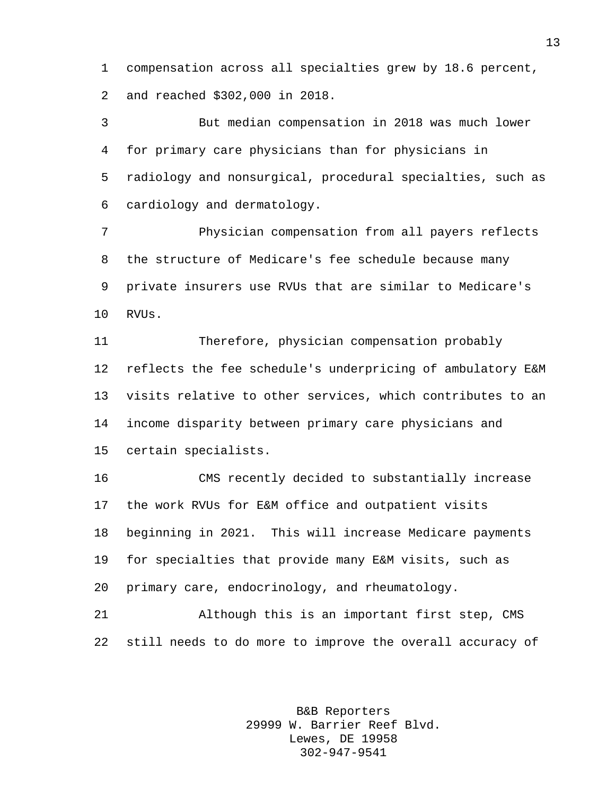compensation across all specialties grew by 18.6 percent, and reached \$302,000 in 2018.

 But median compensation in 2018 was much lower for primary care physicians than for physicians in radiology and nonsurgical, procedural specialties, such as cardiology and dermatology.

 Physician compensation from all payers reflects the structure of Medicare's fee schedule because many private insurers use RVUs that are similar to Medicare's RVUs.

 Therefore, physician compensation probably reflects the fee schedule's underpricing of ambulatory E&M visits relative to other services, which contributes to an income disparity between primary care physicians and certain specialists.

 CMS recently decided to substantially increase the work RVUs for E&M office and outpatient visits beginning in 2021. This will increase Medicare payments for specialties that provide many E&M visits, such as primary care, endocrinology, and rheumatology.

 Although this is an important first step, CMS still needs to do more to improve the overall accuracy of

> B&B Reporters 29999 W. Barrier Reef Blvd. Lewes, DE 19958 302-947-9541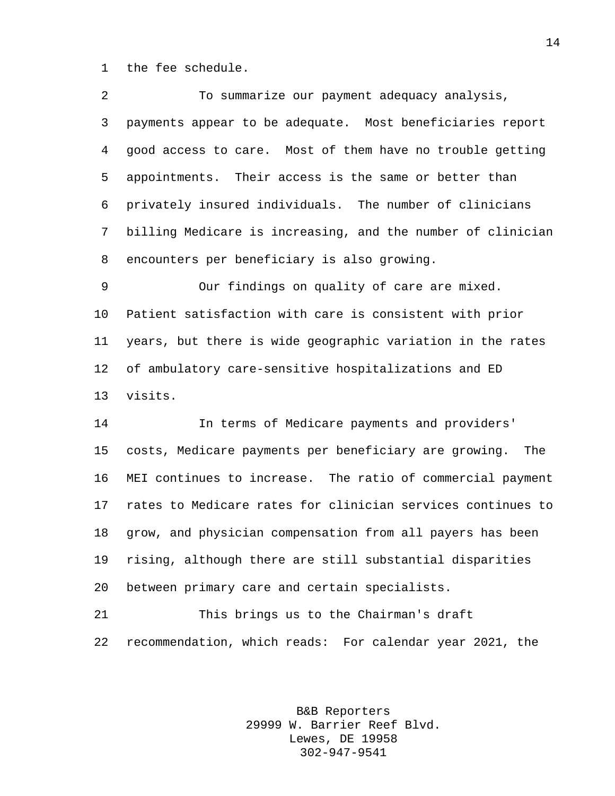the fee schedule.

| 2           | To summarize our payment adequacy analysis,                 |
|-------------|-------------------------------------------------------------|
| 3           | payments appear to be adequate. Most beneficiaries report   |
| 4           | good access to care. Most of them have no trouble getting   |
| 5           | appointments. Their access is the same or better than       |
| 6           | privately insured individuals. The number of clinicians     |
| $7^{\circ}$ | billing Medicare is increasing, and the number of clinician |
| 8           | encounters per beneficiary is also growing.                 |
| 9           | Our findings on quality of care are mixed.                  |
|             |                                                             |

 Patient satisfaction with care is consistent with prior years, but there is wide geographic variation in the rates of ambulatory care-sensitive hospitalizations and ED visits.

 In terms of Medicare payments and providers' costs, Medicare payments per beneficiary are growing. The MEI continues to increase. The ratio of commercial payment rates to Medicare rates for clinician services continues to grow, and physician compensation from all payers has been rising, although there are still substantial disparities between primary care and certain specialists.

 This brings us to the Chairman's draft recommendation, which reads: For calendar year 2021, the

> B&B Reporters 29999 W. Barrier Reef Blvd. Lewes, DE 19958 302-947-9541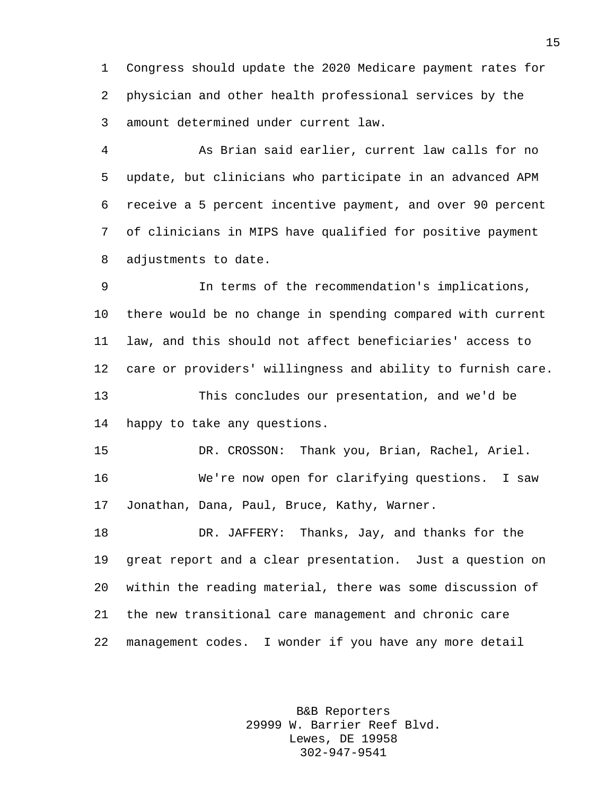Congress should update the 2020 Medicare payment rates for physician and other health professional services by the amount determined under current law.

 As Brian said earlier, current law calls for no update, but clinicians who participate in an advanced APM receive a 5 percent incentive payment, and over 90 percent of clinicians in MIPS have qualified for positive payment adjustments to date.

 In terms of the recommendation's implications, there would be no change in spending compared with current law, and this should not affect beneficiaries' access to care or providers' willingness and ability to furnish care. This concludes our presentation, and we'd be

happy to take any questions.

 DR. CROSSON: Thank you, Brian, Rachel, Ariel. We're now open for clarifying questions. I saw Jonathan, Dana, Paul, Bruce, Kathy, Warner.

 DR. JAFFERY: Thanks, Jay, and thanks for the great report and a clear presentation. Just a question on within the reading material, there was some discussion of the new transitional care management and chronic care management codes. I wonder if you have any more detail

> B&B Reporters 29999 W. Barrier Reef Blvd. Lewes, DE 19958 302-947-9541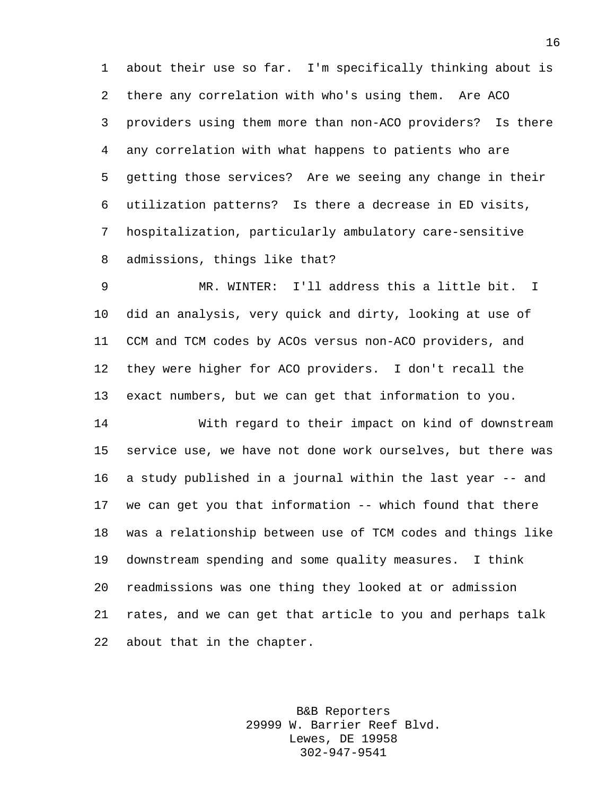about their use so far. I'm specifically thinking about is there any correlation with who's using them. Are ACO providers using them more than non-ACO providers? Is there any correlation with what happens to patients who are getting those services? Are we seeing any change in their utilization patterns? Is there a decrease in ED visits, hospitalization, particularly ambulatory care-sensitive admissions, things like that?

 MR. WINTER: I'll address this a little bit. I did an analysis, very quick and dirty, looking at use of CCM and TCM codes by ACOs versus non-ACO providers, and they were higher for ACO providers. I don't recall the exact numbers, but we can get that information to you.

 With regard to their impact on kind of downstream service use, we have not done work ourselves, but there was a study published in a journal within the last year -- and we can get you that information -- which found that there was a relationship between use of TCM codes and things like downstream spending and some quality measures. I think readmissions was one thing they looked at or admission rates, and we can get that article to you and perhaps talk about that in the chapter.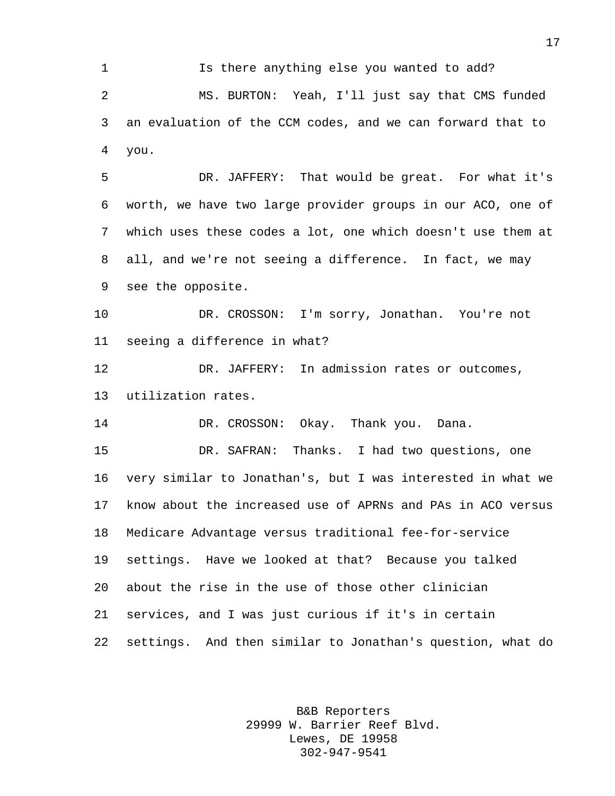Is there anything else you wanted to add? MS. BURTON: Yeah, I'll just say that CMS funded an evaluation of the CCM codes, and we can forward that to you.

 DR. JAFFERY: That would be great. For what it's worth, we have two large provider groups in our ACO, one of which uses these codes a lot, one which doesn't use them at all, and we're not seeing a difference. In fact, we may see the opposite.

 DR. CROSSON: I'm sorry, Jonathan. You're not seeing a difference in what?

 DR. JAFFERY: In admission rates or outcomes, utilization rates.

DR. CROSSON: Okay. Thank you. Dana.

 DR. SAFRAN: Thanks. I had two questions, one very similar to Jonathan's, but I was interested in what we know about the increased use of APRNs and PAs in ACO versus Medicare Advantage versus traditional fee-for-service settings. Have we looked at that? Because you talked about the rise in the use of those other clinician services, and I was just curious if it's in certain settings. And then similar to Jonathan's question, what do

> B&B Reporters 29999 W. Barrier Reef Blvd. Lewes, DE 19958 302-947-9541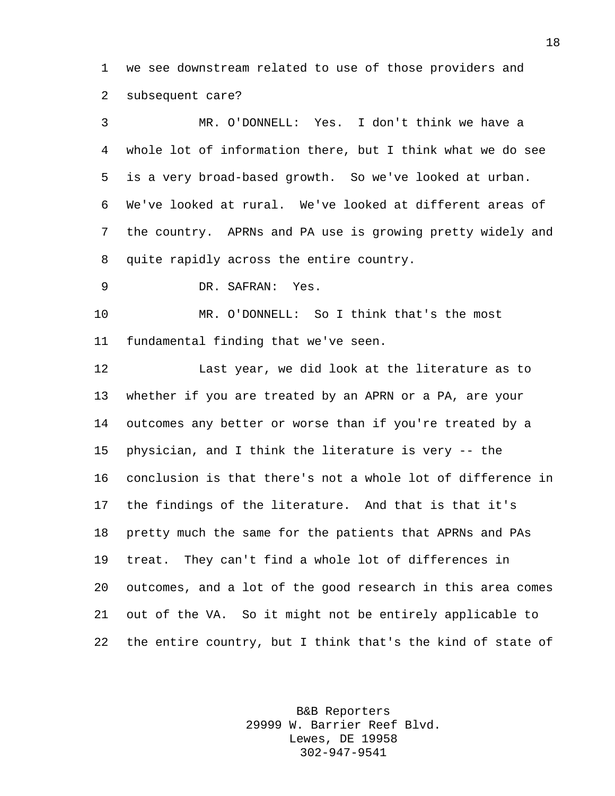we see downstream related to use of those providers and subsequent care?

 MR. O'DONNELL: Yes. I don't think we have a whole lot of information there, but I think what we do see is a very broad-based growth. So we've looked at urban. We've looked at rural. We've looked at different areas of the country. APRNs and PA use is growing pretty widely and quite rapidly across the entire country.

DR. SAFRAN: Yes.

 MR. O'DONNELL: So I think that's the most fundamental finding that we've seen.

 Last year, we did look at the literature as to whether if you are treated by an APRN or a PA, are your outcomes any better or worse than if you're treated by a physician, and I think the literature is very -- the conclusion is that there's not a whole lot of difference in the findings of the literature. And that is that it's pretty much the same for the patients that APRNs and PAs treat. They can't find a whole lot of differences in outcomes, and a lot of the good research in this area comes out of the VA. So it might not be entirely applicable to the entire country, but I think that's the kind of state of

> B&B Reporters 29999 W. Barrier Reef Blvd. Lewes, DE 19958 302-947-9541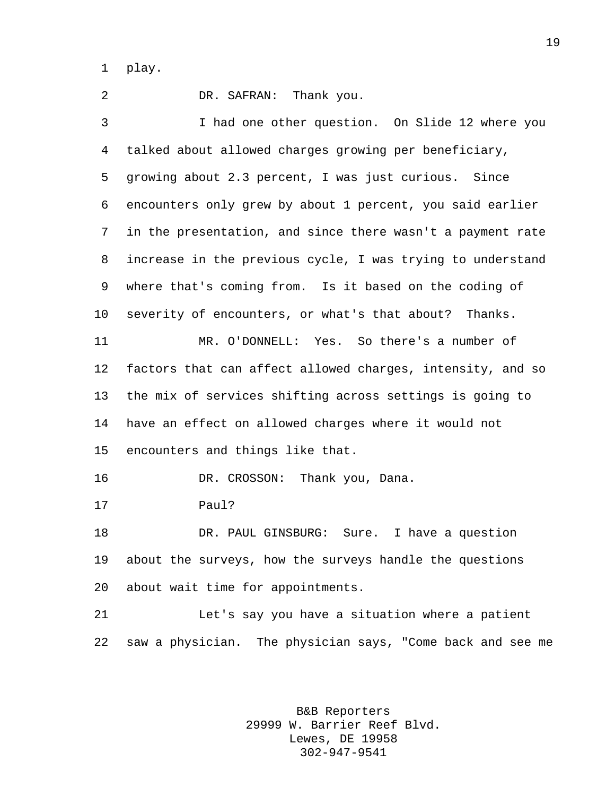play.

 DR. SAFRAN: Thank you. I had one other question. On Slide 12 where you talked about allowed charges growing per beneficiary, growing about 2.3 percent, I was just curious. Since encounters only grew by about 1 percent, you said earlier in the presentation, and since there wasn't a payment rate increase in the previous cycle, I was trying to understand where that's coming from. Is it based on the coding of severity of encounters, or what's that about? Thanks. MR. O'DONNELL: Yes. So there's a number of factors that can affect allowed charges, intensity, and so the mix of services shifting across settings is going to have an effect on allowed charges where it would not encounters and things like that. 16 DR. CROSSON: Thank you, Dana. Paul? DR. PAUL GINSBURG: Sure. I have a question about the surveys, how the surveys handle the questions about wait time for appointments. Let's say you have a situation where a patient saw a physician. The physician says, "Come back and see me

> B&B Reporters 29999 W. Barrier Reef Blvd. Lewes, DE 19958 302-947-9541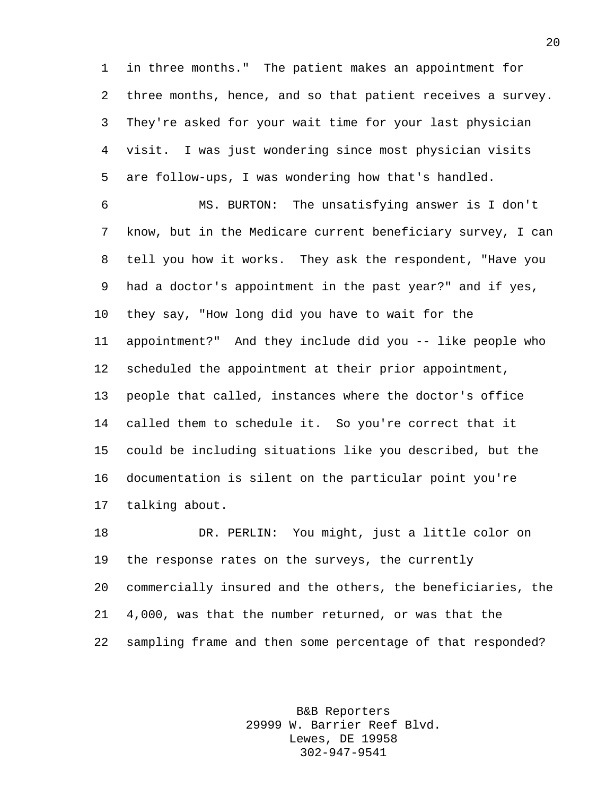in three months." The patient makes an appointment for three months, hence, and so that patient receives a survey. They're asked for your wait time for your last physician visit. I was just wondering since most physician visits are follow-ups, I was wondering how that's handled.

 MS. BURTON: The unsatisfying answer is I don't know, but in the Medicare current beneficiary survey, I can tell you how it works. They ask the respondent, "Have you had a doctor's appointment in the past year?" and if yes, they say, "How long did you have to wait for the appointment?" And they include did you -- like people who scheduled the appointment at their prior appointment, people that called, instances where the doctor's office called them to schedule it. So you're correct that it could be including situations like you described, but the documentation is silent on the particular point you're talking about.

 DR. PERLIN: You might, just a little color on the response rates on the surveys, the currently commercially insured and the others, the beneficiaries, the 4,000, was that the number returned, or was that the sampling frame and then some percentage of that responded?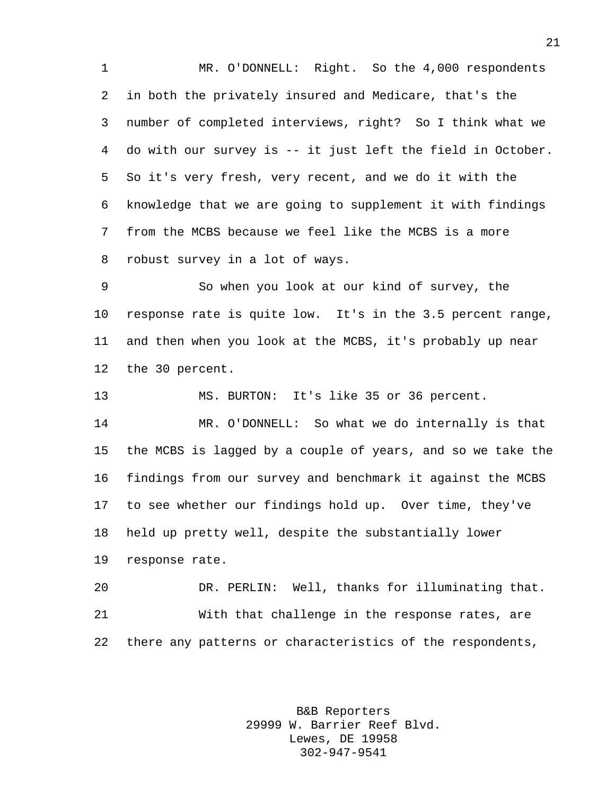MR. O'DONNELL: Right. So the 4,000 respondents in both the privately insured and Medicare, that's the number of completed interviews, right? So I think what we do with our survey is -- it just left the field in October. So it's very fresh, very recent, and we do it with the knowledge that we are going to supplement it with findings from the MCBS because we feel like the MCBS is a more robust survey in a lot of ways.

 So when you look at our kind of survey, the response rate is quite low. It's in the 3.5 percent range, and then when you look at the MCBS, it's probably up near the 30 percent.

MS. BURTON: It's like 35 or 36 percent.

 MR. O'DONNELL: So what we do internally is that the MCBS is lagged by a couple of years, and so we take the findings from our survey and benchmark it against the MCBS to see whether our findings hold up. Over time, they've held up pretty well, despite the substantially lower response rate.

 DR. PERLIN: Well, thanks for illuminating that. With that challenge in the response rates, are there any patterns or characteristics of the respondents,

> B&B Reporters 29999 W. Barrier Reef Blvd. Lewes, DE 19958 302-947-9541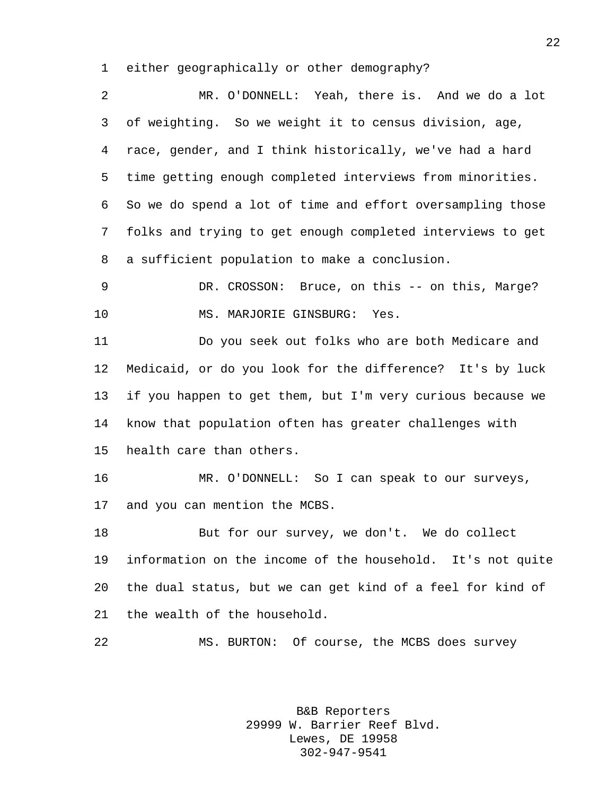either geographically or other demography?

 MR. O'DONNELL: Yeah, there is. And we do a lot of weighting. So we weight it to census division, age, race, gender, and I think historically, we've had a hard time getting enough completed interviews from minorities. So we do spend a lot of time and effort oversampling those folks and trying to get enough completed interviews to get a sufficient population to make a conclusion. DR. CROSSON: Bruce, on this -- on this, Marge? 10 MS. MARJORIE GINSBURG: Yes. Do you seek out folks who are both Medicare and Medicaid, or do you look for the difference? It's by luck

 if you happen to get them, but I'm very curious because we know that population often has greater challenges with health care than others.

 MR. O'DONNELL: So I can speak to our surveys, and you can mention the MCBS.

18 But for our survey, we don't. We do collect information on the income of the household. It's not quite the dual status, but we can get kind of a feel for kind of the wealth of the household.

MS. BURTON: Of course, the MCBS does survey

B&B Reporters 29999 W. Barrier Reef Blvd. Lewes, DE 19958 302-947-9541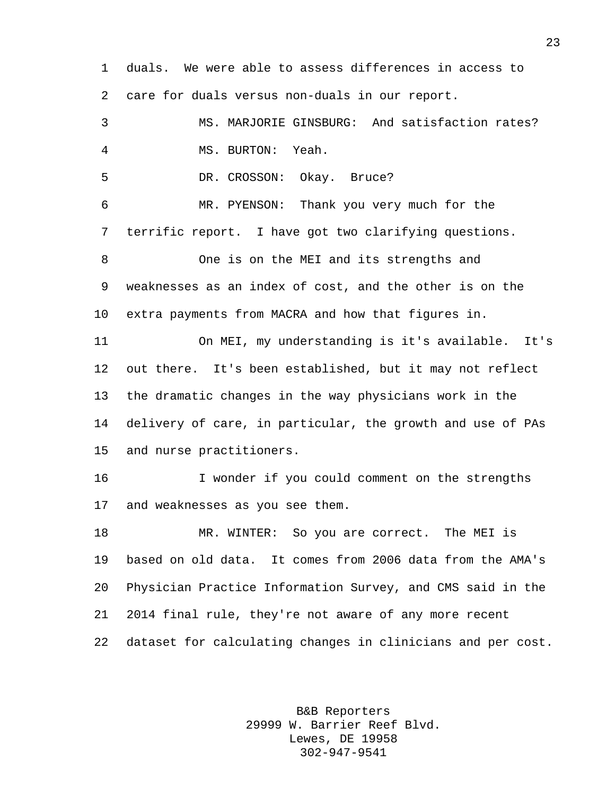duals. We were able to assess differences in access to care for duals versus non-duals in our report. MS. MARJORIE GINSBURG: And satisfaction rates? MS. BURTON: Yeah. DR. CROSSON: Okay. Bruce? MR. PYENSON: Thank you very much for the terrific report. I have got two clarifying questions. One is on the MEI and its strengths and weaknesses as an index of cost, and the other is on the extra payments from MACRA and how that figures in. On MEI, my understanding is it's available. It's out there. It's been established, but it may not reflect the dramatic changes in the way physicians work in the delivery of care, in particular, the growth and use of PAs and nurse practitioners. I wonder if you could comment on the strengths and weaknesses as you see them. MR. WINTER: So you are correct. The MEI is based on old data. It comes from 2006 data from the AMA's Physician Practice Information Survey, and CMS said in the 2014 final rule, they're not aware of any more recent dataset for calculating changes in clinicians and per cost.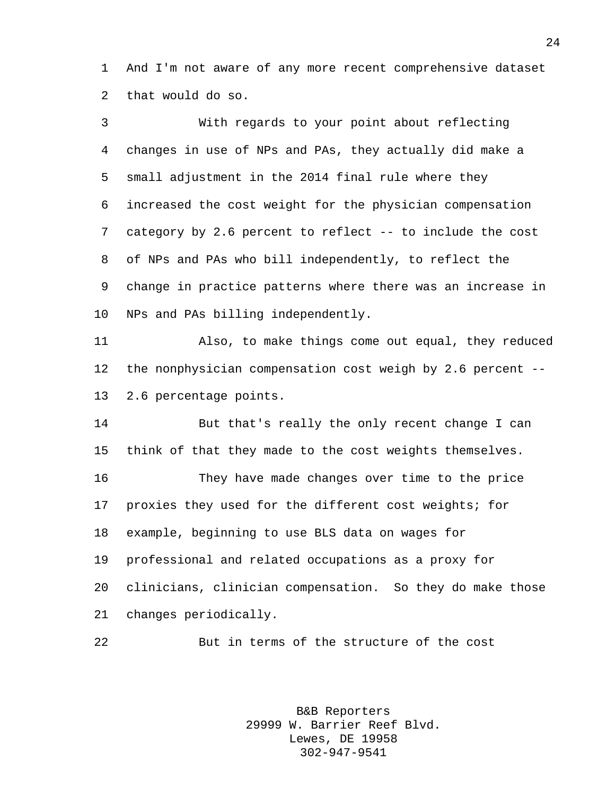And I'm not aware of any more recent comprehensive dataset that would do so.

| 3       | With regards to your point about reflecting                |
|---------|------------------------------------------------------------|
| 4       | changes in use of NPs and PAs, they actually did make a    |
| 5       | small adjustment in the 2014 final rule where they         |
| 6       | increased the cost weight for the physician compensation   |
| 7       | category by 2.6 percent to reflect -- to include the cost  |
| 8       | of NPs and PAs who bill independently, to reflect the      |
| 9       | change in practice patterns where there was an increase in |
| 10      | NPs and PAs billing independently.                         |
| 11      | Also, to make things come out equal, they reduced          |
| 12      | the nonphysician compensation cost weigh by 2.6 percent -- |
| 13      | 2.6 percentage points.                                     |
| 14      | But that's really the only recent change I can             |
| 15      | think of that they made to the cost weights themselves.    |
| 16      | They have made changes over time to the price              |
| 17      | proxies they used for the different cost weights; for      |
| 18      | example, beginning to use BLS data on wages for            |
| 19      | professional and related occupations as a proxy for        |
| $20 \,$ | clinicians, clinician compensation. So they do make those  |
| 21      | changes periodically.                                      |
| 22      | But in terms of the structure of the cost                  |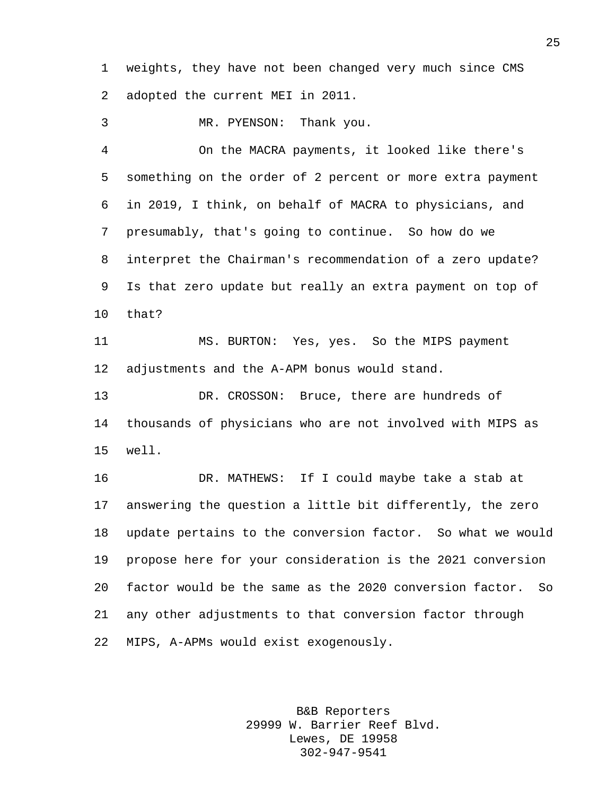weights, they have not been changed very much since CMS adopted the current MEI in 2011.

MR. PYENSON: Thank you.

 On the MACRA payments, it looked like there's something on the order of 2 percent or more extra payment in 2019, I think, on behalf of MACRA to physicians, and presumably, that's going to continue. So how do we interpret the Chairman's recommendation of a zero update? Is that zero update but really an extra payment on top of that?

 MS. BURTON: Yes, yes. So the MIPS payment adjustments and the A-APM bonus would stand.

 DR. CROSSON: Bruce, there are hundreds of thousands of physicians who are not involved with MIPS as well.

 DR. MATHEWS: If I could maybe take a stab at answering the question a little bit differently, the zero update pertains to the conversion factor. So what we would propose here for your consideration is the 2021 conversion factor would be the same as the 2020 conversion factor. So any other adjustments to that conversion factor through MIPS, A-APMs would exist exogenously.

> B&B Reporters 29999 W. Barrier Reef Blvd. Lewes, DE 19958 302-947-9541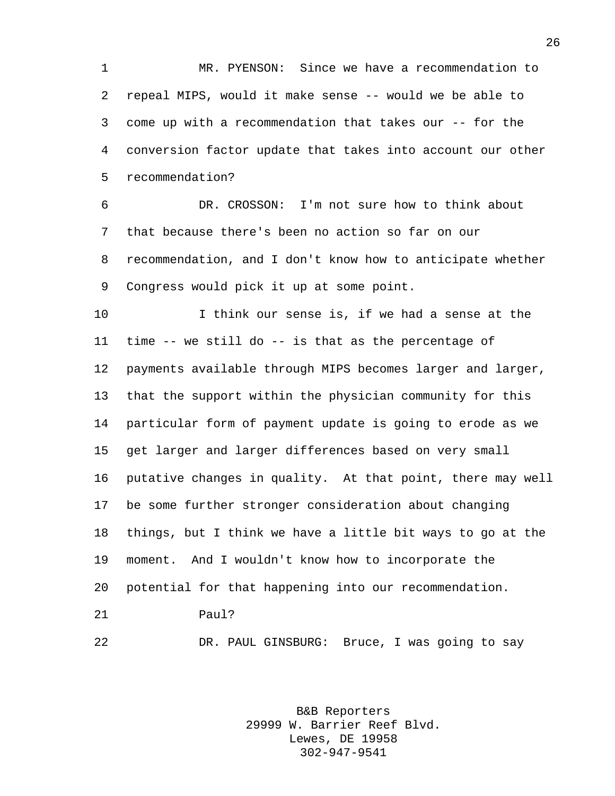MR. PYENSON: Since we have a recommendation to repeal MIPS, would it make sense -- would we be able to come up with a recommendation that takes our -- for the conversion factor update that takes into account our other recommendation?

 DR. CROSSON: I'm not sure how to think about that because there's been no action so far on our recommendation, and I don't know how to anticipate whether Congress would pick it up at some point.

 I think our sense is, if we had a sense at the time -- we still do -- is that as the percentage of payments available through MIPS becomes larger and larger, that the support within the physician community for this particular form of payment update is going to erode as we get larger and larger differences based on very small putative changes in quality. At that point, there may well be some further stronger consideration about changing things, but I think we have a little bit ways to go at the moment. And I wouldn't know how to incorporate the potential for that happening into our recommendation. Paul?

DR. PAUL GINSBURG: Bruce, I was going to say

B&B Reporters 29999 W. Barrier Reef Blvd. Lewes, DE 19958 302-947-9541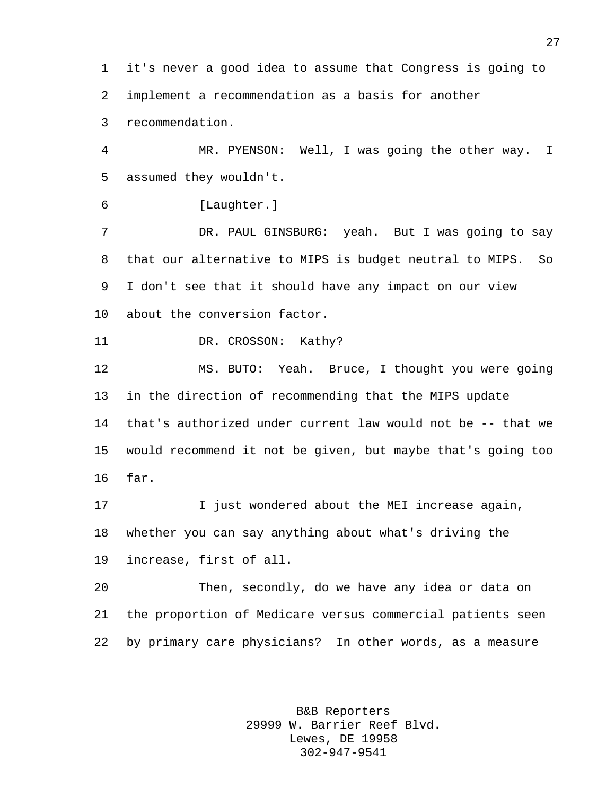it's never a good idea to assume that Congress is going to implement a recommendation as a basis for another recommendation.

 MR. PYENSON: Well, I was going the other way. I assumed they wouldn't.

[Laughter.]

 DR. PAUL GINSBURG: yeah. But I was going to say that our alternative to MIPS is budget neutral to MIPS. So I don't see that it should have any impact on our view about the conversion factor.

11 DR. CROSSON: Kathy?

 MS. BUTO: Yeah. Bruce, I thought you were going in the direction of recommending that the MIPS update that's authorized under current law would not be -- that we would recommend it not be given, but maybe that's going too far.

 I just wondered about the MEI increase again, whether you can say anything about what's driving the increase, first of all.

 Then, secondly, do we have any idea or data on the proportion of Medicare versus commercial patients seen by primary care physicians? In other words, as a measure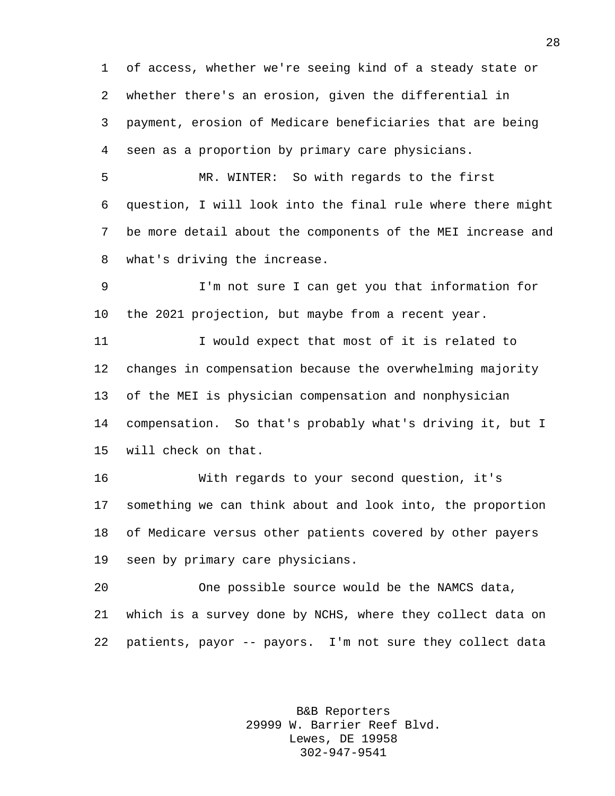of access, whether we're seeing kind of a steady state or whether there's an erosion, given the differential in payment, erosion of Medicare beneficiaries that are being seen as a proportion by primary care physicians.

 MR. WINTER: So with regards to the first question, I will look into the final rule where there might be more detail about the components of the MEI increase and what's driving the increase.

 I'm not sure I can get you that information for the 2021 projection, but maybe from a recent year.

 I would expect that most of it is related to changes in compensation because the overwhelming majority of the MEI is physician compensation and nonphysician compensation. So that's probably what's driving it, but I will check on that.

 With regards to your second question, it's something we can think about and look into, the proportion of Medicare versus other patients covered by other payers seen by primary care physicians.

 One possible source would be the NAMCS data, which is a survey done by NCHS, where they collect data on patients, payor -- payors. I'm not sure they collect data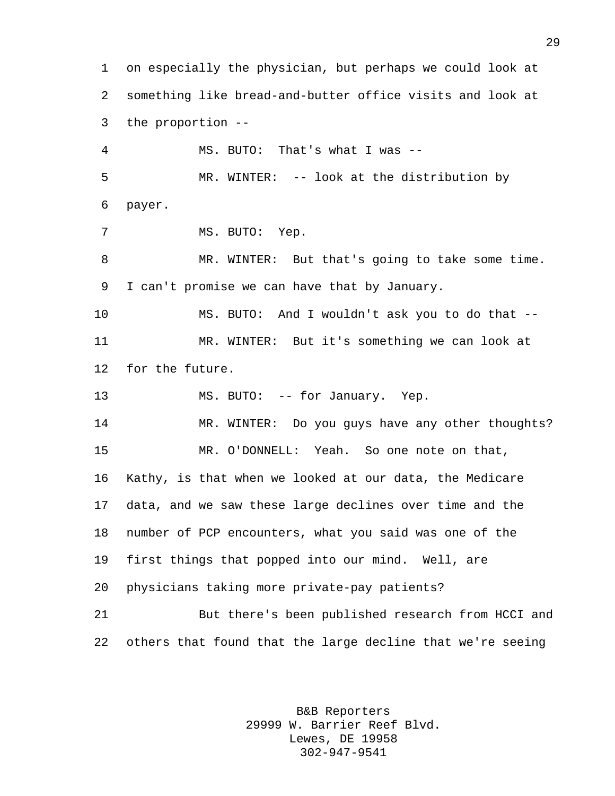on especially the physician, but perhaps we could look at something like bread-and-butter office visits and look at the proportion -- MS. BUTO: That's what I was -- MR. WINTER: -- look at the distribution by payer. MS. BUTO: Yep. MR. WINTER: But that's going to take some time. I can't promise we can have that by January. MS. BUTO: And I wouldn't ask you to do that -- MR. WINTER: But it's something we can look at for the future. 13 MS. BUTO: -- for January. Yep. MR. WINTER: Do you guys have any other thoughts? MR. O'DONNELL: Yeah. So one note on that, Kathy, is that when we looked at our data, the Medicare data, and we saw these large declines over time and the number of PCP encounters, what you said was one of the first things that popped into our mind. Well, are physicians taking more private-pay patients? But there's been published research from HCCI and others that found that the large decline that we're seeing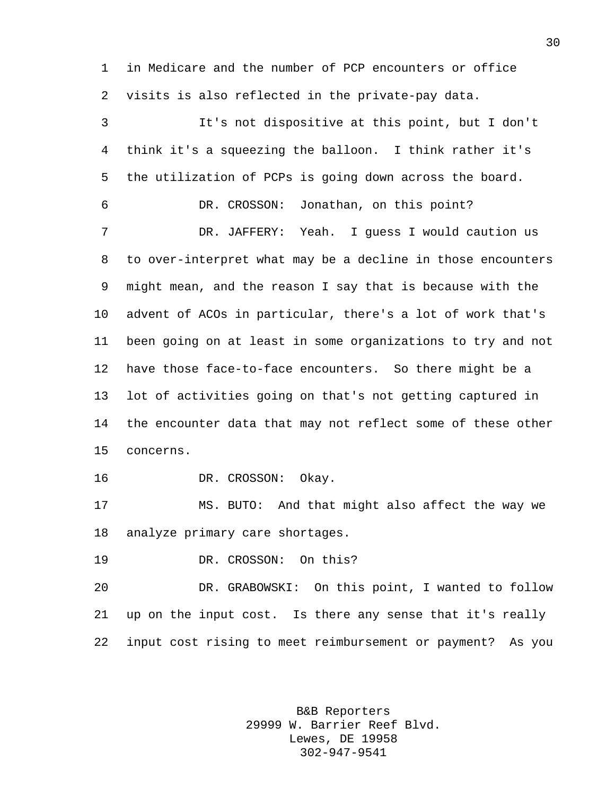in Medicare and the number of PCP encounters or office visits is also reflected in the private-pay data.

 It's not dispositive at this point, but I don't think it's a squeezing the balloon. I think rather it's the utilization of PCPs is going down across the board. DR. CROSSON: Jonathan, on this point? DR. JAFFERY: Yeah. I guess I would caution us to over-interpret what may be a decline in those encounters might mean, and the reason I say that is because with the advent of ACOs in particular, there's a lot of work that's been going on at least in some organizations to try and not have those face-to-face encounters. So there might be a lot of activities going on that's not getting captured in the encounter data that may not reflect some of these other concerns. DR. CROSSON: Okay. MS. BUTO: And that might also affect the way we

analyze primary care shortages.

DR. CROSSON: On this?

 DR. GRABOWSKI: On this point, I wanted to follow up on the input cost. Is there any sense that it's really input cost rising to meet reimbursement or payment? As you

> B&B Reporters 29999 W. Barrier Reef Blvd. Lewes, DE 19958 302-947-9541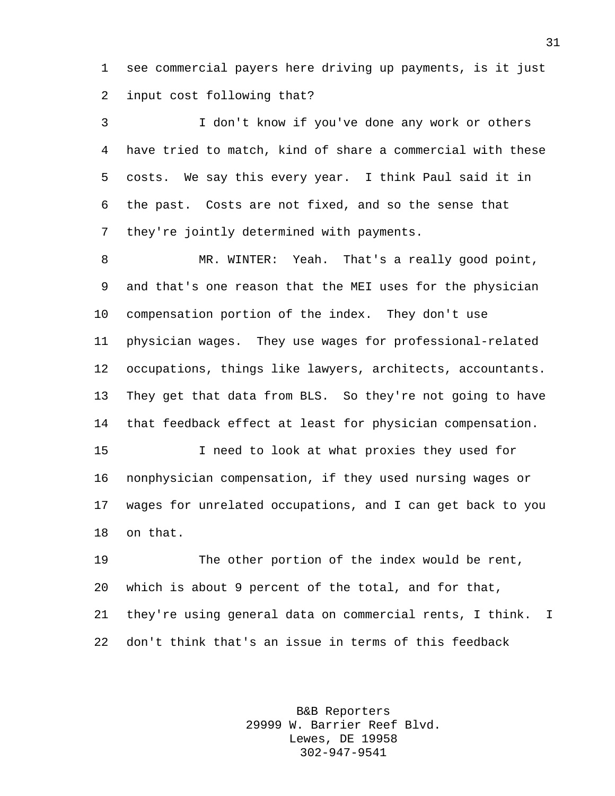see commercial payers here driving up payments, is it just input cost following that?

 I don't know if you've done any work or others have tried to match, kind of share a commercial with these costs. We say this every year. I think Paul said it in the past. Costs are not fixed, and so the sense that they're jointly determined with payments.

 MR. WINTER: Yeah. That's a really good point, and that's one reason that the MEI uses for the physician compensation portion of the index. They don't use physician wages. They use wages for professional-related occupations, things like lawyers, architects, accountants. They get that data from BLS. So they're not going to have that feedback effect at least for physician compensation.

 I need to look at what proxies they used for nonphysician compensation, if they used nursing wages or wages for unrelated occupations, and I can get back to you on that.

 The other portion of the index would be rent, which is about 9 percent of the total, and for that, they're using general data on commercial rents, I think. I don't think that's an issue in terms of this feedback

> B&B Reporters 29999 W. Barrier Reef Blvd. Lewes, DE 19958 302-947-9541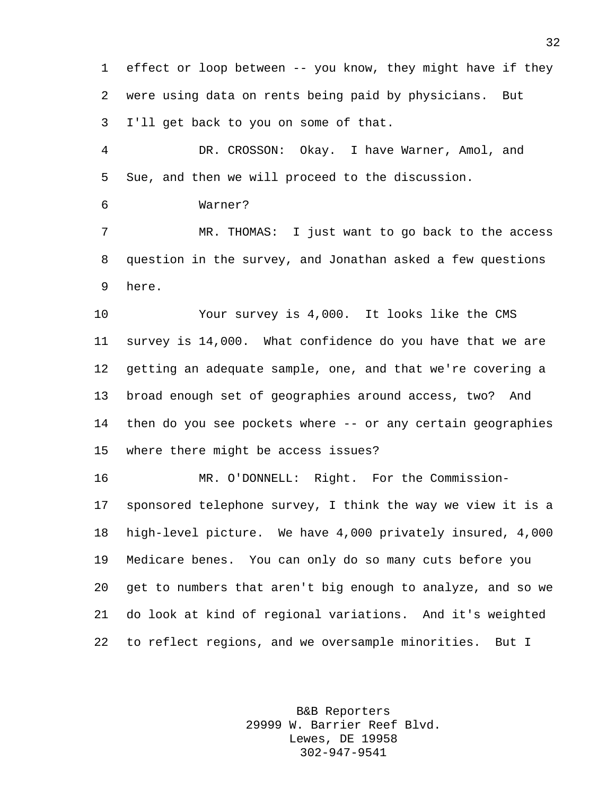effect or loop between -- you know, they might have if they were using data on rents being paid by physicians. But I'll get back to you on some of that.

 DR. CROSSON: Okay. I have Warner, Amol, and Sue, and then we will proceed to the discussion.

Warner?

 MR. THOMAS: I just want to go back to the access question in the survey, and Jonathan asked a few questions here.

 Your survey is 4,000. It looks like the CMS survey is 14,000. What confidence do you have that we are getting an adequate sample, one, and that we're covering a broad enough set of geographies around access, two? And then do you see pockets where -- or any certain geographies where there might be access issues?

 MR. O'DONNELL: Right. For the Commission- sponsored telephone survey, I think the way we view it is a high-level picture. We have 4,000 privately insured, 4,000 Medicare benes. You can only do so many cuts before you get to numbers that aren't big enough to analyze, and so we do look at kind of regional variations. And it's weighted to reflect regions, and we oversample minorities. But I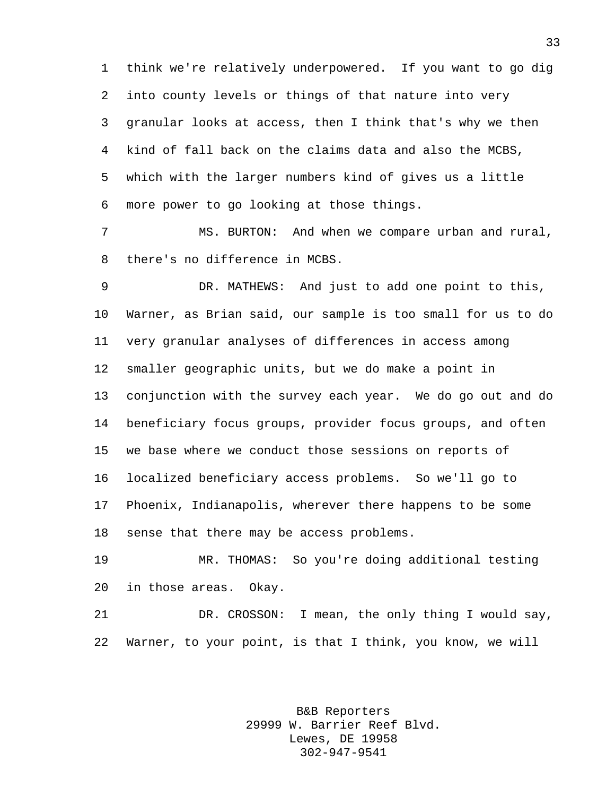think we're relatively underpowered. If you want to go dig into county levels or things of that nature into very granular looks at access, then I think that's why we then kind of fall back on the claims data and also the MCBS, which with the larger numbers kind of gives us a little more power to go looking at those things.

 MS. BURTON: And when we compare urban and rural, there's no difference in MCBS.

 DR. MATHEWS: And just to add one point to this, Warner, as Brian said, our sample is too small for us to do very granular analyses of differences in access among smaller geographic units, but we do make a point in conjunction with the survey each year. We do go out and do beneficiary focus groups, provider focus groups, and often we base where we conduct those sessions on reports of localized beneficiary access problems. So we'll go to Phoenix, Indianapolis, wherever there happens to be some sense that there may be access problems.

 MR. THOMAS: So you're doing additional testing in those areas. Okay.

 DR. CROSSON: I mean, the only thing I would say, Warner, to your point, is that I think, you know, we will

> B&B Reporters 29999 W. Barrier Reef Blvd. Lewes, DE 19958 302-947-9541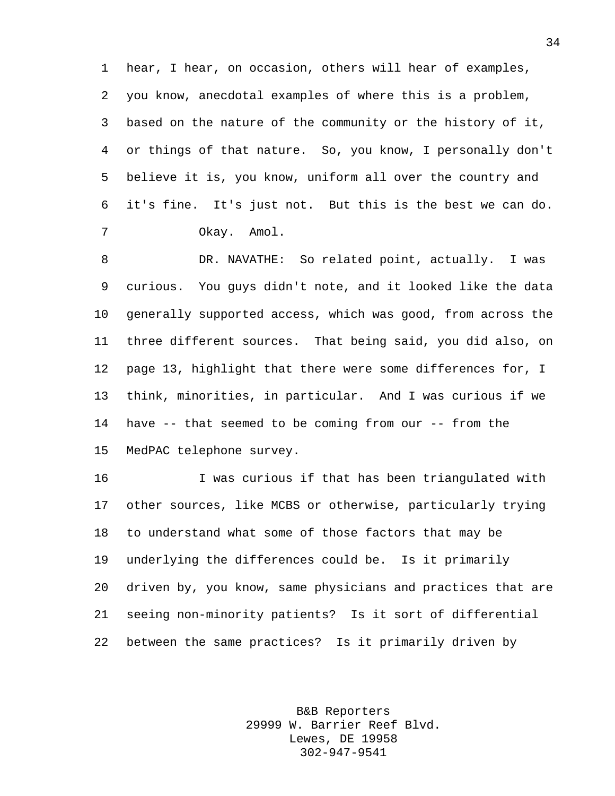hear, I hear, on occasion, others will hear of examples, you know, anecdotal examples of where this is a problem, based on the nature of the community or the history of it, or things of that nature. So, you know, I personally don't believe it is, you know, uniform all over the country and it's fine. It's just not. But this is the best we can do. Okay. Amol.

 DR. NAVATHE: So related point, actually. I was curious. You guys didn't note, and it looked like the data generally supported access, which was good, from across the three different sources. That being said, you did also, on page 13, highlight that there were some differences for, I think, minorities, in particular. And I was curious if we have -- that seemed to be coming from our -- from the MedPAC telephone survey.

 I was curious if that has been triangulated with other sources, like MCBS or otherwise, particularly trying to understand what some of those factors that may be underlying the differences could be. Is it primarily driven by, you know, same physicians and practices that are seeing non-minority patients? Is it sort of differential between the same practices? Is it primarily driven by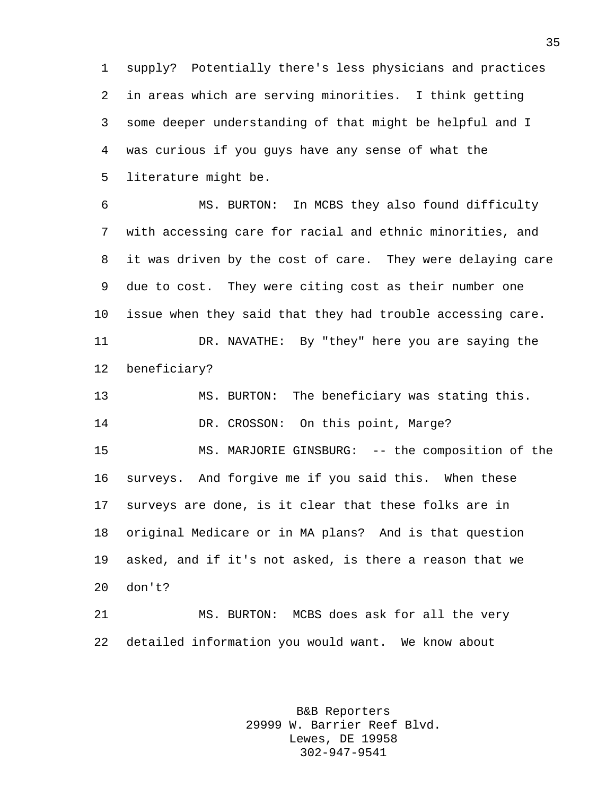supply? Potentially there's less physicians and practices in areas which are serving minorities. I think getting some deeper understanding of that might be helpful and I was curious if you guys have any sense of what the literature might be.

 MS. BURTON: In MCBS they also found difficulty with accessing care for racial and ethnic minorities, and it was driven by the cost of care. They were delaying care due to cost. They were citing cost as their number one issue when they said that they had trouble accessing care. DR. NAVATHE: By "they" here you are saying the beneficiary? MS. BURTON: The beneficiary was stating this. 14 DR. CROSSON: On this point, Marge? MS. MARJORIE GINSBURG: -- the composition of the surveys. And forgive me if you said this. When these surveys are done, is it clear that these folks are in original Medicare or in MA plans? And is that question asked, and if it's not asked, is there a reason that we don't? MS. BURTON: MCBS does ask for all the very

> B&B Reporters 29999 W. Barrier Reef Blvd. Lewes, DE 19958 302-947-9541

detailed information you would want. We know about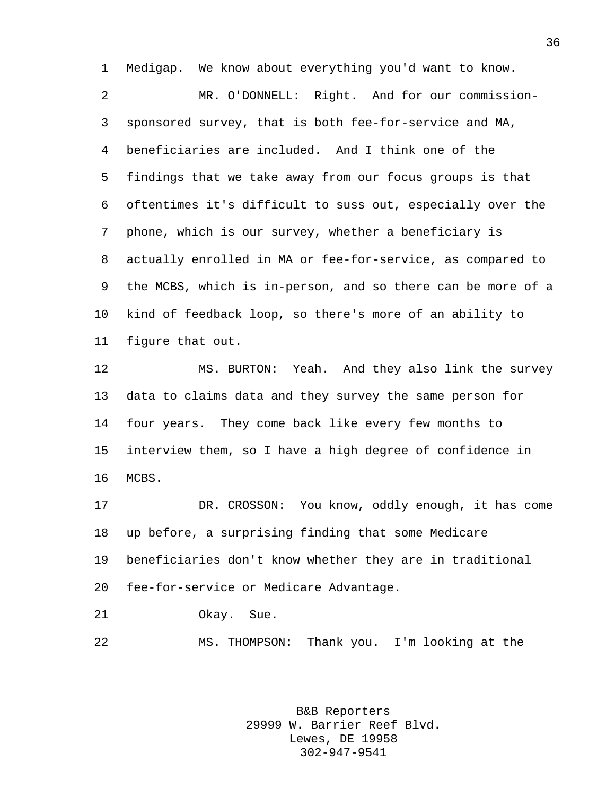Medigap. We know about everything you'd want to know.

 MR. O'DONNELL: Right. And for our commission- sponsored survey, that is both fee-for-service and MA, beneficiaries are included. And I think one of the findings that we take away from our focus groups is that oftentimes it's difficult to suss out, especially over the phone, which is our survey, whether a beneficiary is actually enrolled in MA or fee-for-service, as compared to the MCBS, which is in-person, and so there can be more of a kind of feedback loop, so there's more of an ability to figure that out.

 MS. BURTON: Yeah. And they also link the survey data to claims data and they survey the same person for four years. They come back like every few months to interview them, so I have a high degree of confidence in MCBS.

 DR. CROSSON: You know, oddly enough, it has come up before, a surprising finding that some Medicare beneficiaries don't know whether they are in traditional fee-for-service or Medicare Advantage.

Okay. Sue.

MS. THOMPSON: Thank you. I'm looking at the

B&B Reporters 29999 W. Barrier Reef Blvd. Lewes, DE 19958 302-947-9541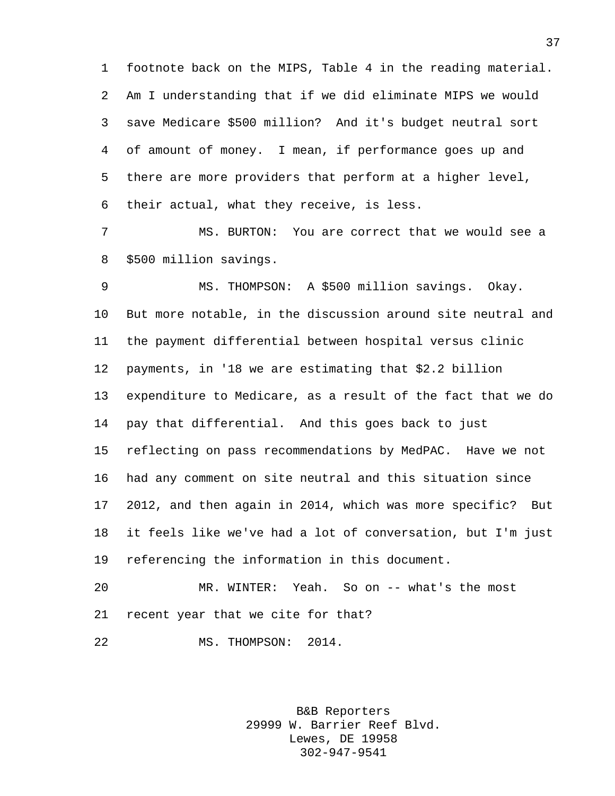footnote back on the MIPS, Table 4 in the reading material. Am I understanding that if we did eliminate MIPS we would save Medicare \$500 million? And it's budget neutral sort of amount of money. I mean, if performance goes up and there are more providers that perform at a higher level, their actual, what they receive, is less.

 MS. BURTON: You are correct that we would see a \$500 million savings.

 MS. THOMPSON: A \$500 million savings. Okay. But more notable, in the discussion around site neutral and the payment differential between hospital versus clinic payments, in '18 we are estimating that \$2.2 billion expenditure to Medicare, as a result of the fact that we do pay that differential. And this goes back to just reflecting on pass recommendations by MedPAC. Have we not had any comment on site neutral and this situation since 2012, and then again in 2014, which was more specific? But it feels like we've had a lot of conversation, but I'm just referencing the information in this document.

 MR. WINTER: Yeah. So on -- what's the most recent year that we cite for that?

MS. THOMPSON: 2014.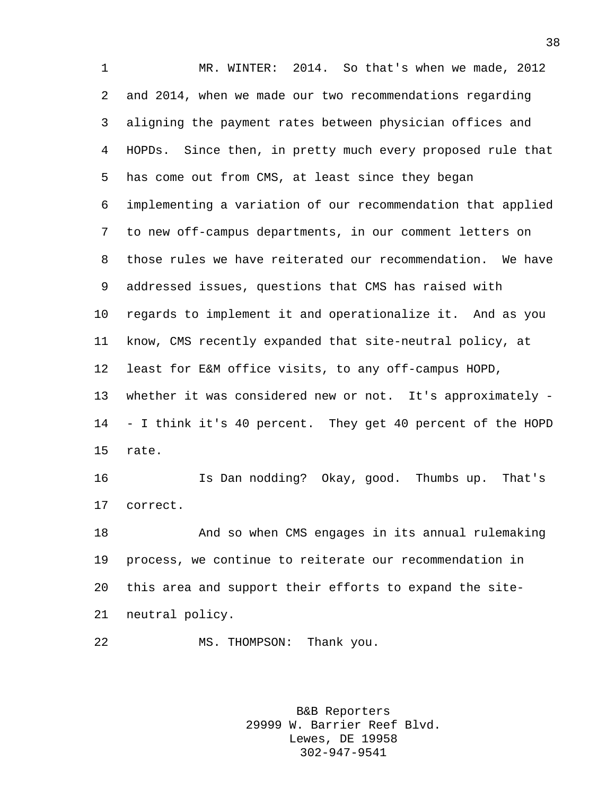MR. WINTER: 2014. So that's when we made, 2012 and 2014, when we made our two recommendations regarding aligning the payment rates between physician offices and HOPDs. Since then, in pretty much every proposed rule that has come out from CMS, at least since they began implementing a variation of our recommendation that applied to new off-campus departments, in our comment letters on those rules we have reiterated our recommendation. We have addressed issues, questions that CMS has raised with regards to implement it and operationalize it. And as you know, CMS recently expanded that site-neutral policy, at least for E&M office visits, to any off-campus HOPD, whether it was considered new or not. It's approximately - - I think it's 40 percent. They get 40 percent of the HOPD rate. Is Dan nodding? Okay, good. Thumbs up. That's correct. And so when CMS engages in its annual rulemaking process, we continue to reiterate our recommendation in this area and support their efforts to expand the site-neutral policy.

MS. THOMPSON: Thank you.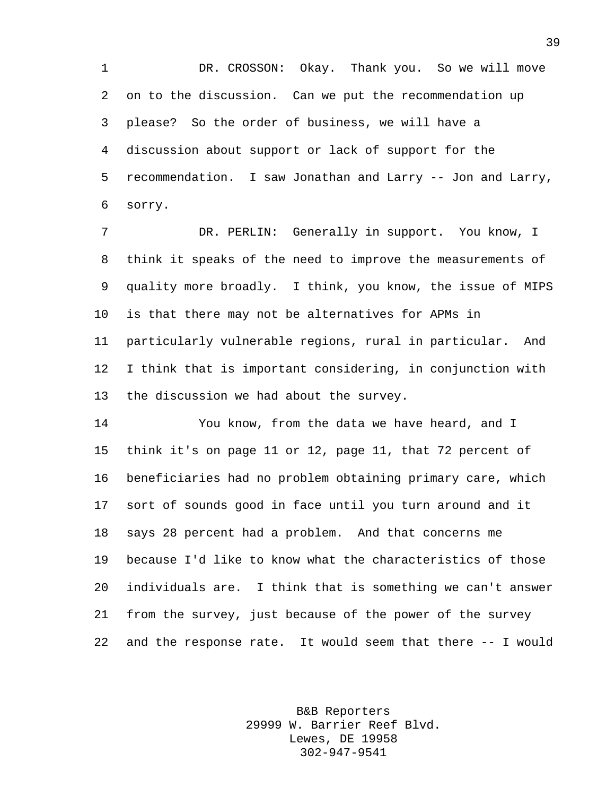DR. CROSSON: Okay. Thank you. So we will move on to the discussion. Can we put the recommendation up please? So the order of business, we will have a discussion about support or lack of support for the recommendation. I saw Jonathan and Larry -- Jon and Larry, sorry.

 DR. PERLIN: Generally in support. You know, I think it speaks of the need to improve the measurements of quality more broadly. I think, you know, the issue of MIPS is that there may not be alternatives for APMs in particularly vulnerable regions, rural in particular. And I think that is important considering, in conjunction with the discussion we had about the survey.

 You know, from the data we have heard, and I think it's on page 11 or 12, page 11, that 72 percent of beneficiaries had no problem obtaining primary care, which sort of sounds good in face until you turn around and it says 28 percent had a problem. And that concerns me because I'd like to know what the characteristics of those individuals are. I think that is something we can't answer from the survey, just because of the power of the survey and the response rate. It would seem that there -- I would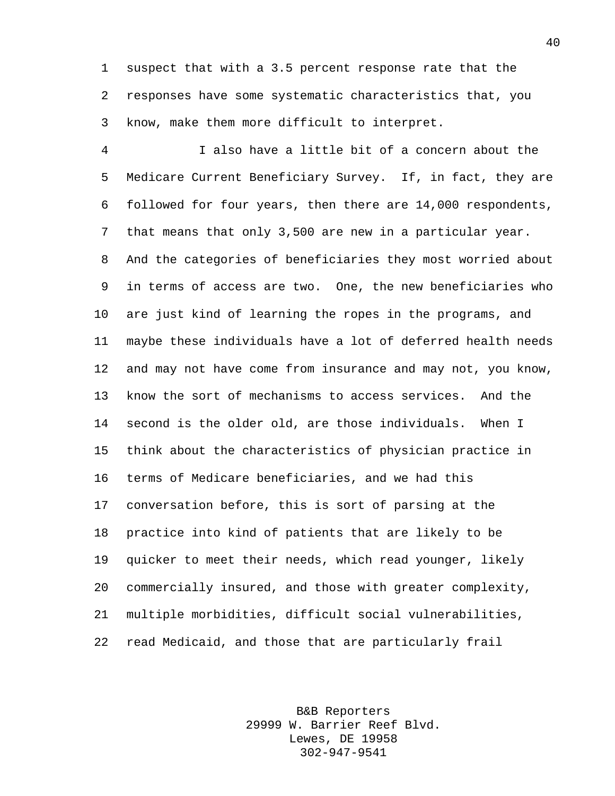suspect that with a 3.5 percent response rate that the responses have some systematic characteristics that, you know, make them more difficult to interpret.

 I also have a little bit of a concern about the Medicare Current Beneficiary Survey. If, in fact, they are followed for four years, then there are 14,000 respondents, that means that only 3,500 are new in a particular year. And the categories of beneficiaries they most worried about in terms of access are two. One, the new beneficiaries who are just kind of learning the ropes in the programs, and maybe these individuals have a lot of deferred health needs and may not have come from insurance and may not, you know, know the sort of mechanisms to access services. And the second is the older old, are those individuals. When I think about the characteristics of physician practice in terms of Medicare beneficiaries, and we had this conversation before, this is sort of parsing at the practice into kind of patients that are likely to be quicker to meet their needs, which read younger, likely commercially insured, and those with greater complexity, multiple morbidities, difficult social vulnerabilities, read Medicaid, and those that are particularly frail

> B&B Reporters 29999 W. Barrier Reef Blvd. Lewes, DE 19958 302-947-9541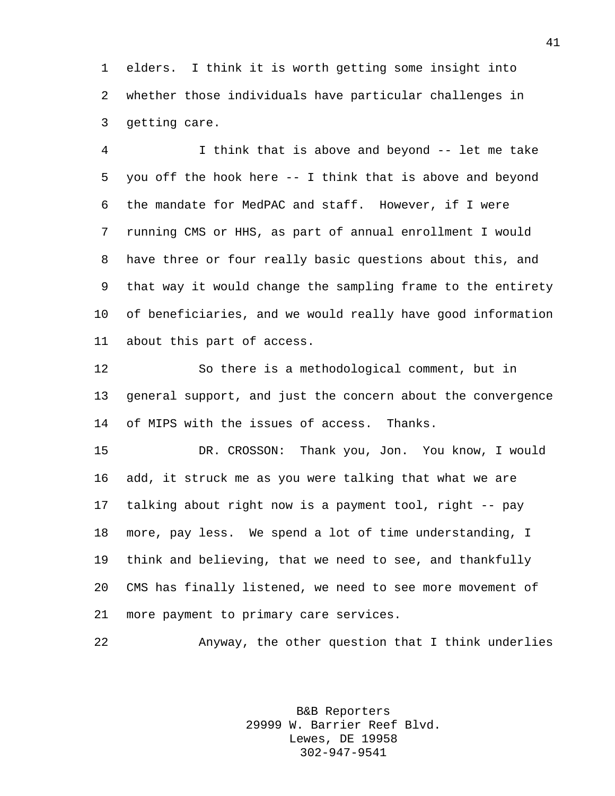elders. I think it is worth getting some insight into whether those individuals have particular challenges in getting care.

 I think that is above and beyond -- let me take you off the hook here -- I think that is above and beyond the mandate for MedPAC and staff. However, if I were running CMS or HHS, as part of annual enrollment I would have three or four really basic questions about this, and that way it would change the sampling frame to the entirety of beneficiaries, and we would really have good information about this part of access.

 So there is a methodological comment, but in general support, and just the concern about the convergence of MIPS with the issues of access. Thanks.

 DR. CROSSON: Thank you, Jon. You know, I would add, it struck me as you were talking that what we are talking about right now is a payment tool, right -- pay more, pay less. We spend a lot of time understanding, I think and believing, that we need to see, and thankfully CMS has finally listened, we need to see more movement of more payment to primary care services.

Anyway, the other question that I think underlies

B&B Reporters 29999 W. Barrier Reef Blvd. Lewes, DE 19958 302-947-9541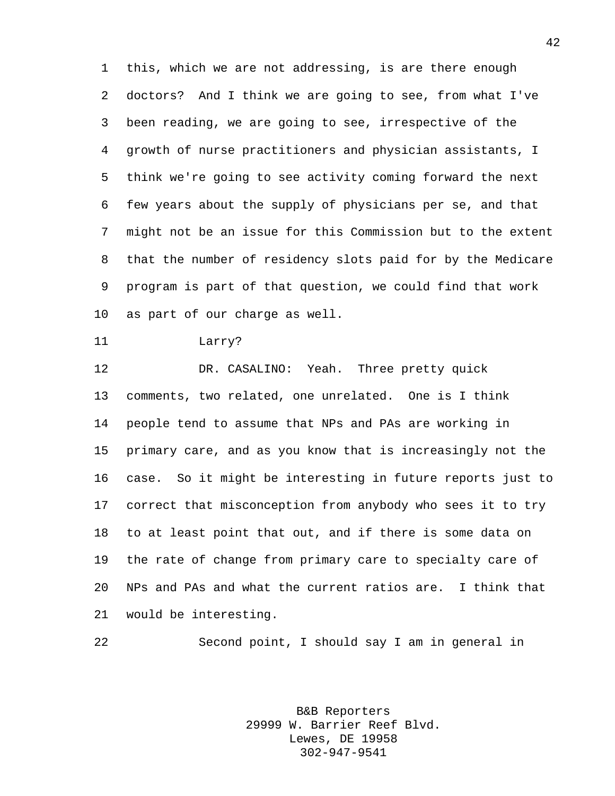this, which we are not addressing, is are there enough doctors? And I think we are going to see, from what I've been reading, we are going to see, irrespective of the growth of nurse practitioners and physician assistants, I think we're going to see activity coming forward the next few years about the supply of physicians per se, and that might not be an issue for this Commission but to the extent that the number of residency slots paid for by the Medicare program is part of that question, we could find that work as part of our charge as well.

```
11 Larry?
```
 DR. CASALINO: Yeah. Three pretty quick comments, two related, one unrelated. One is I think people tend to assume that NPs and PAs are working in primary care, and as you know that is increasingly not the case. So it might be interesting in future reports just to correct that misconception from anybody who sees it to try to at least point that out, and if there is some data on the rate of change from primary care to specialty care of NPs and PAs and what the current ratios are. I think that would be interesting.

Second point, I should say I am in general in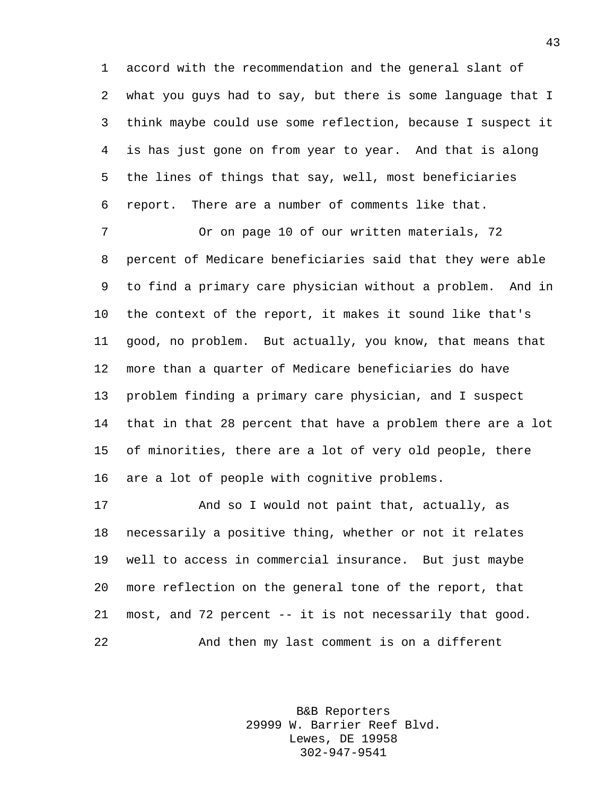accord with the recommendation and the general slant of what you guys had to say, but there is some language that I think maybe could use some reflection, because I suspect it is has just gone on from year to year. And that is along the lines of things that say, well, most beneficiaries report. There are a number of comments like that.

 Or on page 10 of our written materials, 72 percent of Medicare beneficiaries said that they were able to find a primary care physician without a problem. And in the context of the report, it makes it sound like that's good, no problem. But actually, you know, that means that more than a quarter of Medicare beneficiaries do have problem finding a primary care physician, and I suspect that in that 28 percent that have a problem there are a lot of minorities, there are a lot of very old people, there are a lot of people with cognitive problems.

 And so I would not paint that, actually, as necessarily a positive thing, whether or not it relates well to access in commercial insurance. But just maybe more reflection on the general tone of the report, that most, and 72 percent -- it is not necessarily that good. And then my last comment is on a different

> B&B Reporters 29999 W. Barrier Reef Blvd. Lewes, DE 19958 302-947-9541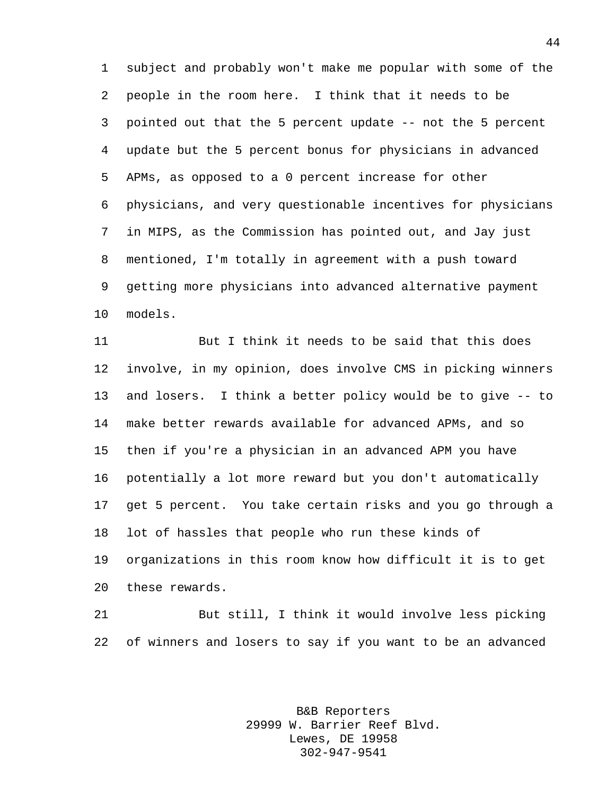subject and probably won't make me popular with some of the people in the room here. I think that it needs to be pointed out that the 5 percent update -- not the 5 percent update but the 5 percent bonus for physicians in advanced APMs, as opposed to a 0 percent increase for other physicians, and very questionable incentives for physicians in MIPS, as the Commission has pointed out, and Jay just mentioned, I'm totally in agreement with a push toward getting more physicians into advanced alternative payment models.

 But I think it needs to be said that this does involve, in my opinion, does involve CMS in picking winners and losers. I think a better policy would be to give -- to make better rewards available for advanced APMs, and so then if you're a physician in an advanced APM you have potentially a lot more reward but you don't automatically get 5 percent. You take certain risks and you go through a lot of hassles that people who run these kinds of organizations in this room know how difficult it is to get these rewards.

 But still, I think it would involve less picking of winners and losers to say if you want to be an advanced

> B&B Reporters 29999 W. Barrier Reef Blvd. Lewes, DE 19958 302-947-9541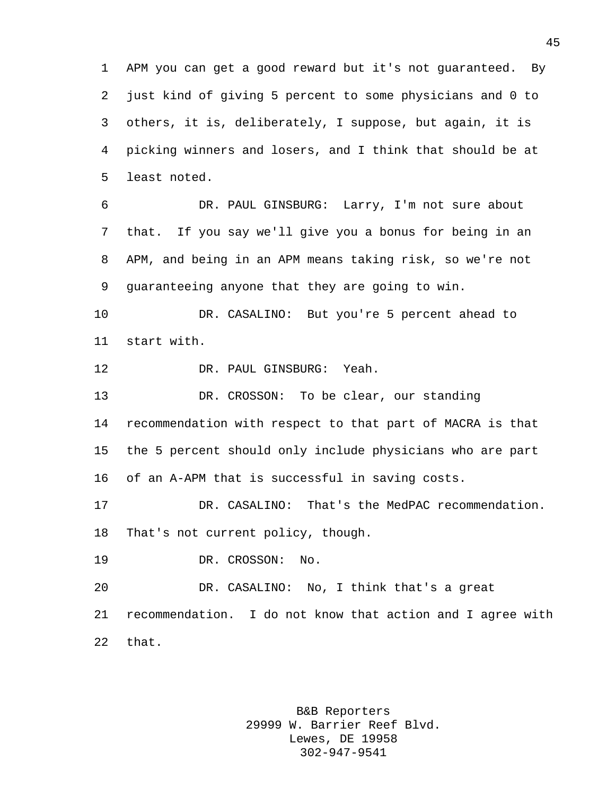APM you can get a good reward but it's not guaranteed. By just kind of giving 5 percent to some physicians and 0 to others, it is, deliberately, I suppose, but again, it is picking winners and losers, and I think that should be at least noted.

 DR. PAUL GINSBURG: Larry, I'm not sure about that. If you say we'll give you a bonus for being in an APM, and being in an APM means taking risk, so we're not guaranteeing anyone that they are going to win.

 DR. CASALINO: But you're 5 percent ahead to start with.

DR. PAUL GINSBURG: Yeah.

 DR. CROSSON: To be clear, our standing recommendation with respect to that part of MACRA is that the 5 percent should only include physicians who are part of an A-APM that is successful in saving costs.

 DR. CASALINO: That's the MedPAC recommendation. That's not current policy, though.

DR. CROSSON: No.

 DR. CASALINO: No, I think that's a great recommendation. I do not know that action and I agree with that.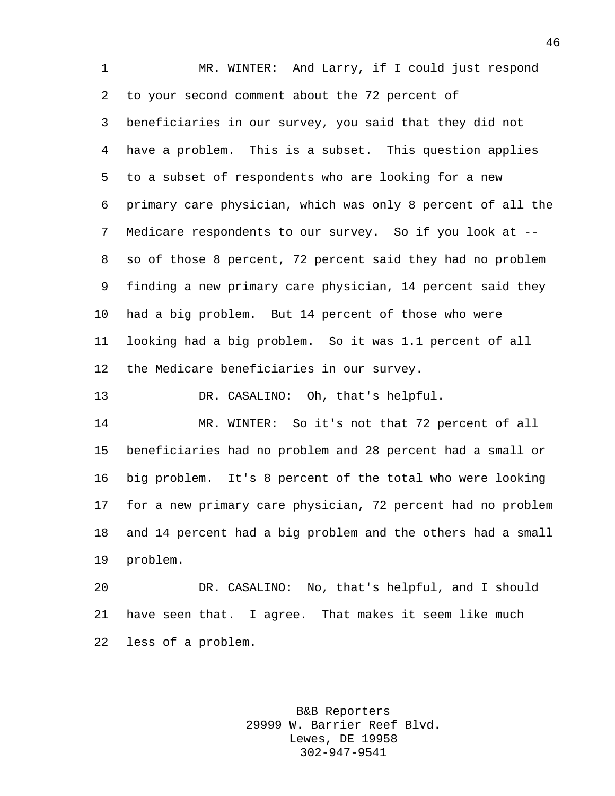MR. WINTER: And Larry, if I could just respond to your second comment about the 72 percent of beneficiaries in our survey, you said that they did not have a problem. This is a subset. This question applies to a subset of respondents who are looking for a new primary care physician, which was only 8 percent of all the Medicare respondents to our survey. So if you look at -- so of those 8 percent, 72 percent said they had no problem finding a new primary care physician, 14 percent said they had a big problem. But 14 percent of those who were looking had a big problem. So it was 1.1 percent of all the Medicare beneficiaries in our survey.

DR. CASALINO: Oh, that's helpful.

 MR. WINTER: So it's not that 72 percent of all beneficiaries had no problem and 28 percent had a small or big problem. It's 8 percent of the total who were looking for a new primary care physician, 72 percent had no problem and 14 percent had a big problem and the others had a small problem.

 DR. CASALINO: No, that's helpful, and I should have seen that. I agree. That makes it seem like much less of a problem.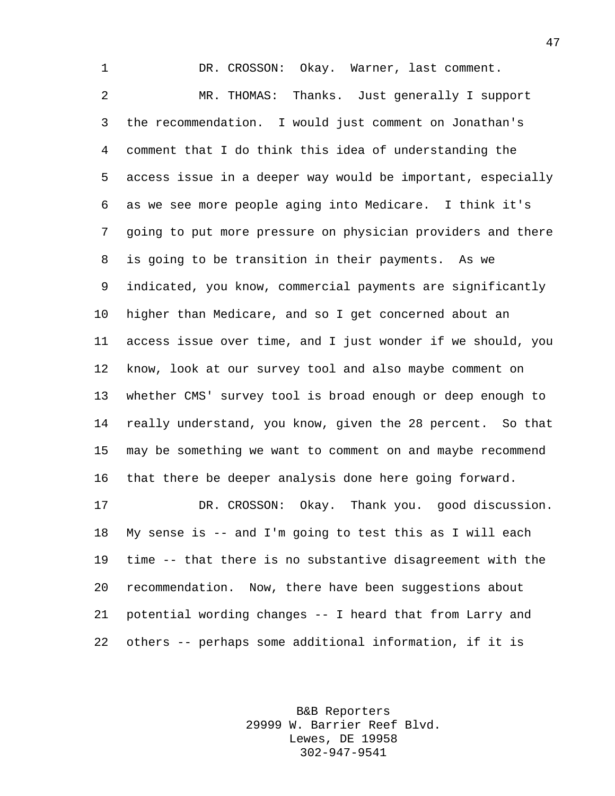DR. CROSSON: Okay. Warner, last comment. MR. THOMAS: Thanks. Just generally I support the recommendation. I would just comment on Jonathan's comment that I do think this idea of understanding the access issue in a deeper way would be important, especially as we see more people aging into Medicare. I think it's going to put more pressure on physician providers and there is going to be transition in their payments. As we indicated, you know, commercial payments are significantly higher than Medicare, and so I get concerned about an access issue over time, and I just wonder if we should, you know, look at our survey tool and also maybe comment on whether CMS' survey tool is broad enough or deep enough to really understand, you know, given the 28 percent. So that may be something we want to comment on and maybe recommend that there be deeper analysis done here going forward. DR. CROSSON: Okay. Thank you. good discussion. My sense is -- and I'm going to test this as I will each time -- that there is no substantive disagreement with the recommendation. Now, there have been suggestions about potential wording changes -- I heard that from Larry and others -- perhaps some additional information, if it is

> B&B Reporters 29999 W. Barrier Reef Blvd. Lewes, DE 19958 302-947-9541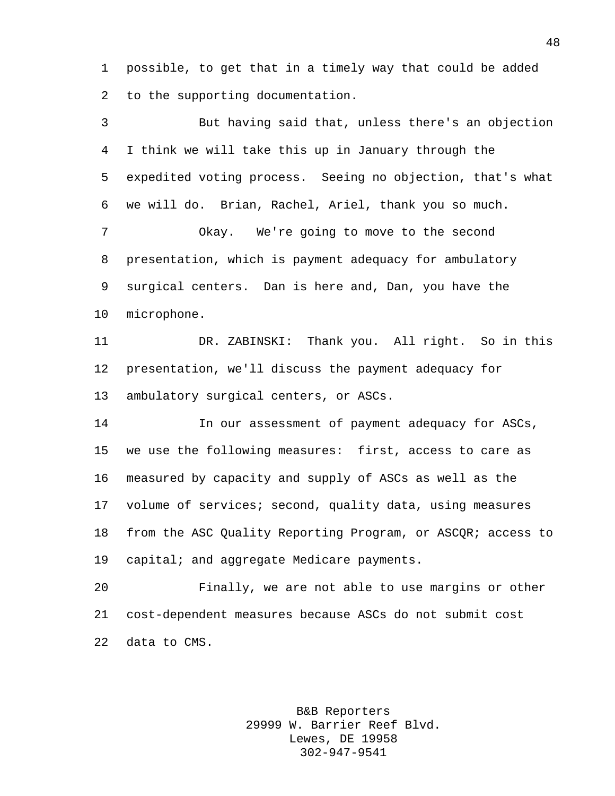possible, to get that in a timely way that could be added to the supporting documentation.

 But having said that, unless there's an objection I think we will take this up in January through the expedited voting process. Seeing no objection, that's what we will do. Brian, Rachel, Ariel, thank you so much. Okay. We're going to move to the second presentation, which is payment adequacy for ambulatory surgical centers. Dan is here and, Dan, you have the microphone. DR. ZABINSKI: Thank you. All right. So in this presentation, we'll discuss the payment adequacy for ambulatory surgical centers, or ASCs. In our assessment of payment adequacy for ASCs, we use the following measures: first, access to care as measured by capacity and supply of ASCs as well as the volume of services; second, quality data, using measures from the ASC Quality Reporting Program, or ASCQR; access to capital; and aggregate Medicare payments. Finally, we are not able to use margins or other cost-dependent measures because ASCs do not submit cost

data to CMS.

B&B Reporters 29999 W. Barrier Reef Blvd. Lewes, DE 19958 302-947-9541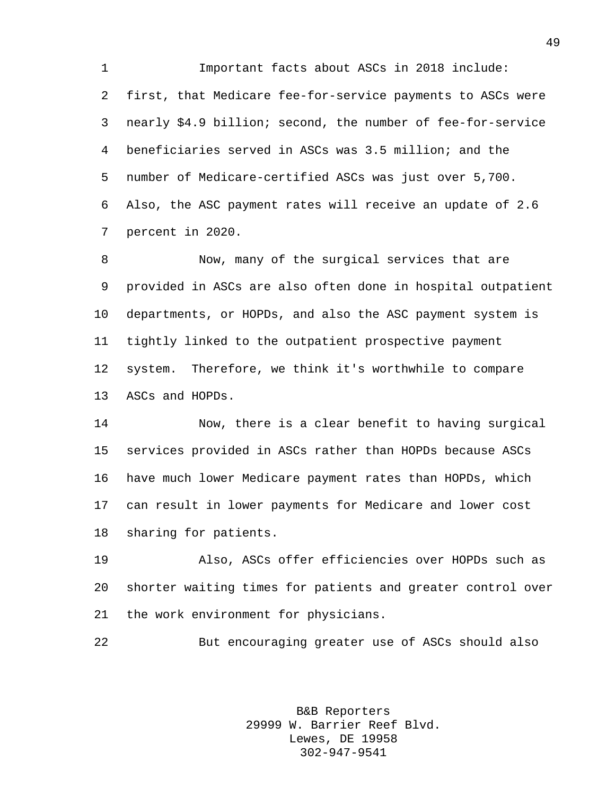Important facts about ASCs in 2018 include: first, that Medicare fee-for-service payments to ASCs were nearly \$4.9 billion; second, the number of fee-for-service beneficiaries served in ASCs was 3.5 million; and the number of Medicare-certified ASCs was just over 5,700. Also, the ASC payment rates will receive an update of 2.6 percent in 2020.

 Now, many of the surgical services that are provided in ASCs are also often done in hospital outpatient departments, or HOPDs, and also the ASC payment system is tightly linked to the outpatient prospective payment system. Therefore, we think it's worthwhile to compare ASCs and HOPDs.

 Now, there is a clear benefit to having surgical services provided in ASCs rather than HOPDs because ASCs have much lower Medicare payment rates than HOPDs, which can result in lower payments for Medicare and lower cost sharing for patients.

 Also, ASCs offer efficiencies over HOPDs such as shorter waiting times for patients and greater control over the work environment for physicians.

But encouraging greater use of ASCs should also

B&B Reporters 29999 W. Barrier Reef Blvd. Lewes, DE 19958 302-947-9541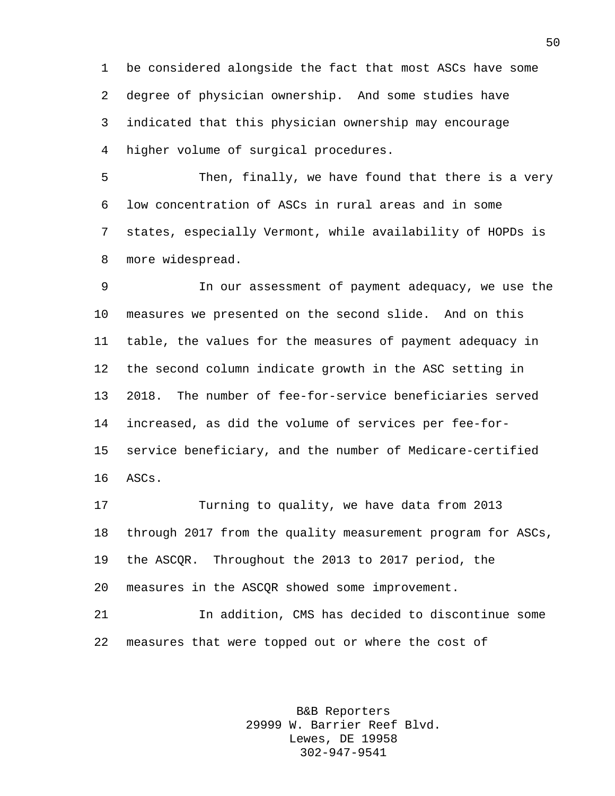be considered alongside the fact that most ASCs have some degree of physician ownership. And some studies have indicated that this physician ownership may encourage higher volume of surgical procedures.

5 Then, finally, we have found that there is a very low concentration of ASCs in rural areas and in some states, especially Vermont, while availability of HOPDs is more widespread.

 In our assessment of payment adequacy, we use the measures we presented on the second slide. And on this table, the values for the measures of payment adequacy in the second column indicate growth in the ASC setting in 2018. The number of fee-for-service beneficiaries served increased, as did the volume of services per fee-for- service beneficiary, and the number of Medicare-certified ASCs.

 Turning to quality, we have data from 2013 through 2017 from the quality measurement program for ASCs, the ASCQR. Throughout the 2013 to 2017 period, the measures in the ASCQR showed some improvement.

 In addition, CMS has decided to discontinue some measures that were topped out or where the cost of

> B&B Reporters 29999 W. Barrier Reef Blvd. Lewes, DE 19958 302-947-9541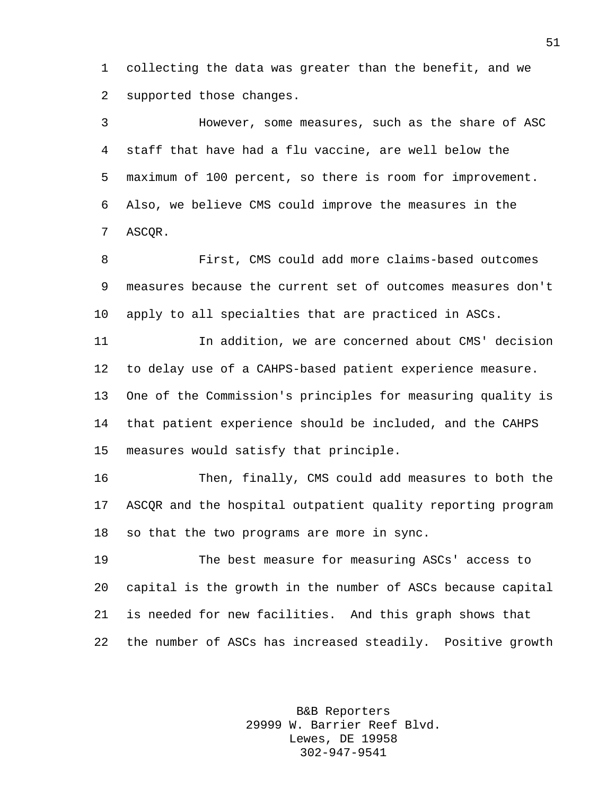collecting the data was greater than the benefit, and we supported those changes.

 However, some measures, such as the share of ASC staff that have had a flu vaccine, are well below the maximum of 100 percent, so there is room for improvement. Also, we believe CMS could improve the measures in the ASCQR.

 First, CMS could add more claims-based outcomes measures because the current set of outcomes measures don't apply to all specialties that are practiced in ASCs.

 In addition, we are concerned about CMS' decision to delay use of a CAHPS-based patient experience measure. One of the Commission's principles for measuring quality is that patient experience should be included, and the CAHPS measures would satisfy that principle.

 Then, finally, CMS could add measures to both the ASCQR and the hospital outpatient quality reporting program so that the two programs are more in sync.

 The best measure for measuring ASCs' access to capital is the growth in the number of ASCs because capital is needed for new facilities. And this graph shows that the number of ASCs has increased steadily. Positive growth

> B&B Reporters 29999 W. Barrier Reef Blvd. Lewes, DE 19958 302-947-9541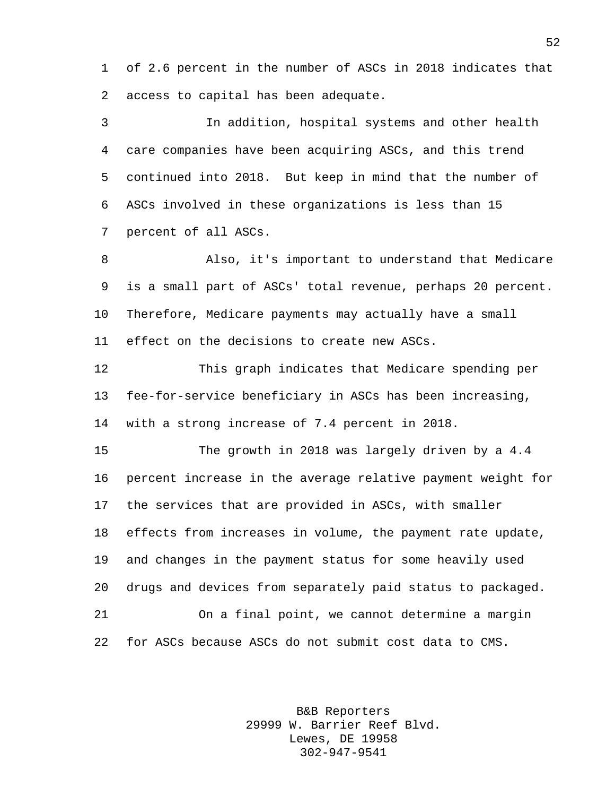of 2.6 percent in the number of ASCs in 2018 indicates that access to capital has been adequate.

 In addition, hospital systems and other health care companies have been acquiring ASCs, and this trend continued into 2018. But keep in mind that the number of ASCs involved in these organizations is less than 15 percent of all ASCs. Also, it's important to understand that Medicare is a small part of ASCs' total revenue, perhaps 20 percent.

Therefore, Medicare payments may actually have a small

effect on the decisions to create new ASCs.

 This graph indicates that Medicare spending per fee-for-service beneficiary in ASCs has been increasing, with a strong increase of 7.4 percent in 2018.

 The growth in 2018 was largely driven by a 4.4 percent increase in the average relative payment weight for the services that are provided in ASCs, with smaller effects from increases in volume, the payment rate update, and changes in the payment status for some heavily used drugs and devices from separately paid status to packaged. On a final point, we cannot determine a margin

for ASCs because ASCs do not submit cost data to CMS.

B&B Reporters 29999 W. Barrier Reef Blvd. Lewes, DE 19958 302-947-9541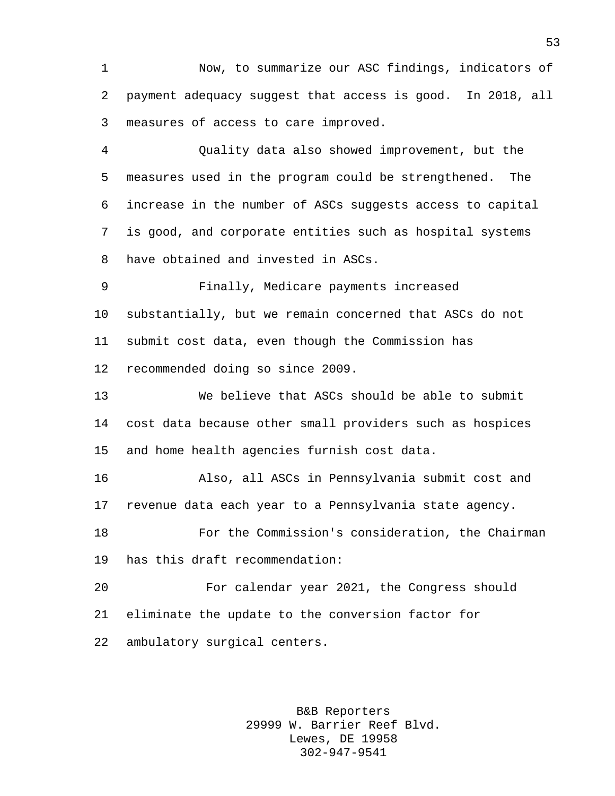Now, to summarize our ASC findings, indicators of payment adequacy suggest that access is good. In 2018, all measures of access to care improved.

 Quality data also showed improvement, but the measures used in the program could be strengthened. The increase in the number of ASCs suggests access to capital is good, and corporate entities such as hospital systems have obtained and invested in ASCs.

 Finally, Medicare payments increased substantially, but we remain concerned that ASCs do not submit cost data, even though the Commission has recommended doing so since 2009.

 We believe that ASCs should be able to submit cost data because other small providers such as hospices and home health agencies furnish cost data.

 Also, all ASCs in Pennsylvania submit cost and revenue data each year to a Pennsylvania state agency.

 For the Commission's consideration, the Chairman has this draft recommendation:

 For calendar year 2021, the Congress should eliminate the update to the conversion factor for ambulatory surgical centers.

> B&B Reporters 29999 W. Barrier Reef Blvd. Lewes, DE 19958 302-947-9541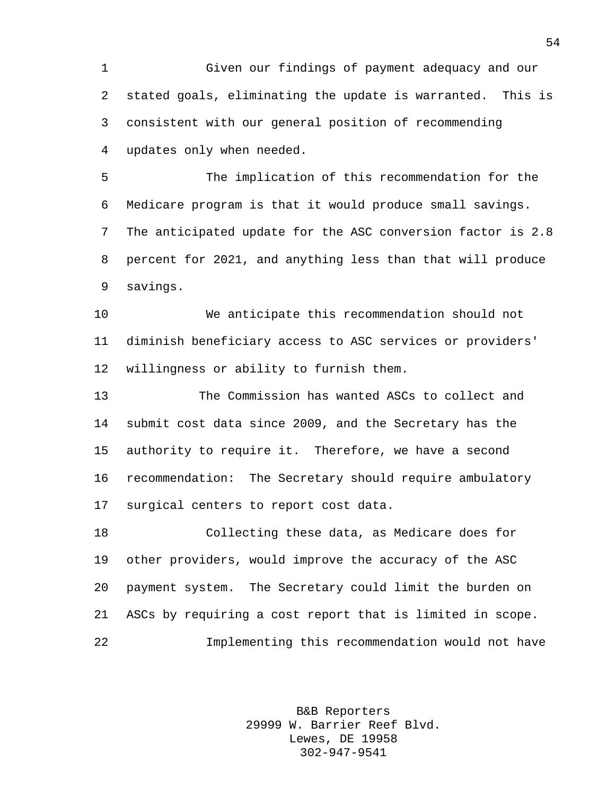Given our findings of payment adequacy and our stated goals, eliminating the update is warranted. This is consistent with our general position of recommending updates only when needed.

 The implication of this recommendation for the Medicare program is that it would produce small savings. The anticipated update for the ASC conversion factor is 2.8 percent for 2021, and anything less than that will produce savings.

 We anticipate this recommendation should not diminish beneficiary access to ASC services or providers' willingness or ability to furnish them.

 The Commission has wanted ASCs to collect and submit cost data since 2009, and the Secretary has the authority to require it. Therefore, we have a second recommendation: The Secretary should require ambulatory surgical centers to report cost data.

 Collecting these data, as Medicare does for other providers, would improve the accuracy of the ASC payment system. The Secretary could limit the burden on ASCs by requiring a cost report that is limited in scope. Implementing this recommendation would not have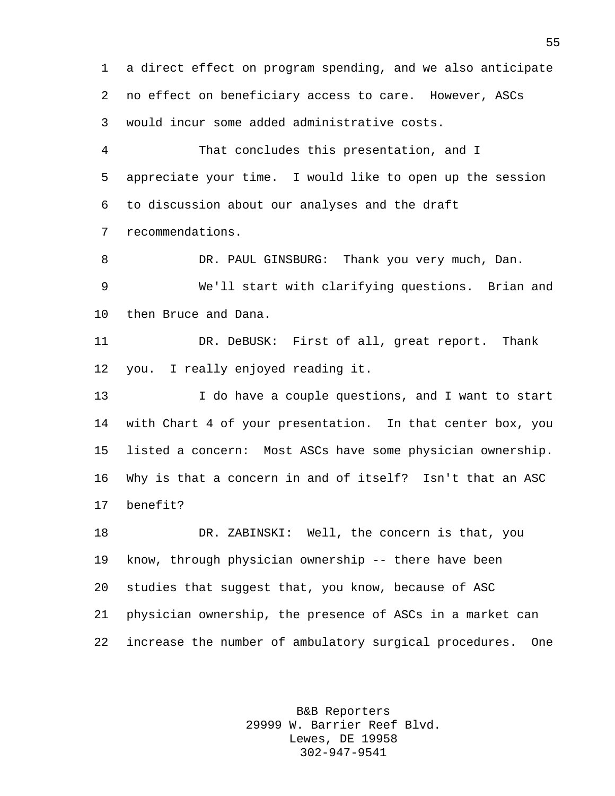a direct effect on program spending, and we also anticipate no effect on beneficiary access to care. However, ASCs would incur some added administrative costs.

 That concludes this presentation, and I appreciate your time. I would like to open up the session to discussion about our analyses and the draft recommendations.

8 DR. PAUL GINSBURG: Thank you very much, Dan. We'll start with clarifying questions. Brian and then Bruce and Dana.

 DR. DeBUSK: First of all, great report. Thank you. I really enjoyed reading it.

 I do have a couple questions, and I want to start with Chart 4 of your presentation. In that center box, you listed a concern: Most ASCs have some physician ownership. Why is that a concern in and of itself? Isn't that an ASC benefit?

 DR. ZABINSKI: Well, the concern is that, you know, through physician ownership -- there have been studies that suggest that, you know, because of ASC physician ownership, the presence of ASCs in a market can increase the number of ambulatory surgical procedures. One

> B&B Reporters 29999 W. Barrier Reef Blvd. Lewes, DE 19958 302-947-9541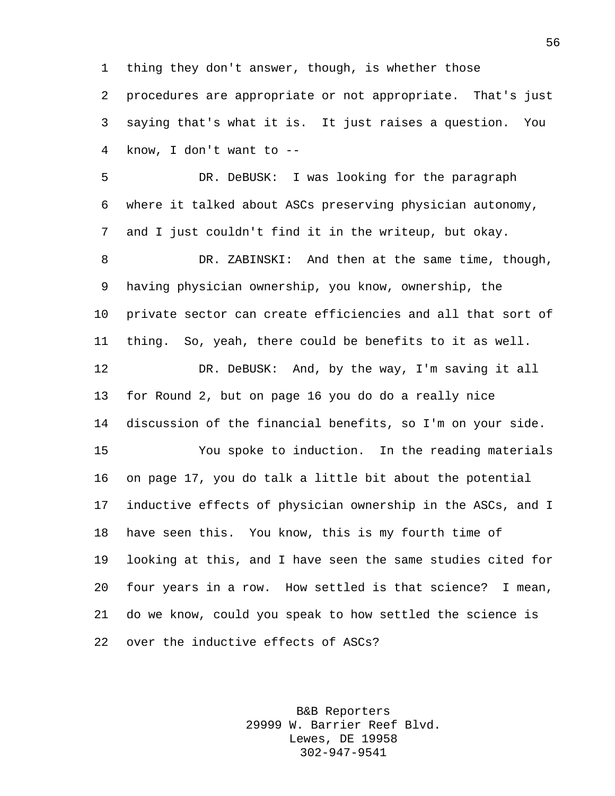thing they don't answer, though, is whether those

 procedures are appropriate or not appropriate. That's just saying that's what it is. It just raises a question. You know, I don't want to --

 DR. DeBUSK: I was looking for the paragraph where it talked about ASCs preserving physician autonomy, and I just couldn't find it in the writeup, but okay.

 DR. ZABINSKI: And then at the same time, though, having physician ownership, you know, ownership, the private sector can create efficiencies and all that sort of thing. So, yeah, there could be benefits to it as well. DR. DeBUSK: And, by the way, I'm saving it all for Round 2, but on page 16 you do do a really nice discussion of the financial benefits, so I'm on your side. You spoke to induction. In the reading materials on page 17, you do talk a little bit about the potential inductive effects of physician ownership in the ASCs, and I have seen this. You know, this is my fourth time of looking at this, and I have seen the same studies cited for four years in a row. How settled is that science? I mean, do we know, could you speak to how settled the science is

over the inductive effects of ASCs?

B&B Reporters 29999 W. Barrier Reef Blvd. Lewes, DE 19958 302-947-9541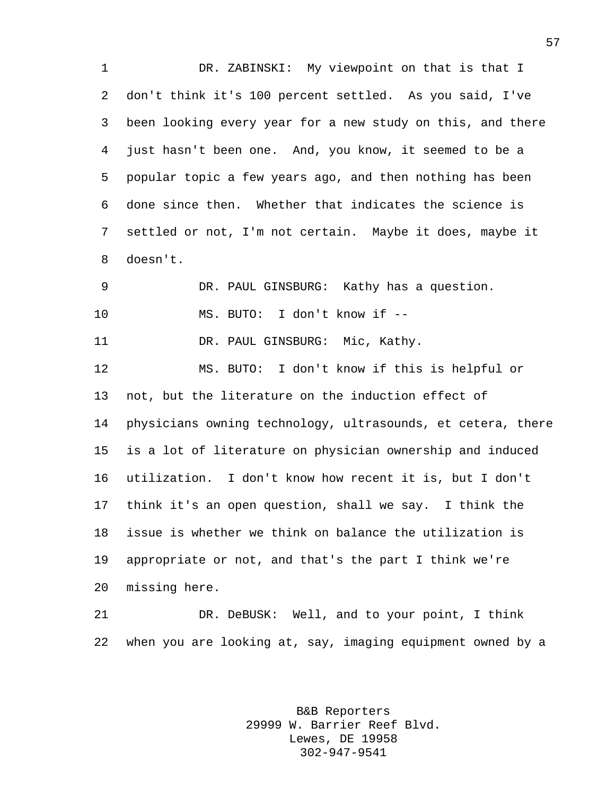DR. ZABINSKI: My viewpoint on that is that I don't think it's 100 percent settled. As you said, I've been looking every year for a new study on this, and there just hasn't been one. And, you know, it seemed to be a popular topic a few years ago, and then nothing has been done since then. Whether that indicates the science is settled or not, I'm not certain. Maybe it does, maybe it doesn't.

 DR. PAUL GINSBURG: Kathy has a question. MS. BUTO: I don't know if --

11 DR. PAUL GINSBURG: Mic, Kathy.

 MS. BUTO: I don't know if this is helpful or not, but the literature on the induction effect of physicians owning technology, ultrasounds, et cetera, there is a lot of literature on physician ownership and induced utilization. I don't know how recent it is, but I don't think it's an open question, shall we say. I think the issue is whether we think on balance the utilization is appropriate or not, and that's the part I think we're missing here.

 DR. DeBUSK: Well, and to your point, I think when you are looking at, say, imaging equipment owned by a

> B&B Reporters 29999 W. Barrier Reef Blvd. Lewes, DE 19958 302-947-9541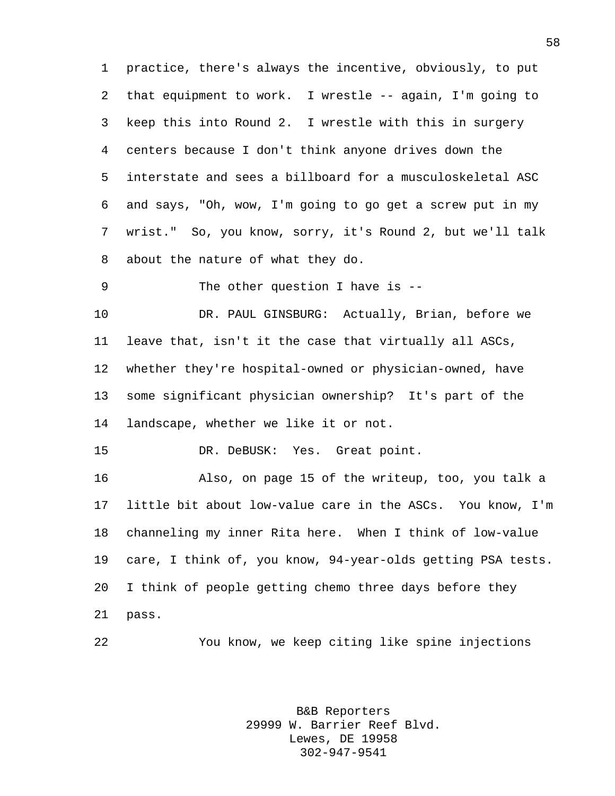practice, there's always the incentive, obviously, to put that equipment to work. I wrestle -- again, I'm going to keep this into Round 2. I wrestle with this in surgery centers because I don't think anyone drives down the interstate and sees a billboard for a musculoskeletal ASC and says, "Oh, wow, I'm going to go get a screw put in my wrist." So, you know, sorry, it's Round 2, but we'll talk about the nature of what they do.

9 The other question I have is --

 DR. PAUL GINSBURG: Actually, Brian, before we leave that, isn't it the case that virtually all ASCs, whether they're hospital-owned or physician-owned, have some significant physician ownership? It's part of the landscape, whether we like it or not.

DR. DeBUSK: Yes. Great point.

 Also, on page 15 of the writeup, too, you talk a little bit about low-value care in the ASCs. You know, I'm channeling my inner Rita here. When I think of low-value care, I think of, you know, 94-year-olds getting PSA tests. I think of people getting chemo three days before they pass.

You know, we keep citing like spine injections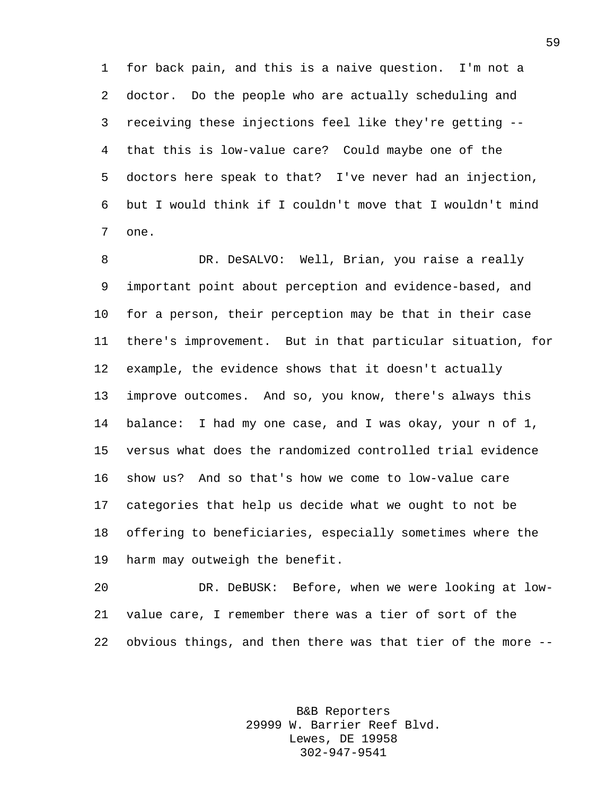for back pain, and this is a naive question. I'm not a doctor. Do the people who are actually scheduling and receiving these injections feel like they're getting -- that this is low-value care? Could maybe one of the doctors here speak to that? I've never had an injection, but I would think if I couldn't move that I wouldn't mind one.

 DR. DeSALVO: Well, Brian, you raise a really important point about perception and evidence-based, and for a person, their perception may be that in their case there's improvement. But in that particular situation, for example, the evidence shows that it doesn't actually improve outcomes. And so, you know, there's always this balance: I had my one case, and I was okay, your n of 1, versus what does the randomized controlled trial evidence show us? And so that's how we come to low-value care categories that help us decide what we ought to not be offering to beneficiaries, especially sometimes where the harm may outweigh the benefit.

 DR. DeBUSK: Before, when we were looking at low- value care, I remember there was a tier of sort of the obvious things, and then there was that tier of the more --

> B&B Reporters 29999 W. Barrier Reef Blvd. Lewes, DE 19958 302-947-9541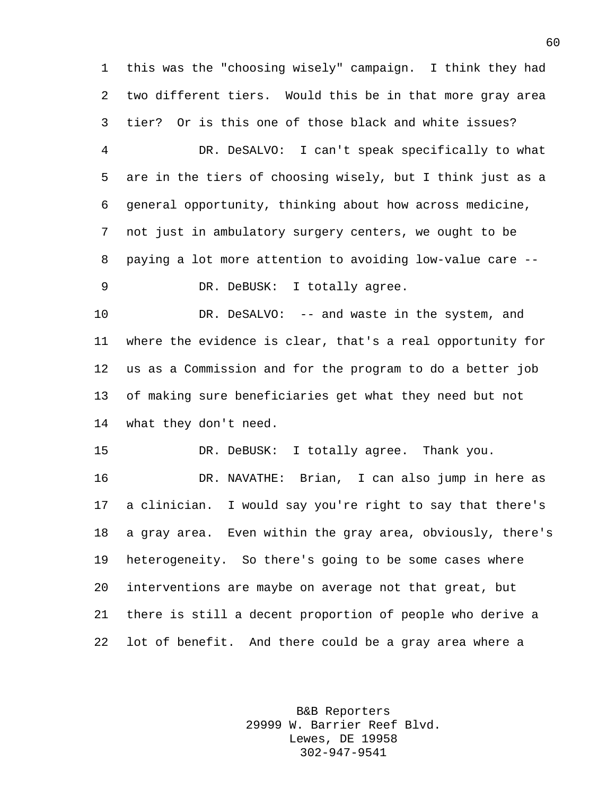this was the "choosing wisely" campaign. I think they had two different tiers. Would this be in that more gray area tier? Or is this one of those black and white issues?

 DR. DeSALVO: I can't speak specifically to what are in the tiers of choosing wisely, but I think just as a general opportunity, thinking about how across medicine, not just in ambulatory surgery centers, we ought to be paying a lot more attention to avoiding low-value care -- DR. DeBUSK: I totally agree.

10 DR. DeSALVO: -- and waste in the system, and where the evidence is clear, that's a real opportunity for us as a Commission and for the program to do a better job of making sure beneficiaries get what they need but not what they don't need.

DR. DeBUSK: I totally agree. Thank you.

 DR. NAVATHE: Brian, I can also jump in here as a clinician. I would say you're right to say that there's a gray area. Even within the gray area, obviously, there's heterogeneity. So there's going to be some cases where interventions are maybe on average not that great, but there is still a decent proportion of people who derive a lot of benefit. And there could be a gray area where a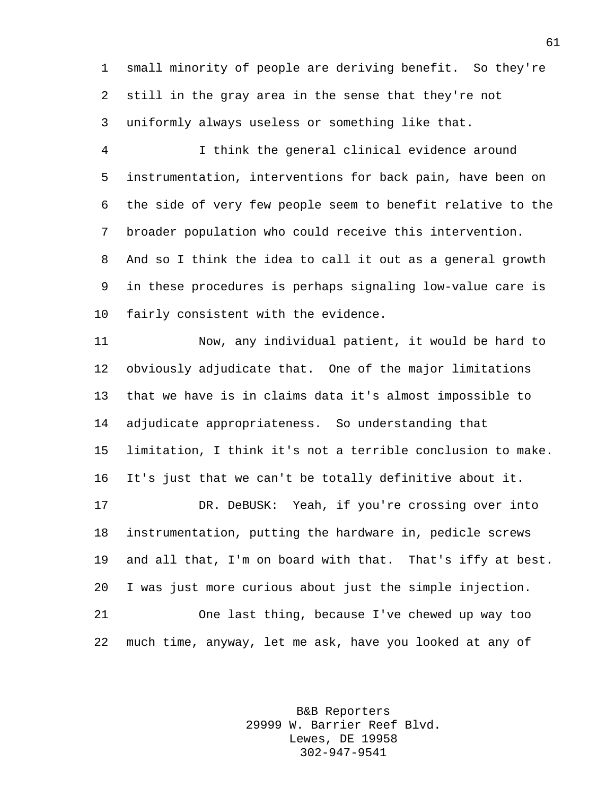small minority of people are deriving benefit. So they're still in the gray area in the sense that they're not uniformly always useless or something like that.

 I think the general clinical evidence around instrumentation, interventions for back pain, have been on the side of very few people seem to benefit relative to the broader population who could receive this intervention. And so I think the idea to call it out as a general growth in these procedures is perhaps signaling low-value care is fairly consistent with the evidence.

 Now, any individual patient, it would be hard to obviously adjudicate that. One of the major limitations that we have is in claims data it's almost impossible to adjudicate appropriateness. So understanding that limitation, I think it's not a terrible conclusion to make. It's just that we can't be totally definitive about it.

 DR. DeBUSK: Yeah, if you're crossing over into instrumentation, putting the hardware in, pedicle screws and all that, I'm on board with that. That's iffy at best. I was just more curious about just the simple injection. One last thing, because I've chewed up way too much time, anyway, let me ask, have you looked at any of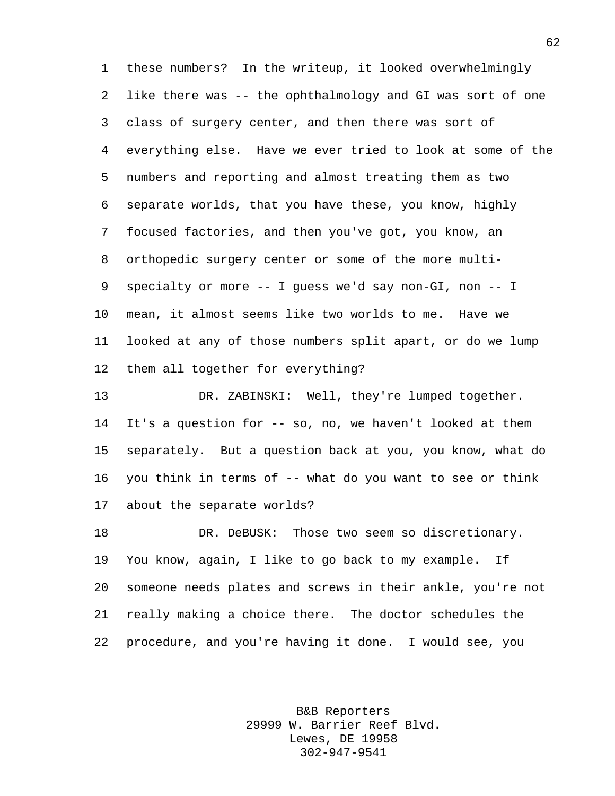these numbers? In the writeup, it looked overwhelmingly like there was -- the ophthalmology and GI was sort of one class of surgery center, and then there was sort of everything else. Have we ever tried to look at some of the numbers and reporting and almost treating them as two separate worlds, that you have these, you know, highly focused factories, and then you've got, you know, an orthopedic surgery center or some of the more multi- specialty or more -- I guess we'd say non-GI, non -- I mean, it almost seems like two worlds to me. Have we looked at any of those numbers split apart, or do we lump them all together for everything?

 DR. ZABINSKI: Well, they're lumped together. It's a question for -- so, no, we haven't looked at them separately. But a question back at you, you know, what do you think in terms of -- what do you want to see or think about the separate worlds?

 DR. DeBUSK: Those two seem so discretionary. You know, again, I like to go back to my example. If someone needs plates and screws in their ankle, you're not really making a choice there. The doctor schedules the procedure, and you're having it done. I would see, you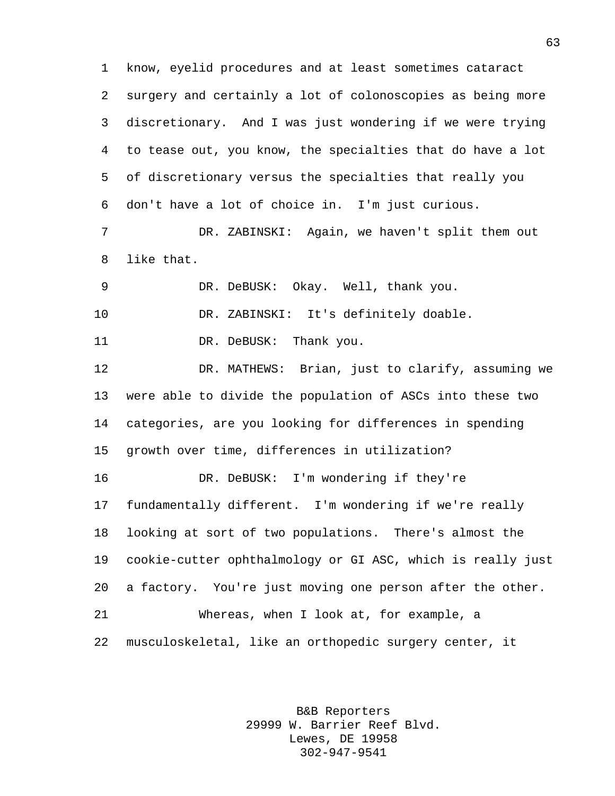know, eyelid procedures and at least sometimes cataract surgery and certainly a lot of colonoscopies as being more discretionary. And I was just wondering if we were trying to tease out, you know, the specialties that do have a lot of discretionary versus the specialties that really you don't have a lot of choice in. I'm just curious. DR. ZABINSKI: Again, we haven't split them out like that. DR. DeBUSK: Okay. Well, thank you. DR. ZABINSKI: It's definitely doable. 11 DR. DeBUSK: Thank you. DR. MATHEWS: Brian, just to clarify, assuming we were able to divide the population of ASCs into these two categories, are you looking for differences in spending growth over time, differences in utilization? DR. DeBUSK: I'm wondering if they're fundamentally different. I'm wondering if we're really looking at sort of two populations. There's almost the cookie-cutter ophthalmology or GI ASC, which is really just a factory. You're just moving one person after the other. Whereas, when I look at, for example, a musculoskeletal, like an orthopedic surgery center, it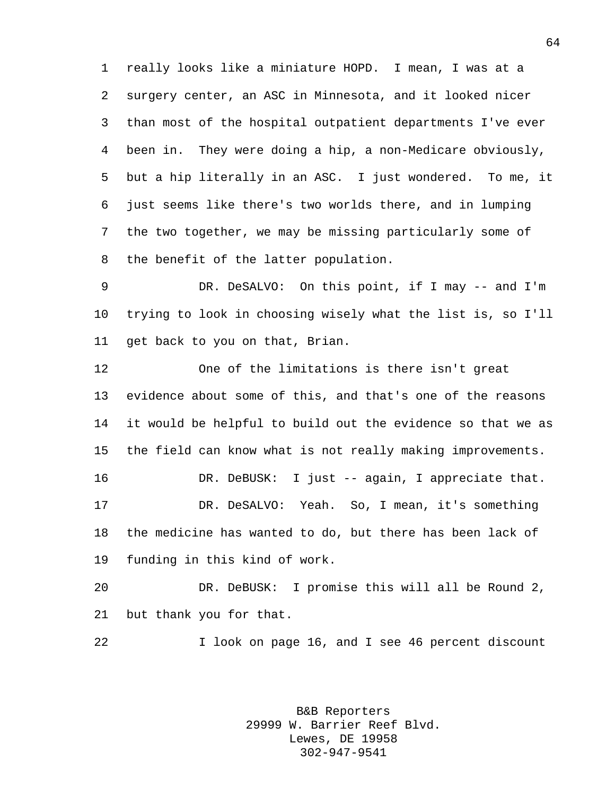really looks like a miniature HOPD. I mean, I was at a surgery center, an ASC in Minnesota, and it looked nicer than most of the hospital outpatient departments I've ever been in. They were doing a hip, a non-Medicare obviously, but a hip literally in an ASC. I just wondered. To me, it just seems like there's two worlds there, and in lumping the two together, we may be missing particularly some of the benefit of the latter population.

 DR. DeSALVO: On this point, if I may -- and I'm trying to look in choosing wisely what the list is, so I'll get back to you on that, Brian.

 One of the limitations is there isn't great evidence about some of this, and that's one of the reasons it would be helpful to build out the evidence so that we as the field can know what is not really making improvements. DR. DeBUSK: I just -- again, I appreciate that. DR. DeSALVO: Yeah. So, I mean, it's something the medicine has wanted to do, but there has been lack of funding in this kind of work.

 DR. DeBUSK: I promise this will all be Round 2, but thank you for that.

I look on page 16, and I see 46 percent discount

B&B Reporters 29999 W. Barrier Reef Blvd. Lewes, DE 19958 302-947-9541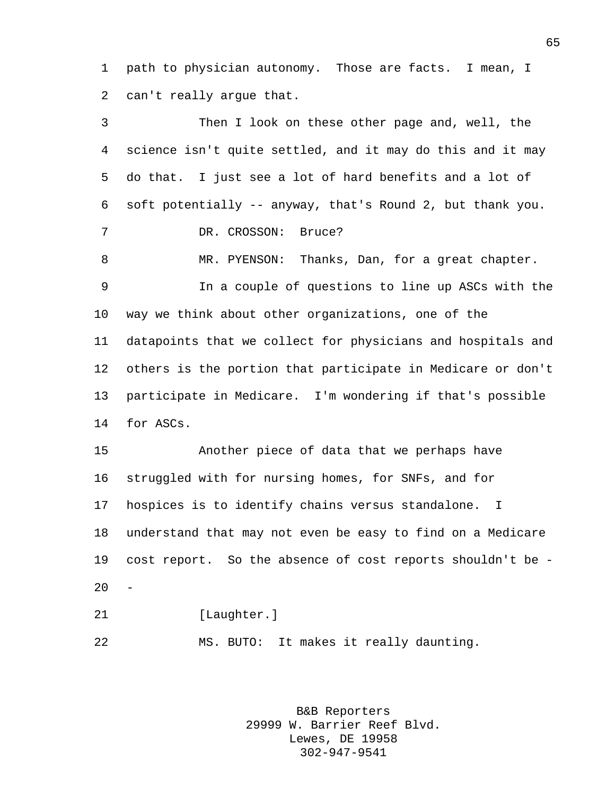path to physician autonomy. Those are facts. I mean, I can't really argue that.

 Then I look on these other page and, well, the science isn't quite settled, and it may do this and it may do that. I just see a lot of hard benefits and a lot of soft potentially -- anyway, that's Round 2, but thank you. 7 DR. CROSSON: Bruce? MR. PYENSON: Thanks, Dan, for a great chapter. In a couple of questions to line up ASCs with the way we think about other organizations, one of the datapoints that we collect for physicians and hospitals and others is the portion that participate in Medicare or don't participate in Medicare. I'm wondering if that's possible for ASCs. Another piece of data that we perhaps have struggled with for nursing homes, for SNFs, and for hospices is to identify chains versus standalone. I understand that may not even be easy to find on a Medicare cost report. So the absence of cost reports shouldn't be -  $20<sup>2</sup>$ 21 [Laughter.]

> B&B Reporters 29999 W. Barrier Reef Blvd. Lewes, DE 19958 302-947-9541

MS. BUTO: It makes it really daunting.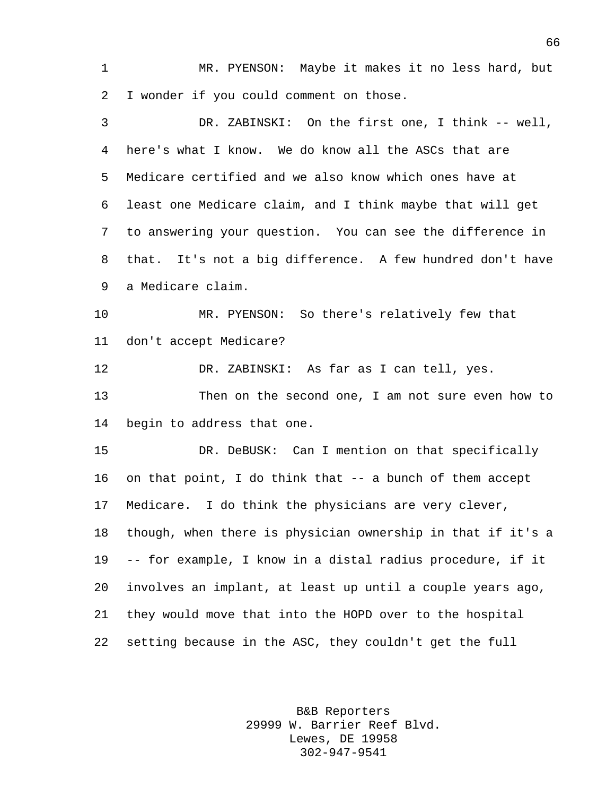MR. PYENSON: Maybe it makes it no less hard, but I wonder if you could comment on those.

 DR. ZABINSKI: On the first one, I think -- well, here's what I know. We do know all the ASCs that are Medicare certified and we also know which ones have at least one Medicare claim, and I think maybe that will get to answering your question. You can see the difference in that. It's not a big difference. A few hundred don't have a Medicare claim. MR. PYENSON: So there's relatively few that don't accept Medicare? DR. ZABINSKI: As far as I can tell, yes. Then on the second one, I am not sure even how to begin to address that one. DR. DeBUSK: Can I mention on that specifically on that point, I do think that -- a bunch of them accept Medicare. I do think the physicians are very clever, though, when there is physician ownership in that if it's a -- for example, I know in a distal radius procedure, if it involves an implant, at least up until a couple years ago, they would move that into the HOPD over to the hospital setting because in the ASC, they couldn't get the full

> B&B Reporters 29999 W. Barrier Reef Blvd. Lewes, DE 19958 302-947-9541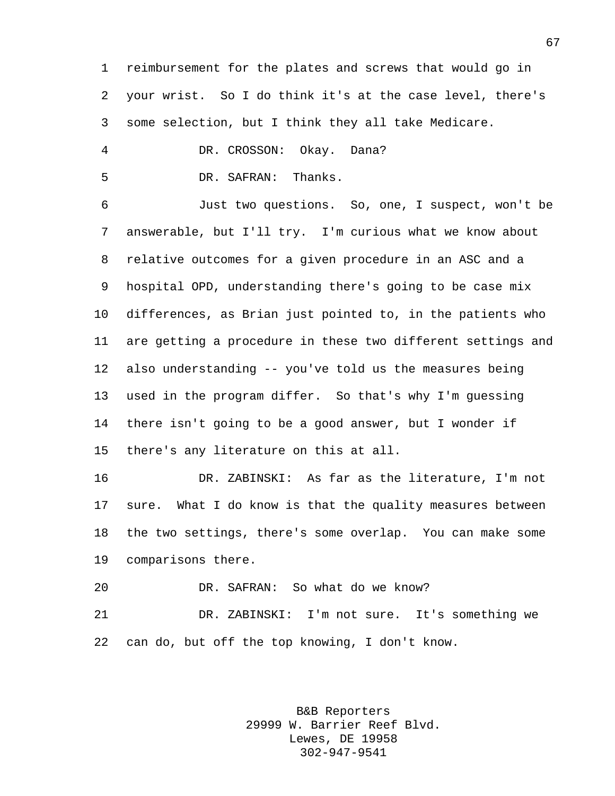reimbursement for the plates and screws that would go in your wrist. So I do think it's at the case level, there's some selection, but I think they all take Medicare.

DR. CROSSON: Okay. Dana?

DR. SAFRAN: Thanks.

 Just two questions. So, one, I suspect, won't be answerable, but I'll try. I'm curious what we know about relative outcomes for a given procedure in an ASC and a hospital OPD, understanding there's going to be case mix differences, as Brian just pointed to, in the patients who are getting a procedure in these two different settings and also understanding -- you've told us the measures being used in the program differ. So that's why I'm guessing there isn't going to be a good answer, but I wonder if there's any literature on this at all.

 DR. ZABINSKI: As far as the literature, I'm not sure. What I do know is that the quality measures between the two settings, there's some overlap. You can make some comparisons there.

DR. SAFRAN: So what do we know?

 DR. ZABINSKI: I'm not sure. It's something we can do, but off the top knowing, I don't know.

> B&B Reporters 29999 W. Barrier Reef Blvd. Lewes, DE 19958 302-947-9541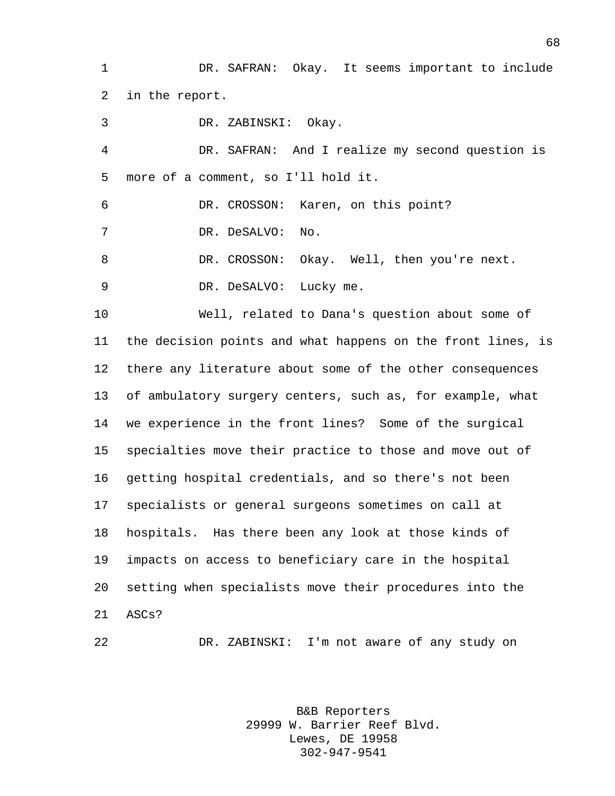DR. SAFRAN: Okay. It seems important to include in the report.

 DR. ZABINSKI: Okay. DR. SAFRAN: And I realize my second question is more of a comment, so I'll hold it. DR. CROSSON: Karen, on this point? DR. DeSALVO: No. 8 DR. CROSSON: Okay. Well, then you're next. 9 DR. DeSALVO: Lucky me. Well, related to Dana's question about some of the decision points and what happens on the front lines, is there any literature about some of the other consequences of ambulatory surgery centers, such as, for example, what

 we experience in the front lines? Some of the surgical specialties move their practice to those and move out of getting hospital credentials, and so there's not been specialists or general surgeons sometimes on call at hospitals. Has there been any look at those kinds of impacts on access to beneficiary care in the hospital setting when specialists move their procedures into the ASCs?

DR. ZABINSKI: I'm not aware of any study on

B&B Reporters 29999 W. Barrier Reef Blvd. Lewes, DE 19958 302-947-9541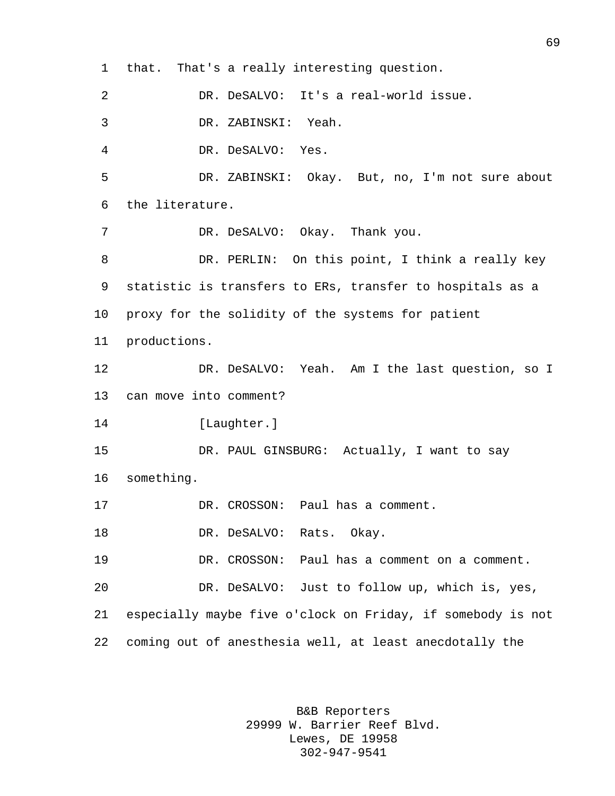that. That's a really interesting question. DR. DeSALVO: It's a real-world issue. DR. ZABINSKI: Yeah. DR. DeSALVO: Yes. DR. ZABINSKI: Okay. But, no, I'm not sure about the literature. DR. DeSALVO: Okay. Thank you. DR. PERLIN: On this point, I think a really key statistic is transfers to ERs, transfer to hospitals as a proxy for the solidity of the systems for patient productions. DR. DeSALVO: Yeah. Am I the last question, so I can move into comment? [Laughter.] DR. PAUL GINSBURG: Actually, I want to say something. DR. CROSSON: Paul has a comment. DR. DeSALVO: Rats. Okay. DR. CROSSON: Paul has a comment on a comment. DR. DeSALVO: Just to follow up, which is, yes, especially maybe five o'clock on Friday, if somebody is not coming out of anesthesia well, at least anecdotally the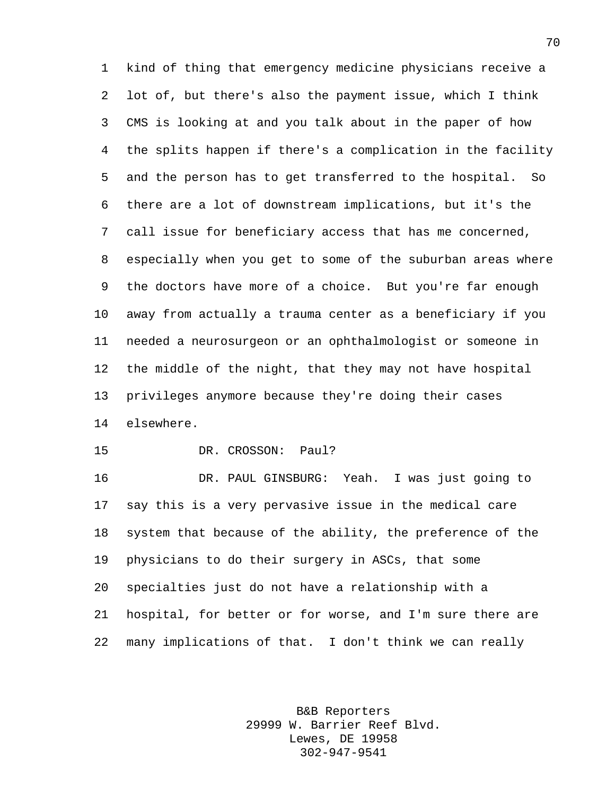kind of thing that emergency medicine physicians receive a lot of, but there's also the payment issue, which I think CMS is looking at and you talk about in the paper of how the splits happen if there's a complication in the facility and the person has to get transferred to the hospital. So there are a lot of downstream implications, but it's the call issue for beneficiary access that has me concerned, especially when you get to some of the suburban areas where the doctors have more of a choice. But you're far enough away from actually a trauma center as a beneficiary if you needed a neurosurgeon or an ophthalmologist or someone in the middle of the night, that they may not have hospital privileges anymore because they're doing their cases elsewhere.

DR. CROSSON: Paul?

 DR. PAUL GINSBURG: Yeah. I was just going to say this is a very pervasive issue in the medical care system that because of the ability, the preference of the physicians to do their surgery in ASCs, that some specialties just do not have a relationship with a hospital, for better or for worse, and I'm sure there are many implications of that. I don't think we can really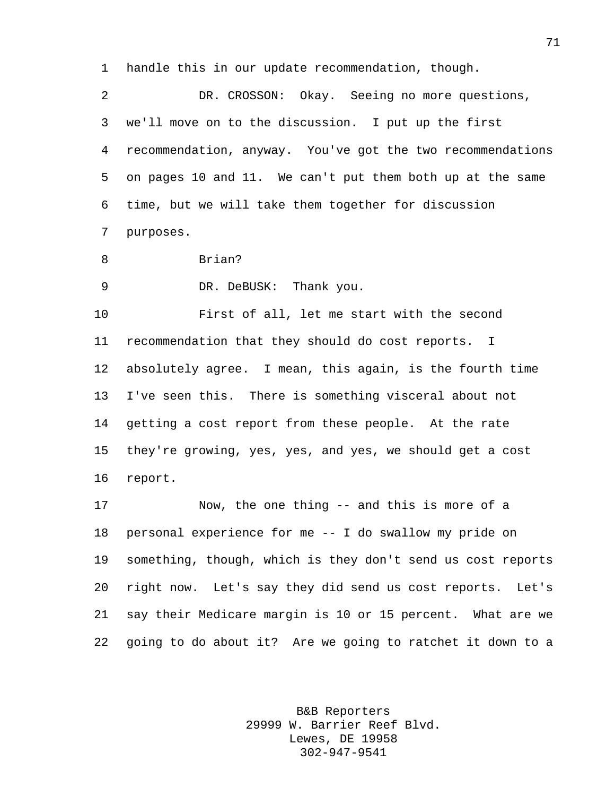handle this in our update recommendation, though.

 DR. CROSSON: Okay. Seeing no more questions, we'll move on to the discussion. I put up the first recommendation, anyway. You've got the two recommendations on pages 10 and 11. We can't put them both up at the same time, but we will take them together for discussion purposes.

Brian?

DR. DeBUSK: Thank you.

 First of all, let me start with the second recommendation that they should do cost reports. I absolutely agree. I mean, this again, is the fourth time I've seen this. There is something visceral about not getting a cost report from these people. At the rate they're growing, yes, yes, and yes, we should get a cost report.

 Now, the one thing -- and this is more of a personal experience for me -- I do swallow my pride on something, though, which is they don't send us cost reports right now. Let's say they did send us cost reports. Let's say their Medicare margin is 10 or 15 percent. What are we going to do about it? Are we going to ratchet it down to a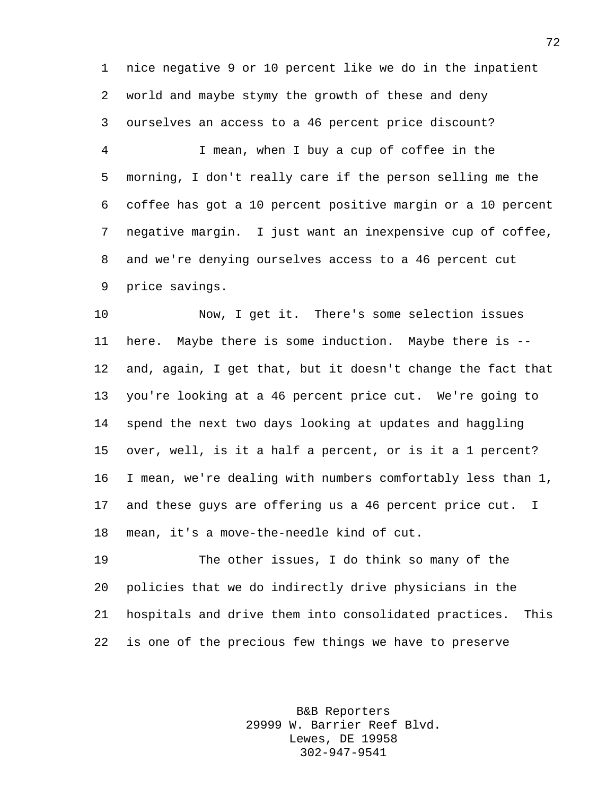nice negative 9 or 10 percent like we do in the inpatient world and maybe stymy the growth of these and deny ourselves an access to a 46 percent price discount?

 I mean, when I buy a cup of coffee in the morning, I don't really care if the person selling me the coffee has got a 10 percent positive margin or a 10 percent negative margin. I just want an inexpensive cup of coffee, and we're denying ourselves access to a 46 percent cut price savings.

 Now, I get it. There's some selection issues here. Maybe there is some induction. Maybe there is -- and, again, I get that, but it doesn't change the fact that you're looking at a 46 percent price cut. We're going to spend the next two days looking at updates and haggling over, well, is it a half a percent, or is it a 1 percent? I mean, we're dealing with numbers comfortably less than 1, and these guys are offering us a 46 percent price cut. I mean, it's a move-the-needle kind of cut.

 The other issues, I do think so many of the policies that we do indirectly drive physicians in the hospitals and drive them into consolidated practices. This is one of the precious few things we have to preserve

> B&B Reporters 29999 W. Barrier Reef Blvd. Lewes, DE 19958 302-947-9541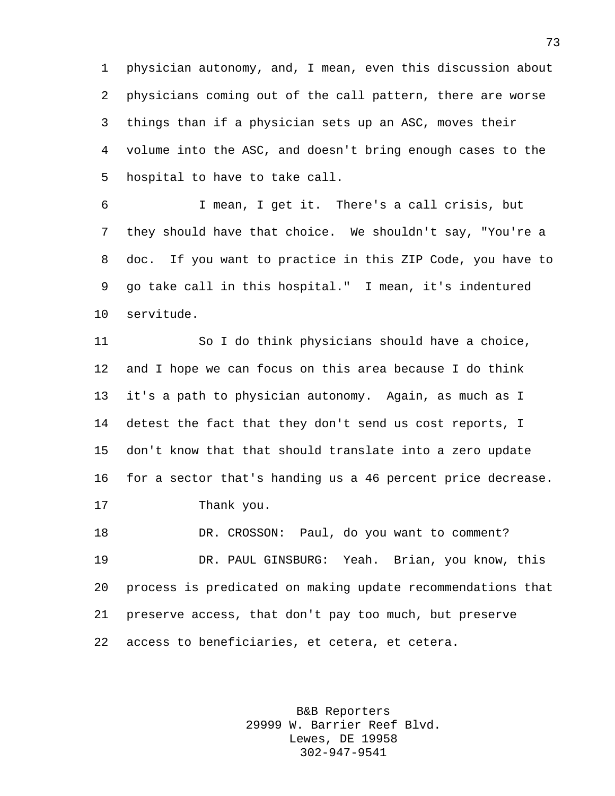physician autonomy, and, I mean, even this discussion about physicians coming out of the call pattern, there are worse things than if a physician sets up an ASC, moves their volume into the ASC, and doesn't bring enough cases to the hospital to have to take call.

 I mean, I get it. There's a call crisis, but they should have that choice. We shouldn't say, "You're a doc. If you want to practice in this ZIP Code, you have to go take call in this hospital." I mean, it's indentured servitude.

 So I do think physicians should have a choice, and I hope we can focus on this area because I do think it's a path to physician autonomy. Again, as much as I detest the fact that they don't send us cost reports, I don't know that that should translate into a zero update for a sector that's handing us a 46 percent price decrease. Thank you. DR. CROSSON: Paul, do you want to comment?

 DR. PAUL GINSBURG: Yeah. Brian, you know, this process is predicated on making update recommendations that preserve access, that don't pay too much, but preserve access to beneficiaries, et cetera, et cetera.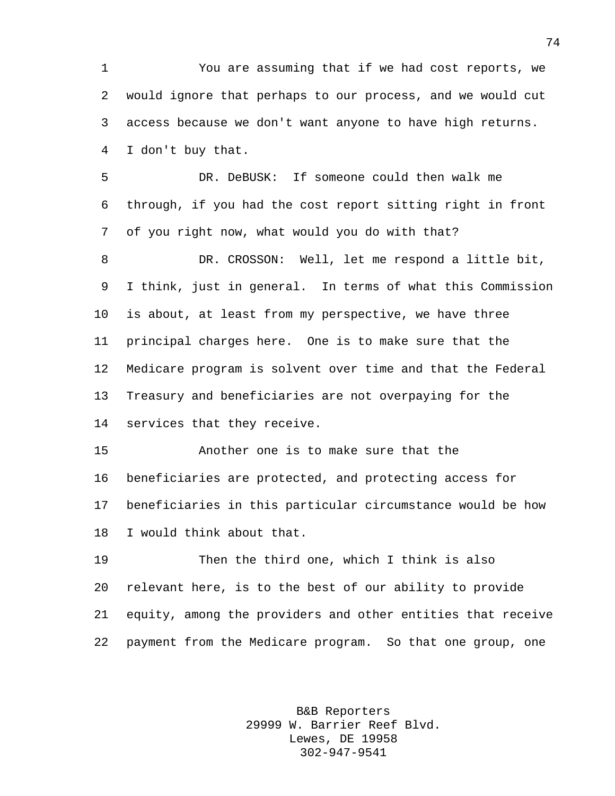You are assuming that if we had cost reports, we would ignore that perhaps to our process, and we would cut access because we don't want anyone to have high returns. I don't buy that.

 DR. DeBUSK: If someone could then walk me through, if you had the cost report sitting right in front of you right now, what would you do with that?

 DR. CROSSON: Well, let me respond a little bit, I think, just in general. In terms of what this Commission is about, at least from my perspective, we have three principal charges here. One is to make sure that the Medicare program is solvent over time and that the Federal Treasury and beneficiaries are not overpaying for the services that they receive.

 Another one is to make sure that the beneficiaries are protected, and protecting access for beneficiaries in this particular circumstance would be how I would think about that.

 Then the third one, which I think is also relevant here, is to the best of our ability to provide equity, among the providers and other entities that receive payment from the Medicare program. So that one group, one

> B&B Reporters 29999 W. Barrier Reef Blvd. Lewes, DE 19958 302-947-9541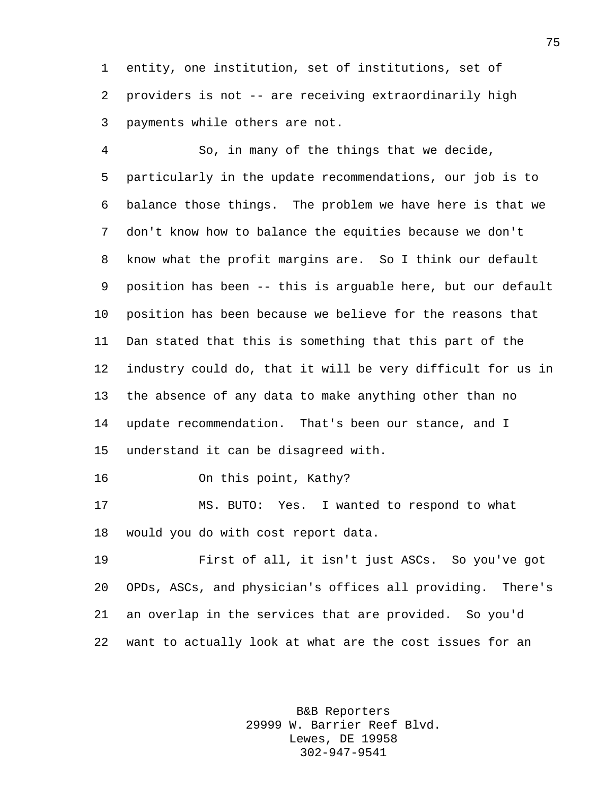entity, one institution, set of institutions, set of providers is not -- are receiving extraordinarily high payments while others are not.

 So, in many of the things that we decide, particularly in the update recommendations, our job is to balance those things. The problem we have here is that we don't know how to balance the equities because we don't know what the profit margins are. So I think our default position has been -- this is arguable here, but our default position has been because we believe for the reasons that Dan stated that this is something that this part of the industry could do, that it will be very difficult for us in the absence of any data to make anything other than no update recommendation. That's been our stance, and I understand it can be disagreed with.

On this point, Kathy?

 MS. BUTO: Yes. I wanted to respond to what would you do with cost report data.

 First of all, it isn't just ASCs. So you've got OPDs, ASCs, and physician's offices all providing. There's an overlap in the services that are provided. So you'd want to actually look at what are the cost issues for an

> B&B Reporters 29999 W. Barrier Reef Blvd. Lewes, DE 19958 302-947-9541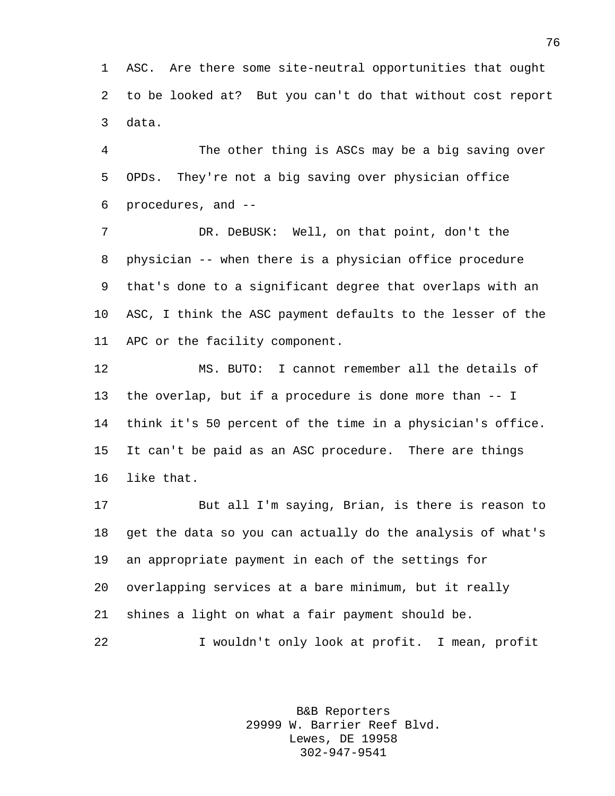ASC. Are there some site-neutral opportunities that ought to be looked at? But you can't do that without cost report data.

 The other thing is ASCs may be a big saving over OPDs. They're not a big saving over physician office procedures, and --

7 DR. DeBUSK: Well, on that point, don't the physician -- when there is a physician office procedure that's done to a significant degree that overlaps with an ASC, I think the ASC payment defaults to the lesser of the APC or the facility component.

 MS. BUTO: I cannot remember all the details of the overlap, but if a procedure is done more than -- I think it's 50 percent of the time in a physician's office. It can't be paid as an ASC procedure. There are things like that.

 But all I'm saying, Brian, is there is reason to get the data so you can actually do the analysis of what's an appropriate payment in each of the settings for overlapping services at a bare minimum, but it really shines a light on what a fair payment should be. I wouldn't only look at profit. I mean, profit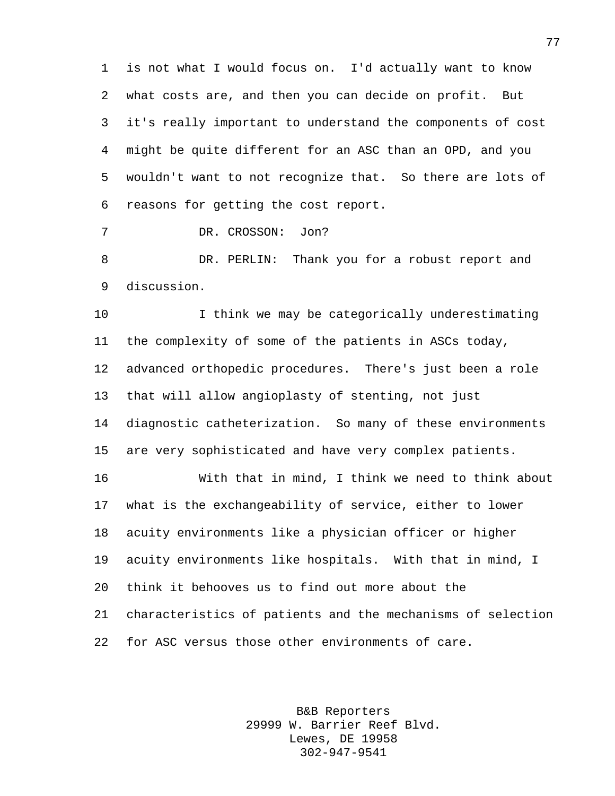is not what I would focus on. I'd actually want to know what costs are, and then you can decide on profit. But it's really important to understand the components of cost might be quite different for an ASC than an OPD, and you wouldn't want to not recognize that. So there are lots of reasons for getting the cost report.

7 DR. CROSSON: Jon?

 DR. PERLIN: Thank you for a robust report and discussion.

 I think we may be categorically underestimating the complexity of some of the patients in ASCs today, advanced orthopedic procedures. There's just been a role that will allow angioplasty of stenting, not just diagnostic catheterization. So many of these environments are very sophisticated and have very complex patients.

 With that in mind, I think we need to think about what is the exchangeability of service, either to lower acuity environments like a physician officer or higher acuity environments like hospitals. With that in mind, I think it behooves us to find out more about the characteristics of patients and the mechanisms of selection for ASC versus those other environments of care.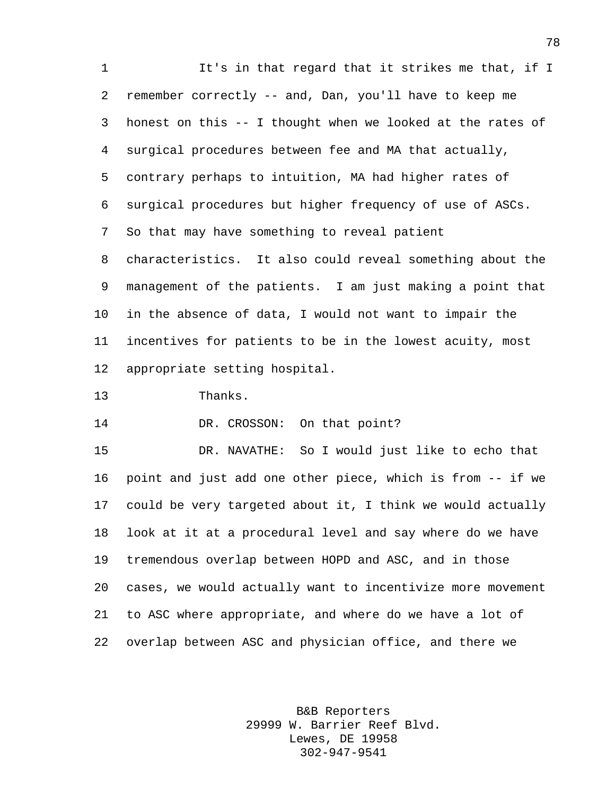1 It's in that regard that it strikes me that, if I remember correctly -- and, Dan, you'll have to keep me honest on this -- I thought when we looked at the rates of surgical procedures between fee and MA that actually, contrary perhaps to intuition, MA had higher rates of surgical procedures but higher frequency of use of ASCs. So that may have something to reveal patient characteristics. It also could reveal something about the management of the patients. I am just making a point that in the absence of data, I would not want to impair the incentives for patients to be in the lowest acuity, most appropriate setting hospital.

Thanks.

14 DR. CROSSON: On that point?

 DR. NAVATHE: So I would just like to echo that point and just add one other piece, which is from -- if we could be very targeted about it, I think we would actually look at it at a procedural level and say where do we have tremendous overlap between HOPD and ASC, and in those cases, we would actually want to incentivize more movement to ASC where appropriate, and where do we have a lot of overlap between ASC and physician office, and there we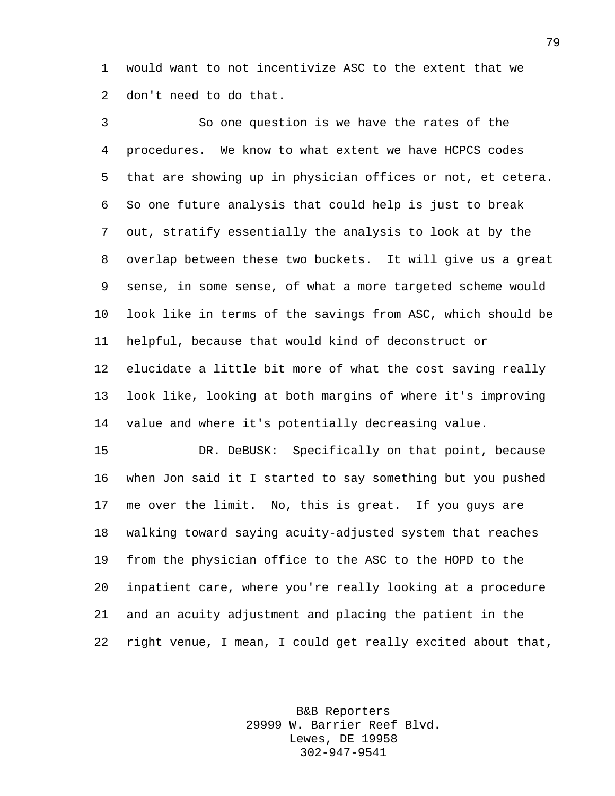would want to not incentivize ASC to the extent that we don't need to do that.

 So one question is we have the rates of the procedures. We know to what extent we have HCPCS codes that are showing up in physician offices or not, et cetera. So one future analysis that could help is just to break out, stratify essentially the analysis to look at by the overlap between these two buckets. It will give us a great sense, in some sense, of what a more targeted scheme would look like in terms of the savings from ASC, which should be helpful, because that would kind of deconstruct or elucidate a little bit more of what the cost saving really look like, looking at both margins of where it's improving value and where it's potentially decreasing value.

 DR. DeBUSK: Specifically on that point, because when Jon said it I started to say something but you pushed me over the limit. No, this is great. If you guys are walking toward saying acuity-adjusted system that reaches from the physician office to the ASC to the HOPD to the inpatient care, where you're really looking at a procedure and an acuity adjustment and placing the patient in the right venue, I mean, I could get really excited about that,

> B&B Reporters 29999 W. Barrier Reef Blvd. Lewes, DE 19958 302-947-9541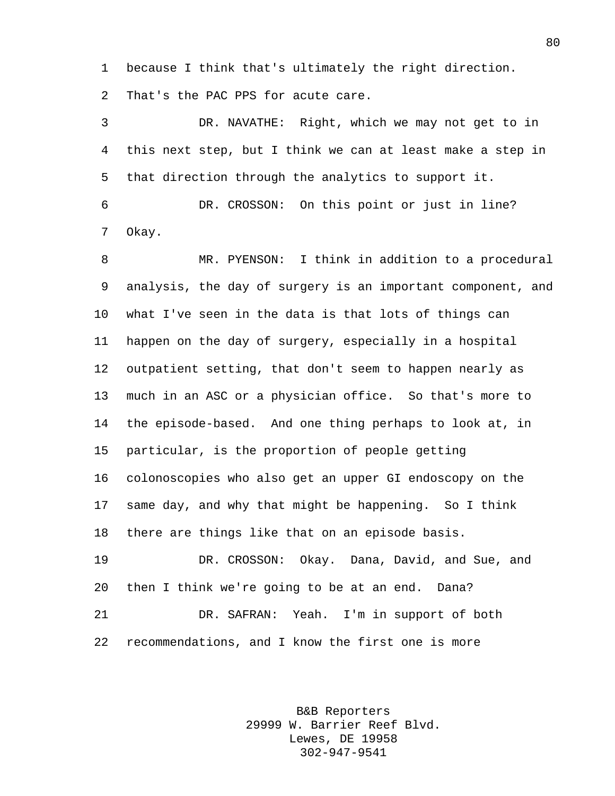because I think that's ultimately the right direction. That's the PAC PPS for acute care.

 DR. NAVATHE: Right, which we may not get to in this next step, but I think we can at least make a step in that direction through the analytics to support it.

 DR. CROSSON: On this point or just in line? Okay.

 MR. PYENSON: I think in addition to a procedural analysis, the day of surgery is an important component, and what I've seen in the data is that lots of things can happen on the day of surgery, especially in a hospital outpatient setting, that don't seem to happen nearly as much in an ASC or a physician office. So that's more to the episode-based. And one thing perhaps to look at, in particular, is the proportion of people getting colonoscopies who also get an upper GI endoscopy on the same day, and why that might be happening. So I think there are things like that on an episode basis. DR. CROSSON: Okay. Dana, David, and Sue, and

 then I think we're going to be at an end. Dana? DR. SAFRAN: Yeah. I'm in support of both recommendations, and I know the first one is more

> B&B Reporters 29999 W. Barrier Reef Blvd. Lewes, DE 19958 302-947-9541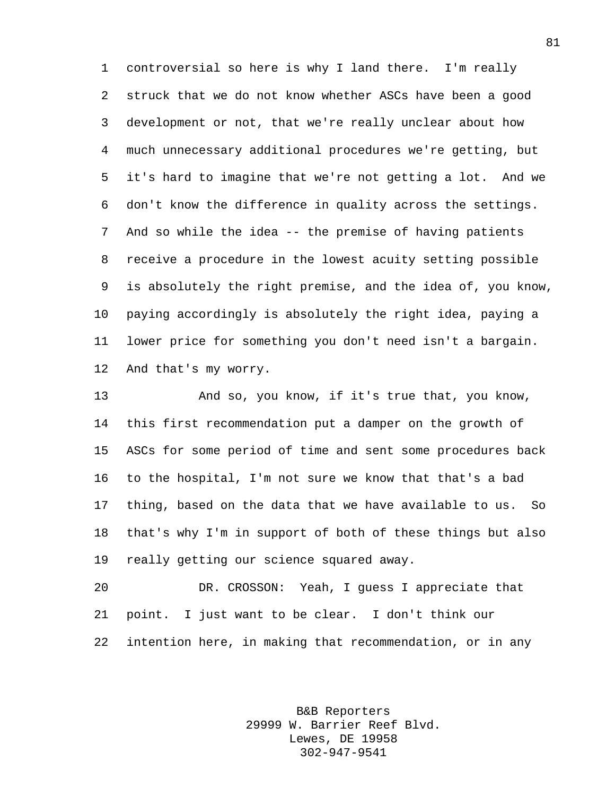controversial so here is why I land there. I'm really struck that we do not know whether ASCs have been a good development or not, that we're really unclear about how much unnecessary additional procedures we're getting, but it's hard to imagine that we're not getting a lot. And we don't know the difference in quality across the settings. And so while the idea -- the premise of having patients receive a procedure in the lowest acuity setting possible is absolutely the right premise, and the idea of, you know, paying accordingly is absolutely the right idea, paying a lower price for something you don't need isn't a bargain. And that's my worry.

 And so, you know, if it's true that, you know, this first recommendation put a damper on the growth of ASCs for some period of time and sent some procedures back to the hospital, I'm not sure we know that that's a bad thing, based on the data that we have available to us. So that's why I'm in support of both of these things but also really getting our science squared away.

 DR. CROSSON: Yeah, I guess I appreciate that point. I just want to be clear. I don't think our intention here, in making that recommendation, or in any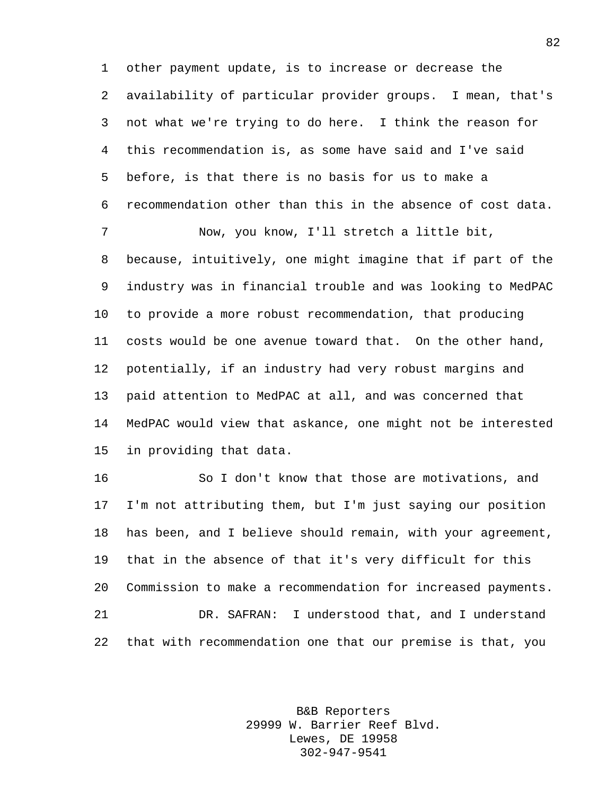other payment update, is to increase or decrease the availability of particular provider groups. I mean, that's not what we're trying to do here. I think the reason for this recommendation is, as some have said and I've said before, is that there is no basis for us to make a recommendation other than this in the absence of cost data.

 Now, you know, I'll stretch a little bit, because, intuitively, one might imagine that if part of the industry was in financial trouble and was looking to MedPAC to provide a more robust recommendation, that producing costs would be one avenue toward that. On the other hand, potentially, if an industry had very robust margins and paid attention to MedPAC at all, and was concerned that MedPAC would view that askance, one might not be interested in providing that data.

 So I don't know that those are motivations, and I'm not attributing them, but I'm just saying our position has been, and I believe should remain, with your agreement, that in the absence of that it's very difficult for this Commission to make a recommendation for increased payments. DR. SAFRAN: I understood that, and I understand that with recommendation one that our premise is that, you

> B&B Reporters 29999 W. Barrier Reef Blvd. Lewes, DE 19958 302-947-9541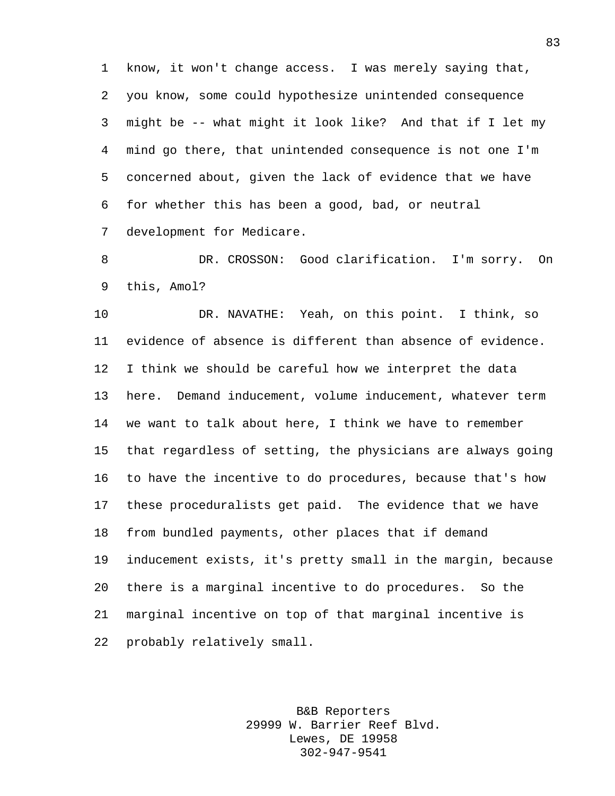know, it won't change access. I was merely saying that, you know, some could hypothesize unintended consequence might be -- what might it look like? And that if I let my mind go there, that unintended consequence is not one I'm concerned about, given the lack of evidence that we have for whether this has been a good, bad, or neutral development for Medicare.

 DR. CROSSON: Good clarification. I'm sorry. On this, Amol?

 DR. NAVATHE: Yeah, on this point. I think, so evidence of absence is different than absence of evidence. I think we should be careful how we interpret the data here. Demand inducement, volume inducement, whatever term we want to talk about here, I think we have to remember that regardless of setting, the physicians are always going to have the incentive to do procedures, because that's how these proceduralists get paid. The evidence that we have from bundled payments, other places that if demand inducement exists, it's pretty small in the margin, because there is a marginal incentive to do procedures. So the marginal incentive on top of that marginal incentive is probably relatively small.

> B&B Reporters 29999 W. Barrier Reef Blvd. Lewes, DE 19958 302-947-9541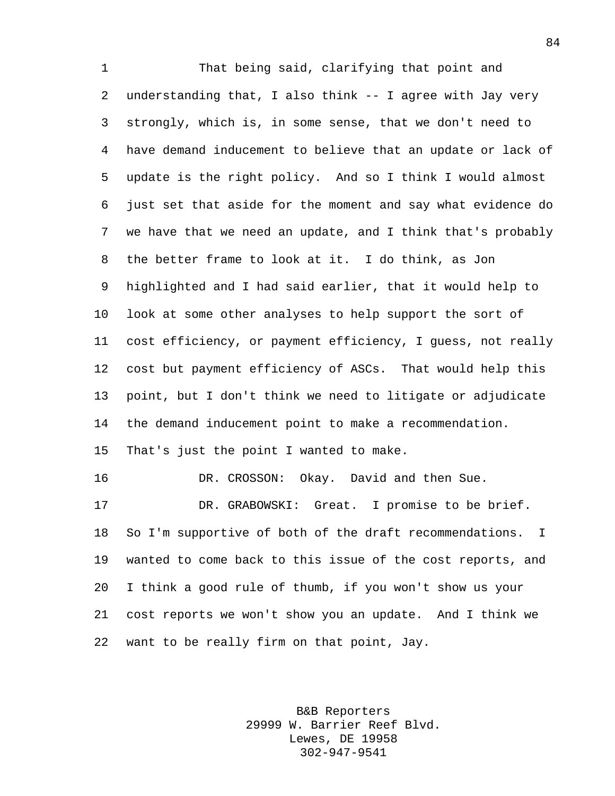That being said, clarifying that point and understanding that, I also think -- I agree with Jay very strongly, which is, in some sense, that we don't need to have demand inducement to believe that an update or lack of update is the right policy. And so I think I would almost just set that aside for the moment and say what evidence do we have that we need an update, and I think that's probably the better frame to look at it. I do think, as Jon highlighted and I had said earlier, that it would help to look at some other analyses to help support the sort of cost efficiency, or payment efficiency, I guess, not really cost but payment efficiency of ASCs. That would help this point, but I don't think we need to litigate or adjudicate the demand inducement point to make a recommendation. That's just the point I wanted to make. DR. CROSSON: Okay. David and then Sue. DR. GRABOWSKI: Great. I promise to be brief. So I'm supportive of both of the draft recommendations. I wanted to come back to this issue of the cost reports, and I think a good rule of thumb, if you won't show us your cost reports we won't show you an update. And I think we want to be really firm on that point, Jay.

> B&B Reporters 29999 W. Barrier Reef Blvd. Lewes, DE 19958 302-947-9541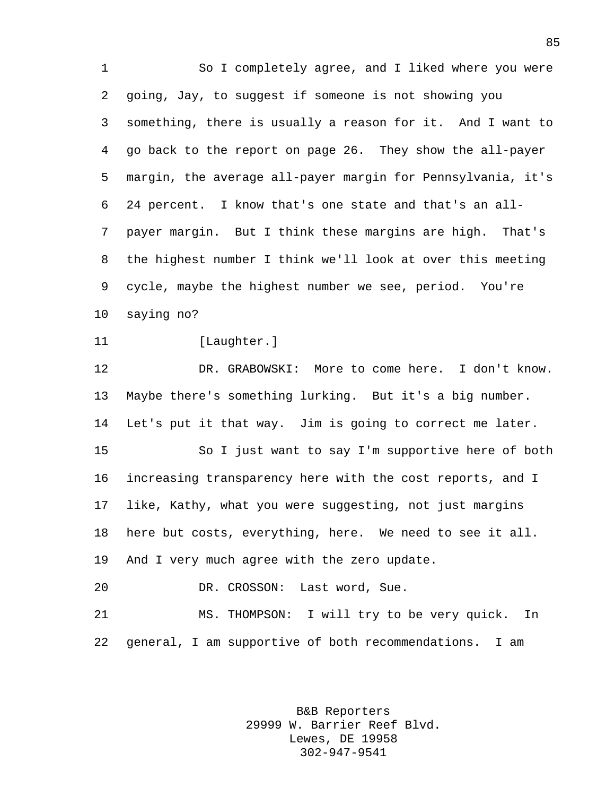So I completely agree, and I liked where you were going, Jay, to suggest if someone is not showing you something, there is usually a reason for it. And I want to go back to the report on page 26. They show the all-payer margin, the average all-payer margin for Pennsylvania, it's 24 percent. I know that's one state and that's an all- payer margin. But I think these margins are high. That's the highest number I think we'll look at over this meeting cycle, maybe the highest number we see, period. You're saying no? 11 [Laughter.] DR. GRABOWSKI: More to come here. I don't know. Maybe there's something lurking. But it's a big number. Let's put it that way. Jim is going to correct me later. So I just want to say I'm supportive here of both increasing transparency here with the cost reports, and I like, Kathy, what you were suggesting, not just margins here but costs, everything, here. We need to see it all. And I very much agree with the zero update. DR. CROSSON: Last word, Sue. MS. THOMPSON: I will try to be very quick. In general, I am supportive of both recommendations. I am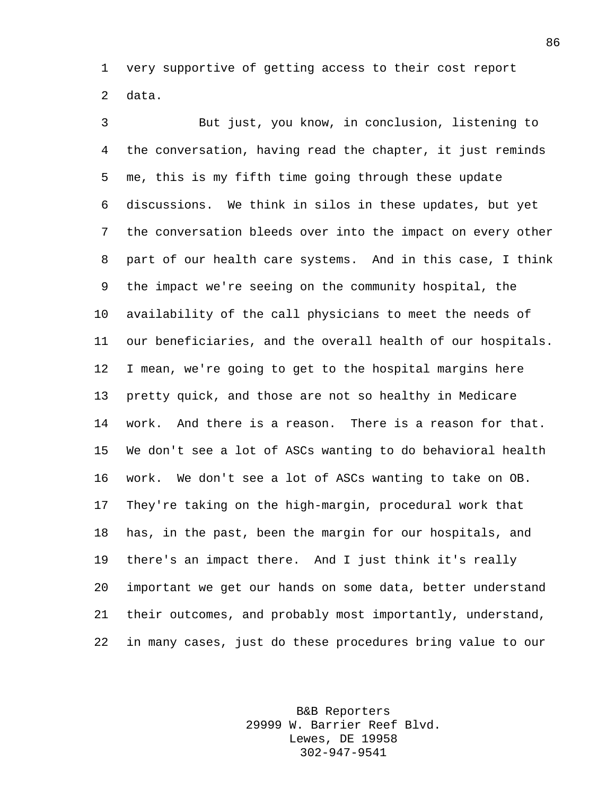very supportive of getting access to their cost report data.

 But just, you know, in conclusion, listening to the conversation, having read the chapter, it just reminds me, this is my fifth time going through these update discussions. We think in silos in these updates, but yet the conversation bleeds over into the impact on every other part of our health care systems. And in this case, I think the impact we're seeing on the community hospital, the availability of the call physicians to meet the needs of our beneficiaries, and the overall health of our hospitals. I mean, we're going to get to the hospital margins here pretty quick, and those are not so healthy in Medicare work. And there is a reason. There is a reason for that. We don't see a lot of ASCs wanting to do behavioral health work. We don't see a lot of ASCs wanting to take on OB. They're taking on the high-margin, procedural work that has, in the past, been the margin for our hospitals, and there's an impact there. And I just think it's really important we get our hands on some data, better understand their outcomes, and probably most importantly, understand, in many cases, just do these procedures bring value to our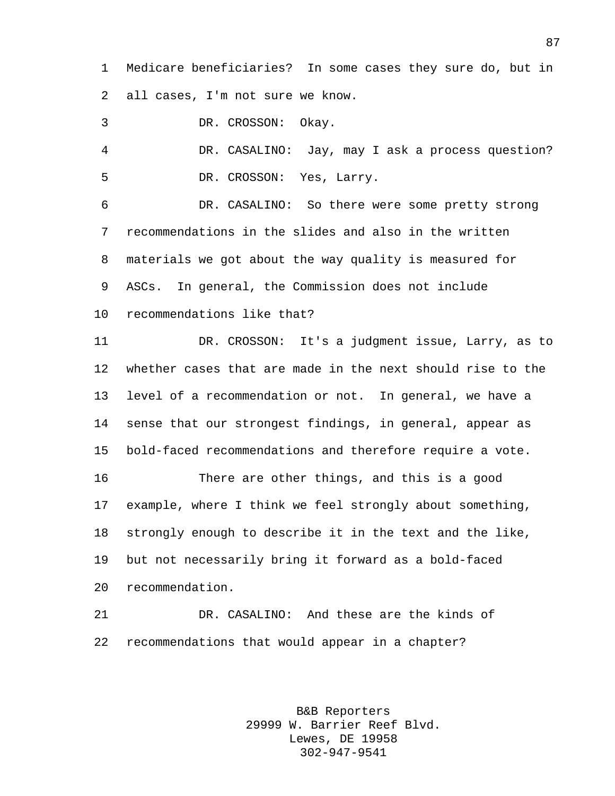Medicare beneficiaries? In some cases they sure do, but in all cases, I'm not sure we know.

DR. CROSSON: Okay.

 DR. CASALINO: Jay, may I ask a process question? DR. CROSSON: Yes, Larry.

 DR. CASALINO: So there were some pretty strong recommendations in the slides and also in the written materials we got about the way quality is measured for ASCs. In general, the Commission does not include

recommendations like that?

 DR. CROSSON: It's a judgment issue, Larry, as to whether cases that are made in the next should rise to the level of a recommendation or not. In general, we have a sense that our strongest findings, in general, appear as bold-faced recommendations and therefore require a vote.

 There are other things, and this is a good example, where I think we feel strongly about something, strongly enough to describe it in the text and the like, but not necessarily bring it forward as a bold-faced recommendation.

 DR. CASALINO: And these are the kinds of recommendations that would appear in a chapter?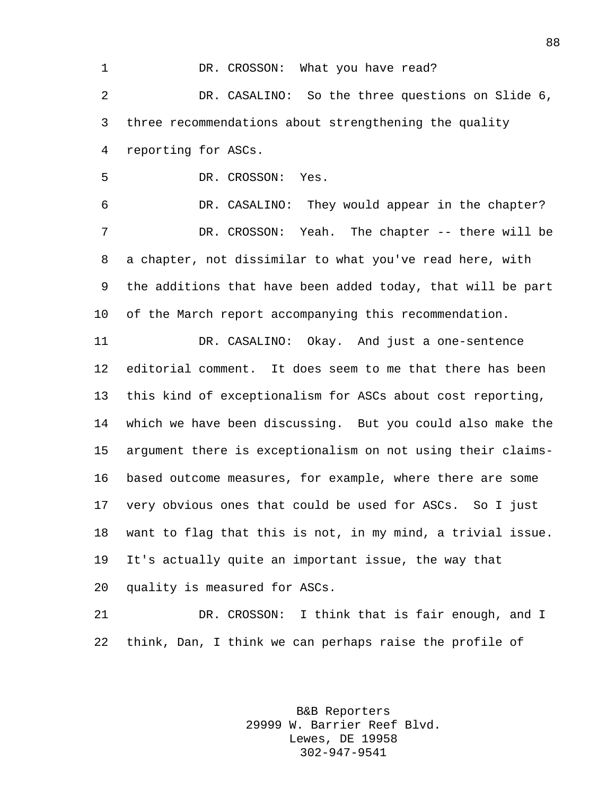1 DR. CROSSON: What you have read? DR. CASALINO: So the three questions on Slide 6, three recommendations about strengthening the quality reporting for ASCs.

DR. CROSSON: Yes.

 DR. CASALINO: They would appear in the chapter? 7 DR. CROSSON: Yeah. The chapter -- there will be a chapter, not dissimilar to what you've read here, with the additions that have been added today, that will be part of the March report accompanying this recommendation.

 DR. CASALINO: Okay. And just a one-sentence editorial comment. It does seem to me that there has been this kind of exceptionalism for ASCs about cost reporting, which we have been discussing. But you could also make the argument there is exceptionalism on not using their claims- based outcome measures, for example, where there are some very obvious ones that could be used for ASCs. So I just want to flag that this is not, in my mind, a trivial issue. It's actually quite an important issue, the way that quality is measured for ASCs.

 DR. CROSSON: I think that is fair enough, and I think, Dan, I think we can perhaps raise the profile of

> B&B Reporters 29999 W. Barrier Reef Blvd. Lewes, DE 19958 302-947-9541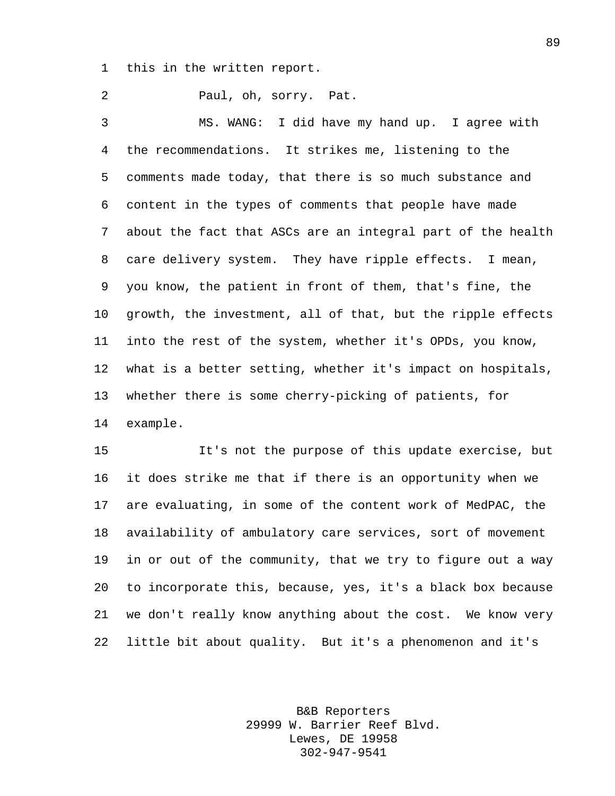this in the written report.

 Paul, oh, sorry. Pat. MS. WANG: I did have my hand up. I agree with the recommendations. It strikes me, listening to the comments made today, that there is so much substance and content in the types of comments that people have made about the fact that ASCs are an integral part of the health care delivery system. They have ripple effects. I mean, you know, the patient in front of them, that's fine, the growth, the investment, all of that, but the ripple effects into the rest of the system, whether it's OPDs, you know, what is a better setting, whether it's impact on hospitals, whether there is some cherry-picking of patients, for example.

 It's not the purpose of this update exercise, but it does strike me that if there is an opportunity when we are evaluating, in some of the content work of MedPAC, the availability of ambulatory care services, sort of movement in or out of the community, that we try to figure out a way to incorporate this, because, yes, it's a black box because we don't really know anything about the cost. We know very little bit about quality. But it's a phenomenon and it's

> B&B Reporters 29999 W. Barrier Reef Blvd. Lewes, DE 19958 302-947-9541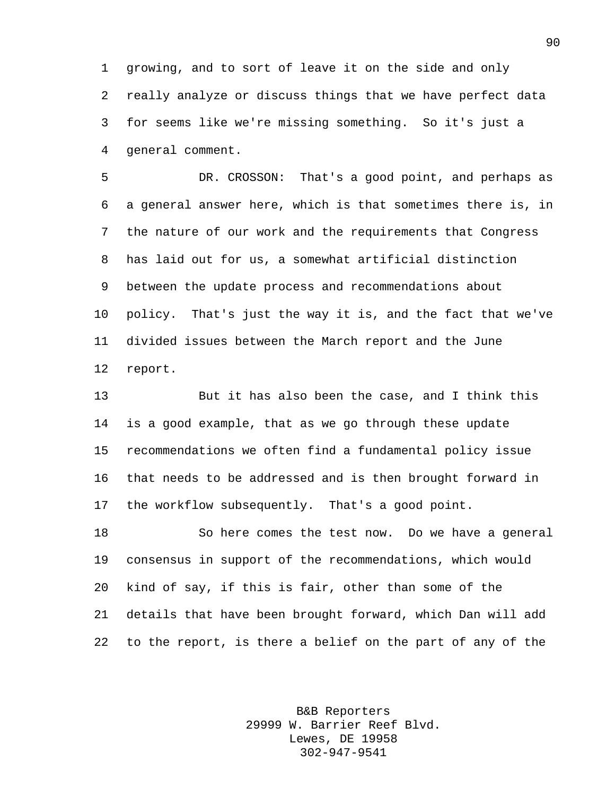growing, and to sort of leave it on the side and only really analyze or discuss things that we have perfect data for seems like we're missing something. So it's just a general comment.

 DR. CROSSON: That's a good point, and perhaps as a general answer here, which is that sometimes there is, in the nature of our work and the requirements that Congress has laid out for us, a somewhat artificial distinction between the update process and recommendations about policy. That's just the way it is, and the fact that we've divided issues between the March report and the June report.

 But it has also been the case, and I think this is a good example, that as we go through these update recommendations we often find a fundamental policy issue that needs to be addressed and is then brought forward in the workflow subsequently. That's a good point.

 So here comes the test now. Do we have a general consensus in support of the recommendations, which would kind of say, if this is fair, other than some of the details that have been brought forward, which Dan will add to the report, is there a belief on the part of any of the

> B&B Reporters 29999 W. Barrier Reef Blvd. Lewes, DE 19958 302-947-9541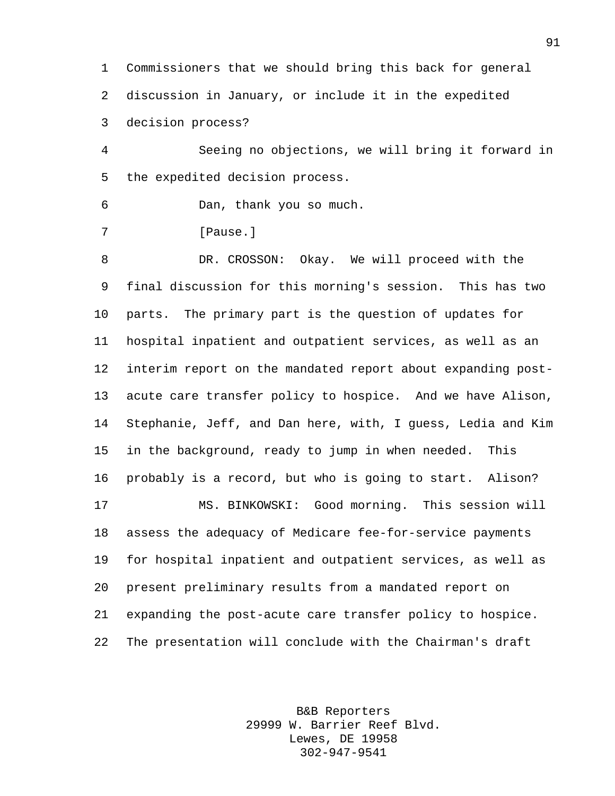Commissioners that we should bring this back for general discussion in January, or include it in the expedited decision process?

 Seeing no objections, we will bring it forward in the expedited decision process.

Dan, thank you so much.

*Pause.* 

 DR. CROSSON: Okay. We will proceed with the final discussion for this morning's session. This has two parts. The primary part is the question of updates for hospital inpatient and outpatient services, as well as an interim report on the mandated report about expanding post- acute care transfer policy to hospice. And we have Alison, Stephanie, Jeff, and Dan here, with, I guess, Ledia and Kim in the background, ready to jump in when needed. This probably is a record, but who is going to start. Alison? MS. BINKOWSKI: Good morning. This session will assess the adequacy of Medicare fee-for-service payments for hospital inpatient and outpatient services, as well as present preliminary results from a mandated report on expanding the post-acute care transfer policy to hospice. The presentation will conclude with the Chairman's draft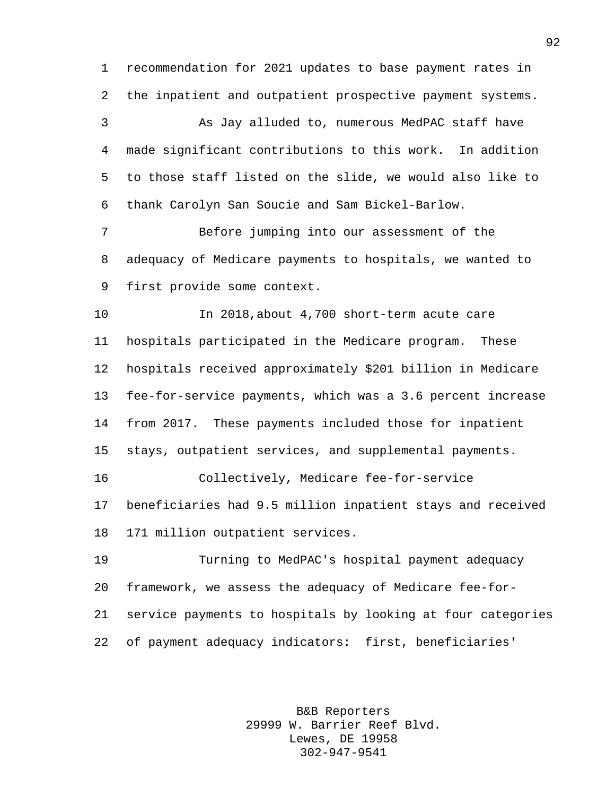recommendation for 2021 updates to base payment rates in the inpatient and outpatient prospective payment systems.

 As Jay alluded to, numerous MedPAC staff have made significant contributions to this work. In addition to those staff listed on the slide, we would also like to thank Carolyn San Soucie and Sam Bickel-Barlow.

 Before jumping into our assessment of the adequacy of Medicare payments to hospitals, we wanted to first provide some context.

 In 2018,about 4,700 short-term acute care hospitals participated in the Medicare program. These hospitals received approximately \$201 billion in Medicare fee-for-service payments, which was a 3.6 percent increase from 2017. These payments included those for inpatient stays, outpatient services, and supplemental payments.

 Collectively, Medicare fee-for-service beneficiaries had 9.5 million inpatient stays and received 171 million outpatient services.

 Turning to MedPAC's hospital payment adequacy framework, we assess the adequacy of Medicare fee-for- service payments to hospitals by looking at four categories of payment adequacy indicators: first, beneficiaries'

> B&B Reporters 29999 W. Barrier Reef Blvd. Lewes, DE 19958 302-947-9541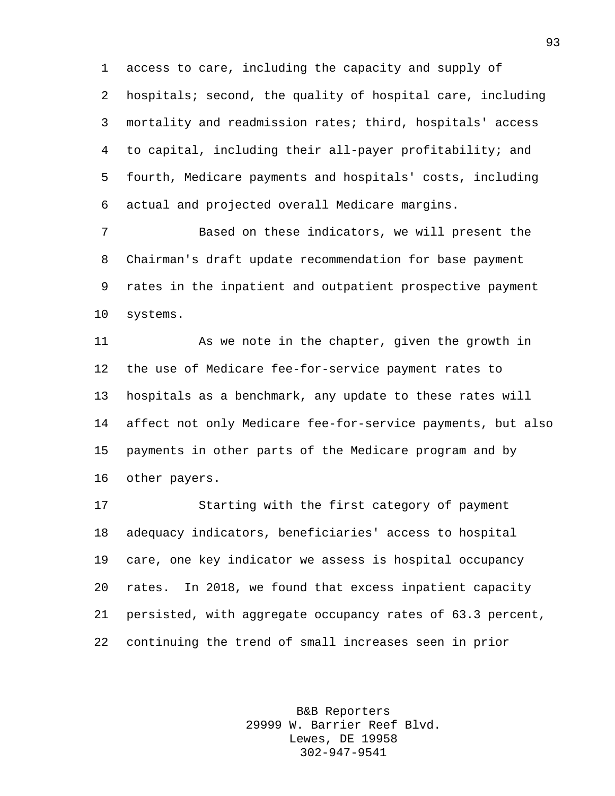access to care, including the capacity and supply of hospitals; second, the quality of hospital care, including mortality and readmission rates; third, hospitals' access to capital, including their all-payer profitability; and fourth, Medicare payments and hospitals' costs, including actual and projected overall Medicare margins.

 Based on these indicators, we will present the Chairman's draft update recommendation for base payment rates in the inpatient and outpatient prospective payment systems.

 As we note in the chapter, given the growth in the use of Medicare fee-for-service payment rates to hospitals as a benchmark, any update to these rates will affect not only Medicare fee-for-service payments, but also payments in other parts of the Medicare program and by other payers.

 Starting with the first category of payment adequacy indicators, beneficiaries' access to hospital care, one key indicator we assess is hospital occupancy rates. In 2018, we found that excess inpatient capacity persisted, with aggregate occupancy rates of 63.3 percent, continuing the trend of small increases seen in prior

> B&B Reporters 29999 W. Barrier Reef Blvd. Lewes, DE 19958 302-947-9541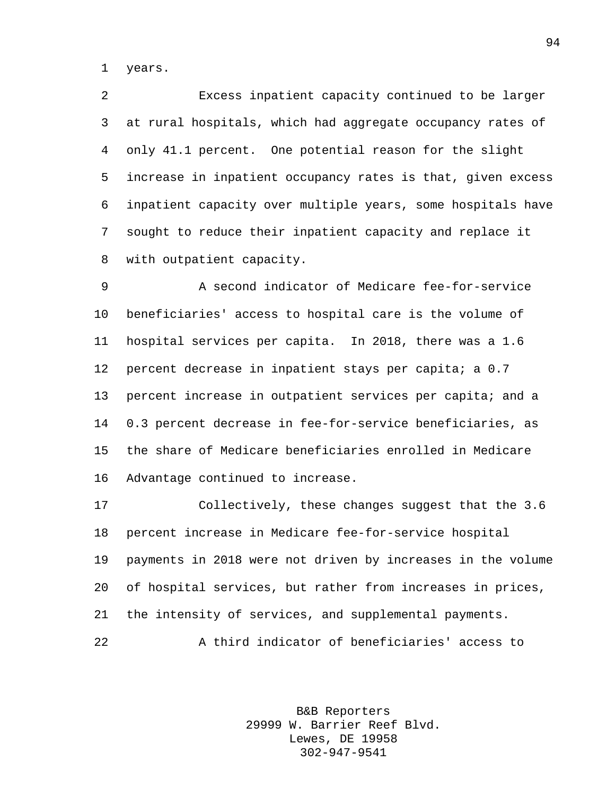years.

 Excess inpatient capacity continued to be larger at rural hospitals, which had aggregate occupancy rates of only 41.1 percent. One potential reason for the slight increase in inpatient occupancy rates is that, given excess inpatient capacity over multiple years, some hospitals have sought to reduce their inpatient capacity and replace it with outpatient capacity.

 A second indicator of Medicare fee-for-service beneficiaries' access to hospital care is the volume of hospital services per capita. In 2018, there was a 1.6 12 percent decrease in inpatient stays per capita; a 0.7 13 percent increase in outpatient services per capita; and a 0.3 percent decrease in fee-for-service beneficiaries, as the share of Medicare beneficiaries enrolled in Medicare Advantage continued to increase.

 Collectively, these changes suggest that the 3.6 percent increase in Medicare fee-for-service hospital payments in 2018 were not driven by increases in the volume of hospital services, but rather from increases in prices, the intensity of services, and supplemental payments. A third indicator of beneficiaries' access to

> B&B Reporters 29999 W. Barrier Reef Blvd. Lewes, DE 19958 302-947-9541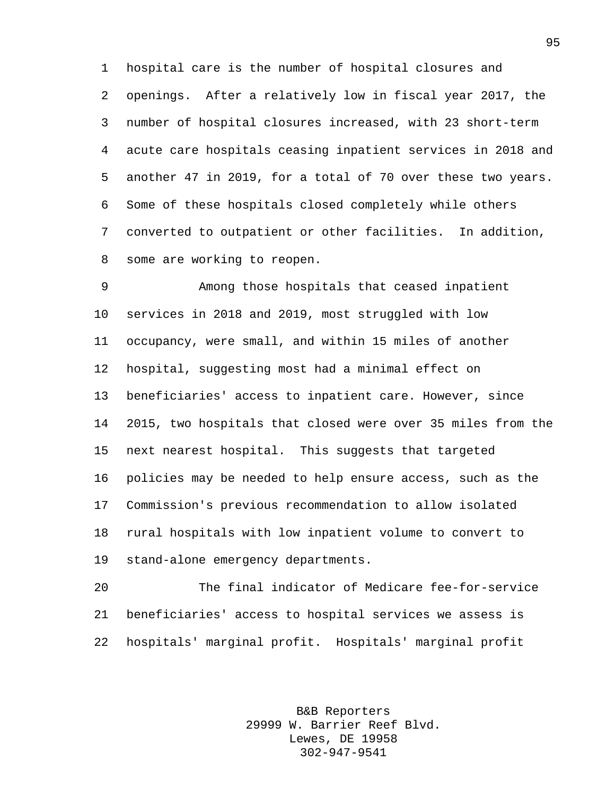hospital care is the number of hospital closures and openings. After a relatively low in fiscal year 2017, the number of hospital closures increased, with 23 short-term acute care hospitals ceasing inpatient services in 2018 and another 47 in 2019, for a total of 70 over these two years. Some of these hospitals closed completely while others converted to outpatient or other facilities. In addition, some are working to reopen.

 Among those hospitals that ceased inpatient services in 2018 and 2019, most struggled with low occupancy, were small, and within 15 miles of another hospital, suggesting most had a minimal effect on beneficiaries' access to inpatient care. However, since 2015, two hospitals that closed were over 35 miles from the next nearest hospital. This suggests that targeted policies may be needed to help ensure access, such as the Commission's previous recommendation to allow isolated rural hospitals with low inpatient volume to convert to stand-alone emergency departments.

 The final indicator of Medicare fee-for-service beneficiaries' access to hospital services we assess is hospitals' marginal profit. Hospitals' marginal profit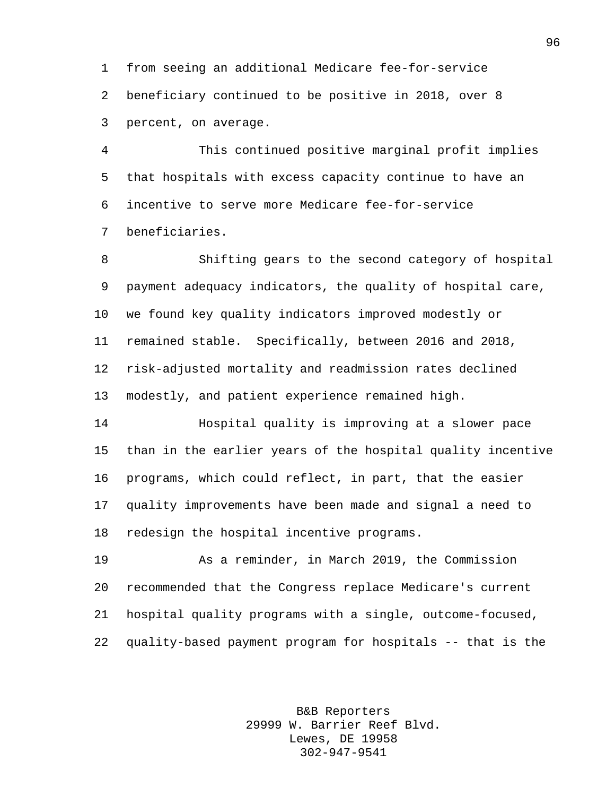from seeing an additional Medicare fee-for-service beneficiary continued to be positive in 2018, over 8 percent, on average.

 This continued positive marginal profit implies that hospitals with excess capacity continue to have an incentive to serve more Medicare fee-for-service beneficiaries.

 Shifting gears to the second category of hospital payment adequacy indicators, the quality of hospital care, we found key quality indicators improved modestly or remained stable. Specifically, between 2016 and 2018, risk-adjusted mortality and readmission rates declined modestly, and patient experience remained high.

 Hospital quality is improving at a slower pace than in the earlier years of the hospital quality incentive programs, which could reflect, in part, that the easier quality improvements have been made and signal a need to redesign the hospital incentive programs.

 As a reminder, in March 2019, the Commission recommended that the Congress replace Medicare's current hospital quality programs with a single, outcome-focused, quality-based payment program for hospitals -- that is the

> B&B Reporters 29999 W. Barrier Reef Blvd. Lewes, DE 19958 302-947-9541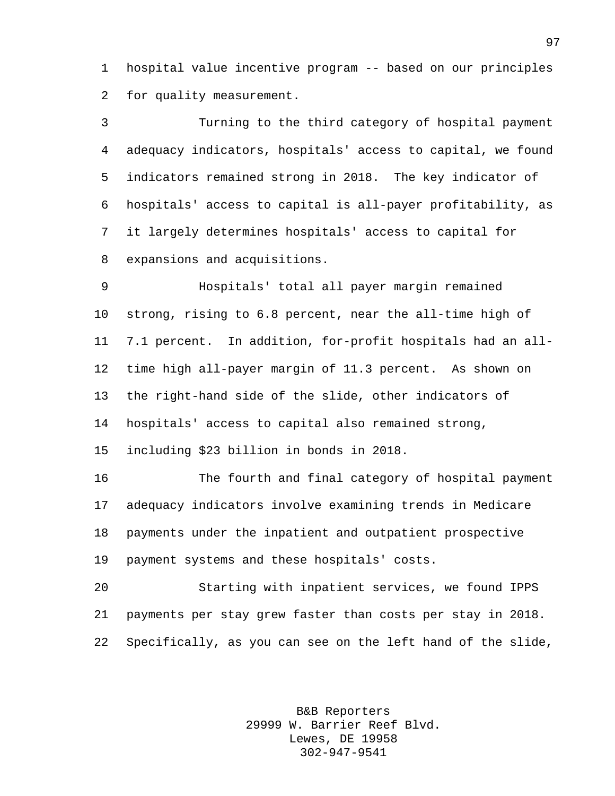hospital value incentive program -- based on our principles for quality measurement.

 Turning to the third category of hospital payment adequacy indicators, hospitals' access to capital, we found indicators remained strong in 2018. The key indicator of hospitals' access to capital is all-payer profitability, as it largely determines hospitals' access to capital for expansions and acquisitions.

 Hospitals' total all payer margin remained strong, rising to 6.8 percent, near the all-time high of 7.1 percent. In addition, for-profit hospitals had an all- time high all-payer margin of 11.3 percent. As shown on the right-hand side of the slide, other indicators of hospitals' access to capital also remained strong, including \$23 billion in bonds in 2018.

 The fourth and final category of hospital payment adequacy indicators involve examining trends in Medicare payments under the inpatient and outpatient prospective payment systems and these hospitals' costs.

 Starting with inpatient services, we found IPPS payments per stay grew faster than costs per stay in 2018. Specifically, as you can see on the left hand of the slide,

> B&B Reporters 29999 W. Barrier Reef Blvd. Lewes, DE 19958 302-947-9541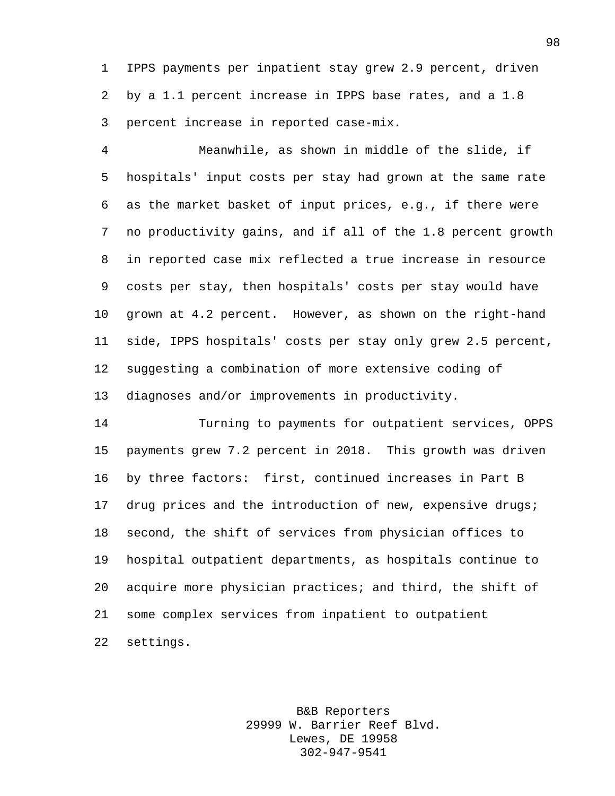IPPS payments per inpatient stay grew 2.9 percent, driven by a 1.1 percent increase in IPPS base rates, and a 1.8 percent increase in reported case-mix.

 Meanwhile, as shown in middle of the slide, if hospitals' input costs per stay had grown at the same rate as the market basket of input prices, e.g., if there were no productivity gains, and if all of the 1.8 percent growth in reported case mix reflected a true increase in resource costs per stay, then hospitals' costs per stay would have grown at 4.2 percent. However, as shown on the right-hand side, IPPS hospitals' costs per stay only grew 2.5 percent, suggesting a combination of more extensive coding of diagnoses and/or improvements in productivity.

 Turning to payments for outpatient services, OPPS payments grew 7.2 percent in 2018. This growth was driven by three factors: first, continued increases in Part B drug prices and the introduction of new, expensive drugs; second, the shift of services from physician offices to hospital outpatient departments, as hospitals continue to acquire more physician practices; and third, the shift of some complex services from inpatient to outpatient settings.

> B&B Reporters 29999 W. Barrier Reef Blvd. Lewes, DE 19958 302-947-9541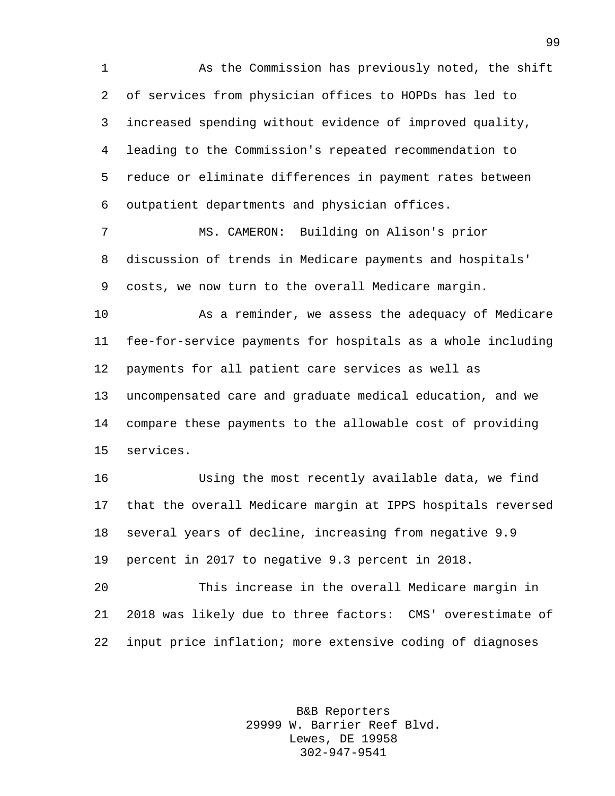As the Commission has previously noted, the shift of services from physician offices to HOPDs has led to increased spending without evidence of improved quality, leading to the Commission's repeated recommendation to reduce or eliminate differences in payment rates between outpatient departments and physician offices.

 MS. CAMERON: Building on Alison's prior discussion of trends in Medicare payments and hospitals' costs, we now turn to the overall Medicare margin.

 As a reminder, we assess the adequacy of Medicare fee-for-service payments for hospitals as a whole including payments for all patient care services as well as uncompensated care and graduate medical education, and we compare these payments to the allowable cost of providing services.

 Using the most recently available data, we find that the overall Medicare margin at IPPS hospitals reversed several years of decline, increasing from negative 9.9 percent in 2017 to negative 9.3 percent in 2018.

 This increase in the overall Medicare margin in 2018 was likely due to three factors: CMS' overestimate of input price inflation; more extensive coding of diagnoses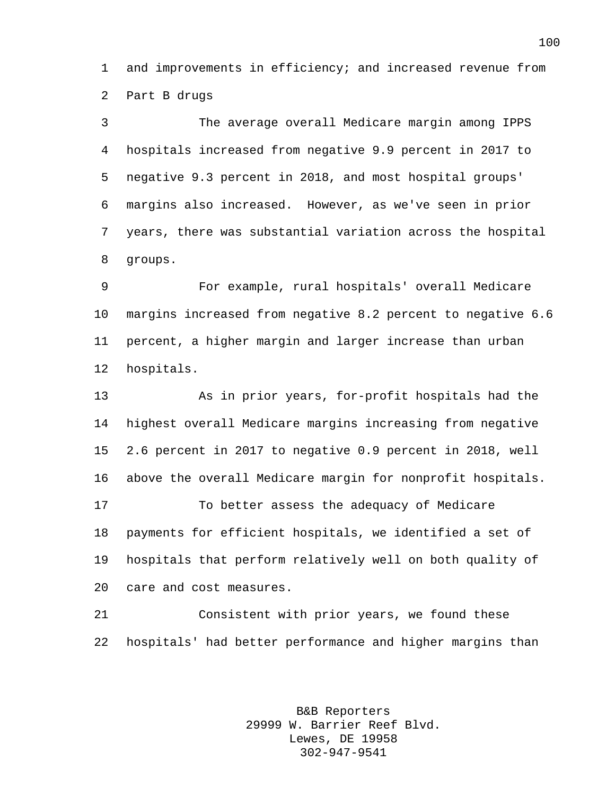and improvements in efficiency; and increased revenue from Part B drugs

 The average overall Medicare margin among IPPS hospitals increased from negative 9.9 percent in 2017 to negative 9.3 percent in 2018, and most hospital groups' margins also increased. However, as we've seen in prior years, there was substantial variation across the hospital groups.

 For example, rural hospitals' overall Medicare margins increased from negative 8.2 percent to negative 6.6 percent, a higher margin and larger increase than urban hospitals.

 As in prior years, for-profit hospitals had the highest overall Medicare margins increasing from negative 2.6 percent in 2017 to negative 0.9 percent in 2018, well above the overall Medicare margin for nonprofit hospitals. To better assess the adequacy of Medicare payments for efficient hospitals, we identified a set of hospitals that perform relatively well on both quality of care and cost measures.

 Consistent with prior years, we found these hospitals' had better performance and higher margins than

> B&B Reporters 29999 W. Barrier Reef Blvd. Lewes, DE 19958 302-947-9541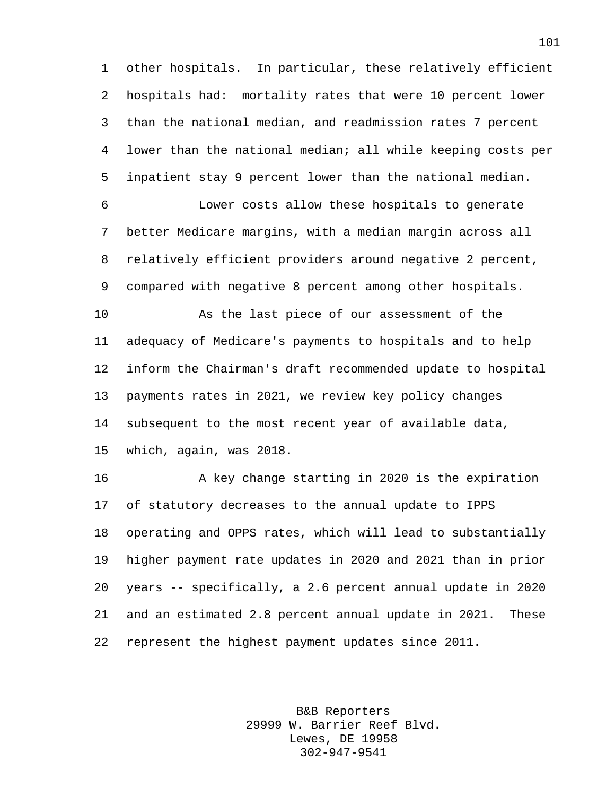other hospitals. In particular, these relatively efficient hospitals had: mortality rates that were 10 percent lower than the national median, and readmission rates 7 percent lower than the national median; all while keeping costs per inpatient stay 9 percent lower than the national median.

 Lower costs allow these hospitals to generate better Medicare margins, with a median margin across all relatively efficient providers around negative 2 percent, compared with negative 8 percent among other hospitals.

 As the last piece of our assessment of the adequacy of Medicare's payments to hospitals and to help inform the Chairman's draft recommended update to hospital payments rates in 2021, we review key policy changes subsequent to the most recent year of available data, which, again, was 2018.

 A key change starting in 2020 is the expiration of statutory decreases to the annual update to IPPS operating and OPPS rates, which will lead to substantially higher payment rate updates in 2020 and 2021 than in prior years -- specifically, a 2.6 percent annual update in 2020 and an estimated 2.8 percent annual update in 2021. These represent the highest payment updates since 2011.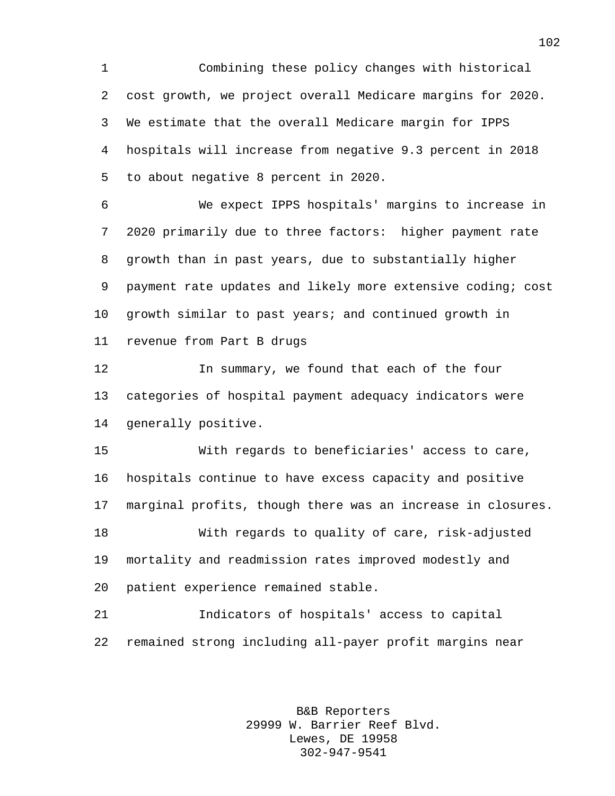Combining these policy changes with historical cost growth, we project overall Medicare margins for 2020. We estimate that the overall Medicare margin for IPPS hospitals will increase from negative 9.3 percent in 2018 to about negative 8 percent in 2020.

 We expect IPPS hospitals' margins to increase in 2020 primarily due to three factors: higher payment rate growth than in past years, due to substantially higher payment rate updates and likely more extensive coding; cost growth similar to past years; and continued growth in revenue from Part B drugs

 In summary, we found that each of the four categories of hospital payment adequacy indicators were generally positive.

 With regards to beneficiaries' access to care, hospitals continue to have excess capacity and positive marginal profits, though there was an increase in closures. With regards to quality of care, risk-adjusted mortality and readmission rates improved modestly and patient experience remained stable.

 Indicators of hospitals' access to capital remained strong including all-payer profit margins near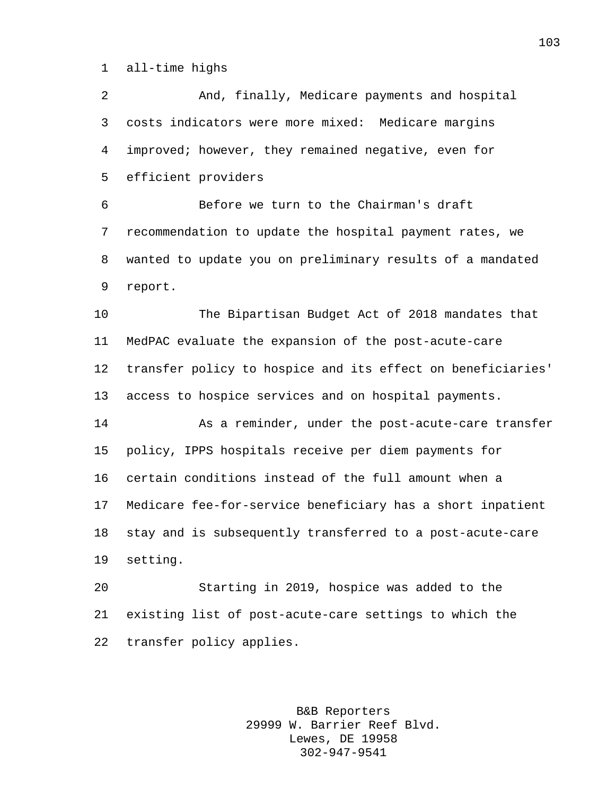all-time highs

transfer policy applies.

 And, finally, Medicare payments and hospital costs indicators were more mixed: Medicare margins improved; however, they remained negative, even for efficient providers Before we turn to the Chairman's draft recommendation to update the hospital payment rates, we wanted to update you on preliminary results of a mandated report. The Bipartisan Budget Act of 2018 mandates that MedPAC evaluate the expansion of the post-acute-care transfer policy to hospice and its effect on beneficiaries' access to hospice services and on hospital payments. As a reminder, under the post-acute-care transfer policy, IPPS hospitals receive per diem payments for certain conditions instead of the full amount when a Medicare fee-for-service beneficiary has a short inpatient stay and is subsequently transferred to a post-acute-care setting. Starting in 2019, hospice was added to the existing list of post-acute-care settings to which the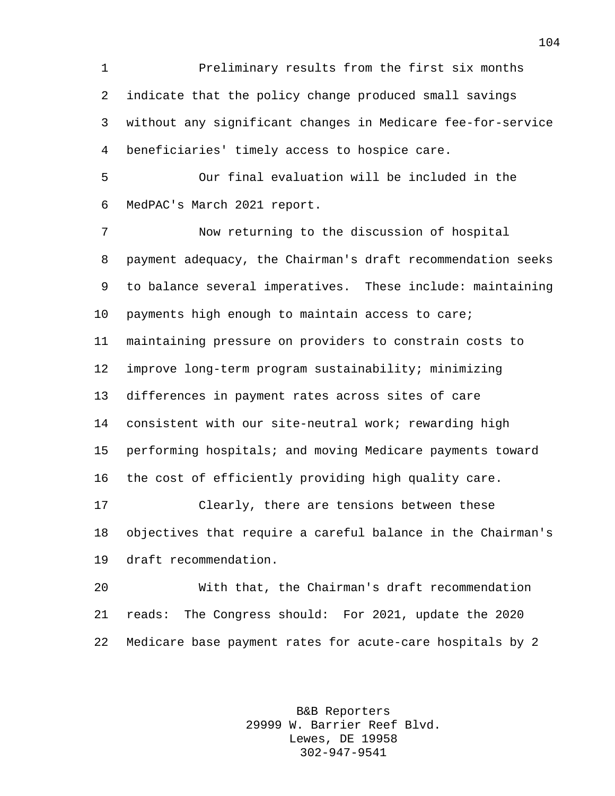Preliminary results from the first six months indicate that the policy change produced small savings without any significant changes in Medicare fee-for-service beneficiaries' timely access to hospice care.

 Our final evaluation will be included in the MedPAC's March 2021 report.

 Now returning to the discussion of hospital payment adequacy, the Chairman's draft recommendation seeks to balance several imperatives. These include: maintaining payments high enough to maintain access to care; maintaining pressure on providers to constrain costs to improve long-term program sustainability; minimizing differences in payment rates across sites of care consistent with our site-neutral work; rewarding high performing hospitals; and moving Medicare payments toward the cost of efficiently providing high quality care. Clearly, there are tensions between these

 objectives that require a careful balance in the Chairman's draft recommendation.

 With that, the Chairman's draft recommendation reads: The Congress should: For 2021, update the 2020 Medicare base payment rates for acute-care hospitals by 2

> B&B Reporters 29999 W. Barrier Reef Blvd. Lewes, DE 19958 302-947-9541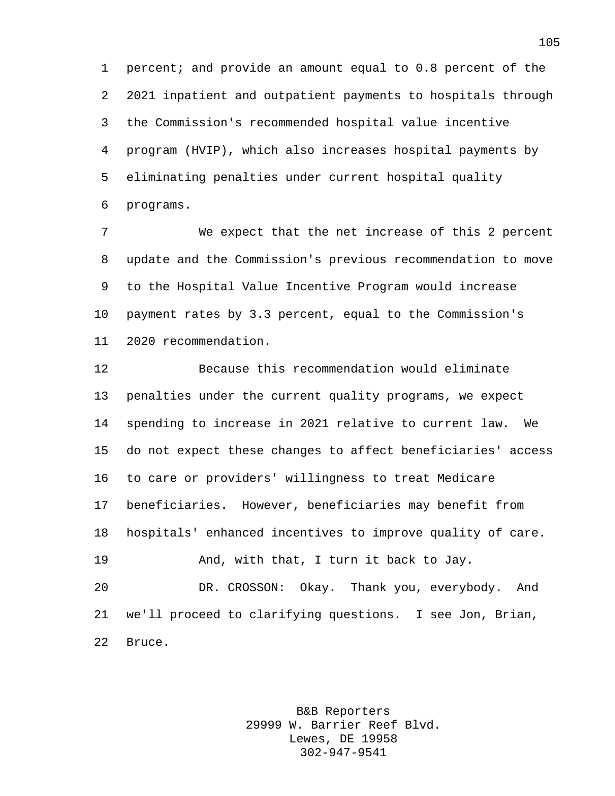percent; and provide an amount equal to 0.8 percent of the 2021 inpatient and outpatient payments to hospitals through the Commission's recommended hospital value incentive program (HVIP), which also increases hospital payments by eliminating penalties under current hospital quality programs.

 We expect that the net increase of this 2 percent update and the Commission's previous recommendation to move to the Hospital Value Incentive Program would increase payment rates by 3.3 percent, equal to the Commission's 2020 recommendation.

 Because this recommendation would eliminate penalties under the current quality programs, we expect spending to increase in 2021 relative to current law. We do not expect these changes to affect beneficiaries' access to care or providers' willingness to treat Medicare beneficiaries. However, beneficiaries may benefit from hospitals' enhanced incentives to improve quality of care. And, with that, I turn it back to Jay. DR. CROSSON: Okay. Thank you, everybody. And we'll proceed to clarifying questions. I see Jon, Brian, Bruce.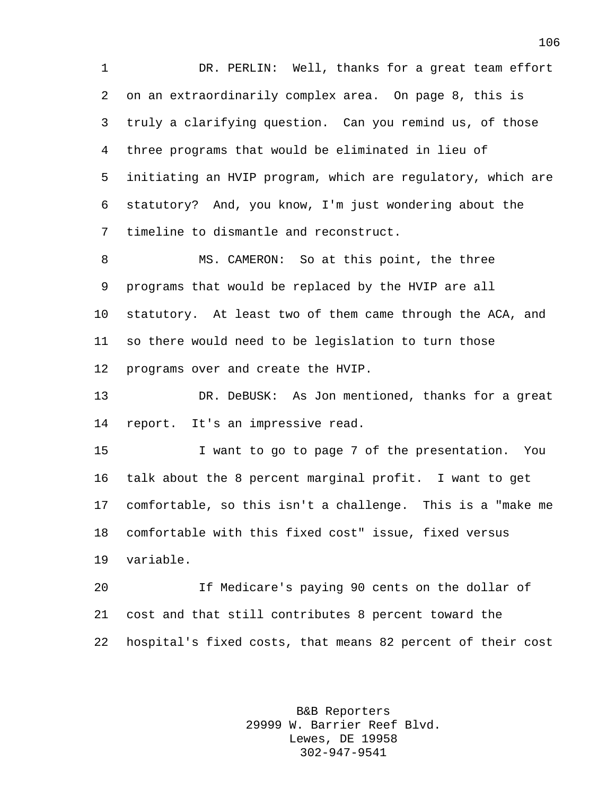1 DR. PERLIN: Well, thanks for a great team effort on an extraordinarily complex area. On page 8, this is truly a clarifying question. Can you remind us, of those three programs that would be eliminated in lieu of initiating an HVIP program, which are regulatory, which are statutory? And, you know, I'm just wondering about the timeline to dismantle and reconstruct.

8 MS. CAMERON: So at this point, the three programs that would be replaced by the HVIP are all statutory. At least two of them came through the ACA, and so there would need to be legislation to turn those programs over and create the HVIP.

 DR. DeBUSK: As Jon mentioned, thanks for a great report. It's an impressive read.

 I want to go to page 7 of the presentation. You talk about the 8 percent marginal profit. I want to get comfortable, so this isn't a challenge. This is a "make me comfortable with this fixed cost" issue, fixed versus variable.

 If Medicare's paying 90 cents on the dollar of cost and that still contributes 8 percent toward the hospital's fixed costs, that means 82 percent of their cost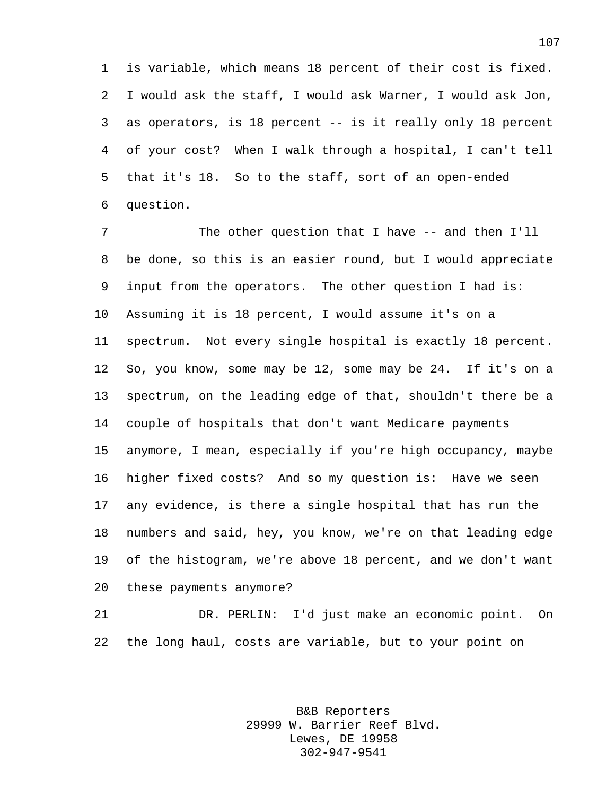is variable, which means 18 percent of their cost is fixed. I would ask the staff, I would ask Warner, I would ask Jon, as operators, is 18 percent -- is it really only 18 percent of your cost? When I walk through a hospital, I can't tell that it's 18. So to the staff, sort of an open-ended question.

 The other question that I have -- and then I'll be done, so this is an easier round, but I would appreciate input from the operators. The other question I had is: Assuming it is 18 percent, I would assume it's on a spectrum. Not every single hospital is exactly 18 percent. So, you know, some may be 12, some may be 24. If it's on a spectrum, on the leading edge of that, shouldn't there be a couple of hospitals that don't want Medicare payments anymore, I mean, especially if you're high occupancy, maybe higher fixed costs? And so my question is: Have we seen any evidence, is there a single hospital that has run the numbers and said, hey, you know, we're on that leading edge of the histogram, we're above 18 percent, and we don't want these payments anymore?

 DR. PERLIN: I'd just make an economic point. On the long haul, costs are variable, but to your point on

> B&B Reporters 29999 W. Barrier Reef Blvd. Lewes, DE 19958 302-947-9541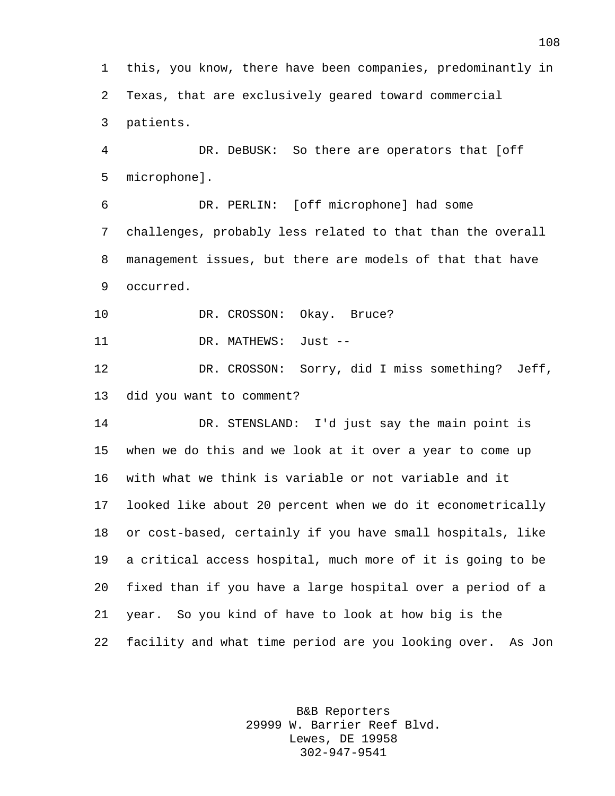this, you know, there have been companies, predominantly in Texas, that are exclusively geared toward commercial patients. DR. DeBUSK: So there are operators that [off microphone]. DR. PERLIN: [off microphone] had some challenges, probably less related to that than the overall

 management issues, but there are models of that that have occurred.

10 DR. CROSSON: Okay. Bruce?

11 DR. MATHEWS: Just --

 DR. CROSSON: Sorry, did I miss something? Jeff, did you want to comment?

 DR. STENSLAND: I'd just say the main point is when we do this and we look at it over a year to come up with what we think is variable or not variable and it looked like about 20 percent when we do it econometrically or cost-based, certainly if you have small hospitals, like a critical access hospital, much more of it is going to be fixed than if you have a large hospital over a period of a year. So you kind of have to look at how big is the facility and what time period are you looking over. As Jon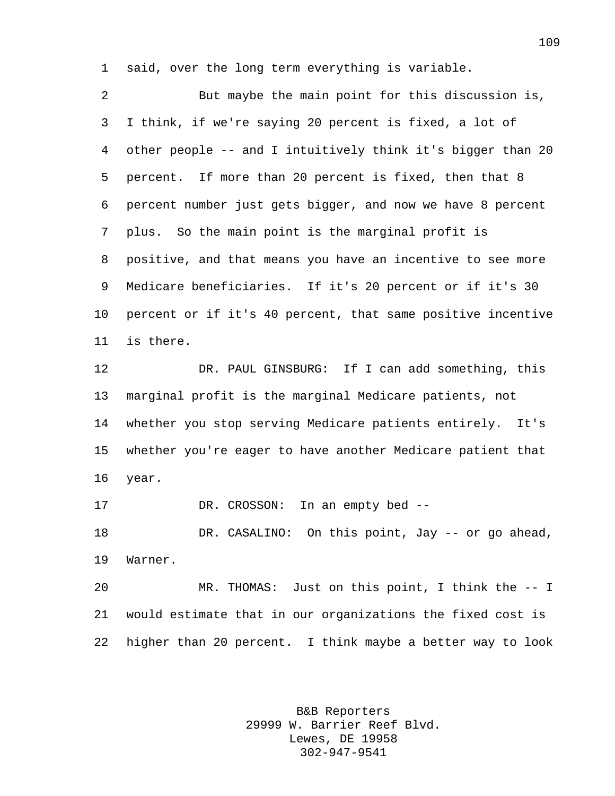said, over the long term everything is variable.

 But maybe the main point for this discussion is, I think, if we're saying 20 percent is fixed, a lot of other people -- and I intuitively think it's bigger than 20 percent. If more than 20 percent is fixed, then that 8 percent number just gets bigger, and now we have 8 percent plus. So the main point is the marginal profit is positive, and that means you have an incentive to see more Medicare beneficiaries. If it's 20 percent or if it's 30 percent or if it's 40 percent, that same positive incentive is there.

 DR. PAUL GINSBURG: If I can add something, this marginal profit is the marginal Medicare patients, not whether you stop serving Medicare patients entirely. It's whether you're eager to have another Medicare patient that year.

DR. CROSSON: In an empty bed --

 DR. CASALINO: On this point, Jay -- or go ahead, Warner.

 MR. THOMAS: Just on this point, I think the -- I would estimate that in our organizations the fixed cost is higher than 20 percent. I think maybe a better way to look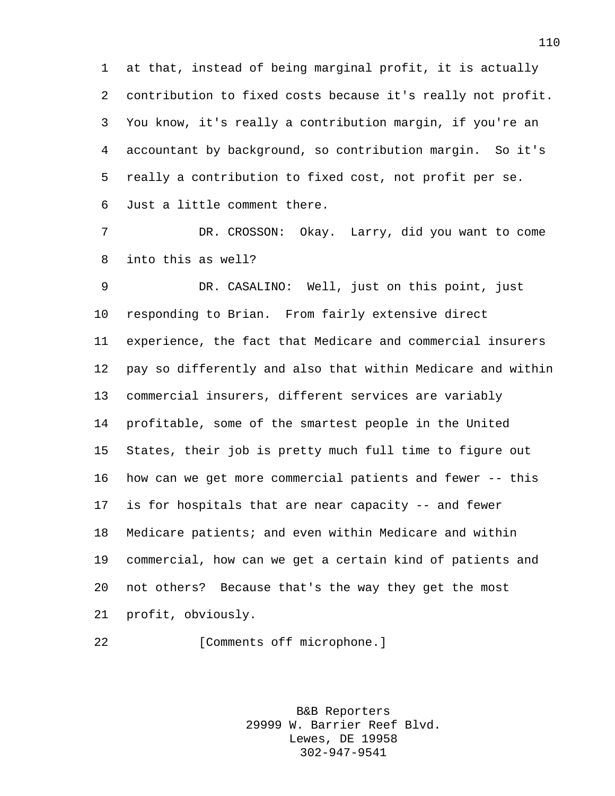at that, instead of being marginal profit, it is actually contribution to fixed costs because it's really not profit. You know, it's really a contribution margin, if you're an accountant by background, so contribution margin. So it's really a contribution to fixed cost, not profit per se. Just a little comment there.

 DR. CROSSON: Okay. Larry, did you want to come into this as well?

 DR. CASALINO: Well, just on this point, just responding to Brian. From fairly extensive direct experience, the fact that Medicare and commercial insurers pay so differently and also that within Medicare and within commercial insurers, different services are variably profitable, some of the smartest people in the United States, their job is pretty much full time to figure out how can we get more commercial patients and fewer -- this is for hospitals that are near capacity -- and fewer Medicare patients; and even within Medicare and within commercial, how can we get a certain kind of patients and not others? Because that's the way they get the most profit, obviously.

22 [Comments off microphone.]

B&B Reporters 29999 W. Barrier Reef Blvd. Lewes, DE 19958 302-947-9541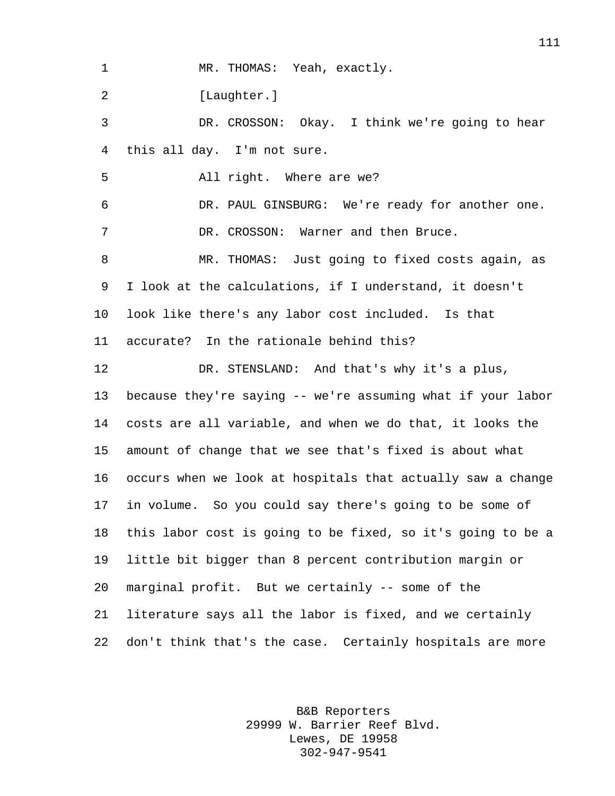MR. THOMAS: Yeah, exactly.

2 [Laughter.]

 DR. CROSSON: Okay. I think we're going to hear this all day. I'm not sure.

All right. Where are we?

 DR. PAUL GINSBURG: We're ready for another one. 7 DR. CROSSON: Warner and then Bruce.

 MR. THOMAS: Just going to fixed costs again, as I look at the calculations, if I understand, it doesn't look like there's any labor cost included. Is that accurate? In the rationale behind this?

DR. STENSLAND: And that's why it's a plus,

 because they're saying -- we're assuming what if your labor costs are all variable, and when we do that, it looks the amount of change that we see that's fixed is about what occurs when we look at hospitals that actually saw a change in volume. So you could say there's going to be some of this labor cost is going to be fixed, so it's going to be a little bit bigger than 8 percent contribution margin or marginal profit. But we certainly -- some of the literature says all the labor is fixed, and we certainly don't think that's the case. Certainly hospitals are more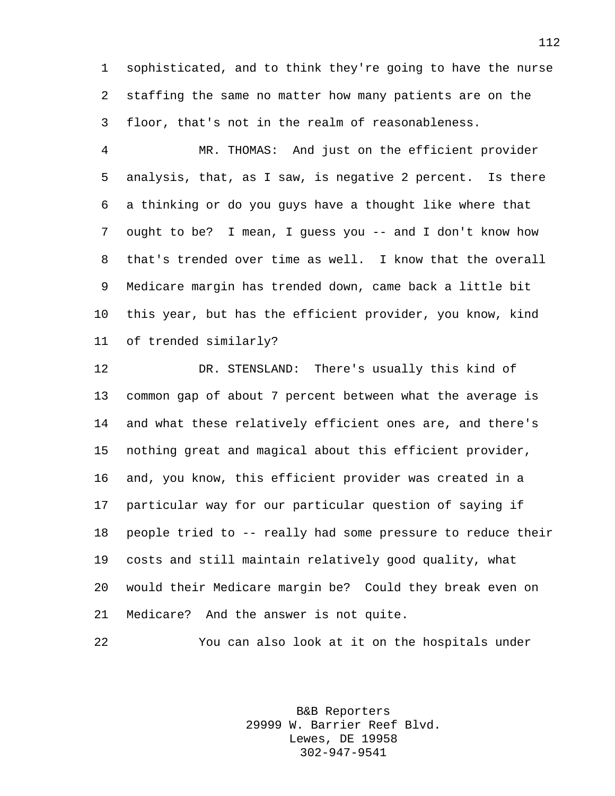sophisticated, and to think they're going to have the nurse staffing the same no matter how many patients are on the floor, that's not in the realm of reasonableness.

 MR. THOMAS: And just on the efficient provider analysis, that, as I saw, is negative 2 percent. Is there a thinking or do you guys have a thought like where that ought to be? I mean, I guess you -- and I don't know how that's trended over time as well. I know that the overall Medicare margin has trended down, came back a little bit this year, but has the efficient provider, you know, kind of trended similarly?

 DR. STENSLAND: There's usually this kind of common gap of about 7 percent between what the average is and what these relatively efficient ones are, and there's nothing great and magical about this efficient provider, and, you know, this efficient provider was created in a particular way for our particular question of saying if people tried to -- really had some pressure to reduce their costs and still maintain relatively good quality, what would their Medicare margin be? Could they break even on Medicare? And the answer is not quite.

```
22 You can also look at it on the hospitals under
```
B&B Reporters 29999 W. Barrier Reef Blvd. Lewes, DE 19958 302-947-9541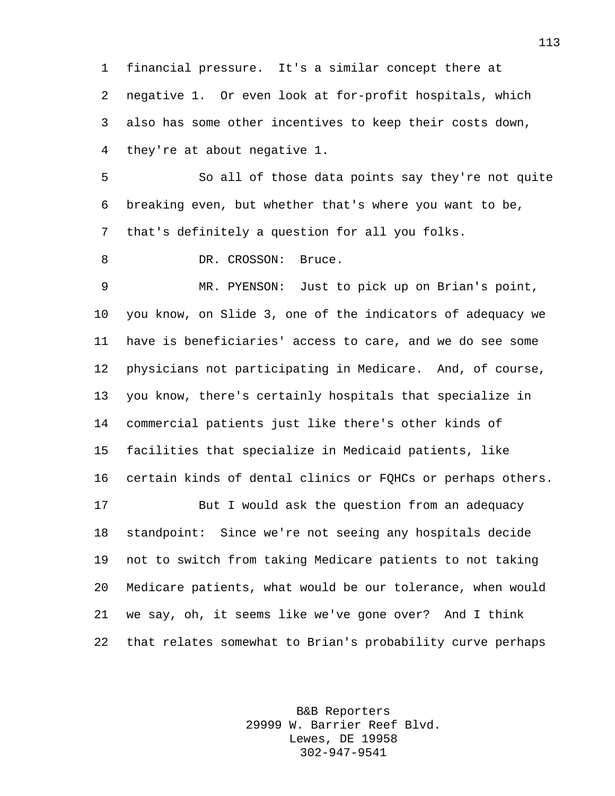financial pressure. It's a similar concept there at negative 1. Or even look at for-profit hospitals, which also has some other incentives to keep their costs down, they're at about negative 1.

 So all of those data points say they're not quite breaking even, but whether that's where you want to be, that's definitely a question for all you folks.

8 DR. CROSSON: Bruce.

 MR. PYENSON: Just to pick up on Brian's point, you know, on Slide 3, one of the indicators of adequacy we have is beneficiaries' access to care, and we do see some physicians not participating in Medicare. And, of course, you know, there's certainly hospitals that specialize in commercial patients just like there's other kinds of facilities that specialize in Medicaid patients, like certain kinds of dental clinics or FQHCs or perhaps others.

 But I would ask the question from an adequacy standpoint: Since we're not seeing any hospitals decide not to switch from taking Medicare patients to not taking Medicare patients, what would be our tolerance, when would we say, oh, it seems like we've gone over? And I think that relates somewhat to Brian's probability curve perhaps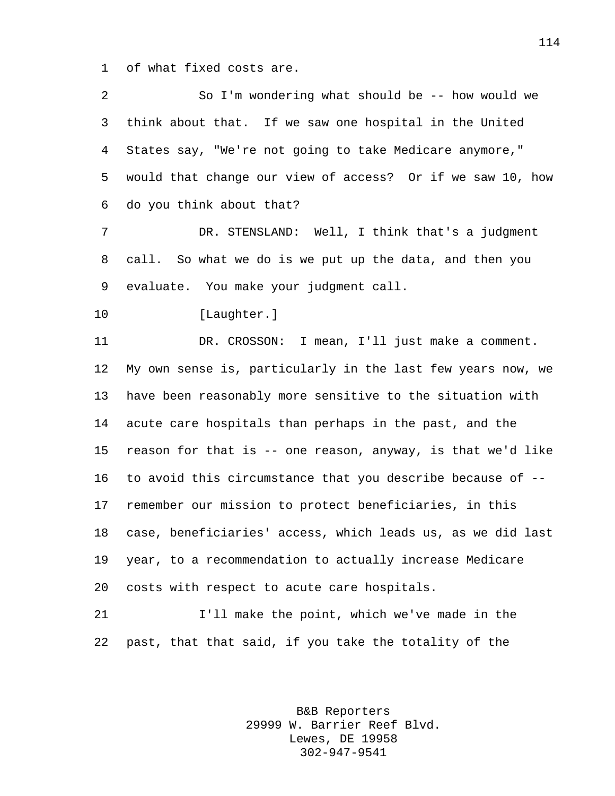of what fixed costs are.

| 2  | So I'm wondering what should be -- how would we             |
|----|-------------------------------------------------------------|
| 3  | think about that. If we saw one hospital in the United      |
| 4  | States say, "We're not going to take Medicare anymore,"     |
| 5  | would that change our view of access? Or if we saw 10, how  |
| 6  | do you think about that?                                    |
| 7  | DR. STENSLAND: Well, I think that's a judgment              |
| 8  | call. So what we do is we put up the data, and then you     |
| 9  | evaluate. You make your judgment call.                      |
| 10 | [Laughter.]                                                 |
| 11 | DR. CROSSON: I mean, I'll just make a comment.              |
| 12 | My own sense is, particularly in the last few years now, we |
| 13 | have been reasonably more sensitive to the situation with   |
| 14 | acute care hospitals than perhaps in the past, and the      |
| 15 | reason for that is -- one reason, anyway, is that we'd like |
| 16 | to avoid this circumstance that you describe because of --  |
| 17 | remember our mission to protect beneficiaries, in this      |
| 18 | case, beneficiaries' access, which leads us, as we did last |
| 19 | year, to a recommendation to actually increase Medicare     |
| 20 | costs with respect to acute care hospitals.                 |
| 21 | I'll make the point, which we've made in the                |
| 22 | past, that that said, if you take the totality of the       |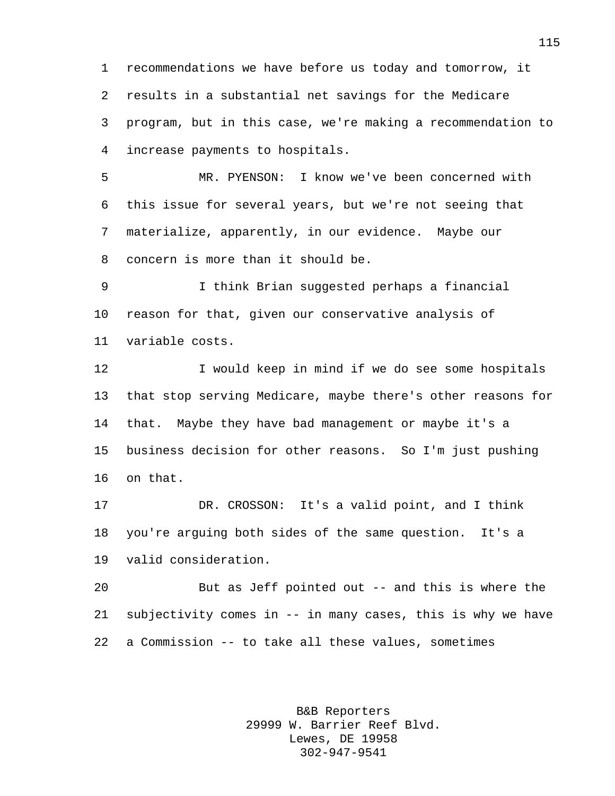recommendations we have before us today and tomorrow, it results in a substantial net savings for the Medicare program, but in this case, we're making a recommendation to increase payments to hospitals.

 MR. PYENSON: I know we've been concerned with this issue for several years, but we're not seeing that materialize, apparently, in our evidence. Maybe our concern is more than it should be.

 I think Brian suggested perhaps a financial reason for that, given our conservative analysis of variable costs.

12 I would keep in mind if we do see some hospitals that stop serving Medicare, maybe there's other reasons for that. Maybe they have bad management or maybe it's a business decision for other reasons. So I'm just pushing on that.

 DR. CROSSON: It's a valid point, and I think you're arguing both sides of the same question. It's a valid consideration.

 But as Jeff pointed out -- and this is where the subjectivity comes in -- in many cases, this is why we have a Commission -- to take all these values, sometimes

> B&B Reporters 29999 W. Barrier Reef Blvd. Lewes, DE 19958 302-947-9541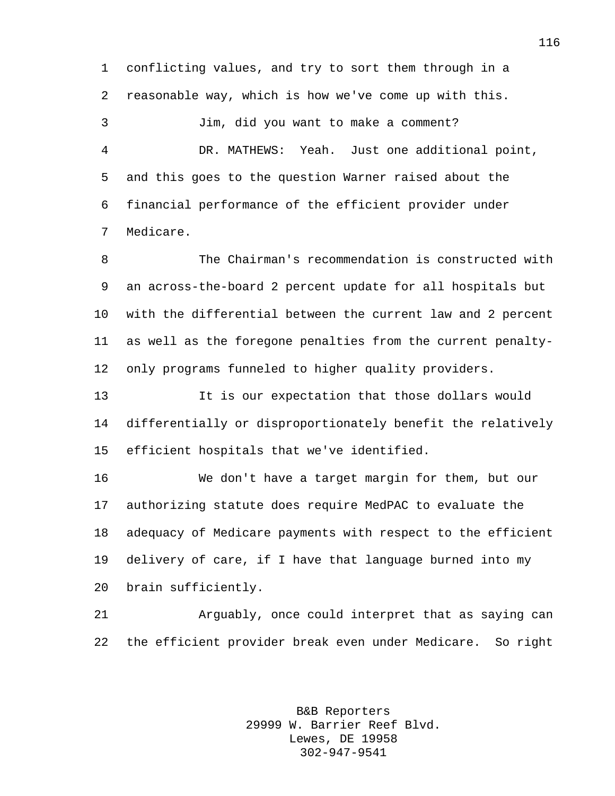conflicting values, and try to sort them through in a reasonable way, which is how we've come up with this.

 Jim, did you want to make a comment? DR. MATHEWS: Yeah. Just one additional point, and this goes to the question Warner raised about the financial performance of the efficient provider under Medicare.

 The Chairman's recommendation is constructed with an across-the-board 2 percent update for all hospitals but with the differential between the current law and 2 percent as well as the foregone penalties from the current penalty-only programs funneled to higher quality providers.

 It is our expectation that those dollars would differentially or disproportionately benefit the relatively efficient hospitals that we've identified.

 We don't have a target margin for them, but our authorizing statute does require MedPAC to evaluate the adequacy of Medicare payments with respect to the efficient delivery of care, if I have that language burned into my brain sufficiently.

 Arguably, once could interpret that as saying can the efficient provider break even under Medicare. So right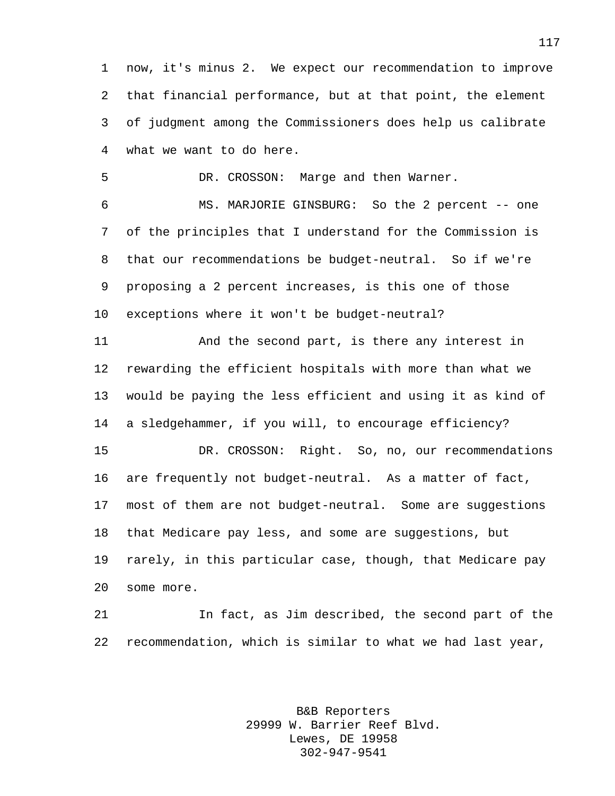now, it's minus 2. We expect our recommendation to improve that financial performance, but at that point, the element of judgment among the Commissioners does help us calibrate what we want to do here.

DR. CROSSON: Marge and then Warner.

 MS. MARJORIE GINSBURG: So the 2 percent -- one of the principles that I understand for the Commission is that our recommendations be budget-neutral. So if we're proposing a 2 percent increases, is this one of those exceptions where it won't be budget-neutral?

 And the second part, is there any interest in rewarding the efficient hospitals with more than what we would be paying the less efficient and using it as kind of a sledgehammer, if you will, to encourage efficiency?

 DR. CROSSON: Right. So, no, our recommendations are frequently not budget-neutral. As a matter of fact, most of them are not budget-neutral. Some are suggestions that Medicare pay less, and some are suggestions, but rarely, in this particular case, though, that Medicare pay some more.

 In fact, as Jim described, the second part of the recommendation, which is similar to what we had last year,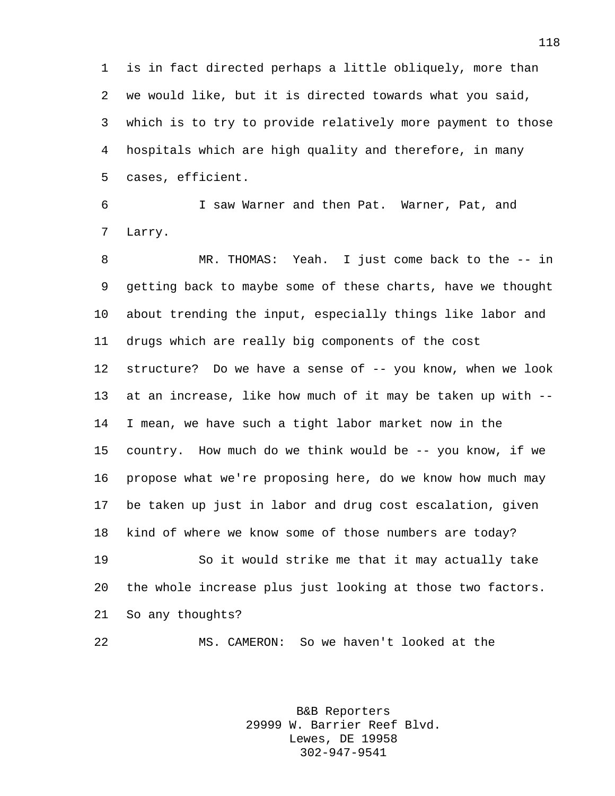is in fact directed perhaps a little obliquely, more than we would like, but it is directed towards what you said, which is to try to provide relatively more payment to those hospitals which are high quality and therefore, in many cases, efficient.

 I saw Warner and then Pat. Warner, Pat, and Larry.

 MR. THOMAS: Yeah. I just come back to the -- in getting back to maybe some of these charts, have we thought about trending the input, especially things like labor and drugs which are really big components of the cost 12 structure? Do we have a sense of -- you know, when we look at an increase, like how much of it may be taken up with -- I mean, we have such a tight labor market now in the country. How much do we think would be -- you know, if we propose what we're proposing here, do we know how much may be taken up just in labor and drug cost escalation, given kind of where we know some of those numbers are today? So it would strike me that it may actually take

 the whole increase plus just looking at those two factors. So any thoughts?

MS. CAMERON: So we haven't looked at the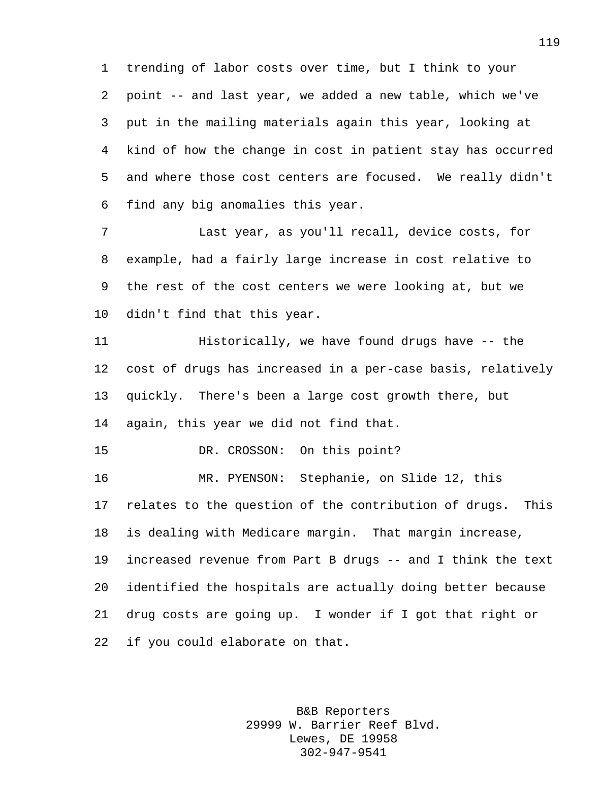trending of labor costs over time, but I think to your point -- and last year, we added a new table, which we've put in the mailing materials again this year, looking at kind of how the change in cost in patient stay has occurred and where those cost centers are focused. We really didn't find any big anomalies this year.

 Last year, as you'll recall, device costs, for example, had a fairly large increase in cost relative to the rest of the cost centers we were looking at, but we didn't find that this year.

 Historically, we have found drugs have -- the cost of drugs has increased in a per-case basis, relatively quickly. There's been a large cost growth there, but again, this year we did not find that.

DR. CROSSON: On this point?

 MR. PYENSON: Stephanie, on Slide 12, this relates to the question of the contribution of drugs. This is dealing with Medicare margin. That margin increase, increased revenue from Part B drugs -- and I think the text identified the hospitals are actually doing better because drug costs are going up. I wonder if I got that right or if you could elaborate on that.

> B&B Reporters 29999 W. Barrier Reef Blvd. Lewes, DE 19958 302-947-9541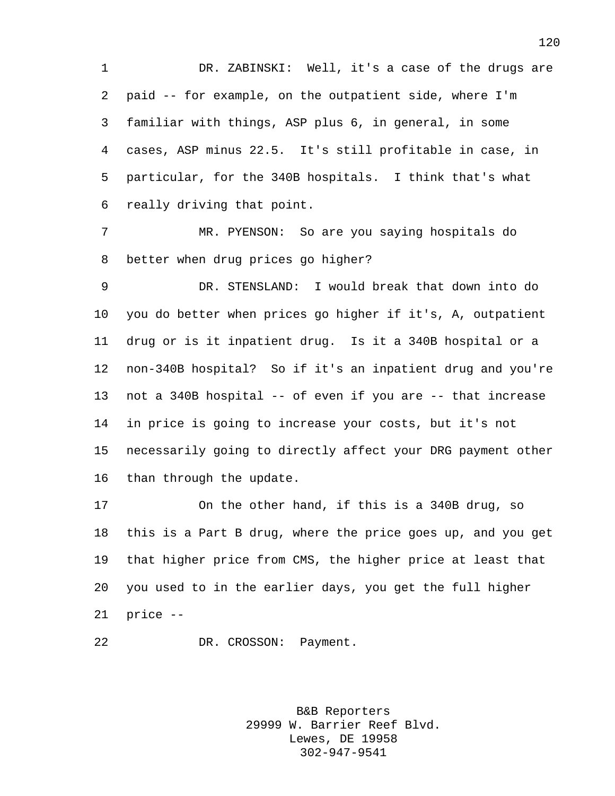1 DR. ZABINSKI: Well, it's a case of the drugs are paid -- for example, on the outpatient side, where I'm familiar with things, ASP plus 6, in general, in some cases, ASP minus 22.5. It's still profitable in case, in particular, for the 340B hospitals. I think that's what really driving that point.

 MR. PYENSON: So are you saying hospitals do better when drug prices go higher?

 DR. STENSLAND: I would break that down into do you do better when prices go higher if it's, A, outpatient drug or is it inpatient drug. Is it a 340B hospital or a non-340B hospital? So if it's an inpatient drug and you're not a 340B hospital -- of even if you are -- that increase in price is going to increase your costs, but it's not necessarily going to directly affect your DRG payment other than through the update.

 On the other hand, if this is a 340B drug, so this is a Part B drug, where the price goes up, and you get that higher price from CMS, the higher price at least that you used to in the earlier days, you get the full higher price --

DR. CROSSON: Payment.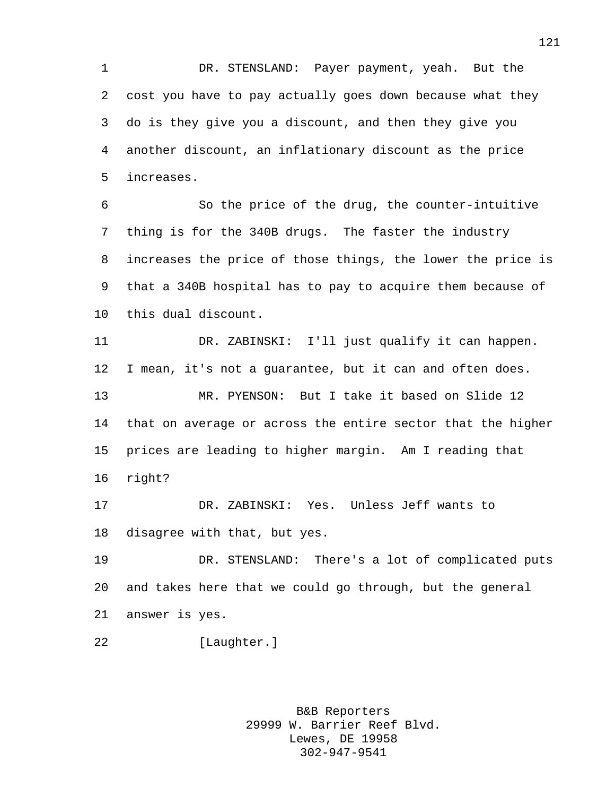DR. STENSLAND: Payer payment, yeah. But the cost you have to pay actually goes down because what they do is they give you a discount, and then they give you another discount, an inflationary discount as the price increases.

 So the price of the drug, the counter-intuitive thing is for the 340B drugs. The faster the industry increases the price of those things, the lower the price is that a 340B hospital has to pay to acquire them because of this dual discount.

 DR. ZABINSKI: I'll just qualify it can happen. I mean, it's not a guarantee, but it can and often does. MR. PYENSON: But I take it based on Slide 12 that on average or across the entire sector that the higher prices are leading to higher margin. Am I reading that right?

 DR. ZABINSKI: Yes. Unless Jeff wants to disagree with that, but yes.

 DR. STENSLAND: There's a lot of complicated puts and takes here that we could go through, but the general answer is yes.

[Laughter.]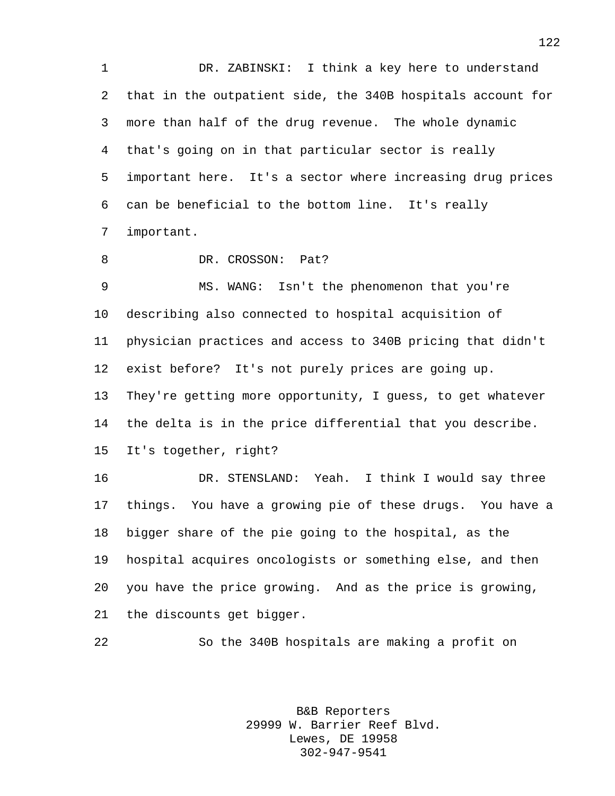DR. ZABINSKI: I think a key here to understand that in the outpatient side, the 340B hospitals account for more than half of the drug revenue. The whole dynamic that's going on in that particular sector is really important here. It's a sector where increasing drug prices can be beneficial to the bottom line. It's really important.

8 DR. CROSSON: Pat?

 MS. WANG: Isn't the phenomenon that you're describing also connected to hospital acquisition of physician practices and access to 340B pricing that didn't exist before? It's not purely prices are going up. They're getting more opportunity, I guess, to get whatever the delta is in the price differential that you describe. It's together, right?

 DR. STENSLAND: Yeah. I think I would say three things. You have a growing pie of these drugs. You have a bigger share of the pie going to the hospital, as the hospital acquires oncologists or something else, and then you have the price growing. And as the price is growing, the discounts get bigger.

So the 340B hospitals are making a profit on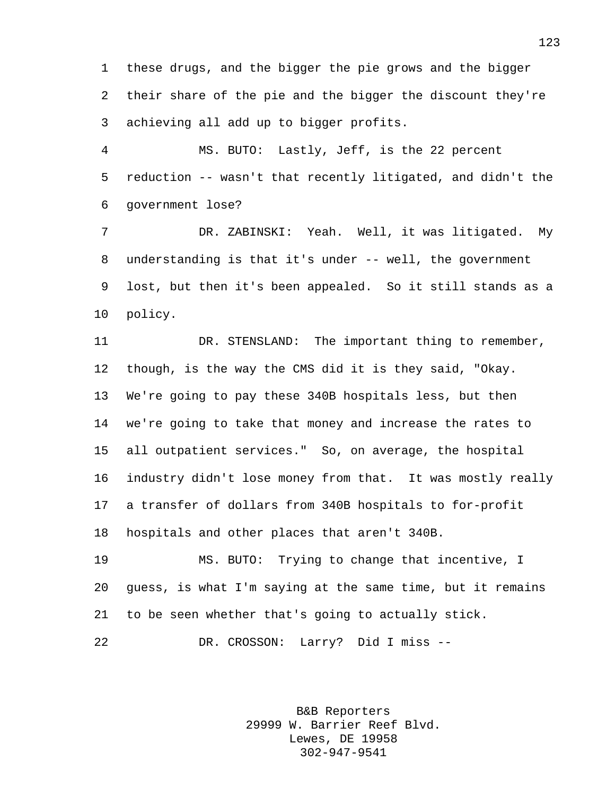these drugs, and the bigger the pie grows and the bigger their share of the pie and the bigger the discount they're achieving all add up to bigger profits.

 MS. BUTO: Lastly, Jeff, is the 22 percent reduction -- wasn't that recently litigated, and didn't the government lose?

 DR. ZABINSKI: Yeah. Well, it was litigated. My understanding is that it's under -- well, the government lost, but then it's been appealed. So it still stands as a policy.

 DR. STENSLAND: The important thing to remember, though, is the way the CMS did it is they said, "Okay. We're going to pay these 340B hospitals less, but then we're going to take that money and increase the rates to all outpatient services." So, on average, the hospital industry didn't lose money from that. It was mostly really a transfer of dollars from 340B hospitals to for-profit hospitals and other places that aren't 340B.

 MS. BUTO: Trying to change that incentive, I guess, is what I'm saying at the same time, but it remains to be seen whether that's going to actually stick.

DR. CROSSON: Larry? Did I miss --

B&B Reporters 29999 W. Barrier Reef Blvd. Lewes, DE 19958 302-947-9541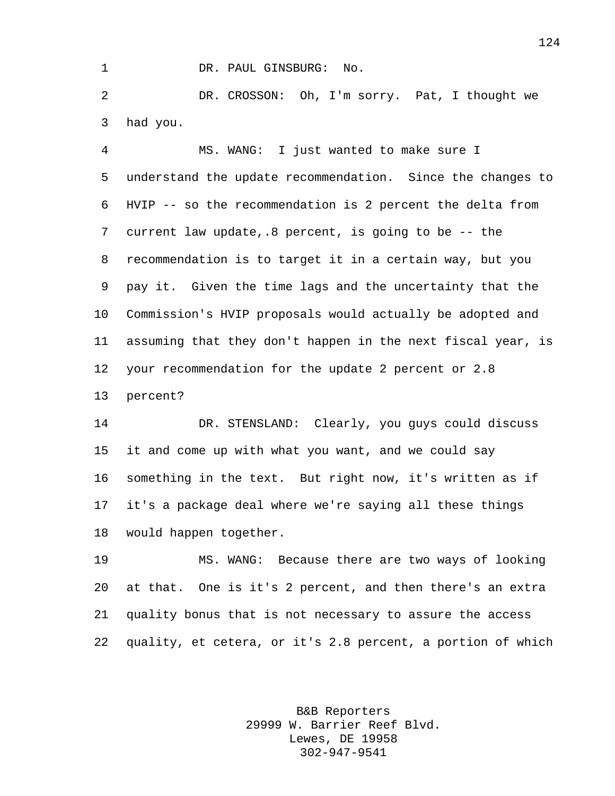1 DR. PAUL GINSBURG: No.

 DR. CROSSON: Oh, I'm sorry. Pat, I thought we had you.

 MS. WANG: I just wanted to make sure I understand the update recommendation. Since the changes to HVIP -- so the recommendation is 2 percent the delta from current law update,.8 percent, is going to be -- the recommendation is to target it in a certain way, but you pay it. Given the time lags and the uncertainty that the Commission's HVIP proposals would actually be adopted and assuming that they don't happen in the next fiscal year, is your recommendation for the update 2 percent or 2.8 percent?

 DR. STENSLAND: Clearly, you guys could discuss it and come up with what you want, and we could say something in the text. But right now, it's written as if it's a package deal where we're saying all these things would happen together.

 MS. WANG: Because there are two ways of looking at that. One is it's 2 percent, and then there's an extra quality bonus that is not necessary to assure the access quality, et cetera, or it's 2.8 percent, a portion of which

> B&B Reporters 29999 W. Barrier Reef Blvd. Lewes, DE 19958 302-947-9541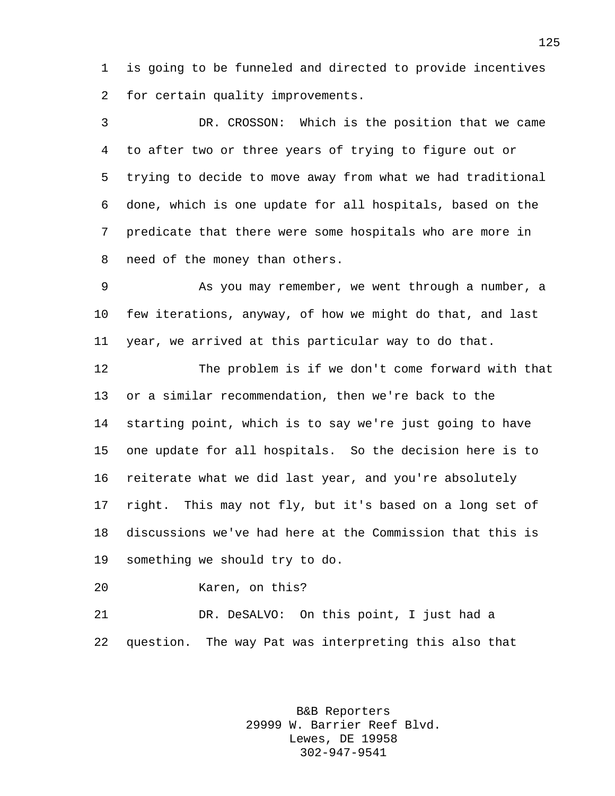is going to be funneled and directed to provide incentives for certain quality improvements.

 DR. CROSSON: Which is the position that we came to after two or three years of trying to figure out or trying to decide to move away from what we had traditional done, which is one update for all hospitals, based on the predicate that there were some hospitals who are more in need of the money than others.

 As you may remember, we went through a number, a few iterations, anyway, of how we might do that, and last year, we arrived at this particular way to do that.

 The problem is if we don't come forward with that or a similar recommendation, then we're back to the starting point, which is to say we're just going to have one update for all hospitals. So the decision here is to reiterate what we did last year, and you're absolutely right. This may not fly, but it's based on a long set of discussions we've had here at the Commission that this is something we should try to do.

Karen, on this?

 DR. DeSALVO: On this point, I just had a question. The way Pat was interpreting this also that

> B&B Reporters 29999 W. Barrier Reef Blvd. Lewes, DE 19958 302-947-9541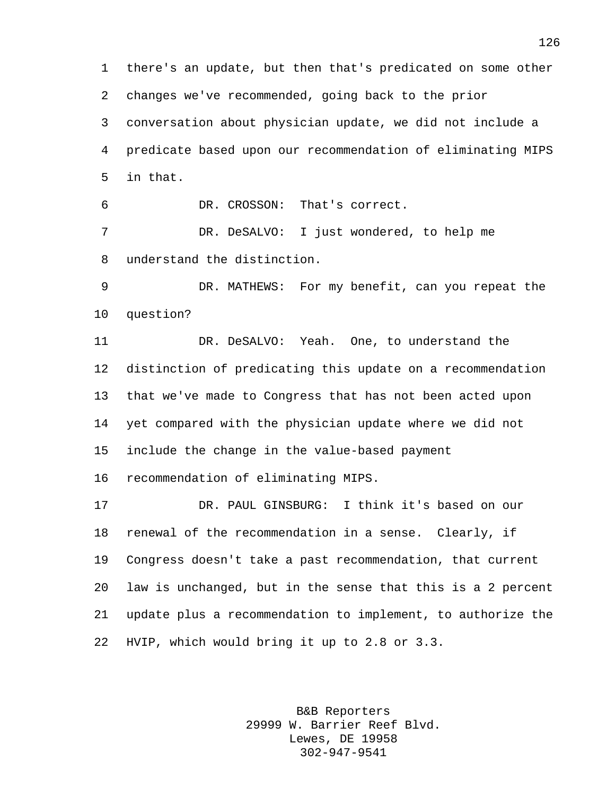there's an update, but then that's predicated on some other changes we've recommended, going back to the prior conversation about physician update, we did not include a predicate based upon our recommendation of eliminating MIPS in that. DR. CROSSON: That's correct. DR. DeSALVO: I just wondered, to help me understand the distinction. DR. MATHEWS: For my benefit, can you repeat the question?

 DR. DeSALVO: Yeah. One, to understand the distinction of predicating this update on a recommendation that we've made to Congress that has not been acted upon yet compared with the physician update where we did not include the change in the value-based payment

recommendation of eliminating MIPS.

 DR. PAUL GINSBURG: I think it's based on our renewal of the recommendation in a sense. Clearly, if Congress doesn't take a past recommendation, that current law is unchanged, but in the sense that this is a 2 percent update plus a recommendation to implement, to authorize the HVIP, which would bring it up to 2.8 or 3.3.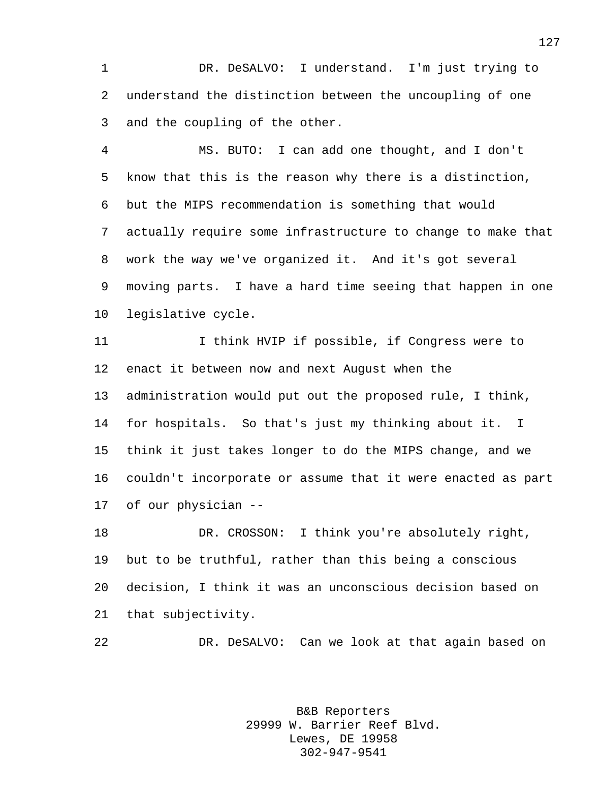DR. DeSALVO: I understand. I'm just trying to understand the distinction between the uncoupling of one and the coupling of the other.

 MS. BUTO: I can add one thought, and I don't know that this is the reason why there is a distinction, but the MIPS recommendation is something that would actually require some infrastructure to change to make that work the way we've organized it. And it's got several moving parts. I have a hard time seeing that happen in one legislative cycle.

 I think HVIP if possible, if Congress were to enact it between now and next August when the administration would put out the proposed rule, I think, for hospitals. So that's just my thinking about it. I think it just takes longer to do the MIPS change, and we couldn't incorporate or assume that it were enacted as part of our physician --

 DR. CROSSON: I think you're absolutely right, but to be truthful, rather than this being a conscious decision, I think it was an unconscious decision based on that subjectivity.

DR. DeSALVO: Can we look at that again based on

B&B Reporters 29999 W. Barrier Reef Blvd. Lewes, DE 19958 302-947-9541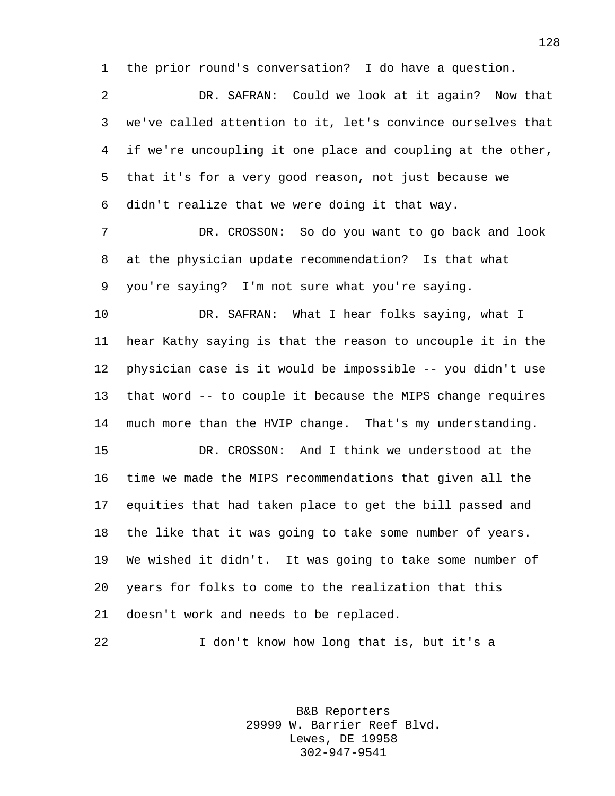the prior round's conversation? I do have a question.

 DR. SAFRAN: Could we look at it again? Now that we've called attention to it, let's convince ourselves that if we're uncoupling it one place and coupling at the other, that it's for a very good reason, not just because we didn't realize that we were doing it that way.

 DR. CROSSON: So do you want to go back and look at the physician update recommendation? Is that what you're saying? I'm not sure what you're saying.

 DR. SAFRAN: What I hear folks saying, what I hear Kathy saying is that the reason to uncouple it in the physician case is it would be impossible -- you didn't use that word -- to couple it because the MIPS change requires much more than the HVIP change. That's my understanding.

 DR. CROSSON: And I think we understood at the time we made the MIPS recommendations that given all the equities that had taken place to get the bill passed and the like that it was going to take some number of years. We wished it didn't. It was going to take some number of years for folks to come to the realization that this doesn't work and needs to be replaced.

I don't know how long that is, but it's a

B&B Reporters 29999 W. Barrier Reef Blvd. Lewes, DE 19958 302-947-9541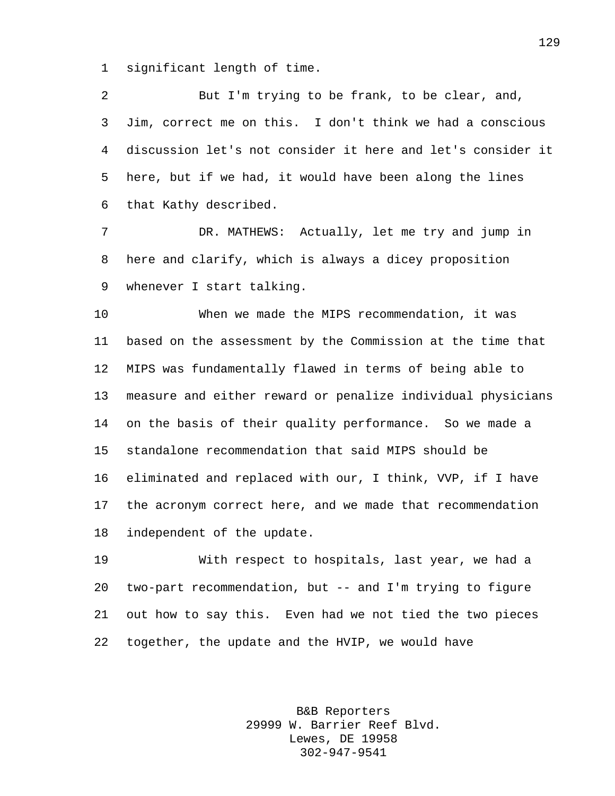significant length of time.

 But I'm trying to be frank, to be clear, and, Jim, correct me on this. I don't think we had a conscious discussion let's not consider it here and let's consider it here, but if we had, it would have been along the lines that Kathy described.

 DR. MATHEWS: Actually, let me try and jump in here and clarify, which is always a dicey proposition whenever I start talking.

 When we made the MIPS recommendation, it was based on the assessment by the Commission at the time that MIPS was fundamentally flawed in terms of being able to measure and either reward or penalize individual physicians on the basis of their quality performance. So we made a standalone recommendation that said MIPS should be eliminated and replaced with our, I think, VVP, if I have the acronym correct here, and we made that recommendation independent of the update.

 With respect to hospitals, last year, we had a two-part recommendation, but -- and I'm trying to figure out how to say this. Even had we not tied the two pieces together, the update and the HVIP, we would have

> B&B Reporters 29999 W. Barrier Reef Blvd. Lewes, DE 19958 302-947-9541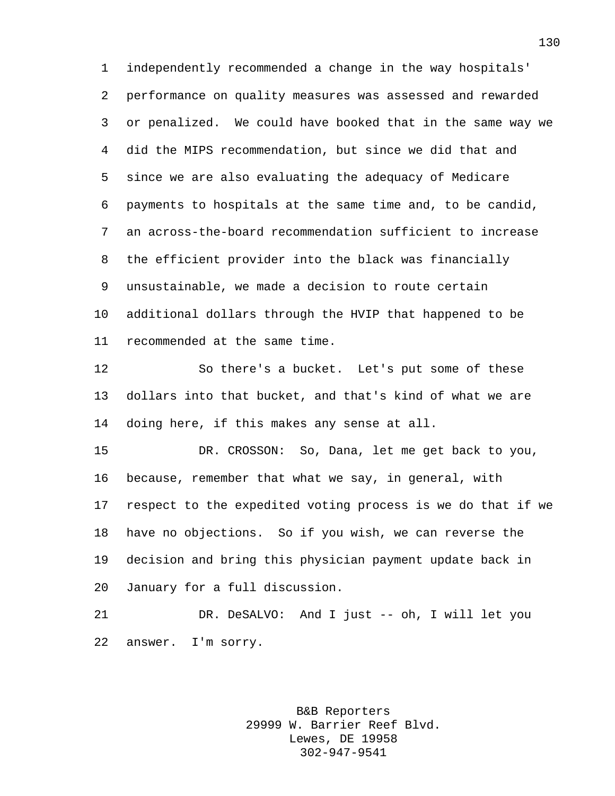independently recommended a change in the way hospitals' performance on quality measures was assessed and rewarded or penalized. We could have booked that in the same way we did the MIPS recommendation, but since we did that and since we are also evaluating the adequacy of Medicare payments to hospitals at the same time and, to be candid, an across-the-board recommendation sufficient to increase the efficient provider into the black was financially unsustainable, we made a decision to route certain additional dollars through the HVIP that happened to be recommended at the same time.

 So there's a bucket. Let's put some of these dollars into that bucket, and that's kind of what we are doing here, if this makes any sense at all.

 DR. CROSSON: So, Dana, let me get back to you, because, remember that what we say, in general, with respect to the expedited voting process is we do that if we have no objections. So if you wish, we can reverse the decision and bring this physician payment update back in January for a full discussion.

 DR. DeSALVO: And I just -- oh, I will let you answer. I'm sorry.

> B&B Reporters 29999 W. Barrier Reef Blvd. Lewes, DE 19958 302-947-9541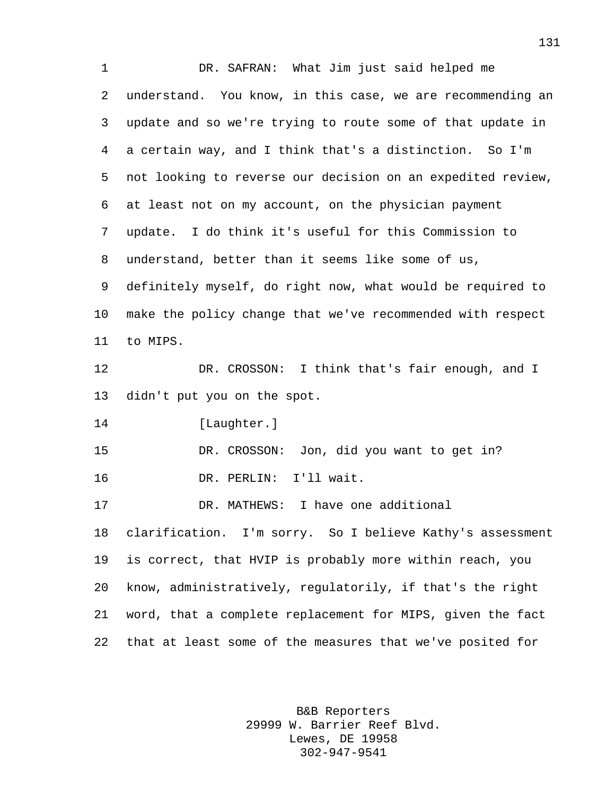DR. SAFRAN: What Jim just said helped me understand. You know, in this case, we are recommending an update and so we're trying to route some of that update in a certain way, and I think that's a distinction. So I'm not looking to reverse our decision on an expedited review, at least not on my account, on the physician payment update. I do think it's useful for this Commission to understand, better than it seems like some of us, definitely myself, do right now, what would be required to make the policy change that we've recommended with respect to MIPS. DR. CROSSON: I think that's fair enough, and I didn't put you on the spot. [Laughter.] DR. CROSSON: Jon, did you want to get in? DR. PERLIN: I'll wait. DR. MATHEWS: I have one additional clarification. I'm sorry. So I believe Kathy's assessment is correct, that HVIP is probably more within reach, you know, administratively, regulatorily, if that's the right word, that a complete replacement for MIPS, given the fact that at least some of the measures that we've posited for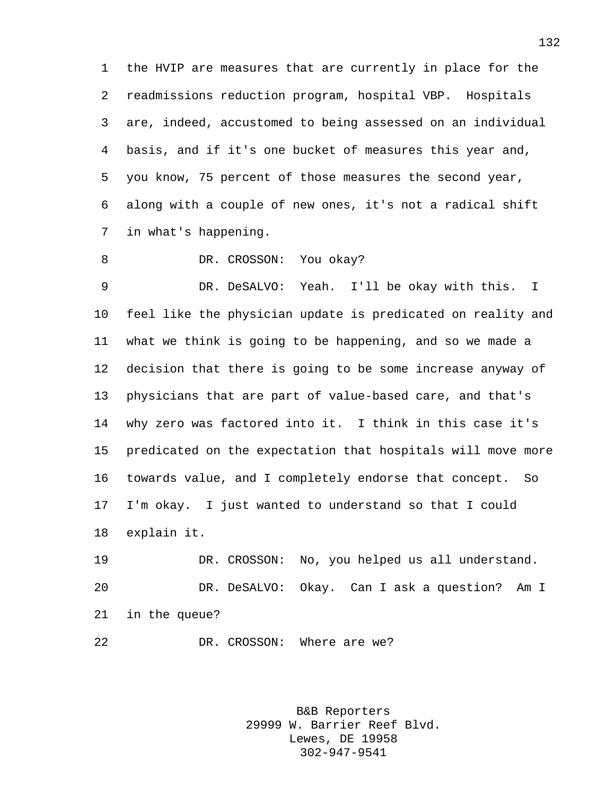the HVIP are measures that are currently in place for the readmissions reduction program, hospital VBP. Hospitals are, indeed, accustomed to being assessed on an individual basis, and if it's one bucket of measures this year and, you know, 75 percent of those measures the second year, along with a couple of new ones, it's not a radical shift in what's happening.

8 DR. CROSSON: You okay?

 DR. DeSALVO: Yeah. I'll be okay with this. I feel like the physician update is predicated on reality and what we think is going to be happening, and so we made a decision that there is going to be some increase anyway of physicians that are part of value-based care, and that's why zero was factored into it. I think in this case it's predicated on the expectation that hospitals will move more towards value, and I completely endorse that concept. So I'm okay. I just wanted to understand so that I could explain it.

 DR. CROSSON: No, you helped us all understand. DR. DeSALVO: Okay. Can I ask a question? Am I in the queue?

22 DR. CROSSON: Where are we?

B&B Reporters 29999 W. Barrier Reef Blvd. Lewes, DE 19958 302-947-9541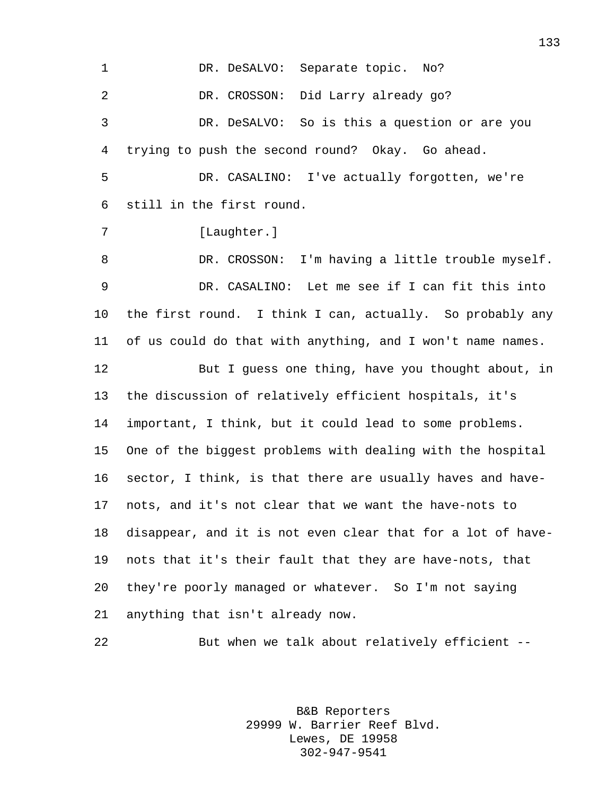1 DR. DeSALVO: Separate topic. No? DR. CROSSON: Did Larry already go? DR. DeSALVO: So is this a question or are you trying to push the second round? Okay. Go ahead. DR. CASALINO: I've actually forgotten, we're still in the first round. 7 [Laughter.] DR. CROSSON: I'm having a little trouble myself. DR. CASALINO: Let me see if I can fit this into the first round. I think I can, actually. So probably any of us could do that with anything, and I won't name names. But I guess one thing, have you thought about, in the discussion of relatively efficient hospitals, it's important, I think, but it could lead to some problems. One of the biggest problems with dealing with the hospital sector, I think, is that there are usually haves and have- nots, and it's not clear that we want the have-nots to disappear, and it is not even clear that for a lot of have- nots that it's their fault that they are have-nots, that they're poorly managed or whatever. So I'm not saying anything that isn't already now. But when we talk about relatively efficient --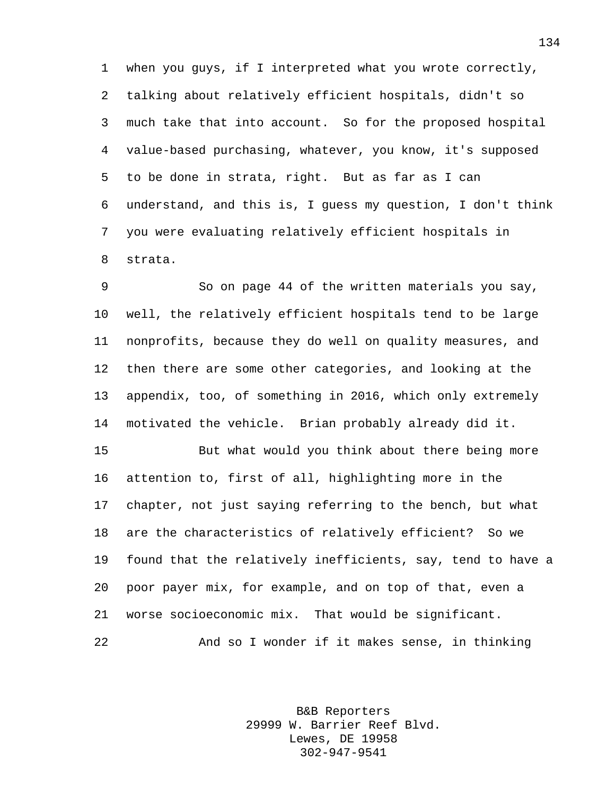when you guys, if I interpreted what you wrote correctly, talking about relatively efficient hospitals, didn't so much take that into account. So for the proposed hospital value-based purchasing, whatever, you know, it's supposed to be done in strata, right. But as far as I can understand, and this is, I guess my question, I don't think you were evaluating relatively efficient hospitals in strata.

 So on page 44 of the written materials you say, well, the relatively efficient hospitals tend to be large nonprofits, because they do well on quality measures, and then there are some other categories, and looking at the appendix, too, of something in 2016, which only extremely motivated the vehicle. Brian probably already did it.

 But what would you think about there being more attention to, first of all, highlighting more in the chapter, not just saying referring to the bench, but what are the characteristics of relatively efficient? So we found that the relatively inefficients, say, tend to have a poor payer mix, for example, and on top of that, even a worse socioeconomic mix. That would be significant. And so I wonder if it makes sense, in thinking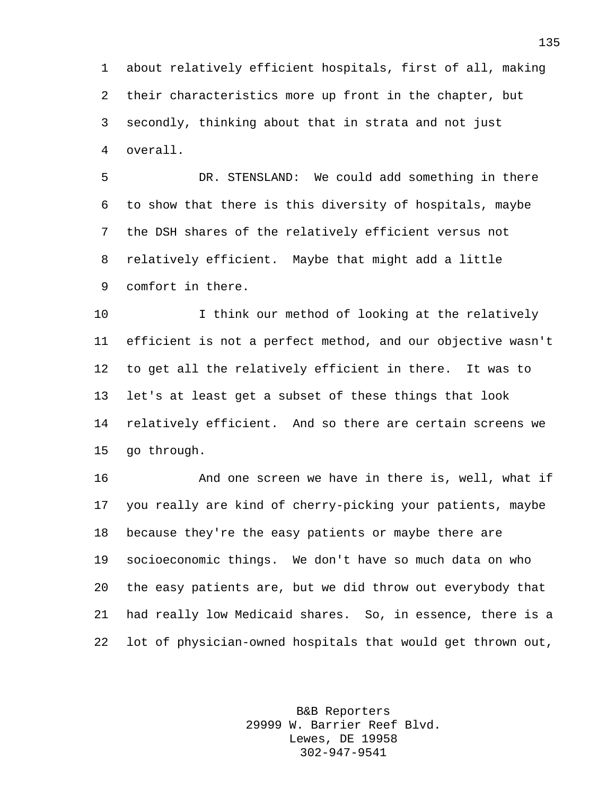about relatively efficient hospitals, first of all, making their characteristics more up front in the chapter, but secondly, thinking about that in strata and not just overall.

 DR. STENSLAND: We could add something in there to show that there is this diversity of hospitals, maybe the DSH shares of the relatively efficient versus not relatively efficient. Maybe that might add a little comfort in there.

 I think our method of looking at the relatively efficient is not a perfect method, and our objective wasn't to get all the relatively efficient in there. It was to let's at least get a subset of these things that look relatively efficient. And so there are certain screens we go through.

 And one screen we have in there is, well, what if you really are kind of cherry-picking your patients, maybe because they're the easy patients or maybe there are socioeconomic things. We don't have so much data on who the easy patients are, but we did throw out everybody that had really low Medicaid shares. So, in essence, there is a lot of physician-owned hospitals that would get thrown out,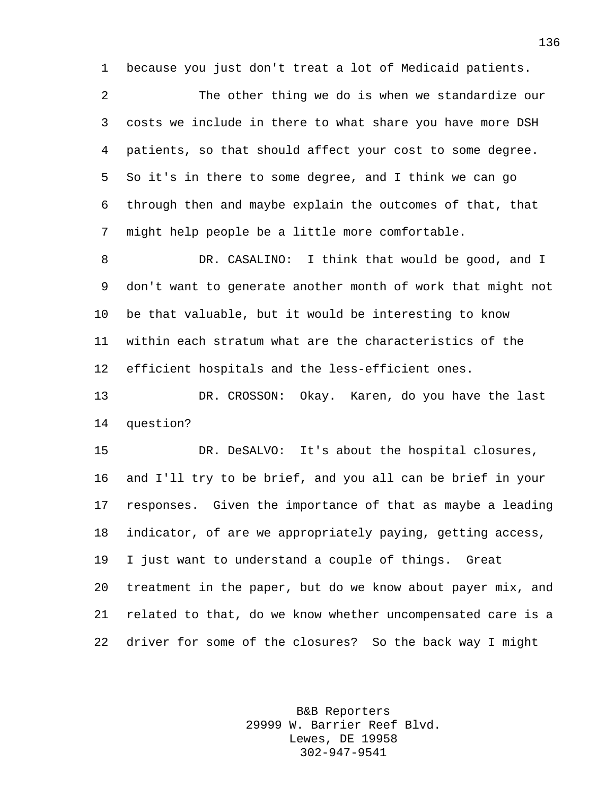because you just don't treat a lot of Medicaid patients.

 The other thing we do is when we standardize our costs we include in there to what share you have more DSH patients, so that should affect your cost to some degree. So it's in there to some degree, and I think we can go through then and maybe explain the outcomes of that, that might help people be a little more comfortable.

 DR. CASALINO: I think that would be good, and I don't want to generate another month of work that might not be that valuable, but it would be interesting to know within each stratum what are the characteristics of the efficient hospitals and the less-efficient ones.

 DR. CROSSON: Okay. Karen, do you have the last question?

 DR. DeSALVO: It's about the hospital closures, and I'll try to be brief, and you all can be brief in your responses. Given the importance of that as maybe a leading indicator, of are we appropriately paying, getting access, I just want to understand a couple of things. Great treatment in the paper, but do we know about payer mix, and related to that, do we know whether uncompensated care is a driver for some of the closures? So the back way I might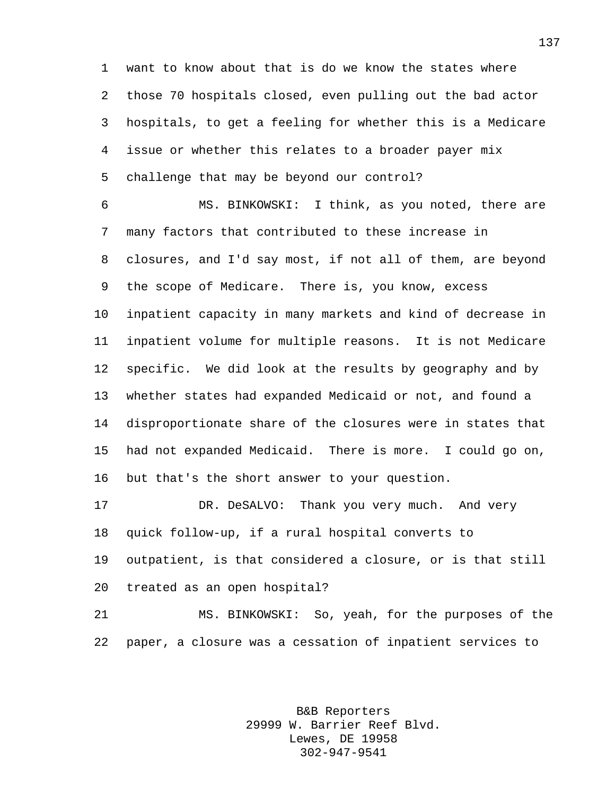want to know about that is do we know the states where those 70 hospitals closed, even pulling out the bad actor hospitals, to get a feeling for whether this is a Medicare issue or whether this relates to a broader payer mix challenge that may be beyond our control?

 MS. BINKOWSKI: I think, as you noted, there are many factors that contributed to these increase in closures, and I'd say most, if not all of them, are beyond the scope of Medicare. There is, you know, excess inpatient capacity in many markets and kind of decrease in inpatient volume for multiple reasons. It is not Medicare specific. We did look at the results by geography and by whether states had expanded Medicaid or not, and found a disproportionate share of the closures were in states that had not expanded Medicaid. There is more. I could go on, but that's the short answer to your question.

 DR. DeSALVO: Thank you very much. And very quick follow-up, if a rural hospital converts to outpatient, is that considered a closure, or is that still treated as an open hospital?

 MS. BINKOWSKI: So, yeah, for the purposes of the paper, a closure was a cessation of inpatient services to

> B&B Reporters 29999 W. Barrier Reef Blvd. Lewes, DE 19958 302-947-9541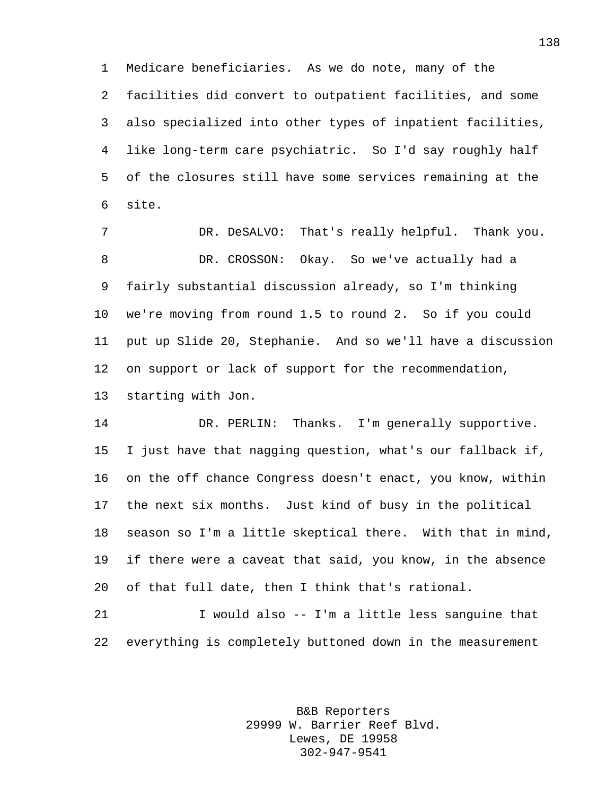Medicare beneficiaries. As we do note, many of the facilities did convert to outpatient facilities, and some also specialized into other types of inpatient facilities, like long-term care psychiatric. So I'd say roughly half of the closures still have some services remaining at the site.

 DR. DeSALVO: That's really helpful. Thank you. DR. CROSSON: Okay. So we've actually had a fairly substantial discussion already, so I'm thinking we're moving from round 1.5 to round 2. So if you could put up Slide 20, Stephanie. And so we'll have a discussion on support or lack of support for the recommendation, starting with Jon.

 DR. PERLIN: Thanks. I'm generally supportive. I just have that nagging question, what's our fallback if, on the off chance Congress doesn't enact, you know, within the next six months. Just kind of busy in the political season so I'm a little skeptical there. With that in mind, if there were a caveat that said, you know, in the absence of that full date, then I think that's rational.

 I would also -- I'm a little less sanguine that everything is completely buttoned down in the measurement

> B&B Reporters 29999 W. Barrier Reef Blvd. Lewes, DE 19958 302-947-9541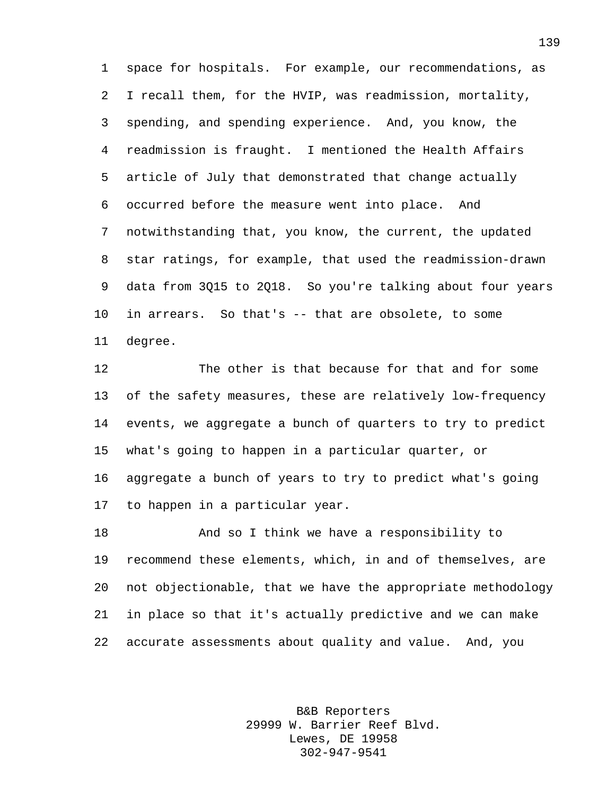space for hospitals. For example, our recommendations, as I recall them, for the HVIP, was readmission, mortality, spending, and spending experience. And, you know, the readmission is fraught. I mentioned the Health Affairs article of July that demonstrated that change actually occurred before the measure went into place. And notwithstanding that, you know, the current, the updated star ratings, for example, that used the readmission-drawn data from 3Q15 to 2Q18. So you're talking about four years in arrears. So that's -- that are obsolete, to some degree.

 The other is that because for that and for some of the safety measures, these are relatively low-frequency events, we aggregate a bunch of quarters to try to predict what's going to happen in a particular quarter, or aggregate a bunch of years to try to predict what's going to happen in a particular year.

 And so I think we have a responsibility to recommend these elements, which, in and of themselves, are not objectionable, that we have the appropriate methodology in place so that it's actually predictive and we can make accurate assessments about quality and value. And, you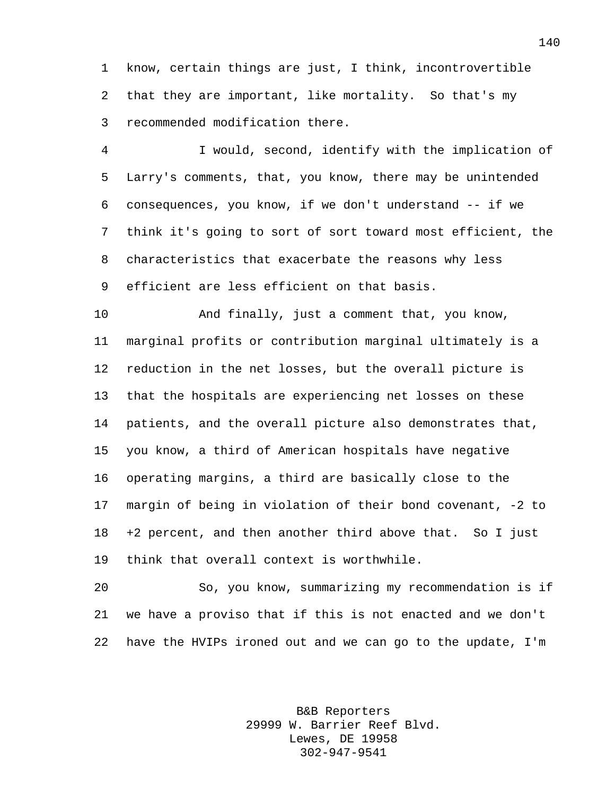know, certain things are just, I think, incontrovertible that they are important, like mortality. So that's my recommended modification there.

 I would, second, identify with the implication of Larry's comments, that, you know, there may be unintended consequences, you know, if we don't understand -- if we think it's going to sort of sort toward most efficient, the characteristics that exacerbate the reasons why less efficient are less efficient on that basis.

 And finally, just a comment that, you know, marginal profits or contribution marginal ultimately is a reduction in the net losses, but the overall picture is that the hospitals are experiencing net losses on these patients, and the overall picture also demonstrates that, you know, a third of American hospitals have negative operating margins, a third are basically close to the margin of being in violation of their bond covenant, -2 to +2 percent, and then another third above that. So I just think that overall context is worthwhile.

 So, you know, summarizing my recommendation is if we have a proviso that if this is not enacted and we don't have the HVIPs ironed out and we can go to the update, I'm

> B&B Reporters 29999 W. Barrier Reef Blvd. Lewes, DE 19958 302-947-9541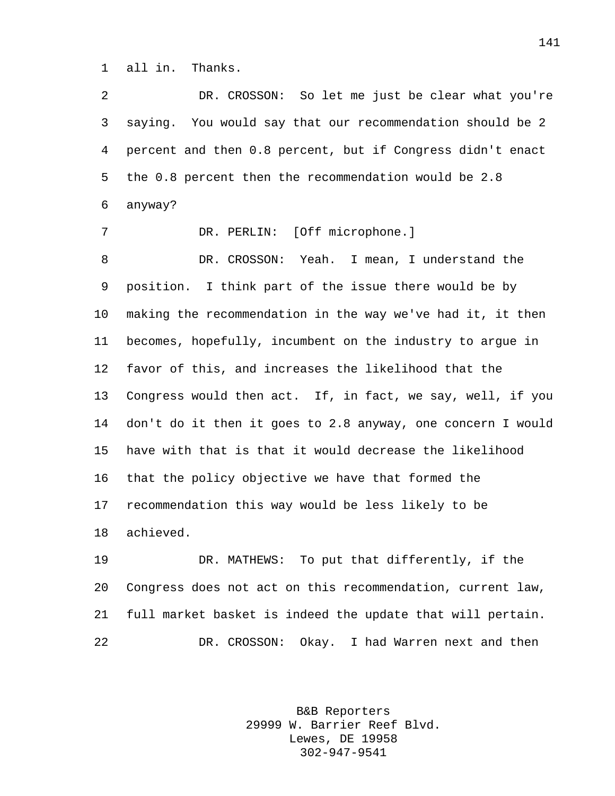all in. Thanks.

 DR. CROSSON: So let me just be clear what you're saying. You would say that our recommendation should be 2 percent and then 0.8 percent, but if Congress didn't enact the 0.8 percent then the recommendation would be 2.8 anyway? DR. PERLIN: [Off microphone.] DR. CROSSON: Yeah. I mean, I understand the position. I think part of the issue there would be by making the recommendation in the way we've had it, it then becomes, hopefully, incumbent on the industry to argue in favor of this, and increases the likelihood that the Congress would then act. If, in fact, we say, well, if you don't do it then it goes to 2.8 anyway, one concern I would have with that is that it would decrease the likelihood that the policy objective we have that formed the recommendation this way would be less likely to be achieved. DR. MATHEWS: To put that differently, if the

 Congress does not act on this recommendation, current law, full market basket is indeed the update that will pertain. DR. CROSSON: Okay. I had Warren next and then

> B&B Reporters 29999 W. Barrier Reef Blvd. Lewes, DE 19958 302-947-9541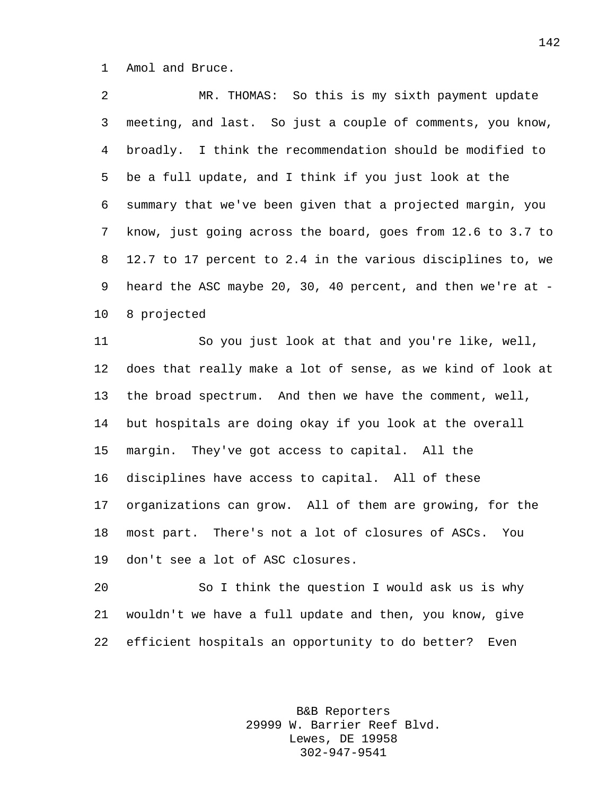Amol and Bruce.

 MR. THOMAS: So this is my sixth payment update meeting, and last. So just a couple of comments, you know, broadly. I think the recommendation should be modified to be a full update, and I think if you just look at the summary that we've been given that a projected margin, you know, just going across the board, goes from 12.6 to 3.7 to 12.7 to 17 percent to 2.4 in the various disciplines to, we heard the ASC maybe 20, 30, 40 percent, and then we're at - 8 projected

 So you just look at that and you're like, well, does that really make a lot of sense, as we kind of look at the broad spectrum. And then we have the comment, well, but hospitals are doing okay if you look at the overall margin. They've got access to capital. All the disciplines have access to capital. All of these organizations can grow. All of them are growing, for the most part. There's not a lot of closures of ASCs. You don't see a lot of ASC closures.

 So I think the question I would ask us is why wouldn't we have a full update and then, you know, give efficient hospitals an opportunity to do better? Even

> B&B Reporters 29999 W. Barrier Reef Blvd. Lewes, DE 19958 302-947-9541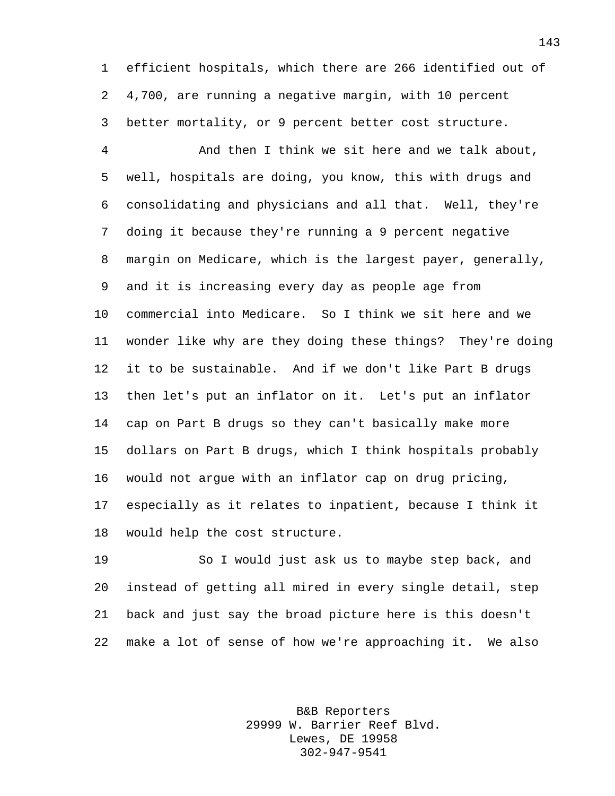efficient hospitals, which there are 266 identified out of 4,700, are running a negative margin, with 10 percent better mortality, or 9 percent better cost structure.

 And then I think we sit here and we talk about, well, hospitals are doing, you know, this with drugs and consolidating and physicians and all that. Well, they're doing it because they're running a 9 percent negative margin on Medicare, which is the largest payer, generally, and it is increasing every day as people age from commercial into Medicare. So I think we sit here and we wonder like why are they doing these things? They're doing it to be sustainable. And if we don't like Part B drugs then let's put an inflator on it. Let's put an inflator cap on Part B drugs so they can't basically make more dollars on Part B drugs, which I think hospitals probably would not argue with an inflator cap on drug pricing, especially as it relates to inpatient, because I think it would help the cost structure.

 So I would just ask us to maybe step back, and instead of getting all mired in every single detail, step back and just say the broad picture here is this doesn't make a lot of sense of how we're approaching it. We also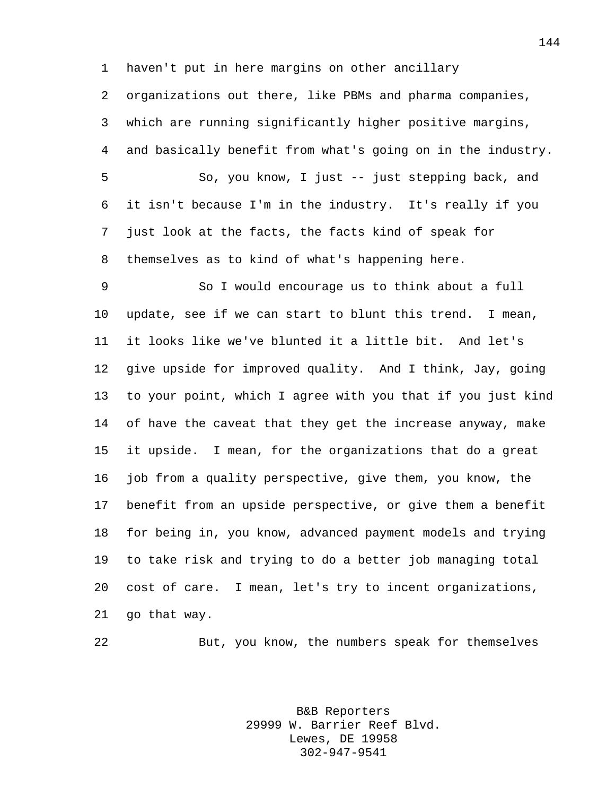haven't put in here margins on other ancillary

 organizations out there, like PBMs and pharma companies, which are running significantly higher positive margins, and basically benefit from what's going on in the industry. So, you know, I just -- just stepping back, and it isn't because I'm in the industry. It's really if you just look at the facts, the facts kind of speak for themselves as to kind of what's happening here.

 So I would encourage us to think about a full update, see if we can start to blunt this trend. I mean, it looks like we've blunted it a little bit. And let's give upside for improved quality. And I think, Jay, going to your point, which I agree with you that if you just kind 14 of have the caveat that they get the increase anyway, make it upside. I mean, for the organizations that do a great job from a quality perspective, give them, you know, the benefit from an upside perspective, or give them a benefit for being in, you know, advanced payment models and trying to take risk and trying to do a better job managing total cost of care. I mean, let's try to incent organizations, go that way.

But, you know, the numbers speak for themselves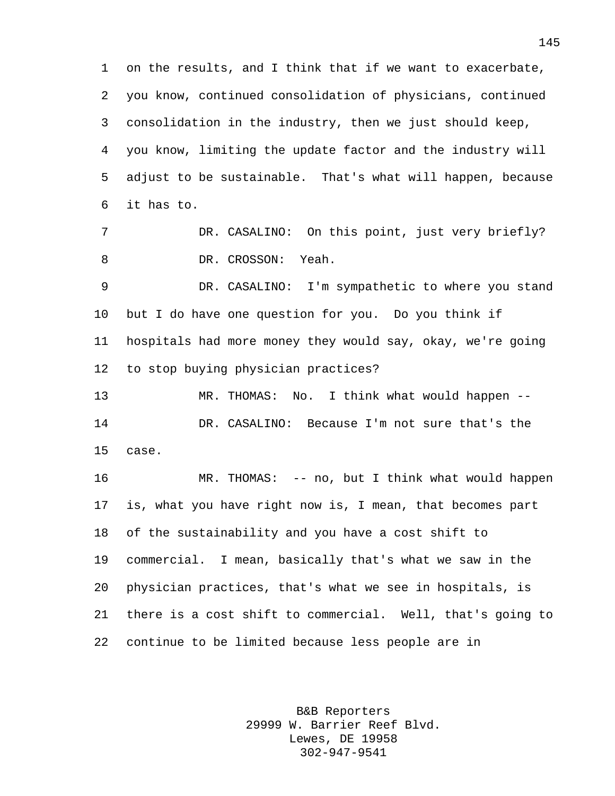on the results, and I think that if we want to exacerbate, you know, continued consolidation of physicians, continued consolidation in the industry, then we just should keep, you know, limiting the update factor and the industry will adjust to be sustainable. That's what will happen, because it has to. DR. CASALINO: On this point, just very briefly? 8 DR. CROSSON: Yeah. DR. CASALINO: I'm sympathetic to where you stand but I do have one question for you. Do you think if

 hospitals had more money they would say, okay, we're going to stop buying physician practices?

 MR. THOMAS: No. I think what would happen -- DR. CASALINO: Because I'm not sure that's the case.

 MR. THOMAS: -- no, but I think what would happen is, what you have right now is, I mean, that becomes part of the sustainability and you have a cost shift to commercial. I mean, basically that's what we saw in the physician practices, that's what we see in hospitals, is there is a cost shift to commercial. Well, that's going to continue to be limited because less people are in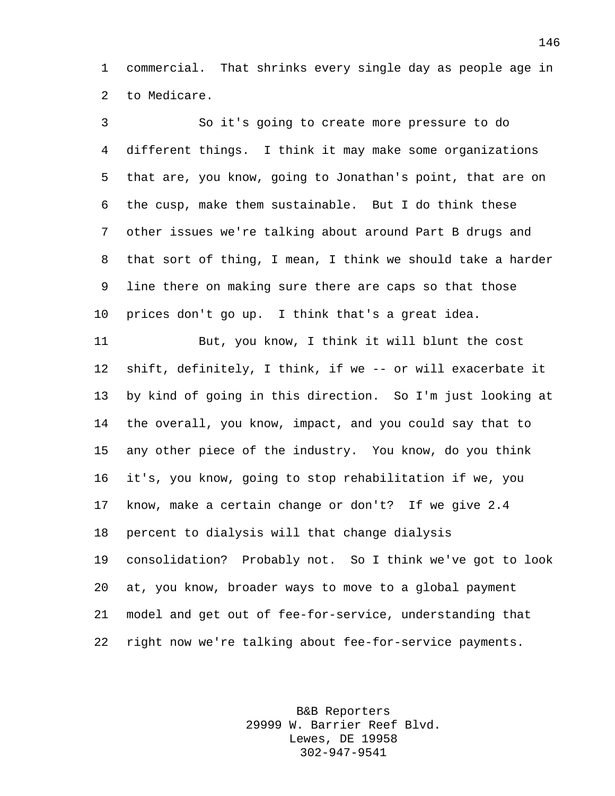commercial. That shrinks every single day as people age in to Medicare.

 So it's going to create more pressure to do different things. I think it may make some organizations that are, you know, going to Jonathan's point, that are on the cusp, make them sustainable. But I do think these other issues we're talking about around Part B drugs and that sort of thing, I mean, I think we should take a harder line there on making sure there are caps so that those prices don't go up. I think that's a great idea.

 But, you know, I think it will blunt the cost shift, definitely, I think, if we -- or will exacerbate it by kind of going in this direction. So I'm just looking at the overall, you know, impact, and you could say that to any other piece of the industry. You know, do you think it's, you know, going to stop rehabilitation if we, you know, make a certain change or don't? If we give 2.4 percent to dialysis will that change dialysis consolidation? Probably not. So I think we've got to look at, you know, broader ways to move to a global payment model and get out of fee-for-service, understanding that right now we're talking about fee-for-service payments.

> B&B Reporters 29999 W. Barrier Reef Blvd. Lewes, DE 19958 302-947-9541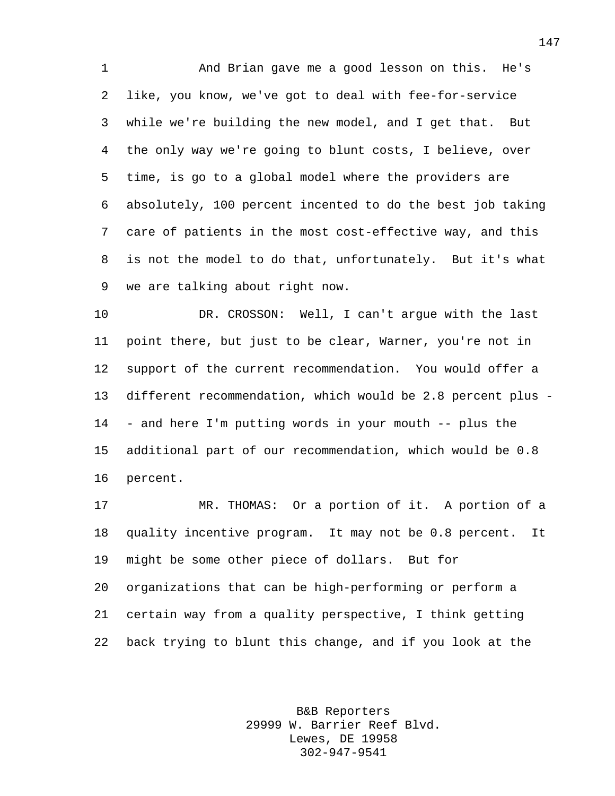And Brian gave me a good lesson on this. He's like, you know, we've got to deal with fee-for-service while we're building the new model, and I get that. But the only way we're going to blunt costs, I believe, over time, is go to a global model where the providers are absolutely, 100 percent incented to do the best job taking care of patients in the most cost-effective way, and this is not the model to do that, unfortunately. But it's what we are talking about right now.

 DR. CROSSON: Well, I can't argue with the last point there, but just to be clear, Warner, you're not in support of the current recommendation. You would offer a different recommendation, which would be 2.8 percent plus - - and here I'm putting words in your mouth -- plus the additional part of our recommendation, which would be 0.8 percent.

 MR. THOMAS: Or a portion of it. A portion of a quality incentive program. It may not be 0.8 percent. It might be some other piece of dollars. But for organizations that can be high-performing or perform a certain way from a quality perspective, I think getting back trying to blunt this change, and if you look at the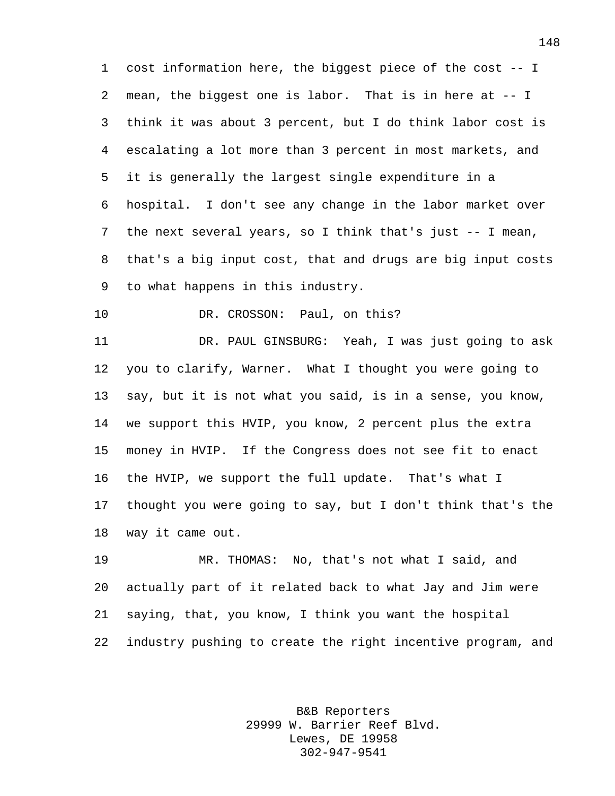cost information here, the biggest piece of the cost -- I mean, the biggest one is labor. That is in here at -- I think it was about 3 percent, but I do think labor cost is escalating a lot more than 3 percent in most markets, and it is generally the largest single expenditure in a hospital. I don't see any change in the labor market over the next several years, so I think that's just -- I mean, that's a big input cost, that and drugs are big input costs to what happens in this industry.

10 DR. CROSSON: Paul, on this?

 DR. PAUL GINSBURG: Yeah, I was just going to ask you to clarify, Warner. What I thought you were going to say, but it is not what you said, is in a sense, you know, we support this HVIP, you know, 2 percent plus the extra money in HVIP. If the Congress does not see fit to enact the HVIP, we support the full update. That's what I thought you were going to say, but I don't think that's the way it came out.

 MR. THOMAS: No, that's not what I said, and actually part of it related back to what Jay and Jim were saying, that, you know, I think you want the hospital industry pushing to create the right incentive program, and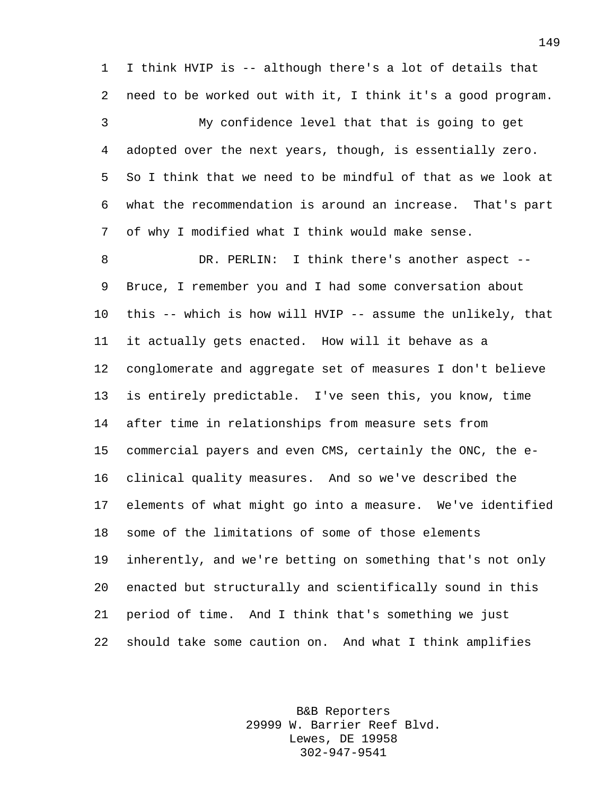I think HVIP is -- although there's a lot of details that need to be worked out with it, I think it's a good program.

 My confidence level that that is going to get adopted over the next years, though, is essentially zero. So I think that we need to be mindful of that as we look at what the recommendation is around an increase. That's part of why I modified what I think would make sense.

8 DR. PERLIN: I think there's another aspect -- Bruce, I remember you and I had some conversation about this -- which is how will HVIP -- assume the unlikely, that it actually gets enacted. How will it behave as a conglomerate and aggregate set of measures I don't believe is entirely predictable. I've seen this, you know, time after time in relationships from measure sets from commercial payers and even CMS, certainly the ONC, the e- clinical quality measures. And so we've described the elements of what might go into a measure. We've identified some of the limitations of some of those elements inherently, and we're betting on something that's not only enacted but structurally and scientifically sound in this period of time. And I think that's something we just should take some caution on. And what I think amplifies

> B&B Reporters 29999 W. Barrier Reef Blvd. Lewes, DE 19958 302-947-9541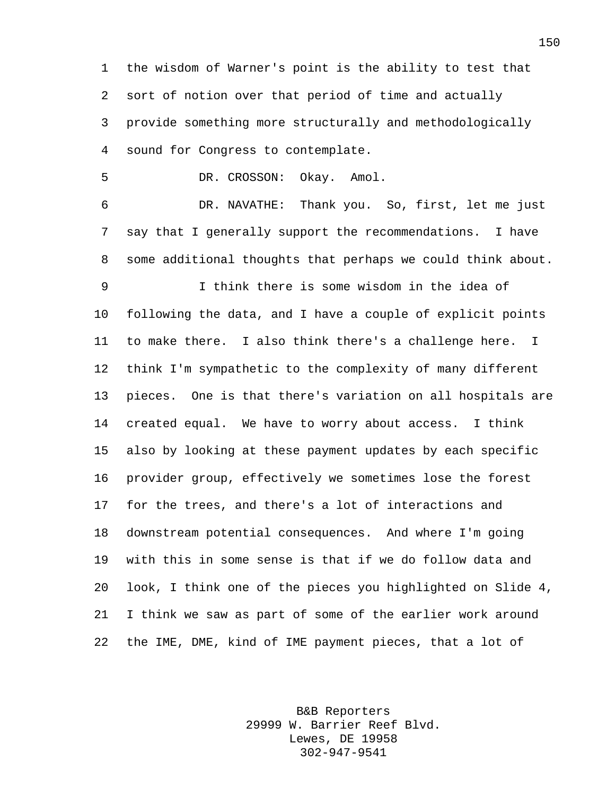the wisdom of Warner's point is the ability to test that sort of notion over that period of time and actually provide something more structurally and methodologically sound for Congress to contemplate.

DR. CROSSON: Okay. Amol.

 DR. NAVATHE: Thank you. So, first, let me just say that I generally support the recommendations. I have some additional thoughts that perhaps we could think about.

 I think there is some wisdom in the idea of following the data, and I have a couple of explicit points to make there. I also think there's a challenge here. I think I'm sympathetic to the complexity of many different pieces. One is that there's variation on all hospitals are created equal. We have to worry about access. I think also by looking at these payment updates by each specific provider group, effectively we sometimes lose the forest for the trees, and there's a lot of interactions and downstream potential consequences. And where I'm going with this in some sense is that if we do follow data and look, I think one of the pieces you highlighted on Slide 4, I think we saw as part of some of the earlier work around the IME, DME, kind of IME payment pieces, that a lot of

> B&B Reporters 29999 W. Barrier Reef Blvd. Lewes, DE 19958 302-947-9541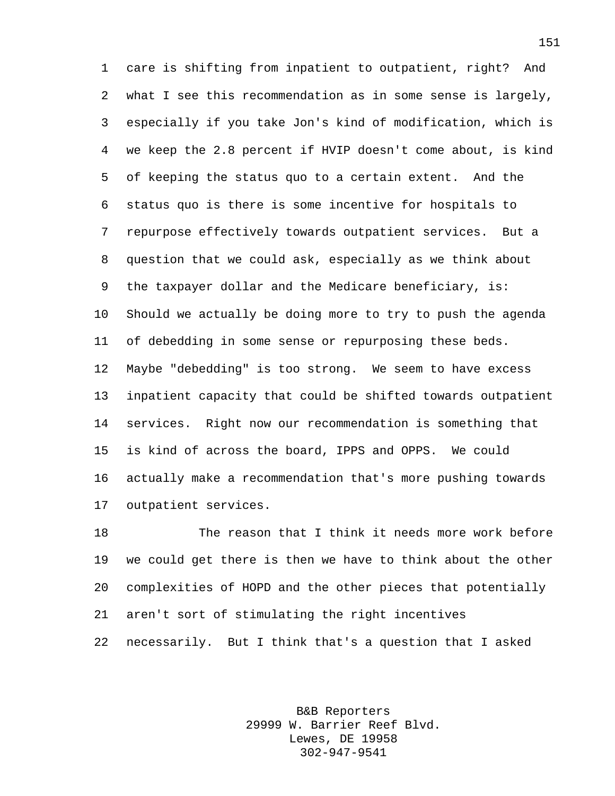care is shifting from inpatient to outpatient, right? And what I see this recommendation as in some sense is largely, especially if you take Jon's kind of modification, which is we keep the 2.8 percent if HVIP doesn't come about, is kind of keeping the status quo to a certain extent. And the status quo is there is some incentive for hospitals to repurpose effectively towards outpatient services. But a question that we could ask, especially as we think about 9 the taxpayer dollar and the Medicare beneficiary, is: Should we actually be doing more to try to push the agenda of debedding in some sense or repurposing these beds. Maybe "debedding" is too strong. We seem to have excess inpatient capacity that could be shifted towards outpatient services. Right now our recommendation is something that is kind of across the board, IPPS and OPPS. We could actually make a recommendation that's more pushing towards outpatient services.

 The reason that I think it needs more work before we could get there is then we have to think about the other complexities of HOPD and the other pieces that potentially aren't sort of stimulating the right incentives necessarily. But I think that's a question that I asked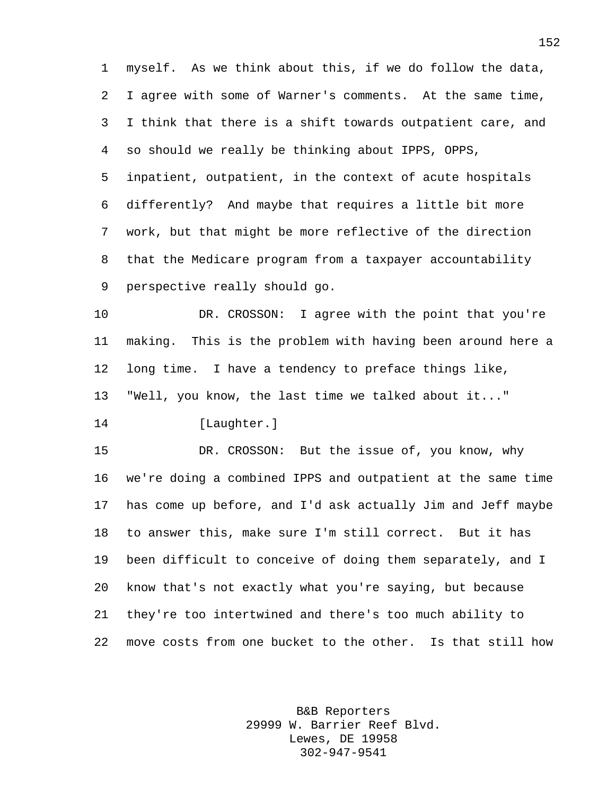myself. As we think about this, if we do follow the data, I agree with some of Warner's comments. At the same time, I think that there is a shift towards outpatient care, and so should we really be thinking about IPPS, OPPS, inpatient, outpatient, in the context of acute hospitals differently? And maybe that requires a little bit more work, but that might be more reflective of the direction that the Medicare program from a taxpayer accountability perspective really should go.

10 DR. CROSSON: I agree with the point that you're making. This is the problem with having been around here a long time. I have a tendency to preface things like, "Well, you know, the last time we talked about it..."

[Laughter.]

 DR. CROSSON: But the issue of, you know, why we're doing a combined IPPS and outpatient at the same time has come up before, and I'd ask actually Jim and Jeff maybe to answer this, make sure I'm still correct. But it has been difficult to conceive of doing them separately, and I know that's not exactly what you're saying, but because they're too intertwined and there's too much ability to move costs from one bucket to the other. Is that still how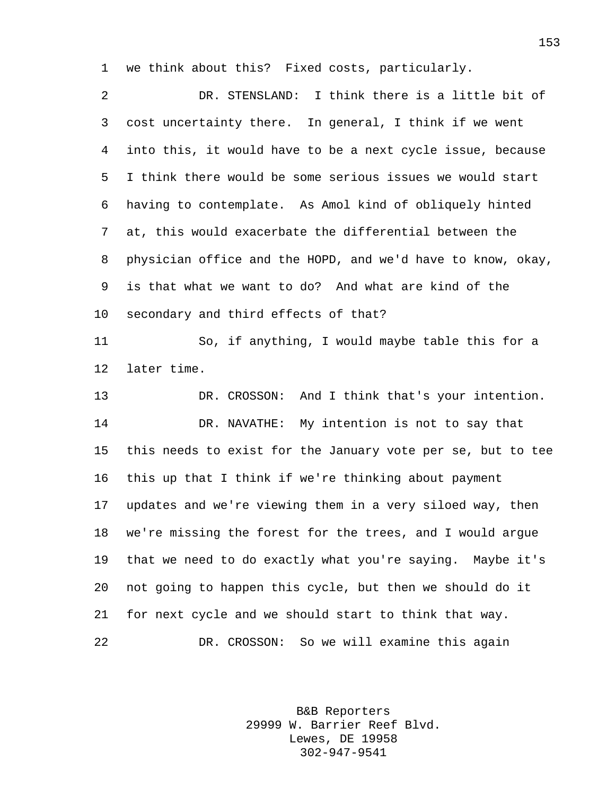we think about this? Fixed costs, particularly.

 DR. STENSLAND: I think there is a little bit of cost uncertainty there. In general, I think if we went into this, it would have to be a next cycle issue, because I think there would be some serious issues we would start having to contemplate. As Amol kind of obliquely hinted at, this would exacerbate the differential between the physician office and the HOPD, and we'd have to know, okay, is that what we want to do? And what are kind of the secondary and third effects of that? So, if anything, I would maybe table this for a later time. DR. CROSSON: And I think that's your intention. DR. NAVATHE: My intention is not to say that this needs to exist for the January vote per se, but to tee this up that I think if we're thinking about payment updates and we're viewing them in a very siloed way, then we're missing the forest for the trees, and I would argue that we need to do exactly what you're saying. Maybe it's not going to happen this cycle, but then we should do it for next cycle and we should start to think that way. DR. CROSSON: So we will examine this again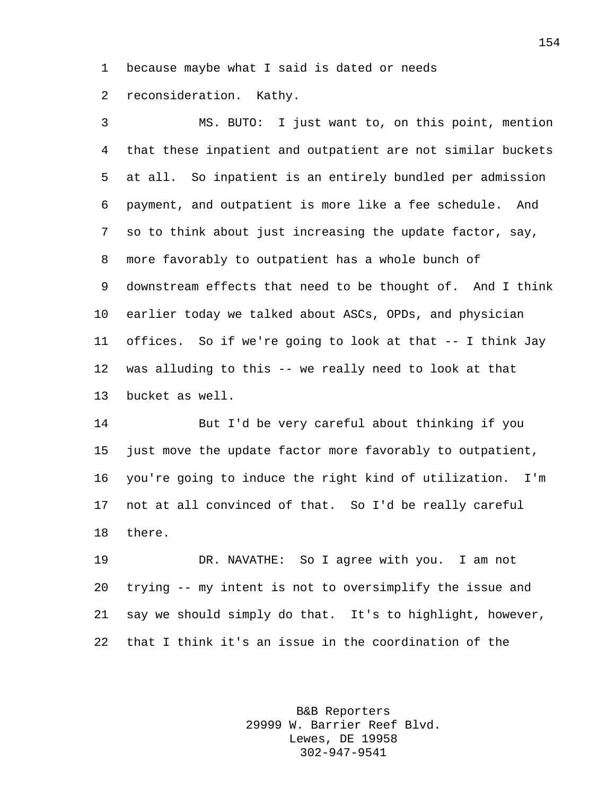because maybe what I said is dated or needs

reconsideration. Kathy.

 MS. BUTO: I just want to, on this point, mention that these inpatient and outpatient are not similar buckets at all. So inpatient is an entirely bundled per admission payment, and outpatient is more like a fee schedule. And so to think about just increasing the update factor, say, more favorably to outpatient has a whole bunch of downstream effects that need to be thought of. And I think earlier today we talked about ASCs, OPDs, and physician offices. So if we're going to look at that -- I think Jay was alluding to this -- we really need to look at that bucket as well.

 But I'd be very careful about thinking if you just move the update factor more favorably to outpatient, you're going to induce the right kind of utilization. I'm not at all convinced of that. So I'd be really careful there.

 DR. NAVATHE: So I agree with you. I am not trying -- my intent is not to oversimplify the issue and say we should simply do that. It's to highlight, however, that I think it's an issue in the coordination of the

> B&B Reporters 29999 W. Barrier Reef Blvd. Lewes, DE 19958 302-947-9541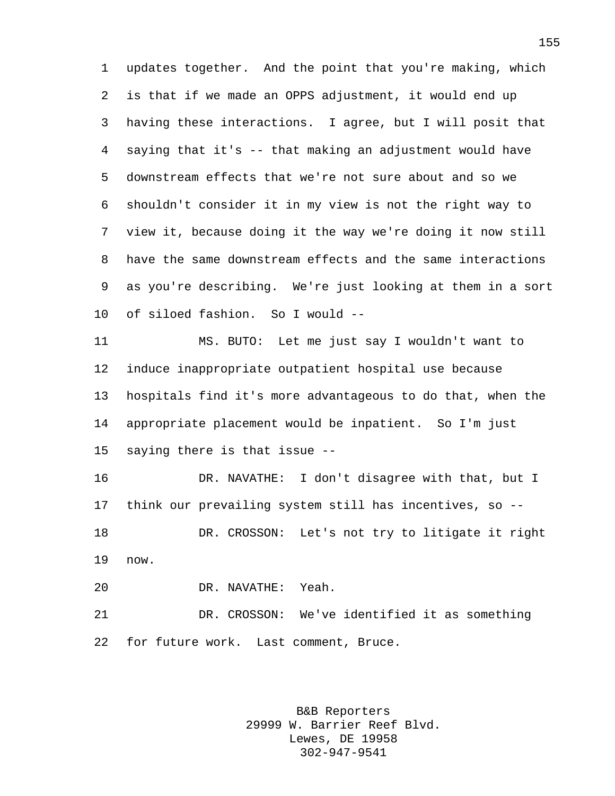updates together. And the point that you're making, which is that if we made an OPPS adjustment, it would end up having these interactions. I agree, but I will posit that saying that it's -- that making an adjustment would have downstream effects that we're not sure about and so we shouldn't consider it in my view is not the right way to view it, because doing it the way we're doing it now still have the same downstream effects and the same interactions as you're describing. We're just looking at them in a sort of siloed fashion. So I would --

 MS. BUTO: Let me just say I wouldn't want to induce inappropriate outpatient hospital use because hospitals find it's more advantageous to do that, when the appropriate placement would be inpatient. So I'm just saying there is that issue --

 DR. NAVATHE: I don't disagree with that, but I think our prevailing system still has incentives, so -- DR. CROSSON: Let's not try to litigate it right now.

DR. NAVATHE: Yeah.

 DR. CROSSON: We've identified it as something for future work. Last comment, Bruce.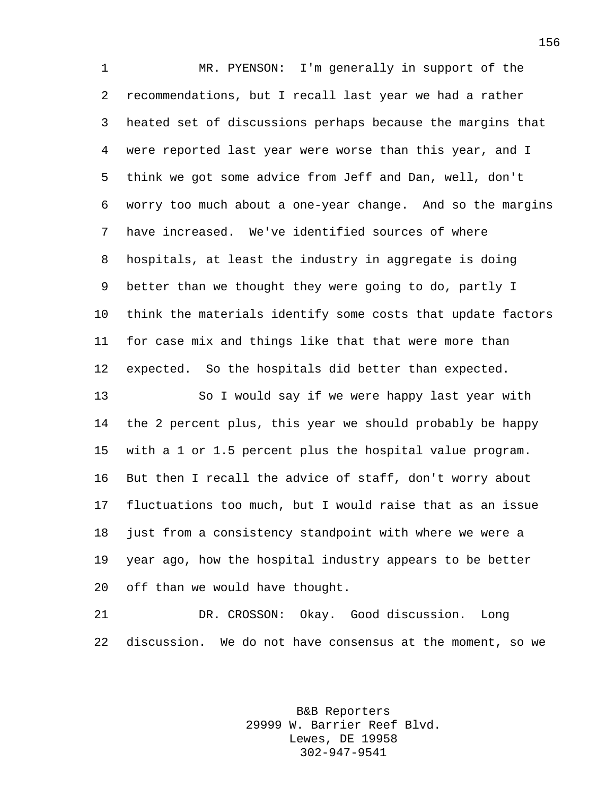MR. PYENSON: I'm generally in support of the recommendations, but I recall last year we had a rather heated set of discussions perhaps because the margins that were reported last year were worse than this year, and I think we got some advice from Jeff and Dan, well, don't worry too much about a one-year change. And so the margins have increased. We've identified sources of where hospitals, at least the industry in aggregate is doing better than we thought they were going to do, partly I think the materials identify some costs that update factors for case mix and things like that that were more than expected. So the hospitals did better than expected. So I would say if we were happy last year with the 2 percent plus, this year we should probably be happy with a 1 or 1.5 percent plus the hospital value program. But then I recall the advice of staff, don't worry about

 fluctuations too much, but I would raise that as an issue just from a consistency standpoint with where we were a year ago, how the hospital industry appears to be better off than we would have thought.

 DR. CROSSON: Okay. Good discussion. Long discussion. We do not have consensus at the moment, so we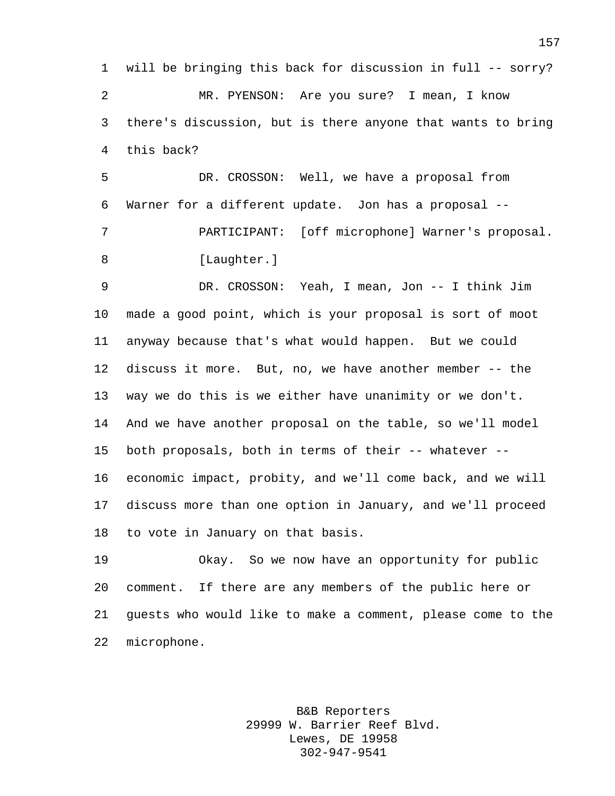will be bringing this back for discussion in full -- sorry? MR. PYENSON: Are you sure? I mean, I know there's discussion, but is there anyone that wants to bring this back?

 DR. CROSSON: Well, we have a proposal from Warner for a different update. Jon has a proposal -- PARTICIPANT: [off microphone] Warner's proposal. 8 [Laughter.]

 DR. CROSSON: Yeah, I mean, Jon -- I think Jim made a good point, which is your proposal is sort of moot anyway because that's what would happen. But we could discuss it more. But, no, we have another member -- the way we do this is we either have unanimity or we don't. And we have another proposal on the table, so we'll model both proposals, both in terms of their -- whatever -- economic impact, probity, and we'll come back, and we will discuss more than one option in January, and we'll proceed to vote in January on that basis.

 Okay. So we now have an opportunity for public comment. If there are any members of the public here or guests who would like to make a comment, please come to the microphone.

> B&B Reporters 29999 W. Barrier Reef Blvd. Lewes, DE 19958 302-947-9541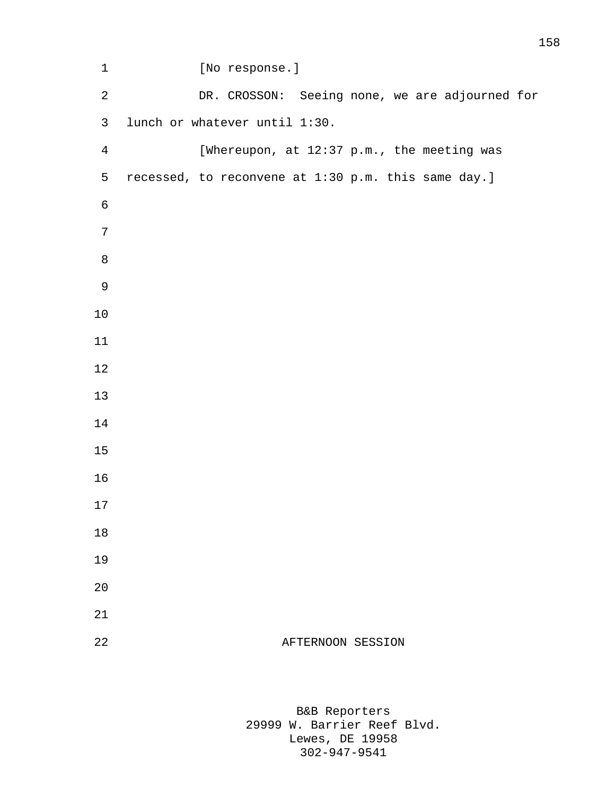| $1\,$          | [No response.]                                      |
|----------------|-----------------------------------------------------|
| $\sqrt{2}$     | DR. CROSSON: Seeing none, we are adjourned for      |
| $\mathsf{3}$   | lunch or whatever until 1:30.                       |
| $\overline{4}$ | [Whereupon, at 12:37 p.m., the meeting was          |
| 5              | recessed, to reconvene at 1:30 p.m. this same day.] |
| $\epsilon$     |                                                     |
| 7              |                                                     |
| 8              |                                                     |
| $\mathsf 9$    |                                                     |
| 10             |                                                     |
| 11             |                                                     |
| 12             |                                                     |
| 13             |                                                     |
| 14             |                                                     |
| 15             |                                                     |
| 16             |                                                     |
| 17             |                                                     |
| 18             |                                                     |
| 19             |                                                     |
| 20             |                                                     |
| 21             |                                                     |
| 22             | AFTERNOON SESSION                                   |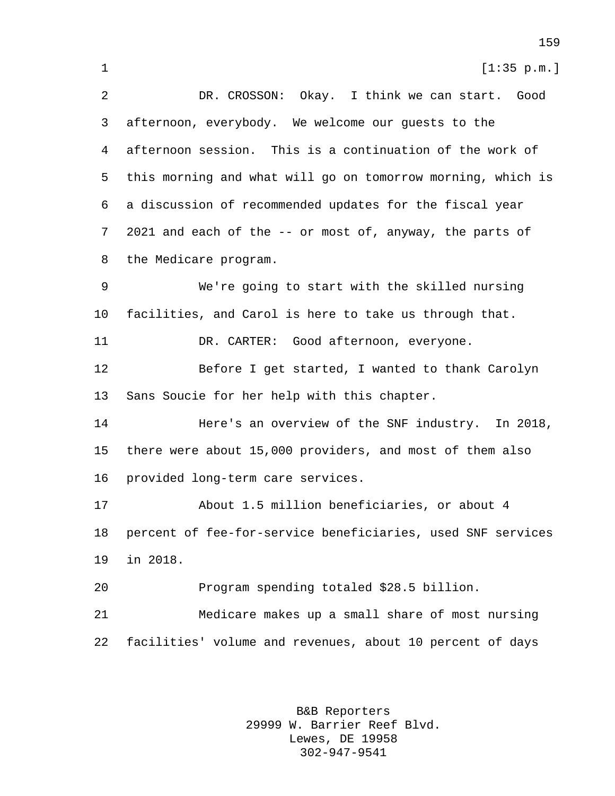1 [1:35 p.m.] DR. CROSSON: Okay. I think we can start. Good afternoon, everybody. We welcome our guests to the afternoon session. This is a continuation of the work of this morning and what will go on tomorrow morning, which is a discussion of recommended updates for the fiscal year 2021 and each of the -- or most of, anyway, the parts of the Medicare program. We're going to start with the skilled nursing facilities, and Carol is here to take us through that. DR. CARTER: Good afternoon, everyone. Before I get started, I wanted to thank Carolyn Sans Soucie for her help with this chapter. Here's an overview of the SNF industry. In 2018, there were about 15,000 providers, and most of them also provided long-term care services. About 1.5 million beneficiaries, or about 4 percent of fee-for-service beneficiaries, used SNF services in 2018. Program spending totaled \$28.5 billion. Medicare makes up a small share of most nursing facilities' volume and revenues, about 10 percent of days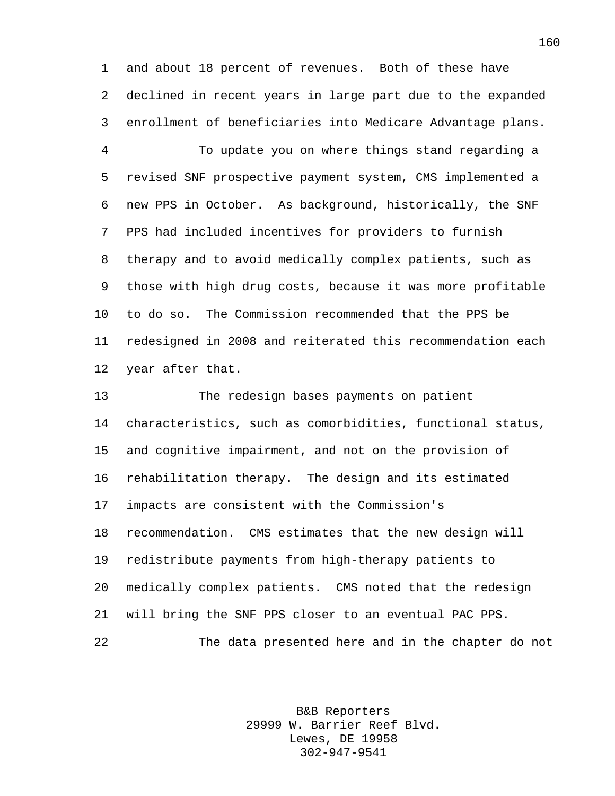and about 18 percent of revenues. Both of these have declined in recent years in large part due to the expanded enrollment of beneficiaries into Medicare Advantage plans.

 To update you on where things stand regarding a revised SNF prospective payment system, CMS implemented a new PPS in October. As background, historically, the SNF PPS had included incentives for providers to furnish therapy and to avoid medically complex patients, such as those with high drug costs, because it was more profitable to do so. The Commission recommended that the PPS be redesigned in 2008 and reiterated this recommendation each year after that.

 The redesign bases payments on patient characteristics, such as comorbidities, functional status, and cognitive impairment, and not on the provision of rehabilitation therapy. The design and its estimated impacts are consistent with the Commission's recommendation. CMS estimates that the new design will redistribute payments from high-therapy patients to medically complex patients. CMS noted that the redesign will bring the SNF PPS closer to an eventual PAC PPS. The data presented here and in the chapter do not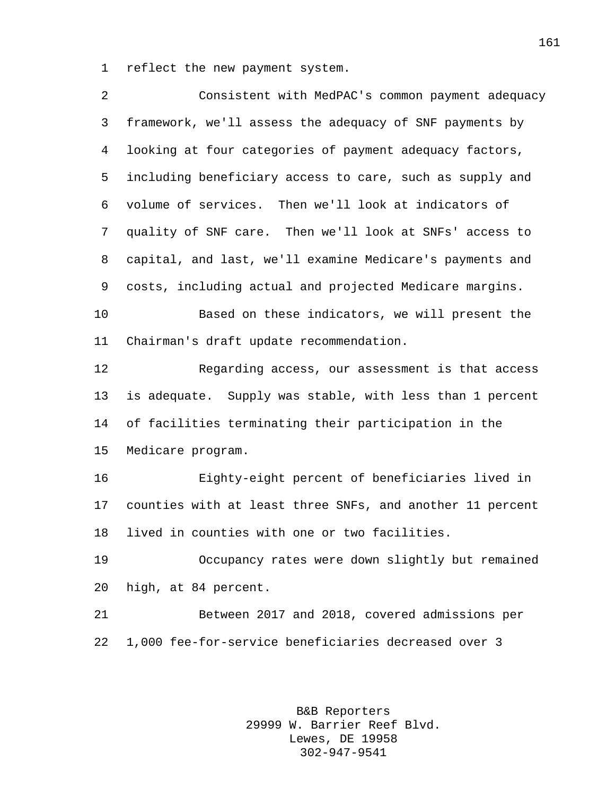reflect the new payment system.

| 2  | Consistent with MedPAC's common payment adequacy          |
|----|-----------------------------------------------------------|
| 3  | framework, we'll assess the adequacy of SNF payments by   |
| 4  | looking at four categories of payment adequacy factors,   |
| 5  | including beneficiary access to care, such as supply and  |
| 6  | volume of services. Then we'll look at indicators of      |
| 7  | quality of SNF care. Then we'll look at SNFs' access to   |
| 8  | capital, and last, we'll examine Medicare's payments and  |
| 9  | costs, including actual and projected Medicare margins.   |
| 10 | Based on these indicators, we will present the            |
| 11 | Chairman's draft update recommendation.                   |
| 12 | Regarding access, our assessment is that access           |
| 13 | is adequate. Supply was stable, with less than 1 percent  |
| 14 | of facilities terminating their participation in the      |
| 15 | Medicare program.                                         |
| 16 | Eighty-eight percent of beneficiaries lived in            |
| 17 | counties with at least three SNFs, and another 11 percent |
| 18 | lived in counties with one or two facilities.             |
| 19 | Occupancy rates were down slightly but remained           |
| 20 | high, at 84 percent.                                      |
| 21 | Between 2017 and 2018, covered admissions per             |
| 22 | 1,000 fee-for-service beneficiaries decreased over 3      |
|    |                                                           |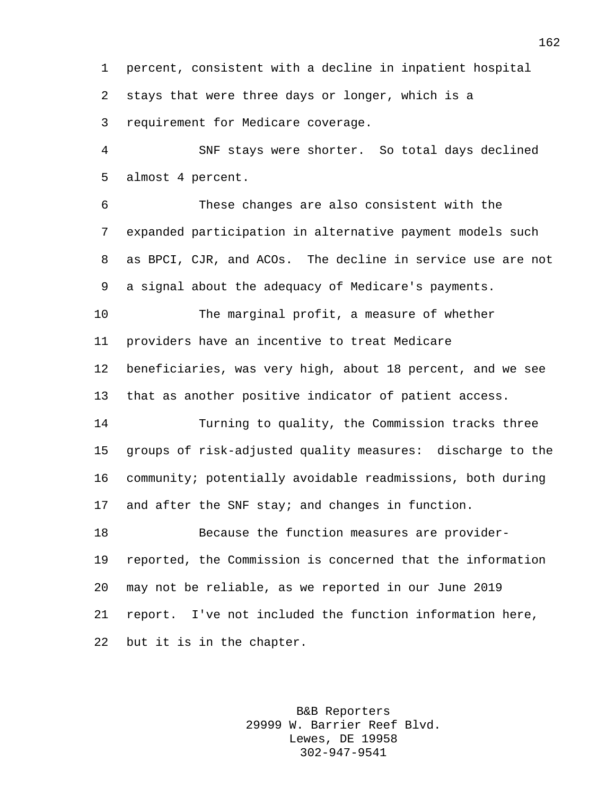percent, consistent with a decline in inpatient hospital stays that were three days or longer, which is a requirement for Medicare coverage.

 SNF stays were shorter. So total days declined almost 4 percent.

 These changes are also consistent with the expanded participation in alternative payment models such as BPCI, CJR, and ACOs. The decline in service use are not a signal about the adequacy of Medicare's payments.

 The marginal profit, a measure of whether providers have an incentive to treat Medicare

 beneficiaries, was very high, about 18 percent, and we see that as another positive indicator of patient access.

 Turning to quality, the Commission tracks three groups of risk-adjusted quality measures: discharge to the community; potentially avoidable readmissions, both during and after the SNF stay; and changes in function.

 Because the function measures are provider- reported, the Commission is concerned that the information may not be reliable, as we reported in our June 2019 report. I've not included the function information here, but it is in the chapter.

> B&B Reporters 29999 W. Barrier Reef Blvd. Lewes, DE 19958 302-947-9541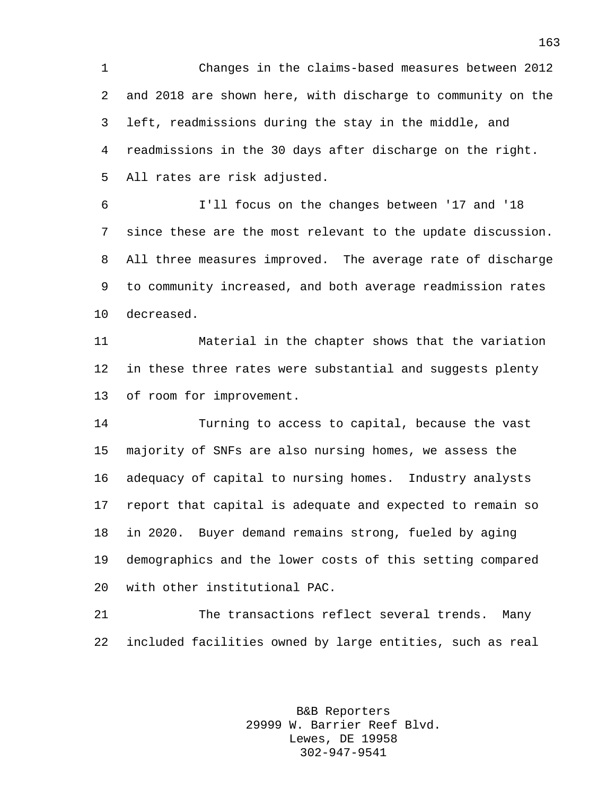Changes in the claims-based measures between 2012 and 2018 are shown here, with discharge to community on the left, readmissions during the stay in the middle, and readmissions in the 30 days after discharge on the right. All rates are risk adjusted.

 I'll focus on the changes between '17 and '18 since these are the most relevant to the update discussion. All three measures improved. The average rate of discharge to community increased, and both average readmission rates decreased.

 Material in the chapter shows that the variation in these three rates were substantial and suggests plenty of room for improvement.

 Turning to access to capital, because the vast majority of SNFs are also nursing homes, we assess the adequacy of capital to nursing homes. Industry analysts report that capital is adequate and expected to remain so in 2020. Buyer demand remains strong, fueled by aging demographics and the lower costs of this setting compared with other institutional PAC.

 The transactions reflect several trends. Many included facilities owned by large entities, such as real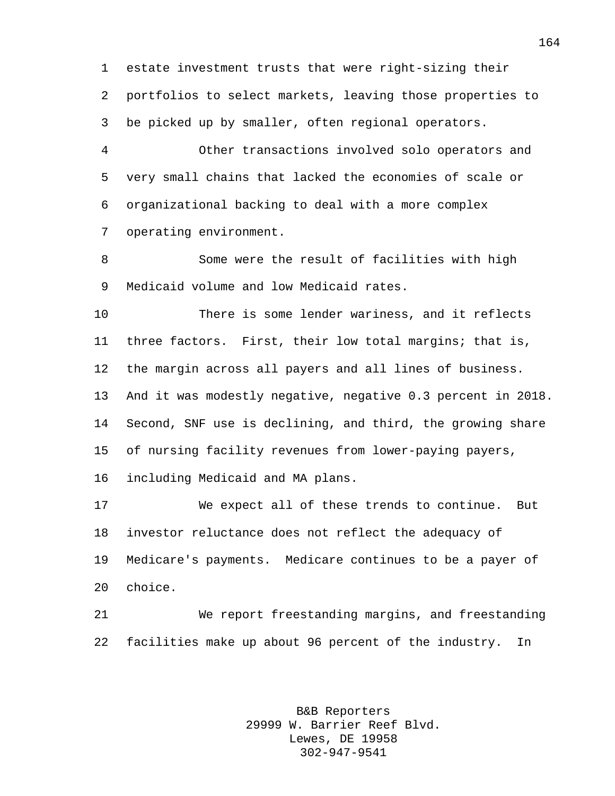estate investment trusts that were right-sizing their portfolios to select markets, leaving those properties to be picked up by smaller, often regional operators.

 Other transactions involved solo operators and very small chains that lacked the economies of scale or organizational backing to deal with a more complex operating environment.

 Some were the result of facilities with high Medicaid volume and low Medicaid rates.

 There is some lender wariness, and it reflects three factors. First, their low total margins; that is, the margin across all payers and all lines of business. And it was modestly negative, negative 0.3 percent in 2018. Second, SNF use is declining, and third, the growing share of nursing facility revenues from lower-paying payers, including Medicaid and MA plans.

 We expect all of these trends to continue. But investor reluctance does not reflect the adequacy of Medicare's payments. Medicare continues to be a payer of choice.

 We report freestanding margins, and freestanding facilities make up about 96 percent of the industry. In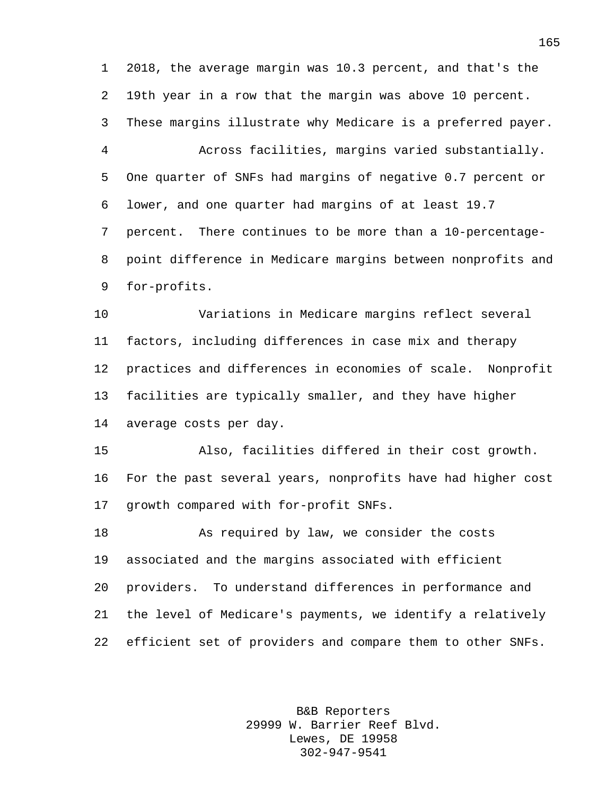2018, the average margin was 10.3 percent, and that's the 19th year in a row that the margin was above 10 percent. These margins illustrate why Medicare is a preferred payer. Across facilities, margins varied substantially. One quarter of SNFs had margins of negative 0.7 percent or lower, and one quarter had margins of at least 19.7 percent. There continues to be more than a 10-percentage- point difference in Medicare margins between nonprofits and for-profits. Variations in Medicare margins reflect several

 factors, including differences in case mix and therapy practices and differences in economies of scale. Nonprofit facilities are typically smaller, and they have higher average costs per day.

 Also, facilities differed in their cost growth. For the past several years, nonprofits have had higher cost growth compared with for-profit SNFs.

 As required by law, we consider the costs associated and the margins associated with efficient providers. To understand differences in performance and the level of Medicare's payments, we identify a relatively efficient set of providers and compare them to other SNFs.

> B&B Reporters 29999 W. Barrier Reef Blvd. Lewes, DE 19958 302-947-9541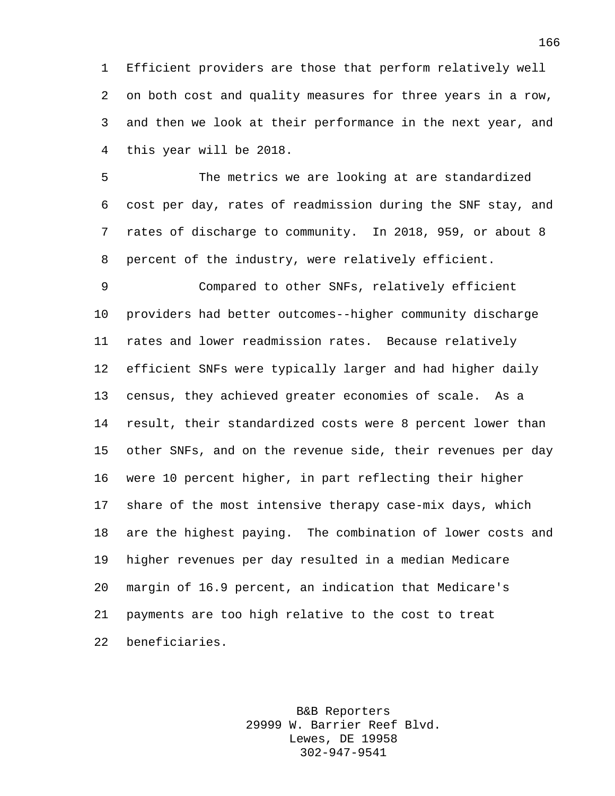Efficient providers are those that perform relatively well on both cost and quality measures for three years in a row, and then we look at their performance in the next year, and this year will be 2018.

 The metrics we are looking at are standardized cost per day, rates of readmission during the SNF stay, and rates of discharge to community. In 2018, 959, or about 8 percent of the industry, were relatively efficient.

 Compared to other SNFs, relatively efficient providers had better outcomes--higher community discharge rates and lower readmission rates. Because relatively efficient SNFs were typically larger and had higher daily census, they achieved greater economies of scale. As a result, their standardized costs were 8 percent lower than other SNFs, and on the revenue side, their revenues per day were 10 percent higher, in part reflecting their higher share of the most intensive therapy case-mix days, which are the highest paying. The combination of lower costs and higher revenues per day resulted in a median Medicare margin of 16.9 percent, an indication that Medicare's payments are too high relative to the cost to treat beneficiaries.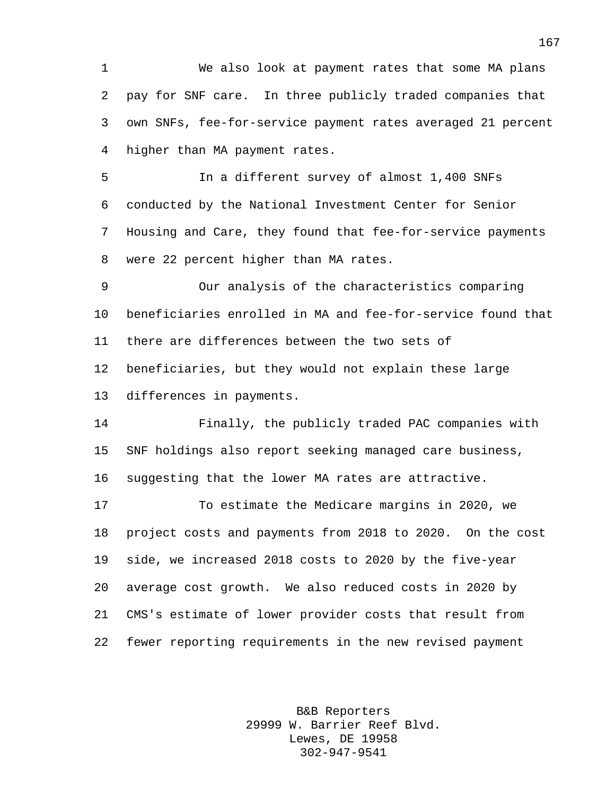We also look at payment rates that some MA plans pay for SNF care. In three publicly traded companies that own SNFs, fee-for-service payment rates averaged 21 percent higher than MA payment rates.

 In a different survey of almost 1,400 SNFs conducted by the National Investment Center for Senior Housing and Care, they found that fee-for-service payments were 22 percent higher than MA rates.

 Our analysis of the characteristics comparing beneficiaries enrolled in MA and fee-for-service found that there are differences between the two sets of beneficiaries, but they would not explain these large differences in payments.

 Finally, the publicly traded PAC companies with SNF holdings also report seeking managed care business, suggesting that the lower MA rates are attractive.

 To estimate the Medicare margins in 2020, we project costs and payments from 2018 to 2020. On the cost side, we increased 2018 costs to 2020 by the five-year average cost growth. We also reduced costs in 2020 by CMS's estimate of lower provider costs that result from fewer reporting requirements in the new revised payment

> B&B Reporters 29999 W. Barrier Reef Blvd. Lewes, DE 19958 302-947-9541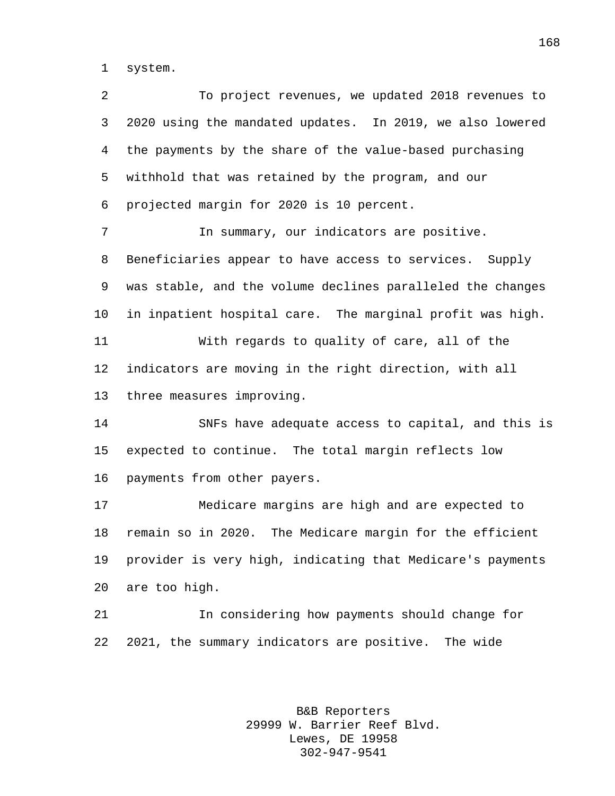system.

 To project revenues, we updated 2018 revenues to 2020 using the mandated updates. In 2019, we also lowered the payments by the share of the value-based purchasing withhold that was retained by the program, and our projected margin for 2020 is 10 percent. In summary, our indicators are positive. Beneficiaries appear to have access to services. Supply was stable, and the volume declines paralleled the changes in inpatient hospital care. The marginal profit was high. With regards to quality of care, all of the indicators are moving in the right direction, with all three measures improving. SNFs have adequate access to capital, and this is expected to continue. The total margin reflects low payments from other payers. Medicare margins are high and are expected to remain so in 2020. The Medicare margin for the efficient provider is very high, indicating that Medicare's payments are too high. In considering how payments should change for 2021, the summary indicators are positive. The wide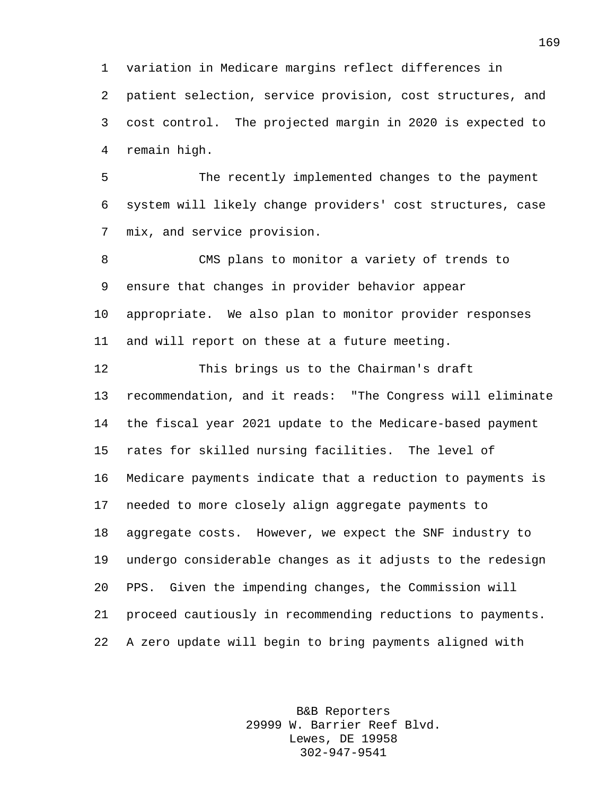variation in Medicare margins reflect differences in patient selection, service provision, cost structures, and cost control. The projected margin in 2020 is expected to remain high.

 The recently implemented changes to the payment system will likely change providers' cost structures, case mix, and service provision.

 CMS plans to monitor a variety of trends to ensure that changes in provider behavior appear appropriate. We also plan to monitor provider responses and will report on these at a future meeting.

 This brings us to the Chairman's draft recommendation, and it reads: "The Congress will eliminate the fiscal year 2021 update to the Medicare-based payment rates for skilled nursing facilities. The level of Medicare payments indicate that a reduction to payments is needed to more closely align aggregate payments to aggregate costs. However, we expect the SNF industry to undergo considerable changes as it adjusts to the redesign PPS. Given the impending changes, the Commission will proceed cautiously in recommending reductions to payments. A zero update will begin to bring payments aligned with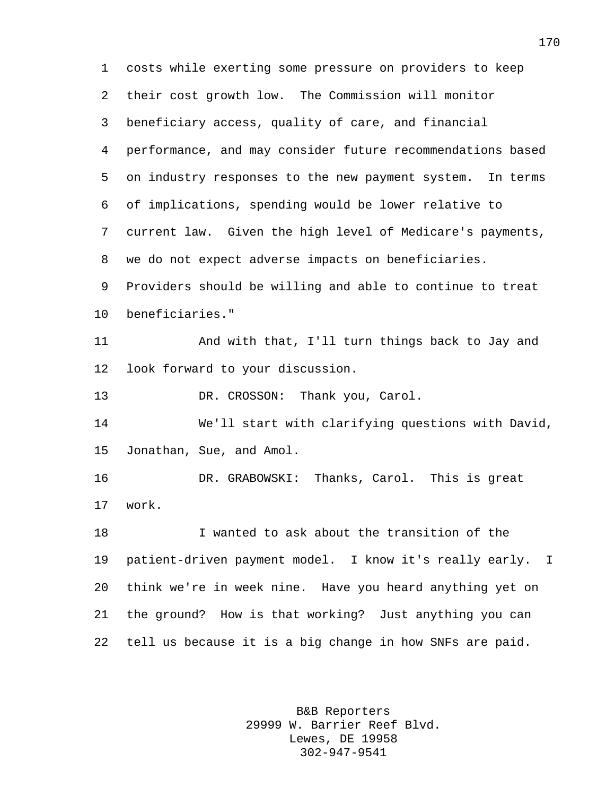costs while exerting some pressure on providers to keep their cost growth low. The Commission will monitor beneficiary access, quality of care, and financial performance, and may consider future recommendations based on industry responses to the new payment system. In terms of implications, spending would be lower relative to current law. Given the high level of Medicare's payments, we do not expect adverse impacts on beneficiaries. Providers should be willing and able to continue to treat beneficiaries." And with that, I'll turn things back to Jay and look forward to your discussion. 13 DR. CROSSON: Thank you, Carol. We'll start with clarifying questions with David, Jonathan, Sue, and Amol. DR. GRABOWSKI: Thanks, Carol. This is great work. I wanted to ask about the transition of the patient-driven payment model. I know it's really early. I think we're in week nine. Have you heard anything yet on the ground? How is that working? Just anything you can tell us because it is a big change in how SNFs are paid.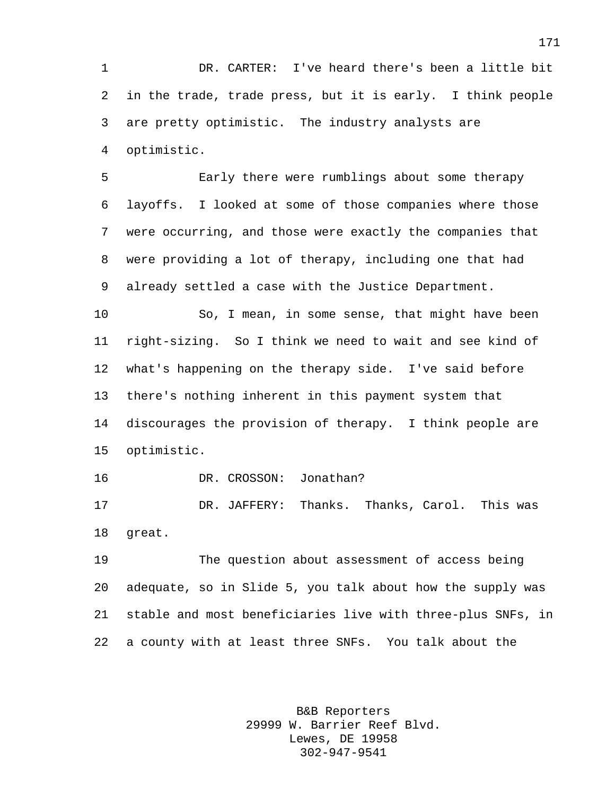DR. CARTER: I've heard there's been a little bit in the trade, trade press, but it is early. I think people are pretty optimistic. The industry analysts are optimistic.

 Early there were rumblings about some therapy layoffs. I looked at some of those companies where those were occurring, and those were exactly the companies that were providing a lot of therapy, including one that had already settled a case with the Justice Department.

 So, I mean, in some sense, that might have been right-sizing. So I think we need to wait and see kind of what's happening on the therapy side. I've said before there's nothing inherent in this payment system that discourages the provision of therapy. I think people are optimistic.

DR. CROSSON: Jonathan?

 DR. JAFFERY: Thanks. Thanks, Carol. This was great.

 The question about assessment of access being adequate, so in Slide 5, you talk about how the supply was stable and most beneficiaries live with three-plus SNFs, in a county with at least three SNFs. You talk about the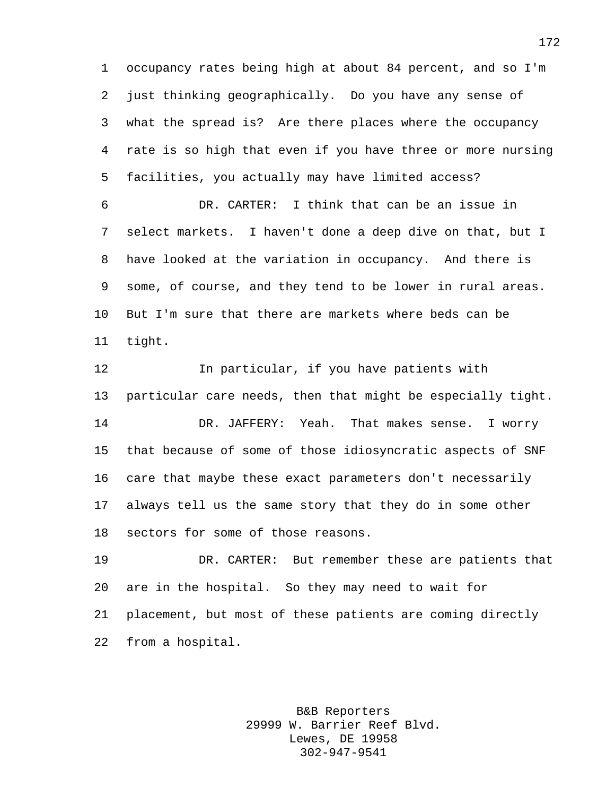occupancy rates being high at about 84 percent, and so I'm just thinking geographically. Do you have any sense of what the spread is? Are there places where the occupancy rate is so high that even if you have three or more nursing facilities, you actually may have limited access?

 DR. CARTER: I think that can be an issue in select markets. I haven't done a deep dive on that, but I have looked at the variation in occupancy. And there is some, of course, and they tend to be lower in rural areas. But I'm sure that there are markets where beds can be tight.

 In particular, if you have patients with particular care needs, then that might be especially tight. DR. JAFFERY: Yeah. That makes sense. I worry that because of some of those idiosyncratic aspects of SNF care that maybe these exact parameters don't necessarily always tell us the same story that they do in some other sectors for some of those reasons.

 DR. CARTER: But remember these are patients that are in the hospital. So they may need to wait for placement, but most of these patients are coming directly from a hospital.

> B&B Reporters 29999 W. Barrier Reef Blvd. Lewes, DE 19958 302-947-9541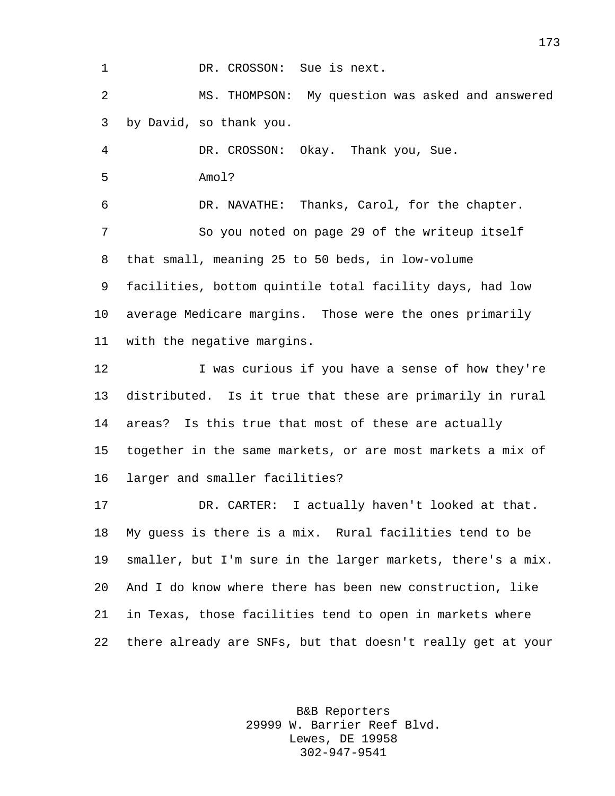1 DR. CROSSON: Sue is next.

 MS. THOMPSON: My question was asked and answered by David, so thank you.

 DR. CROSSON: Okay. Thank you, Sue. Amol? DR. NAVATHE: Thanks, Carol, for the chapter.

 So you noted on page 29 of the writeup itself that small, meaning 25 to 50 beds, in low-volume facilities, bottom quintile total facility days, had low average Medicare margins. Those were the ones primarily with the negative margins.

12 I was curious if you have a sense of how they're distributed. Is it true that these are primarily in rural areas? Is this true that most of these are actually together in the same markets, or are most markets a mix of larger and smaller facilities?

 DR. CARTER: I actually haven't looked at that. My guess is there is a mix. Rural facilities tend to be smaller, but I'm sure in the larger markets, there's a mix. And I do know where there has been new construction, like in Texas, those facilities tend to open in markets where there already are SNFs, but that doesn't really get at your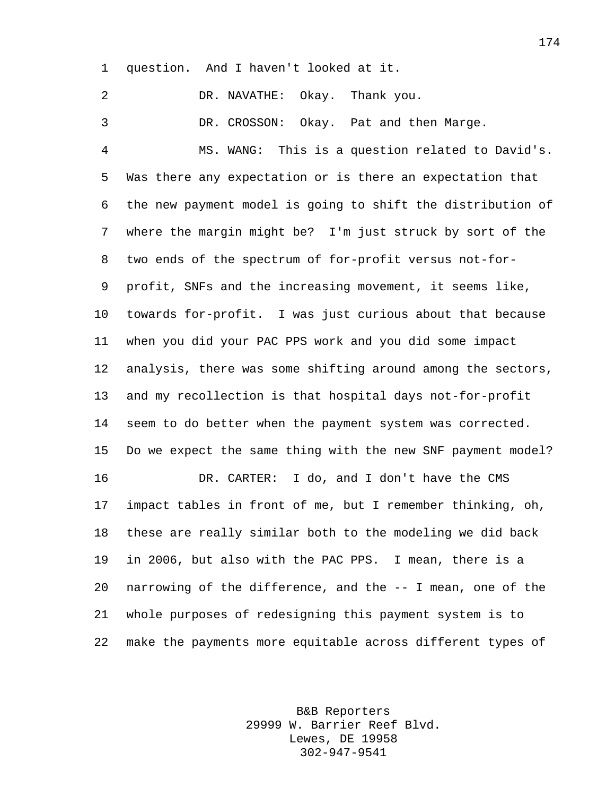question. And I haven't looked at it.

 DR. NAVATHE: Okay. Thank you. DR. CROSSON: Okay. Pat and then Marge. MS. WANG: This is a question related to David's. Was there any expectation or is there an expectation that the new payment model is going to shift the distribution of where the margin might be? I'm just struck by sort of the two ends of the spectrum of for-profit versus not-for- profit, SNFs and the increasing movement, it seems like, towards for-profit. I was just curious about that because when you did your PAC PPS work and you did some impact analysis, there was some shifting around among the sectors, and my recollection is that hospital days not-for-profit seem to do better when the payment system was corrected. Do we expect the same thing with the new SNF payment model? DR. CARTER: I do, and I don't have the CMS impact tables in front of me, but I remember thinking, oh, these are really similar both to the modeling we did back in 2006, but also with the PAC PPS. I mean, there is a narrowing of the difference, and the -- I mean, one of the whole purposes of redesigning this payment system is to make the payments more equitable across different types of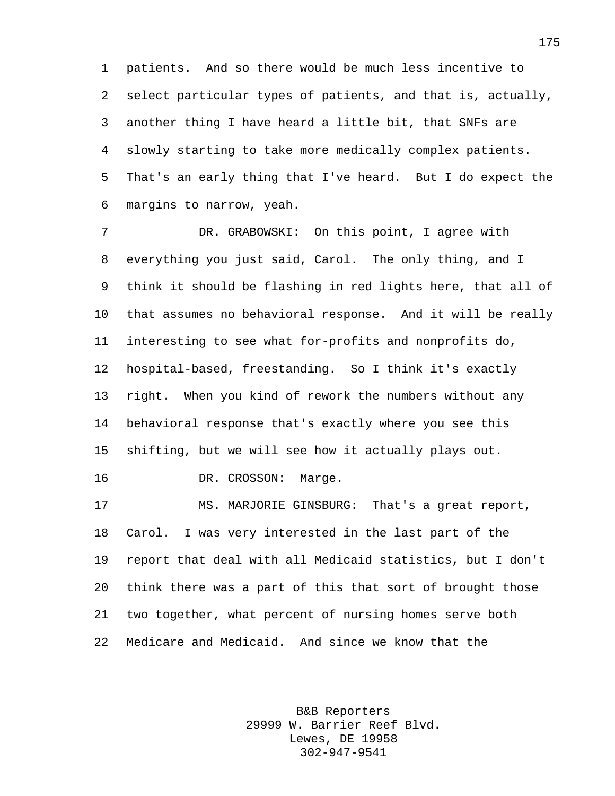patients. And so there would be much less incentive to select particular types of patients, and that is, actually, another thing I have heard a little bit, that SNFs are slowly starting to take more medically complex patients. That's an early thing that I've heard. But I do expect the margins to narrow, yeah.

 DR. GRABOWSKI: On this point, I agree with everything you just said, Carol. The only thing, and I think it should be flashing in red lights here, that all of that assumes no behavioral response. And it will be really interesting to see what for-profits and nonprofits do, hospital-based, freestanding. So I think it's exactly right. When you kind of rework the numbers without any behavioral response that's exactly where you see this shifting, but we will see how it actually plays out.

16 DR. CROSSON: Marge.

 MS. MARJORIE GINSBURG: That's a great report, Carol. I was very interested in the last part of the report that deal with all Medicaid statistics, but I don't think there was a part of this that sort of brought those two together, what percent of nursing homes serve both Medicare and Medicaid. And since we know that the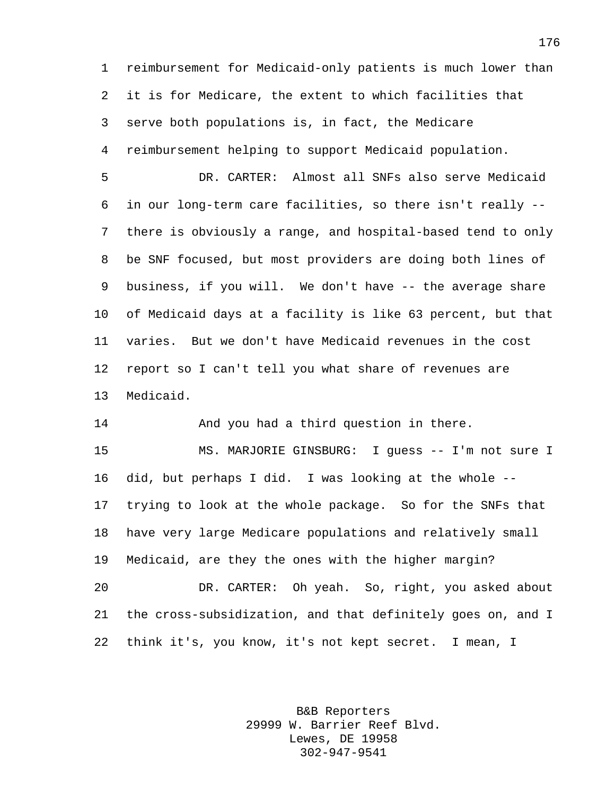reimbursement for Medicaid-only patients is much lower than it is for Medicare, the extent to which facilities that serve both populations is, in fact, the Medicare reimbursement helping to support Medicaid population.

 DR. CARTER: Almost all SNFs also serve Medicaid in our long-term care facilities, so there isn't really -- there is obviously a range, and hospital-based tend to only be SNF focused, but most providers are doing both lines of business, if you will. We don't have -- the average share of Medicaid days at a facility is like 63 percent, but that varies. But we don't have Medicaid revenues in the cost report so I can't tell you what share of revenues are Medicaid.

And you had a third question in there.

 MS. MARJORIE GINSBURG: I guess -- I'm not sure I did, but perhaps I did. I was looking at the whole -- trying to look at the whole package. So for the SNFs that have very large Medicare populations and relatively small Medicaid, are they the ones with the higher margin? DR. CARTER: Oh yeah. So, right, you asked about the cross-subsidization, and that definitely goes on, and I think it's, you know, it's not kept secret. I mean, I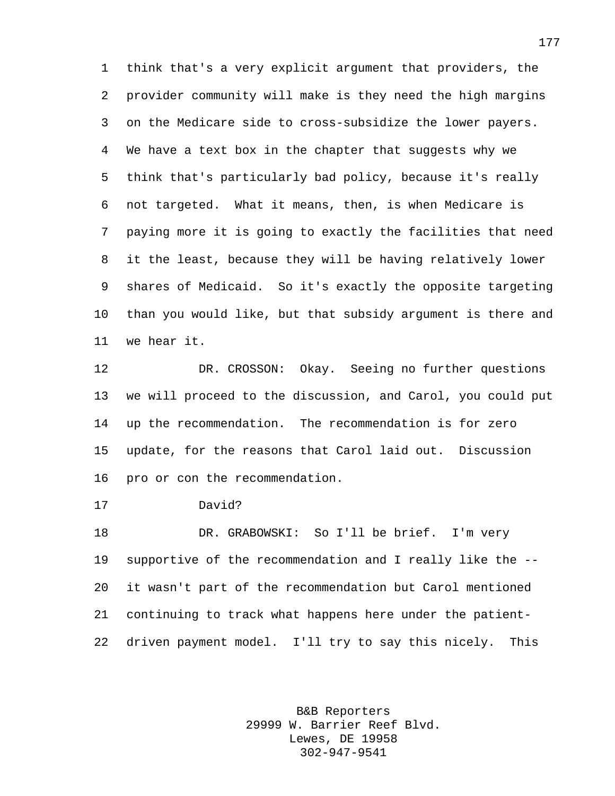think that's a very explicit argument that providers, the provider community will make is they need the high margins on the Medicare side to cross-subsidize the lower payers. We have a text box in the chapter that suggests why we think that's particularly bad policy, because it's really not targeted. What it means, then, is when Medicare is paying more it is going to exactly the facilities that need it the least, because they will be having relatively lower shares of Medicaid. So it's exactly the opposite targeting than you would like, but that subsidy argument is there and we hear it.

 DR. CROSSON: Okay. Seeing no further questions we will proceed to the discussion, and Carol, you could put up the recommendation. The recommendation is for zero update, for the reasons that Carol laid out. Discussion pro or con the recommendation.

David?

 DR. GRABOWSKI: So I'll be brief. I'm very supportive of the recommendation and I really like the -- it wasn't part of the recommendation but Carol mentioned continuing to track what happens here under the patient-driven payment model. I'll try to say this nicely. This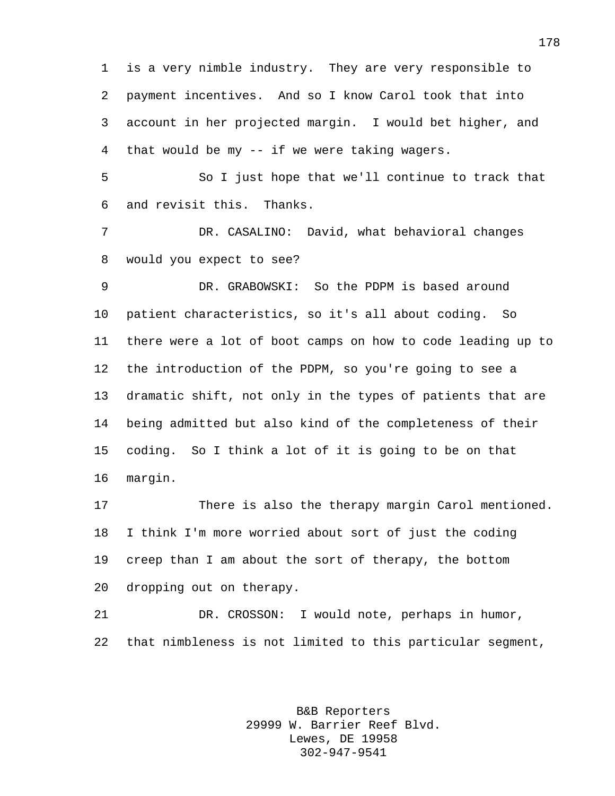is a very nimble industry. They are very responsible to payment incentives. And so I know Carol took that into account in her projected margin. I would bet higher, and that would be my -- if we were taking wagers.

 So I just hope that we'll continue to track that and revisit this. Thanks.

 DR. CASALINO: David, what behavioral changes would you expect to see?

 DR. GRABOWSKI: So the PDPM is based around patient characteristics, so it's all about coding. So there were a lot of boot camps on how to code leading up to the introduction of the PDPM, so you're going to see a dramatic shift, not only in the types of patients that are being admitted but also kind of the completeness of their coding. So I think a lot of it is going to be on that margin.

 There is also the therapy margin Carol mentioned. I think I'm more worried about sort of just the coding creep than I am about the sort of therapy, the bottom dropping out on therapy.

 DR. CROSSON: I would note, perhaps in humor, that nimbleness is not limited to this particular segment,

> B&B Reporters 29999 W. Barrier Reef Blvd. Lewes, DE 19958 302-947-9541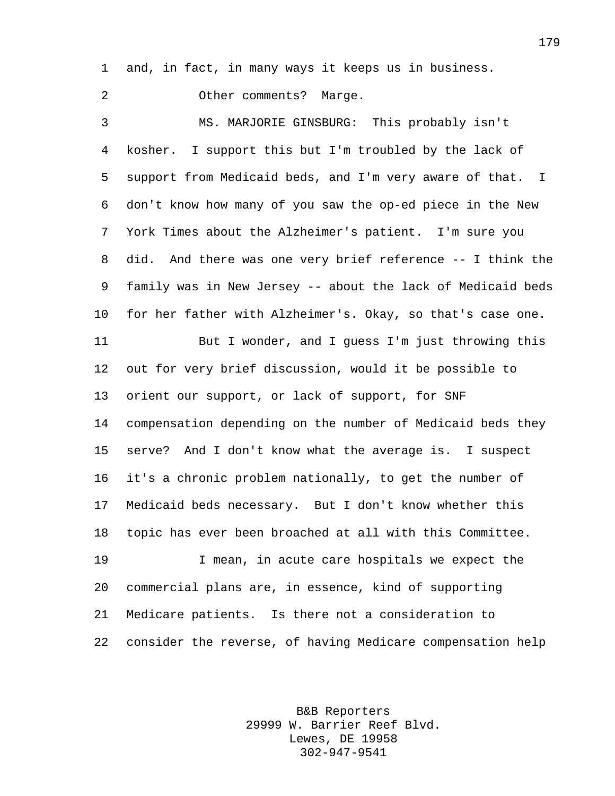and, in fact, in many ways it keeps us in business.

Other comments? Marge.

 MS. MARJORIE GINSBURG: This probably isn't kosher. I support this but I'm troubled by the lack of support from Medicaid beds, and I'm very aware of that. I don't know how many of you saw the op-ed piece in the New York Times about the Alzheimer's patient. I'm sure you did. And there was one very brief reference -- I think the family was in New Jersey -- about the lack of Medicaid beds for her father with Alzheimer's. Okay, so that's case one. But I wonder, and I guess I'm just throwing this out for very brief discussion, would it be possible to orient our support, or lack of support, for SNF compensation depending on the number of Medicaid beds they serve? And I don't know what the average is. I suspect it's a chronic problem nationally, to get the number of Medicaid beds necessary. But I don't know whether this topic has ever been broached at all with this Committee. I mean, in acute care hospitals we expect the commercial plans are, in essence, kind of supporting

consider the reverse, of having Medicare compensation help

Medicare patients. Is there not a consideration to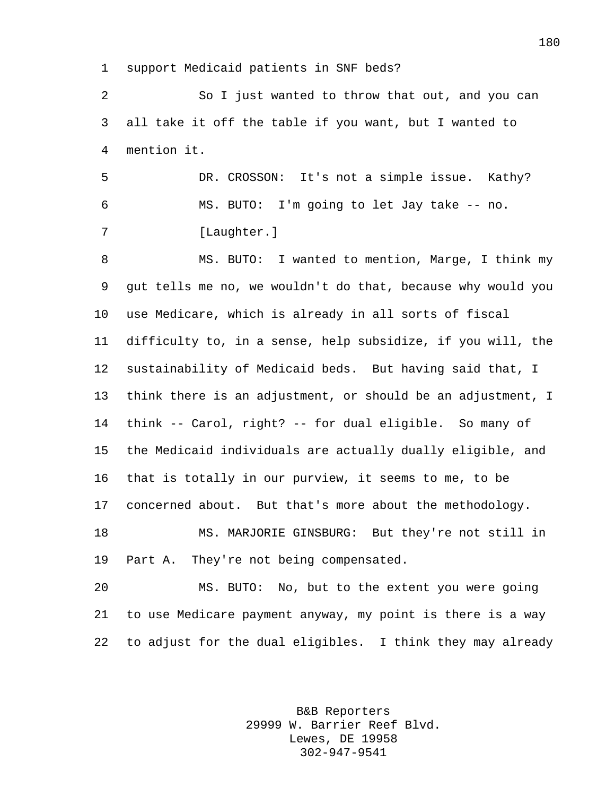support Medicaid patients in SNF beds?

 So I just wanted to throw that out, and you can all take it off the table if you want, but I wanted to mention it.

 DR. CROSSON: It's not a simple issue. Kathy? MS. BUTO: I'm going to let Jay take -- no. 7 [Laughter.]

8 MS. BUTO: I wanted to mention, Marge, I think my gut tells me no, we wouldn't do that, because why would you use Medicare, which is already in all sorts of fiscal difficulty to, in a sense, help subsidize, if you will, the sustainability of Medicaid beds. But having said that, I think there is an adjustment, or should be an adjustment, I think -- Carol, right? -- for dual eligible. So many of the Medicaid individuals are actually dually eligible, and that is totally in our purview, it seems to me, to be concerned about. But that's more about the methodology. MS. MARJORIE GINSBURG: But they're not still in Part A. They're not being compensated.

 MS. BUTO: No, but to the extent you were going to use Medicare payment anyway, my point is there is a way to adjust for the dual eligibles. I think they may already

> B&B Reporters 29999 W. Barrier Reef Blvd. Lewes, DE 19958 302-947-9541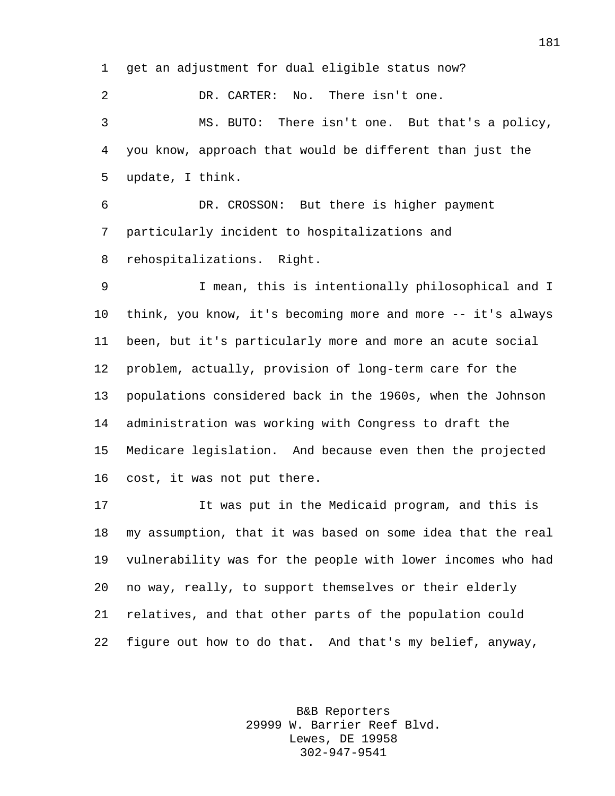get an adjustment for dual eligible status now?

 DR. CARTER: No. There isn't one. MS. BUTO: There isn't one. But that's a policy, you know, approach that would be different than just the update, I think.

 DR. CROSSON: But there is higher payment particularly incident to hospitalizations and rehospitalizations. Right.

 I mean, this is intentionally philosophical and I think, you know, it's becoming more and more -- it's always been, but it's particularly more and more an acute social problem, actually, provision of long-term care for the populations considered back in the 1960s, when the Johnson administration was working with Congress to draft the 15 Medicare legislation. And because even then the projected cost, it was not put there.

 It was put in the Medicaid program, and this is my assumption, that it was based on some idea that the real vulnerability was for the people with lower incomes who had no way, really, to support themselves or their elderly relatives, and that other parts of the population could figure out how to do that. And that's my belief, anyway,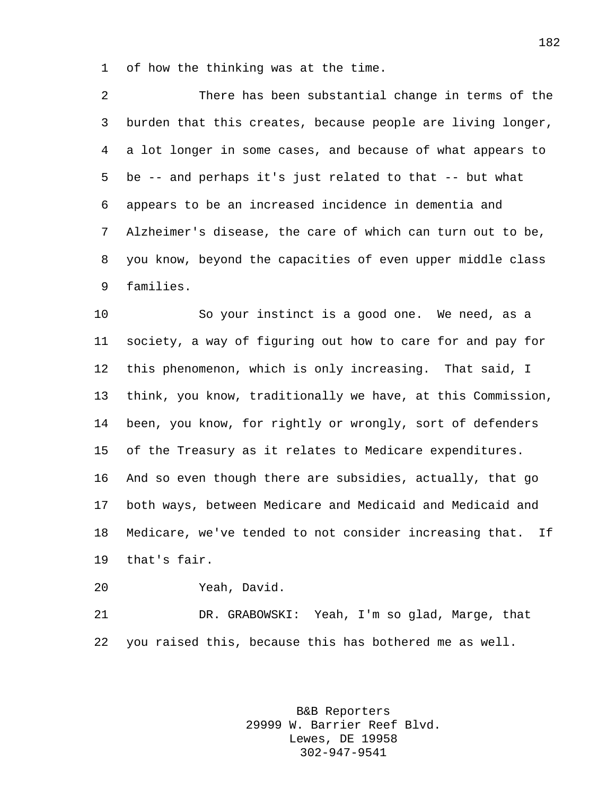of how the thinking was at the time.

 There has been substantial change in terms of the burden that this creates, because people are living longer, a lot longer in some cases, and because of what appears to be -- and perhaps it's just related to that -- but what appears to be an increased incidence in dementia and Alzheimer's disease, the care of which can turn out to be, you know, beyond the capacities of even upper middle class families.

 So your instinct is a good one. We need, as a society, a way of figuring out how to care for and pay for this phenomenon, which is only increasing. That said, I think, you know, traditionally we have, at this Commission, been, you know, for rightly or wrongly, sort of defenders of the Treasury as it relates to Medicare expenditures. And so even though there are subsidies, actually, that go both ways, between Medicare and Medicaid and Medicaid and Medicare, we've tended to not consider increasing that. If that's fair.

Yeah, David.

 DR. GRABOWSKI: Yeah, I'm so glad, Marge, that you raised this, because this has bothered me as well.

> B&B Reporters 29999 W. Barrier Reef Blvd. Lewes, DE 19958 302-947-9541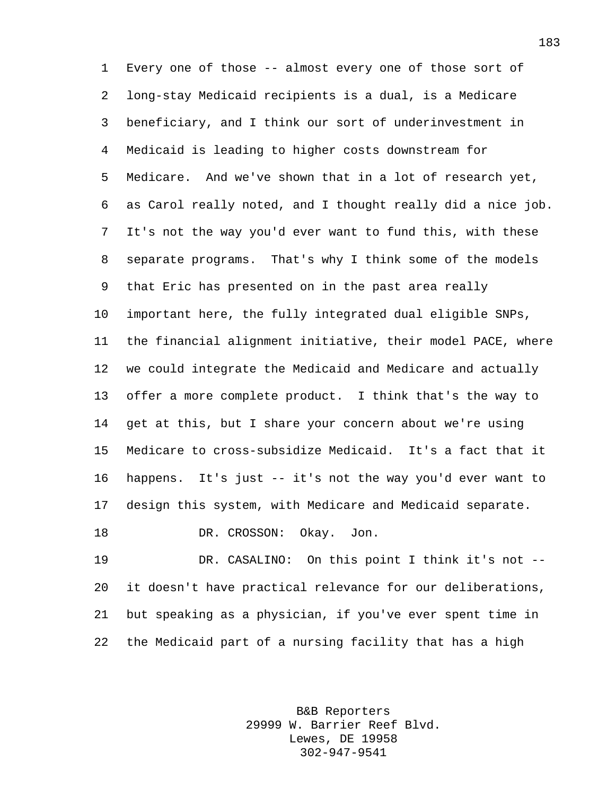Every one of those -- almost every one of those sort of long-stay Medicaid recipients is a dual, is a Medicare beneficiary, and I think our sort of underinvestment in Medicaid is leading to higher costs downstream for Medicare. And we've shown that in a lot of research yet, as Carol really noted, and I thought really did a nice job. It's not the way you'd ever want to fund this, with these separate programs. That's why I think some of the models that Eric has presented on in the past area really important here, the fully integrated dual eligible SNPs, the financial alignment initiative, their model PACE, where we could integrate the Medicaid and Medicare and actually offer a more complete product. I think that's the way to get at this, but I share your concern about we're using Medicare to cross-subsidize Medicaid. It's a fact that it happens. It's just -- it's not the way you'd ever want to design this system, with Medicare and Medicaid separate. 18 DR. CROSSON: Okay. Jon.

 DR. CASALINO: On this point I think it's not -- it doesn't have practical relevance for our deliberations, but speaking as a physician, if you've ever spent time in the Medicaid part of a nursing facility that has a high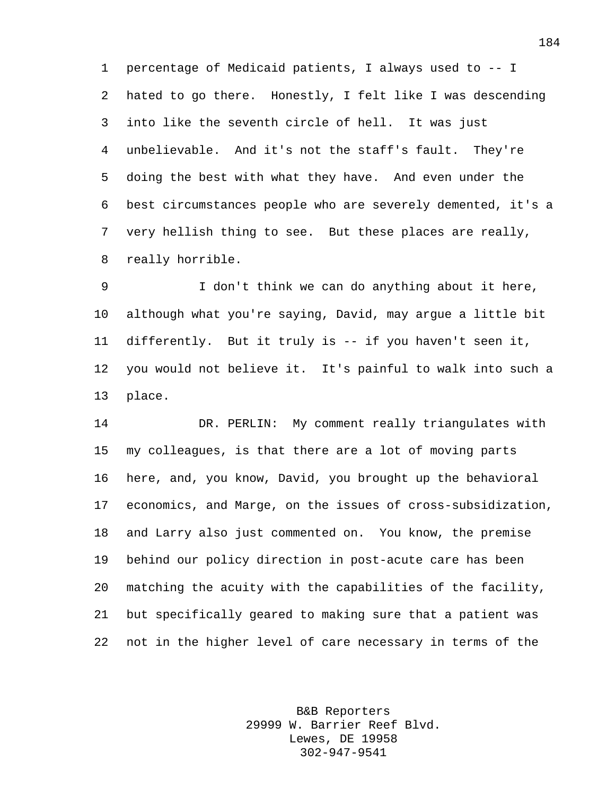percentage of Medicaid patients, I always used to -- I hated to go there. Honestly, I felt like I was descending into like the seventh circle of hell. It was just unbelievable. And it's not the staff's fault. They're doing the best with what they have. And even under the best circumstances people who are severely demented, it's a very hellish thing to see. But these places are really, really horrible.

 I don't think we can do anything about it here, although what you're saying, David, may argue a little bit differently. But it truly is -- if you haven't seen it, you would not believe it. It's painful to walk into such a place.

 DR. PERLIN: My comment really triangulates with my colleagues, is that there are a lot of moving parts here, and, you know, David, you brought up the behavioral economics, and Marge, on the issues of cross-subsidization, and Larry also just commented on. You know, the premise behind our policy direction in post-acute care has been matching the acuity with the capabilities of the facility, but specifically geared to making sure that a patient was not in the higher level of care necessary in terms of the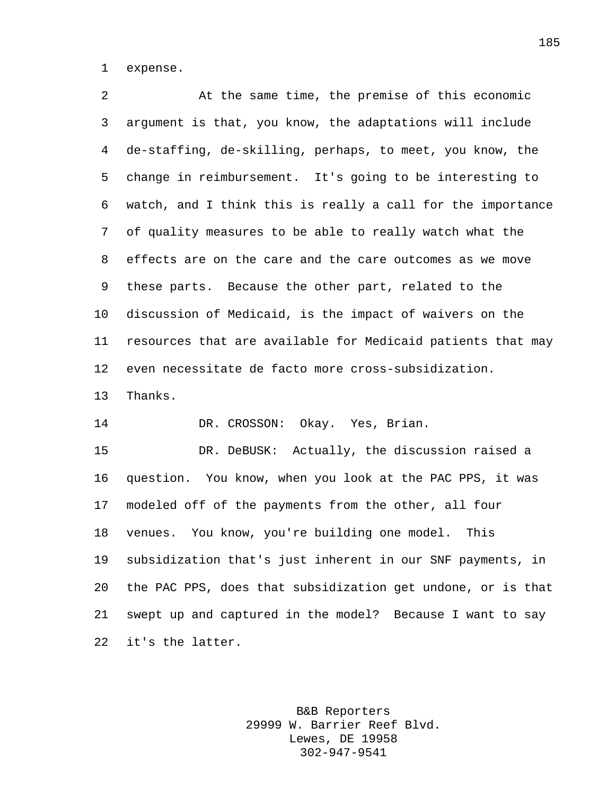expense.

 At the same time, the premise of this economic argument is that, you know, the adaptations will include de-staffing, de-skilling, perhaps, to meet, you know, the change in reimbursement. It's going to be interesting to watch, and I think this is really a call for the importance of quality measures to be able to really watch what the effects are on the care and the care outcomes as we move these parts. Because the other part, related to the discussion of Medicaid, is the impact of waivers on the resources that are available for Medicaid patients that may even necessitate de facto more cross-subsidization. Thanks. DR. CROSSON: Okay. Yes, Brian. DR. DeBUSK: Actually, the discussion raised a question. You know, when you look at the PAC PPS, it was modeled off of the payments from the other, all four venues. You know, you're building one model. This subsidization that's just inherent in our SNF payments, in the PAC PPS, does that subsidization get undone, or is that swept up and captured in the model? Because I want to say it's the latter.

> B&B Reporters 29999 W. Barrier Reef Blvd. Lewes, DE 19958 302-947-9541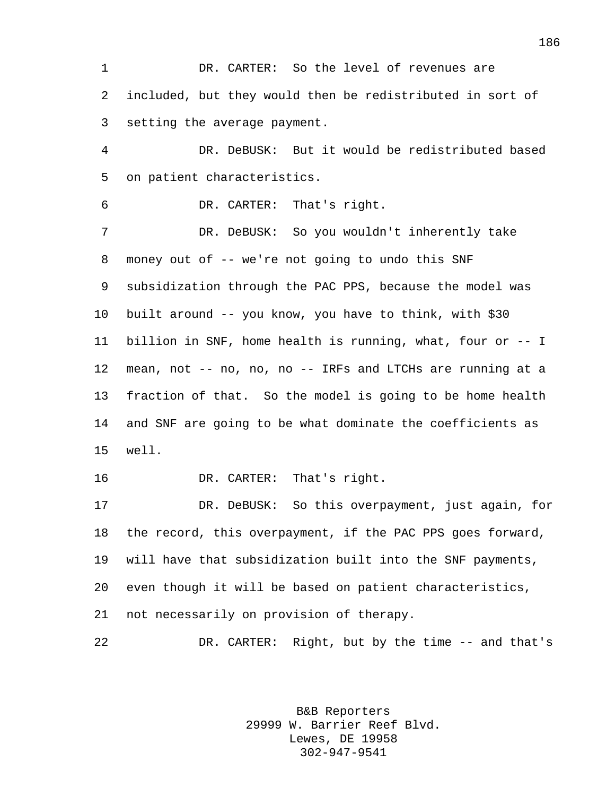DR. CARTER: So the level of revenues are included, but they would then be redistributed in sort of setting the average payment.

 DR. DeBUSK: But it would be redistributed based on patient characteristics.

DR. CARTER: That's right.

 DR. DeBUSK: So you wouldn't inherently take money out of -- we're not going to undo this SNF subsidization through the PAC PPS, because the model was built around -- you know, you have to think, with \$30 billion in SNF, home health is running, what, four or -- I mean, not -- no, no, no -- IRFs and LTCHs are running at a fraction of that. So the model is going to be home health and SNF are going to be what dominate the coefficients as well.

DR. CARTER: That's right.

 DR. DeBUSK: So this overpayment, just again, for the record, this overpayment, if the PAC PPS goes forward, will have that subsidization built into the SNF payments, even though it will be based on patient characteristics, not necessarily on provision of therapy.

DR. CARTER: Right, but by the time -- and that's

B&B Reporters 29999 W. Barrier Reef Blvd. Lewes, DE 19958 302-947-9541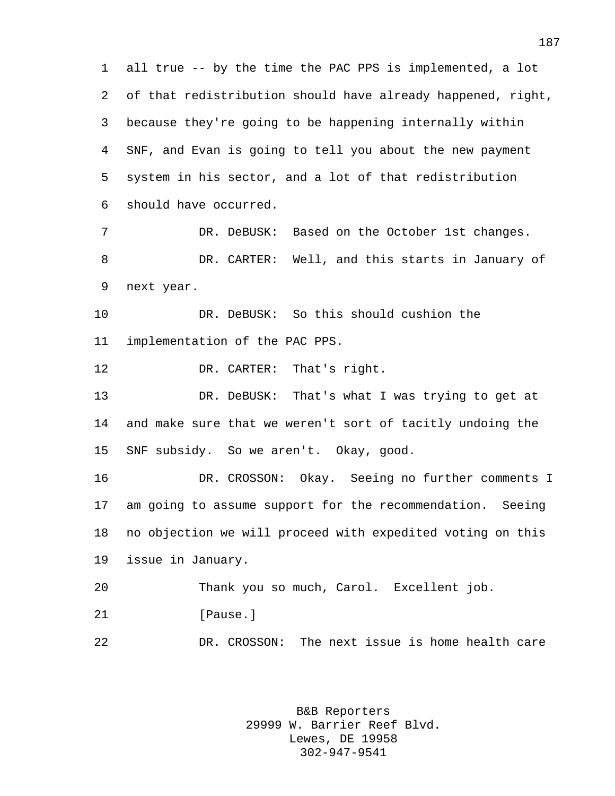all true -- by the time the PAC PPS is implemented, a lot of that redistribution should have already happened, right, because they're going to be happening internally within SNF, and Evan is going to tell you about the new payment system in his sector, and a lot of that redistribution should have occurred. 7 DR. DeBUSK: Based on the October 1st changes. DR. CARTER: Well, and this starts in January of next year. DR. DeBUSK: So this should cushion the implementation of the PAC PPS. DR. CARTER: That's right. DR. DeBUSK: That's what I was trying to get at and make sure that we weren't sort of tacitly undoing the SNF subsidy. So we aren't. Okay, good. DR. CROSSON: Okay. Seeing no further comments I am going to assume support for the recommendation. Seeing no objection we will proceed with expedited voting on this issue in January. Thank you so much, Carol. Excellent job. 21 [Pause.] DR. CROSSON: The next issue is home health care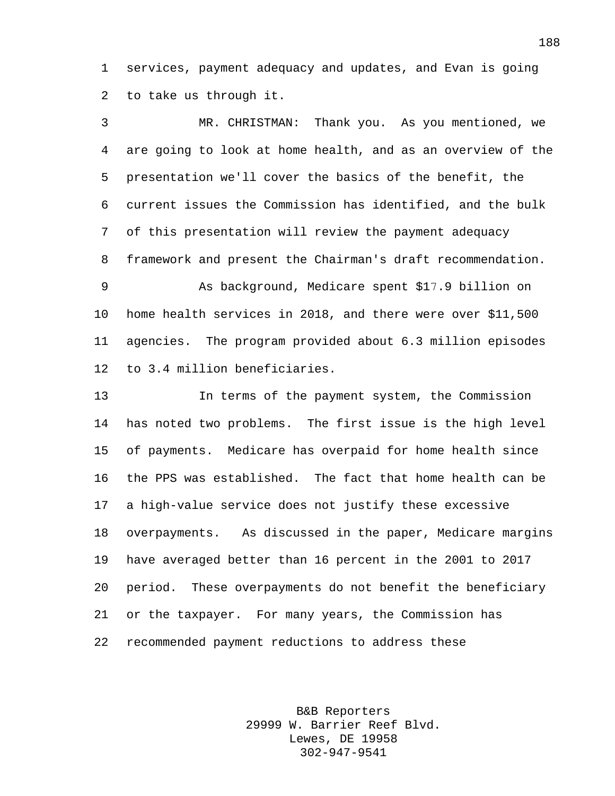1 services, payment adequacy and updates, and Evan is going 2 to take us through it.

3 MR. CHRISTMAN: Thank you. As you mentioned, we 4 are going to look at home health, and as an overview of the 5 presentation we'll cover the basics of the benefit, the 6 current issues the Commission has identified, and the bulk 7 of this presentation will review the payment adequacy 8 framework and present the Chairman's draft recommendation. 9 As background, Medicare spent \$17.9 billion on 10 home health services in 2018, and there were over \$11,500 11 agencies. The program provided about 6.3 million episodes 12 to 3.4 million beneficiaries. 13 In terms of the payment system, the Commission 14 has noted two problems. The first issue is the high level 15 of payments. Medicare has overpaid for home health since 16 the PPS was established. The fact that home health can be 17 a high-value service does not justify these excessive 18 overpayments. As discussed in the paper, Medicare margins 19 have averaged better than 16 percent in the 2001 to 2017 20 period. These overpayments do not benefit the beneficiary 21 or the taxpayer. For many years, the Commission has 22 recommended payment reductions to address these

> B&B Reporters 29999 W. Barrier Reef Blvd. Lewes, DE 19958 302-947-9541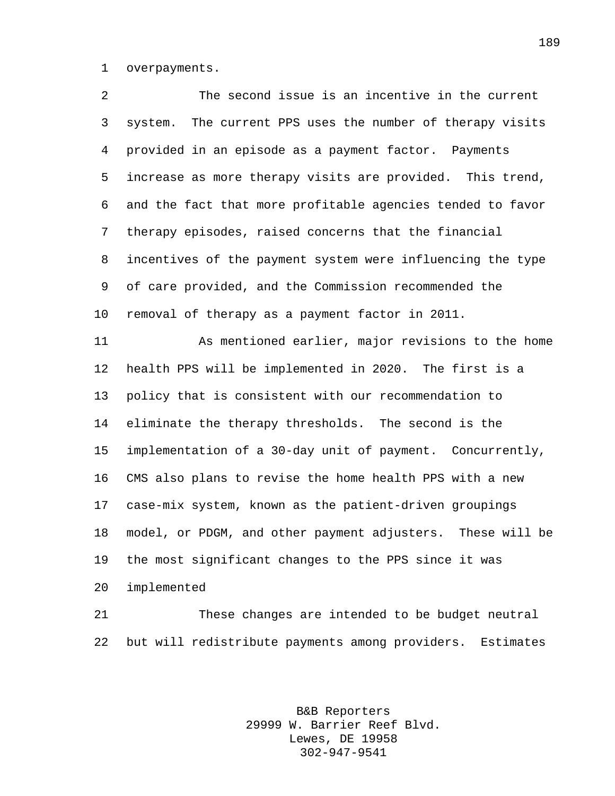overpayments.

 The second issue is an incentive in the current system. The current PPS uses the number of therapy visits provided in an episode as a payment factor. Payments increase as more therapy visits are provided. This trend, and the fact that more profitable agencies tended to favor therapy episodes, raised concerns that the financial incentives of the payment system were influencing the type of care provided, and the Commission recommended the removal of therapy as a payment factor in 2011. As mentioned earlier, major revisions to the home health PPS will be implemented in 2020. The first is a policy that is consistent with our recommendation to eliminate the therapy thresholds. The second is the implementation of a 30-day unit of payment. Concurrently, CMS also plans to revise the home health PPS with a new case-mix system, known as the patient-driven groupings model, or PDGM, and other payment adjusters. These will be the most significant changes to the PPS since it was implemented

 These changes are intended to be budget neutral but will redistribute payments among providers. Estimates

> B&B Reporters 29999 W. Barrier Reef Blvd. Lewes, DE 19958 302-947-9541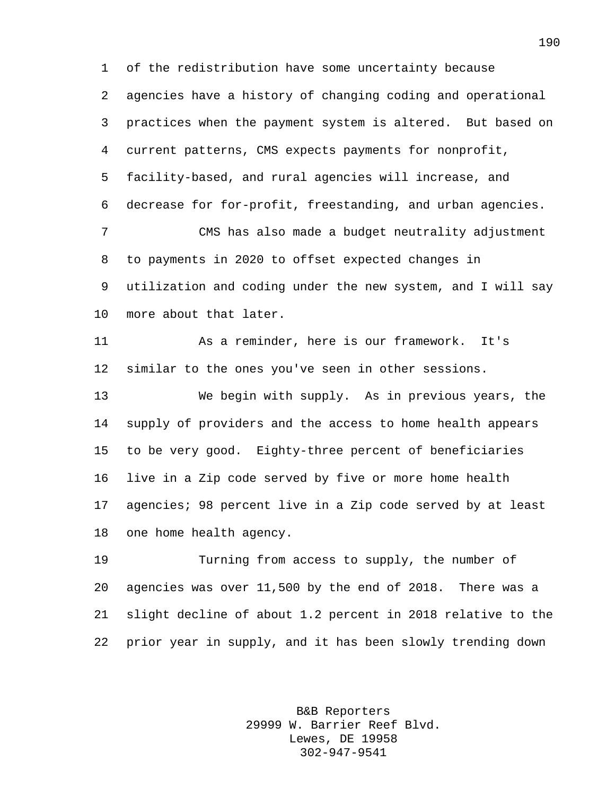of the redistribution have some uncertainty because agencies have a history of changing coding and operational practices when the payment system is altered. But based on current patterns, CMS expects payments for nonprofit, facility-based, and rural agencies will increase, and decrease for for-profit, freestanding, and urban agencies. CMS has also made a budget neutrality adjustment to payments in 2020 to offset expected changes in utilization and coding under the new system, and I will say more about that later. As a reminder, here is our framework. It's similar to the ones you've seen in other sessions.

 We begin with supply. As in previous years, the supply of providers and the access to home health appears to be very good. Eighty-three percent of beneficiaries live in a Zip code served by five or more home health agencies; 98 percent live in a Zip code served by at least one home health agency.

 Turning from access to supply, the number of agencies was over 11,500 by the end of 2018. There was a slight decline of about 1.2 percent in 2018 relative to the prior year in supply, and it has been slowly trending down

> B&B Reporters 29999 W. Barrier Reef Blvd. Lewes, DE 19958 302-947-9541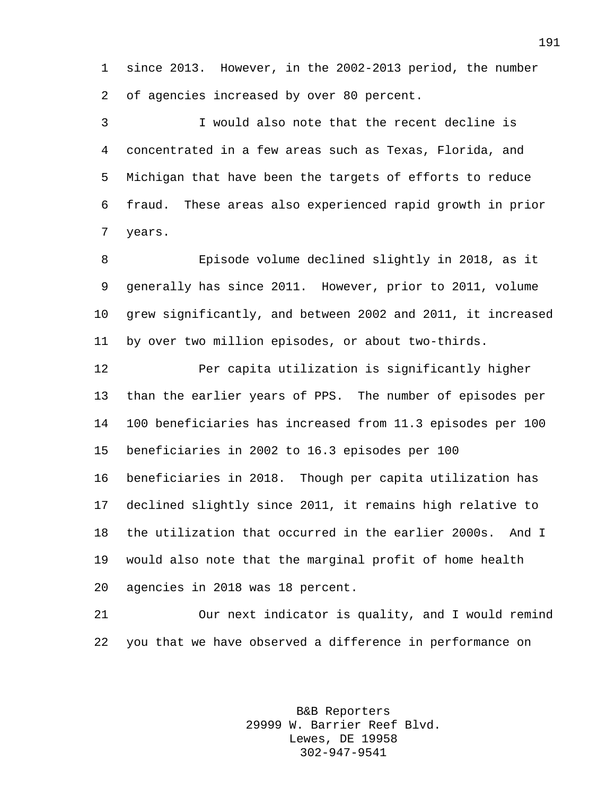since 2013. However, in the 2002-2013 period, the number of agencies increased by over 80 percent.

 I would also note that the recent decline is concentrated in a few areas such as Texas, Florida, and Michigan that have been the targets of efforts to reduce fraud. These areas also experienced rapid growth in prior years.

 Episode volume declined slightly in 2018, as it generally has since 2011. However, prior to 2011, volume grew significantly, and between 2002 and 2011, it increased by over two million episodes, or about two-thirds.

 Per capita utilization is significantly higher than the earlier years of PPS. The number of episodes per 100 beneficiaries has increased from 11.3 episodes per 100 beneficiaries in 2002 to 16.3 episodes per 100 beneficiaries in 2018. Though per capita utilization has declined slightly since 2011, it remains high relative to the utilization that occurred in the earlier 2000s. And I would also note that the marginal profit of home health agencies in 2018 was 18 percent.

 Our next indicator is quality, and I would remind you that we have observed a difference in performance on

> B&B Reporters 29999 W. Barrier Reef Blvd. Lewes, DE 19958 302-947-9541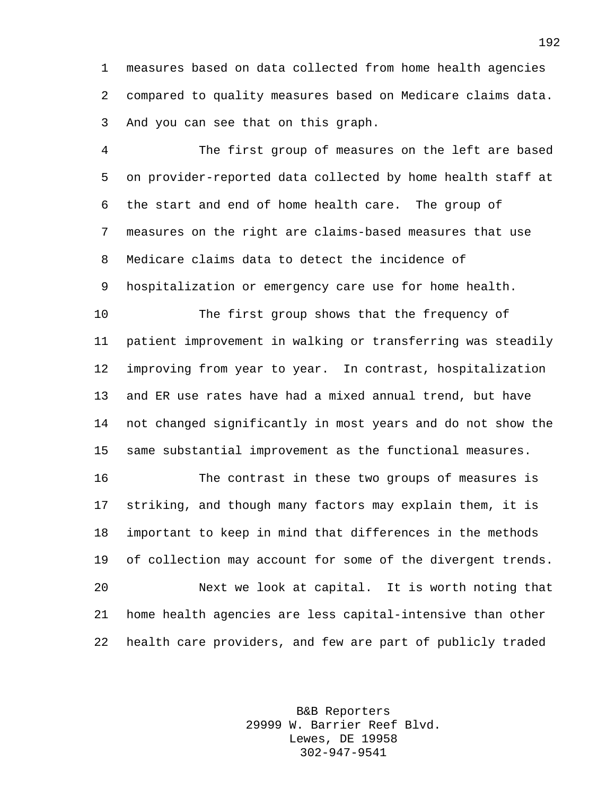measures based on data collected from home health agencies compared to quality measures based on Medicare claims data. And you can see that on this graph.

 The first group of measures on the left are based on provider-reported data collected by home health staff at the start and end of home health care. The group of measures on the right are claims-based measures that use Medicare claims data to detect the incidence of hospitalization or emergency care use for home health.

 The first group shows that the frequency of patient improvement in walking or transferring was steadily improving from year to year. In contrast, hospitalization and ER use rates have had a mixed annual trend, but have not changed significantly in most years and do not show the same substantial improvement as the functional measures.

 The contrast in these two groups of measures is striking, and though many factors may explain them, it is important to keep in mind that differences in the methods of collection may account for some of the divergent trends. Next we look at capital. It is worth noting that home health agencies are less capital-intensive than other health care providers, and few are part of publicly traded

> B&B Reporters 29999 W. Barrier Reef Blvd. Lewes, DE 19958 302-947-9541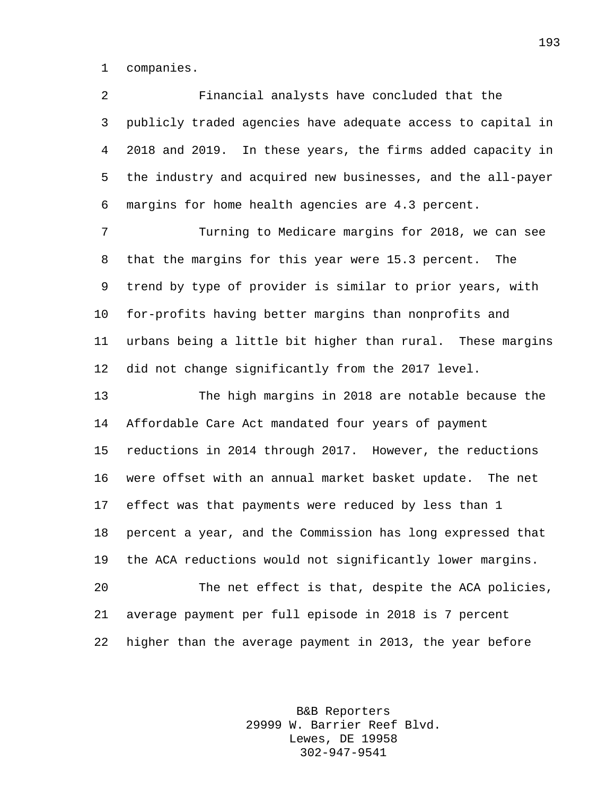companies.

 Financial analysts have concluded that the publicly traded agencies have adequate access to capital in 2018 and 2019. In these years, the firms added capacity in the industry and acquired new businesses, and the all-payer margins for home health agencies are 4.3 percent.

 Turning to Medicare margins for 2018, we can see that the margins for this year were 15.3 percent. The trend by type of provider is similar to prior years, with for-profits having better margins than nonprofits and urbans being a little bit higher than rural. These margins did not change significantly from the 2017 level.

 The high margins in 2018 are notable because the Affordable Care Act mandated four years of payment reductions in 2014 through 2017. However, the reductions were offset with an annual market basket update. The net effect was that payments were reduced by less than 1 percent a year, and the Commission has long expressed that the ACA reductions would not significantly lower margins. The net effect is that, despite the ACA policies, average payment per full episode in 2018 is 7 percent higher than the average payment in 2013, the year before

> B&B Reporters 29999 W. Barrier Reef Blvd. Lewes, DE 19958 302-947-9541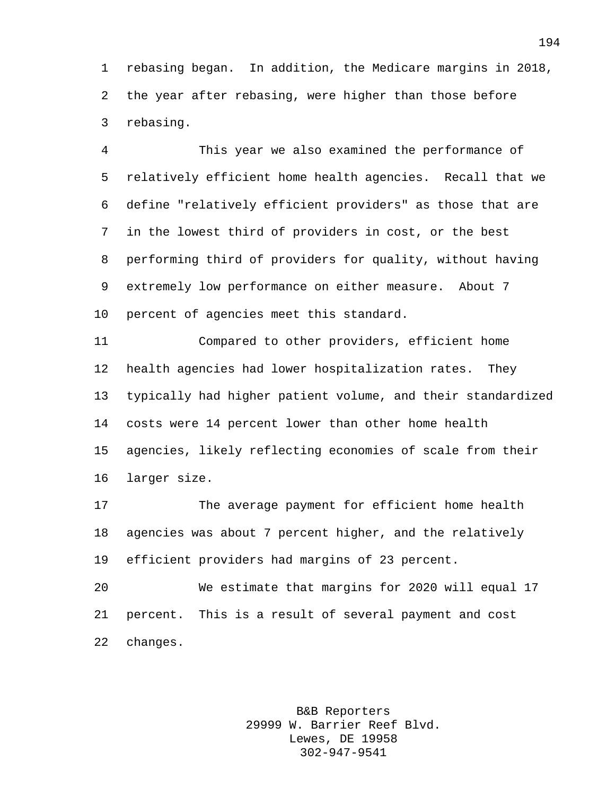rebasing began. In addition, the Medicare margins in 2018, the year after rebasing, were higher than those before rebasing.

 This year we also examined the performance of relatively efficient home health agencies. Recall that we define "relatively efficient providers" as those that are in the lowest third of providers in cost, or the best performing third of providers for quality, without having extremely low performance on either measure. About 7 percent of agencies meet this standard.

 Compared to other providers, efficient home health agencies had lower hospitalization rates. They typically had higher patient volume, and their standardized costs were 14 percent lower than other home health agencies, likely reflecting economies of scale from their larger size.

 The average payment for efficient home health agencies was about 7 percent higher, and the relatively efficient providers had margins of 23 percent.

 We estimate that margins for 2020 will equal 17 percent. This is a result of several payment and cost changes.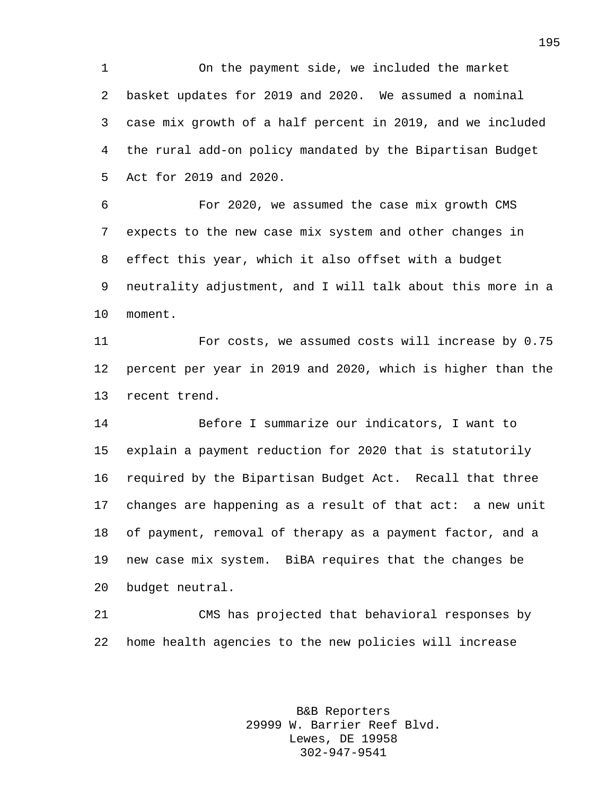On the payment side, we included the market basket updates for 2019 and 2020. We assumed a nominal case mix growth of a half percent in 2019, and we included the rural add-on policy mandated by the Bipartisan Budget Act for 2019 and 2020.

 For 2020, we assumed the case mix growth CMS expects to the new case mix system and other changes in effect this year, which it also offset with a budget neutrality adjustment, and I will talk about this more in a moment.

 For costs, we assumed costs will increase by 0.75 percent per year in 2019 and 2020, which is higher than the recent trend.

 Before I summarize our indicators, I want to explain a payment reduction for 2020 that is statutorily required by the Bipartisan Budget Act. Recall that three changes are happening as a result of that act: a new unit of payment, removal of therapy as a payment factor, and a new case mix system. BiBA requires that the changes be budget neutral.

 CMS has projected that behavioral responses by home health agencies to the new policies will increase

> B&B Reporters 29999 W. Barrier Reef Blvd. Lewes, DE 19958 302-947-9541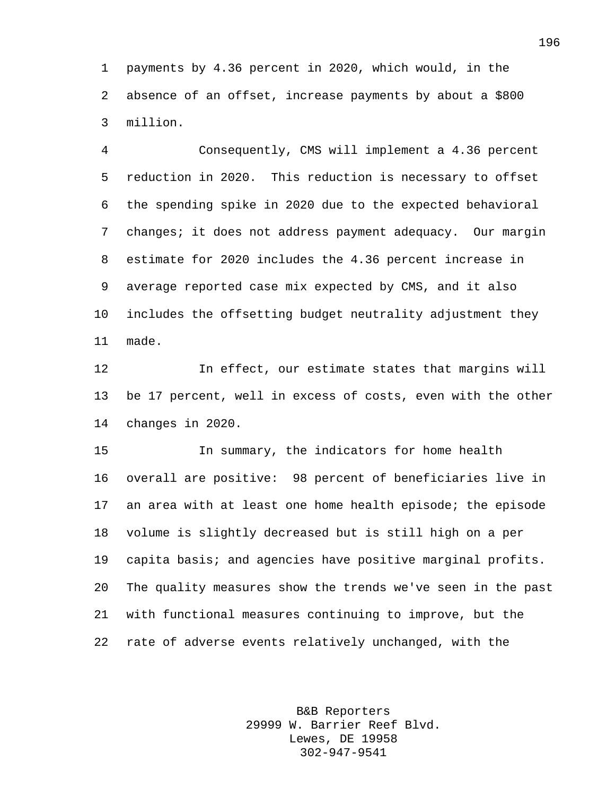payments by 4.36 percent in 2020, which would, in the absence of an offset, increase payments by about a \$800 million.

 Consequently, CMS will implement a 4.36 percent reduction in 2020. This reduction is necessary to offset the spending spike in 2020 due to the expected behavioral changes; it does not address payment adequacy. Our margin estimate for 2020 includes the 4.36 percent increase in average reported case mix expected by CMS, and it also includes the offsetting budget neutrality adjustment they made.

 In effect, our estimate states that margins will be 17 percent, well in excess of costs, even with the other changes in 2020.

 In summary, the indicators for home health overall are positive: 98 percent of beneficiaries live in an area with at least one home health episode; the episode volume is slightly decreased but is still high on a per capita basis; and agencies have positive marginal profits. The quality measures show the trends we've seen in the past with functional measures continuing to improve, but the rate of adverse events relatively unchanged, with the

> B&B Reporters 29999 W. Barrier Reef Blvd. Lewes, DE 19958 302-947-9541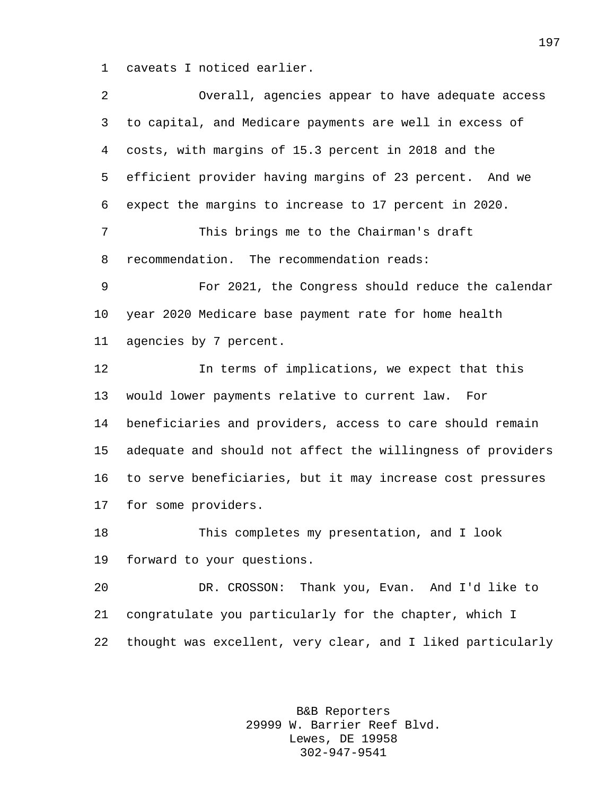caveats I noticed earlier.

| 2       | Overall, agencies appear to have adequate access            |
|---------|-------------------------------------------------------------|
| 3       | to capital, and Medicare payments are well in excess of     |
| 4       | costs, with margins of 15.3 percent in 2018 and the         |
| 5       | efficient provider having margins of 23 percent. And we     |
| 6       | expect the margins to increase to 17 percent in 2020.       |
| 7       | This brings me to the Chairman's draft                      |
| 8       | recommendation. The recommendation reads:                   |
| 9       | For 2021, the Congress should reduce the calendar           |
| $10 \,$ | year 2020 Medicare base payment rate for home health        |
| 11      | agencies by 7 percent.                                      |
| 12      | In terms of implications, we expect that this               |
| 13      | would lower payments relative to current law.<br>For        |
| 14      | beneficiaries and providers, access to care should remain   |
| 15      | adequate and should not affect the willingness of providers |
| 16      | to serve beneficiaries, but it may increase cost pressures  |
| 17      | for some providers.                                         |
| 18      | This completes my presentation, and I look                  |
| 19      | forward to your questions.                                  |
| 20      | DR. CROSSON: Thank you, Evan. And I'd like to               |
| 21      | congratulate you particularly for the chapter, which I      |
| 22      | thought was excellent, very clear, and I liked particularly |
|         |                                                             |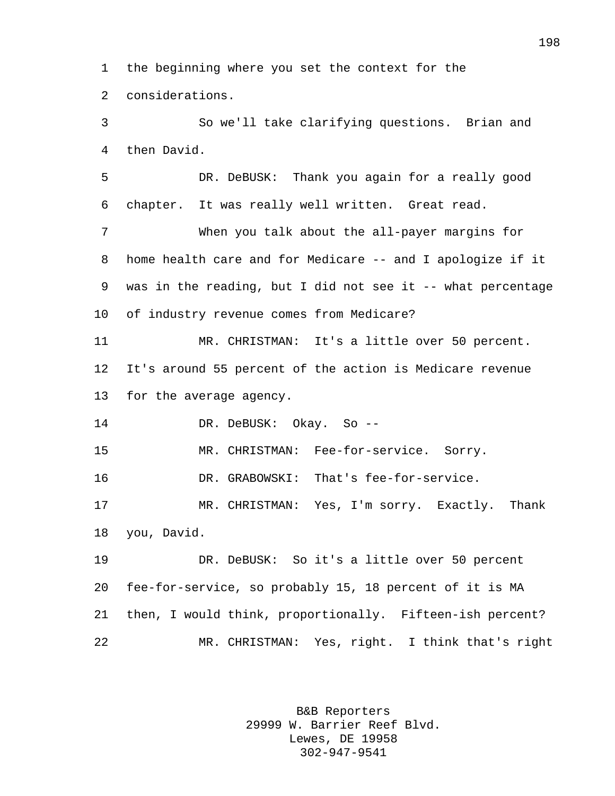the beginning where you set the context for the considerations.

 So we'll take clarifying questions. Brian and then David.

 DR. DeBUSK: Thank you again for a really good chapter. It was really well written. Great read.

 When you talk about the all-payer margins for home health care and for Medicare -- and I apologize if it was in the reading, but I did not see it -- what percentage of industry revenue comes from Medicare?

 MR. CHRISTMAN: It's a little over 50 percent. It's around 55 percent of the action is Medicare revenue for the average agency.

DR. DeBUSK: Okay. So --

MR. CHRISTMAN: Fee-for-service. Sorry.

DR. GRABOWSKI: That's fee-for-service.

 MR. CHRISTMAN: Yes, I'm sorry. Exactly. Thank you, David.

 DR. DeBUSK: So it's a little over 50 percent fee-for-service, so probably 15, 18 percent of it is MA then, I would think, proportionally. Fifteen-ish percent? MR. CHRISTMAN: Yes, right. I think that's right

> B&B Reporters 29999 W. Barrier Reef Blvd. Lewes, DE 19958 302-947-9541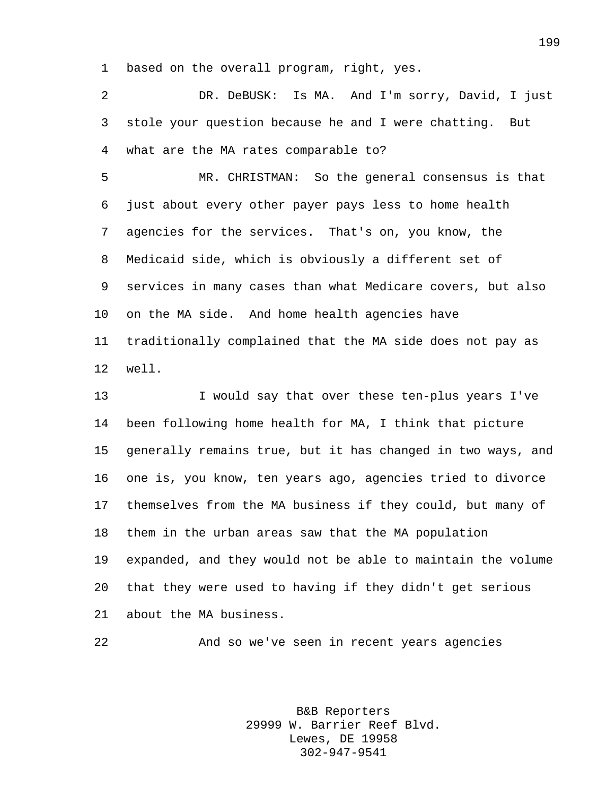based on the overall program, right, yes.

 DR. DeBUSK: Is MA. And I'm sorry, David, I just stole your question because he and I were chatting. But what are the MA rates comparable to?

 MR. CHRISTMAN: So the general consensus is that just about every other payer pays less to home health agencies for the services. That's on, you know, the Medicaid side, which is obviously a different set of services in many cases than what Medicare covers, but also on the MA side. And home health agencies have traditionally complained that the MA side does not pay as well.

 I would say that over these ten-plus years I've been following home health for MA, I think that picture generally remains true, but it has changed in two ways, and one is, you know, ten years ago, agencies tried to divorce themselves from the MA business if they could, but many of them in the urban areas saw that the MA population expanded, and they would not be able to maintain the volume that they were used to having if they didn't get serious about the MA business.

And so we've seen in recent years agencies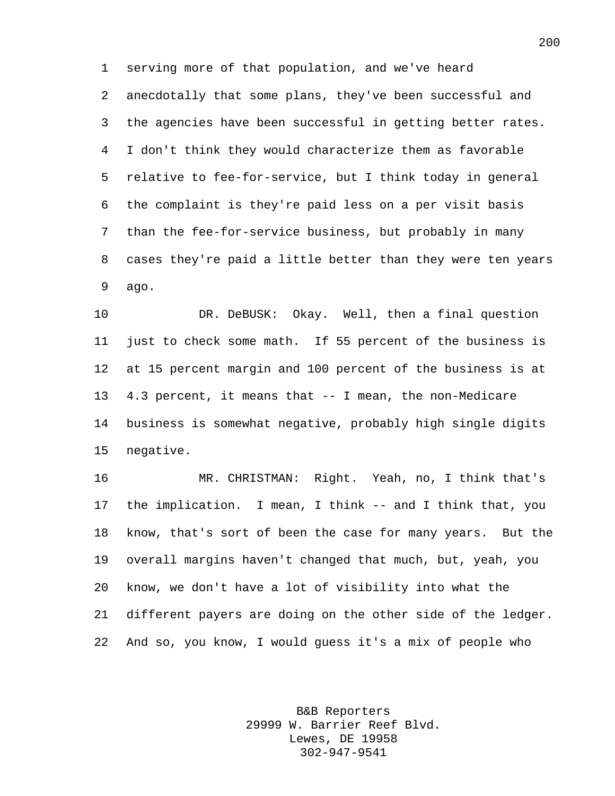serving more of that population, and we've heard anecdotally that some plans, they've been successful and the agencies have been successful in getting better rates. I don't think they would characterize them as favorable relative to fee-for-service, but I think today in general the complaint is they're paid less on a per visit basis than the fee-for-service business, but probably in many cases they're paid a little better than they were ten years ago.

 DR. DeBUSK: Okay. Well, then a final question just to check some math. If 55 percent of the business is at 15 percent margin and 100 percent of the business is at 4.3 percent, it means that -- I mean, the non-Medicare business is somewhat negative, probably high single digits negative.

 MR. CHRISTMAN: Right. Yeah, no, I think that's the implication. I mean, I think -- and I think that, you know, that's sort of been the case for many years. But the overall margins haven't changed that much, but, yeah, you know, we don't have a lot of visibility into what the different payers are doing on the other side of the ledger. And so, you know, I would guess it's a mix of people who

> B&B Reporters 29999 W. Barrier Reef Blvd. Lewes, DE 19958 302-947-9541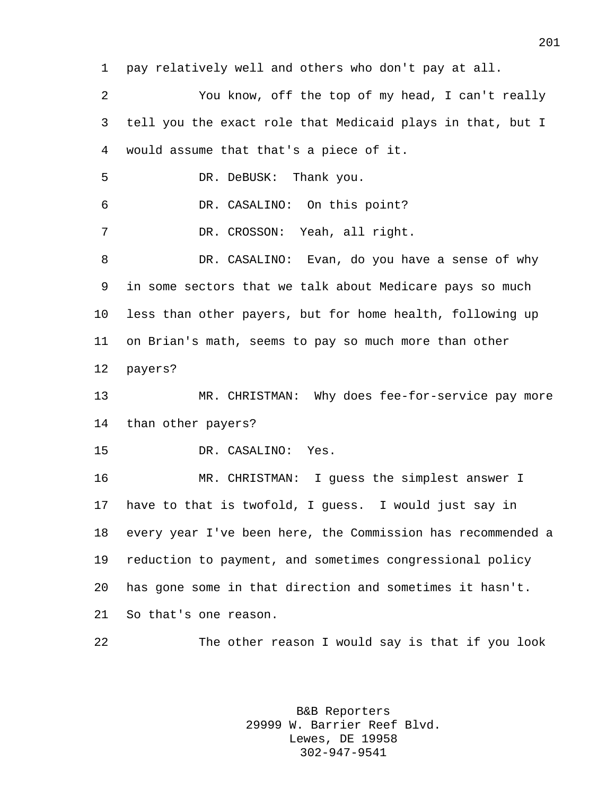pay relatively well and others who don't pay at all. You know, off the top of my head, I can't really tell you the exact role that Medicaid plays in that, but I would assume that that's a piece of it. DR. DeBUSK: Thank you. DR. CASALINO: On this point? DR. CROSSON: Yeah, all right. DR. CASALINO: Evan, do you have a sense of why in some sectors that we talk about Medicare pays so much less than other payers, but for home health, following up on Brian's math, seems to pay so much more than other payers? MR. CHRISTMAN: Why does fee-for-service pay more than other payers? DR. CASALINO: Yes. MR. CHRISTMAN: I guess the simplest answer I have to that is twofold, I guess. I would just say in every year I've been here, the Commission has recommended a reduction to payment, and sometimes congressional policy has gone some in that direction and sometimes it hasn't. So that's one reason. The other reason I would say is that if you look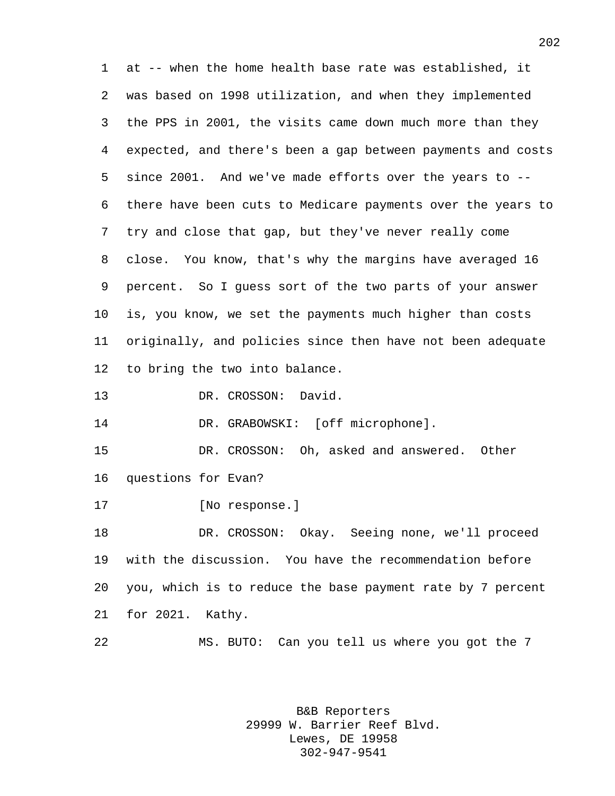at -- when the home health base rate was established, it was based on 1998 utilization, and when they implemented the PPS in 2001, the visits came down much more than they expected, and there's been a gap between payments and costs since 2001. And we've made efforts over the years to -- there have been cuts to Medicare payments over the years to try and close that gap, but they've never really come close. You know, that's why the margins have averaged 16 percent. So I guess sort of the two parts of your answer is, you know, we set the payments much higher than costs originally, and policies since then have not been adequate to bring the two into balance. 13 DR. CROSSON: David. 14 DR. GRABOWSKI: [off microphone].

 DR. CROSSON: Oh, asked and answered. Other questions for Evan?

[No response.]

 DR. CROSSON: Okay. Seeing none, we'll proceed with the discussion. You have the recommendation before you, which is to reduce the base payment rate by 7 percent for 2021. Kathy.

MS. BUTO: Can you tell us where you got the 7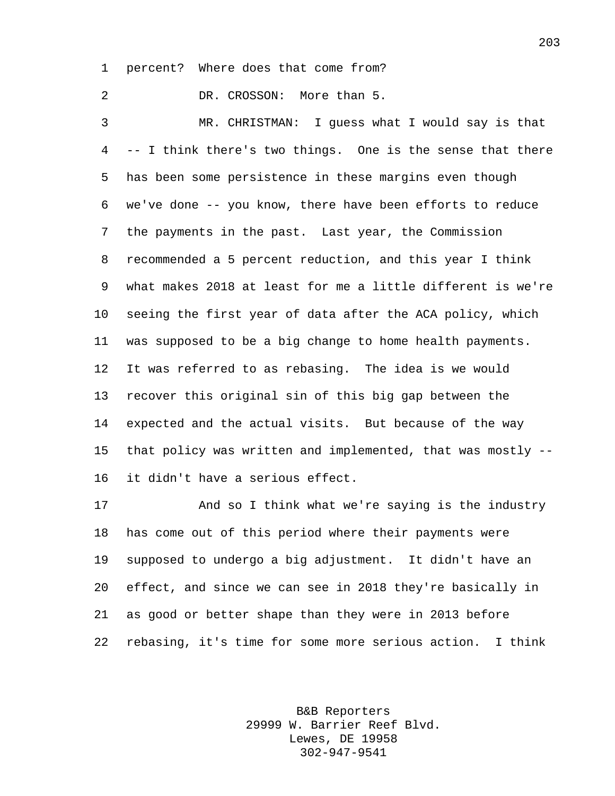percent? Where does that come from?

 DR. CROSSON: More than 5. MR. CHRISTMAN: I guess what I would say is that -- I think there's two things. One is the sense that there has been some persistence in these margins even though we've done -- you know, there have been efforts to reduce the payments in the past. Last year, the Commission recommended a 5 percent reduction, and this year I think what makes 2018 at least for me a little different is we're seeing the first year of data after the ACA policy, which was supposed to be a big change to home health payments. It was referred to as rebasing. The idea is we would recover this original sin of this big gap between the expected and the actual visits. But because of the way that policy was written and implemented, that was mostly -- it didn't have a serious effect.

 And so I think what we're saying is the industry has come out of this period where their payments were supposed to undergo a big adjustment. It didn't have an effect, and since we can see in 2018 they're basically in as good or better shape than they were in 2013 before rebasing, it's time for some more serious action. I think

> B&B Reporters 29999 W. Barrier Reef Blvd. Lewes, DE 19958 302-947-9541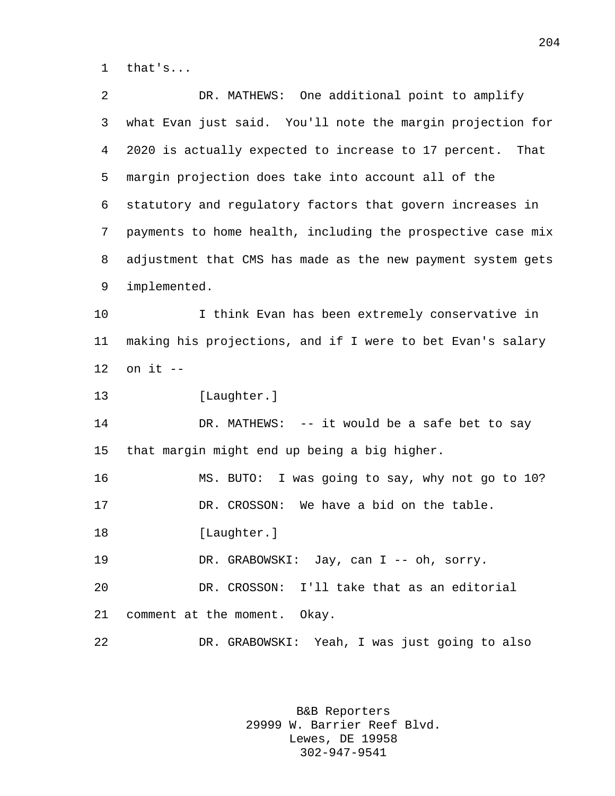that's...

 DR. MATHEWS: One additional point to amplify what Evan just said. You'll note the margin projection for 2020 is actually expected to increase to 17 percent. That margin projection does take into account all of the statutory and regulatory factors that govern increases in payments to home health, including the prospective case mix adjustment that CMS has made as the new payment system gets implemented. I think Evan has been extremely conservative in making his projections, and if I were to bet Evan's salary on it -- 13 [Laughter.] DR. MATHEWS: -- it would be a safe bet to say that margin might end up being a big higher. MS. BUTO: I was going to say, why not go to 10? DR. CROSSON: We have a bid on the table. 18 [Laughter.] DR. GRABOWSKI: Jay, can I -- oh, sorry. DR. CROSSON: I'll take that as an editorial comment at the moment. Okay. DR. GRABOWSKI: Yeah, I was just going to also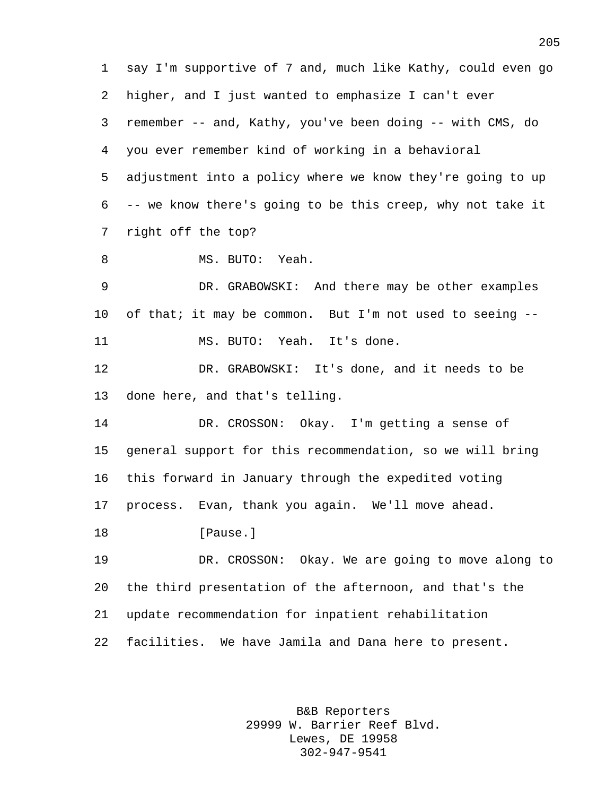say I'm supportive of 7 and, much like Kathy, could even go higher, and I just wanted to emphasize I can't ever remember -- and, Kathy, you've been doing -- with CMS, do you ever remember kind of working in a behavioral adjustment into a policy where we know they're going to up -- we know there's going to be this creep, why not take it right off the top? MS. BUTO: Yeah. DR. GRABOWSKI: And there may be other examples of that; it may be common. But I'm not used to seeing -- MS. BUTO: Yeah. It's done. DR. GRABOWSKI: It's done, and it needs to be done here, and that's telling. DR. CROSSON: Okay. I'm getting a sense of general support for this recommendation, so we will bring this forward in January through the expedited voting process. Evan, thank you again. We'll move ahead. **I**Pause. DR. CROSSON: Okay. We are going to move along to the third presentation of the afternoon, and that's the update recommendation for inpatient rehabilitation facilities. We have Jamila and Dana here to present.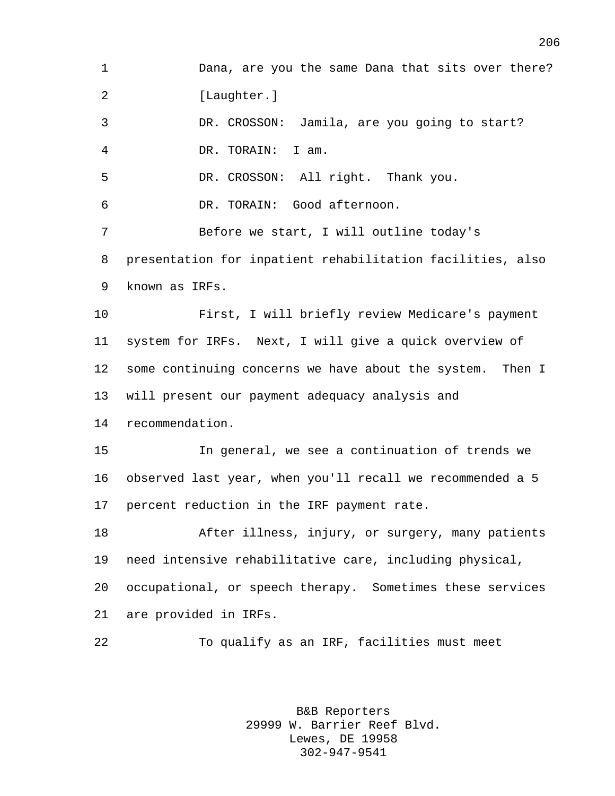Dana, are you the same Dana that sits over there? 2 [Laughter.] DR. CROSSON: Jamila, are you going to start? DR. TORAIN: I am. DR. CROSSON: All right. Thank you. DR. TORAIN: Good afternoon. Before we start, I will outline today's presentation for inpatient rehabilitation facilities, also known as IRFs. First, I will briefly review Medicare's payment system for IRFs. Next, I will give a quick overview of some continuing concerns we have about the system. Then I will present our payment adequacy analysis and recommendation. In general, we see a continuation of trends we observed last year, when you'll recall we recommended a 5 percent reduction in the IRF payment rate. After illness, injury, or surgery, many patients need intensive rehabilitative care, including physical, occupational, or speech therapy. Sometimes these services are provided in IRFs. To qualify as an IRF, facilities must meet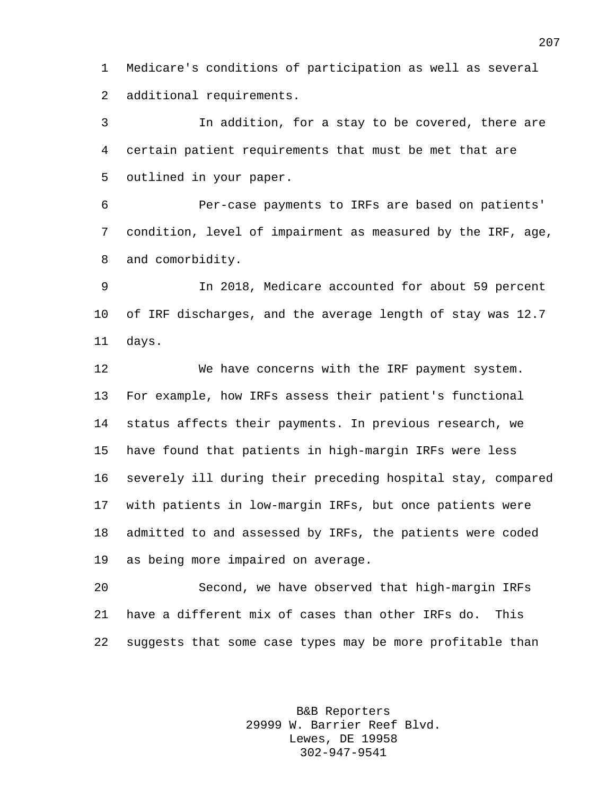Medicare's conditions of participation as well as several additional requirements.

 In addition, for a stay to be covered, there are certain patient requirements that must be met that are outlined in your paper.

 Per-case payments to IRFs are based on patients' condition, level of impairment as measured by the IRF, age, and comorbidity.

 In 2018, Medicare accounted for about 59 percent of IRF discharges, and the average length of stay was 12.7 days.

 We have concerns with the IRF payment system. For example, how IRFs assess their patient's functional status affects their payments. In previous research, we have found that patients in high-margin IRFs were less severely ill during their preceding hospital stay, compared with patients in low-margin IRFs, but once patients were admitted to and assessed by IRFs, the patients were coded as being more impaired on average.

 Second, we have observed that high-margin IRFs have a different mix of cases than other IRFs do. This suggests that some case types may be more profitable than

> B&B Reporters 29999 W. Barrier Reef Blvd. Lewes, DE 19958 302-947-9541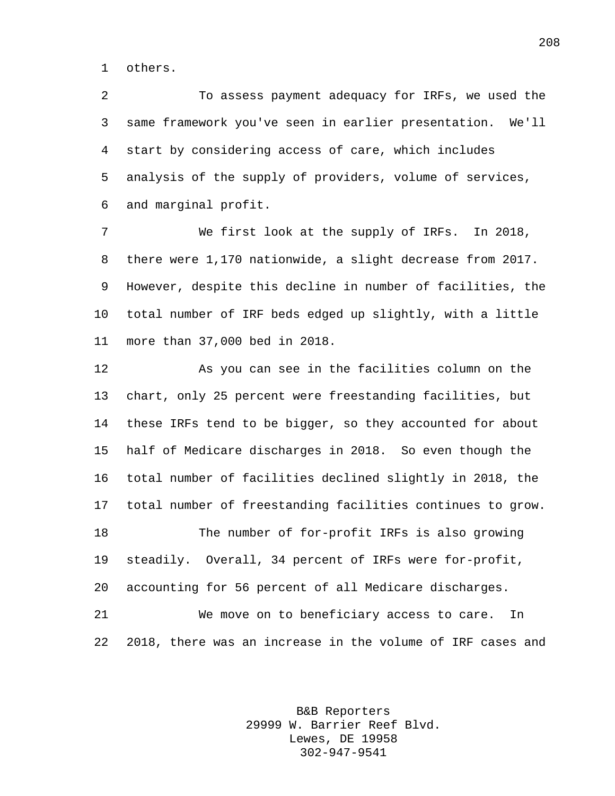others.

 To assess payment adequacy for IRFs, we used the same framework you've seen in earlier presentation. We'll start by considering access of care, which includes analysis of the supply of providers, volume of services, and marginal profit.

 We first look at the supply of IRFs. In 2018, there were 1,170 nationwide, a slight decrease from 2017. However, despite this decline in number of facilities, the total number of IRF beds edged up slightly, with a little more than 37,000 bed in 2018.

 As you can see in the facilities column on the chart, only 25 percent were freestanding facilities, but these IRFs tend to be bigger, so they accounted for about half of Medicare discharges in 2018. So even though the total number of facilities declined slightly in 2018, the total number of freestanding facilities continues to grow. The number of for-profit IRFs is also growing steadily. Overall, 34 percent of IRFs were for-profit, accounting for 56 percent of all Medicare discharges. We move on to beneficiary access to care. In

2018, there was an increase in the volume of IRF cases and

B&B Reporters 29999 W. Barrier Reef Blvd. Lewes, DE 19958 302-947-9541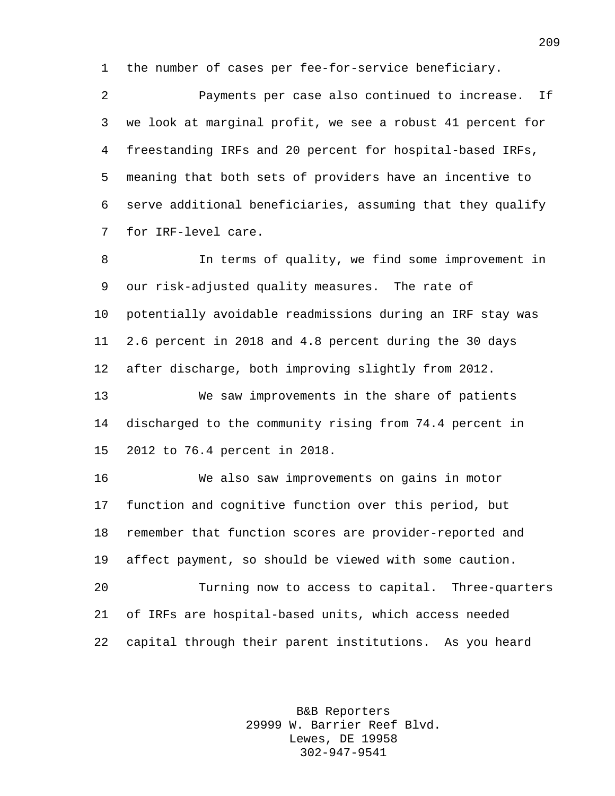the number of cases per fee-for-service beneficiary.

 Payments per case also continued to increase. If we look at marginal profit, we see a robust 41 percent for freestanding IRFs and 20 percent for hospital-based IRFs, meaning that both sets of providers have an incentive to serve additional beneficiaries, assuming that they qualify for IRF-level care.

 In terms of quality, we find some improvement in our risk-adjusted quality measures. The rate of potentially avoidable readmissions during an IRF stay was 2.6 percent in 2018 and 4.8 percent during the 30 days after discharge, both improving slightly from 2012.

 We saw improvements in the share of patients discharged to the community rising from 74.4 percent in 2012 to 76.4 percent in 2018.

 We also saw improvements on gains in motor function and cognitive function over this period, but remember that function scores are provider-reported and affect payment, so should be viewed with some caution. Turning now to access to capital. Three-quarters of IRFs are hospital-based units, which access needed capital through their parent institutions. As you heard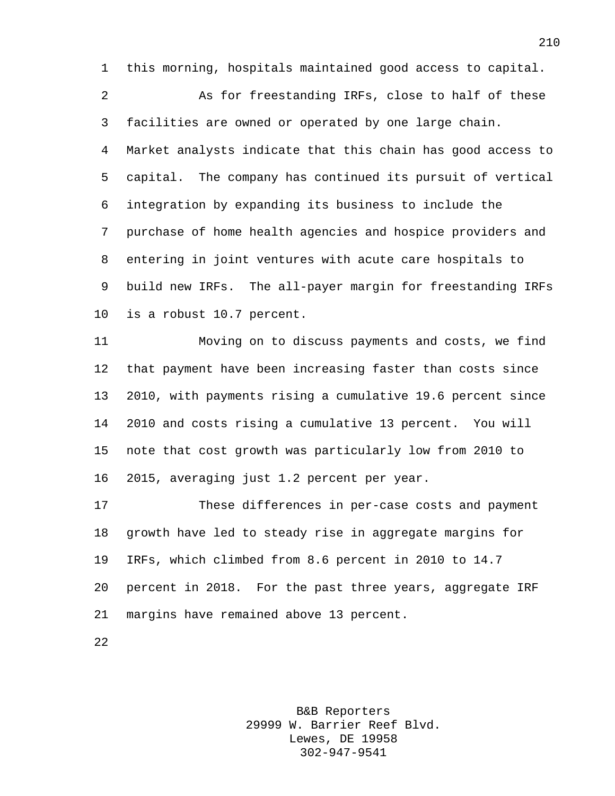this morning, hospitals maintained good access to capital.

 As for freestanding IRFs, close to half of these facilities are owned or operated by one large chain. Market analysts indicate that this chain has good access to capital. The company has continued its pursuit of vertical integration by expanding its business to include the purchase of home health agencies and hospice providers and entering in joint ventures with acute care hospitals to build new IRFs. The all-payer margin for freestanding IRFs is a robust 10.7 percent.

 Moving on to discuss payments and costs, we find that payment have been increasing faster than costs since 2010, with payments rising a cumulative 19.6 percent since 2010 and costs rising a cumulative 13 percent. You will note that cost growth was particularly low from 2010 to 2015, averaging just 1.2 percent per year.

 These differences in per-case costs and payment growth have led to steady rise in aggregate margins for IRFs, which climbed from 8.6 percent in 2010 to 14.7 percent in 2018. For the past three years, aggregate IRF margins have remained above 13 percent.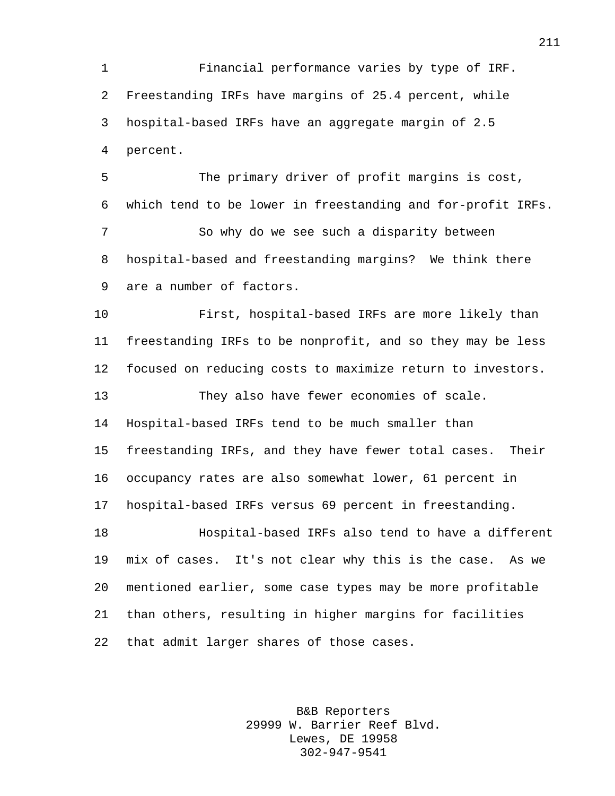Financial performance varies by type of IRF. Freestanding IRFs have margins of 25.4 percent, while hospital-based IRFs have an aggregate margin of 2.5 percent.

 The primary driver of profit margins is cost, which tend to be lower in freestanding and for-profit IRFs. So why do we see such a disparity between hospital-based and freestanding margins? We think there are a number of factors.

 First, hospital-based IRFs are more likely than freestanding IRFs to be nonprofit, and so they may be less focused on reducing costs to maximize return to investors.

 They also have fewer economies of scale. Hospital-based IRFs tend to be much smaller than freestanding IRFs, and they have fewer total cases. Their occupancy rates are also somewhat lower, 61 percent in hospital-based IRFs versus 69 percent in freestanding. Hospital-based IRFs also tend to have a different mix of cases. It's not clear why this is the case. As we mentioned earlier, some case types may be more profitable than others, resulting in higher margins for facilities that admit larger shares of those cases.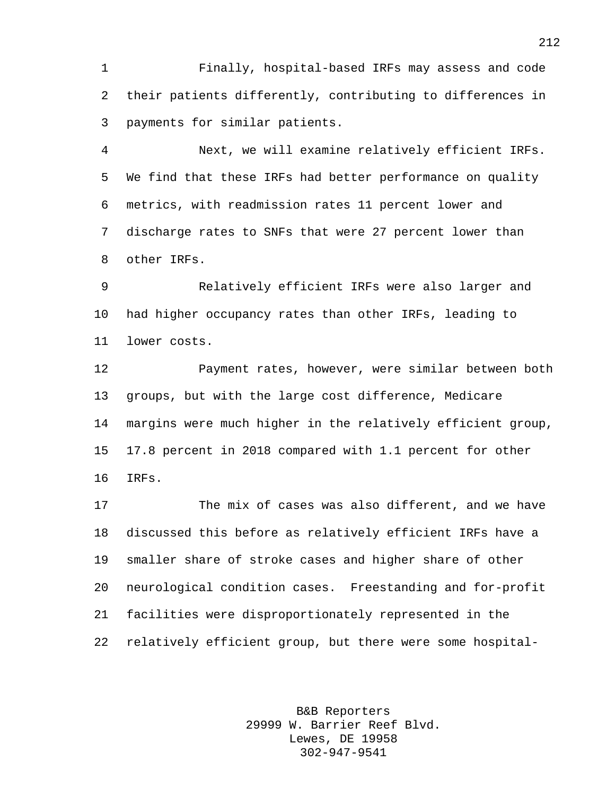Finally, hospital-based IRFs may assess and code their patients differently, contributing to differences in payments for similar patients.

 Next, we will examine relatively efficient IRFs. We find that these IRFs had better performance on quality metrics, with readmission rates 11 percent lower and discharge rates to SNFs that were 27 percent lower than other IRFs.

 Relatively efficient IRFs were also larger and had higher occupancy rates than other IRFs, leading to lower costs.

 Payment rates, however, were similar between both groups, but with the large cost difference, Medicare margins were much higher in the relatively efficient group, 17.8 percent in 2018 compared with 1.1 percent for other IRFs.

 The mix of cases was also different, and we have discussed this before as relatively efficient IRFs have a smaller share of stroke cases and higher share of other neurological condition cases. Freestanding and for-profit facilities were disproportionately represented in the relatively efficient group, but there were some hospital-

> B&B Reporters 29999 W. Barrier Reef Blvd. Lewes, DE 19958 302-947-9541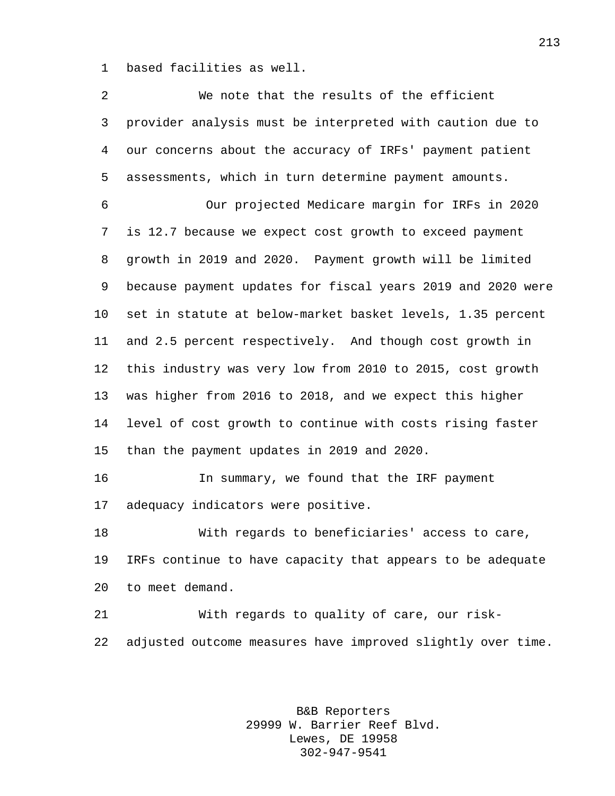based facilities as well.

| $\overline{2}$ | We note that the results of the efficient                   |
|----------------|-------------------------------------------------------------|
| 3              | provider analysis must be interpreted with caution due to   |
| $\overline{4}$ | our concerns about the accuracy of IRFs' payment patient    |
| 5              | assessments, which in turn determine payment amounts.       |
| 6              | Our projected Medicare margin for IRFs in 2020              |
| 7              | is 12.7 because we expect cost growth to exceed payment     |
| 8              | growth in 2019 and 2020. Payment growth will be limited     |
| 9              | because payment updates for fiscal years 2019 and 2020 were |
| $10 \,$        | set in statute at below-market basket levels, 1.35 percent  |
| 11             | and 2.5 percent respectively. And though cost growth in     |
| 12             | this industry was very low from 2010 to 2015, cost growth   |
| 13             | was higher from 2016 to 2018, and we expect this higher     |
| 14             | level of cost growth to continue with costs rising faster   |
| 15             | than the payment updates in 2019 and 2020.                  |
| 16             | In summary, we found that the IRF payment                   |
| 17             | adequacy indicators were positive.                          |
| 18             | With regards to beneficiaries' access to care,              |
| 19             | IRFs continue to have capacity that appears to be adequate  |
| 20             | to meet demand.                                             |
| 21             | With regards to quality of care, our risk-                  |
| 22             | adjusted outcome measures have improved slightly over time. |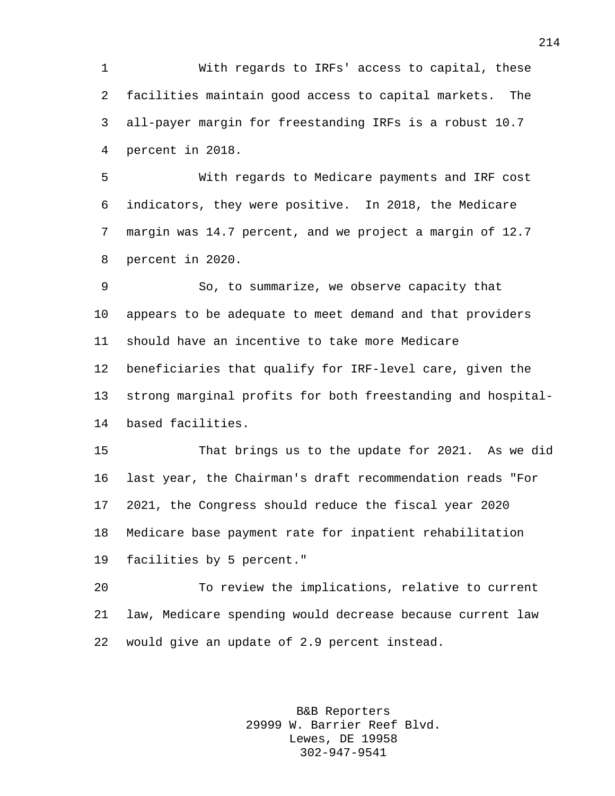With regards to IRFs' access to capital, these facilities maintain good access to capital markets. The all-payer margin for freestanding IRFs is a robust 10.7 percent in 2018.

 With regards to Medicare payments and IRF cost indicators, they were positive. In 2018, the Medicare margin was 14.7 percent, and we project a margin of 12.7 percent in 2020.

 So, to summarize, we observe capacity that appears to be adequate to meet demand and that providers should have an incentive to take more Medicare beneficiaries that qualify for IRF-level care, given the strong marginal profits for both freestanding and hospital-based facilities.

 That brings us to the update for 2021. As we did last year, the Chairman's draft recommendation reads "For 2021, the Congress should reduce the fiscal year 2020 Medicare base payment rate for inpatient rehabilitation facilities by 5 percent."

 To review the implications, relative to current law, Medicare spending would decrease because current law would give an update of 2.9 percent instead.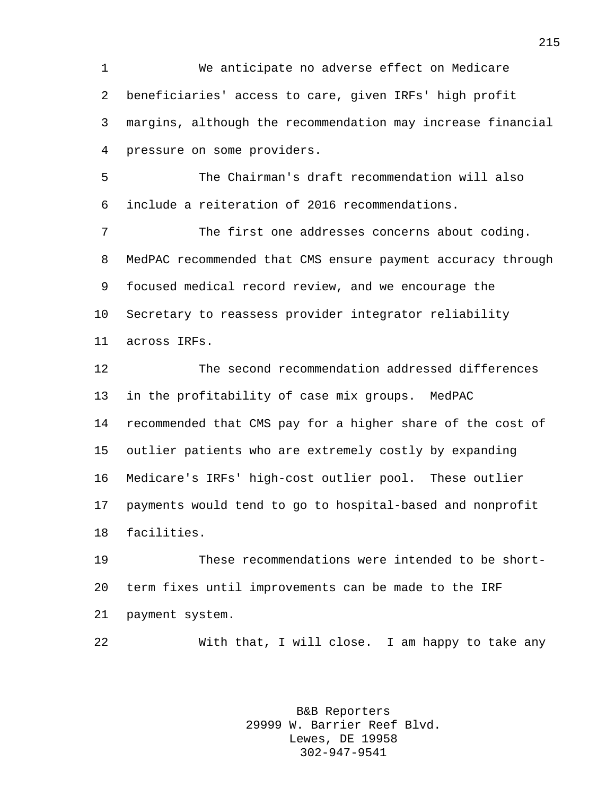We anticipate no adverse effect on Medicare beneficiaries' access to care, given IRFs' high profit margins, although the recommendation may increase financial pressure on some providers.

 The Chairman's draft recommendation will also include a reiteration of 2016 recommendations.

 The first one addresses concerns about coding. MedPAC recommended that CMS ensure payment accuracy through focused medical record review, and we encourage the Secretary to reassess provider integrator reliability across IRFs.

 The second recommendation addressed differences in the profitability of case mix groups. MedPAC recommended that CMS pay for a higher share of the cost of outlier patients who are extremely costly by expanding Medicare's IRFs' high-cost outlier pool. These outlier payments would tend to go to hospital-based and nonprofit facilities.

 These recommendations were intended to be short- term fixes until improvements can be made to the IRF payment system.

With that, I will close. I am happy to take any

B&B Reporters 29999 W. Barrier Reef Blvd. Lewes, DE 19958 302-947-9541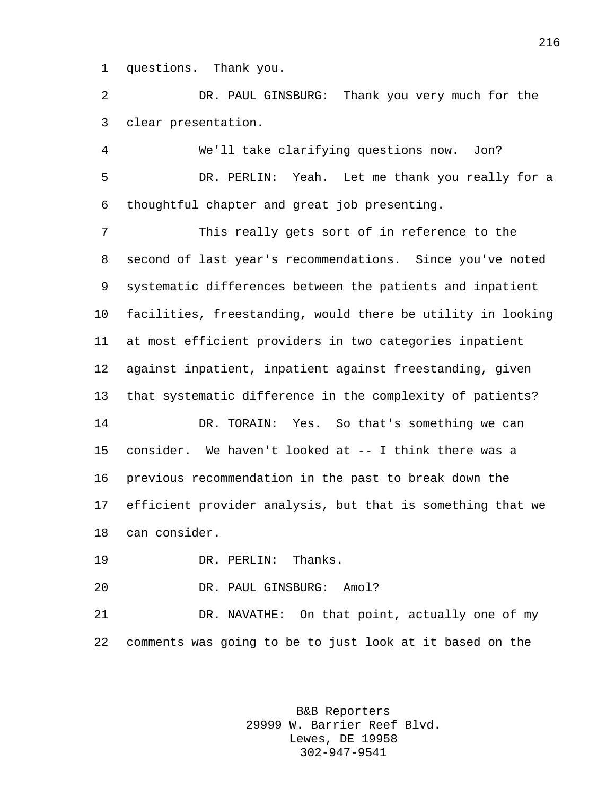questions. Thank you.

 DR. PAUL GINSBURG: Thank you very much for the clear presentation.

 We'll take clarifying questions now. Jon? DR. PERLIN: Yeah. Let me thank you really for a thoughtful chapter and great job presenting.

 This really gets sort of in reference to the second of last year's recommendations. Since you've noted systematic differences between the patients and inpatient facilities, freestanding, would there be utility in looking at most efficient providers in two categories inpatient against inpatient, inpatient against freestanding, given that systematic difference in the complexity of patients?

 DR. TORAIN: Yes. So that's something we can consider. We haven't looked at -- I think there was a previous recommendation in the past to break down the efficient provider analysis, but that is something that we can consider.

DR. PERLIN: Thanks.

DR. PAUL GINSBURG: Amol?

 DR. NAVATHE: On that point, actually one of my comments was going to be to just look at it based on the

> B&B Reporters 29999 W. Barrier Reef Blvd. Lewes, DE 19958 302-947-9541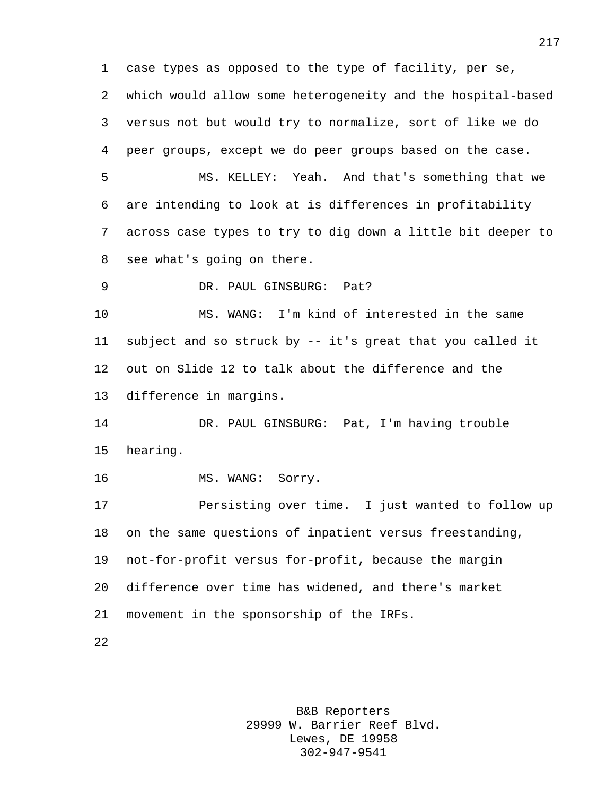case types as opposed to the type of facility, per se, which would allow some heterogeneity and the hospital-based versus not but would try to normalize, sort of like we do peer groups, except we do peer groups based on the case.

 MS. KELLEY: Yeah. And that's something that we are intending to look at is differences in profitability across case types to try to dig down a little bit deeper to see what's going on there.

DR. PAUL GINSBURG: Pat?

 MS. WANG: I'm kind of interested in the same subject and so struck by -- it's great that you called it out on Slide 12 to talk about the difference and the difference in margins.

 DR. PAUL GINSBURG: Pat, I'm having trouble hearing.

16 MS. WANG: Sorry.

 Persisting over time. I just wanted to follow up on the same questions of inpatient versus freestanding, not-for-profit versus for-profit, because the margin difference over time has widened, and there's market movement in the sponsorship of the IRFs.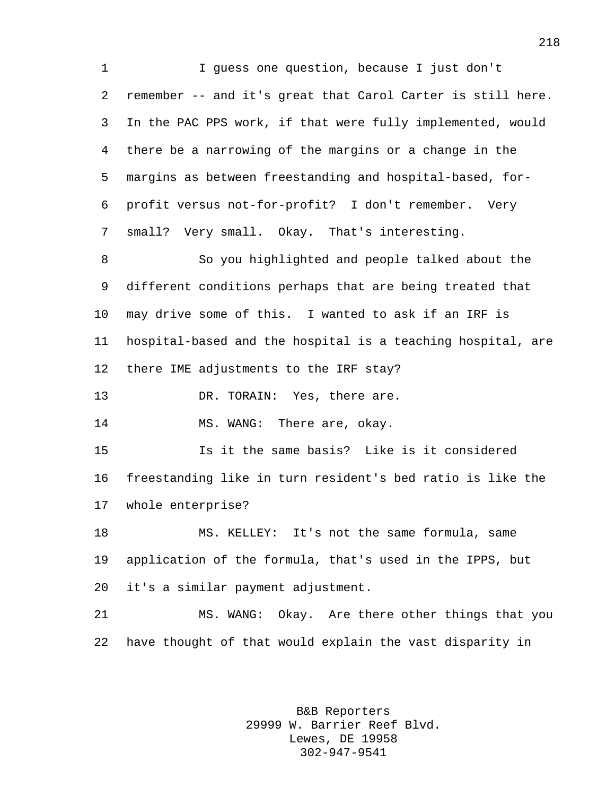I guess one question, because I just don't remember -- and it's great that Carol Carter is still here. In the PAC PPS work, if that were fully implemented, would there be a narrowing of the margins or a change in the margins as between freestanding and hospital-based, for- profit versus not-for-profit? I don't remember. Very small? Very small. Okay. That's interesting. So you highlighted and people talked about the different conditions perhaps that are being treated that may drive some of this. I wanted to ask if an IRF is hospital-based and the hospital is a teaching hospital, are there IME adjustments to the IRF stay? 13 DR. TORAIN: Yes, there are. 14 MS. WANG: There are, okay. Is it the same basis? Like is it considered freestanding like in turn resident's bed ratio is like the whole enterprise? MS. KELLEY: It's not the same formula, same application of the formula, that's used in the IPPS, but it's a similar payment adjustment. MS. WANG: Okay. Are there other things that you have thought of that would explain the vast disparity in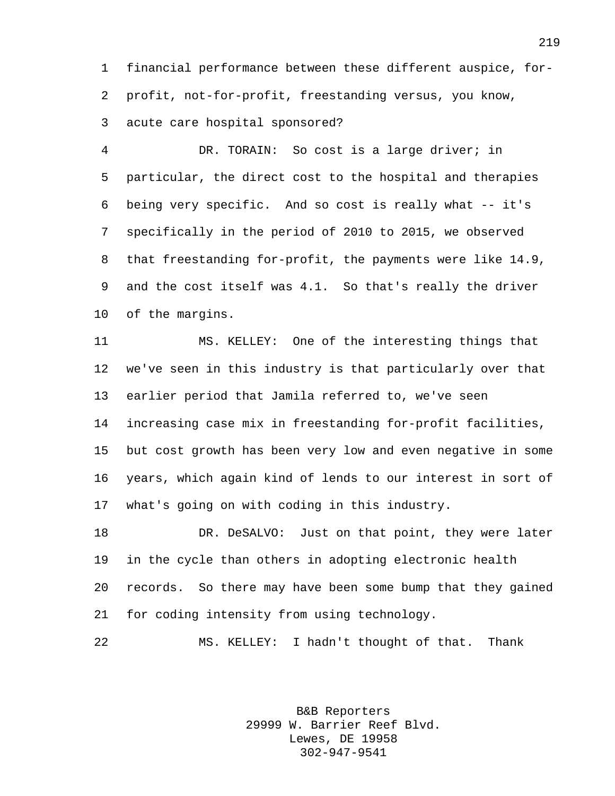financial performance between these different auspice, for- profit, not-for-profit, freestanding versus, you know, acute care hospital sponsored?

 DR. TORAIN: So cost is a large driver; in particular, the direct cost to the hospital and therapies being very specific. And so cost is really what -- it's specifically in the period of 2010 to 2015, we observed that freestanding for-profit, the payments were like 14.9, and the cost itself was 4.1. So that's really the driver of the margins.

 MS. KELLEY: One of the interesting things that we've seen in this industry is that particularly over that earlier period that Jamila referred to, we've seen increasing case mix in freestanding for-profit facilities, but cost growth has been very low and even negative in some years, which again kind of lends to our interest in sort of what's going on with coding in this industry.

 DR. DeSALVO: Just on that point, they were later in the cycle than others in adopting electronic health records. So there may have been some bump that they gained for coding intensity from using technology.

MS. KELLEY: I hadn't thought of that. Thank

B&B Reporters 29999 W. Barrier Reef Blvd. Lewes, DE 19958 302-947-9541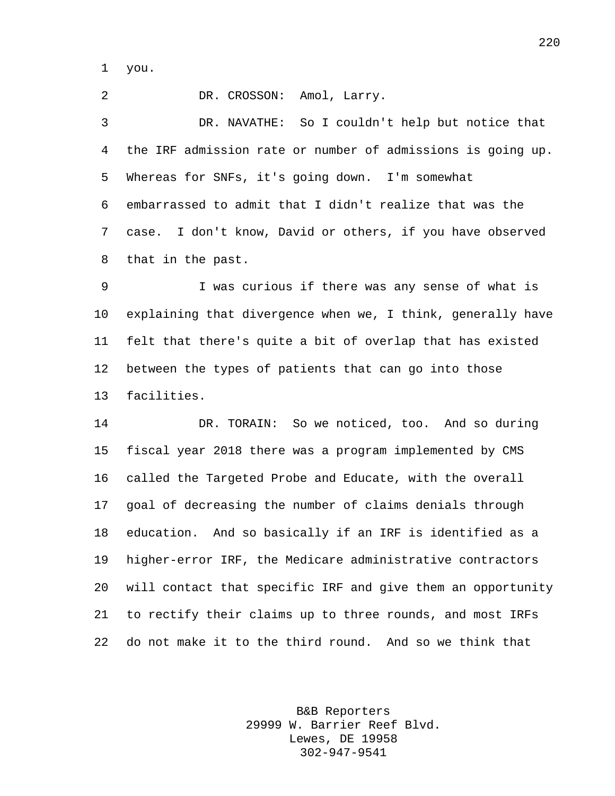you.

 DR. CROSSON: Amol, Larry. DR. NAVATHE: So I couldn't help but notice that the IRF admission rate or number of admissions is going up. Whereas for SNFs, it's going down. I'm somewhat embarrassed to admit that I didn't realize that was the case. I don't know, David or others, if you have observed that in the past.

 I was curious if there was any sense of what is explaining that divergence when we, I think, generally have felt that there's quite a bit of overlap that has existed between the types of patients that can go into those facilities.

 DR. TORAIN: So we noticed, too. And so during fiscal year 2018 there was a program implemented by CMS called the Targeted Probe and Educate, with the overall goal of decreasing the number of claims denials through education. And so basically if an IRF is identified as a higher-error IRF, the Medicare administrative contractors will contact that specific IRF and give them an opportunity to rectify their claims up to three rounds, and most IRFs do not make it to the third round. And so we think that

> B&B Reporters 29999 W. Barrier Reef Blvd. Lewes, DE 19958 302-947-9541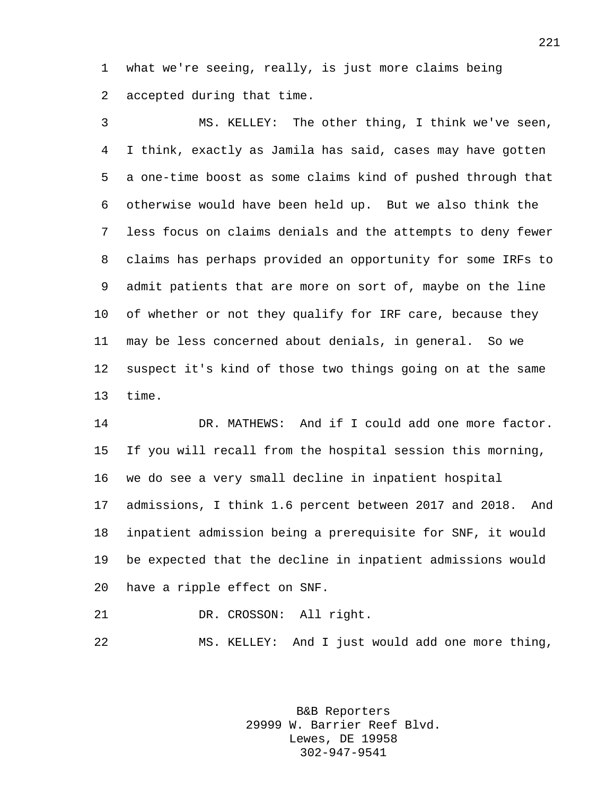what we're seeing, really, is just more claims being accepted during that time.

 MS. KELLEY: The other thing, I think we've seen, I think, exactly as Jamila has said, cases may have gotten a one-time boost as some claims kind of pushed through that otherwise would have been held up. But we also think the less focus on claims denials and the attempts to deny fewer claims has perhaps provided an opportunity for some IRFs to admit patients that are more on sort of, maybe on the line of whether or not they qualify for IRF care, because they may be less concerned about denials, in general. So we suspect it's kind of those two things going on at the same time.

 DR. MATHEWS: And if I could add one more factor. If you will recall from the hospital session this morning, we do see a very small decline in inpatient hospital admissions, I think 1.6 percent between 2017 and 2018. And inpatient admission being a prerequisite for SNF, it would be expected that the decline in inpatient admissions would have a ripple effect on SNF.

DR. CROSSON: All right.

MS. KELLEY: And I just would add one more thing,

B&B Reporters 29999 W. Barrier Reef Blvd. Lewes, DE 19958 302-947-9541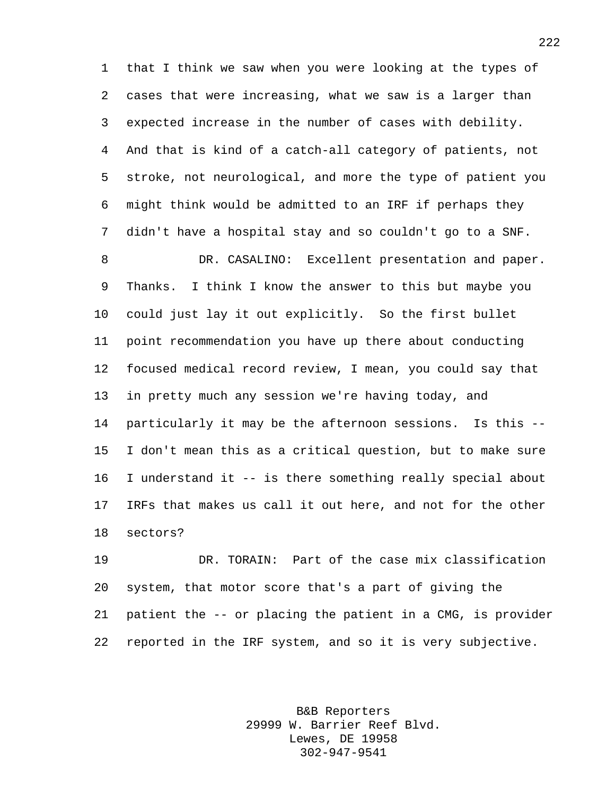that I think we saw when you were looking at the types of cases that were increasing, what we saw is a larger than expected increase in the number of cases with debility. And that is kind of a catch-all category of patients, not stroke, not neurological, and more the type of patient you might think would be admitted to an IRF if perhaps they didn't have a hospital stay and so couldn't go to a SNF.

 DR. CASALINO: Excellent presentation and paper. Thanks. I think I know the answer to this but maybe you could just lay it out explicitly. So the first bullet point recommendation you have up there about conducting focused medical record review, I mean, you could say that in pretty much any session we're having today, and particularly it may be the afternoon sessions. Is this -- I don't mean this as a critical question, but to make sure I understand it -- is there something really special about IRFs that makes us call it out here, and not for the other sectors?

 DR. TORAIN: Part of the case mix classification system, that motor score that's a part of giving the patient the -- or placing the patient in a CMG, is provider reported in the IRF system, and so it is very subjective.

> B&B Reporters 29999 W. Barrier Reef Blvd. Lewes, DE 19958 302-947-9541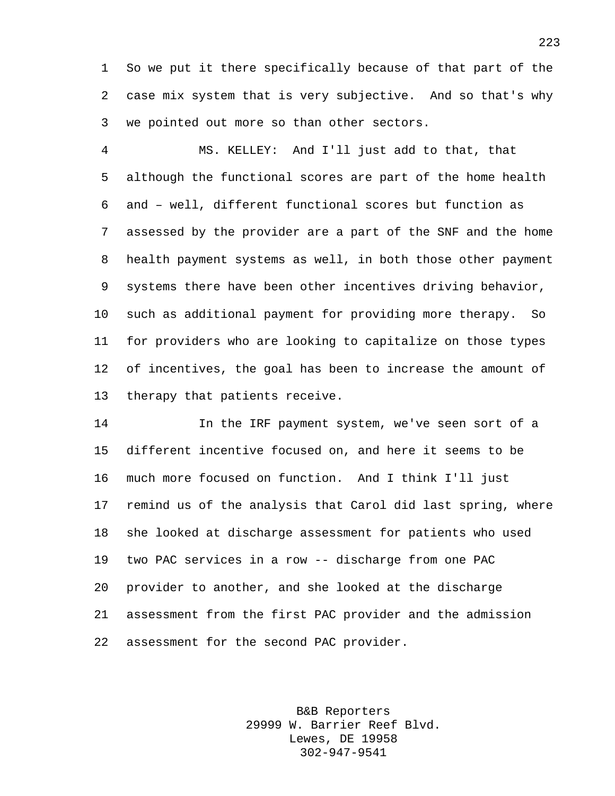So we put it there specifically because of that part of the case mix system that is very subjective. And so that's why we pointed out more so than other sectors.

 MS. KELLEY: And I'll just add to that, that although the functional scores are part of the home health and – well, different functional scores but function as assessed by the provider are a part of the SNF and the home health payment systems as well, in both those other payment systems there have been other incentives driving behavior, such as additional payment for providing more therapy. So for providers who are looking to capitalize on those types of incentives, the goal has been to increase the amount of therapy that patients receive.

 In the IRF payment system, we've seen sort of a different incentive focused on, and here it seems to be much more focused on function. And I think I'll just remind us of the analysis that Carol did last spring, where she looked at discharge assessment for patients who used two PAC services in a row -- discharge from one PAC provider to another, and she looked at the discharge assessment from the first PAC provider and the admission assessment for the second PAC provider.

> B&B Reporters 29999 W. Barrier Reef Blvd. Lewes, DE 19958 302-947-9541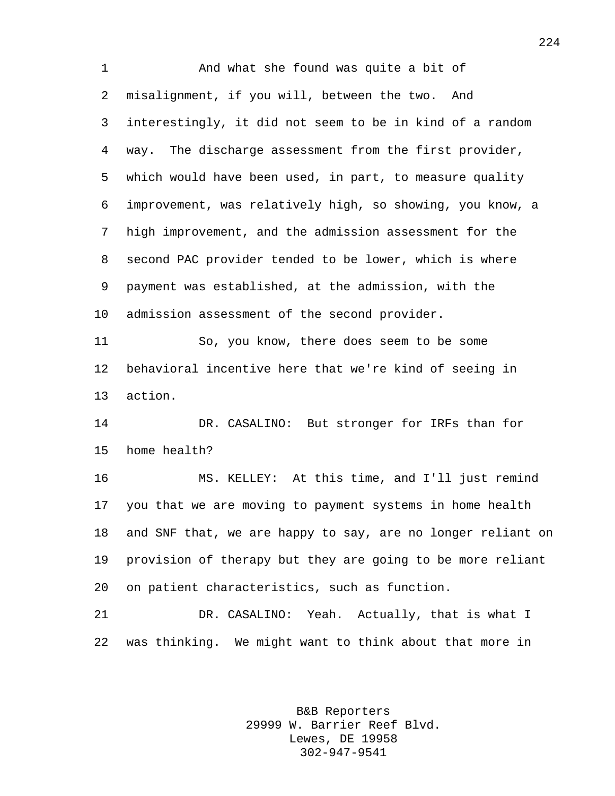And what she found was quite a bit of misalignment, if you will, between the two. And interestingly, it did not seem to be in kind of a random way. The discharge assessment from the first provider, which would have been used, in part, to measure quality improvement, was relatively high, so showing, you know, a high improvement, and the admission assessment for the second PAC provider tended to be lower, which is where payment was established, at the admission, with the admission assessment of the second provider. So, you know, there does seem to be some behavioral incentive here that we're kind of seeing in action. DR. CASALINO: But stronger for IRFs than for home health? MS. KELLEY: At this time, and I'll just remind you that we are moving to payment systems in home health and SNF that, we are happy to say, are no longer reliant on provision of therapy but they are going to be more reliant on patient characteristics, such as function. DR. CASALINO: Yeah. Actually, that is what I was thinking. We might want to think about that more in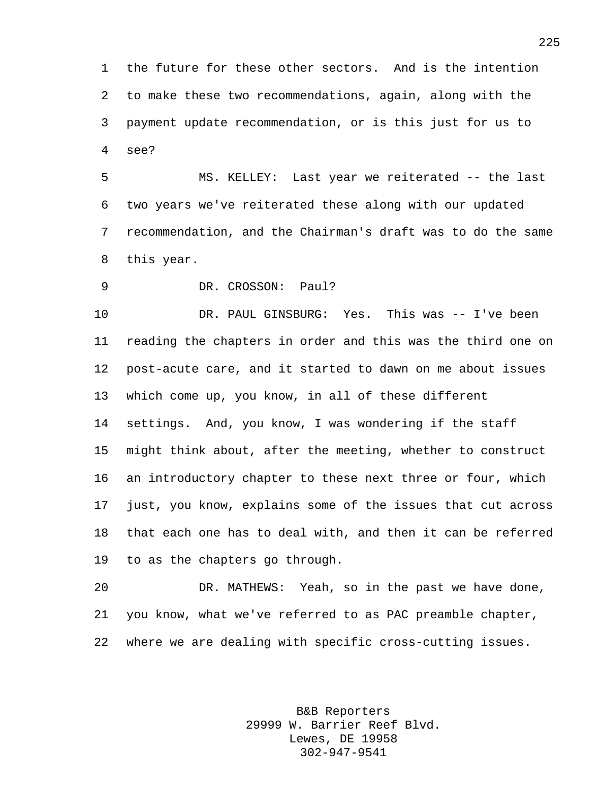the future for these other sectors. And is the intention to make these two recommendations, again, along with the payment update recommendation, or is this just for us to see?

 MS. KELLEY: Last year we reiterated -- the last two years we've reiterated these along with our updated recommendation, and the Chairman's draft was to do the same this year.

DR. CROSSON: Paul?

 DR. PAUL GINSBURG: Yes. This was -- I've been reading the chapters in order and this was the third one on post-acute care, and it started to dawn on me about issues which come up, you know, in all of these different settings. And, you know, I was wondering if the staff might think about, after the meeting, whether to construct an introductory chapter to these next three or four, which just, you know, explains some of the issues that cut across that each one has to deal with, and then it can be referred to as the chapters go through.

 DR. MATHEWS: Yeah, so in the past we have done, you know, what we've referred to as PAC preamble chapter, where we are dealing with specific cross-cutting issues.

> B&B Reporters 29999 W. Barrier Reef Blvd. Lewes, DE 19958 302-947-9541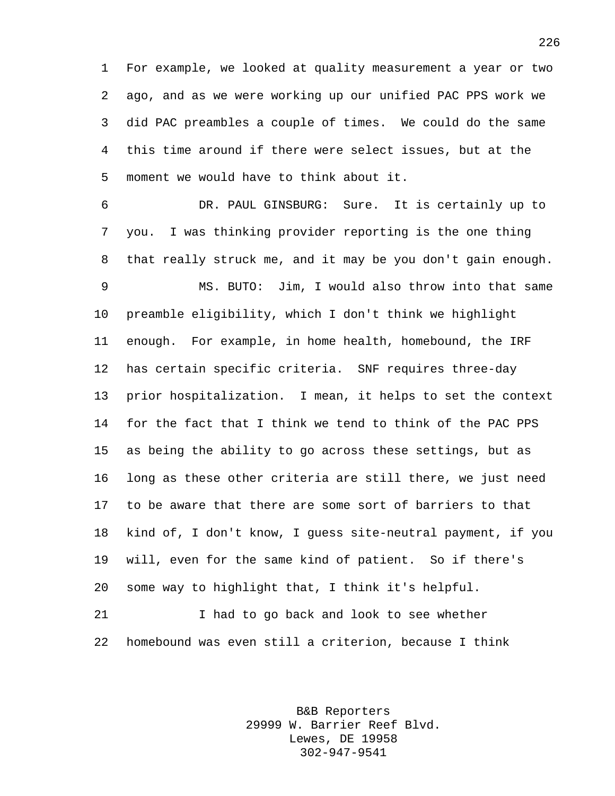For example, we looked at quality measurement a year or two ago, and as we were working up our unified PAC PPS work we did PAC preambles a couple of times. We could do the same this time around if there were select issues, but at the moment we would have to think about it.

 DR. PAUL GINSBURG: Sure. It is certainly up to you. I was thinking provider reporting is the one thing that really struck me, and it may be you don't gain enough. MS. BUTO: Jim, I would also throw into that same preamble eligibility, which I don't think we highlight enough. For example, in home health, homebound, the IRF has certain specific criteria. SNF requires three-day prior hospitalization. I mean, it helps to set the context for the fact that I think we tend to think of the PAC PPS as being the ability to go across these settings, but as long as these other criteria are still there, we just need to be aware that there are some sort of barriers to that kind of, I don't know, I guess site-neutral payment, if you will, even for the same kind of patient. So if there's some way to highlight that, I think it's helpful.

 I had to go back and look to see whether homebound was even still a criterion, because I think

> B&B Reporters 29999 W. Barrier Reef Blvd. Lewes, DE 19958 302-947-9541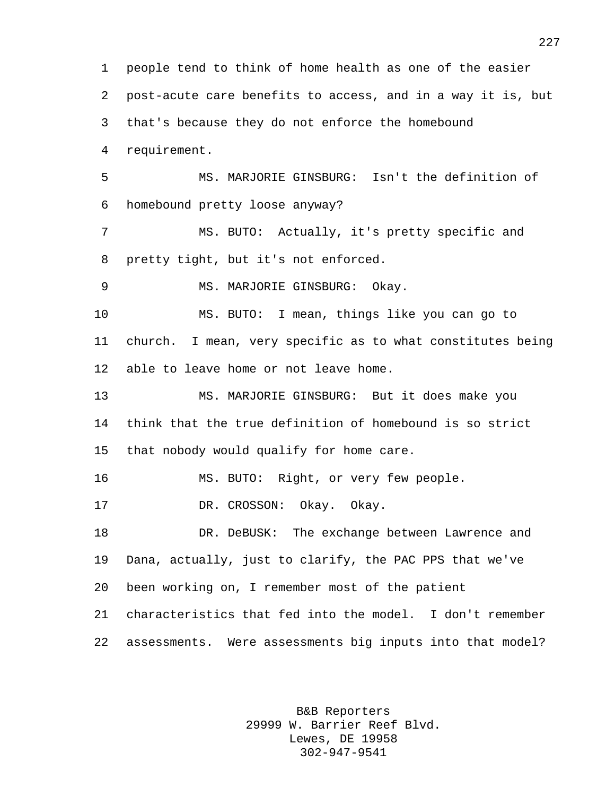people tend to think of home health as one of the easier post-acute care benefits to access, and in a way it is, but that's because they do not enforce the homebound requirement. MS. MARJORIE GINSBURG: Isn't the definition of homebound pretty loose anyway? MS. BUTO: Actually, it's pretty specific and pretty tight, but it's not enforced. MS. MARJORIE GINSBURG: Okay. MS. BUTO: I mean, things like you can go to church. I mean, very specific as to what constitutes being able to leave home or not leave home. MS. MARJORIE GINSBURG: But it does make you think that the true definition of homebound is so strict that nobody would qualify for home care. MS. BUTO: Right, or very few people. DR. CROSSON: Okay. Okay. DR. DeBUSK: The exchange between Lawrence and Dana, actually, just to clarify, the PAC PPS that we've been working on, I remember most of the patient characteristics that fed into the model. I don't remember assessments. Were assessments big inputs into that model?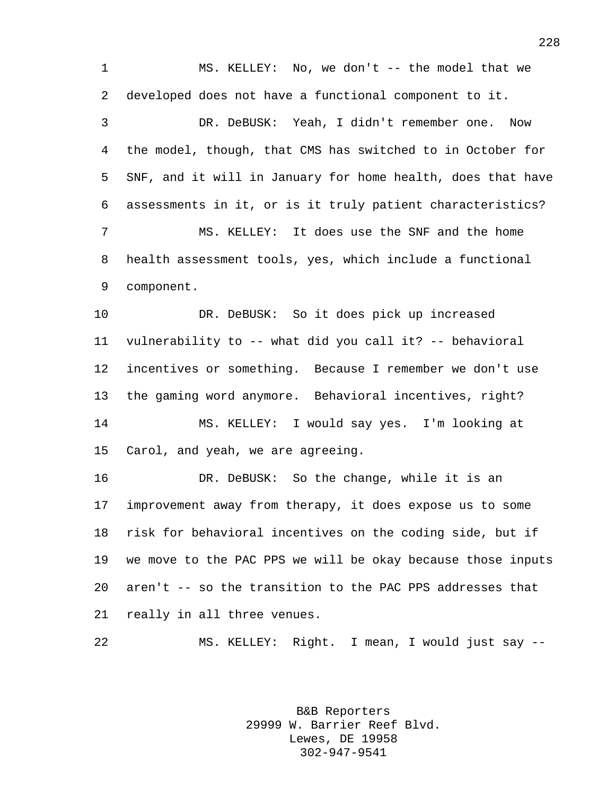MS. KELLEY: No, we don't -- the model that we developed does not have a functional component to it.

 DR. DeBUSK: Yeah, I didn't remember one. Now the model, though, that CMS has switched to in October for SNF, and it will in January for home health, does that have assessments in it, or is it truly patient characteristics? MS. KELLEY: It does use the SNF and the home health assessment tools, yes, which include a functional component.

 DR. DeBUSK: So it does pick up increased vulnerability to -- what did you call it? -- behavioral incentives or something. Because I remember we don't use the gaming word anymore. Behavioral incentives, right? MS. KELLEY: I would say yes. I'm looking at Carol, and yeah, we are agreeing.

 DR. DeBUSK: So the change, while it is an improvement away from therapy, it does expose us to some risk for behavioral incentives on the coding side, but if we move to the PAC PPS we will be okay because those inputs aren't -- so the transition to the PAC PPS addresses that really in all three venues.

MS. KELLEY: Right. I mean, I would just say --

B&B Reporters 29999 W. Barrier Reef Blvd. Lewes, DE 19958 302-947-9541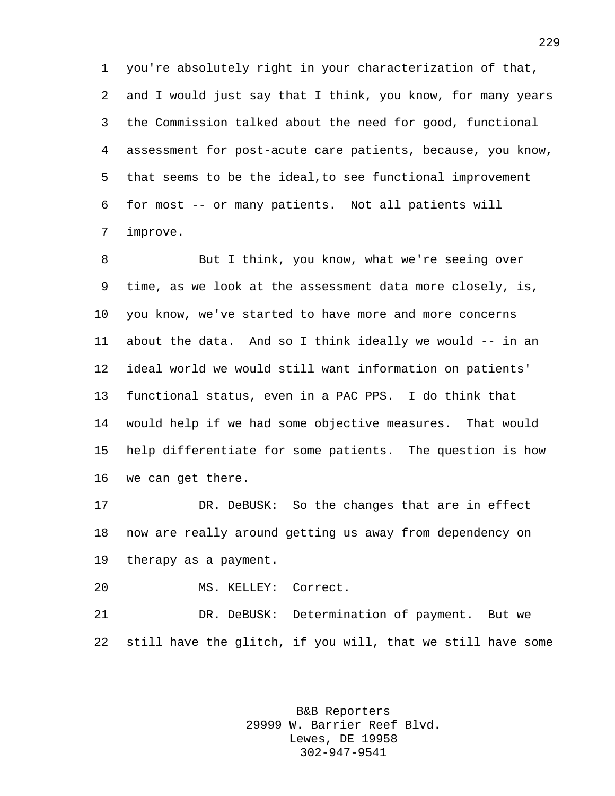you're absolutely right in your characterization of that, and I would just say that I think, you know, for many years the Commission talked about the need for good, functional assessment for post-acute care patients, because, you know, that seems to be the ideal,to see functional improvement for most -- or many patients. Not all patients will improve.

 But I think, you know, what we're seeing over time, as we look at the assessment data more closely, is, you know, we've started to have more and more concerns about the data. And so I think ideally we would -- in an ideal world we would still want information on patients' functional status, even in a PAC PPS. I do think that would help if we had some objective measures. That would help differentiate for some patients. The question is how we can get there.

 DR. DeBUSK: So the changes that are in effect now are really around getting us away from dependency on therapy as a payment.

MS. KELLEY: Correct.

 DR. DeBUSK: Determination of payment. But we still have the glitch, if you will, that we still have some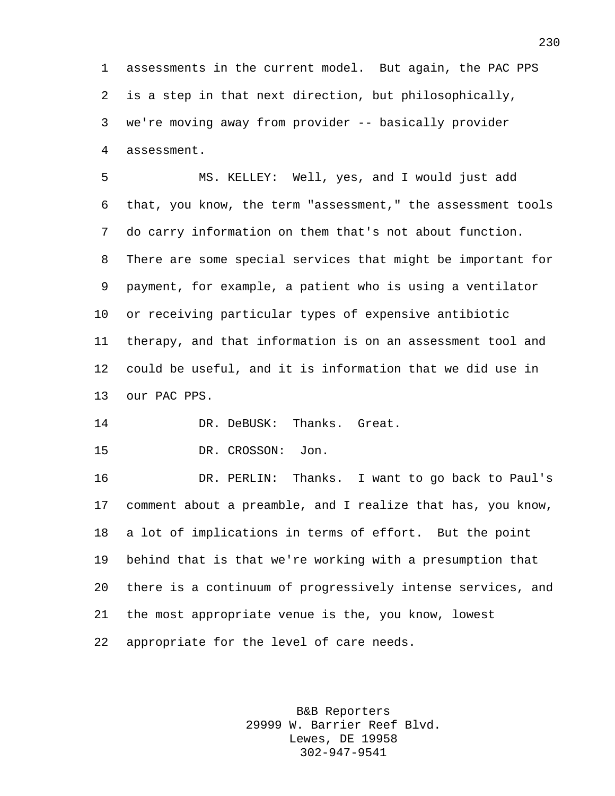assessments in the current model. But again, the PAC PPS is a step in that next direction, but philosophically, we're moving away from provider -- basically provider assessment.

 MS. KELLEY: Well, yes, and I would just add that, you know, the term "assessment," the assessment tools do carry information on them that's not about function. There are some special services that might be important for payment, for example, a patient who is using a ventilator or receiving particular types of expensive antibiotic therapy, and that information is on an assessment tool and could be useful, and it is information that we did use in our PAC PPS.

DR. DeBUSK: Thanks. Great.

DR. CROSSON: Jon.

 DR. PERLIN: Thanks. I want to go back to Paul's comment about a preamble, and I realize that has, you know, a lot of implications in terms of effort. But the point behind that is that we're working with a presumption that there is a continuum of progressively intense services, and the most appropriate venue is the, you know, lowest appropriate for the level of care needs.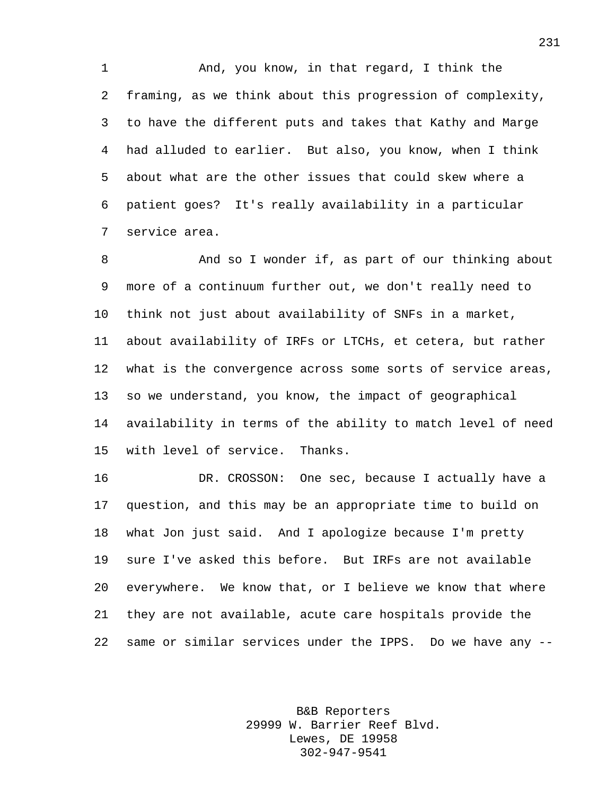And, you know, in that regard, I think the framing, as we think about this progression of complexity, to have the different puts and takes that Kathy and Marge had alluded to earlier. But also, you know, when I think about what are the other issues that could skew where a patient goes? It's really availability in a particular service area.

8 And so I wonder if, as part of our thinking about more of a continuum further out, we don't really need to think not just about availability of SNFs in a market, about availability of IRFs or LTCHs, et cetera, but rather what is the convergence across some sorts of service areas, so we understand, you know, the impact of geographical availability in terms of the ability to match level of need with level of service. Thanks.

 DR. CROSSON: One sec, because I actually have a question, and this may be an appropriate time to build on what Jon just said. And I apologize because I'm pretty sure I've asked this before. But IRFs are not available everywhere. We know that, or I believe we know that where they are not available, acute care hospitals provide the same or similar services under the IPPS. Do we have any --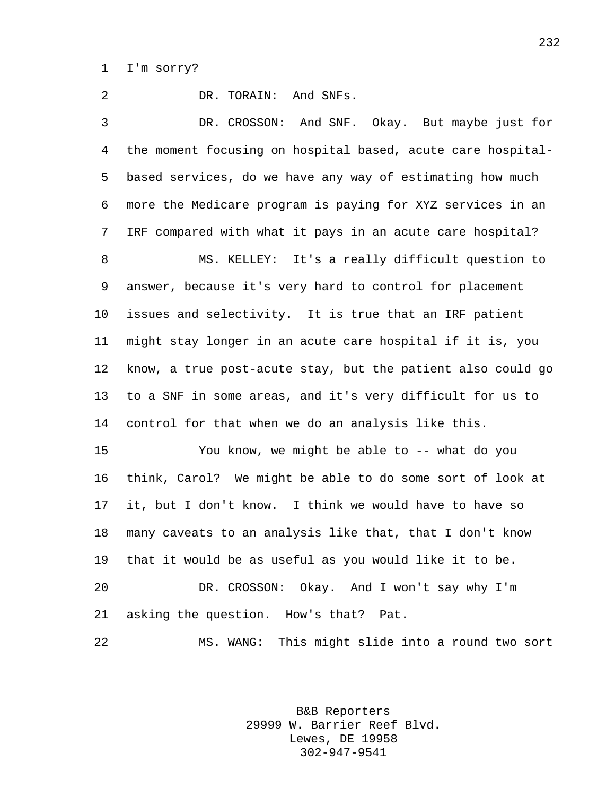I'm sorry?

 DR. TORAIN: And SNFs. DR. CROSSON: And SNF. Okay. But maybe just for the moment focusing on hospital based, acute care hospital- based services, do we have any way of estimating how much more the Medicare program is paying for XYZ services in an IRF compared with what it pays in an acute care hospital? MS. KELLEY: It's a really difficult question to answer, because it's very hard to control for placement issues and selectivity. It is true that an IRF patient might stay longer in an acute care hospital if it is, you know, a true post-acute stay, but the patient also could go to a SNF in some areas, and it's very difficult for us to control for that when we do an analysis like this. You know, we might be able to -- what do you think, Carol? We might be able to do some sort of look at it, but I don't know. I think we would have to have so many caveats to an analysis like that, that I don't know that it would be as useful as you would like it to be. DR. CROSSON: Okay. And I won't say why I'm asking the question. How's that? Pat. MS. WANG: This might slide into a round two sort

> B&B Reporters 29999 W. Barrier Reef Blvd. Lewes, DE 19958 302-947-9541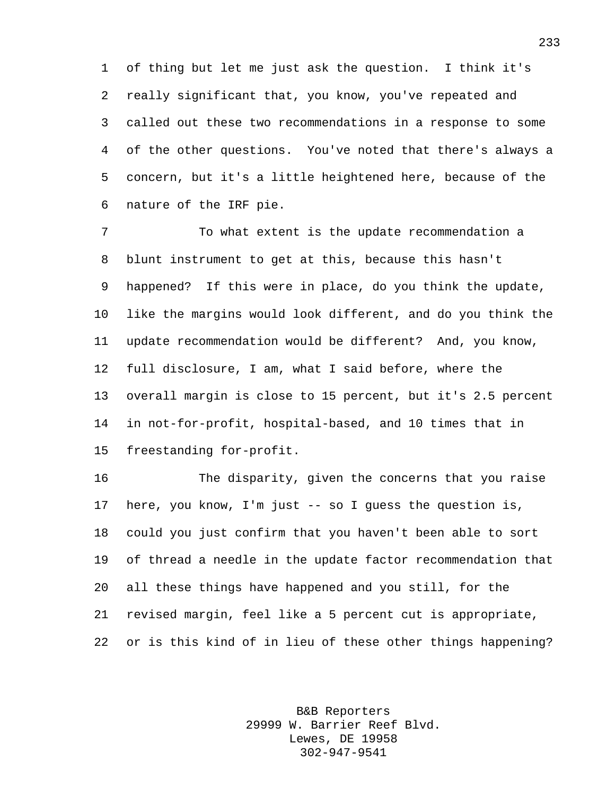of thing but let me just ask the question. I think it's really significant that, you know, you've repeated and called out these two recommendations in a response to some of the other questions. You've noted that there's always a concern, but it's a little heightened here, because of the nature of the IRF pie.

 To what extent is the update recommendation a blunt instrument to get at this, because this hasn't happened? If this were in place, do you think the update, like the margins would look different, and do you think the update recommendation would be different? And, you know, full disclosure, I am, what I said before, where the overall margin is close to 15 percent, but it's 2.5 percent in not-for-profit, hospital-based, and 10 times that in freestanding for-profit.

 The disparity, given the concerns that you raise here, you know, I'm just -- so I guess the question is, could you just confirm that you haven't been able to sort of thread a needle in the update factor recommendation that all these things have happened and you still, for the revised margin, feel like a 5 percent cut is appropriate, or is this kind of in lieu of these other things happening?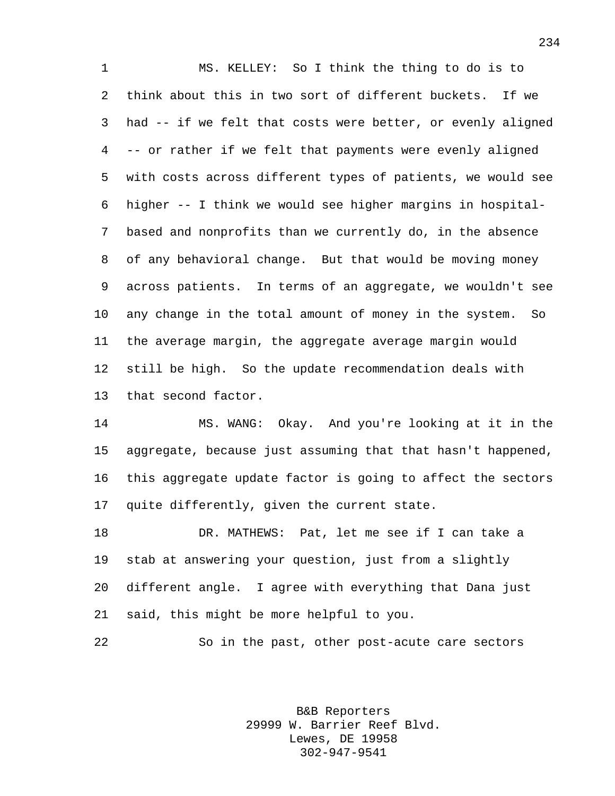MS. KELLEY: So I think the thing to do is to think about this in two sort of different buckets. If we had -- if we felt that costs were better, or evenly aligned -- or rather if we felt that payments were evenly aligned with costs across different types of patients, we would see higher -- I think we would see higher margins in hospital- based and nonprofits than we currently do, in the absence of any behavioral change. But that would be moving money across patients. In terms of an aggregate, we wouldn't see any change in the total amount of money in the system. So the average margin, the aggregate average margin would still be high. So the update recommendation deals with that second factor.

 MS. WANG: Okay. And you're looking at it in the aggregate, because just assuming that that hasn't happened, this aggregate update factor is going to affect the sectors quite differently, given the current state.

 DR. MATHEWS: Pat, let me see if I can take a stab at answering your question, just from a slightly different angle. I agree with everything that Dana just said, this might be more helpful to you.

So in the past, other post-acute care sectors

B&B Reporters 29999 W. Barrier Reef Blvd. Lewes, DE 19958 302-947-9541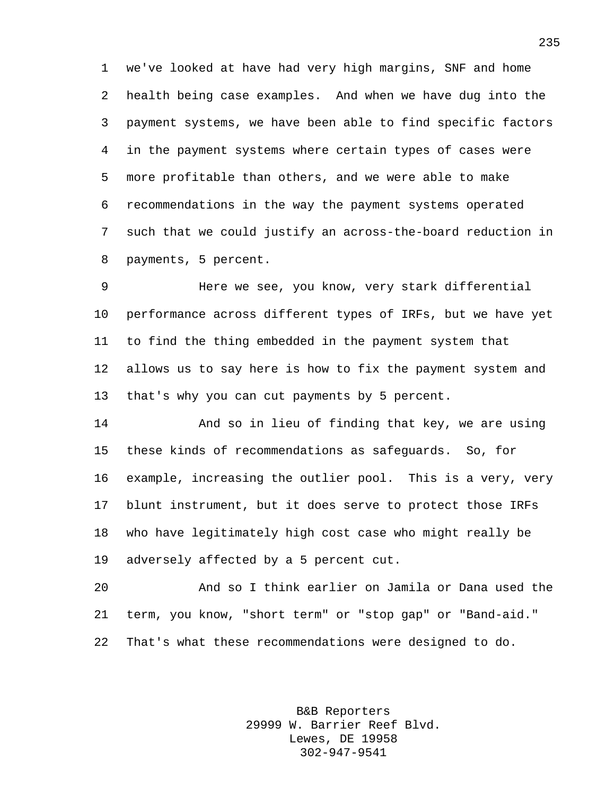we've looked at have had very high margins, SNF and home health being case examples. And when we have dug into the payment systems, we have been able to find specific factors in the payment systems where certain types of cases were more profitable than others, and we were able to make recommendations in the way the payment systems operated such that we could justify an across-the-board reduction in payments, 5 percent.

 Here we see, you know, very stark differential performance across different types of IRFs, but we have yet to find the thing embedded in the payment system that allows us to say here is how to fix the payment system and that's why you can cut payments by 5 percent.

 And so in lieu of finding that key, we are using these kinds of recommendations as safeguards. So, for example, increasing the outlier pool. This is a very, very blunt instrument, but it does serve to protect those IRFs who have legitimately high cost case who might really be adversely affected by a 5 percent cut.

 And so I think earlier on Jamila or Dana used the term, you know, "short term" or "stop gap" or "Band-aid." That's what these recommendations were designed to do.

> B&B Reporters 29999 W. Barrier Reef Blvd. Lewes, DE 19958 302-947-9541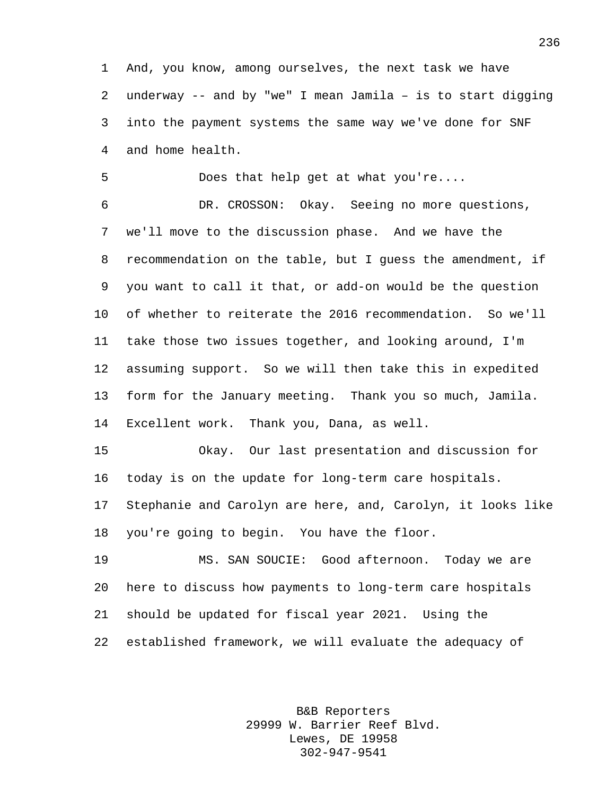And, you know, among ourselves, the next task we have underway -- and by "we" I mean Jamila – is to start digging into the payment systems the same way we've done for SNF and home health.

Does that help get at what you're....

 DR. CROSSON: Okay. Seeing no more questions, we'll move to the discussion phase. And we have the recommendation on the table, but I guess the amendment, if you want to call it that, or add-on would be the question of whether to reiterate the 2016 recommendation. So we'll take those two issues together, and looking around, I'm assuming support. So we will then take this in expedited form for the January meeting. Thank you so much, Jamila. Excellent work. Thank you, Dana, as well.

 Okay. Our last presentation and discussion for today is on the update for long-term care hospitals. Stephanie and Carolyn are here, and, Carolyn, it looks like

you're going to begin. You have the floor.

 MS. SAN SOUCIE: Good afternoon. Today we are here to discuss how payments to long-term care hospitals should be updated for fiscal year 2021. Using the established framework, we will evaluate the adequacy of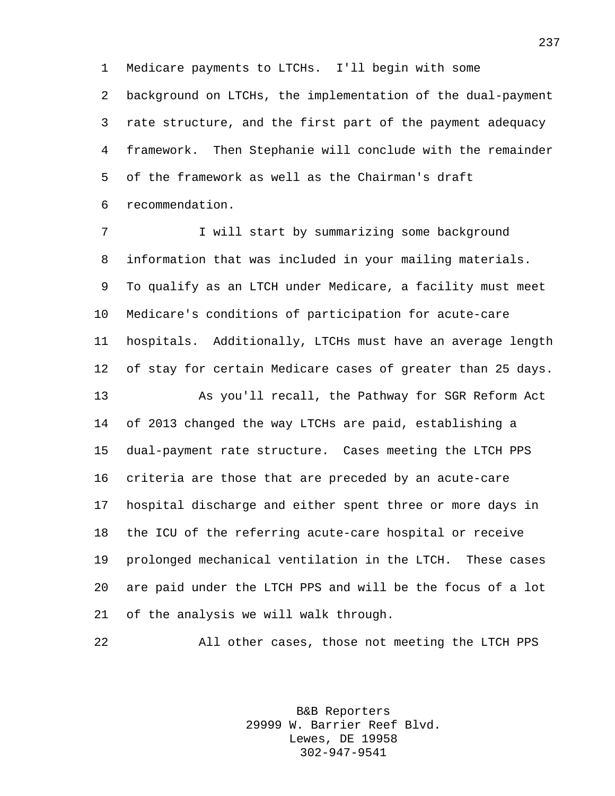Medicare payments to LTCHs. I'll begin with some background on LTCHs, the implementation of the dual-payment rate structure, and the first part of the payment adequacy framework. Then Stephanie will conclude with the remainder of the framework as well as the Chairman's draft recommendation.

7 I will start by summarizing some background information that was included in your mailing materials. To qualify as an LTCH under Medicare, a facility must meet Medicare's conditions of participation for acute-care hospitals. Additionally, LTCHs must have an average length of stay for certain Medicare cases of greater than 25 days. As you'll recall, the Pathway for SGR Reform Act of 2013 changed the way LTCHs are paid, establishing a dual-payment rate structure. Cases meeting the LTCH PPS criteria are those that are preceded by an acute-care

 hospital discharge and either spent three or more days in the ICU of the referring acute-care hospital or receive prolonged mechanical ventilation in the LTCH. These cases are paid under the LTCH PPS and will be the focus of a lot of the analysis we will walk through.

All other cases, those not meeting the LTCH PPS

B&B Reporters 29999 W. Barrier Reef Blvd. Lewes, DE 19958 302-947-9541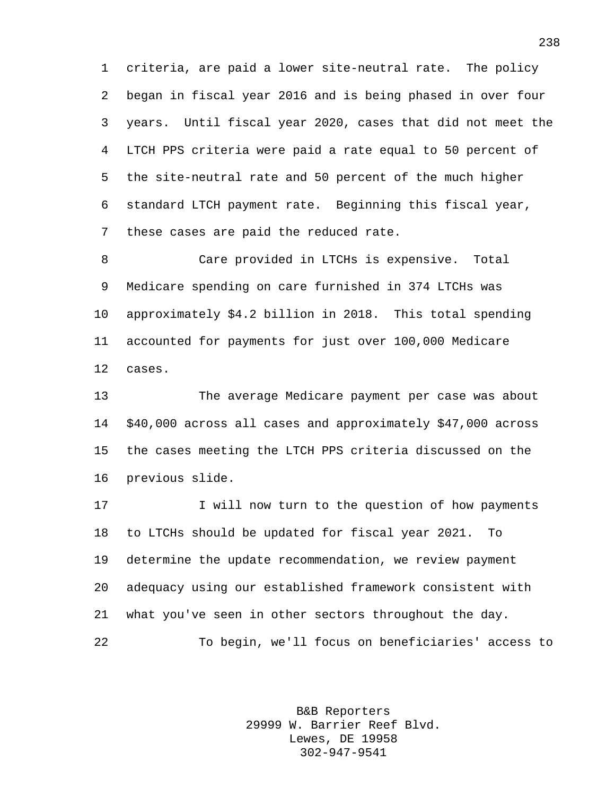criteria, are paid a lower site-neutral rate. The policy began in fiscal year 2016 and is being phased in over four years. Until fiscal year 2020, cases that did not meet the LTCH PPS criteria were paid a rate equal to 50 percent of the site-neutral rate and 50 percent of the much higher standard LTCH payment rate. Beginning this fiscal year, these cases are paid the reduced rate.

 Care provided in LTCHs is expensive. Total Medicare spending on care furnished in 374 LTCHs was approximately \$4.2 billion in 2018. This total spending accounted for payments for just over 100,000 Medicare cases.

 The average Medicare payment per case was about \$40,000 across all cases and approximately \$47,000 across the cases meeting the LTCH PPS criteria discussed on the previous slide.

 I will now turn to the question of how payments to LTCHs should be updated for fiscal year 2021. To determine the update recommendation, we review payment adequacy using our established framework consistent with what you've seen in other sectors throughout the day. To begin, we'll focus on beneficiaries' access to

> B&B Reporters 29999 W. Barrier Reef Blvd. Lewes, DE 19958 302-947-9541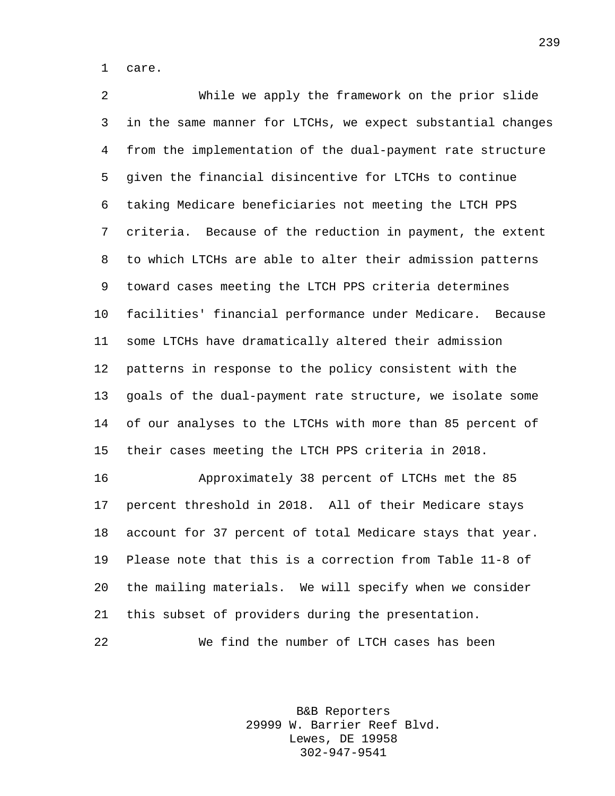care.

 While we apply the framework on the prior slide in the same manner for LTCHs, we expect substantial changes from the implementation of the dual-payment rate structure given the financial disincentive for LTCHs to continue taking Medicare beneficiaries not meeting the LTCH PPS criteria. Because of the reduction in payment, the extent to which LTCHs are able to alter their admission patterns toward cases meeting the LTCH PPS criteria determines facilities' financial performance under Medicare. Because some LTCHs have dramatically altered their admission patterns in response to the policy consistent with the goals of the dual-payment rate structure, we isolate some of our analyses to the LTCHs with more than 85 percent of their cases meeting the LTCH PPS criteria in 2018. Approximately 38 percent of LTCHs met the 85

 percent threshold in 2018. All of their Medicare stays account for 37 percent of total Medicare stays that year. Please note that this is a correction from Table 11-8 of the mailing materials. We will specify when we consider this subset of providers during the presentation.

We find the number of LTCH cases has been

B&B Reporters 29999 W. Barrier Reef Blvd. Lewes, DE 19958 302-947-9541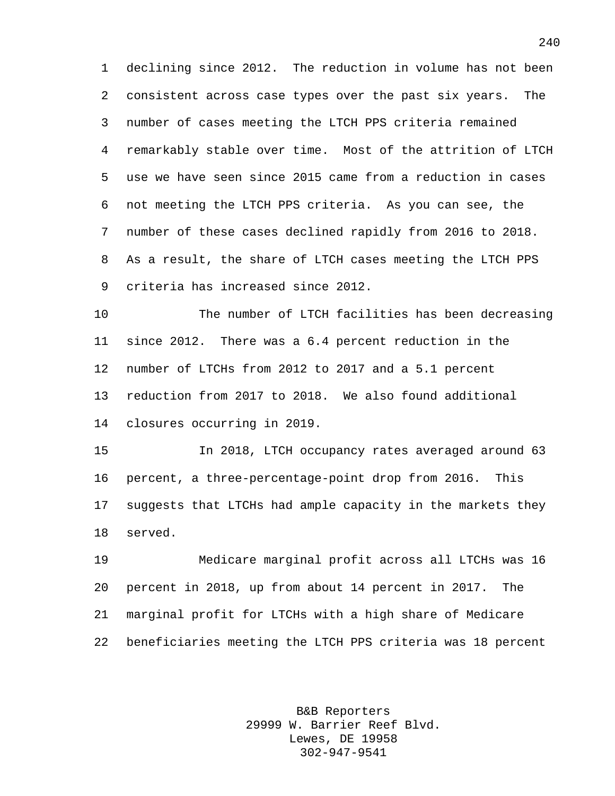declining since 2012. The reduction in volume has not been consistent across case types over the past six years. The number of cases meeting the LTCH PPS criteria remained remarkably stable over time. Most of the attrition of LTCH use we have seen since 2015 came from a reduction in cases not meeting the LTCH PPS criteria. As you can see, the number of these cases declined rapidly from 2016 to 2018. As a result, the share of LTCH cases meeting the LTCH PPS criteria has increased since 2012.

 The number of LTCH facilities has been decreasing since 2012. There was a 6.4 percent reduction in the number of LTCHs from 2012 to 2017 and a 5.1 percent reduction from 2017 to 2018. We also found additional closures occurring in 2019.

 In 2018, LTCH occupancy rates averaged around 63 percent, a three-percentage-point drop from 2016. This suggests that LTCHs had ample capacity in the markets they served.

 Medicare marginal profit across all LTCHs was 16 percent in 2018, up from about 14 percent in 2017. The marginal profit for LTCHs with a high share of Medicare beneficiaries meeting the LTCH PPS criteria was 18 percent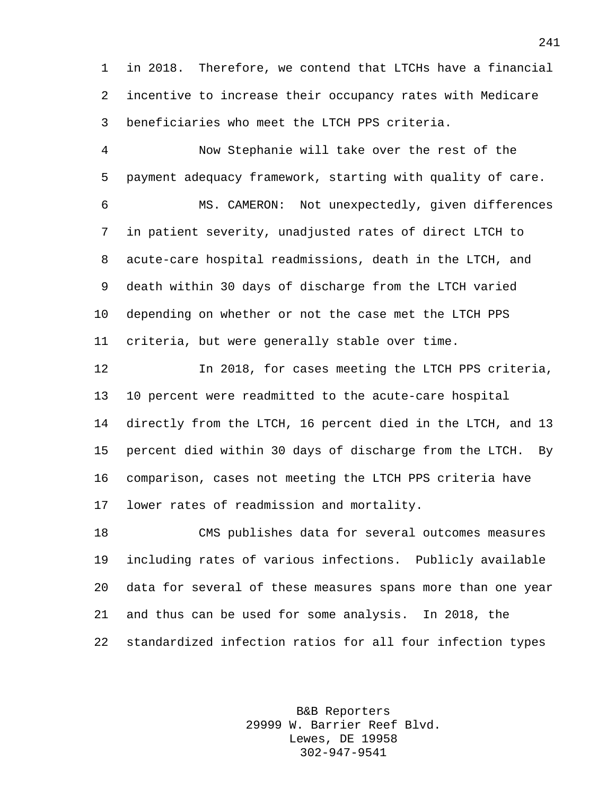in 2018. Therefore, we contend that LTCHs have a financial incentive to increase their occupancy rates with Medicare beneficiaries who meet the LTCH PPS criteria.

 Now Stephanie will take over the rest of the payment adequacy framework, starting with quality of care.

 MS. CAMERON: Not unexpectedly, given differences in patient severity, unadjusted rates of direct LTCH to acute-care hospital readmissions, death in the LTCH, and death within 30 days of discharge from the LTCH varied depending on whether or not the case met the LTCH PPS criteria, but were generally stable over time.

 In 2018, for cases meeting the LTCH PPS criteria, 10 percent were readmitted to the acute-care hospital directly from the LTCH, 16 percent died in the LTCH, and 13 percent died within 30 days of discharge from the LTCH. By comparison, cases not meeting the LTCH PPS criteria have lower rates of readmission and mortality.

 CMS publishes data for several outcomes measures including rates of various infections. Publicly available data for several of these measures spans more than one year and thus can be used for some analysis. In 2018, the standardized infection ratios for all four infection types

> B&B Reporters 29999 W. Barrier Reef Blvd. Lewes, DE 19958 302-947-9541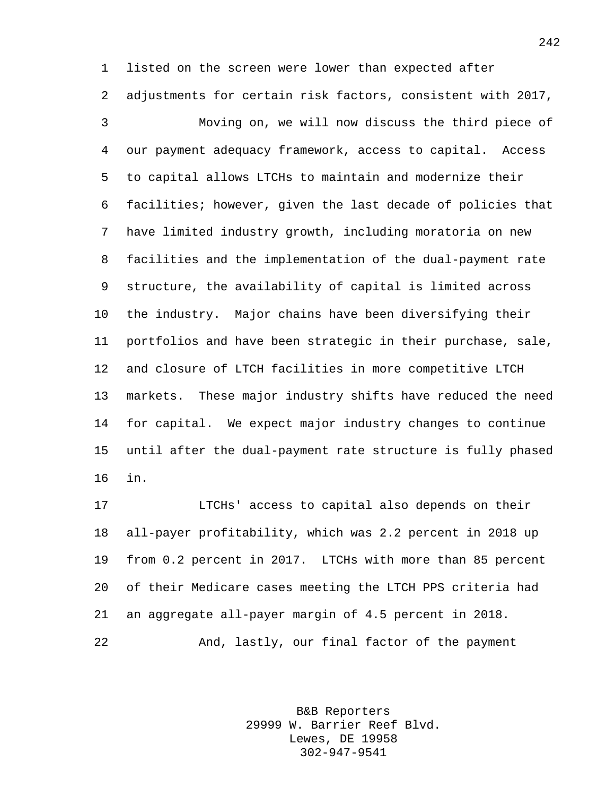listed on the screen were lower than expected after adjustments for certain risk factors, consistent with 2017, Moving on, we will now discuss the third piece of

 our payment adequacy framework, access to capital. Access to capital allows LTCHs to maintain and modernize their facilities; however, given the last decade of policies that have limited industry growth, including moratoria on new facilities and the implementation of the dual-payment rate structure, the availability of capital is limited across the industry. Major chains have been diversifying their portfolios and have been strategic in their purchase, sale, and closure of LTCH facilities in more competitive LTCH markets. These major industry shifts have reduced the need for capital. We expect major industry changes to continue until after the dual-payment rate structure is fully phased in.

 LTCHs' access to capital also depends on their all-payer profitability, which was 2.2 percent in 2018 up from 0.2 percent in 2017. LTCHs with more than 85 percent of their Medicare cases meeting the LTCH PPS criteria had an aggregate all-payer margin of 4.5 percent in 2018. And, lastly, our final factor of the payment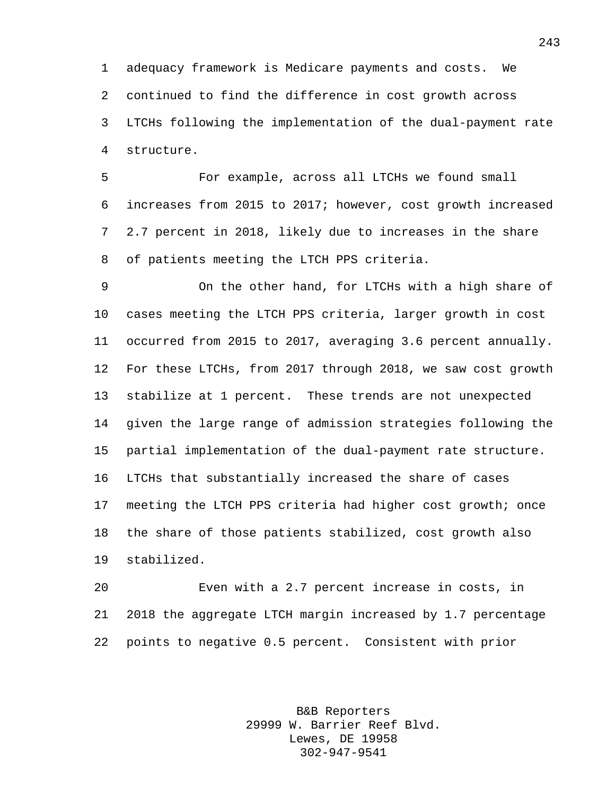adequacy framework is Medicare payments and costs. We continued to find the difference in cost growth across LTCHs following the implementation of the dual-payment rate structure.

 For example, across all LTCHs we found small increases from 2015 to 2017; however, cost growth increased 2.7 percent in 2018, likely due to increases in the share of patients meeting the LTCH PPS criteria.

 On the other hand, for LTCHs with a high share of cases meeting the LTCH PPS criteria, larger growth in cost occurred from 2015 to 2017, averaging 3.6 percent annually. For these LTCHs, from 2017 through 2018, we saw cost growth stabilize at 1 percent. These trends are not unexpected given the large range of admission strategies following the partial implementation of the dual-payment rate structure. LTCHs that substantially increased the share of cases meeting the LTCH PPS criteria had higher cost growth; once the share of those patients stabilized, cost growth also stabilized.

 Even with a 2.7 percent increase in costs, in 2018 the aggregate LTCH margin increased by 1.7 percentage points to negative 0.5 percent. Consistent with prior

> B&B Reporters 29999 W. Barrier Reef Blvd. Lewes, DE 19958 302-947-9541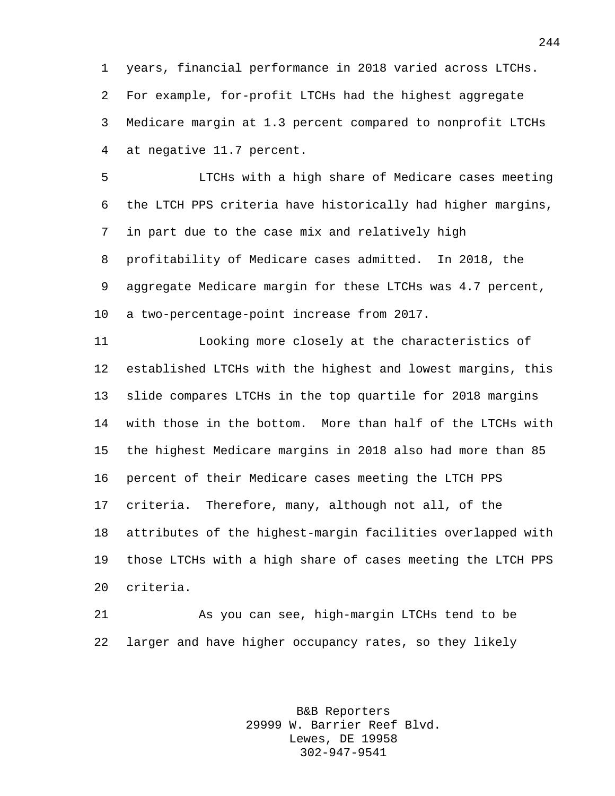years, financial performance in 2018 varied across LTCHs. For example, for-profit LTCHs had the highest aggregate Medicare margin at 1.3 percent compared to nonprofit LTCHs at negative 11.7 percent.

 LTCHs with a high share of Medicare cases meeting the LTCH PPS criteria have historically had higher margins, in part due to the case mix and relatively high profitability of Medicare cases admitted. In 2018, the aggregate Medicare margin for these LTCHs was 4.7 percent, a two-percentage-point increase from 2017.

 Looking more closely at the characteristics of established LTCHs with the highest and lowest margins, this slide compares LTCHs in the top quartile for 2018 margins with those in the bottom. More than half of the LTCHs with the highest Medicare margins in 2018 also had more than 85 percent of their Medicare cases meeting the LTCH PPS criteria. Therefore, many, although not all, of the attributes of the highest-margin facilities overlapped with those LTCHs with a high share of cases meeting the LTCH PPS criteria.

 As you can see, high-margin LTCHs tend to be larger and have higher occupancy rates, so they likely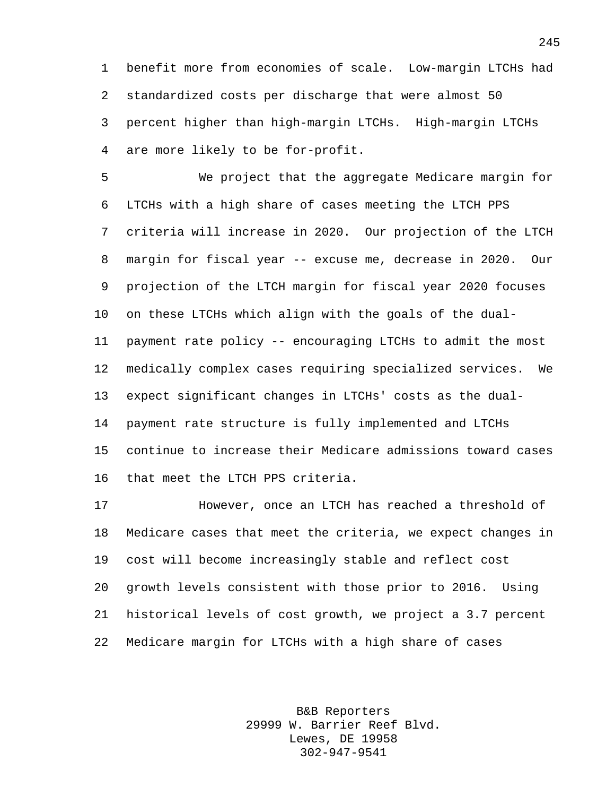benefit more from economies of scale. Low-margin LTCHs had standardized costs per discharge that were almost 50 percent higher than high-margin LTCHs. High-margin LTCHs are more likely to be for-profit.

 We project that the aggregate Medicare margin for LTCHs with a high share of cases meeting the LTCH PPS criteria will increase in 2020. Our projection of the LTCH margin for fiscal year -- excuse me, decrease in 2020. Our projection of the LTCH margin for fiscal year 2020 focuses on these LTCHs which align with the goals of the dual- payment rate policy -- encouraging LTCHs to admit the most medically complex cases requiring specialized services. We expect significant changes in LTCHs' costs as the dual- payment rate structure is fully implemented and LTCHs continue to increase their Medicare admissions toward cases that meet the LTCH PPS criteria.

 However, once an LTCH has reached a threshold of Medicare cases that meet the criteria, we expect changes in cost will become increasingly stable and reflect cost growth levels consistent with those prior to 2016. Using historical levels of cost growth, we project a 3.7 percent Medicare margin for LTCHs with a high share of cases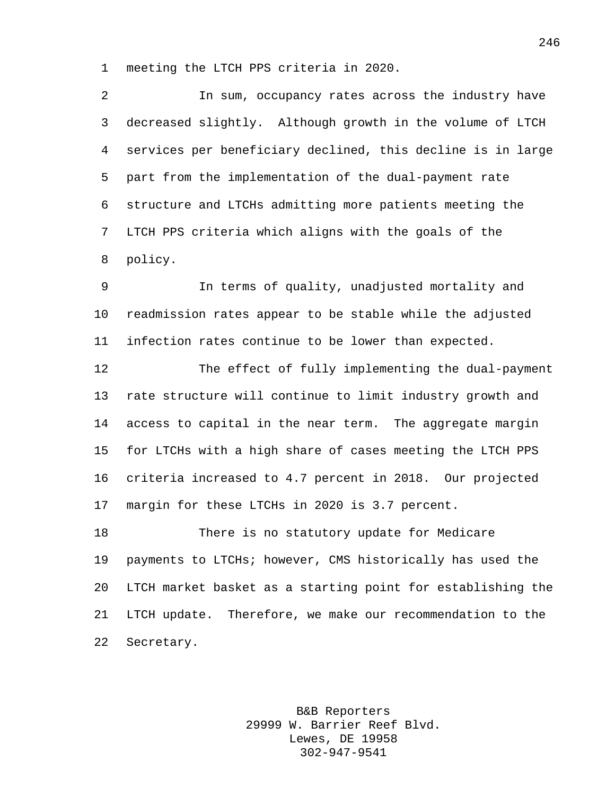meeting the LTCH PPS criteria in 2020.

 In sum, occupancy rates across the industry have decreased slightly. Although growth in the volume of LTCH services per beneficiary declined, this decline is in large part from the implementation of the dual-payment rate structure and LTCHs admitting more patients meeting the LTCH PPS criteria which aligns with the goals of the policy.

 In terms of quality, unadjusted mortality and readmission rates appear to be stable while the adjusted infection rates continue to be lower than expected.

 The effect of fully implementing the dual-payment rate structure will continue to limit industry growth and access to capital in the near term. The aggregate margin for LTCHs with a high share of cases meeting the LTCH PPS criteria increased to 4.7 percent in 2018. Our projected margin for these LTCHs in 2020 is 3.7 percent.

 There is no statutory update for Medicare payments to LTCHs; however, CMS historically has used the LTCH market basket as a starting point for establishing the LTCH update. Therefore, we make our recommendation to the Secretary.

> B&B Reporters 29999 W. Barrier Reef Blvd. Lewes, DE 19958 302-947-9541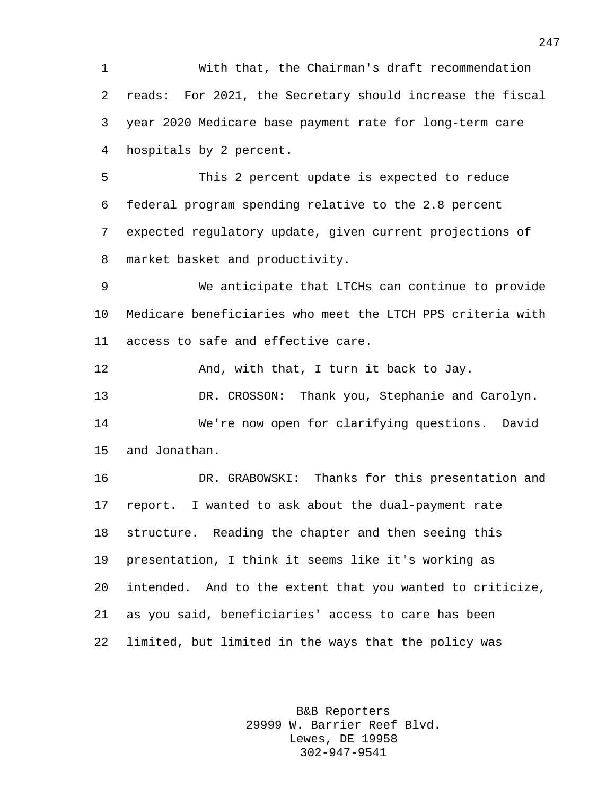With that, the Chairman's draft recommendation reads: For 2021, the Secretary should increase the fiscal year 2020 Medicare base payment rate for long-term care hospitals by 2 percent.

 This 2 percent update is expected to reduce federal program spending relative to the 2.8 percent expected regulatory update, given current projections of market basket and productivity.

 We anticipate that LTCHs can continue to provide Medicare beneficiaries who meet the LTCH PPS criteria with access to safe and effective care.

And, with that, I turn it back to Jay.

 DR. CROSSON: Thank you, Stephanie and Carolyn. We're now open for clarifying questions. David and Jonathan.

 DR. GRABOWSKI: Thanks for this presentation and report. I wanted to ask about the dual-payment rate structure. Reading the chapter and then seeing this presentation, I think it seems like it's working as intended. And to the extent that you wanted to criticize, as you said, beneficiaries' access to care has been limited, but limited in the ways that the policy was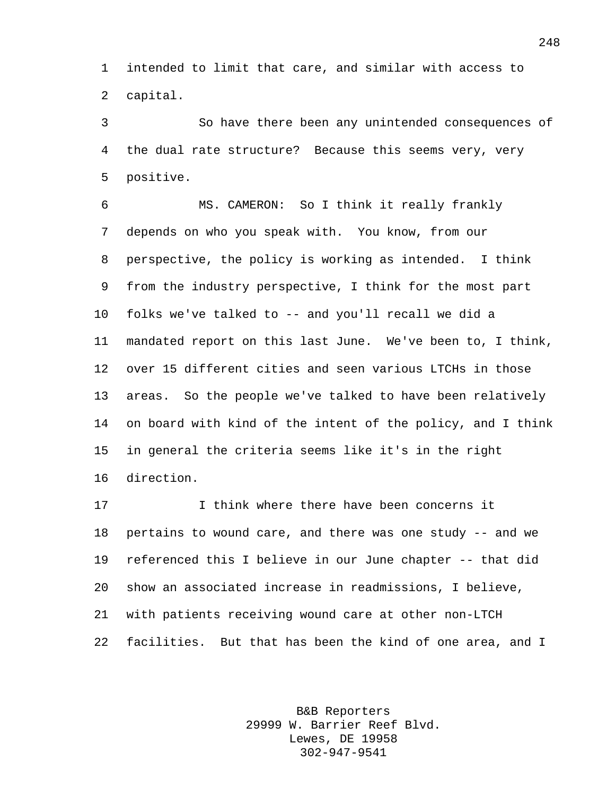intended to limit that care, and similar with access to capital.

 So have there been any unintended consequences of the dual rate structure? Because this seems very, very positive.

 MS. CAMERON: So I think it really frankly depends on who you speak with. You know, from our perspective, the policy is working as intended. I think from the industry perspective, I think for the most part folks we've talked to -- and you'll recall we did a mandated report on this last June. We've been to, I think, over 15 different cities and seen various LTCHs in those areas. So the people we've talked to have been relatively on board with kind of the intent of the policy, and I think in general the criteria seems like it's in the right direction.

 I think where there have been concerns it pertains to wound care, and there was one study -- and we referenced this I believe in our June chapter -- that did show an associated increase in readmissions, I believe, with patients receiving wound care at other non-LTCH facilities. But that has been the kind of one area, and I

> B&B Reporters 29999 W. Barrier Reef Blvd. Lewes, DE 19958 302-947-9541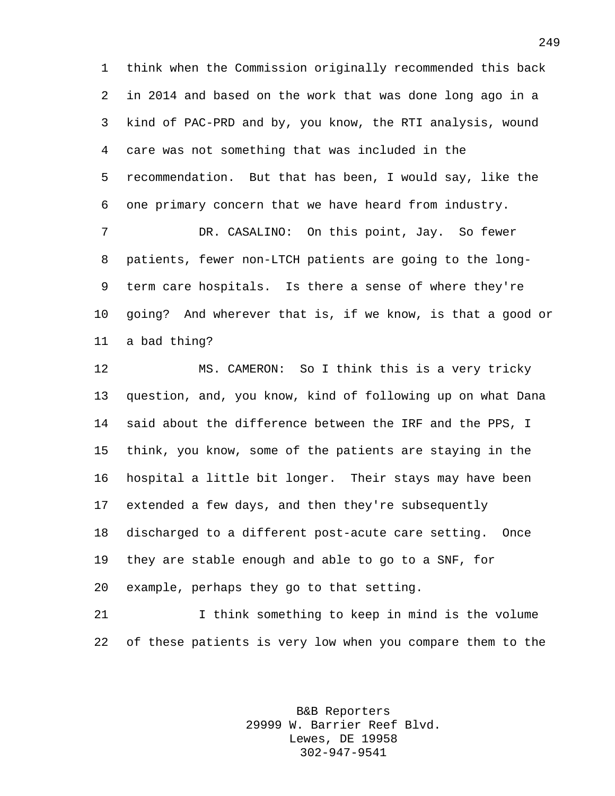think when the Commission originally recommended this back in 2014 and based on the work that was done long ago in a kind of PAC-PRD and by, you know, the RTI analysis, wound care was not something that was included in the recommendation. But that has been, I would say, like the one primary concern that we have heard from industry.

 DR. CASALINO: On this point, Jay. So fewer patients, fewer non-LTCH patients are going to the long- term care hospitals. Is there a sense of where they're going? And wherever that is, if we know, is that a good or a bad thing?

 MS. CAMERON: So I think this is a very tricky question, and, you know, kind of following up on what Dana said about the difference between the IRF and the PPS, I think, you know, some of the patients are staying in the hospital a little bit longer. Their stays may have been extended a few days, and then they're subsequently discharged to a different post-acute care setting. Once they are stable enough and able to go to a SNF, for example, perhaps they go to that setting.

 I think something to keep in mind is the volume of these patients is very low when you compare them to the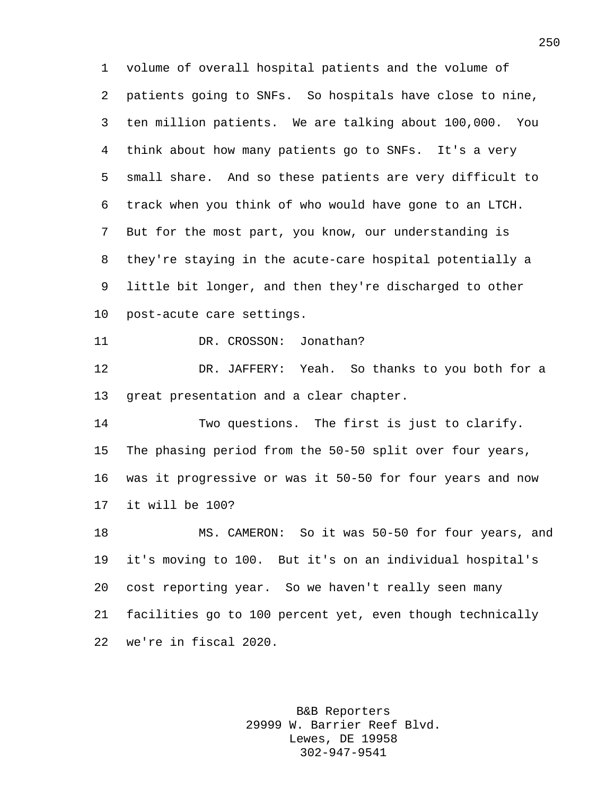volume of overall hospital patients and the volume of patients going to SNFs. So hospitals have close to nine, ten million patients. We are talking about 100,000. You think about how many patients go to SNFs. It's a very small share. And so these patients are very difficult to track when you think of who would have gone to an LTCH. But for the most part, you know, our understanding is they're staying in the acute-care hospital potentially a little bit longer, and then they're discharged to other post-acute care settings. 11 DR. CROSSON: Jonathan? DR. JAFFERY: Yeah. So thanks to you both for a great presentation and a clear chapter. Two questions. The first is just to clarify. The phasing period from the 50-50 split over four years, was it progressive or was it 50-50 for four years and now it will be 100? MS. CAMERON: So it was 50-50 for four years, and it's moving to 100. But it's on an individual hospital's cost reporting year. So we haven't really seen many facilities go to 100 percent yet, even though technically we're in fiscal 2020.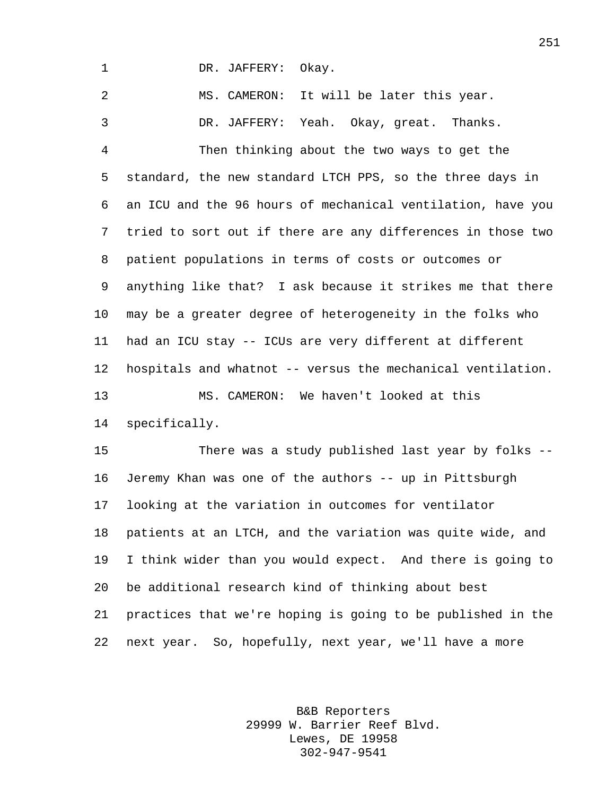DR. JAFFERY: Okay.

 MS. CAMERON: It will be later this year. DR. JAFFERY: Yeah. Okay, great. Thanks. Then thinking about the two ways to get the standard, the new standard LTCH PPS, so the three days in an ICU and the 96 hours of mechanical ventilation, have you tried to sort out if there are any differences in those two patient populations in terms of costs or outcomes or anything like that? I ask because it strikes me that there may be a greater degree of heterogeneity in the folks who had an ICU stay -- ICUs are very different at different hospitals and whatnot -- versus the mechanical ventilation. MS. CAMERON: We haven't looked at this specifically.

 There was a study published last year by folks -- Jeremy Khan was one of the authors -- up in Pittsburgh looking at the variation in outcomes for ventilator patients at an LTCH, and the variation was quite wide, and I think wider than you would expect. And there is going to be additional research kind of thinking about best practices that we're hoping is going to be published in the next year. So, hopefully, next year, we'll have a more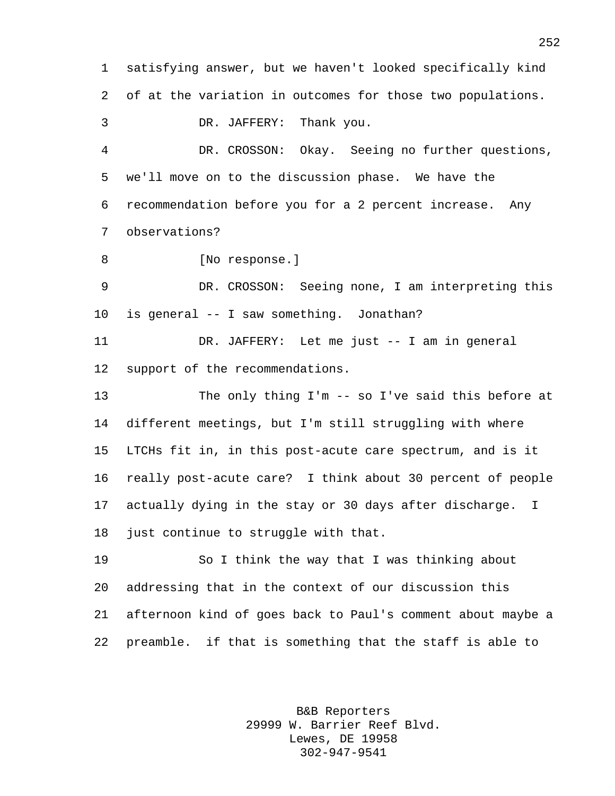satisfying answer, but we haven't looked specifically kind of at the variation in outcomes for those two populations. DR. JAFFERY: Thank you. DR. CROSSON: Okay. Seeing no further questions, we'll move on to the discussion phase. We have the recommendation before you for a 2 percent increase. Any observations? 8 [No response.] DR. CROSSON: Seeing none, I am interpreting this is general -- I saw something. Jonathan? DR. JAFFERY: Let me just -- I am in general support of the recommendations. The only thing I'm -- so I've said this before at different meetings, but I'm still struggling with where LTCHs fit in, in this post-acute care spectrum, and is it really post-acute care? I think about 30 percent of people actually dying in the stay or 30 days after discharge. I 18 just continue to struggle with that. So I think the way that I was thinking about addressing that in the context of our discussion this afternoon kind of goes back to Paul's comment about maybe a preamble. if that is something that the staff is able to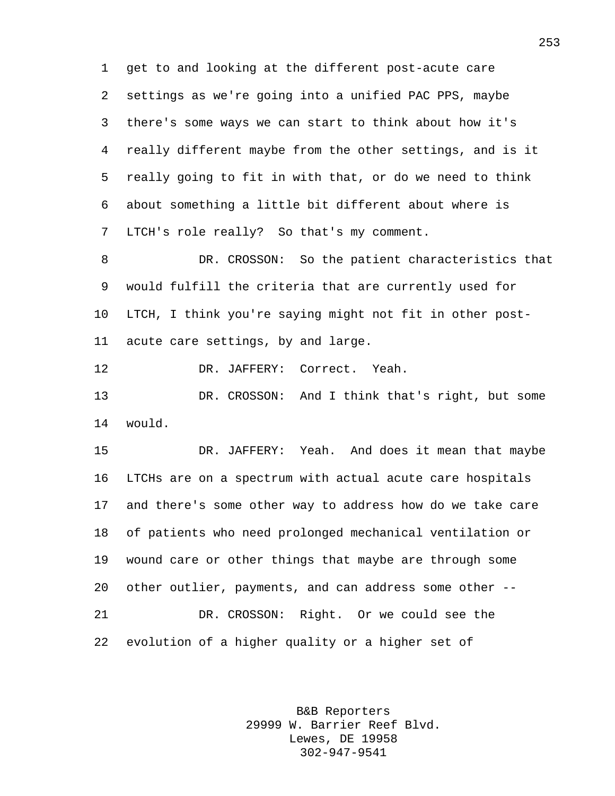get to and looking at the different post-acute care settings as we're going into a unified PAC PPS, maybe there's some ways we can start to think about how it's really different maybe from the other settings, and is it really going to fit in with that, or do we need to think about something a little bit different about where is LTCH's role really? So that's my comment.

 DR. CROSSON: So the patient characteristics that would fulfill the criteria that are currently used for LTCH, I think you're saying might not fit in other post-acute care settings, by and large.

DR. JAFFERY: Correct. Yeah.

 DR. CROSSON: And I think that's right, but some would.

 DR. JAFFERY: Yeah. And does it mean that maybe LTCHs are on a spectrum with actual acute care hospitals and there's some other way to address how do we take care of patients who need prolonged mechanical ventilation or wound care or other things that maybe are through some other outlier, payments, and can address some other -- DR. CROSSON: Right. Or we could see the evolution of a higher quality or a higher set of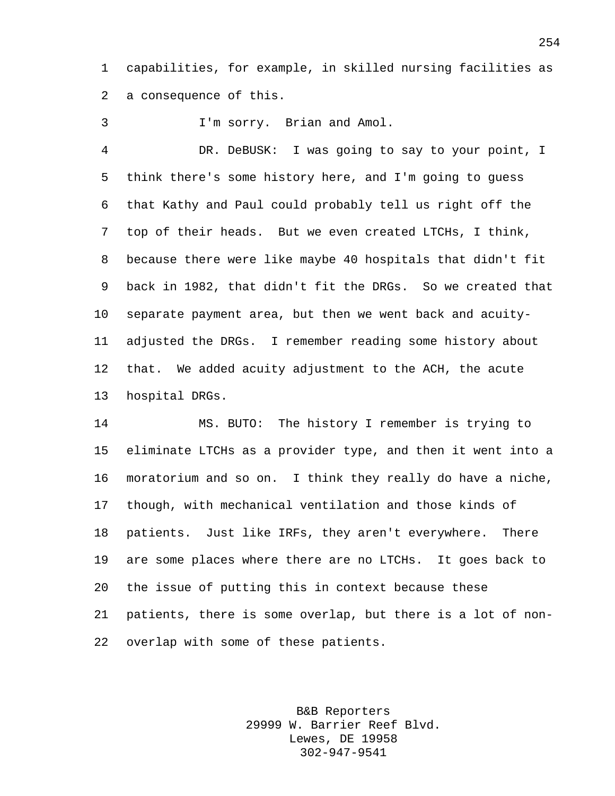capabilities, for example, in skilled nursing facilities as a consequence of this.

I'm sorry. Brian and Amol.

 DR. DeBUSK: I was going to say to your point, I think there's some history here, and I'm going to guess that Kathy and Paul could probably tell us right off the top of their heads. But we even created LTCHs, I think, because there were like maybe 40 hospitals that didn't fit back in 1982, that didn't fit the DRGs. So we created that separate payment area, but then we went back and acuity- adjusted the DRGs. I remember reading some history about that. We added acuity adjustment to the ACH, the acute hospital DRGs.

 MS. BUTO: The history I remember is trying to eliminate LTCHs as a provider type, and then it went into a moratorium and so on. I think they really do have a niche, though, with mechanical ventilation and those kinds of patients. Just like IRFs, they aren't everywhere. There are some places where there are no LTCHs. It goes back to the issue of putting this in context because these patients, there is some overlap, but there is a lot of non-overlap with some of these patients.

> B&B Reporters 29999 W. Barrier Reef Blvd. Lewes, DE 19958 302-947-9541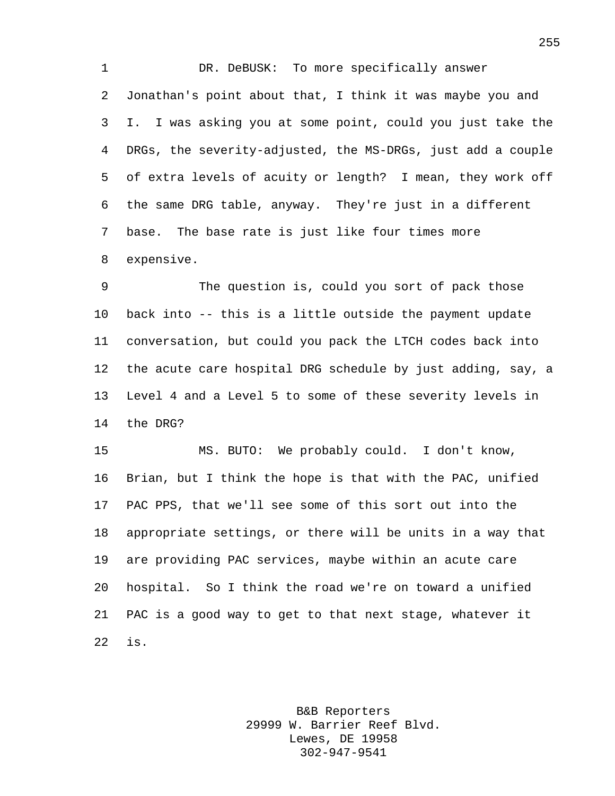1 DR. DeBUSK: To more specifically answer Jonathan's point about that, I think it was maybe you and I. I was asking you at some point, could you just take the DRGs, the severity-adjusted, the MS-DRGs, just add a couple of extra levels of acuity or length? I mean, they work off the same DRG table, anyway. They're just in a different base. The base rate is just like four times more expensive.

 The question is, could you sort of pack those back into -- this is a little outside the payment update conversation, but could you pack the LTCH codes back into the acute care hospital DRG schedule by just adding, say, a Level 4 and a Level 5 to some of these severity levels in the DRG?

 MS. BUTO: We probably could. I don't know, Brian, but I think the hope is that with the PAC, unified PAC PPS, that we'll see some of this sort out into the appropriate settings, or there will be units in a way that are providing PAC services, maybe within an acute care hospital. So I think the road we're on toward a unified PAC is a good way to get to that next stage, whatever it is.

> B&B Reporters 29999 W. Barrier Reef Blvd. Lewes, DE 19958 302-947-9541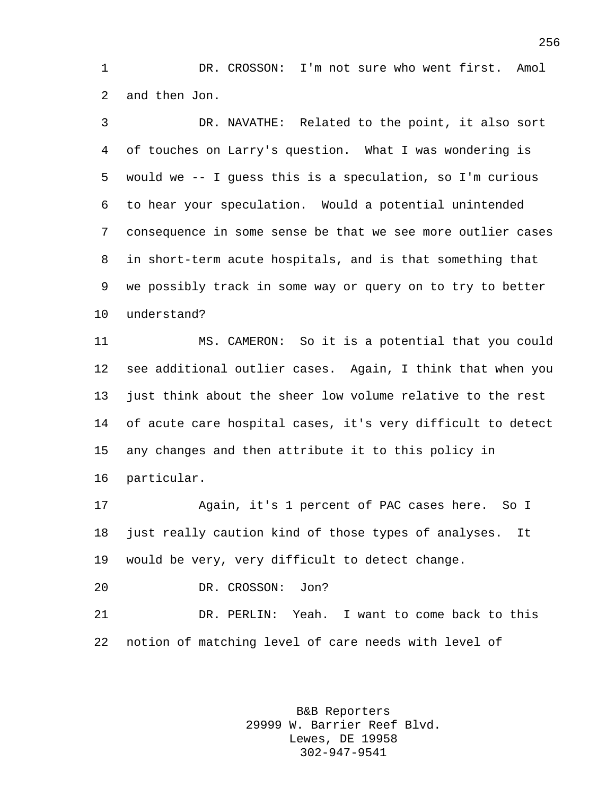DR. CROSSON: I'm not sure who went first. Amol and then Jon.

 DR. NAVATHE: Related to the point, it also sort of touches on Larry's question. What I was wondering is would we -- I guess this is a speculation, so I'm curious to hear your speculation. Would a potential unintended consequence in some sense be that we see more outlier cases in short-term acute hospitals, and is that something that we possibly track in some way or query on to try to better understand?

 MS. CAMERON: So it is a potential that you could see additional outlier cases. Again, I think that when you just think about the sheer low volume relative to the rest of acute care hospital cases, it's very difficult to detect any changes and then attribute it to this policy in particular.

 Again, it's 1 percent of PAC cases here. So I just really caution kind of those types of analyses. It would be very, very difficult to detect change.

DR. CROSSON: Jon?

 DR. PERLIN: Yeah. I want to come back to this notion of matching level of care needs with level of

> B&B Reporters 29999 W. Barrier Reef Blvd. Lewes, DE 19958 302-947-9541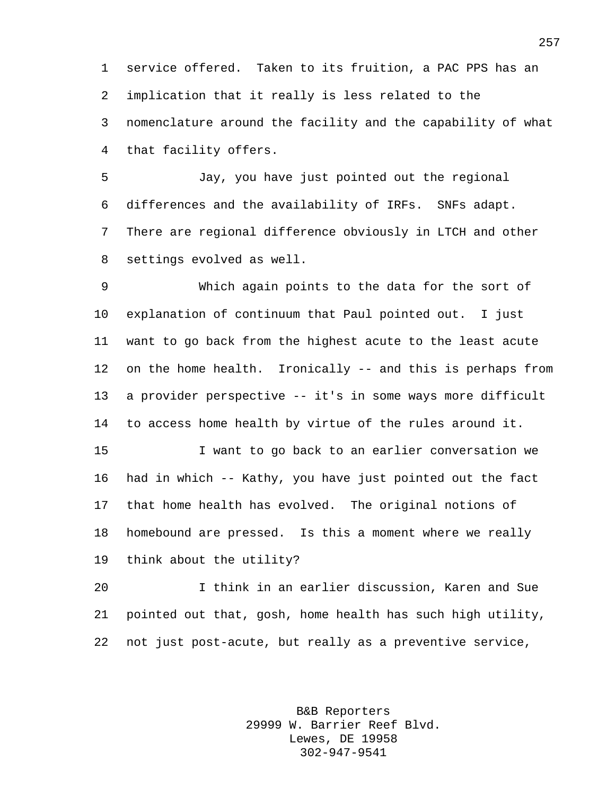service offered. Taken to its fruition, a PAC PPS has an implication that it really is less related to the nomenclature around the facility and the capability of what that facility offers.

 Jay, you have just pointed out the regional differences and the availability of IRFs. SNFs adapt. There are regional difference obviously in LTCH and other settings evolved as well.

 Which again points to the data for the sort of explanation of continuum that Paul pointed out. I just want to go back from the highest acute to the least acute on the home health. Ironically -- and this is perhaps from a provider perspective -- it's in some ways more difficult to access home health by virtue of the rules around it.

 I want to go back to an earlier conversation we had in which -- Kathy, you have just pointed out the fact that home health has evolved. The original notions of homebound are pressed. Is this a moment where we really think about the utility?

 I think in an earlier discussion, Karen and Sue pointed out that, gosh, home health has such high utility, not just post-acute, but really as a preventive service,

> B&B Reporters 29999 W. Barrier Reef Blvd. Lewes, DE 19958 302-947-9541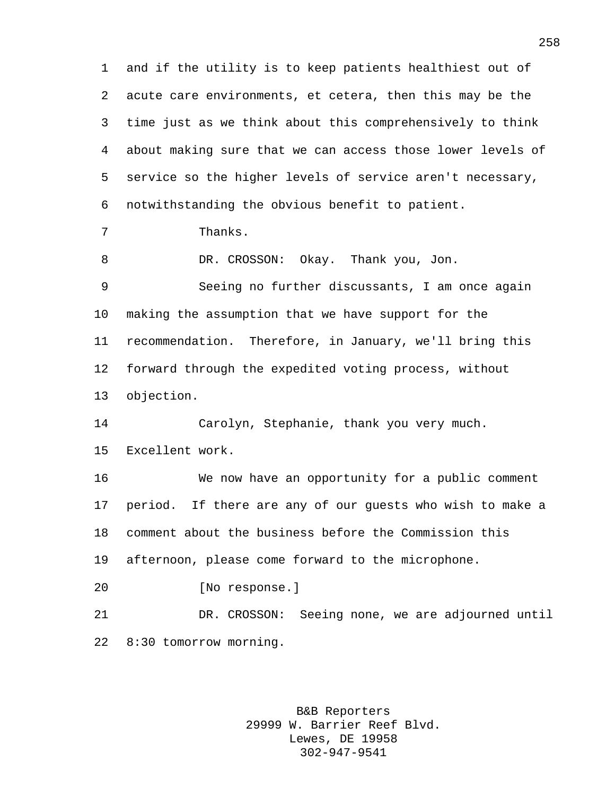and if the utility is to keep patients healthiest out of acute care environments, et cetera, then this may be the time just as we think about this comprehensively to think about making sure that we can access those lower levels of service so the higher levels of service aren't necessary, notwithstanding the obvious benefit to patient. Thanks. DR. CROSSON: Okay. Thank you, Jon. Seeing no further discussants, I am once again making the assumption that we have support for the recommendation. Therefore, in January, we'll bring this forward through the expedited voting process, without objection. Carolyn, Stephanie, thank you very much. Excellent work. We now have an opportunity for a public comment period. If there are any of our guests who wish to make a comment about the business before the Commission this afternoon, please come forward to the microphone. [No response.] DR. CROSSON: Seeing none, we are adjourned until 8:30 tomorrow morning.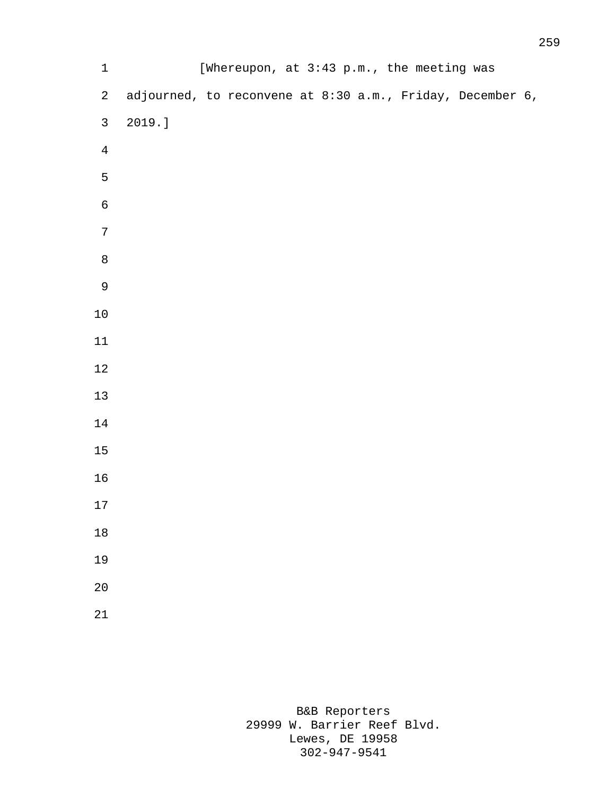| $1\,$            |                                                           | [Whereupon, at 3:43 p.m., the meeting was |  |  |  |
|------------------|-----------------------------------------------------------|-------------------------------------------|--|--|--|
| $\overline{a}$   | adjourned, to reconvene at 8:30 a.m., Friday, December 6, |                                           |  |  |  |
| $\mathfrak{Z}$   | 2019.]                                                    |                                           |  |  |  |
| $\overline{4}$   |                                                           |                                           |  |  |  |
| $\mathsf S$      |                                                           |                                           |  |  |  |
| $\epsilon$       |                                                           |                                           |  |  |  |
| $\boldsymbol{7}$ |                                                           |                                           |  |  |  |
| $\,8\,$          |                                                           |                                           |  |  |  |
| $\mathsf 9$      |                                                           |                                           |  |  |  |
| 10               |                                                           |                                           |  |  |  |
| 11               |                                                           |                                           |  |  |  |
| 12               |                                                           |                                           |  |  |  |
| 13               |                                                           |                                           |  |  |  |
| 14               |                                                           |                                           |  |  |  |
| 15               |                                                           |                                           |  |  |  |
| 16               |                                                           |                                           |  |  |  |
| 17               |                                                           |                                           |  |  |  |
| 18               |                                                           |                                           |  |  |  |
| 19               |                                                           |                                           |  |  |  |
| 20               |                                                           |                                           |  |  |  |
| 21               |                                                           |                                           |  |  |  |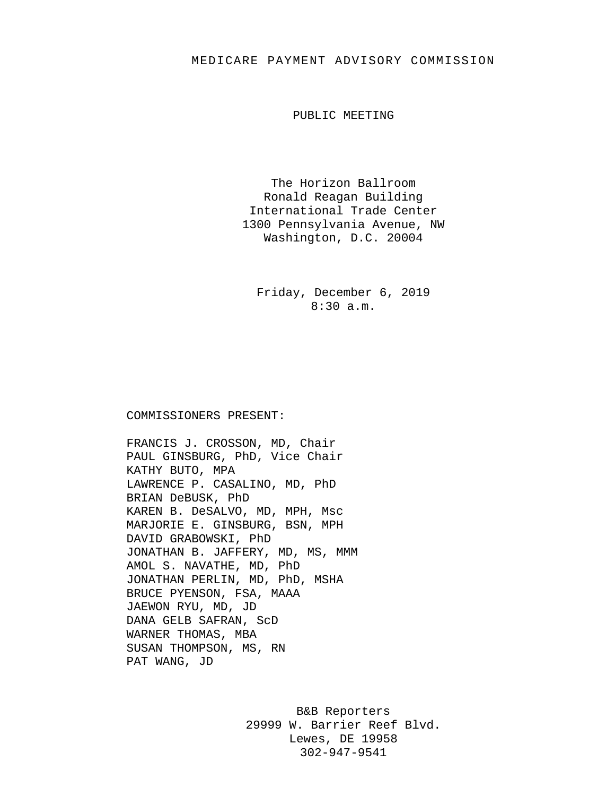## MEDICARE PAYMENT ADVISORY COMMISSION

PUBLIC MEETING

The Horizon Ballroom Ronald Reagan Building International Trade Center 1300 Pennsylvania Avenue, NW Washington, D.C. 20004

Friday, December 6, 2019 8:30 a.m.

## COMMISSIONERS PRESENT:

FRANCIS J. CROSSON, MD, Chair PAUL GINSBURG, PhD, Vice Chair KATHY BUTO, MPA LAWRENCE P. CASALINO, MD, PhD BRIAN DeBUSK, PhD KAREN B. DeSALVO, MD, MPH, Msc MARJORIE E. GINSBURG, BSN, MPH DAVID GRABOWSKI, PhD JONATHAN B. JAFFERY, MD, MS, MMM AMOL S. NAVATHE, MD, PhD JONATHAN PERLIN, MD, PhD, MSHA BRUCE PYENSON, FSA, MAAA JAEWON RYU, MD, JD DANA GELB SAFRAN, ScD WARNER THOMAS, MBA SUSAN THOMPSON, MS, RN PAT WANG, JD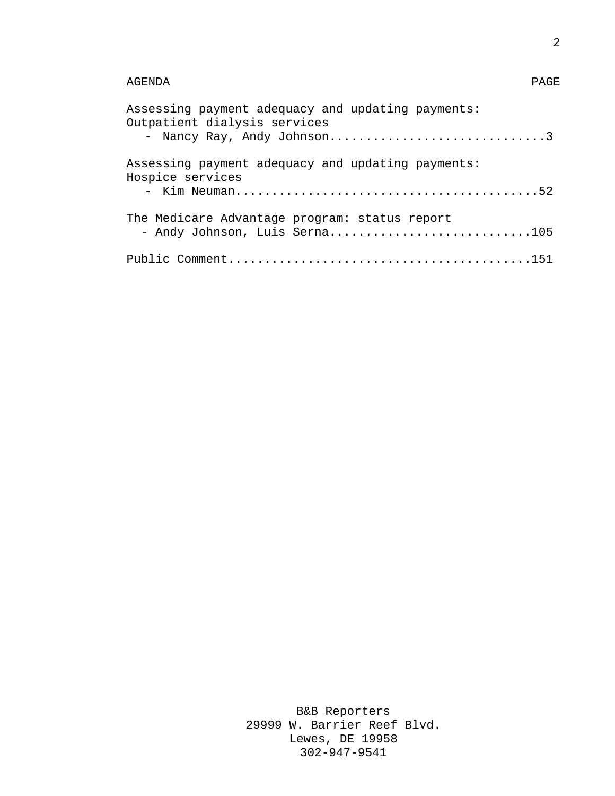## AGENDA PAGE

| Assessing payment adequacy and updating payments:<br>Outpatient dialysis services<br>- Nancy Ray, Andy Johnson3 |
|-----------------------------------------------------------------------------------------------------------------|
| Assessing payment adequacy and updating payments:<br>Hospice services                                           |
| The Medicare Advantage program: status report<br>- Andy Johnson, Luis Serna105                                  |
|                                                                                                                 |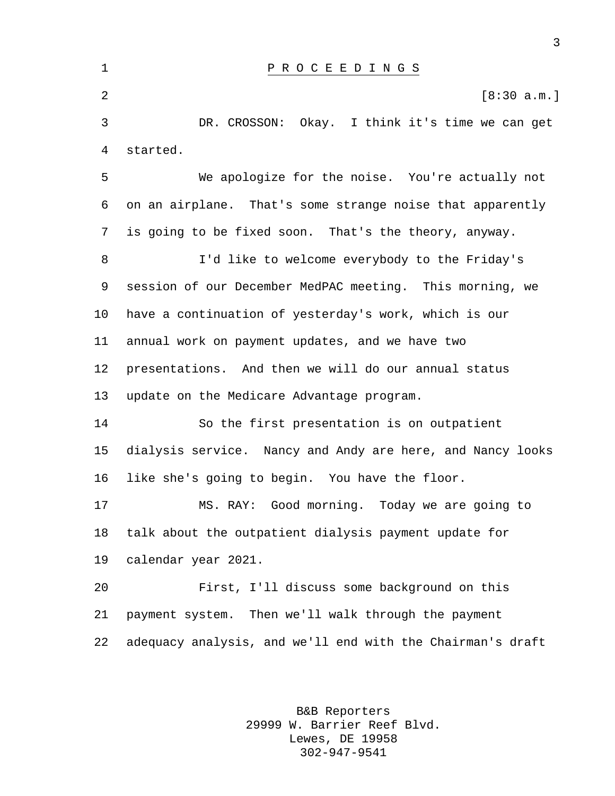P R O C E E D I N G S  $[8:30 \text{ a.m.}]$  DR. CROSSON: Okay. I think it's time we can get started. We apologize for the noise. You're actually not on an airplane. That's some strange noise that apparently is going to be fixed soon. That's the theory, anyway. I'd like to welcome everybody to the Friday's session of our December MedPAC meeting. This morning, we have a continuation of yesterday's work, which is our annual work on payment updates, and we have two presentations. And then we will do our annual status update on the Medicare Advantage program. So the first presentation is on outpatient dialysis service. Nancy and Andy are here, and Nancy looks like she's going to begin. You have the floor. MS. RAY: Good morning. Today we are going to talk about the outpatient dialysis payment update for calendar year 2021. First, I'll discuss some background on this payment system. Then we'll walk through the payment adequacy analysis, and we'll end with the Chairman's draft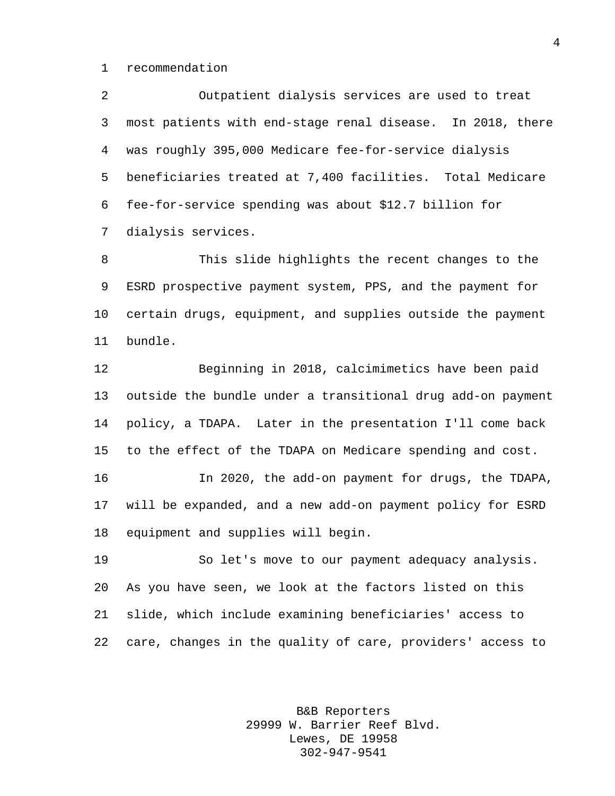recommendation

 Outpatient dialysis services are used to treat most patients with end-stage renal disease. In 2018, there was roughly 395,000 Medicare fee-for-service dialysis beneficiaries treated at 7,400 facilities. Total Medicare fee-for-service spending was about \$12.7 billion for dialysis services.

 This slide highlights the recent changes to the ESRD prospective payment system, PPS, and the payment for certain drugs, equipment, and supplies outside the payment bundle.

 Beginning in 2018, calcimimetics have been paid outside the bundle under a transitional drug add-on payment policy, a TDAPA. Later in the presentation I'll come back to the effect of the TDAPA on Medicare spending and cost.

 In 2020, the add-on payment for drugs, the TDAPA, will be expanded, and a new add-on payment policy for ESRD equipment and supplies will begin.

 So let's move to our payment adequacy analysis. As you have seen, we look at the factors listed on this slide, which include examining beneficiaries' access to care, changes in the quality of care, providers' access to

> B&B Reporters 29999 W. Barrier Reef Blvd. Lewes, DE 19958 302-947-9541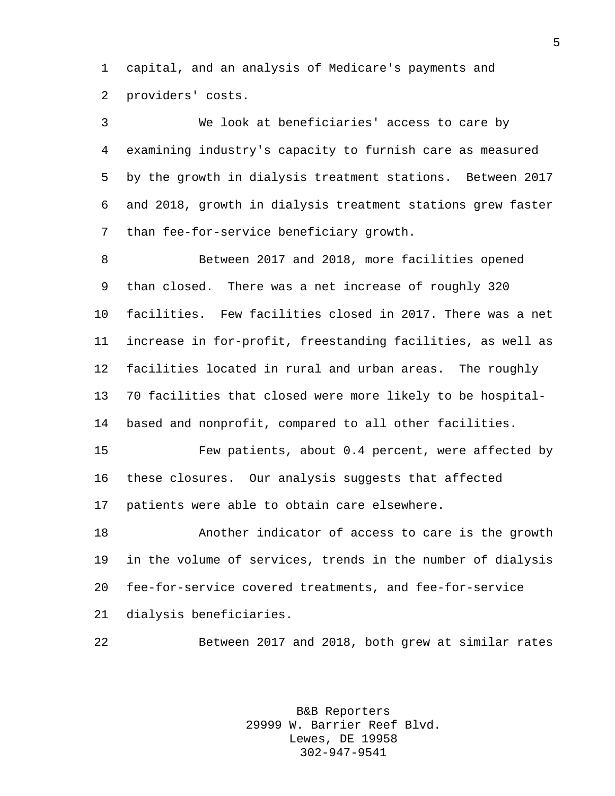capital, and an analysis of Medicare's payments and providers' costs.

 We look at beneficiaries' access to care by examining industry's capacity to furnish care as measured by the growth in dialysis treatment stations. Between 2017 and 2018, growth in dialysis treatment stations grew faster than fee-for-service beneficiary growth.

 Between 2017 and 2018, more facilities opened than closed. There was a net increase of roughly 320 facilities. Few facilities closed in 2017. There was a net increase in for-profit, freestanding facilities, as well as facilities located in rural and urban areas. The roughly 70 facilities that closed were more likely to be hospital-based and nonprofit, compared to all other facilities.

 Few patients, about 0.4 percent, were affected by these closures. Our analysis suggests that affected patients were able to obtain care elsewhere.

 Another indicator of access to care is the growth in the volume of services, trends in the number of dialysis fee-for-service covered treatments, and fee-for-service dialysis beneficiaries.

Between 2017 and 2018, both grew at similar rates

B&B Reporters 29999 W. Barrier Reef Blvd. Lewes, DE 19958 302-947-9541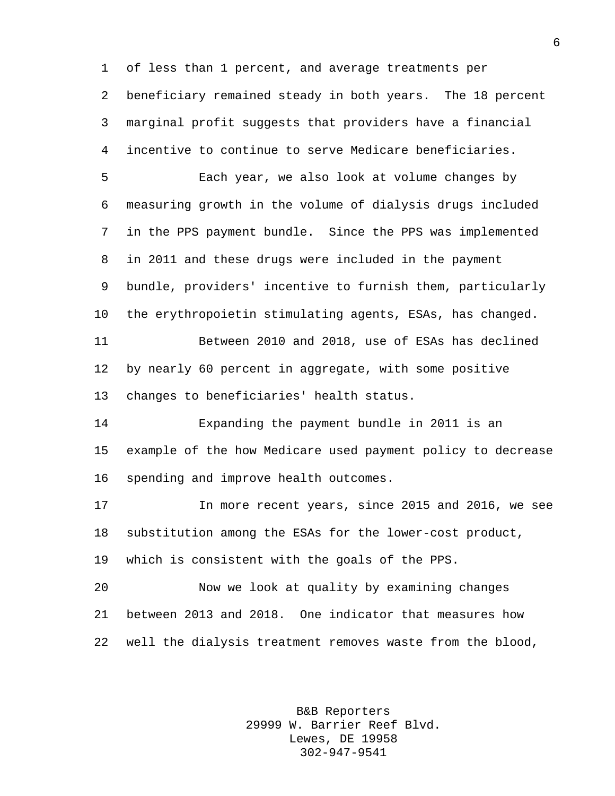of less than 1 percent, and average treatments per beneficiary remained steady in both years. The 18 percent marginal profit suggests that providers have a financial incentive to continue to serve Medicare beneficiaries.

 Each year, we also look at volume changes by measuring growth in the volume of dialysis drugs included in the PPS payment bundle. Since the PPS was implemented in 2011 and these drugs were included in the payment bundle, providers' incentive to furnish them, particularly the erythropoietin stimulating agents, ESAs, has changed. Between 2010 and 2018, use of ESAs has declined by nearly 60 percent in aggregate, with some positive changes to beneficiaries' health status.

 Expanding the payment bundle in 2011 is an example of the how Medicare used payment policy to decrease spending and improve health outcomes.

 In more recent years, since 2015 and 2016, we see substitution among the ESAs for the lower-cost product, which is consistent with the goals of the PPS.

 Now we look at quality by examining changes between 2013 and 2018. One indicator that measures how well the dialysis treatment removes waste from the blood,

> B&B Reporters 29999 W. Barrier Reef Blvd. Lewes, DE 19958 302-947-9541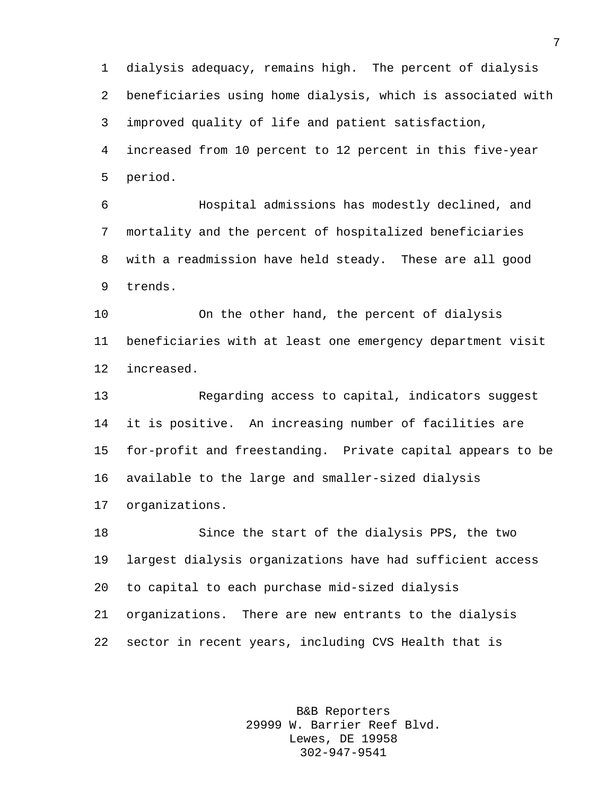dialysis adequacy, remains high. The percent of dialysis beneficiaries using home dialysis, which is associated with improved quality of life and patient satisfaction, increased from 10 percent to 12 percent in this five-year period.

 Hospital admissions has modestly declined, and mortality and the percent of hospitalized beneficiaries with a readmission have held steady. These are all good trends.

 On the other hand, the percent of dialysis beneficiaries with at least one emergency department visit increased.

 Regarding access to capital, indicators suggest it is positive. An increasing number of facilities are for-profit and freestanding. Private capital appears to be available to the large and smaller-sized dialysis organizations.

 Since the start of the dialysis PPS, the two largest dialysis organizations have had sufficient access to capital to each purchase mid-sized dialysis organizations. There are new entrants to the dialysis sector in recent years, including CVS Health that is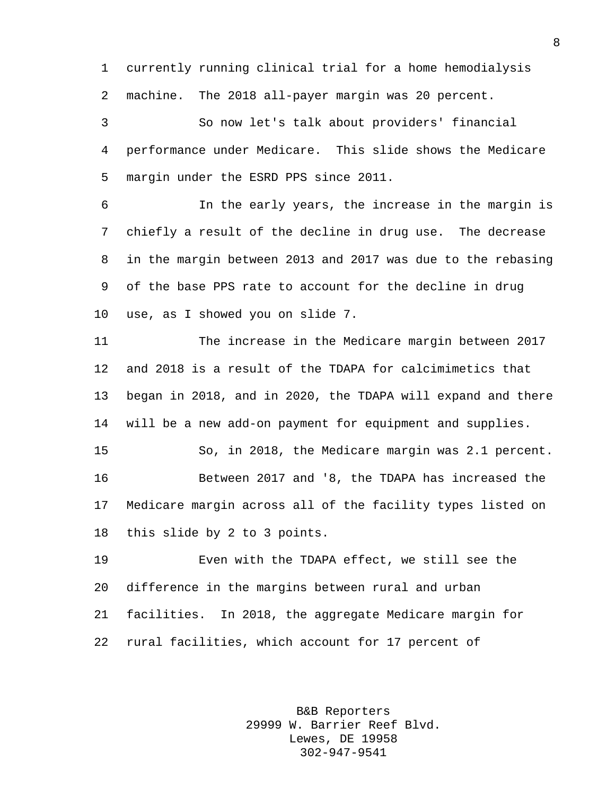currently running clinical trial for a home hemodialysis machine. The 2018 all-payer margin was 20 percent.

 So now let's talk about providers' financial performance under Medicare. This slide shows the Medicare margin under the ESRD PPS since 2011.

 In the early years, the increase in the margin is chiefly a result of the decline in drug use. The decrease in the margin between 2013 and 2017 was due to the rebasing of the base PPS rate to account for the decline in drug use, as I showed you on slide 7.

 The increase in the Medicare margin between 2017 and 2018 is a result of the TDAPA for calcimimetics that began in 2018, and in 2020, the TDAPA will expand and there will be a new add-on payment for equipment and supplies.

 So, in 2018, the Medicare margin was 2.1 percent. Between 2017 and '8, the TDAPA has increased the Medicare margin across all of the facility types listed on this slide by 2 to 3 points.

 Even with the TDAPA effect, we still see the difference in the margins between rural and urban facilities. In 2018, the aggregate Medicare margin for rural facilities, which account for 17 percent of

> B&B Reporters 29999 W. Barrier Reef Blvd. Lewes, DE 19958 302-947-9541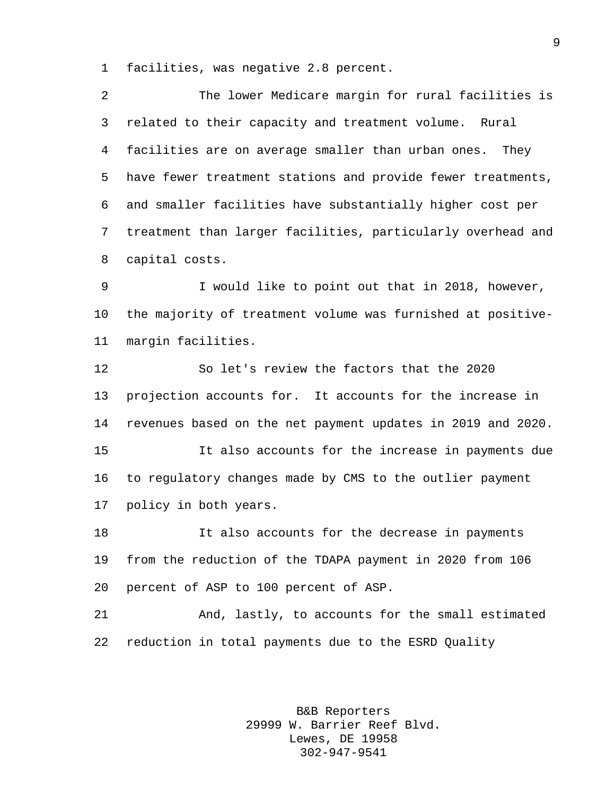facilities, was negative 2.8 percent.

| 2              | The lower Medicare margin for rural facilities is           |  |  |  |  |
|----------------|-------------------------------------------------------------|--|--|--|--|
| $\mathsf{3}$   | related to their capacity and treatment volume. Rural       |  |  |  |  |
| 4              | facilities are on average smaller than urban ones. They     |  |  |  |  |
| 5              | have fewer treatment stations and provide fewer treatments, |  |  |  |  |
| 6              | and smaller facilities have substantially higher cost per   |  |  |  |  |
| $7\phantom{.}$ | treatment than larger facilities, particularly overhead and |  |  |  |  |
| 8              | capital costs.                                              |  |  |  |  |
| 9              | I would like to point out that in 2018, however,            |  |  |  |  |
| 10             | the majority of treatment volume was furnished at positive- |  |  |  |  |
| 11             | margin facilities.                                          |  |  |  |  |

 So let's review the factors that the 2020 projection accounts for. It accounts for the increase in revenues based on the net payment updates in 2019 and 2020. It also accounts for the increase in payments due to regulatory changes made by CMS to the outlier payment policy in both years.

 It also accounts for the decrease in payments from the reduction of the TDAPA payment in 2020 from 106 percent of ASP to 100 percent of ASP.

 And, lastly, to accounts for the small estimated reduction in total payments due to the ESRD Quality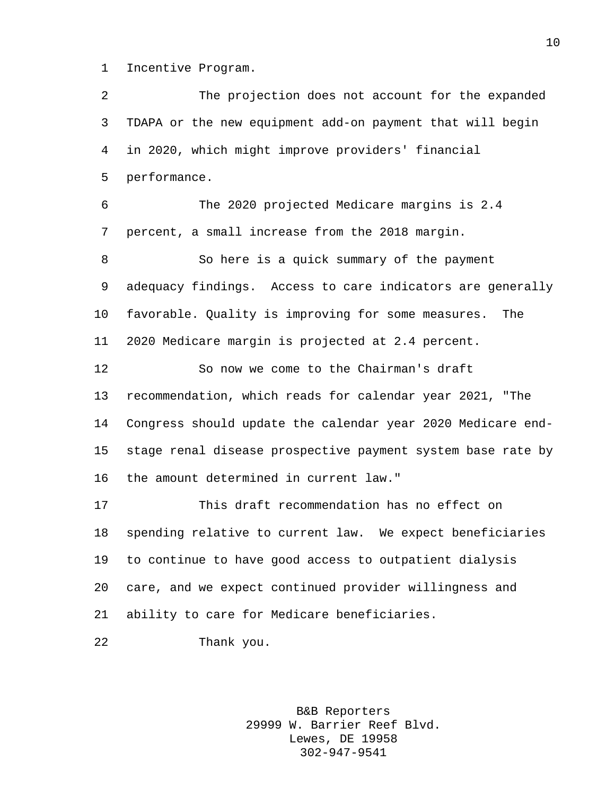Incentive Program.

 The projection does not account for the expanded TDAPA or the new equipment add-on payment that will begin in 2020, which might improve providers' financial performance. The 2020 projected Medicare margins is 2.4 percent, a small increase from the 2018 margin. So here is a quick summary of the payment adequacy findings. Access to care indicators are generally favorable. Quality is improving for some measures. The 2020 Medicare margin is projected at 2.4 percent. So now we come to the Chairman's draft recommendation, which reads for calendar year 2021, "The Congress should update the calendar year 2020 Medicare end- stage renal disease prospective payment system base rate by the amount determined in current law." This draft recommendation has no effect on spending relative to current law. We expect beneficiaries to continue to have good access to outpatient dialysis care, and we expect continued provider willingness and ability to care for Medicare beneficiaries. Thank you.

> B&B Reporters 29999 W. Barrier Reef Blvd. Lewes, DE 19958 302-947-9541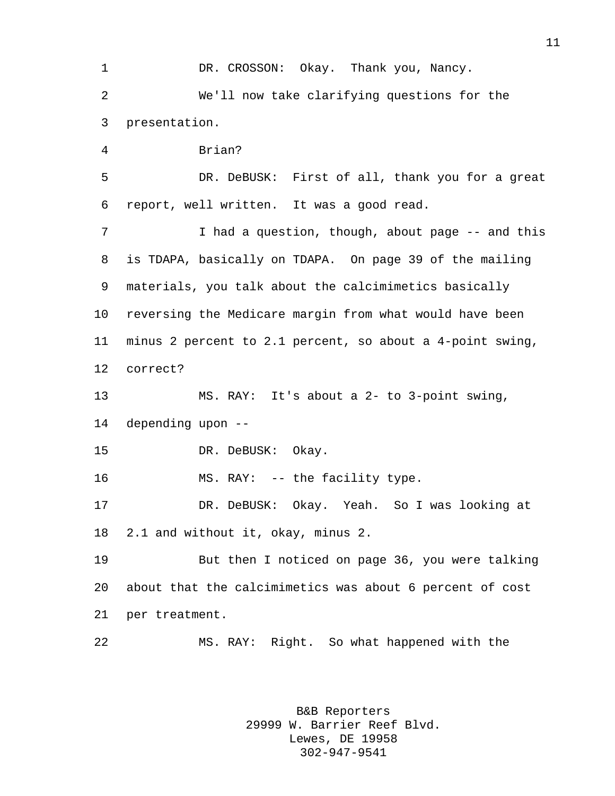1 DR. CROSSON: Okay. Thank you, Nancy. We'll now take clarifying questions for the presentation. Brian? DR. DeBUSK: First of all, thank you for a great report, well written. It was a good read. 7 I had a question, though, about page -- and this is TDAPA, basically on TDAPA. On page 39 of the mailing materials, you talk about the calcimimetics basically reversing the Medicare margin from what would have been minus 2 percent to 2.1 percent, so about a 4-point swing, correct? MS. RAY: It's about a 2- to 3-point swing, depending upon -- 15 DR. DeBUSK: Okay. 16 MS. RAY: -- the facility type. DR. DeBUSK: Okay. Yeah. So I was looking at 2.1 and without it, okay, minus 2. But then I noticed on page 36, you were talking about that the calcimimetics was about 6 percent of cost per treatment. MS. RAY: Right. So what happened with the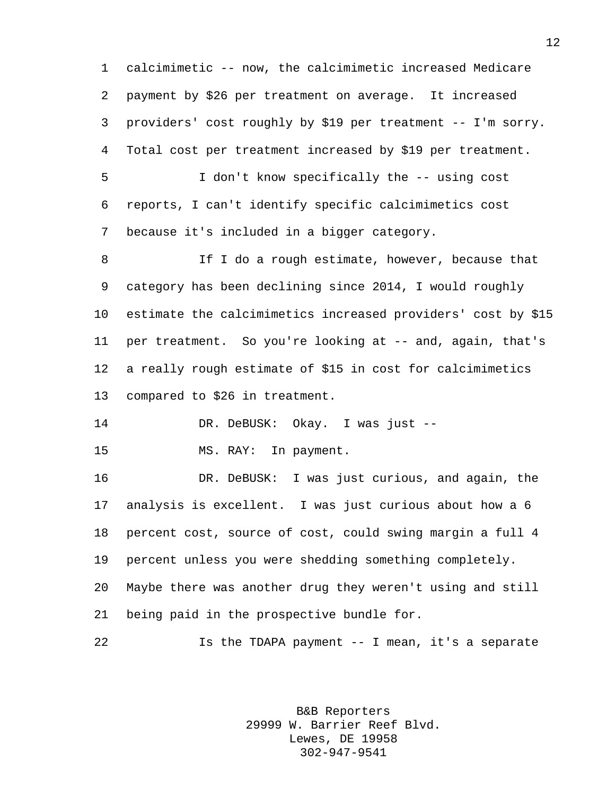calcimimetic -- now, the calcimimetic increased Medicare payment by \$26 per treatment on average. It increased providers' cost roughly by \$19 per treatment -- I'm sorry. Total cost per treatment increased by \$19 per treatment. I don't know specifically the -- using cost reports, I can't identify specific calcimimetics cost because it's included in a bigger category. 8 If I do a rough estimate, however, because that category has been declining since 2014, I would roughly estimate the calcimimetics increased providers' cost by \$15 per treatment. So you're looking at -- and, again, that's a really rough estimate of \$15 in cost for calcimimetics compared to \$26 in treatment. DR. DeBUSK: Okay. I was just -- MS. RAY: In payment. DR. DeBUSK: I was just curious, and again, the analysis is excellent. I was just curious about how a 6 percent cost, source of cost, could swing margin a full 4 percent unless you were shedding something completely. Maybe there was another drug they weren't using and still being paid in the prospective bundle for. Is the TDAPA payment -- I mean, it's a separate

> B&B Reporters 29999 W. Barrier Reef Blvd. Lewes, DE 19958 302-947-9541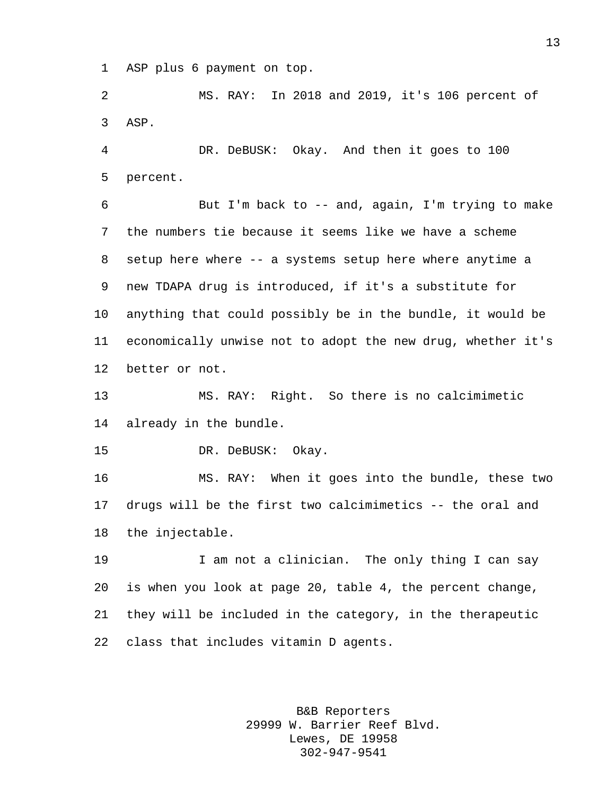ASP plus 6 payment on top.

 MS. RAY: In 2018 and 2019, it's 106 percent of ASP.

 DR. DeBUSK: Okay. And then it goes to 100 percent.

 But I'm back to -- and, again, I'm trying to make the numbers tie because it seems like we have a scheme setup here where -- a systems setup here where anytime a new TDAPA drug is introduced, if it's a substitute for anything that could possibly be in the bundle, it would be economically unwise not to adopt the new drug, whether it's better or not.

 MS. RAY: Right. So there is no calcimimetic already in the bundle.

15 DR. DeBUSK: Okay.

 MS. RAY: When it goes into the bundle, these two drugs will be the first two calcimimetics -- the oral and the injectable.

 I am not a clinician. The only thing I can say is when you look at page 20, table 4, the percent change, they will be included in the category, in the therapeutic class that includes vitamin D agents.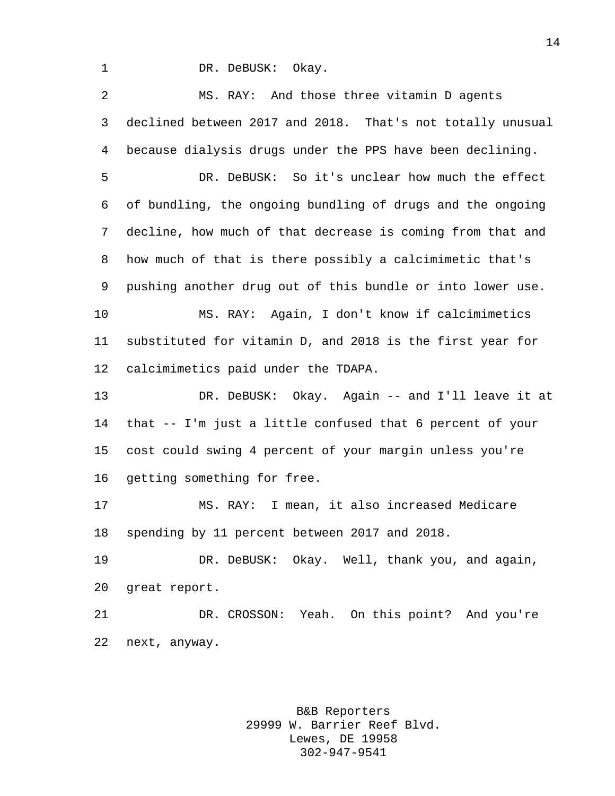1 DR. DeBUSK: Okay.

 MS. RAY: And those three vitamin D agents declined between 2017 and 2018. That's not totally unusual because dialysis drugs under the PPS have been declining.

 DR. DeBUSK: So it's unclear how much the effect of bundling, the ongoing bundling of drugs and the ongoing decline, how much of that decrease is coming from that and how much of that is there possibly a calcimimetic that's pushing another drug out of this bundle or into lower use. MS. RAY: Again, I don't know if calcimimetics substituted for vitamin D, and 2018 is the first year for calcimimetics paid under the TDAPA.

 DR. DeBUSK: Okay. Again -- and I'll leave it at that -- I'm just a little confused that 6 percent of your cost could swing 4 percent of your margin unless you're getting something for free.

 MS. RAY: I mean, it also increased Medicare spending by 11 percent between 2017 and 2018.

 DR. DeBUSK: Okay. Well, thank you, and again, great report.

 DR. CROSSON: Yeah. On this point? And you're next, anyway.

> B&B Reporters 29999 W. Barrier Reef Blvd. Lewes, DE 19958 302-947-9541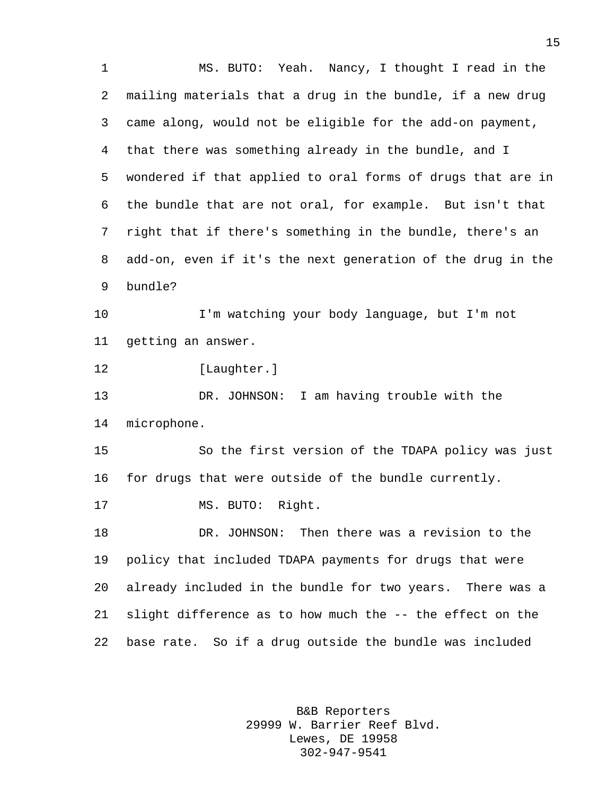MS. BUTO: Yeah. Nancy, I thought I read in the mailing materials that a drug in the bundle, if a new drug came along, would not be eligible for the add-on payment, that there was something already in the bundle, and I wondered if that applied to oral forms of drugs that are in the bundle that are not oral, for example. But isn't that right that if there's something in the bundle, there's an add-on, even if it's the next generation of the drug in the bundle? I'm watching your body language, but I'm not getting an answer. [Laughter.] DR. JOHNSON: I am having trouble with the microphone. So the first version of the TDAPA policy was just for drugs that were outside of the bundle currently. MS. BUTO: Right. DR. JOHNSON: Then there was a revision to the policy that included TDAPA payments for drugs that were already included in the bundle for two years. There was a slight difference as to how much the -- the effect on the base rate. So if a drug outside the bundle was included

> B&B Reporters 29999 W. Barrier Reef Blvd. Lewes, DE 19958 302-947-9541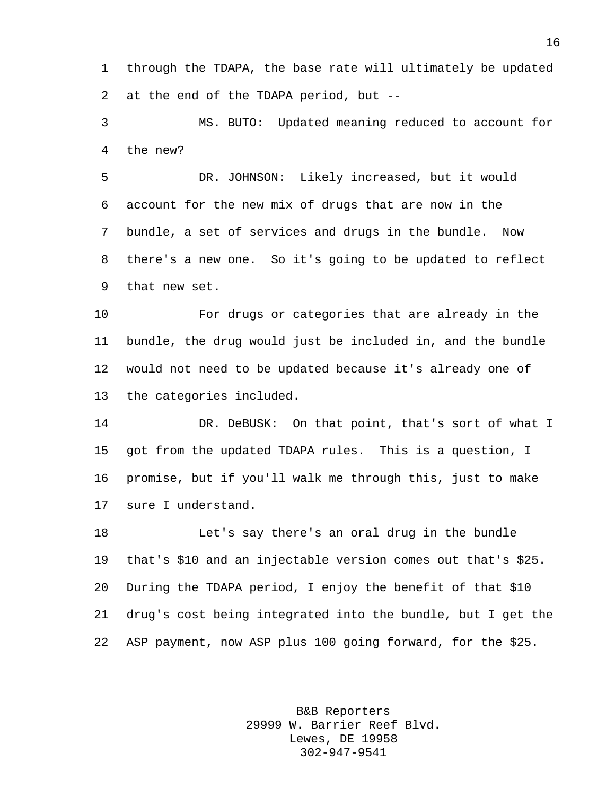through the TDAPA, the base rate will ultimately be updated at the end of the TDAPA period, but --

 MS. BUTO: Updated meaning reduced to account for the new?

 DR. JOHNSON: Likely increased, but it would account for the new mix of drugs that are now in the bundle, a set of services and drugs in the bundle. Now there's a new one. So it's going to be updated to reflect that new set.

 For drugs or categories that are already in the bundle, the drug would just be included in, and the bundle would not need to be updated because it's already one of the categories included.

 DR. DeBUSK: On that point, that's sort of what I got from the updated TDAPA rules. This is a question, I promise, but if you'll walk me through this, just to make sure I understand.

 Let's say there's an oral drug in the bundle that's \$10 and an injectable version comes out that's \$25. During the TDAPA period, I enjoy the benefit of that \$10 drug's cost being integrated into the bundle, but I get the ASP payment, now ASP plus 100 going forward, for the \$25.

> B&B Reporters 29999 W. Barrier Reef Blvd. Lewes, DE 19958 302-947-9541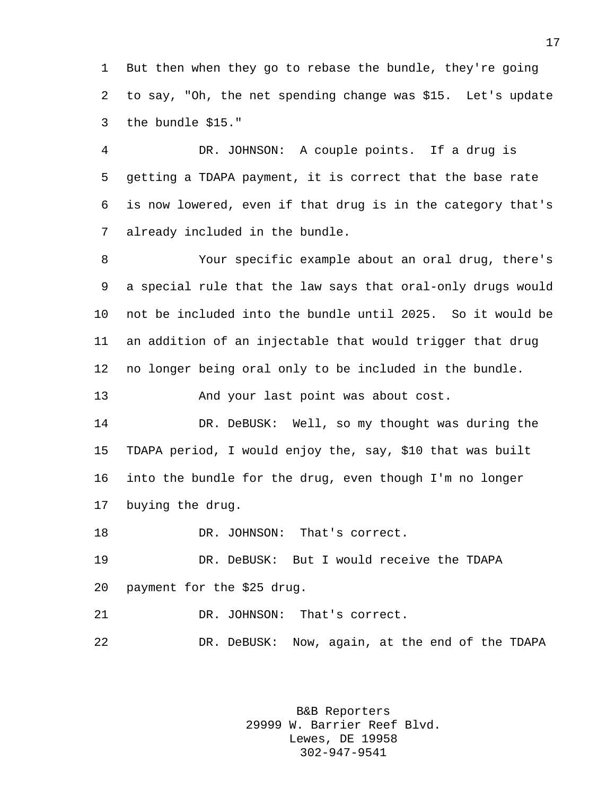But then when they go to rebase the bundle, they're going to say, "Oh, the net spending change was \$15. Let's update the bundle \$15."

 DR. JOHNSON: A couple points. If a drug is getting a TDAPA payment, it is correct that the base rate is now lowered, even if that drug is in the category that's already included in the bundle.

 Your specific example about an oral drug, there's a special rule that the law says that oral-only drugs would not be included into the bundle until 2025. So it would be an addition of an injectable that would trigger that drug no longer being oral only to be included in the bundle.

And your last point was about cost.

 DR. DeBUSK: Well, so my thought was during the TDAPA period, I would enjoy the, say, \$10 that was built into the bundle for the drug, even though I'm no longer buying the drug.

DR. JOHNSON: That's correct.

 DR. DeBUSK: But I would receive the TDAPA payment for the \$25 drug.

DR. JOHNSON: That's correct.

DR. DeBUSK: Now, again, at the end of the TDAPA

B&B Reporters 29999 W. Barrier Reef Blvd. Lewes, DE 19958 302-947-9541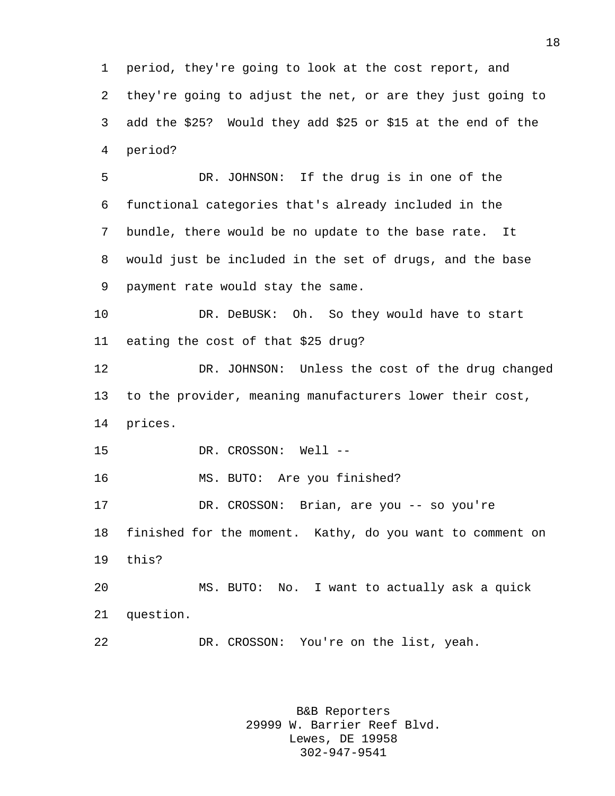period, they're going to look at the cost report, and they're going to adjust the net, or are they just going to add the \$25? Would they add \$25 or \$15 at the end of the period?

 DR. JOHNSON: If the drug is in one of the functional categories that's already included in the bundle, there would be no update to the base rate. It would just be included in the set of drugs, and the base payment rate would stay the same.

 DR. DeBUSK: Oh. So they would have to start eating the cost of that \$25 drug?

 DR. JOHNSON: Unless the cost of the drug changed to the provider, meaning manufacturers lower their cost, prices.

DR. CROSSON: Well --

MS. BUTO: Are you finished?

 DR. CROSSON: Brian, are you -- so you're finished for the moment. Kathy, do you want to comment on this?

 MS. BUTO: No. I want to actually ask a quick question.

DR. CROSSON: You're on the list, yeah.

B&B Reporters 29999 W. Barrier Reef Blvd. Lewes, DE 19958 302-947-9541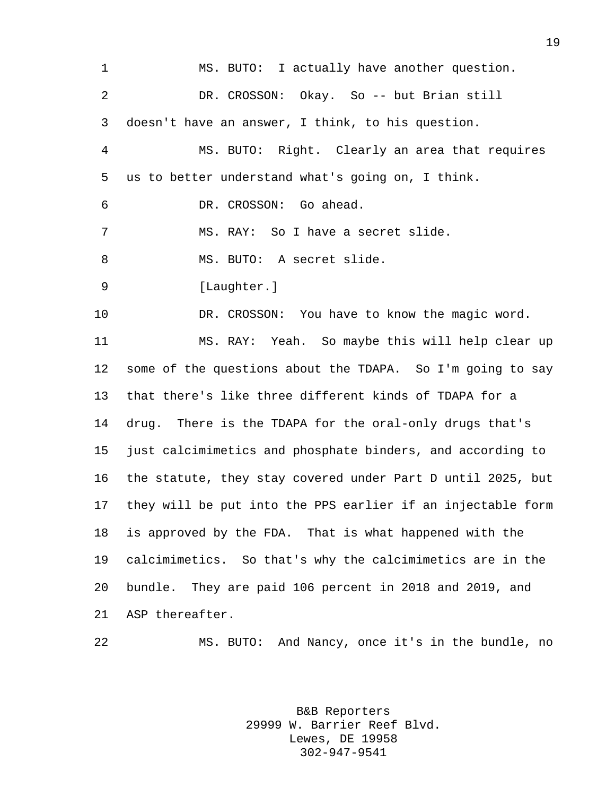MS. BUTO: I actually have another question. DR. CROSSON: Okay. So -- but Brian still doesn't have an answer, I think, to his question. MS. BUTO: Right. Clearly an area that requires us to better understand what's going on, I think. DR. CROSSON: Go ahead. MS. RAY: So I have a secret slide. 8 MS. BUTO: A secret slide. 9 [Laughter.] DR. CROSSON: You have to know the magic word. MS. RAY: Yeah. So maybe this will help clear up some of the questions about the TDAPA. So I'm going to say that there's like three different kinds of TDAPA for a drug. There is the TDAPA for the oral-only drugs that's just calcimimetics and phosphate binders, and according to the statute, they stay covered under Part D until 2025, but they will be put into the PPS earlier if an injectable form is approved by the FDA. That is what happened with the calcimimetics. So that's why the calcimimetics are in the bundle. They are paid 106 percent in 2018 and 2019, and ASP thereafter. MS. BUTO: And Nancy, once it's in the bundle, no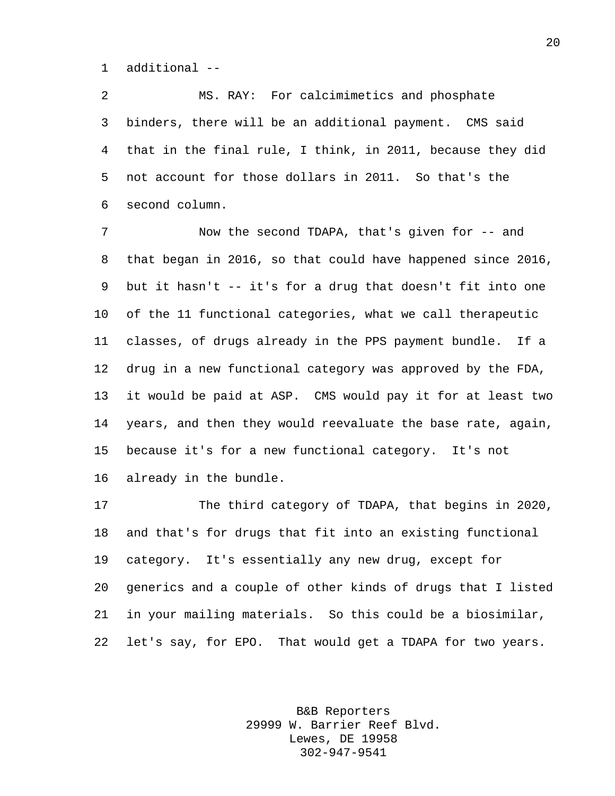additional --

 MS. RAY: For calcimimetics and phosphate binders, there will be an additional payment. CMS said that in the final rule, I think, in 2011, because they did not account for those dollars in 2011. So that's the second column.

 Now the second TDAPA, that's given for -- and that began in 2016, so that could have happened since 2016, but it hasn't -- it's for a drug that doesn't fit into one of the 11 functional categories, what we call therapeutic classes, of drugs already in the PPS payment bundle. If a drug in a new functional category was approved by the FDA, it would be paid at ASP. CMS would pay it for at least two years, and then they would reevaluate the base rate, again, because it's for a new functional category. It's not already in the bundle.

 The third category of TDAPA, that begins in 2020, and that's for drugs that fit into an existing functional category. It's essentially any new drug, except for generics and a couple of other kinds of drugs that I listed in your mailing materials. So this could be a biosimilar, let's say, for EPO. That would get a TDAPA for two years.

> B&B Reporters 29999 W. Barrier Reef Blvd. Lewes, DE 19958 302-947-9541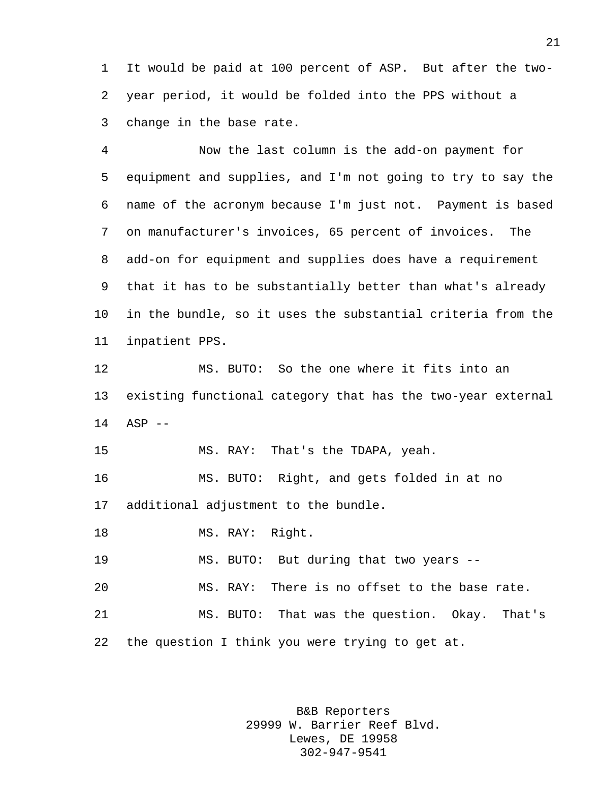It would be paid at 100 percent of ASP. But after the two- year period, it would be folded into the PPS without a change in the base rate.

 Now the last column is the add-on payment for equipment and supplies, and I'm not going to try to say the name of the acronym because I'm just not. Payment is based on manufacturer's invoices, 65 percent of invoices. The add-on for equipment and supplies does have a requirement that it has to be substantially better than what's already in the bundle, so it uses the substantial criteria from the inpatient PPS.

 MS. BUTO: So the one where it fits into an existing functional category that has the two-year external ASP --

MS. RAY: That's the TDAPA, yeah.

 MS. BUTO: Right, and gets folded in at no additional adjustment to the bundle.

18 MS. RAY: Right.

MS. BUTO: But during that two years --

MS. RAY: There is no offset to the base rate.

 MS. BUTO: That was the question. Okay. That's the question I think you were trying to get at.

> B&B Reporters 29999 W. Barrier Reef Blvd. Lewes, DE 19958 302-947-9541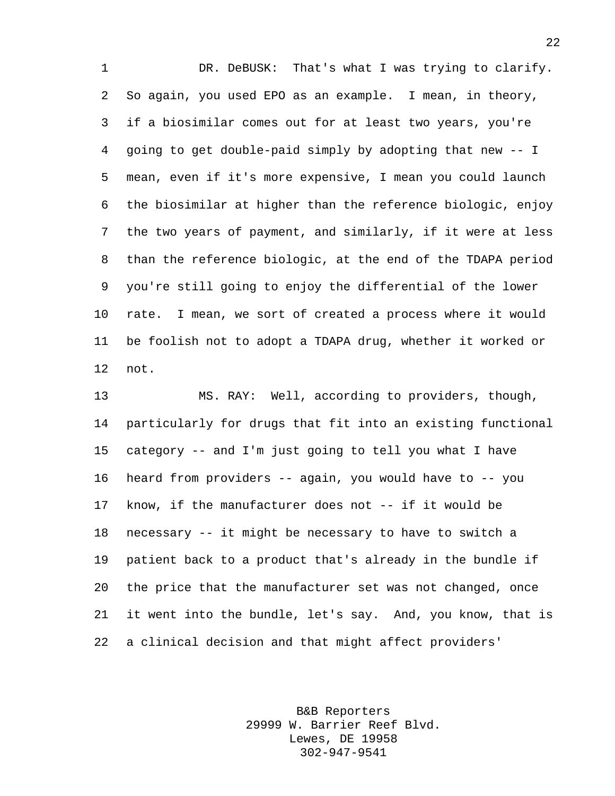1 DR. DeBUSK: That's what I was trying to clarify. So again, you used EPO as an example. I mean, in theory, if a biosimilar comes out for at least two years, you're going to get double-paid simply by adopting that new -- I mean, even if it's more expensive, I mean you could launch the biosimilar at higher than the reference biologic, enjoy the two years of payment, and similarly, if it were at less than the reference biologic, at the end of the TDAPA period you're still going to enjoy the differential of the lower rate. I mean, we sort of created a process where it would be foolish not to adopt a TDAPA drug, whether it worked or not.

 MS. RAY: Well, according to providers, though, particularly for drugs that fit into an existing functional category -- and I'm just going to tell you what I have heard from providers -- again, you would have to -- you know, if the manufacturer does not -- if it would be necessary -- it might be necessary to have to switch a patient back to a product that's already in the bundle if the price that the manufacturer set was not changed, once it went into the bundle, let's say. And, you know, that is a clinical decision and that might affect providers'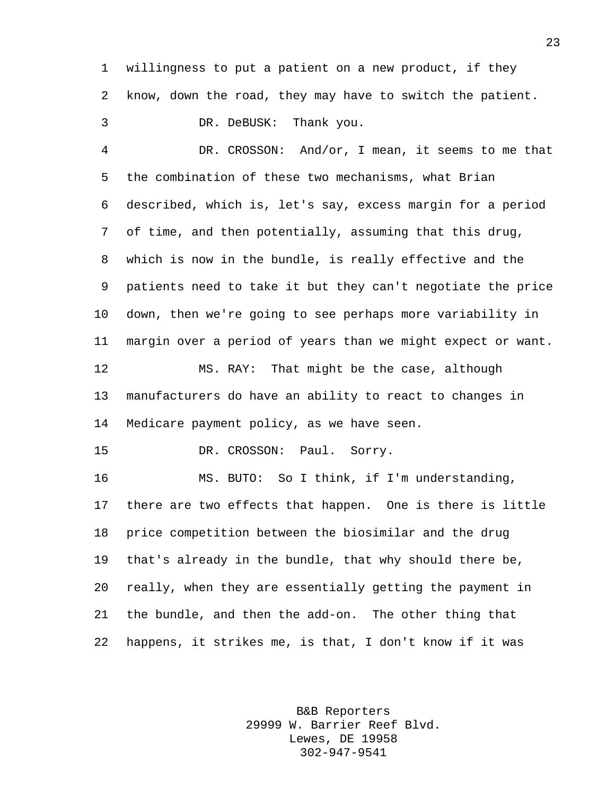willingness to put a patient on a new product, if they know, down the road, they may have to switch the patient.

DR. DeBUSK: Thank you.

 DR. CROSSON: And/or, I mean, it seems to me that the combination of these two mechanisms, what Brian described, which is, let's say, excess margin for a period of time, and then potentially, assuming that this drug, which is now in the bundle, is really effective and the patients need to take it but they can't negotiate the price down, then we're going to see perhaps more variability in margin over a period of years than we might expect or want. MS. RAY: That might be the case, although manufacturers do have an ability to react to changes in Medicare payment policy, as we have seen. 15 DR. CROSSON: Paul. Sorry.

 MS. BUTO: So I think, if I'm understanding, there are two effects that happen. One is there is little price competition between the biosimilar and the drug that's already in the bundle, that why should there be, really, when they are essentially getting the payment in the bundle, and then the add-on. The other thing that happens, it strikes me, is that, I don't know if it was

> B&B Reporters 29999 W. Barrier Reef Blvd. Lewes, DE 19958 302-947-9541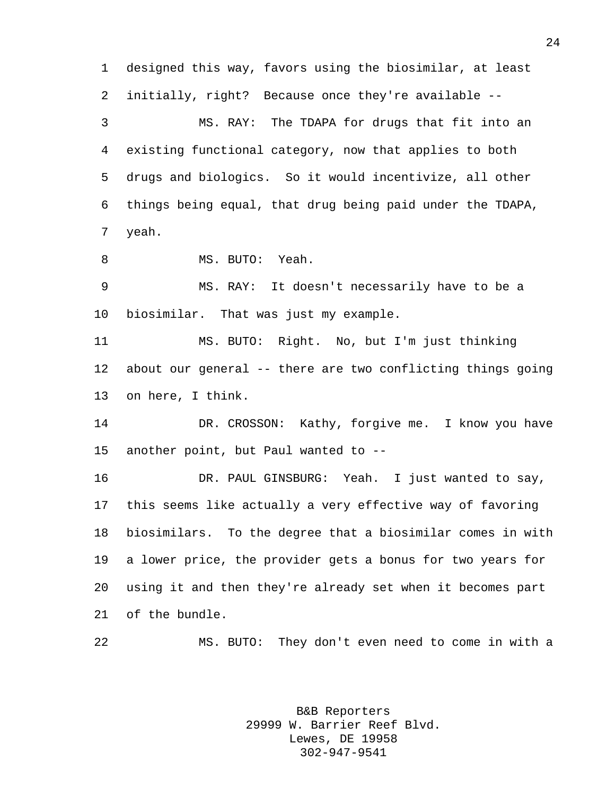designed this way, favors using the biosimilar, at least initially, right? Because once they're available -- MS. RAY: The TDAPA for drugs that fit into an existing functional category, now that applies to both drugs and biologics. So it would incentivize, all other things being equal, that drug being paid under the TDAPA, yeah. MS. BUTO: Yeah. MS. RAY: It doesn't necessarily have to be a biosimilar. That was just my example. MS. BUTO: Right. No, but I'm just thinking about our general -- there are two conflicting things going on here, I think.

14 DR. CROSSON: Kathy, forgive me. I know you have another point, but Paul wanted to --

 DR. PAUL GINSBURG: Yeah. I just wanted to say, this seems like actually a very effective way of favoring biosimilars. To the degree that a biosimilar comes in with a lower price, the provider gets a bonus for two years for using it and then they're already set when it becomes part of the bundle.

MS. BUTO: They don't even need to come in with a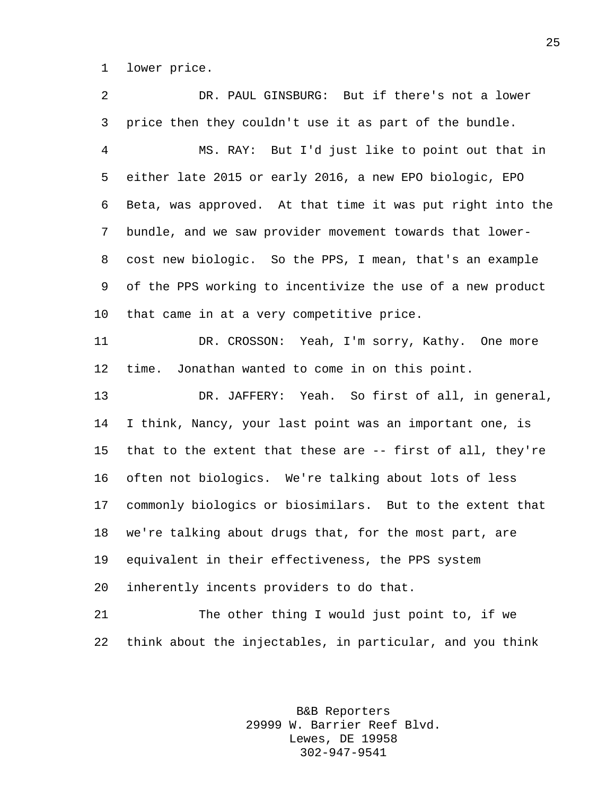lower price.

 DR. PAUL GINSBURG: But if there's not a lower price then they couldn't use it as part of the bundle. MS. RAY: But I'd just like to point out that in either late 2015 or early 2016, a new EPO biologic, EPO Beta, was approved. At that time it was put right into the bundle, and we saw provider movement towards that lower- cost new biologic. So the PPS, I mean, that's an example of the PPS working to incentivize the use of a new product that came in at a very competitive price. DR. CROSSON: Yeah, I'm sorry, Kathy. One more time. Jonathan wanted to come in on this point. DR. JAFFERY: Yeah. So first of all, in general, I think, Nancy, your last point was an important one, is that to the extent that these are -- first of all, they're often not biologics. We're talking about lots of less commonly biologics or biosimilars. But to the extent that we're talking about drugs that, for the most part, are equivalent in their effectiveness, the PPS system inherently incents providers to do that. The other thing I would just point to, if we

> B&B Reporters 29999 W. Barrier Reef Blvd. Lewes, DE 19958 302-947-9541

think about the injectables, in particular, and you think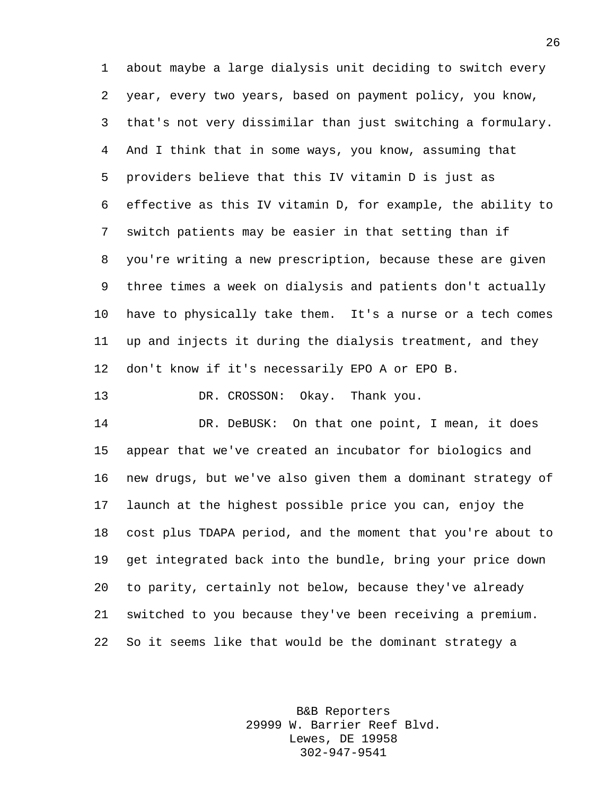about maybe a large dialysis unit deciding to switch every year, every two years, based on payment policy, you know, that's not very dissimilar than just switching a formulary. And I think that in some ways, you know, assuming that providers believe that this IV vitamin D is just as effective as this IV vitamin D, for example, the ability to switch patients may be easier in that setting than if you're writing a new prescription, because these are given three times a week on dialysis and patients don't actually have to physically take them. It's a nurse or a tech comes up and injects it during the dialysis treatment, and they don't know if it's necessarily EPO A or EPO B.

DR. CROSSON: Okay. Thank you.

 DR. DeBUSK: On that one point, I mean, it does appear that we've created an incubator for biologics and new drugs, but we've also given them a dominant strategy of launch at the highest possible price you can, enjoy the cost plus TDAPA period, and the moment that you're about to get integrated back into the bundle, bring your price down to parity, certainly not below, because they've already switched to you because they've been receiving a premium. So it seems like that would be the dominant strategy a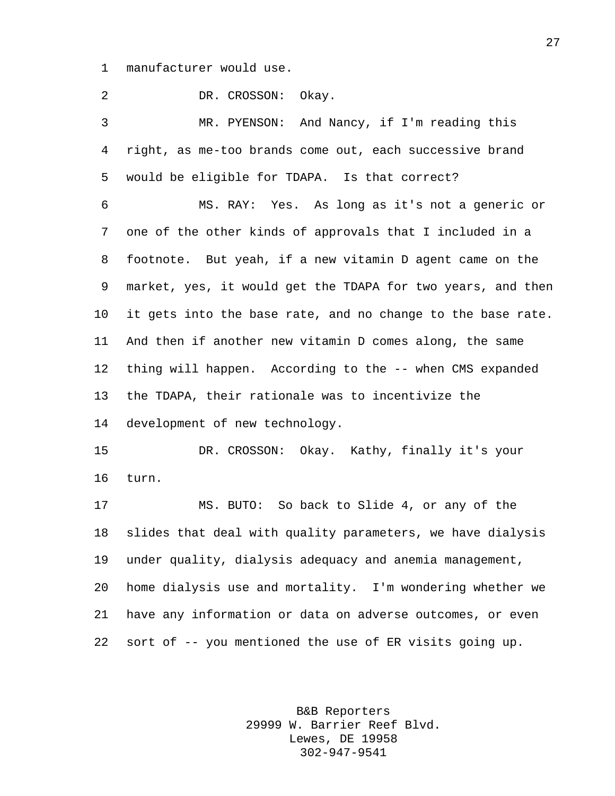manufacturer would use.

 DR. CROSSON: Okay. MR. PYENSON: And Nancy, if I'm reading this right, as me-too brands come out, each successive brand would be eligible for TDAPA. Is that correct? MS. RAY: Yes. As long as it's not a generic or one of the other kinds of approvals that I included in a footnote. But yeah, if a new vitamin D agent came on the market, yes, it would get the TDAPA for two years, and then it gets into the base rate, and no change to the base rate. And then if another new vitamin D comes along, the same thing will happen. According to the -- when CMS expanded the TDAPA, their rationale was to incentivize the development of new technology. DR. CROSSON: Okay. Kathy, finally it's your turn. MS. BUTO: So back to Slide 4, or any of the slides that deal with quality parameters, we have dialysis under quality, dialysis adequacy and anemia management, home dialysis use and mortality. I'm wondering whether we have any information or data on adverse outcomes, or even sort of -- you mentioned the use of ER visits going up.

> B&B Reporters 29999 W. Barrier Reef Blvd. Lewes, DE 19958 302-947-9541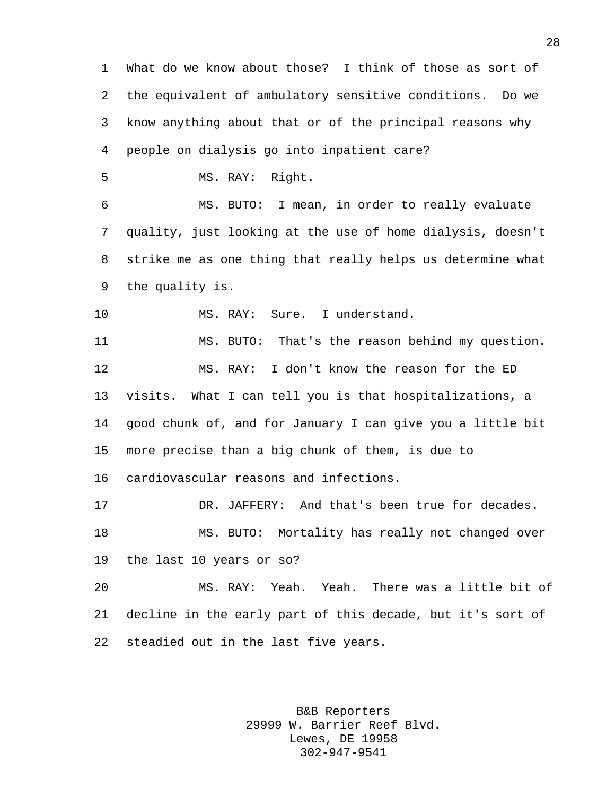What do we know about those? I think of those as sort of the equivalent of ambulatory sensitive conditions. Do we know anything about that or of the principal reasons why people on dialysis go into inpatient care? MS. RAY: Right. MS. BUTO: I mean, in order to really evaluate quality, just looking at the use of home dialysis, doesn't strike me as one thing that really helps us determine what the quality is. 10 MS. RAY: Sure. I understand. MS. BUTO: That's the reason behind my question. MS. RAY: I don't know the reason for the ED visits. What I can tell you is that hospitalizations, a good chunk of, and for January I can give you a little bit more precise than a big chunk of them, is due to cardiovascular reasons and infections. DR. JAFFERY: And that's been true for decades. MS. BUTO: Mortality has really not changed over the last 10 years or so? MS. RAY: Yeah. Yeah. There was a little bit of decline in the early part of this decade, but it's sort of steadied out in the last five years.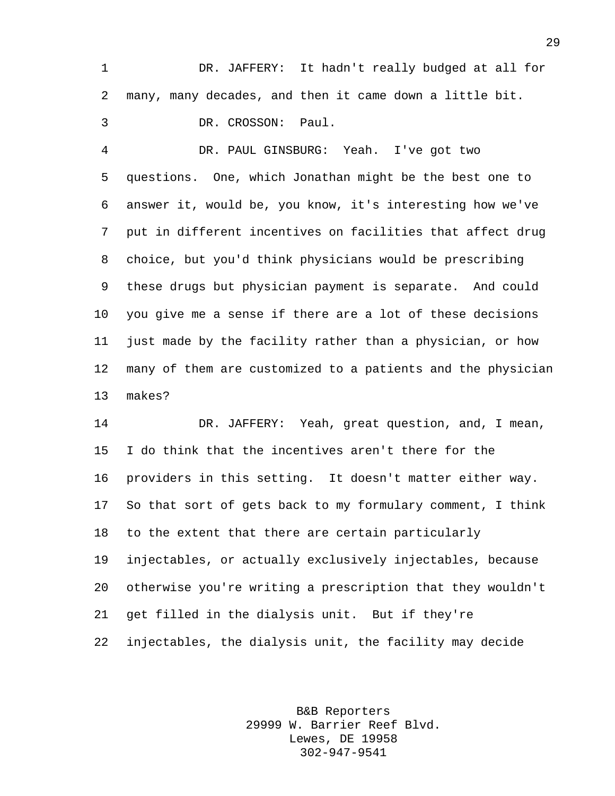DR. JAFFERY: It hadn't really budged at all for many, many decades, and then it came down a little bit. DR. CROSSON: Paul.

 DR. PAUL GINSBURG: Yeah. I've got two questions. One, which Jonathan might be the best one to answer it, would be, you know, it's interesting how we've put in different incentives on facilities that affect drug choice, but you'd think physicians would be prescribing these drugs but physician payment is separate. And could you give me a sense if there are a lot of these decisions just made by the facility rather than a physician, or how many of them are customized to a patients and the physician makes?

 DR. JAFFERY: Yeah, great question, and, I mean, I do think that the incentives aren't there for the providers in this setting. It doesn't matter either way. So that sort of gets back to my formulary comment, I think to the extent that there are certain particularly injectables, or actually exclusively injectables, because otherwise you're writing a prescription that they wouldn't get filled in the dialysis unit. But if they're injectables, the dialysis unit, the facility may decide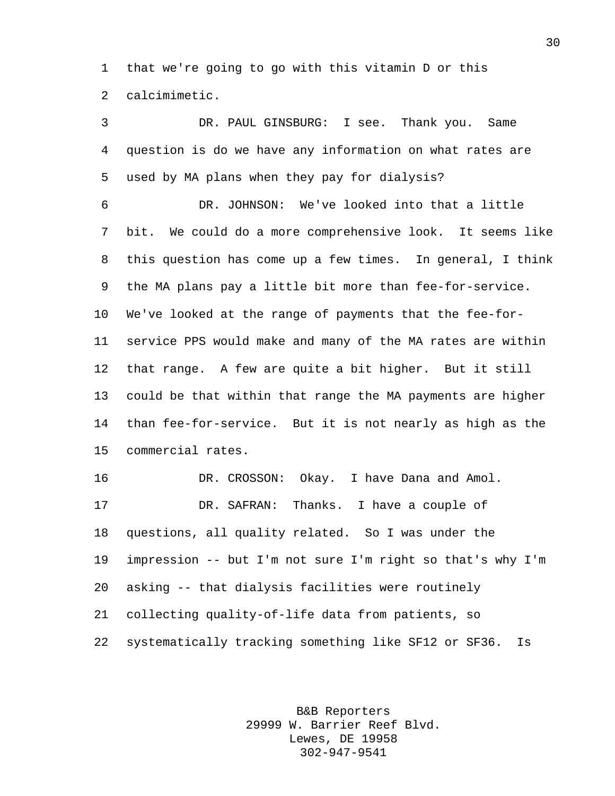that we're going to go with this vitamin D or this calcimimetic.

 DR. PAUL GINSBURG: I see. Thank you. Same question is do we have any information on what rates are used by MA plans when they pay for dialysis? DR. JOHNSON: We've looked into that a little bit. We could do a more comprehensive look. It seems like this question has come up a few times. In general, I think the MA plans pay a little bit more than fee-for-service. We've looked at the range of payments that the fee-for- service PPS would make and many of the MA rates are within that range. A few are quite a bit higher. But it still could be that within that range the MA payments are higher than fee-for-service. But it is not nearly as high as the commercial rates. DR. CROSSON: Okay. I have Dana and Amol. DR. SAFRAN: Thanks. I have a couple of questions, all quality related. So I was under the impression -- but I'm not sure I'm right so that's why I'm asking -- that dialysis facilities were routinely collecting quality-of-life data from patients, so

systematically tracking something like SF12 or SF36. Is

B&B Reporters 29999 W. Barrier Reef Blvd. Lewes, DE 19958 302-947-9541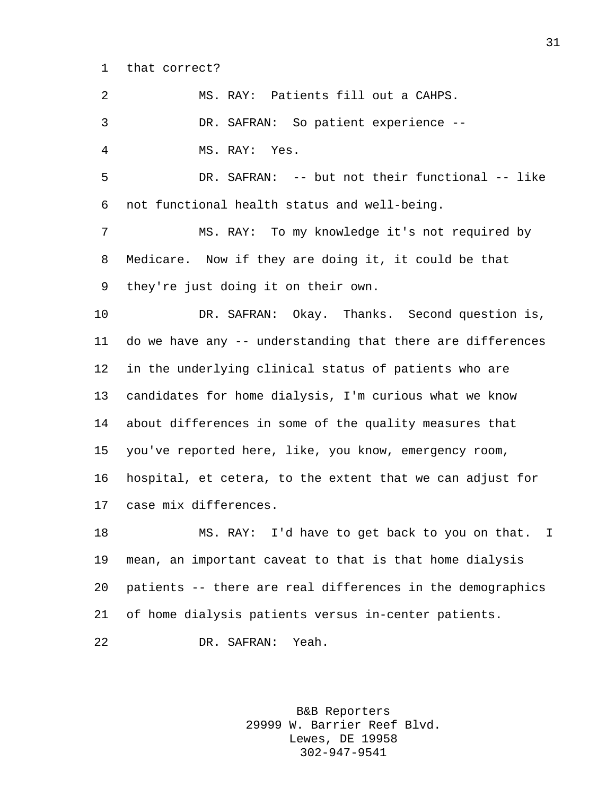that correct?

 MS. RAY: Patients fill out a CAHPS. DR. SAFRAN: So patient experience -- MS. RAY: Yes. DR. SAFRAN: -- but not their functional -- like not functional health status and well-being. MS. RAY: To my knowledge it's not required by Medicare. Now if they are doing it, it could be that they're just doing it on their own. DR. SAFRAN: Okay. Thanks. Second question is, do we have any -- understanding that there are differences in the underlying clinical status of patients who are candidates for home dialysis, I'm curious what we know about differences in some of the quality measures that you've reported here, like, you know, emergency room, hospital, et cetera, to the extent that we can adjust for case mix differences. MS. RAY: I'd have to get back to you on that. I mean, an important caveat to that is that home dialysis patients -- there are real differences in the demographics of home dialysis patients versus in-center patients.

DR. SAFRAN: Yeah.

B&B Reporters 29999 W. Barrier Reef Blvd. Lewes, DE 19958 302-947-9541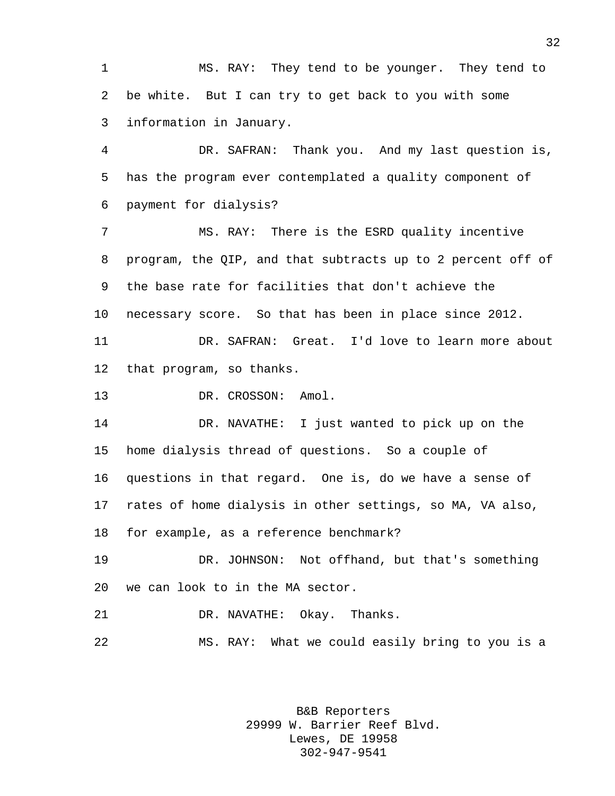MS. RAY: They tend to be younger. They tend to be white. But I can try to get back to you with some information in January.

 DR. SAFRAN: Thank you. And my last question is, has the program ever contemplated a quality component of payment for dialysis?

 MS. RAY: There is the ESRD quality incentive program, the QIP, and that subtracts up to 2 percent off of the base rate for facilities that don't achieve the necessary score. So that has been in place since 2012. DR. SAFRAN: Great. I'd love to learn more about

that program, so thanks.

13 DR. CROSSON: Amol.

 DR. NAVATHE: I just wanted to pick up on the home dialysis thread of questions. So a couple of questions in that regard. One is, do we have a sense of rates of home dialysis in other settings, so MA, VA also, for example, as a reference benchmark?

 DR. JOHNSON: Not offhand, but that's something we can look to in the MA sector.

DR. NAVATHE: Okay. Thanks.

MS. RAY: What we could easily bring to you is a

B&B Reporters 29999 W. Barrier Reef Blvd. Lewes, DE 19958 302-947-9541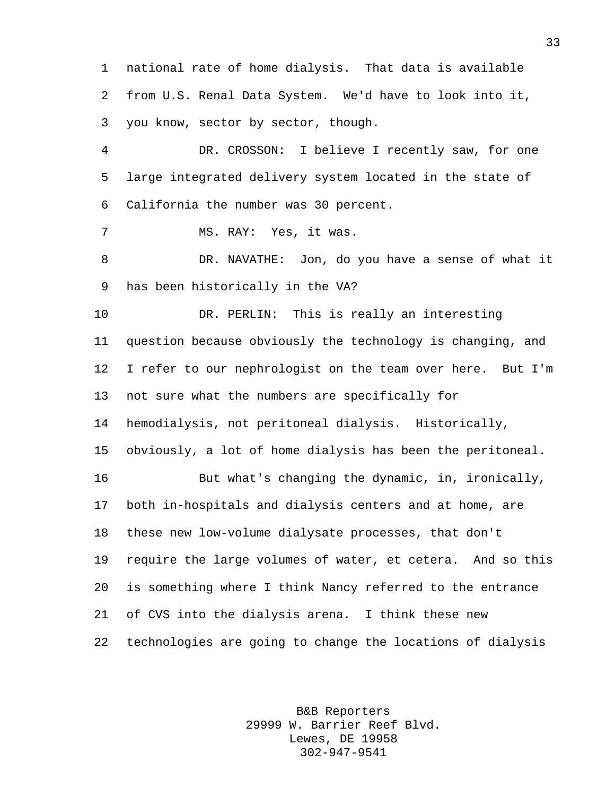national rate of home dialysis. That data is available from U.S. Renal Data System. We'd have to look into it, you know, sector by sector, though.

 DR. CROSSON: I believe I recently saw, for one large integrated delivery system located in the state of California the number was 30 percent.

MS. RAY: Yes, it was.

 DR. NAVATHE: Jon, do you have a sense of what it has been historically in the VA?

 DR. PERLIN: This is really an interesting question because obviously the technology is changing, and I refer to our nephrologist on the team over here. But I'm not sure what the numbers are specifically for hemodialysis, not peritoneal dialysis. Historically, obviously, a lot of home dialysis has been the peritoneal.

 But what's changing the dynamic, in, ironically, both in-hospitals and dialysis centers and at home, are these new low-volume dialysate processes, that don't require the large volumes of water, et cetera. And so this is something where I think Nancy referred to the entrance of CVS into the dialysis arena. I think these new technologies are going to change the locations of dialysis

> B&B Reporters 29999 W. Barrier Reef Blvd. Lewes, DE 19958 302-947-9541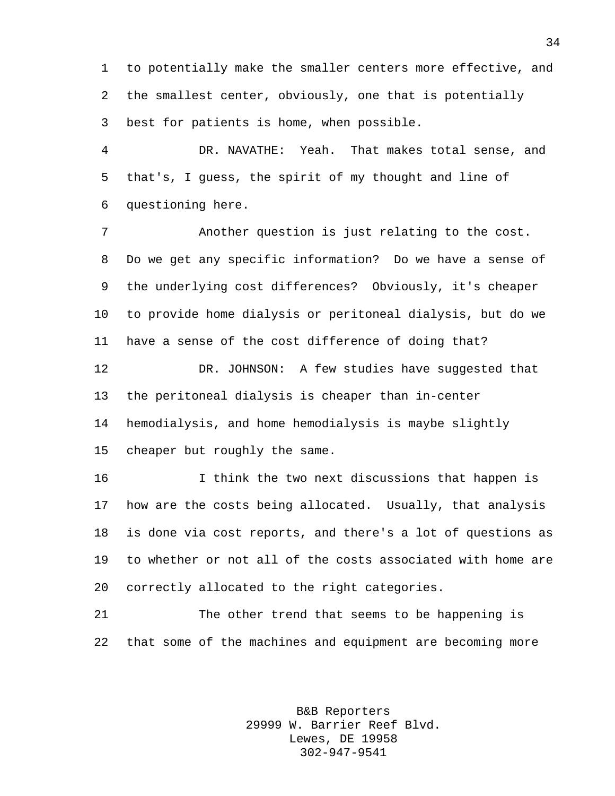to potentially make the smaller centers more effective, and the smallest center, obviously, one that is potentially best for patients is home, when possible.

 DR. NAVATHE: Yeah. That makes total sense, and that's, I guess, the spirit of my thought and line of questioning here.

 Another question is just relating to the cost. Do we get any specific information? Do we have a sense of the underlying cost differences? Obviously, it's cheaper to provide home dialysis or peritoneal dialysis, but do we have a sense of the cost difference of doing that?

 DR. JOHNSON: A few studies have suggested that the peritoneal dialysis is cheaper than in-center hemodialysis, and home hemodialysis is maybe slightly cheaper but roughly the same.

 I think the two next discussions that happen is how are the costs being allocated. Usually, that analysis is done via cost reports, and there's a lot of questions as to whether or not all of the costs associated with home are correctly allocated to the right categories.

 The other trend that seems to be happening is that some of the machines and equipment are becoming more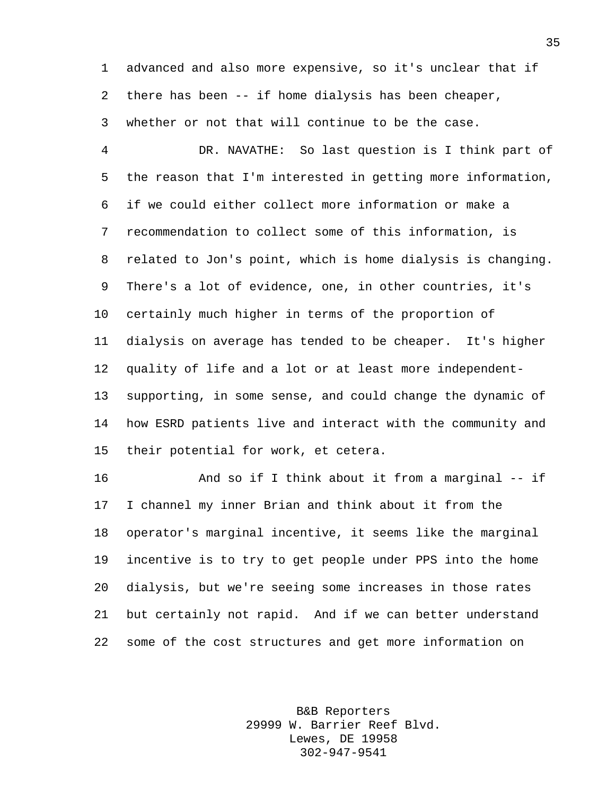advanced and also more expensive, so it's unclear that if there has been -- if home dialysis has been cheaper, whether or not that will continue to be the case.

 DR. NAVATHE: So last question is I think part of the reason that I'm interested in getting more information, if we could either collect more information or make a recommendation to collect some of this information, is related to Jon's point, which is home dialysis is changing. There's a lot of evidence, one, in other countries, it's certainly much higher in terms of the proportion of dialysis on average has tended to be cheaper. It's higher quality of life and a lot or at least more independent- supporting, in some sense, and could change the dynamic of how ESRD patients live and interact with the community and their potential for work, et cetera.

 And so if I think about it from a marginal -- if I channel my inner Brian and think about it from the operator's marginal incentive, it seems like the marginal incentive is to try to get people under PPS into the home dialysis, but we're seeing some increases in those rates but certainly not rapid. And if we can better understand some of the cost structures and get more information on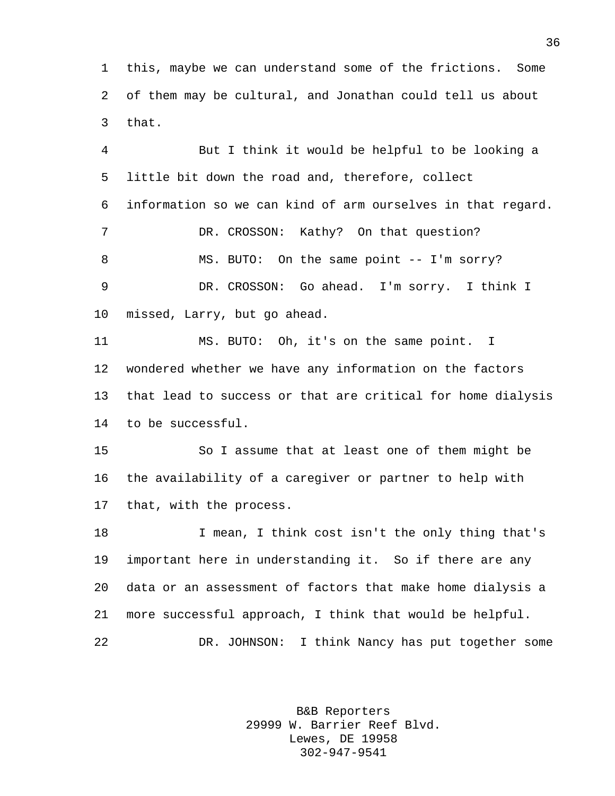this, maybe we can understand some of the frictions. Some of them may be cultural, and Jonathan could tell us about that.

 But I think it would be helpful to be looking a little bit down the road and, therefore, collect information so we can kind of arm ourselves in that regard. 7 DR. CROSSON: Kathy? On that question? 8 MS. BUTO: On the same point -- I'm sorry? DR. CROSSON: Go ahead. I'm sorry. I think I missed, Larry, but go ahead. MS. BUTO: Oh, it's on the same point. I wondered whether we have any information on the factors that lead to success or that are critical for home dialysis to be successful. So I assume that at least one of them might be the availability of a caregiver or partner to help with that, with the process. I mean, I think cost isn't the only thing that's important here in understanding it. So if there are any data or an assessment of factors that make home dialysis a more successful approach, I think that would be helpful.

DR. JOHNSON: I think Nancy has put together some

B&B Reporters 29999 W. Barrier Reef Blvd. Lewes, DE 19958 302-947-9541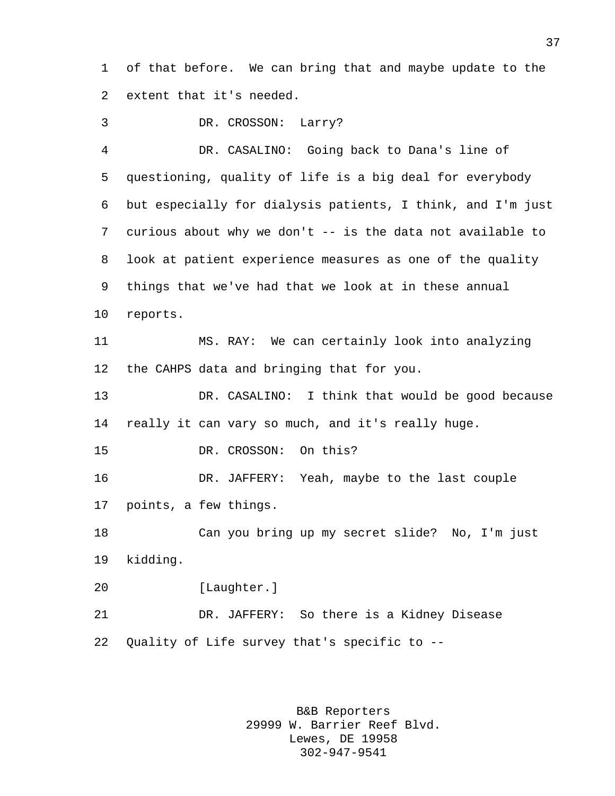of that before. We can bring that and maybe update to the extent that it's needed.

DR. CROSSON: Larry?

 DR. CASALINO: Going back to Dana's line of questioning, quality of life is a big deal for everybody but especially for dialysis patients, I think, and I'm just curious about why we don't -- is the data not available to look at patient experience measures as one of the quality things that we've had that we look at in these annual reports. MS. RAY: We can certainly look into analyzing the CAHPS data and bringing that for you. DR. CASALINO: I think that would be good because really it can vary so much, and it's really huge. DR. CROSSON: On this? DR. JAFFERY: Yeah, maybe to the last couple points, a few things. Can you bring up my secret slide? No, I'm just kidding. [Laughter.] DR. JAFFERY: So there is a Kidney Disease Quality of Life survey that's specific to --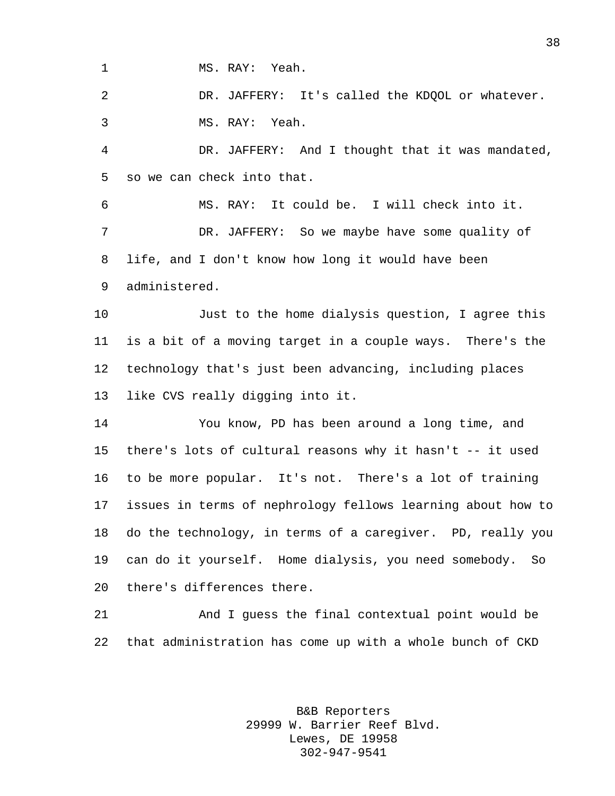MS. RAY: Yeah.

 DR. JAFFERY: It's called the KDQOL or whatever. MS. RAY: Yeah.

 DR. JAFFERY: And I thought that it was mandated, so we can check into that.

 MS. RAY: It could be. I will check into it. DR. JAFFERY: So we maybe have some quality of life, and I don't know how long it would have been administered.

 Just to the home dialysis question, I agree this is a bit of a moving target in a couple ways. There's the technology that's just been advancing, including places like CVS really digging into it.

 You know, PD has been around a long time, and there's lots of cultural reasons why it hasn't -- it used to be more popular. It's not. There's a lot of training issues in terms of nephrology fellows learning about how to do the technology, in terms of a caregiver. PD, really you can do it yourself. Home dialysis, you need somebody. So there's differences there.

 And I guess the final contextual point would be that administration has come up with a whole bunch of CKD

> B&B Reporters 29999 W. Barrier Reef Blvd. Lewes, DE 19958 302-947-9541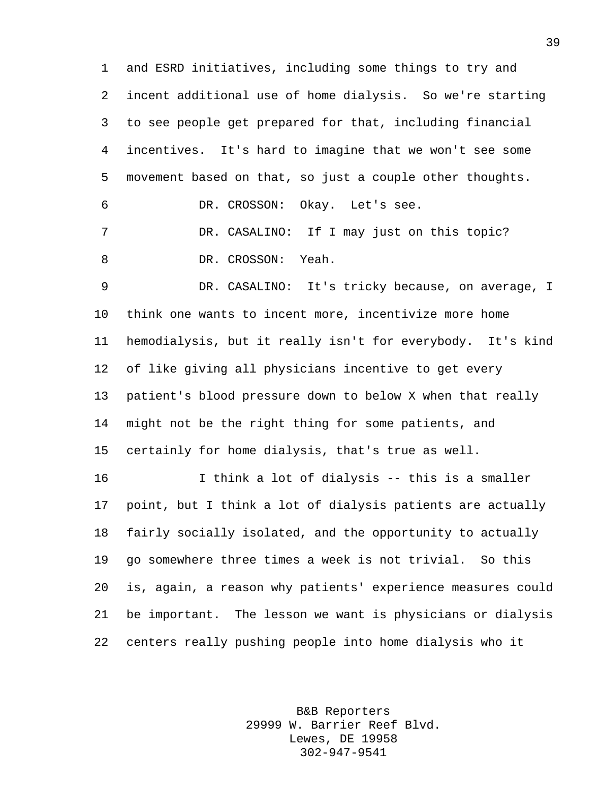and ESRD initiatives, including some things to try and incent additional use of home dialysis. So we're starting to see people get prepared for that, including financial incentives. It's hard to imagine that we won't see some movement based on that, so just a couple other thoughts. DR. CROSSON: Okay. Let's see. DR. CASALINO: If I may just on this topic? DR. CROSSON: Yeah. DR. CASALINO: It's tricky because, on average, I think one wants to incent more, incentivize more home hemodialysis, but it really isn't for everybody. It's kind

 of like giving all physicians incentive to get every patient's blood pressure down to below X when that really might not be the right thing for some patients, and certainly for home dialysis, that's true as well.

 I think a lot of dialysis -- this is a smaller point, but I think a lot of dialysis patients are actually fairly socially isolated, and the opportunity to actually go somewhere three times a week is not trivial. So this is, again, a reason why patients' experience measures could be important. The lesson we want is physicians or dialysis centers really pushing people into home dialysis who it

> B&B Reporters 29999 W. Barrier Reef Blvd. Lewes, DE 19958 302-947-9541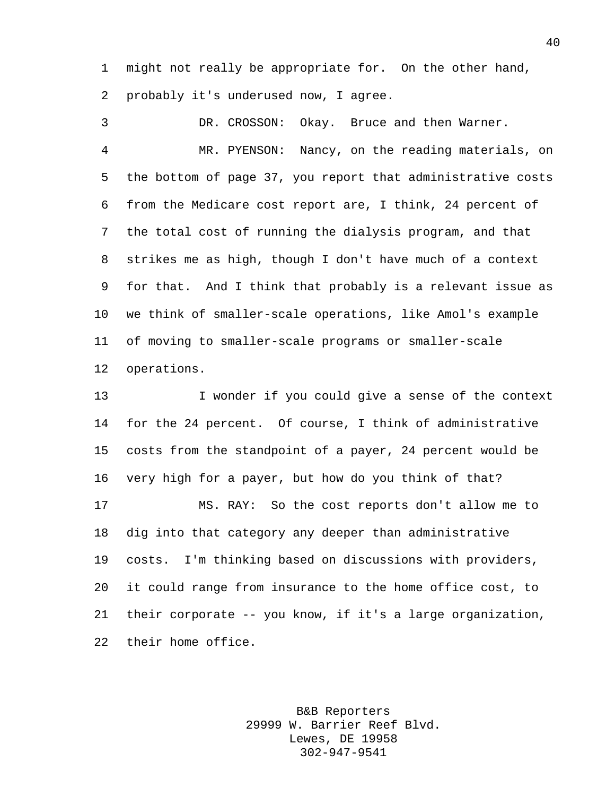might not really be appropriate for. On the other hand, probably it's underused now, I agree.

 DR. CROSSON: Okay. Bruce and then Warner. MR. PYENSON: Nancy, on the reading materials, on the bottom of page 37, you report that administrative costs from the Medicare cost report are, I think, 24 percent of the total cost of running the dialysis program, and that strikes me as high, though I don't have much of a context for that. And I think that probably is a relevant issue as we think of smaller-scale operations, like Amol's example of moving to smaller-scale programs or smaller-scale operations.

 I wonder if you could give a sense of the context for the 24 percent. Of course, I think of administrative costs from the standpoint of a payer, 24 percent would be very high for a payer, but how do you think of that? MS. RAY: So the cost reports don't allow me to dig into that category any deeper than administrative costs. I'm thinking based on discussions with providers, it could range from insurance to the home office cost, to their corporate -- you know, if it's a large organization, their home office.

> B&B Reporters 29999 W. Barrier Reef Blvd. Lewes, DE 19958 302-947-9541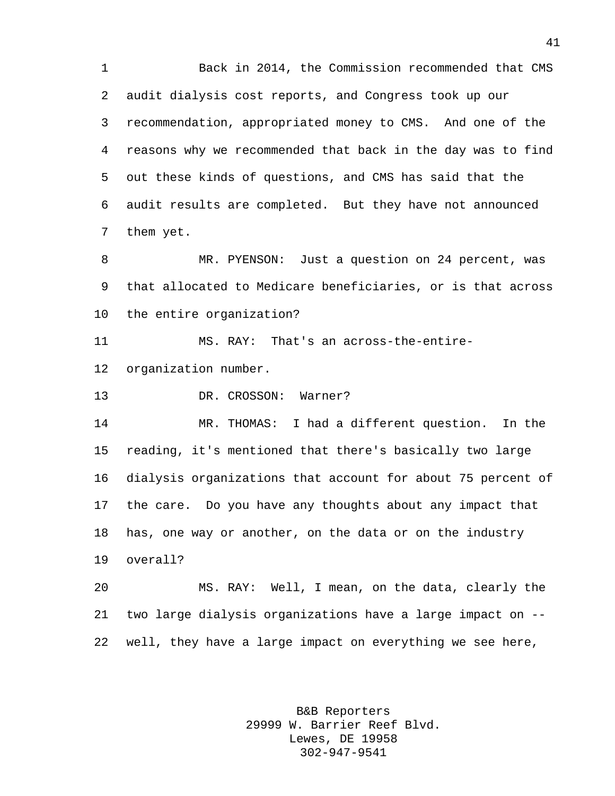Back in 2014, the Commission recommended that CMS audit dialysis cost reports, and Congress took up our recommendation, appropriated money to CMS. And one of the reasons why we recommended that back in the day was to find out these kinds of questions, and CMS has said that the audit results are completed. But they have not announced them yet. MR. PYENSON: Just a question on 24 percent, was

 that allocated to Medicare beneficiaries, or is that across the entire organization?

MS. RAY: That's an across-the-entire-

organization number.

DR. CROSSON: Warner?

 MR. THOMAS: I had a different question. In the reading, it's mentioned that there's basically two large dialysis organizations that account for about 75 percent of the care. Do you have any thoughts about any impact that has, one way or another, on the data or on the industry overall?

 MS. RAY: Well, I mean, on the data, clearly the two large dialysis organizations have a large impact on -- well, they have a large impact on everything we see here,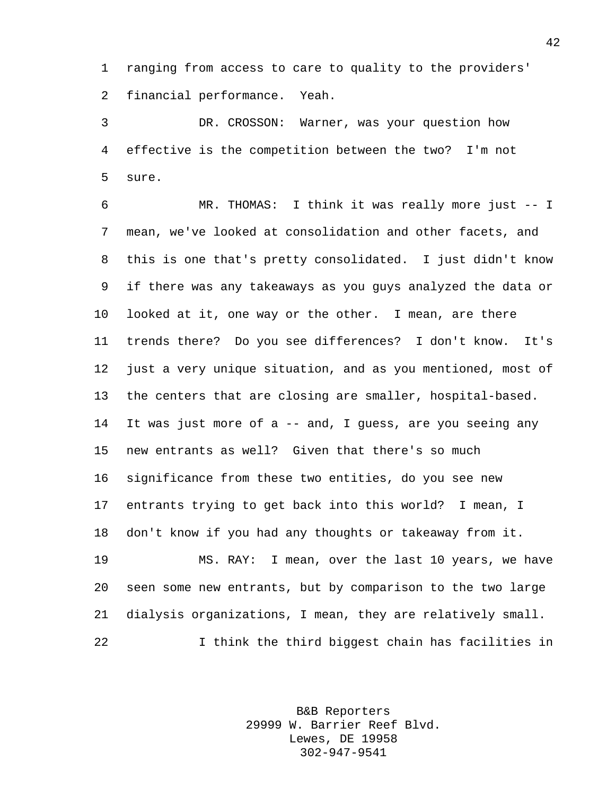ranging from access to care to quality to the providers' financial performance. Yeah.

 DR. CROSSON: Warner, was your question how effective is the competition between the two? I'm not sure.

 MR. THOMAS: I think it was really more just -- I mean, we've looked at consolidation and other facets, and this is one that's pretty consolidated. I just didn't know if there was any takeaways as you guys analyzed the data or looked at it, one way or the other. I mean, are there trends there? Do you see differences? I don't know. It's just a very unique situation, and as you mentioned, most of the centers that are closing are smaller, hospital-based. It was just more of a -- and, I guess, are you seeing any new entrants as well? Given that there's so much significance from these two entities, do you see new entrants trying to get back into this world? I mean, I don't know if you had any thoughts or takeaway from it. MS. RAY: I mean, over the last 10 years, we have

 seen some new entrants, but by comparison to the two large dialysis organizations, I mean, they are relatively small. I think the third biggest chain has facilities in

> B&B Reporters 29999 W. Barrier Reef Blvd. Lewes, DE 19958 302-947-9541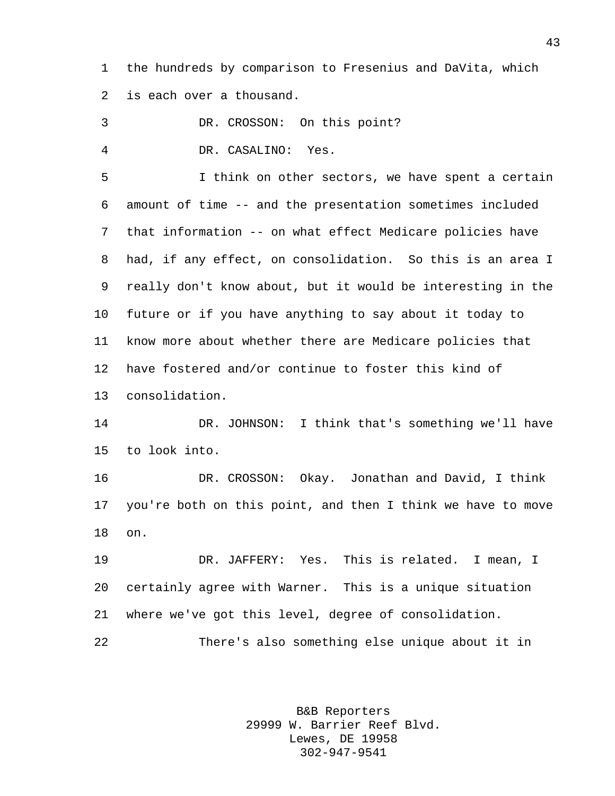the hundreds by comparison to Fresenius and DaVita, which is each over a thousand.

DR. CROSSON: On this point?

DR. CASALINO: Yes.

 I think on other sectors, we have spent a certain amount of time -- and the presentation sometimes included that information -- on what effect Medicare policies have had, if any effect, on consolidation. So this is an area I really don't know about, but it would be interesting in the future or if you have anything to say about it today to know more about whether there are Medicare policies that have fostered and/or continue to foster this kind of consolidation.

 DR. JOHNSON: I think that's something we'll have to look into.

 DR. CROSSON: Okay. Jonathan and David, I think you're both on this point, and then I think we have to move on.

 DR. JAFFERY: Yes. This is related. I mean, I certainly agree with Warner. This is a unique situation where we've got this level, degree of consolidation. There's also something else unique about it in

> B&B Reporters 29999 W. Barrier Reef Blvd. Lewes, DE 19958 302-947-9541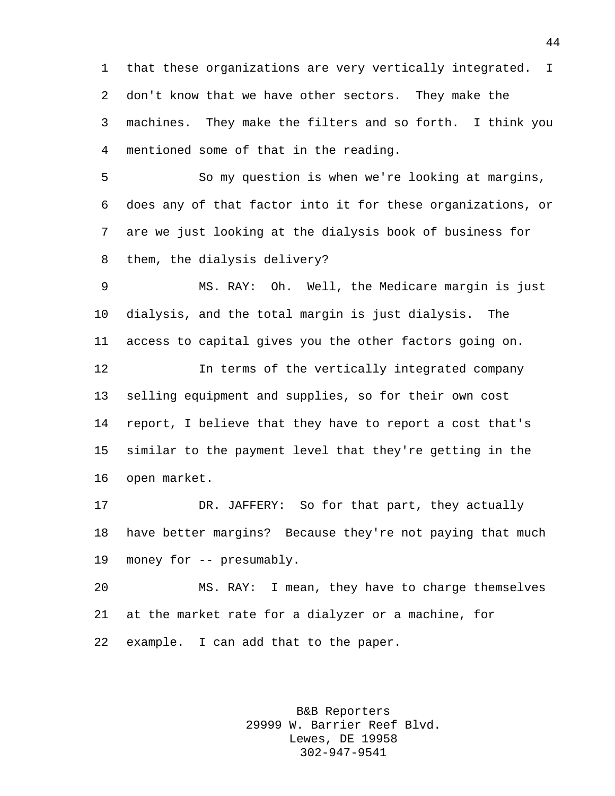that these organizations are very vertically integrated. I don't know that we have other sectors. They make the machines. They make the filters and so forth. I think you mentioned some of that in the reading.

 So my question is when we're looking at margins, does any of that factor into it for these organizations, or are we just looking at the dialysis book of business for them, the dialysis delivery?

 MS. RAY: Oh. Well, the Medicare margin is just dialysis, and the total margin is just dialysis. The access to capital gives you the other factors going on.

 In terms of the vertically integrated company selling equipment and supplies, so for their own cost report, I believe that they have to report a cost that's similar to the payment level that they're getting in the open market.

 DR. JAFFERY: So for that part, they actually have better margins? Because they're not paying that much money for -- presumably.

 MS. RAY: I mean, they have to charge themselves at the market rate for a dialyzer or a machine, for example. I can add that to the paper.

> B&B Reporters 29999 W. Barrier Reef Blvd. Lewes, DE 19958 302-947-9541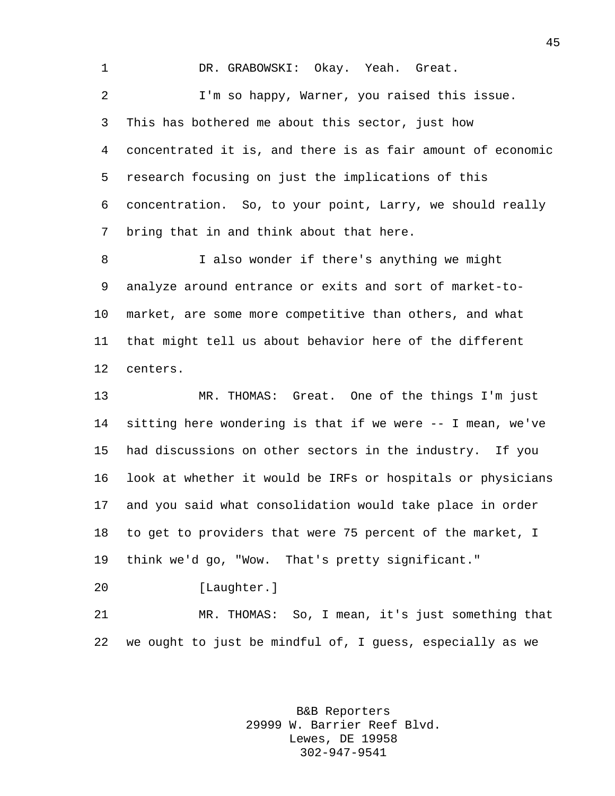DR. GRABOWSKI: Okay. Yeah. Great. I'm so happy, Warner, you raised this issue. This has bothered me about this sector, just how concentrated it is, and there is as fair amount of economic research focusing on just the implications of this concentration. So, to your point, Larry, we should really bring that in and think about that here. I also wonder if there's anything we might analyze around entrance or exits and sort of market-to- market, are some more competitive than others, and what that might tell us about behavior here of the different centers. MR. THOMAS: Great. One of the things I'm just

 sitting here wondering is that if we were -- I mean, we've had discussions on other sectors in the industry. If you look at whether it would be IRFs or hospitals or physicians and you said what consolidation would take place in order to get to providers that were 75 percent of the market, I think we'd go, "Wow. That's pretty significant."

[Laughter.]

 MR. THOMAS: So, I mean, it's just something that we ought to just be mindful of, I guess, especially as we

> B&B Reporters 29999 W. Barrier Reef Blvd. Lewes, DE 19958 302-947-9541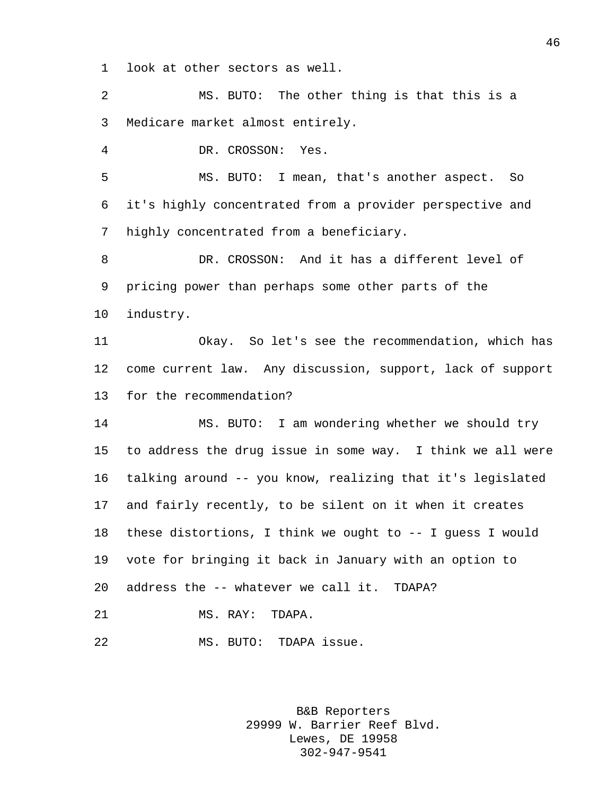look at other sectors as well.

 MS. BUTO: The other thing is that this is a Medicare market almost entirely.

DR. CROSSON: Yes.

 MS. BUTO: I mean, that's another aspect. So it's highly concentrated from a provider perspective and highly concentrated from a beneficiary.

 DR. CROSSON: And it has a different level of pricing power than perhaps some other parts of the industry.

 Okay. So let's see the recommendation, which has come current law. Any discussion, support, lack of support for the recommendation?

 MS. BUTO: I am wondering whether we should try to address the drug issue in some way. I think we all were talking around -- you know, realizing that it's legislated and fairly recently, to be silent on it when it creates these distortions, I think we ought to -- I guess I would vote for bringing it back in January with an option to address the -- whatever we call it. TDAPA?

MS. RAY: TDAPA.

MS. BUTO: TDAPA issue.

B&B Reporters 29999 W. Barrier Reef Blvd. Lewes, DE 19958 302-947-9541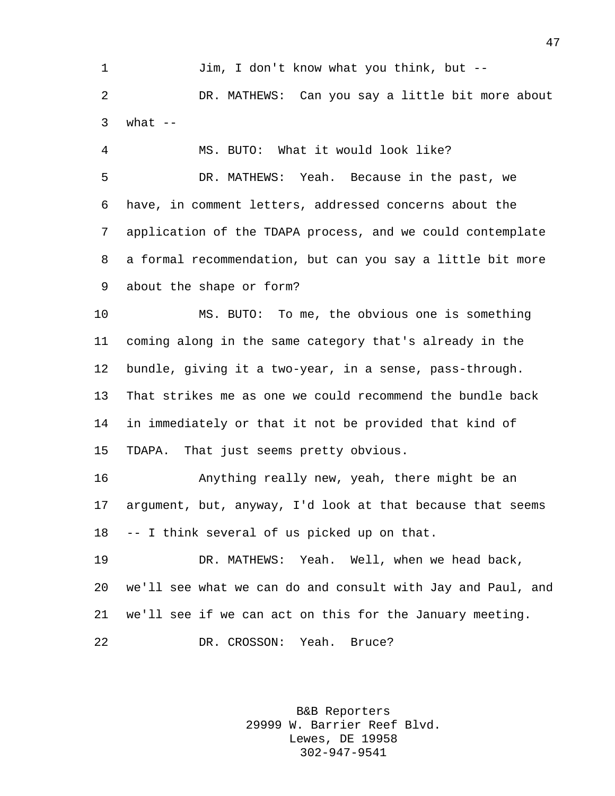Jim, I don't know what you think, but -- DR. MATHEWS: Can you say a little bit more about what  $-$ 

 MS. BUTO: What it would look like? DR. MATHEWS: Yeah. Because in the past, we have, in comment letters, addressed concerns about the application of the TDAPA process, and we could contemplate a formal recommendation, but can you say a little bit more about the shape or form?

 MS. BUTO: To me, the obvious one is something coming along in the same category that's already in the bundle, giving it a two-year, in a sense, pass-through. That strikes me as one we could recommend the bundle back in immediately or that it not be provided that kind of TDAPA. That just seems pretty obvious.

 Anything really new, yeah, there might be an argument, but, anyway, I'd look at that because that seems -- I think several of us picked up on that.

 DR. MATHEWS: Yeah. Well, when we head back, we'll see what we can do and consult with Jay and Paul, and we'll see if we can act on this for the January meeting. DR. CROSSON: Yeah. Bruce?

> B&B Reporters 29999 W. Barrier Reef Blvd. Lewes, DE 19958 302-947-9541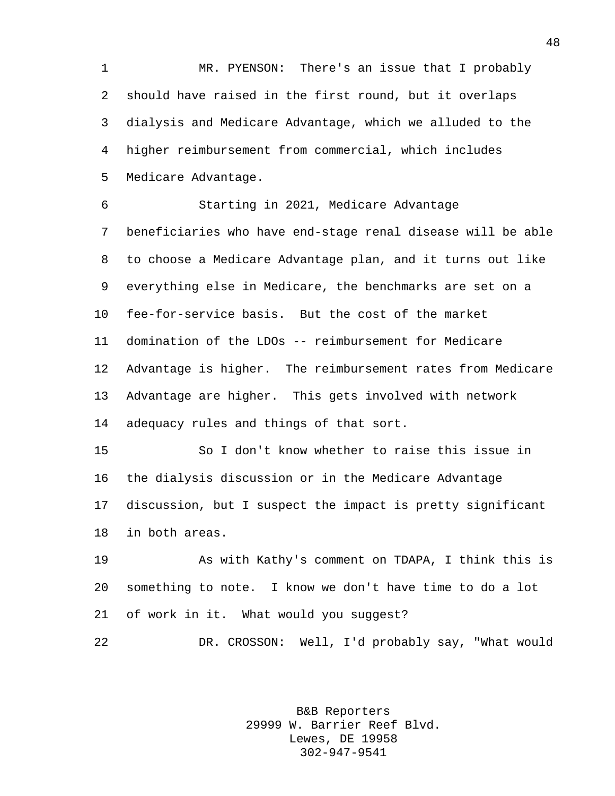MR. PYENSON: There's an issue that I probably should have raised in the first round, but it overlaps dialysis and Medicare Advantage, which we alluded to the higher reimbursement from commercial, which includes Medicare Advantage.

 Starting in 2021, Medicare Advantage beneficiaries who have end-stage renal disease will be able to choose a Medicare Advantage plan, and it turns out like everything else in Medicare, the benchmarks are set on a fee-for-service basis. But the cost of the market domination of the LDOs -- reimbursement for Medicare Advantage is higher. The reimbursement rates from Medicare Advantage are higher. This gets involved with network adequacy rules and things of that sort.

 So I don't know whether to raise this issue in the dialysis discussion or in the Medicare Advantage discussion, but I suspect the impact is pretty significant in both areas.

 As with Kathy's comment on TDAPA, I think this is something to note. I know we don't have time to do a lot of work in it. What would you suggest?

DR. CROSSON: Well, I'd probably say, "What would

B&B Reporters 29999 W. Barrier Reef Blvd. Lewes, DE 19958 302-947-9541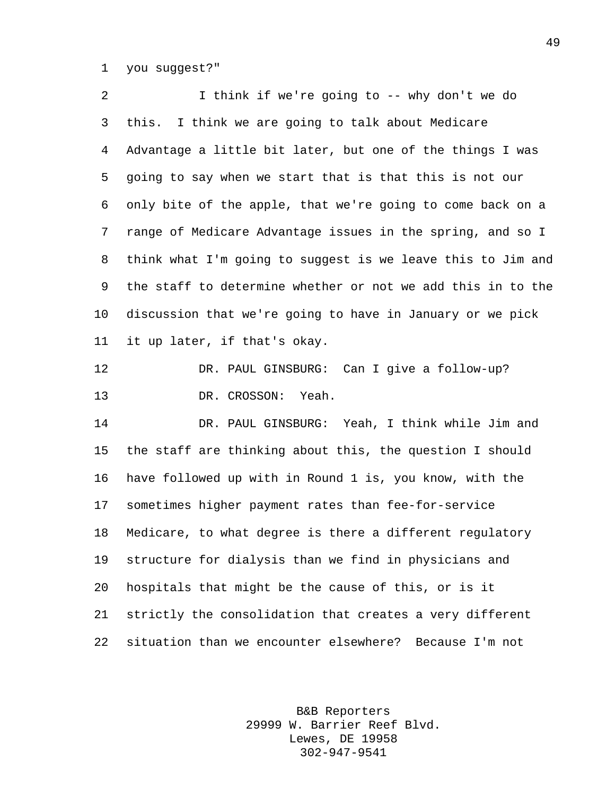you suggest?"

 I think if we're going to -- why don't we do this. I think we are going to talk about Medicare Advantage a little bit later, but one of the things I was going to say when we start that is that this is not our only bite of the apple, that we're going to come back on a range of Medicare Advantage issues in the spring, and so I think what I'm going to suggest is we leave this to Jim and the staff to determine whether or not we add this in to the discussion that we're going to have in January or we pick it up later, if that's okay. DR. PAUL GINSBURG: Can I give a follow-up? DR. CROSSON: Yeah. DR. PAUL GINSBURG: Yeah, I think while Jim and the staff are thinking about this, the question I should have followed up with in Round 1 is, you know, with the sometimes higher payment rates than fee-for-service Medicare, to what degree is there a different regulatory structure for dialysis than we find in physicians and hospitals that might be the cause of this, or is it strictly the consolidation that creates a very different situation than we encounter elsewhere? Because I'm not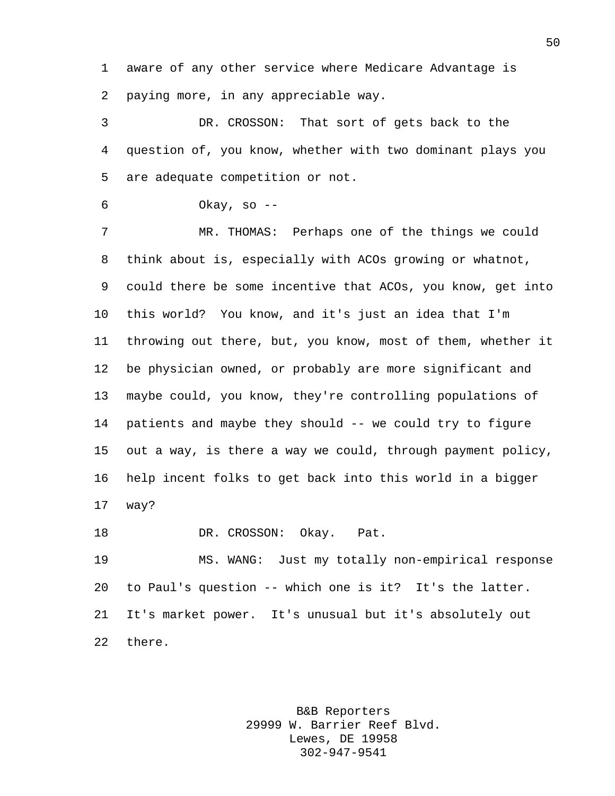aware of any other service where Medicare Advantage is paying more, in any appreciable way.

 DR. CROSSON: That sort of gets back to the question of, you know, whether with two dominant plays you are adequate competition or not.

Okay, so --

 MR. THOMAS: Perhaps one of the things we could think about is, especially with ACOs growing or whatnot, could there be some incentive that ACOs, you know, get into this world? You know, and it's just an idea that I'm throwing out there, but, you know, most of them, whether it be physician owned, or probably are more significant and maybe could, you know, they're controlling populations of patients and maybe they should -- we could try to figure out a way, is there a way we could, through payment policy, help incent folks to get back into this world in a bigger way?

18 DR. CROSSON: Okay. Pat.

 MS. WANG: Just my totally non-empirical response to Paul's question -- which one is it? It's the latter. It's market power. It's unusual but it's absolutely out there.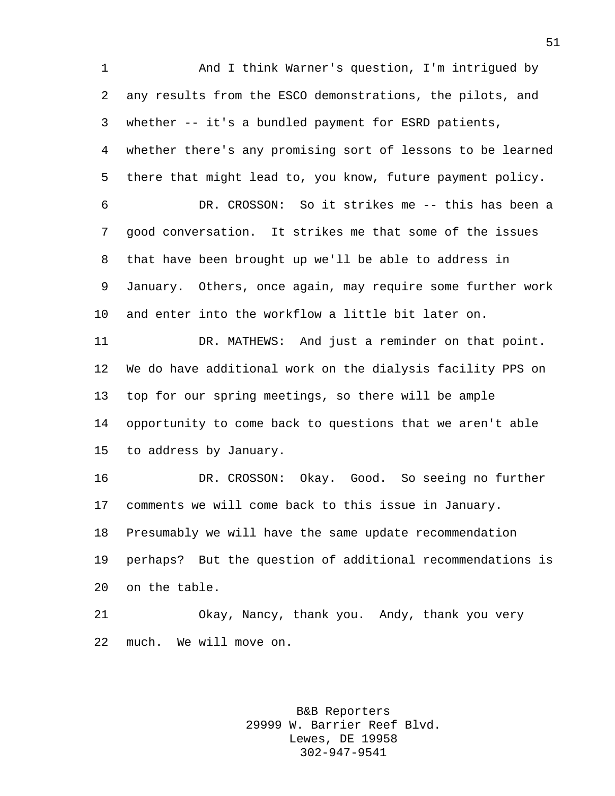And I think Warner's question, I'm intrigued by any results from the ESCO demonstrations, the pilots, and whether -- it's a bundled payment for ESRD patients, whether there's any promising sort of lessons to be learned there that might lead to, you know, future payment policy. DR. CROSSON: So it strikes me -- this has been a good conversation. It strikes me that some of the issues that have been brought up we'll be able to address in January. Others, once again, may require some further work and enter into the workflow a little bit later on. 11 DR. MATHEWS: And just a reminder on that point. We do have additional work on the dialysis facility PPS on top for our spring meetings, so there will be ample opportunity to come back to questions that we aren't able to address by January. DR. CROSSON: Okay. Good. So seeing no further comments we will come back to this issue in January. Presumably we will have the same update recommendation perhaps? But the question of additional recommendations is on the table. Okay, Nancy, thank you. Andy, thank you very

much. We will move on.

B&B Reporters 29999 W. Barrier Reef Blvd. Lewes, DE 19958 302-947-9541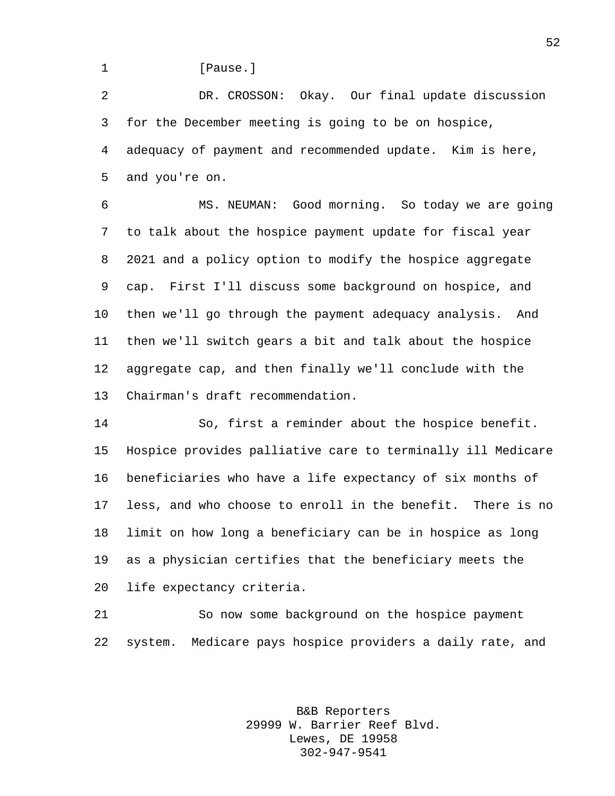1 [Pause.]

 DR. CROSSON: Okay. Our final update discussion for the December meeting is going to be on hospice, adequacy of payment and recommended update. Kim is here, and you're on.

 MS. NEUMAN: Good morning. So today we are going to talk about the hospice payment update for fiscal year 2021 and a policy option to modify the hospice aggregate cap. First I'll discuss some background on hospice, and then we'll go through the payment adequacy analysis. And then we'll switch gears a bit and talk about the hospice aggregate cap, and then finally we'll conclude with the Chairman's draft recommendation.

 So, first a reminder about the hospice benefit. Hospice provides palliative care to terminally ill Medicare beneficiaries who have a life expectancy of six months of less, and who choose to enroll in the benefit. There is no limit on how long a beneficiary can be in hospice as long as a physician certifies that the beneficiary meets the life expectancy criteria.

 So now some background on the hospice payment system. Medicare pays hospice providers a daily rate, and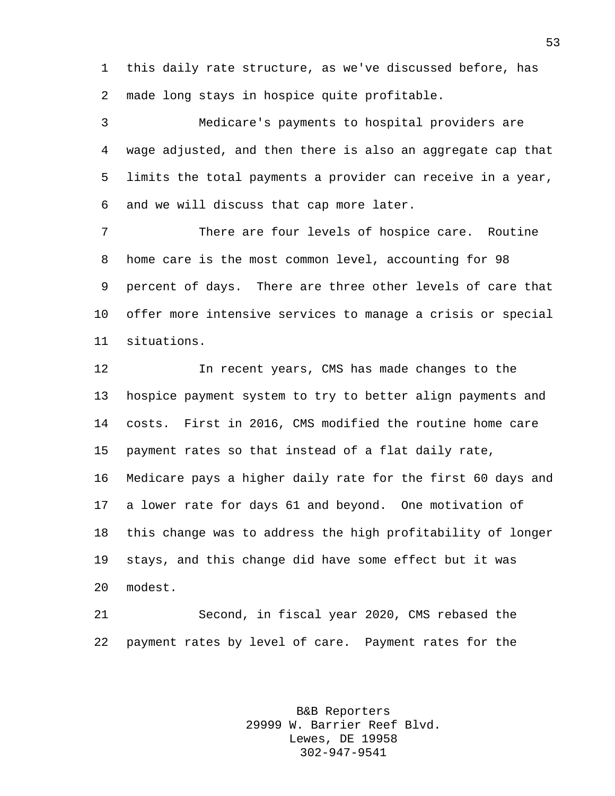this daily rate structure, as we've discussed before, has made long stays in hospice quite profitable.

 Medicare's payments to hospital providers are wage adjusted, and then there is also an aggregate cap that limits the total payments a provider can receive in a year, and we will discuss that cap more later.

 There are four levels of hospice care. Routine home care is the most common level, accounting for 98 percent of days. There are three other levels of care that offer more intensive services to manage a crisis or special situations.

 In recent years, CMS has made changes to the hospice payment system to try to better align payments and costs. First in 2016, CMS modified the routine home care payment rates so that instead of a flat daily rate, Medicare pays a higher daily rate for the first 60 days and a lower rate for days 61 and beyond. One motivation of this change was to address the high profitability of longer stays, and this change did have some effect but it was modest.

 Second, in fiscal year 2020, CMS rebased the payment rates by level of care. Payment rates for the

> B&B Reporters 29999 W. Barrier Reef Blvd. Lewes, DE 19958 302-947-9541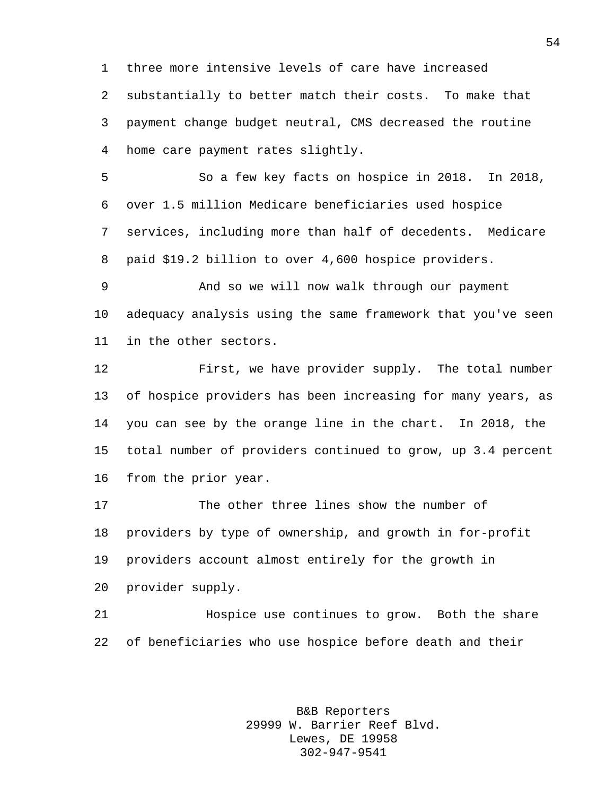three more intensive levels of care have increased substantially to better match their costs. To make that payment change budget neutral, CMS decreased the routine home care payment rates slightly.

 So a few key facts on hospice in 2018. In 2018, over 1.5 million Medicare beneficiaries used hospice services, including more than half of decedents. Medicare paid \$19.2 billion to over 4,600 hospice providers.

 And so we will now walk through our payment adequacy analysis using the same framework that you've seen in the other sectors.

 First, we have provider supply. The total number of hospice providers has been increasing for many years, as you can see by the orange line in the chart. In 2018, the total number of providers continued to grow, up 3.4 percent from the prior year.

 The other three lines show the number of providers by type of ownership, and growth in for-profit providers account almost entirely for the growth in provider supply.

 Hospice use continues to grow. Both the share of beneficiaries who use hospice before death and their

> B&B Reporters 29999 W. Barrier Reef Blvd. Lewes, DE 19958 302-947-9541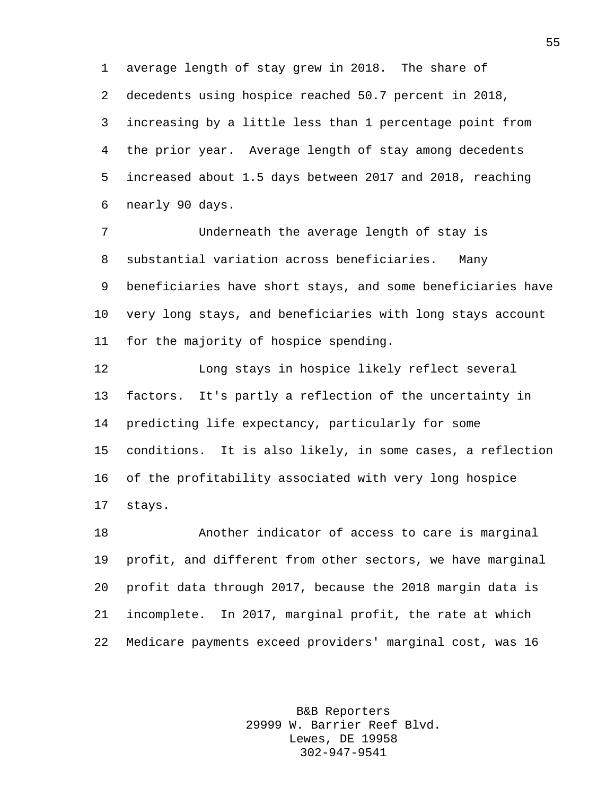average length of stay grew in 2018. The share of decedents using hospice reached 50.7 percent in 2018, increasing by a little less than 1 percentage point from the prior year. Average length of stay among decedents increased about 1.5 days between 2017 and 2018, reaching nearly 90 days.

 Underneath the average length of stay is substantial variation across beneficiaries. Many beneficiaries have short stays, and some beneficiaries have very long stays, and beneficiaries with long stays account for the majority of hospice spending.

 Long stays in hospice likely reflect several factors. It's partly a reflection of the uncertainty in predicting life expectancy, particularly for some conditions. It is also likely, in some cases, a reflection of the profitability associated with very long hospice stays.

 Another indicator of access to care is marginal profit, and different from other sectors, we have marginal profit data through 2017, because the 2018 margin data is incomplete. In 2017, marginal profit, the rate at which Medicare payments exceed providers' marginal cost, was 16

> B&B Reporters 29999 W. Barrier Reef Blvd. Lewes, DE 19958 302-947-9541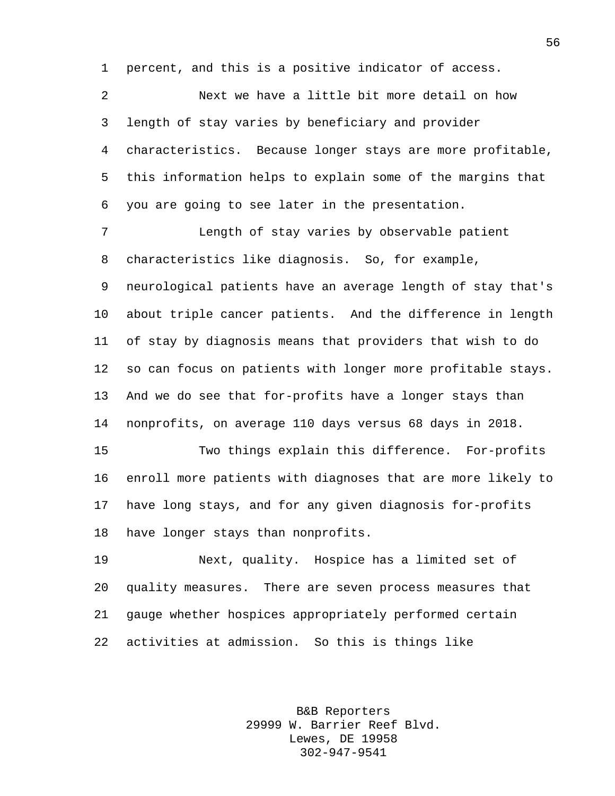percent, and this is a positive indicator of access.

 Next we have a little bit more detail on how length of stay varies by beneficiary and provider characteristics. Because longer stays are more profitable, this information helps to explain some of the margins that you are going to see later in the presentation.

 Length of stay varies by observable patient characteristics like diagnosis. So, for example, neurological patients have an average length of stay that's about triple cancer patients. And the difference in length of stay by diagnosis means that providers that wish to do so can focus on patients with longer more profitable stays. And we do see that for-profits have a longer stays than nonprofits, on average 110 days versus 68 days in 2018.

 Two things explain this difference. For-profits enroll more patients with diagnoses that are more likely to have long stays, and for any given diagnosis for-profits have longer stays than nonprofits.

 Next, quality. Hospice has a limited set of quality measures. There are seven process measures that gauge whether hospices appropriately performed certain activities at admission. So this is things like

> B&B Reporters 29999 W. Barrier Reef Blvd. Lewes, DE 19958 302-947-9541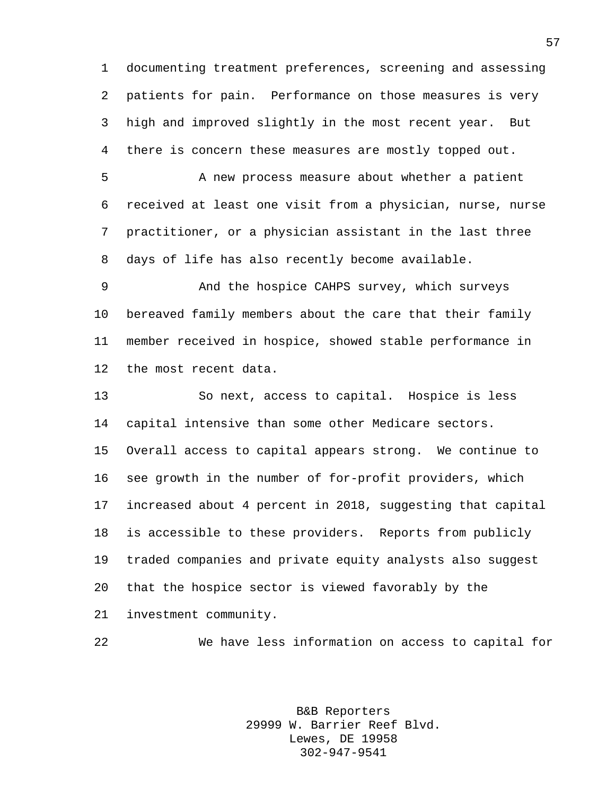documenting treatment preferences, screening and assessing patients for pain. Performance on those measures is very high and improved slightly in the most recent year. But there is concern these measures are mostly topped out.

 A new process measure about whether a patient received at least one visit from a physician, nurse, nurse practitioner, or a physician assistant in the last three days of life has also recently become available.

 And the hospice CAHPS survey, which surveys bereaved family members about the care that their family member received in hospice, showed stable performance in the most recent data.

 So next, access to capital. Hospice is less capital intensive than some other Medicare sectors. Overall access to capital appears strong. We continue to see growth in the number of for-profit providers, which increased about 4 percent in 2018, suggesting that capital is accessible to these providers. Reports from publicly traded companies and private equity analysts also suggest that the hospice sector is viewed favorably by the investment community.

We have less information on access to capital for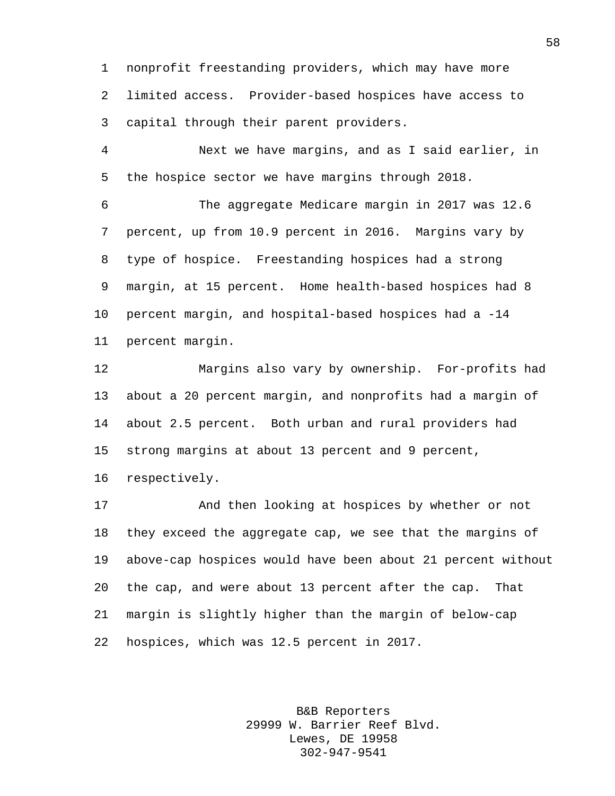nonprofit freestanding providers, which may have more limited access. Provider-based hospices have access to capital through their parent providers.

 Next we have margins, and as I said earlier, in the hospice sector we have margins through 2018.

 The aggregate Medicare margin in 2017 was 12.6 percent, up from 10.9 percent in 2016. Margins vary by type of hospice. Freestanding hospices had a strong margin, at 15 percent. Home health-based hospices had 8 percent margin, and hospital-based hospices had a -14 percent margin.

 Margins also vary by ownership. For-profits had about a 20 percent margin, and nonprofits had a margin of about 2.5 percent. Both urban and rural providers had strong margins at about 13 percent and 9 percent, respectively.

 And then looking at hospices by whether or not they exceed the aggregate cap, we see that the margins of above-cap hospices would have been about 21 percent without the cap, and were about 13 percent after the cap. That margin is slightly higher than the margin of below-cap hospices, which was 12.5 percent in 2017.

> B&B Reporters 29999 W. Barrier Reef Blvd. Lewes, DE 19958 302-947-9541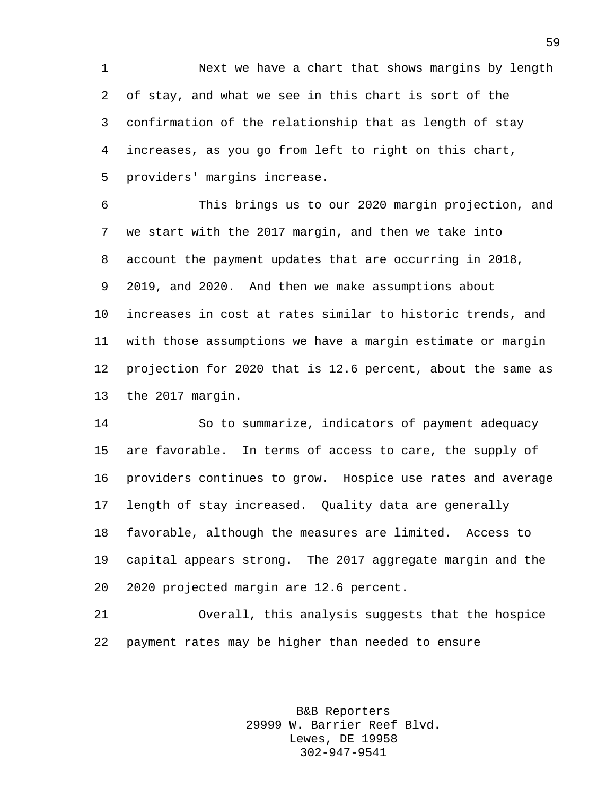Next we have a chart that shows margins by length of stay, and what we see in this chart is sort of the confirmation of the relationship that as length of stay increases, as you go from left to right on this chart, providers' margins increase.

 This brings us to our 2020 margin projection, and we start with the 2017 margin, and then we take into account the payment updates that are occurring in 2018, 2019, and 2020. And then we make assumptions about increases in cost at rates similar to historic trends, and with those assumptions we have a margin estimate or margin projection for 2020 that is 12.6 percent, about the same as the 2017 margin.

 So to summarize, indicators of payment adequacy are favorable. In terms of access to care, the supply of providers continues to grow. Hospice use rates and average length of stay increased. Quality data are generally favorable, although the measures are limited. Access to capital appears strong. The 2017 aggregate margin and the 2020 projected margin are 12.6 percent.

 Overall, this analysis suggests that the hospice payment rates may be higher than needed to ensure

> B&B Reporters 29999 W. Barrier Reef Blvd. Lewes, DE 19958 302-947-9541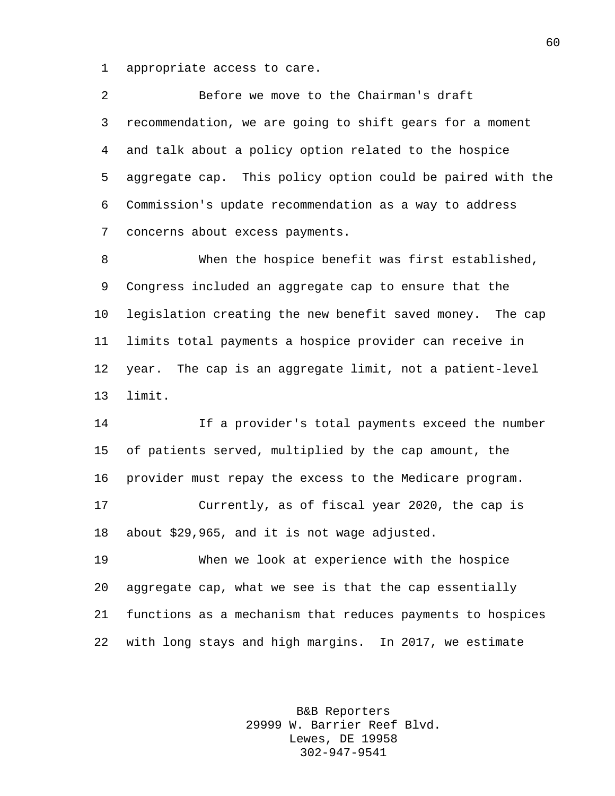appropriate access to care.

 Before we move to the Chairman's draft recommendation, we are going to shift gears for a moment and talk about a policy option related to the hospice aggregate cap. This policy option could be paired with the Commission's update recommendation as a way to address concerns about excess payments.

 When the hospice benefit was first established, Congress included an aggregate cap to ensure that the legislation creating the new benefit saved money. The cap limits total payments a hospice provider can receive in year. The cap is an aggregate limit, not a patient-level limit.

 If a provider's total payments exceed the number of patients served, multiplied by the cap amount, the provider must repay the excess to the Medicare program. Currently, as of fiscal year 2020, the cap is about \$29,965, and it is not wage adjusted.

 When we look at experience with the hospice aggregate cap, what we see is that the cap essentially functions as a mechanism that reduces payments to hospices with long stays and high margins. In 2017, we estimate

> B&B Reporters 29999 W. Barrier Reef Blvd. Lewes, DE 19958 302-947-9541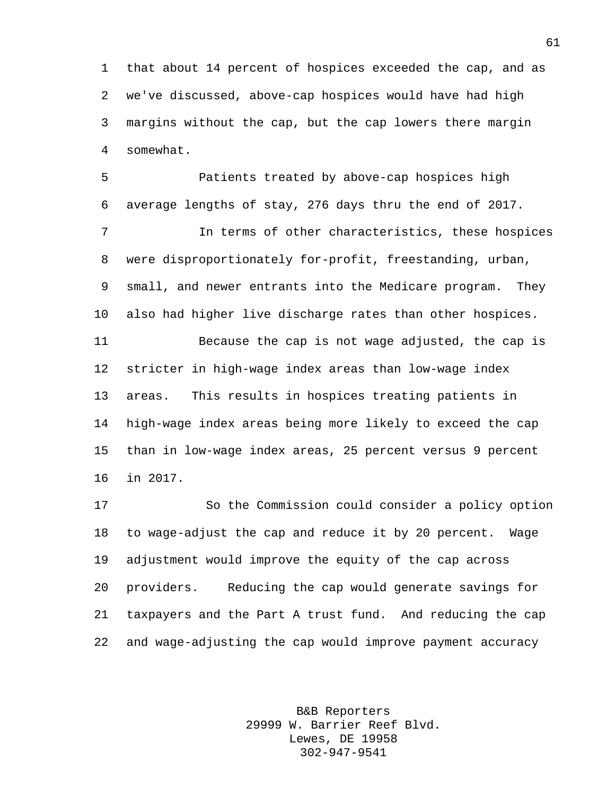that about 14 percent of hospices exceeded the cap, and as we've discussed, above-cap hospices would have had high margins without the cap, but the cap lowers there margin somewhat.

 Patients treated by above-cap hospices high average lengths of stay, 276 days thru the end of 2017. In terms of other characteristics, these hospices were disproportionately for-profit, freestanding, urban, small, and newer entrants into the Medicare program. They

also had higher live discharge rates than other hospices.

 Because the cap is not wage adjusted, the cap is stricter in high-wage index areas than low-wage index areas. This results in hospices treating patients in high-wage index areas being more likely to exceed the cap than in low-wage index areas, 25 percent versus 9 percent in 2017.

 So the Commission could consider a policy option to wage-adjust the cap and reduce it by 20 percent. Wage adjustment would improve the equity of the cap across providers. Reducing the cap would generate savings for taxpayers and the Part A trust fund. And reducing the cap and wage-adjusting the cap would improve payment accuracy

> B&B Reporters 29999 W. Barrier Reef Blvd. Lewes, DE 19958 302-947-9541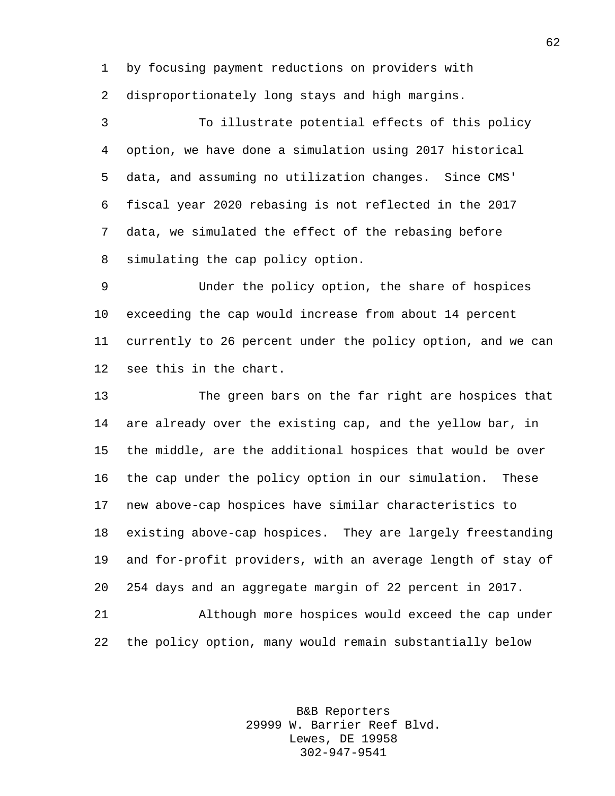by focusing payment reductions on providers with disproportionately long stays and high margins.

 To illustrate potential effects of this policy option, we have done a simulation using 2017 historical data, and assuming no utilization changes. Since CMS' fiscal year 2020 rebasing is not reflected in the 2017 data, we simulated the effect of the rebasing before simulating the cap policy option.

 Under the policy option, the share of hospices exceeding the cap would increase from about 14 percent currently to 26 percent under the policy option, and we can see this in the chart.

 The green bars on the far right are hospices that are already over the existing cap, and the yellow bar, in the middle, are the additional hospices that would be over the cap under the policy option in our simulation. These new above-cap hospices have similar characteristics to existing above-cap hospices. They are largely freestanding and for-profit providers, with an average length of stay of 254 days and an aggregate margin of 22 percent in 2017.

 Although more hospices would exceed the cap under the policy option, many would remain substantially below

> B&B Reporters 29999 W. Barrier Reef Blvd. Lewes, DE 19958 302-947-9541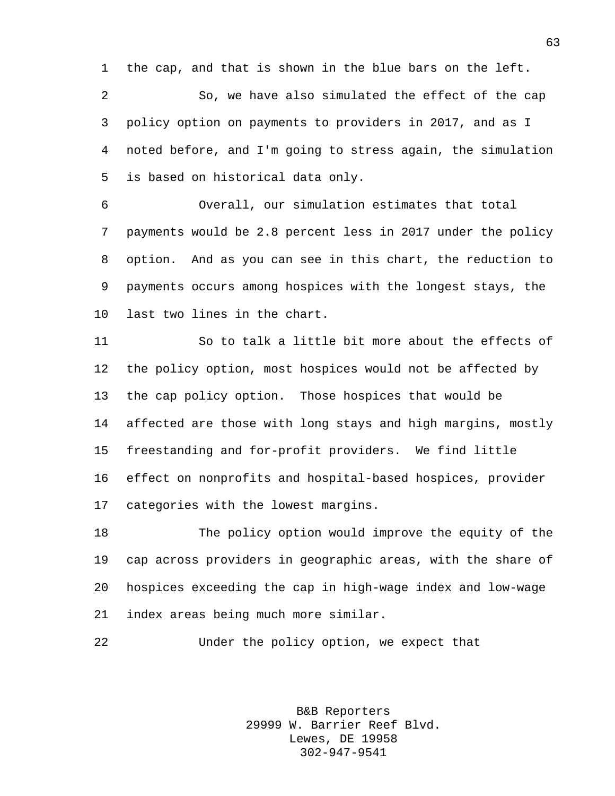the cap, and that is shown in the blue bars on the left.

 So, we have also simulated the effect of the cap policy option on payments to providers in 2017, and as I noted before, and I'm going to stress again, the simulation is based on historical data only.

 Overall, our simulation estimates that total payments would be 2.8 percent less in 2017 under the policy option. And as you can see in this chart, the reduction to payments occurs among hospices with the longest stays, the last two lines in the chart.

 So to talk a little bit more about the effects of the policy option, most hospices would not be affected by the cap policy option. Those hospices that would be affected are those with long stays and high margins, mostly freestanding and for-profit providers. We find little effect on nonprofits and hospital-based hospices, provider categories with the lowest margins.

 The policy option would improve the equity of the cap across providers in geographic areas, with the share of hospices exceeding the cap in high-wage index and low-wage index areas being much more similar.

```
22 Under the policy option, we expect that
```
B&B Reporters 29999 W. Barrier Reef Blvd. Lewes, DE 19958 302-947-9541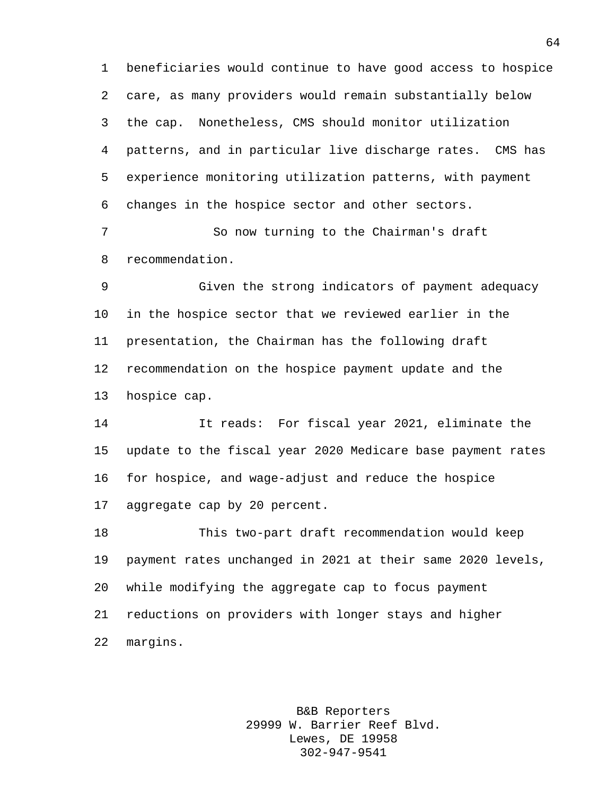beneficiaries would continue to have good access to hospice care, as many providers would remain substantially below the cap. Nonetheless, CMS should monitor utilization patterns, and in particular live discharge rates. CMS has experience monitoring utilization patterns, with payment changes in the hospice sector and other sectors.

7 So now turning to the Chairman's draft recommendation.

 Given the strong indicators of payment adequacy in the hospice sector that we reviewed earlier in the presentation, the Chairman has the following draft recommendation on the hospice payment update and the hospice cap.

 It reads: For fiscal year 2021, eliminate the update to the fiscal year 2020 Medicare base payment rates for hospice, and wage-adjust and reduce the hospice aggregate cap by 20 percent.

 This two-part draft recommendation would keep payment rates unchanged in 2021 at their same 2020 levels, while modifying the aggregate cap to focus payment reductions on providers with longer stays and higher margins.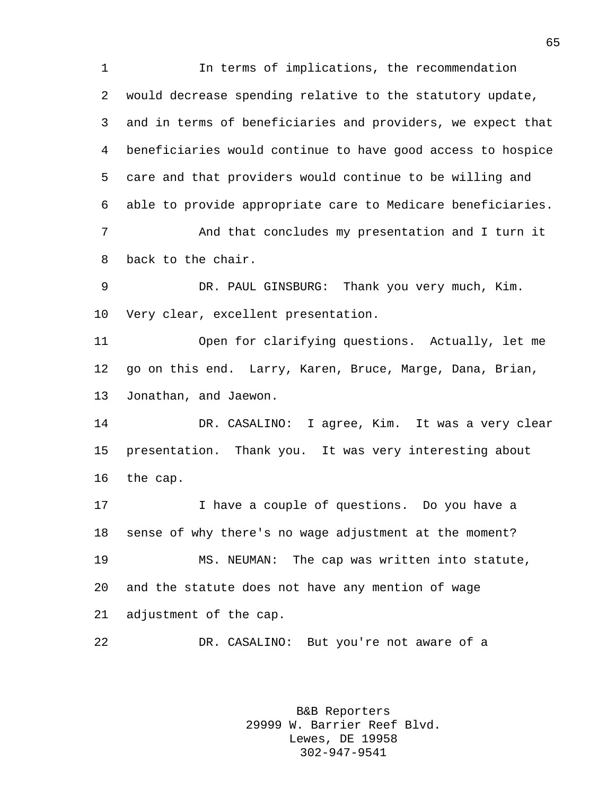In terms of implications, the recommendation would decrease spending relative to the statutory update, and in terms of beneficiaries and providers, we expect that beneficiaries would continue to have good access to hospice care and that providers would continue to be willing and able to provide appropriate care to Medicare beneficiaries. 7 And that concludes my presentation and I turn it back to the chair. DR. PAUL GINSBURG: Thank you very much, Kim. Very clear, excellent presentation. Open for clarifying questions. Actually, let me go on this end. Larry, Karen, Bruce, Marge, Dana, Brian, Jonathan, and Jaewon. DR. CASALINO: I agree, Kim. It was a very clear presentation. Thank you. It was very interesting about the cap. I have a couple of questions. Do you have a sense of why there's no wage adjustment at the moment? MS. NEUMAN: The cap was written into statute, and the statute does not have any mention of wage adjustment of the cap. DR. CASALINO: But you're not aware of a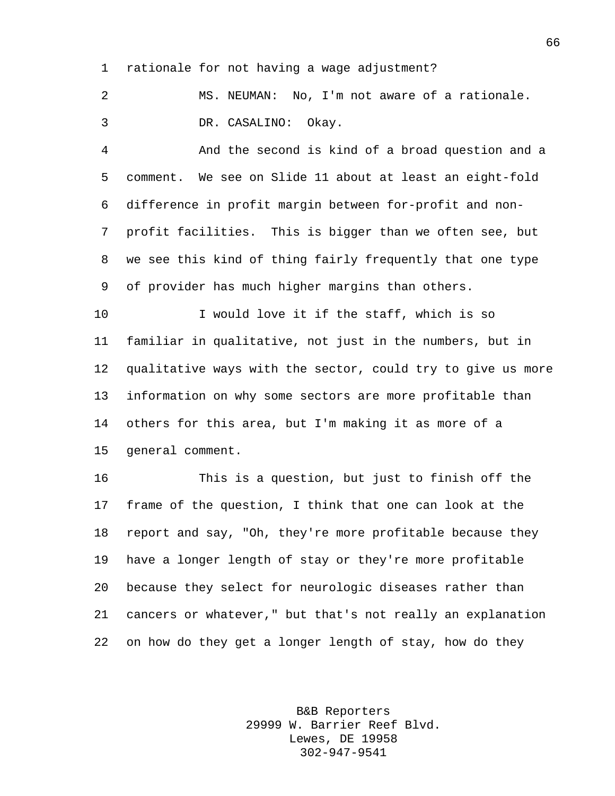rationale for not having a wage adjustment?

 MS. NEUMAN: No, I'm not aware of a rationale. DR. CASALINO: Okay.

 And the second is kind of a broad question and a comment. We see on Slide 11 about at least an eight-fold difference in profit margin between for-profit and non- profit facilities. This is bigger than we often see, but we see this kind of thing fairly frequently that one type of provider has much higher margins than others.

 I would love it if the staff, which is so familiar in qualitative, not just in the numbers, but in qualitative ways with the sector, could try to give us more information on why some sectors are more profitable than others for this area, but I'm making it as more of a general comment.

 This is a question, but just to finish off the frame of the question, I think that one can look at the report and say, "Oh, they're more profitable because they have a longer length of stay or they're more profitable because they select for neurologic diseases rather than cancers or whatever," but that's not really an explanation on how do they get a longer length of stay, how do they

> B&B Reporters 29999 W. Barrier Reef Blvd. Lewes, DE 19958 302-947-9541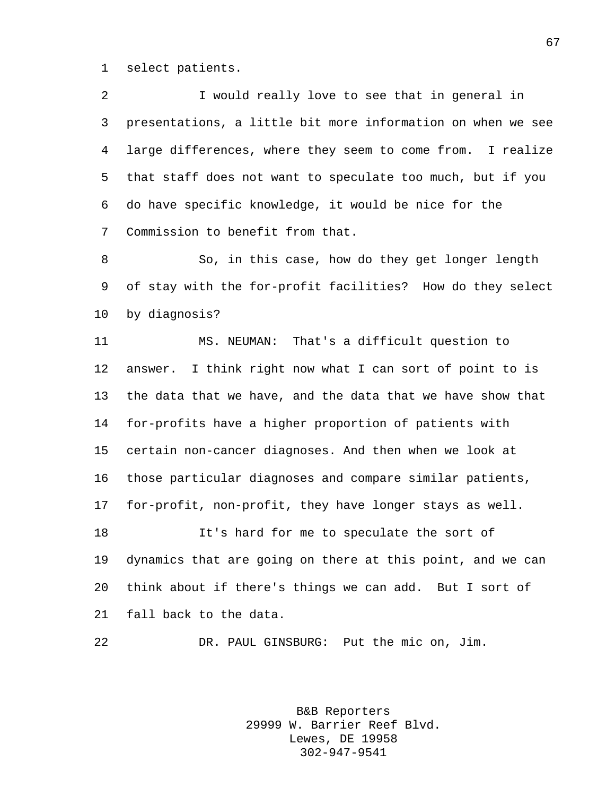select patients.

 I would really love to see that in general in presentations, a little bit more information on when we see large differences, where they seem to come from. I realize that staff does not want to speculate too much, but if you do have specific knowledge, it would be nice for the Commission to benefit from that.

 So, in this case, how do they get longer length of stay with the for-profit facilities? How do they select by diagnosis?

 MS. NEUMAN: That's a difficult question to answer. I think right now what I can sort of point to is the data that we have, and the data that we have show that for-profits have a higher proportion of patients with certain non-cancer diagnoses. And then when we look at those particular diagnoses and compare similar patients, for-profit, non-profit, they have longer stays as well. It's hard for me to speculate the sort of dynamics that are going on there at this point, and we can

 think about if there's things we can add. But I sort of fall back to the data.

DR. PAUL GINSBURG: Put the mic on, Jim.

B&B Reporters 29999 W. Barrier Reef Blvd. Lewes, DE 19958 302-947-9541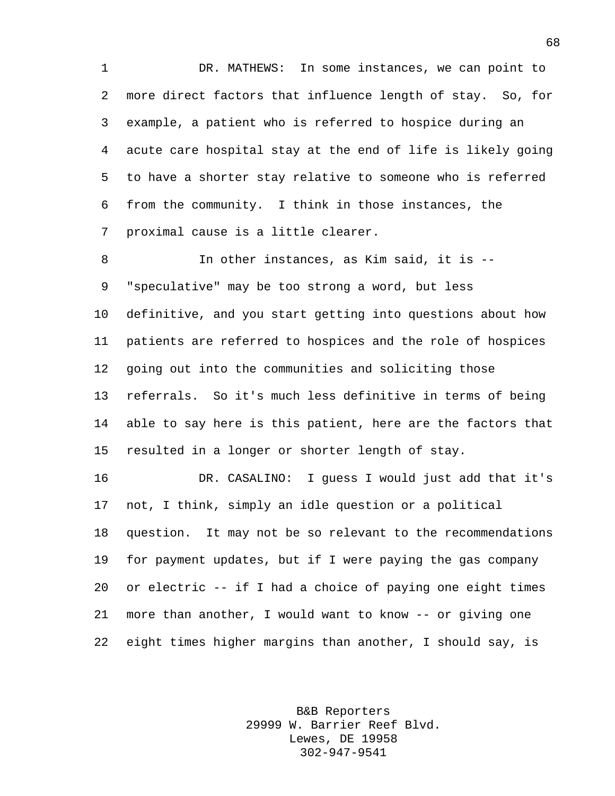DR. MATHEWS: In some instances, we can point to more direct factors that influence length of stay. So, for example, a patient who is referred to hospice during an acute care hospital stay at the end of life is likely going to have a shorter stay relative to someone who is referred from the community. I think in those instances, the proximal cause is a little clearer.

 In other instances, as Kim said, it is -- "speculative" may be too strong a word, but less definitive, and you start getting into questions about how patients are referred to hospices and the role of hospices going out into the communities and soliciting those referrals. So it's much less definitive in terms of being able to say here is this patient, here are the factors that resulted in a longer or shorter length of stay.

 DR. CASALINO: I guess I would just add that it's not, I think, simply an idle question or a political question. It may not be so relevant to the recommendations for payment updates, but if I were paying the gas company or electric -- if I had a choice of paying one eight times more than another, I would want to know -- or giving one eight times higher margins than another, I should say, is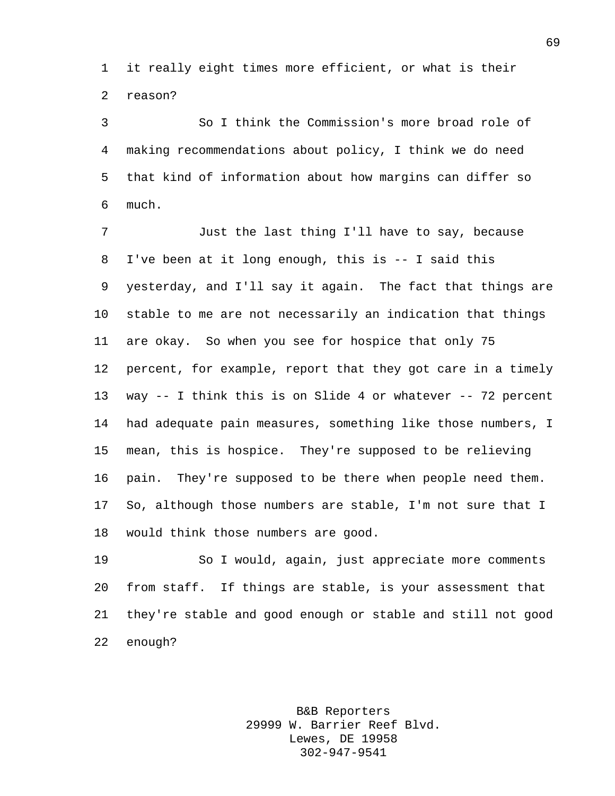it really eight times more efficient, or what is their reason?

 So I think the Commission's more broad role of making recommendations about policy, I think we do need that kind of information about how margins can differ so much.

 Just the last thing I'll have to say, because I've been at it long enough, this is -- I said this yesterday, and I'll say it again. The fact that things are stable to me are not necessarily an indication that things are okay. So when you see for hospice that only 75 percent, for example, report that they got care in a timely way -- I think this is on Slide 4 or whatever -- 72 percent had adequate pain measures, something like those numbers, I mean, this is hospice. They're supposed to be relieving pain. They're supposed to be there when people need them. So, although those numbers are stable, I'm not sure that I would think those numbers are good.

 So I would, again, just appreciate more comments from staff. If things are stable, is your assessment that they're stable and good enough or stable and still not good enough?

> B&B Reporters 29999 W. Barrier Reef Blvd. Lewes, DE 19958 302-947-9541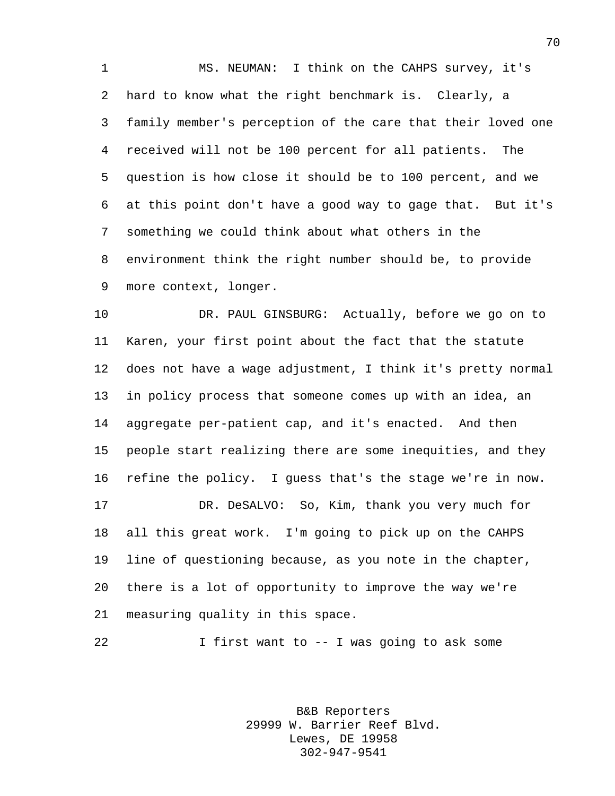MS. NEUMAN: I think on the CAHPS survey, it's hard to know what the right benchmark is. Clearly, a family member's perception of the care that their loved one received will not be 100 percent for all patients. The question is how close it should be to 100 percent, and we at this point don't have a good way to gage that. But it's something we could think about what others in the environment think the right number should be, to provide more context, longer.

 DR. PAUL GINSBURG: Actually, before we go on to Karen, your first point about the fact that the statute does not have a wage adjustment, I think it's pretty normal in policy process that someone comes up with an idea, an aggregate per-patient cap, and it's enacted. And then people start realizing there are some inequities, and they refine the policy. I guess that's the stage we're in now. DR. DeSALVO: So, Kim, thank you very much for

 all this great work. I'm going to pick up on the CAHPS line of questioning because, as you note in the chapter, there is a lot of opportunity to improve the way we're measuring quality in this space.

I first want to -- I was going to ask some

B&B Reporters 29999 W. Barrier Reef Blvd. Lewes, DE 19958 302-947-9541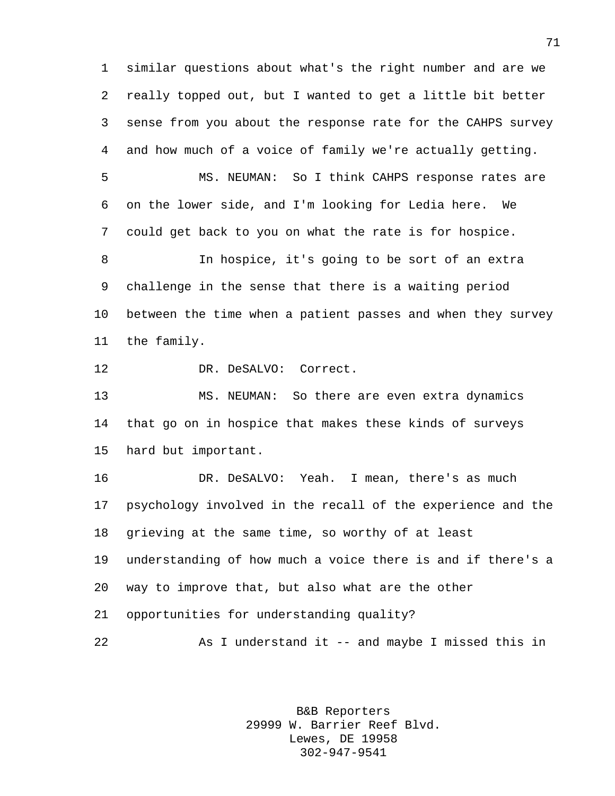similar questions about what's the right number and are we really topped out, but I wanted to get a little bit better sense from you about the response rate for the CAHPS survey and how much of a voice of family we're actually getting.

 MS. NEUMAN: So I think CAHPS response rates are on the lower side, and I'm looking for Ledia here. We could get back to you on what the rate is for hospice.

 In hospice, it's going to be sort of an extra challenge in the sense that there is a waiting period between the time when a patient passes and when they survey the family.

DR. DeSALVO: Correct.

 MS. NEUMAN: So there are even extra dynamics that go on in hospice that makes these kinds of surveys hard but important.

 DR. DeSALVO: Yeah. I mean, there's as much psychology involved in the recall of the experience and the grieving at the same time, so worthy of at least understanding of how much a voice there is and if there's a way to improve that, but also what are the other opportunities for understanding quality? As I understand it -- and maybe I missed this in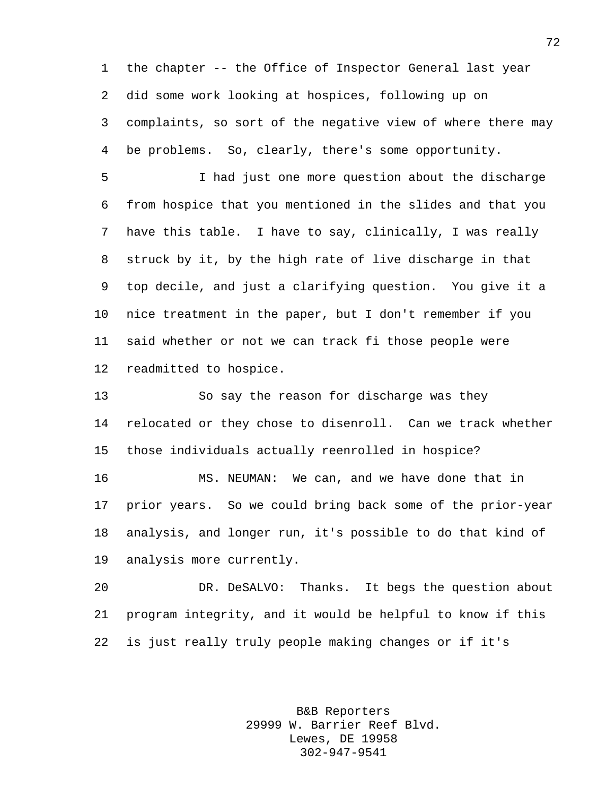the chapter -- the Office of Inspector General last year did some work looking at hospices, following up on complaints, so sort of the negative view of where there may be problems. So, clearly, there's some opportunity.

 I had just one more question about the discharge from hospice that you mentioned in the slides and that you have this table. I have to say, clinically, I was really struck by it, by the high rate of live discharge in that top decile, and just a clarifying question. You give it a nice treatment in the paper, but I don't remember if you said whether or not we can track fi those people were readmitted to hospice.

 So say the reason for discharge was they relocated or they chose to disenroll. Can we track whether those individuals actually reenrolled in hospice?

 MS. NEUMAN: We can, and we have done that in prior years. So we could bring back some of the prior-year analysis, and longer run, it's possible to do that kind of analysis more currently.

 DR. DeSALVO: Thanks. It begs the question about program integrity, and it would be helpful to know if this is just really truly people making changes or if it's

> B&B Reporters 29999 W. Barrier Reef Blvd. Lewes, DE 19958 302-947-9541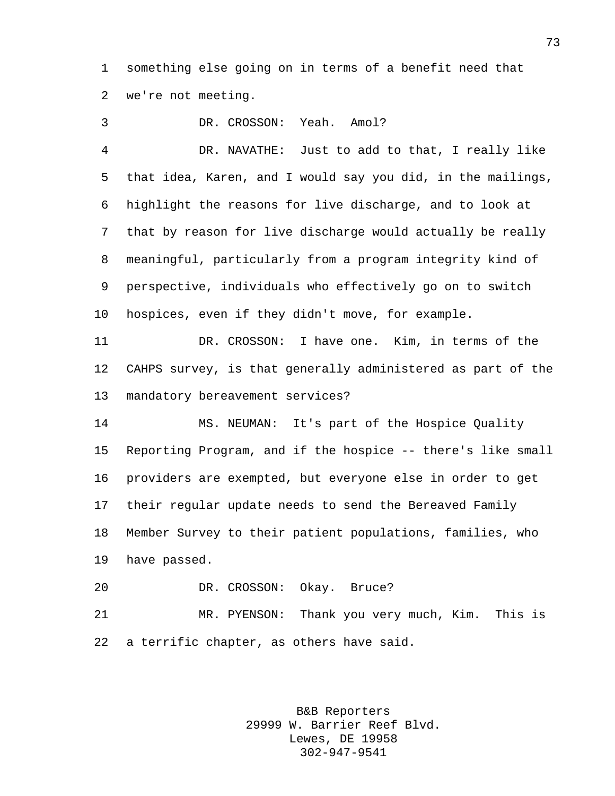something else going on in terms of a benefit need that we're not meeting.

DR. CROSSON: Yeah. Amol?

 DR. NAVATHE: Just to add to that, I really like that idea, Karen, and I would say you did, in the mailings, highlight the reasons for live discharge, and to look at that by reason for live discharge would actually be really meaningful, particularly from a program integrity kind of perspective, individuals who effectively go on to switch hospices, even if they didn't move, for example.

 DR. CROSSON: I have one. Kim, in terms of the CAHPS survey, is that generally administered as part of the mandatory bereavement services?

 MS. NEUMAN: It's part of the Hospice Quality Reporting Program, and if the hospice -- there's like small providers are exempted, but everyone else in order to get their regular update needs to send the Bereaved Family Member Survey to their patient populations, families, who have passed.

DR. CROSSON: Okay. Bruce?

 MR. PYENSON: Thank you very much, Kim. This is a terrific chapter, as others have said.

> B&B Reporters 29999 W. Barrier Reef Blvd. Lewes, DE 19958 302-947-9541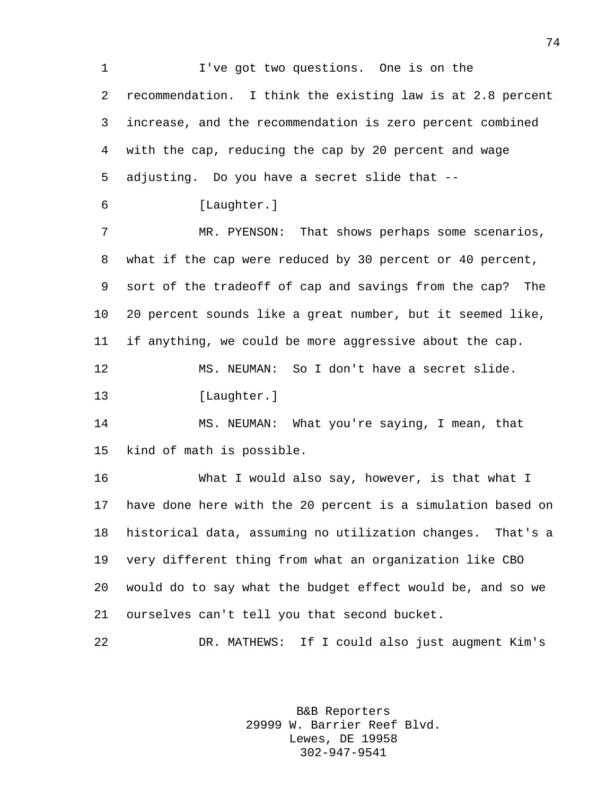I've got two questions. One is on the recommendation. I think the existing law is at 2.8 percent increase, and the recommendation is zero percent combined with the cap, reducing the cap by 20 percent and wage adjusting. Do you have a secret slide that -- [Laughter.] MR. PYENSON: That shows perhaps some scenarios, what if the cap were reduced by 30 percent or 40 percent, sort of the tradeoff of cap and savings from the cap? The 20 percent sounds like a great number, but it seemed like, if anything, we could be more aggressive about the cap. MS. NEUMAN: So I don't have a secret slide. [Laughter.] MS. NEUMAN: What you're saying, I mean, that kind of math is possible. What I would also say, however, is that what I have done here with the 20 percent is a simulation based on historical data, assuming no utilization changes. That's a very different thing from what an organization like CBO would do to say what the budget effect would be, and so we ourselves can't tell you that second bucket. DR. MATHEWS: If I could also just augment Kim's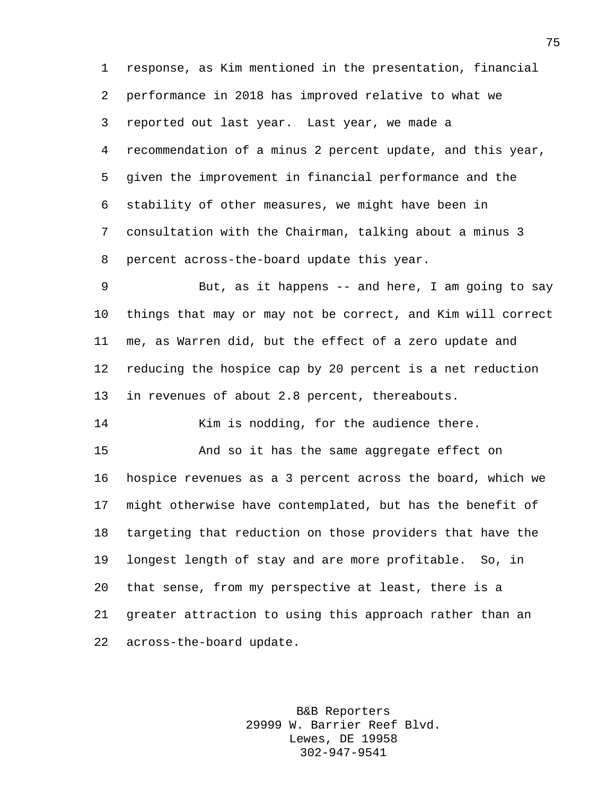response, as Kim mentioned in the presentation, financial performance in 2018 has improved relative to what we reported out last year. Last year, we made a recommendation of a minus 2 percent update, and this year, given the improvement in financial performance and the stability of other measures, we might have been in consultation with the Chairman, talking about a minus 3 percent across-the-board update this year.

 But, as it happens -- and here, I am going to say things that may or may not be correct, and Kim will correct me, as Warren did, but the effect of a zero update and reducing the hospice cap by 20 percent is a net reduction in revenues of about 2.8 percent, thereabouts.

14 Kim is nodding, for the audience there.

 And so it has the same aggregate effect on hospice revenues as a 3 percent across the board, which we might otherwise have contemplated, but has the benefit of targeting that reduction on those providers that have the longest length of stay and are more profitable. So, in that sense, from my perspective at least, there is a greater attraction to using this approach rather than an across-the-board update.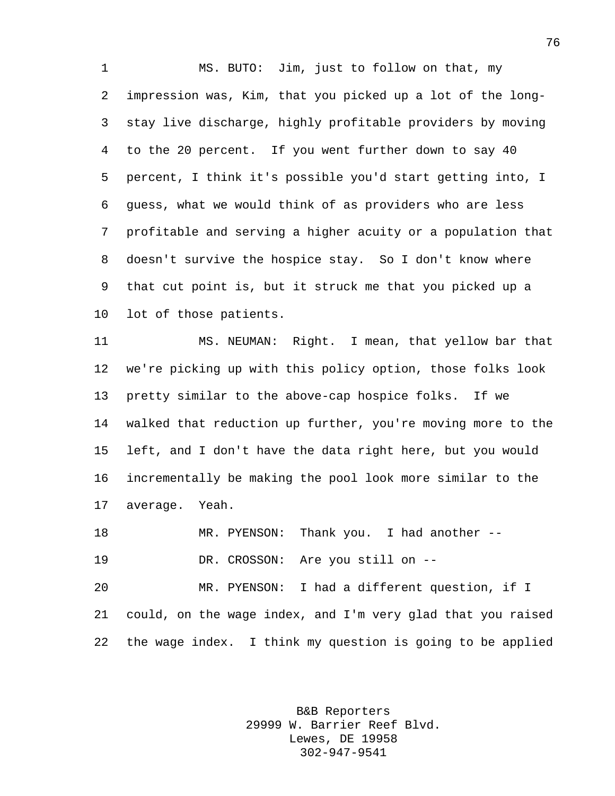MS. BUTO: Jim, just to follow on that, my impression was, Kim, that you picked up a lot of the long- stay live discharge, highly profitable providers by moving to the 20 percent. If you went further down to say 40 percent, I think it's possible you'd start getting into, I guess, what we would think of as providers who are less profitable and serving a higher acuity or a population that doesn't survive the hospice stay. So I don't know where that cut point is, but it struck me that you picked up a lot of those patients.

 MS. NEUMAN: Right. I mean, that yellow bar that we're picking up with this policy option, those folks look pretty similar to the above-cap hospice folks. If we walked that reduction up further, you're moving more to the left, and I don't have the data right here, but you would incrementally be making the pool look more similar to the average. Yeah.

 MR. PYENSON: Thank you. I had another -- DR. CROSSON: Are you still on --

 MR. PYENSON: I had a different question, if I could, on the wage index, and I'm very glad that you raised the wage index. I think my question is going to be applied

> B&B Reporters 29999 W. Barrier Reef Blvd. Lewes, DE 19958 302-947-9541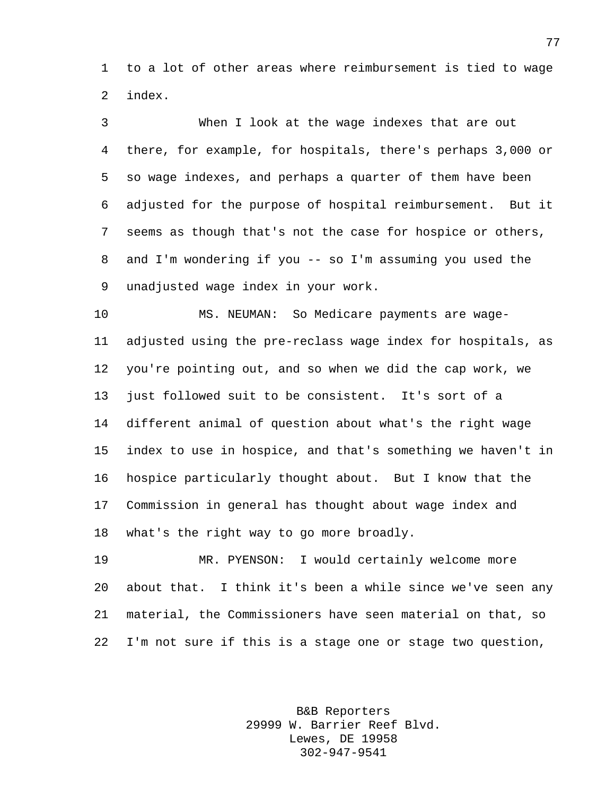to a lot of other areas where reimbursement is tied to wage index.

 When I look at the wage indexes that are out there, for example, for hospitals, there's perhaps 3,000 or so wage indexes, and perhaps a quarter of them have been adjusted for the purpose of hospital reimbursement. But it seems as though that's not the case for hospice or others, and I'm wondering if you -- so I'm assuming you used the unadjusted wage index in your work.

 MS. NEUMAN: So Medicare payments are wage- adjusted using the pre-reclass wage index for hospitals, as you're pointing out, and so when we did the cap work, we just followed suit to be consistent. It's sort of a different animal of question about what's the right wage index to use in hospice, and that's something we haven't in hospice particularly thought about. But I know that the Commission in general has thought about wage index and what's the right way to go more broadly.

 MR. PYENSON: I would certainly welcome more about that. I think it's been a while since we've seen any material, the Commissioners have seen material on that, so I'm not sure if this is a stage one or stage two question,

> B&B Reporters 29999 W. Barrier Reef Blvd. Lewes, DE 19958 302-947-9541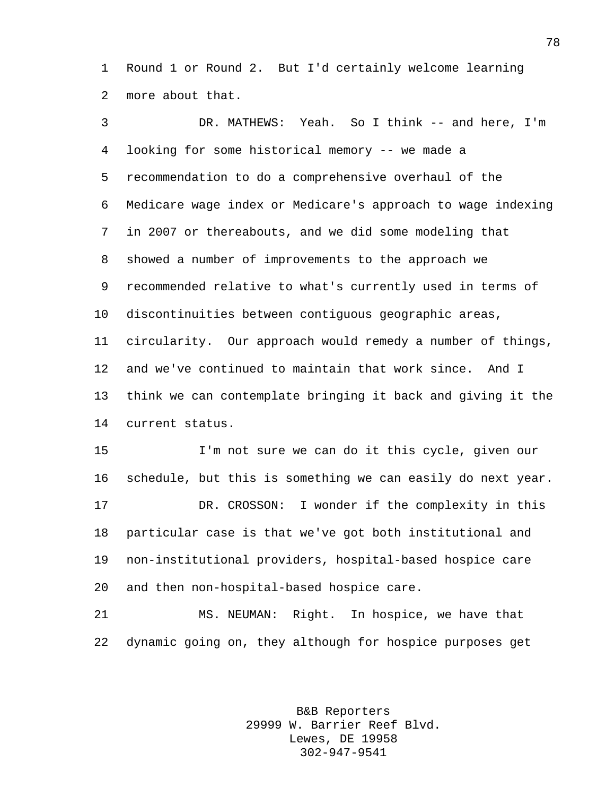Round 1 or Round 2. But I'd certainly welcome learning more about that.

 DR. MATHEWS: Yeah. So I think -- and here, I'm looking for some historical memory -- we made a recommendation to do a comprehensive overhaul of the Medicare wage index or Medicare's approach to wage indexing in 2007 or thereabouts, and we did some modeling that showed a number of improvements to the approach we recommended relative to what's currently used in terms of discontinuities between contiguous geographic areas, circularity. Our approach would remedy a number of things, and we've continued to maintain that work since. And I think we can contemplate bringing it back and giving it the current status.

 I'm not sure we can do it this cycle, given our schedule, but this is something we can easily do next year. DR. CROSSON: I wonder if the complexity in this particular case is that we've got both institutional and non-institutional providers, hospital-based hospice care and then non-hospital-based hospice care.

 MS. NEUMAN: Right. In hospice, we have that dynamic going on, they although for hospice purposes get

> B&B Reporters 29999 W. Barrier Reef Blvd. Lewes, DE 19958 302-947-9541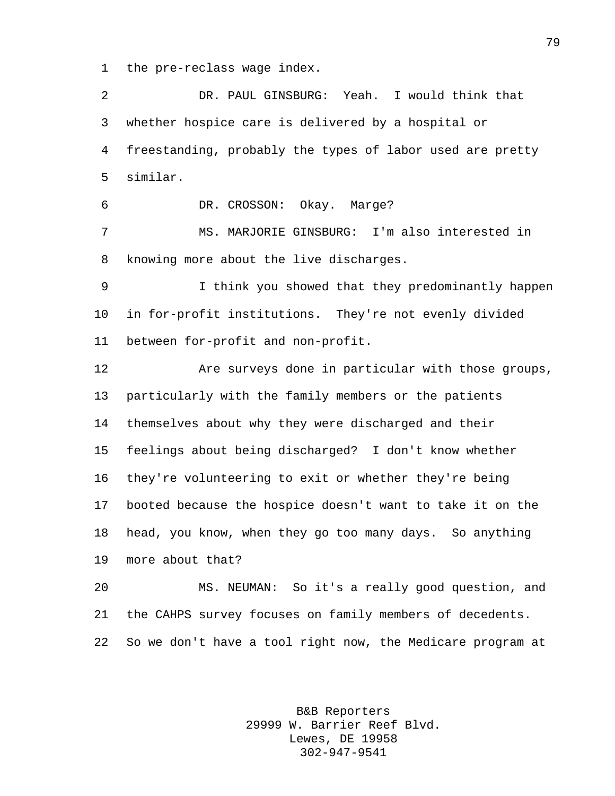the pre-reclass wage index.

 DR. PAUL GINSBURG: Yeah. I would think that whether hospice care is delivered by a hospital or freestanding, probably the types of labor used are pretty similar. DR. CROSSON: Okay. Marge? MS. MARJORIE GINSBURG: I'm also interested in knowing more about the live discharges. I think you showed that they predominantly happen in for-profit institutions. They're not evenly divided between for-profit and non-profit. Are surveys done in particular with those groups, particularly with the family members or the patients themselves about why they were discharged and their feelings about being discharged? I don't know whether they're volunteering to exit or whether they're being booted because the hospice doesn't want to take it on the head, you know, when they go too many days. So anything more about that? MS. NEUMAN: So it's a really good question, and the CAHPS survey focuses on family members of decedents. So we don't have a tool right now, the Medicare program at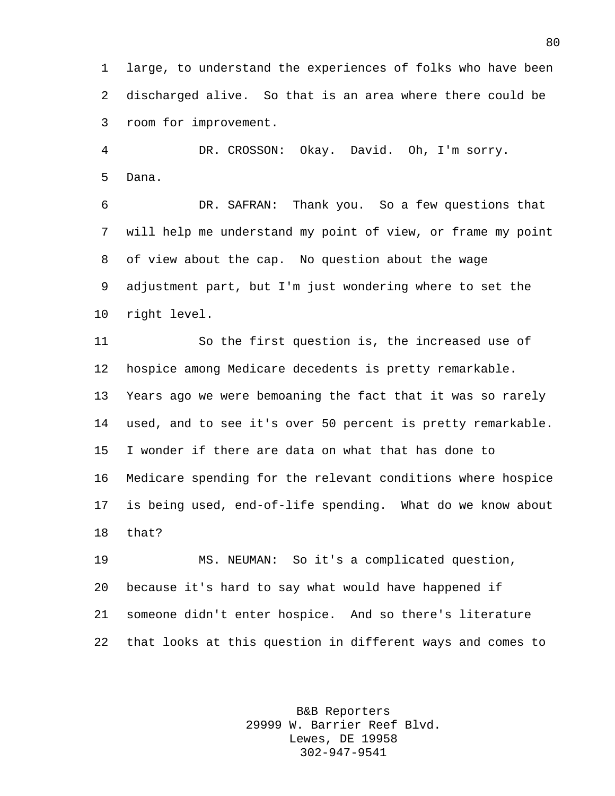large, to understand the experiences of folks who have been discharged alive. So that is an area where there could be room for improvement.

 DR. CROSSON: Okay. David. Oh, I'm sorry. Dana.

 DR. SAFRAN: Thank you. So a few questions that will help me understand my point of view, or frame my point of view about the cap. No question about the wage adjustment part, but I'm just wondering where to set the right level.

 So the first question is, the increased use of hospice among Medicare decedents is pretty remarkable. Years ago we were bemoaning the fact that it was so rarely used, and to see it's over 50 percent is pretty remarkable. I wonder if there are data on what that has done to Medicare spending for the relevant conditions where hospice is being used, end-of-life spending. What do we know about that?

 MS. NEUMAN: So it's a complicated question, because it's hard to say what would have happened if someone didn't enter hospice. And so there's literature that looks at this question in different ways and comes to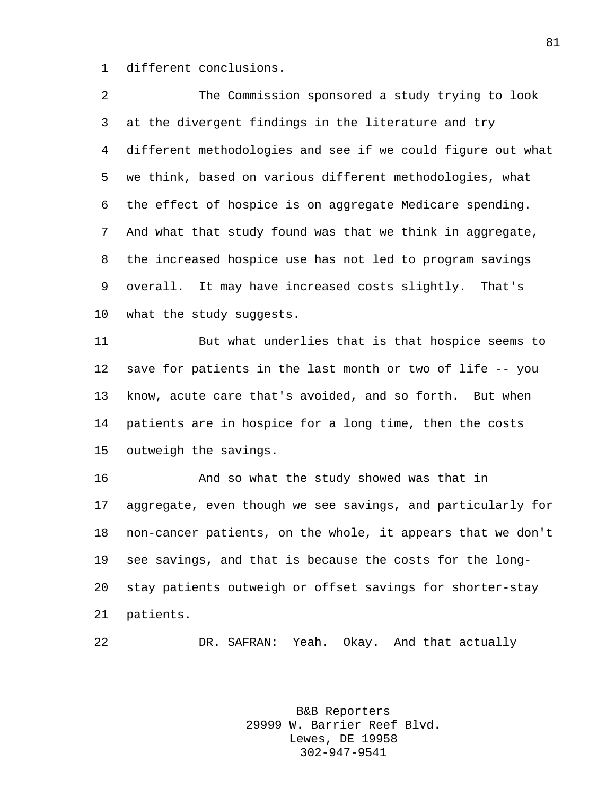different conclusions.

 The Commission sponsored a study trying to look at the divergent findings in the literature and try different methodologies and see if we could figure out what we think, based on various different methodologies, what the effect of hospice is on aggregate Medicare spending. And what that study found was that we think in aggregate, the increased hospice use has not led to program savings overall. It may have increased costs slightly. That's what the study suggests. But what underlies that is that hospice seems to save for patients in the last month or two of life -- you know, acute care that's avoided, and so forth. But when patients are in hospice for a long time, then the costs outweigh the savings. And so what the study showed was that in aggregate, even though we see savings, and particularly for non-cancer patients, on the whole, it appears that we don't see savings, and that is because the costs for the long- stay patients outweigh or offset savings for shorter-stay patients. DR. SAFRAN: Yeah. Okay. And that actually

> B&B Reporters 29999 W. Barrier Reef Blvd. Lewes, DE 19958 302-947-9541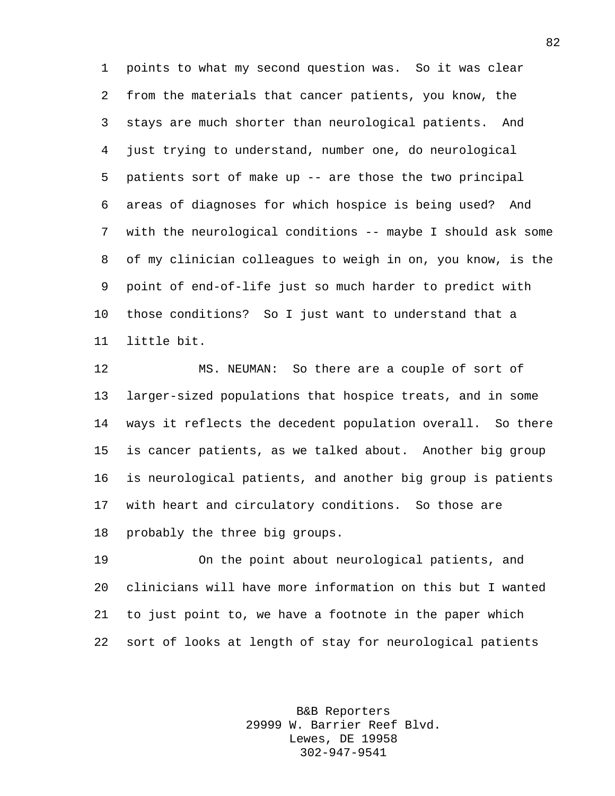points to what my second question was. So it was clear from the materials that cancer patients, you know, the stays are much shorter than neurological patients. And just trying to understand, number one, do neurological patients sort of make up -- are those the two principal areas of diagnoses for which hospice is being used? And with the neurological conditions -- maybe I should ask some of my clinician colleagues to weigh in on, you know, is the point of end-of-life just so much harder to predict with those conditions? So I just want to understand that a little bit.

 MS. NEUMAN: So there are a couple of sort of larger-sized populations that hospice treats, and in some ways it reflects the decedent population overall. So there is cancer patients, as we talked about. Another big group is neurological patients, and another big group is patients with heart and circulatory conditions. So those are probably the three big groups.

 On the point about neurological patients, and clinicians will have more information on this but I wanted to just point to, we have a footnote in the paper which sort of looks at length of stay for neurological patients

> B&B Reporters 29999 W. Barrier Reef Blvd. Lewes, DE 19958 302-947-9541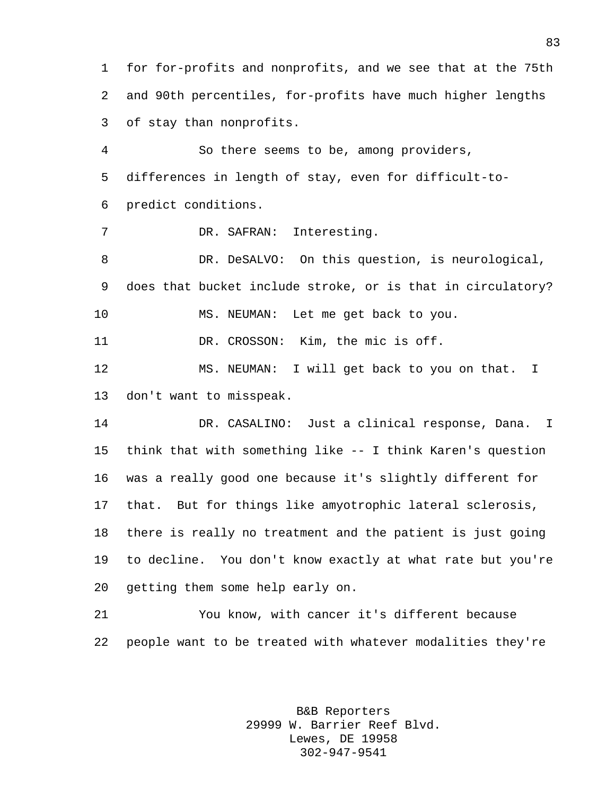for for-profits and nonprofits, and we see that at the 75th and 90th percentiles, for-profits have much higher lengths of stay than nonprofits.

 So there seems to be, among providers, differences in length of stay, even for difficult-to-predict conditions.

DR. SAFRAN: Interesting.

 DR. DeSALVO: On this question, is neurological, does that bucket include stroke, or is that in circulatory? MS. NEUMAN: Let me get back to you.

DR. CROSSON: Kim, the mic is off.

 MS. NEUMAN: I will get back to you on that. I don't want to misspeak.

 DR. CASALINO: Just a clinical response, Dana. I think that with something like -- I think Karen's question was a really good one because it's slightly different for that. But for things like amyotrophic lateral sclerosis, there is really no treatment and the patient is just going to decline. You don't know exactly at what rate but you're getting them some help early on.

 You know, with cancer it's different because people want to be treated with whatever modalities they're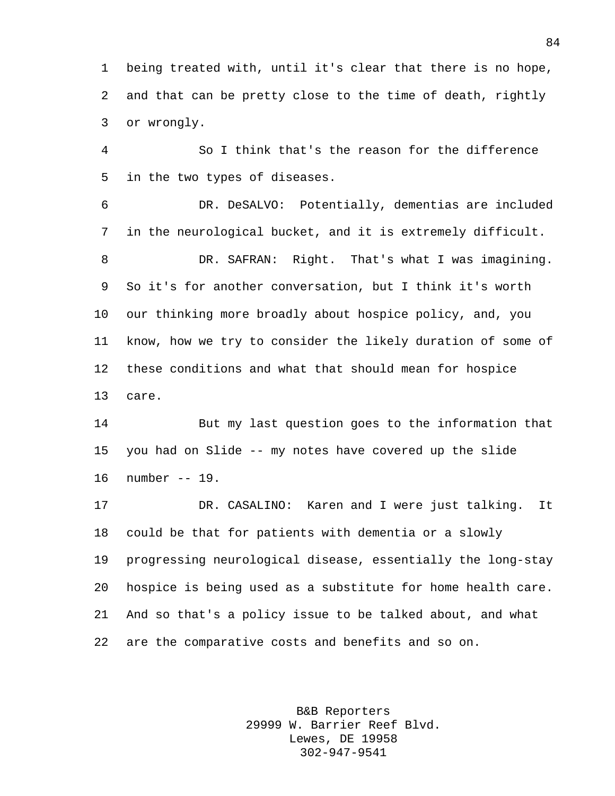being treated with, until it's clear that there is no hope, and that can be pretty close to the time of death, rightly or wrongly.

 So I think that's the reason for the difference in the two types of diseases.

 DR. DeSALVO: Potentially, dementias are included in the neurological bucket, and it is extremely difficult. DR. SAFRAN: Right. That's what I was imagining. So it's for another conversation, but I think it's worth our thinking more broadly about hospice policy, and, you know, how we try to consider the likely duration of some of these conditions and what that should mean for hospice care.

 But my last question goes to the information that you had on Slide -- my notes have covered up the slide number -- 19.

 DR. CASALINO: Karen and I were just talking. It could be that for patients with dementia or a slowly progressing neurological disease, essentially the long-stay hospice is being used as a substitute for home health care. And so that's a policy issue to be talked about, and what are the comparative costs and benefits and so on.

> B&B Reporters 29999 W. Barrier Reef Blvd. Lewes, DE 19958 302-947-9541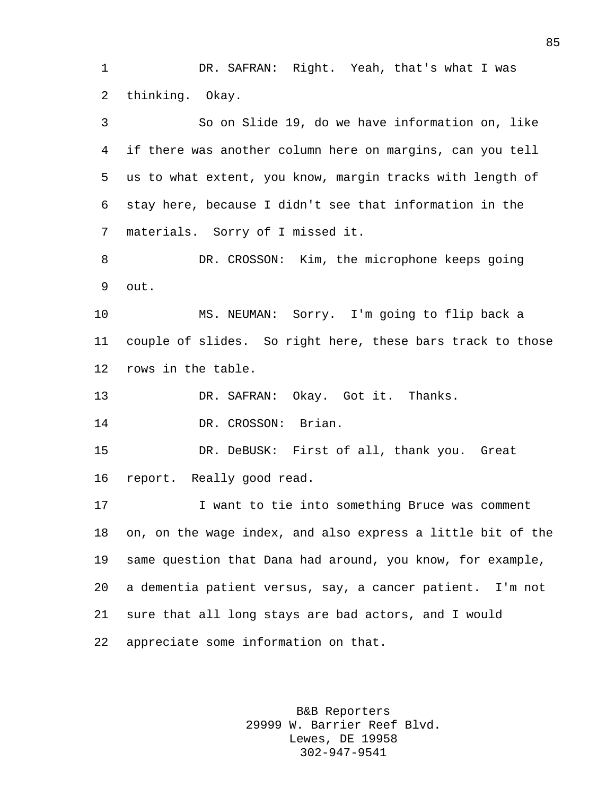DR. SAFRAN: Right. Yeah, that's what I was thinking. Okay.

 So on Slide 19, do we have information on, like if there was another column here on margins, can you tell us to what extent, you know, margin tracks with length of stay here, because I didn't see that information in the materials. Sorry of I missed it. DR. CROSSON: Kim, the microphone keeps going

out.

 MS. NEUMAN: Sorry. I'm going to flip back a couple of slides. So right here, these bars track to those rows in the table.

DR. SAFRAN: Okay. Got it. Thanks.

14 DR. CROSSON: Brian.

 DR. DeBUSK: First of all, thank you. Great report. Really good read.

 I want to tie into something Bruce was comment on, on the wage index, and also express a little bit of the same question that Dana had around, you know, for example, a dementia patient versus, say, a cancer patient. I'm not sure that all long stays are bad actors, and I would appreciate some information on that.

> B&B Reporters 29999 W. Barrier Reef Blvd. Lewes, DE 19958 302-947-9541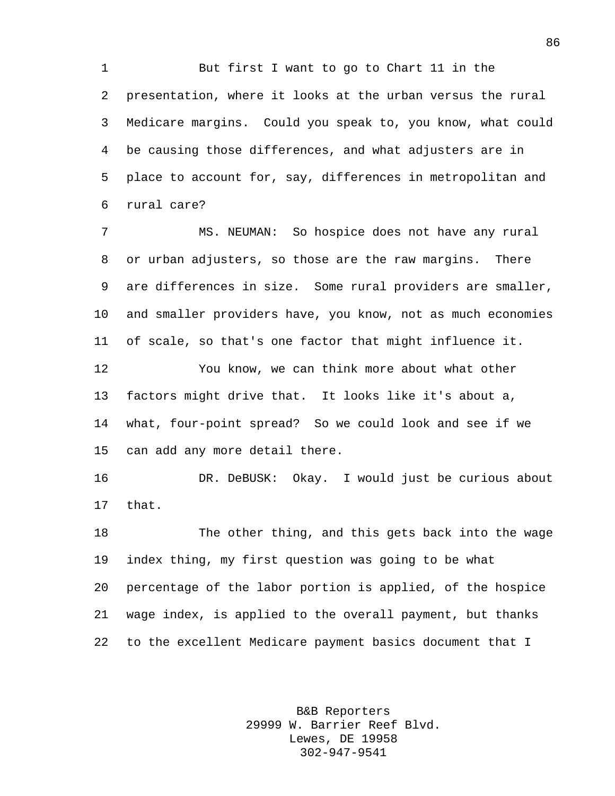But first I want to go to Chart 11 in the presentation, where it looks at the urban versus the rural Medicare margins. Could you speak to, you know, what could be causing those differences, and what adjusters are in place to account for, say, differences in metropolitan and rural care?

 MS. NEUMAN: So hospice does not have any rural or urban adjusters, so those are the raw margins. There are differences in size. Some rural providers are smaller, and smaller providers have, you know, not as much economies of scale, so that's one factor that might influence it. You know, we can think more about what other factors might drive that. It looks like it's about a, what, four-point spread? So we could look and see if we

can add any more detail there.

 DR. DeBUSK: Okay. I would just be curious about that.

 The other thing, and this gets back into the wage index thing, my first question was going to be what percentage of the labor portion is applied, of the hospice wage index, is applied to the overall payment, but thanks to the excellent Medicare payment basics document that I

> B&B Reporters 29999 W. Barrier Reef Blvd. Lewes, DE 19958 302-947-9541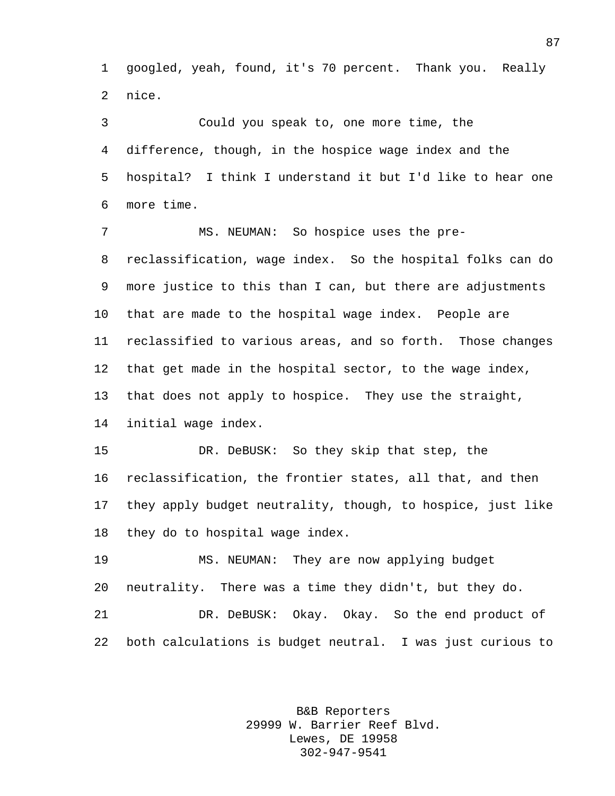googled, yeah, found, it's 70 percent. Thank you. Really nice.

 Could you speak to, one more time, the difference, though, in the hospice wage index and the hospital? I think I understand it but I'd like to hear one more time.

 MS. NEUMAN: So hospice uses the pre- reclassification, wage index. So the hospital folks can do more justice to this than I can, but there are adjustments that are made to the hospital wage index. People are reclassified to various areas, and so forth. Those changes that get made in the hospital sector, to the wage index, that does not apply to hospice. They use the straight, initial wage index.

 DR. DeBUSK: So they skip that step, the reclassification, the frontier states, all that, and then they apply budget neutrality, though, to hospice, just like they do to hospital wage index.

 MS. NEUMAN: They are now applying budget neutrality. There was a time they didn't, but they do.

 DR. DeBUSK: Okay. Okay. So the end product of both calculations is budget neutral. I was just curious to

> B&B Reporters 29999 W. Barrier Reef Blvd. Lewes, DE 19958 302-947-9541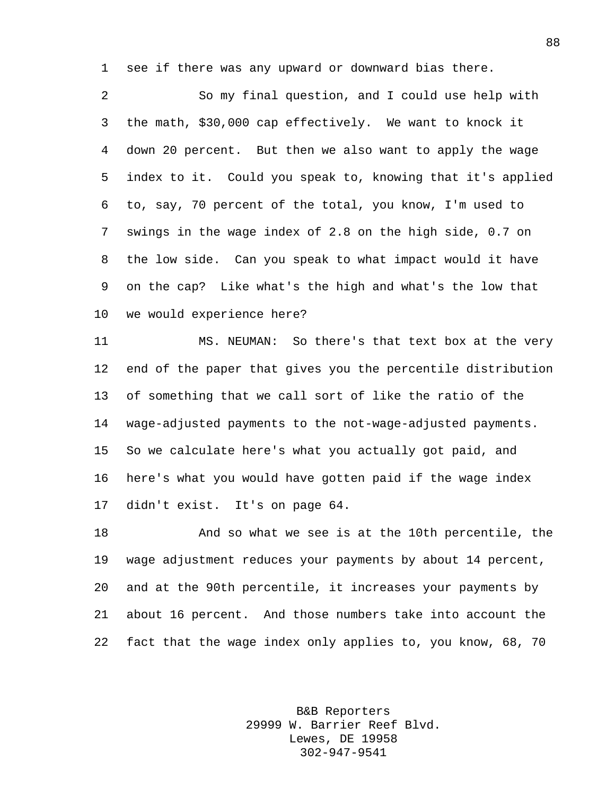see if there was any upward or downward bias there.

 So my final question, and I could use help with the math, \$30,000 cap effectively. We want to knock it down 20 percent. But then we also want to apply the wage index to it. Could you speak to, knowing that it's applied to, say, 70 percent of the total, you know, I'm used to swings in the wage index of 2.8 on the high side, 0.7 on the low side. Can you speak to what impact would it have on the cap? Like what's the high and what's the low that we would experience here?

 MS. NEUMAN: So there's that text box at the very end of the paper that gives you the percentile distribution of something that we call sort of like the ratio of the wage-adjusted payments to the not-wage-adjusted payments. So we calculate here's what you actually got paid, and here's what you would have gotten paid if the wage index didn't exist. It's on page 64.

 And so what we see is at the 10th percentile, the wage adjustment reduces your payments by about 14 percent, and at the 90th percentile, it increases your payments by about 16 percent. And those numbers take into account the fact that the wage index only applies to, you know, 68, 70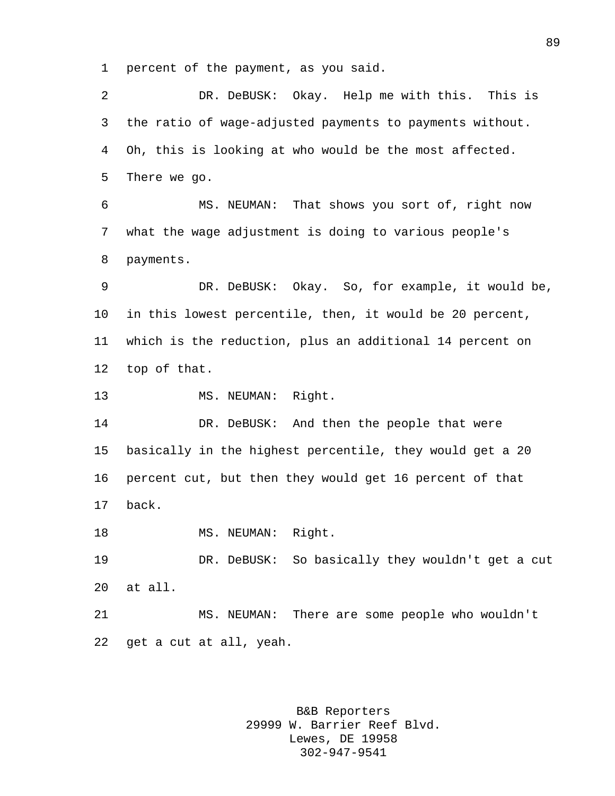percent of the payment, as you said.

 DR. DeBUSK: Okay. Help me with this. This is the ratio of wage-adjusted payments to payments without. Oh, this is looking at who would be the most affected. There we go. MS. NEUMAN: That shows you sort of, right now what the wage adjustment is doing to various people's payments. DR. DeBUSK: Okay. So, for example, it would be, in this lowest percentile, then, it would be 20 percent, which is the reduction, plus an additional 14 percent on top of that. MS. NEUMAN: Right. 14 DR. DeBUSK: And then the people that were basically in the highest percentile, they would get a 20 percent cut, but then they would get 16 percent of that back. 18 MS. NEUMAN: Right. DR. DeBUSK: So basically they wouldn't get a cut at all. MS. NEUMAN: There are some people who wouldn't get a cut at all, yeah.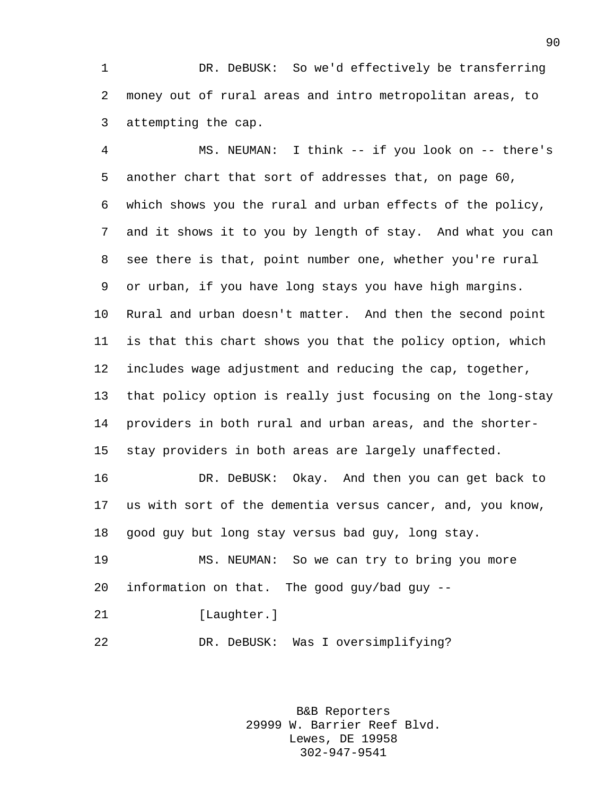DR. DeBUSK: So we'd effectively be transferring money out of rural areas and intro metropolitan areas, to attempting the cap.

 MS. NEUMAN: I think -- if you look on -- there's another chart that sort of addresses that, on page 60, which shows you the rural and urban effects of the policy, and it shows it to you by length of stay. And what you can see there is that, point number one, whether you're rural or urban, if you have long stays you have high margins. Rural and urban doesn't matter. And then the second point is that this chart shows you that the policy option, which includes wage adjustment and reducing the cap, together, that policy option is really just focusing on the long-stay providers in both rural and urban areas, and the shorter- stay providers in both areas are largely unaffected. DR. DeBUSK: Okay. And then you can get back to

 us with sort of the dementia versus cancer, and, you know, good guy but long stay versus bad guy, long stay.

 MS. NEUMAN: So we can try to bring you more information on that. The good guy/bad guy --

21 [Laughter.]

DR. DeBUSK: Was I oversimplifying?

B&B Reporters 29999 W. Barrier Reef Blvd. Lewes, DE 19958 302-947-9541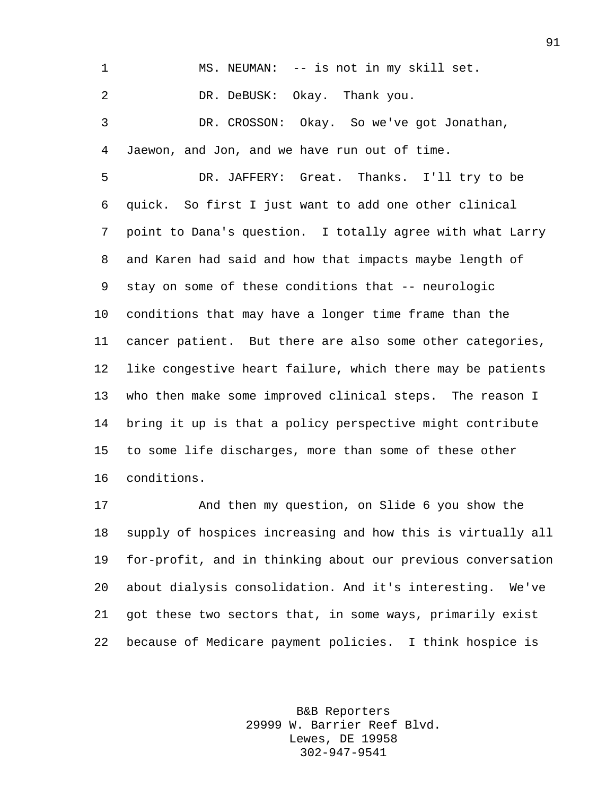MS. NEUMAN: -- is not in my skill set. DR. DeBUSK: Okay. Thank you.

 DR. CROSSON: Okay. So we've got Jonathan, Jaewon, and Jon, and we have run out of time.

 DR. JAFFERY: Great. Thanks. I'll try to be quick. So first I just want to add one other clinical point to Dana's question. I totally agree with what Larry and Karen had said and how that impacts maybe length of stay on some of these conditions that -- neurologic conditions that may have a longer time frame than the cancer patient. But there are also some other categories, like congestive heart failure, which there may be patients who then make some improved clinical steps. The reason I bring it up is that a policy perspective might contribute to some life discharges, more than some of these other conditions.

 And then my question, on Slide 6 you show the supply of hospices increasing and how this is virtually all for-profit, and in thinking about our previous conversation about dialysis consolidation. And it's interesting. We've got these two sectors that, in some ways, primarily exist because of Medicare payment policies. I think hospice is

> B&B Reporters 29999 W. Barrier Reef Blvd. Lewes, DE 19958 302-947-9541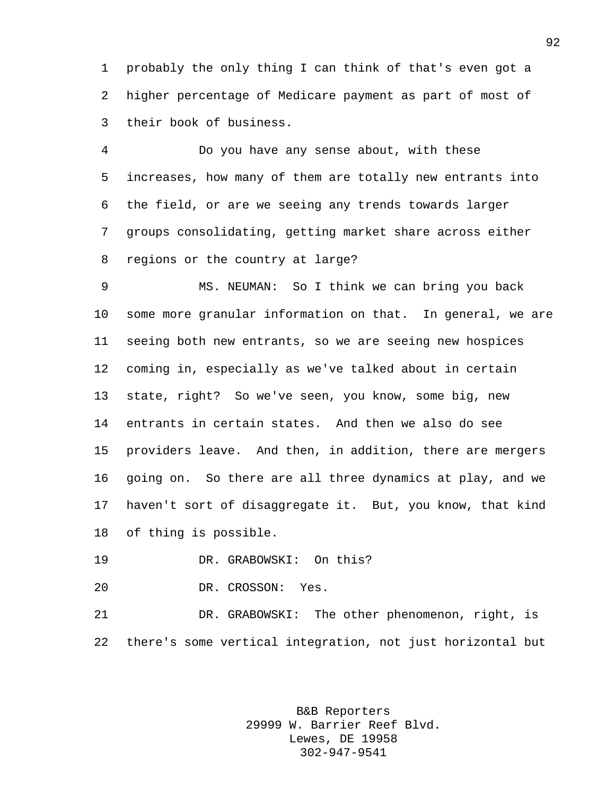probably the only thing I can think of that's even got a higher percentage of Medicare payment as part of most of their book of business.

 Do you have any sense about, with these increases, how many of them are totally new entrants into the field, or are we seeing any trends towards larger groups consolidating, getting market share across either regions or the country at large?

 MS. NEUMAN: So I think we can bring you back some more granular information on that. In general, we are seeing both new entrants, so we are seeing new hospices coming in, especially as we've talked about in certain state, right? So we've seen, you know, some big, new entrants in certain states. And then we also do see providers leave. And then, in addition, there are mergers going on. So there are all three dynamics at play, and we haven't sort of disaggregate it. But, you know, that kind of thing is possible.

DR. GRABOWSKI: On this?

DR. CROSSON: Yes.

 DR. GRABOWSKI: The other phenomenon, right, is there's some vertical integration, not just horizontal but

> B&B Reporters 29999 W. Barrier Reef Blvd. Lewes, DE 19958 302-947-9541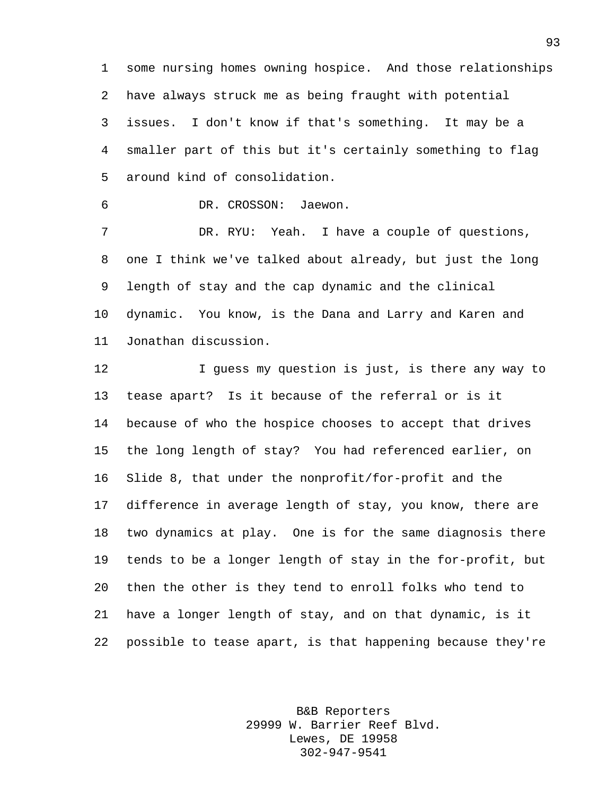some nursing homes owning hospice. And those relationships have always struck me as being fraught with potential issues. I don't know if that's something. It may be a smaller part of this but it's certainly something to flag around kind of consolidation.

DR. CROSSON: Jaewon.

 DR. RYU: Yeah. I have a couple of questions, one I think we've talked about already, but just the long length of stay and the cap dynamic and the clinical dynamic. You know, is the Dana and Larry and Karen and Jonathan discussion.

 I guess my question is just, is there any way to tease apart? Is it because of the referral or is it because of who the hospice chooses to accept that drives the long length of stay? You had referenced earlier, on Slide 8, that under the nonprofit/for-profit and the difference in average length of stay, you know, there are two dynamics at play. One is for the same diagnosis there tends to be a longer length of stay in the for-profit, but then the other is they tend to enroll folks who tend to have a longer length of stay, and on that dynamic, is it possible to tease apart, is that happening because they're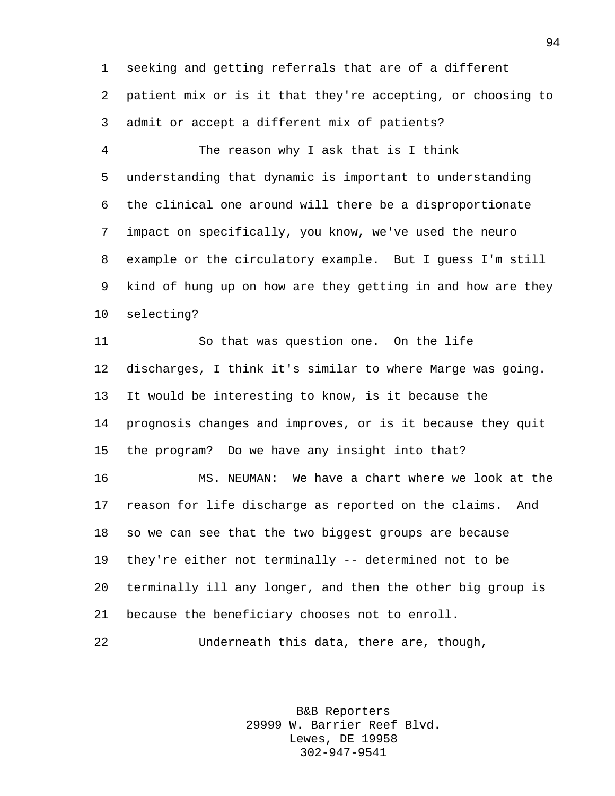seeking and getting referrals that are of a different patient mix or is it that they're accepting, or choosing to admit or accept a different mix of patients?

 The reason why I ask that is I think understanding that dynamic is important to understanding the clinical one around will there be a disproportionate impact on specifically, you know, we've used the neuro example or the circulatory example. But I guess I'm still kind of hung up on how are they getting in and how are they selecting?

 So that was question one. On the life discharges, I think it's similar to where Marge was going. It would be interesting to know, is it because the prognosis changes and improves, or is it because they quit the program? Do we have any insight into that? MS. NEUMAN: We have a chart where we look at the

 reason for life discharge as reported on the claims. And so we can see that the two biggest groups are because they're either not terminally -- determined not to be terminally ill any longer, and then the other big group is because the beneficiary chooses not to enroll.

Underneath this data, there are, though,

B&B Reporters 29999 W. Barrier Reef Blvd. Lewes, DE 19958 302-947-9541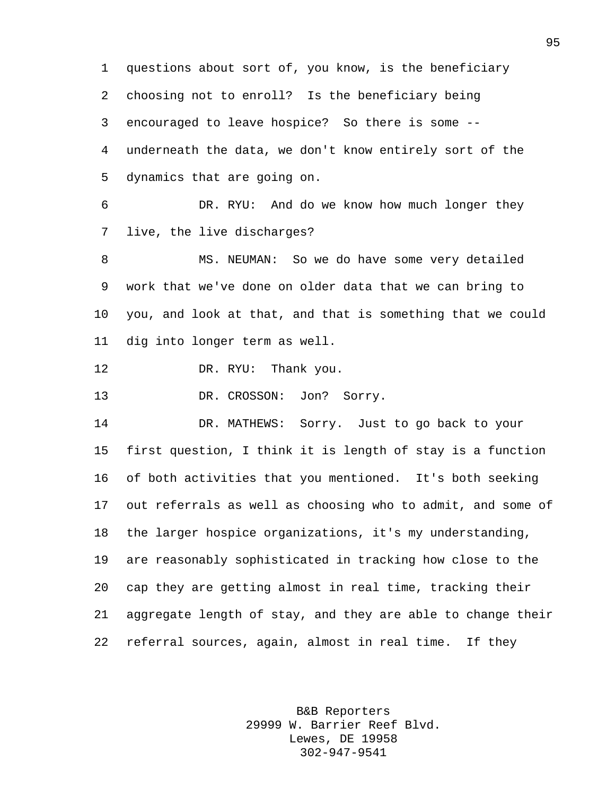questions about sort of, you know, is the beneficiary choosing not to enroll? Is the beneficiary being encouraged to leave hospice? So there is some -- underneath the data, we don't know entirely sort of the dynamics that are going on. DR. RYU: And do we know how much longer they live, the live discharges? MS. NEUMAN: So we do have some very detailed work that we've done on older data that we can bring to you, and look at that, and that is something that we could dig into longer term as well. 12 DR. RYU: Thank you. 13 DR. CROSSON: Jon? Sorry. DR. MATHEWS: Sorry. Just to go back to your first question, I think it is length of stay is a function of both activities that you mentioned. It's both seeking out referrals as well as choosing who to admit, and some of the larger hospice organizations, it's my understanding, are reasonably sophisticated in tracking how close to the cap they are getting almost in real time, tracking their aggregate length of stay, and they are able to change their referral sources, again, almost in real time. If they

> B&B Reporters 29999 W. Barrier Reef Blvd. Lewes, DE 19958 302-947-9541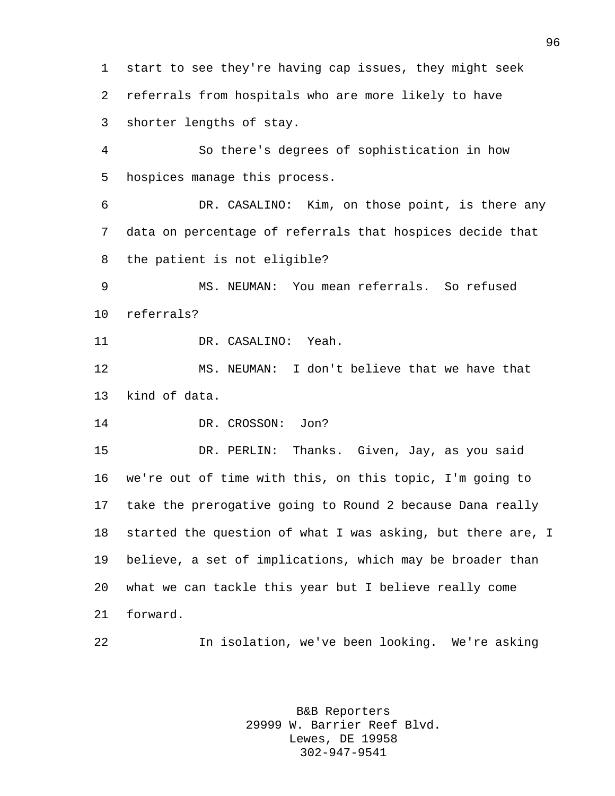start to see they're having cap issues, they might seek referrals from hospitals who are more likely to have shorter lengths of stay.

 So there's degrees of sophistication in how hospices manage this process.

 DR. CASALINO: Kim, on those point, is there any data on percentage of referrals that hospices decide that the patient is not eligible?

 MS. NEUMAN: You mean referrals. So refused referrals?

DR. CASALINO: Yeah.

 MS. NEUMAN: I don't believe that we have that kind of data.

DR. CROSSON: Jon?

 DR. PERLIN: Thanks. Given, Jay, as you said we're out of time with this, on this topic, I'm going to take the prerogative going to Round 2 because Dana really started the question of what I was asking, but there are, I believe, a set of implications, which may be broader than what we can tackle this year but I believe really come forward.

In isolation, we've been looking. We're asking

B&B Reporters 29999 W. Barrier Reef Blvd. Lewes, DE 19958 302-947-9541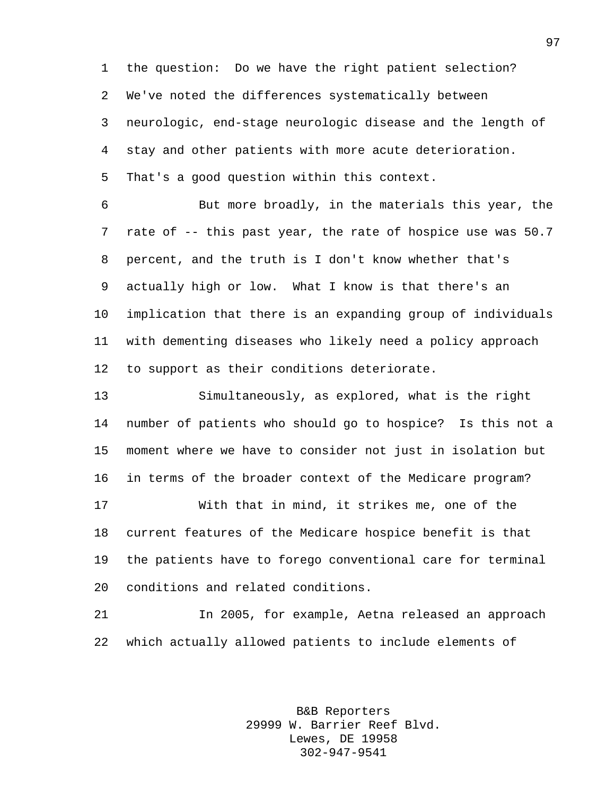the question: Do we have the right patient selection? We've noted the differences systematically between neurologic, end-stage neurologic disease and the length of stay and other patients with more acute deterioration. That's a good question within this context.

 But more broadly, in the materials this year, the rate of -- this past year, the rate of hospice use was 50.7 percent, and the truth is I don't know whether that's actually high or low. What I know is that there's an implication that there is an expanding group of individuals with dementing diseases who likely need a policy approach to support as their conditions deteriorate.

 Simultaneously, as explored, what is the right number of patients who should go to hospice? Is this not a moment where we have to consider not just in isolation but in terms of the broader context of the Medicare program? With that in mind, it strikes me, one of the current features of the Medicare hospice benefit is that

 the patients have to forego conventional care for terminal conditions and related conditions.

 In 2005, for example, Aetna released an approach which actually allowed patients to include elements of

> B&B Reporters 29999 W. Barrier Reef Blvd. Lewes, DE 19958 302-947-9541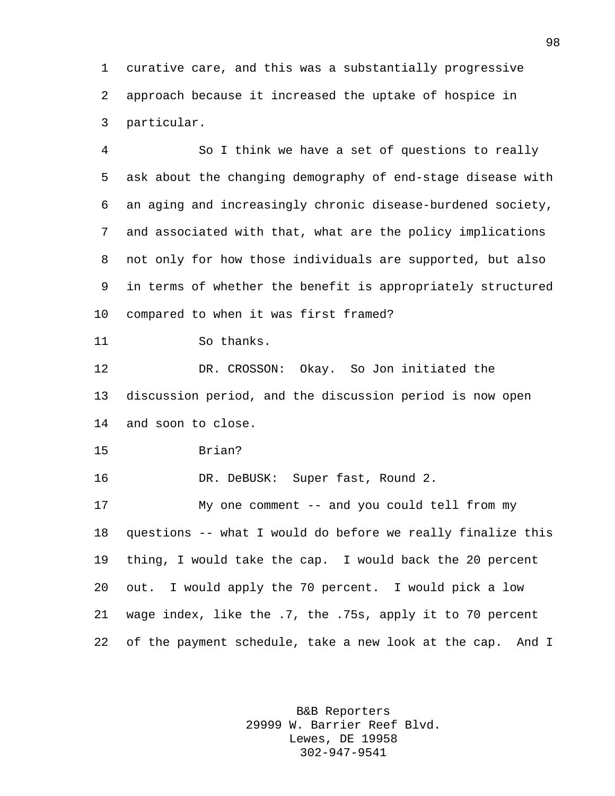curative care, and this was a substantially progressive approach because it increased the uptake of hospice in particular.

 So I think we have a set of questions to really ask about the changing demography of end-stage disease with an aging and increasingly chronic disease-burdened society, and associated with that, what are the policy implications not only for how those individuals are supported, but also in terms of whether the benefit is appropriately structured compared to when it was first framed?

```
11 So thanks.
```
 DR. CROSSON: Okay. So Jon initiated the discussion period, and the discussion period is now open and soon to close.

```
15 Brian?
```
16 DR. DeBUSK: Super fast, Round 2.

 My one comment -- and you could tell from my questions -- what I would do before we really finalize this thing, I would take the cap. I would back the 20 percent out. I would apply the 70 percent. I would pick a low wage index, like the .7, the .75s, apply it to 70 percent of the payment schedule, take a new look at the cap. And I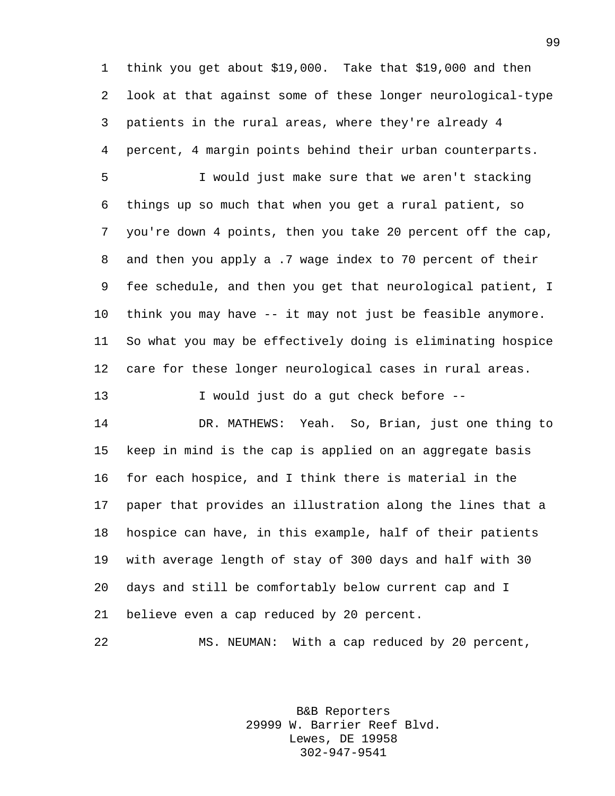think you get about \$19,000. Take that \$19,000 and then look at that against some of these longer neurological-type patients in the rural areas, where they're already 4 percent, 4 margin points behind their urban counterparts.

 I would just make sure that we aren't stacking things up so much that when you get a rural patient, so you're down 4 points, then you take 20 percent off the cap, and then you apply a .7 wage index to 70 percent of their fee schedule, and then you get that neurological patient, I think you may have -- it may not just be feasible anymore. So what you may be effectively doing is eliminating hospice care for these longer neurological cases in rural areas.

I would just do a gut check before --

 DR. MATHEWS: Yeah. So, Brian, just one thing to keep in mind is the cap is applied on an aggregate basis for each hospice, and I think there is material in the paper that provides an illustration along the lines that a hospice can have, in this example, half of their patients with average length of stay of 300 days and half with 30 days and still be comfortably below current cap and I believe even a cap reduced by 20 percent.

MS. NEUMAN: With a cap reduced by 20 percent,

B&B Reporters 29999 W. Barrier Reef Blvd. Lewes, DE 19958 302-947-9541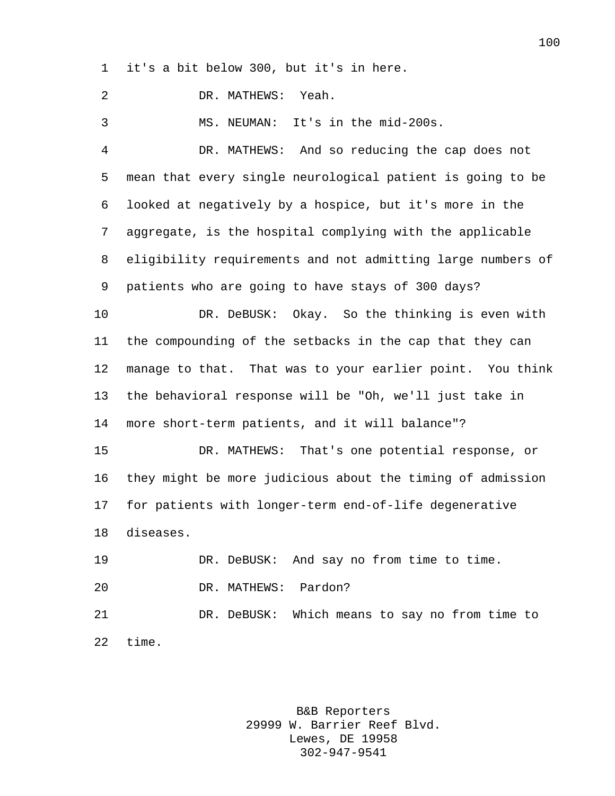it's a bit below 300, but it's in here.

DR. MATHEWS: Yeah.

MS. NEUMAN: It's in the mid-200s.

 DR. MATHEWS: And so reducing the cap does not mean that every single neurological patient is going to be looked at negatively by a hospice, but it's more in the aggregate, is the hospital complying with the applicable eligibility requirements and not admitting large numbers of patients who are going to have stays of 300 days?

 DR. DeBUSK: Okay. So the thinking is even with the compounding of the setbacks in the cap that they can manage to that. That was to your earlier point. You think the behavioral response will be "Oh, we'll just take in more short-term patients, and it will balance"?

 DR. MATHEWS: That's one potential response, or they might be more judicious about the timing of admission for patients with longer-term end-of-life degenerative diseases.

 DR. DeBUSK: And say no from time to time. DR. MATHEWS: Pardon? DR. DeBUSK: Which means to say no from time to time.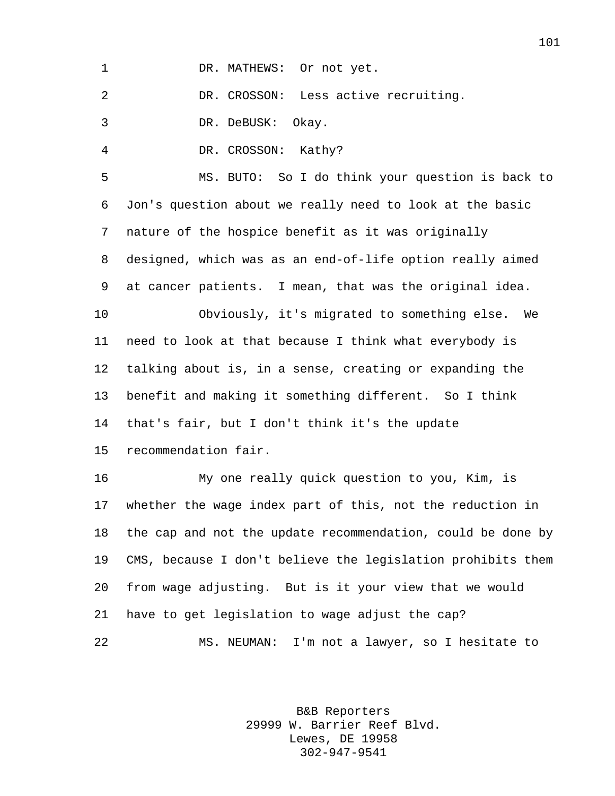DR. CROSSON: Less active recruiting.

DR. DeBUSK: Okay.

DR. CROSSON: Kathy?

 MS. BUTO: So I do think your question is back to Jon's question about we really need to look at the basic nature of the hospice benefit as it was originally designed, which was as an end-of-life option really aimed at cancer patients. I mean, that was the original idea. Obviously, it's migrated to something else. We need to look at that because I think what everybody is talking about is, in a sense, creating or expanding the benefit and making it something different. So I think that's fair, but I don't think it's the update recommendation fair.

 My one really quick question to you, Kim, is whether the wage index part of this, not the reduction in the cap and not the update recommendation, could be done by CMS, because I don't believe the legislation prohibits them from wage adjusting. But is it your view that we would have to get legislation to wage adjust the cap? MS. NEUMAN: I'm not a lawyer, so I hesitate to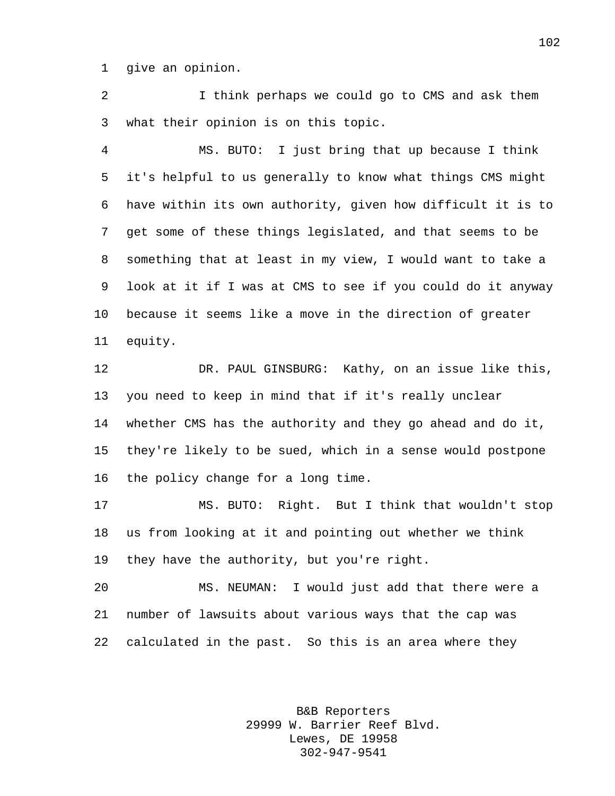give an opinion.

 I think perhaps we could go to CMS and ask them what their opinion is on this topic.

 MS. BUTO: I just bring that up because I think it's helpful to us generally to know what things CMS might have within its own authority, given how difficult it is to get some of these things legislated, and that seems to be something that at least in my view, I would want to take a look at it if I was at CMS to see if you could do it anyway because it seems like a move in the direction of greater equity.

 DR. PAUL GINSBURG: Kathy, on an issue like this, you need to keep in mind that if it's really unclear whether CMS has the authority and they go ahead and do it, they're likely to be sued, which in a sense would postpone the policy change for a long time.

 MS. BUTO: Right. But I think that wouldn't stop us from looking at it and pointing out whether we think they have the authority, but you're right.

 MS. NEUMAN: I would just add that there were a number of lawsuits about various ways that the cap was calculated in the past. So this is an area where they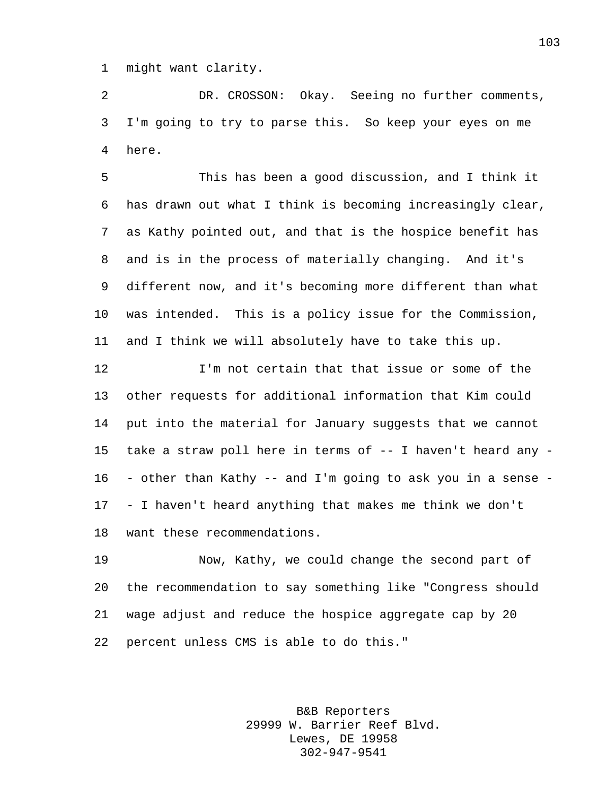might want clarity.

 DR. CROSSON: Okay. Seeing no further comments, I'm going to try to parse this. So keep your eyes on me here.

 This has been a good discussion, and I think it has drawn out what I think is becoming increasingly clear, as Kathy pointed out, and that is the hospice benefit has and is in the process of materially changing. And it's different now, and it's becoming more different than what was intended. This is a policy issue for the Commission, and I think we will absolutely have to take this up.

 I'm not certain that that issue or some of the other requests for additional information that Kim could put into the material for January suggests that we cannot take a straw poll here in terms of -- I haven't heard any - - other than Kathy -- and I'm going to ask you in a sense - - I haven't heard anything that makes me think we don't want these recommendations.

 Now, Kathy, we could change the second part of the recommendation to say something like "Congress should wage adjust and reduce the hospice aggregate cap by 20 percent unless CMS is able to do this."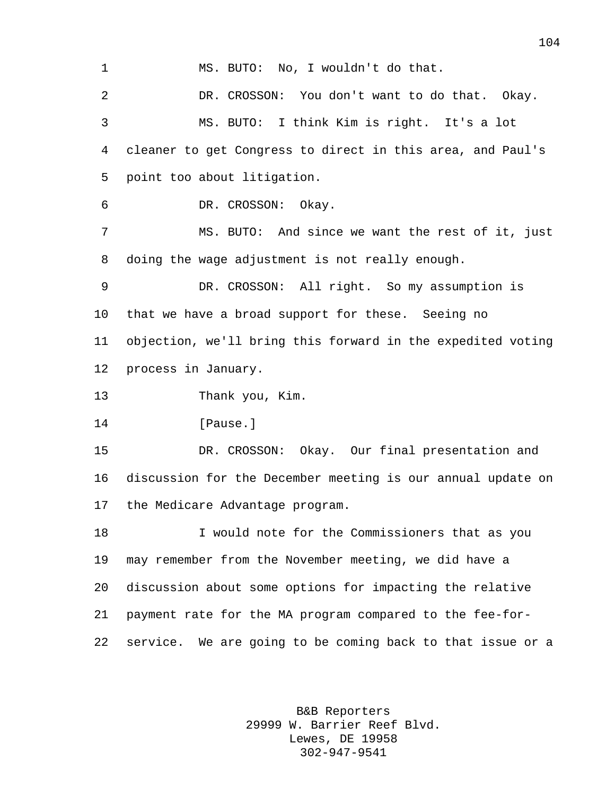MS. BUTO: No, I wouldn't do that. DR. CROSSON: You don't want to do that. Okay. MS. BUTO: I think Kim is right. It's a lot cleaner to get Congress to direct in this area, and Paul's point too about litigation. DR. CROSSON: Okay. MS. BUTO: And since we want the rest of it, just doing the wage adjustment is not really enough. DR. CROSSON: All right. So my assumption is that we have a broad support for these. Seeing no objection, we'll bring this forward in the expedited voting process in January. Thank you, Kim. 14 [Pause.] DR. CROSSON: Okay. Our final presentation and discussion for the December meeting is our annual update on the Medicare Advantage program. I would note for the Commissioners that as you may remember from the November meeting, we did have a discussion about some options for impacting the relative payment rate for the MA program compared to the fee-for-service. We are going to be coming back to that issue or a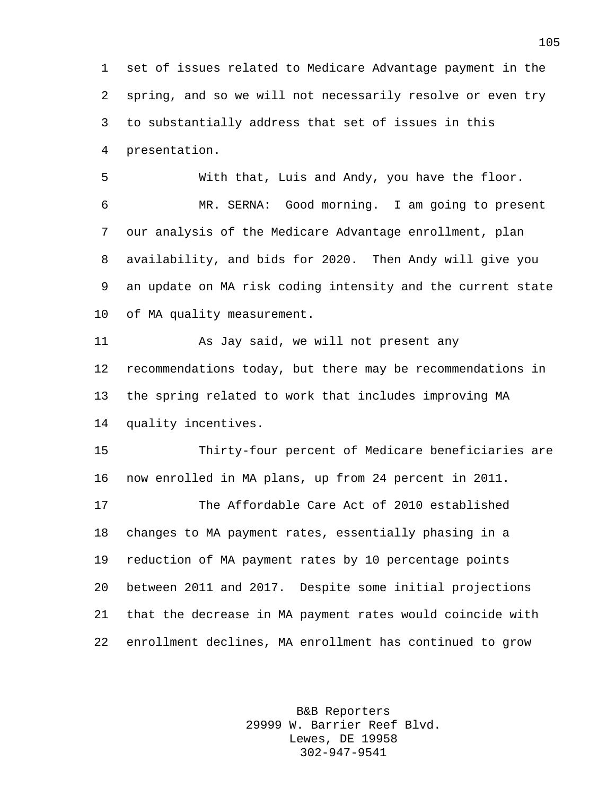set of issues related to Medicare Advantage payment in the spring, and so we will not necessarily resolve or even try to substantially address that set of issues in this presentation.

 With that, Luis and Andy, you have the floor. MR. SERNA: Good morning. I am going to present our analysis of the Medicare Advantage enrollment, plan availability, and bids for 2020. Then Andy will give you an update on MA risk coding intensity and the current state of MA quality measurement.

 As Jay said, we will not present any recommendations today, but there may be recommendations in the spring related to work that includes improving MA quality incentives.

 Thirty-four percent of Medicare beneficiaries are now enrolled in MA plans, up from 24 percent in 2011.

 The Affordable Care Act of 2010 established changes to MA payment rates, essentially phasing in a reduction of MA payment rates by 10 percentage points between 2011 and 2017. Despite some initial projections that the decrease in MA payment rates would coincide with enrollment declines, MA enrollment has continued to grow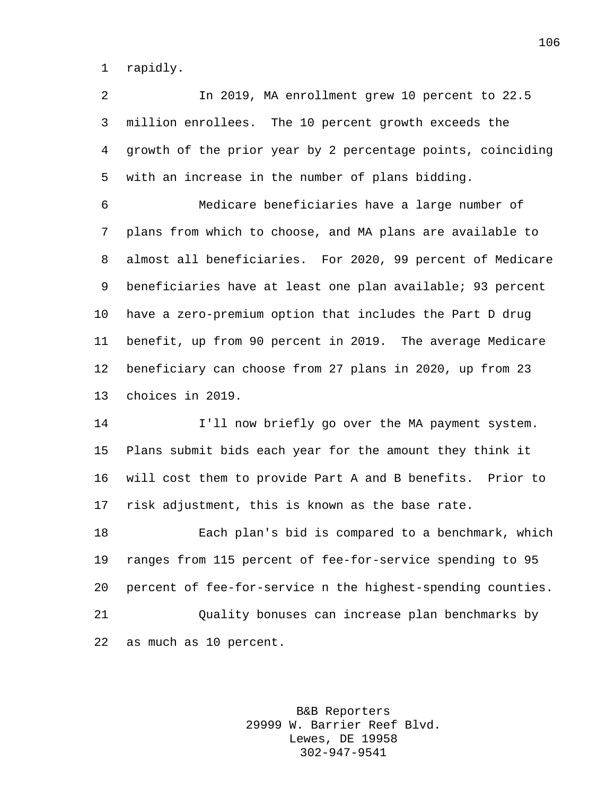rapidly.

 In 2019, MA enrollment grew 10 percent to 22.5 million enrollees. The 10 percent growth exceeds the growth of the prior year by 2 percentage points, coinciding with an increase in the number of plans bidding.

 Medicare beneficiaries have a large number of plans from which to choose, and MA plans are available to almost all beneficiaries. For 2020, 99 percent of Medicare beneficiaries have at least one plan available; 93 percent have a zero-premium option that includes the Part D drug benefit, up from 90 percent in 2019. The average Medicare beneficiary can choose from 27 plans in 2020, up from 23 choices in 2019.

 I'll now briefly go over the MA payment system. Plans submit bids each year for the amount they think it will cost them to provide Part A and B benefits. Prior to risk adjustment, this is known as the base rate.

 Each plan's bid is compared to a benchmark, which ranges from 115 percent of fee-for-service spending to 95 percent of fee-for-service n the highest-spending counties. Quality bonuses can increase plan benchmarks by as much as 10 percent.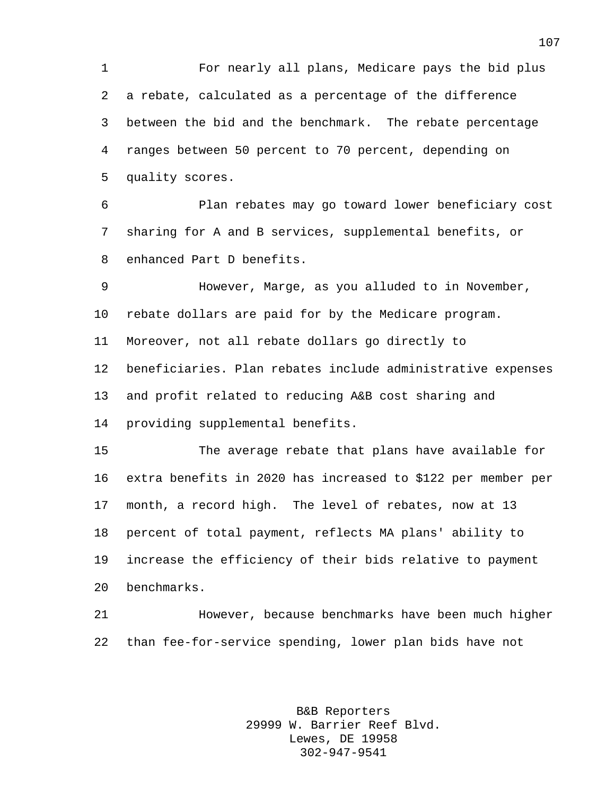For nearly all plans, Medicare pays the bid plus a rebate, calculated as a percentage of the difference between the bid and the benchmark. The rebate percentage ranges between 50 percent to 70 percent, depending on quality scores.

 Plan rebates may go toward lower beneficiary cost sharing for A and B services, supplemental benefits, or enhanced Part D benefits.

 However, Marge, as you alluded to in November, rebate dollars are paid for by the Medicare program. Moreover, not all rebate dollars go directly to beneficiaries. Plan rebates include administrative expenses and profit related to reducing A&B cost sharing and providing supplemental benefits.

 The average rebate that plans have available for extra benefits in 2020 has increased to \$122 per member per month, a record high. The level of rebates, now at 13 percent of total payment, reflects MA plans' ability to increase the efficiency of their bids relative to payment benchmarks.

 However, because benchmarks have been much higher than fee-for-service spending, lower plan bids have not

> B&B Reporters 29999 W. Barrier Reef Blvd. Lewes, DE 19958 302-947-9541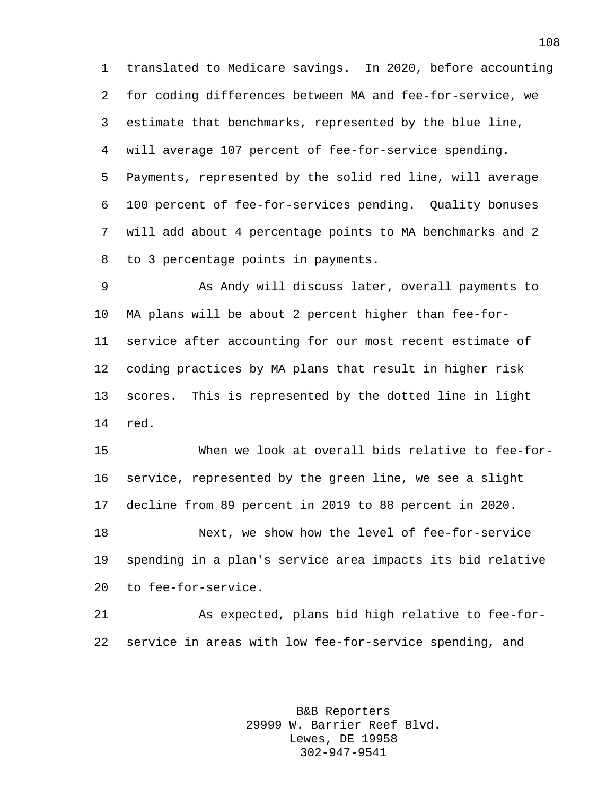translated to Medicare savings. In 2020, before accounting for coding differences between MA and fee-for-service, we estimate that benchmarks, represented by the blue line, will average 107 percent of fee-for-service spending. Payments, represented by the solid red line, will average 100 percent of fee-for-services pending. Quality bonuses will add about 4 percentage points to MA benchmarks and 2 to 3 percentage points in payments.

 As Andy will discuss later, overall payments to MA plans will be about 2 percent higher than fee-for- service after accounting for our most recent estimate of coding practices by MA plans that result in higher risk scores. This is represented by the dotted line in light red.

 When we look at overall bids relative to fee-for- service, represented by the green line, we see a slight decline from 89 percent in 2019 to 88 percent in 2020. Next, we show how the level of fee-for-service spending in a plan's service area impacts its bid relative to fee-for-service.

 As expected, plans bid high relative to fee-for-service in areas with low fee-for-service spending, and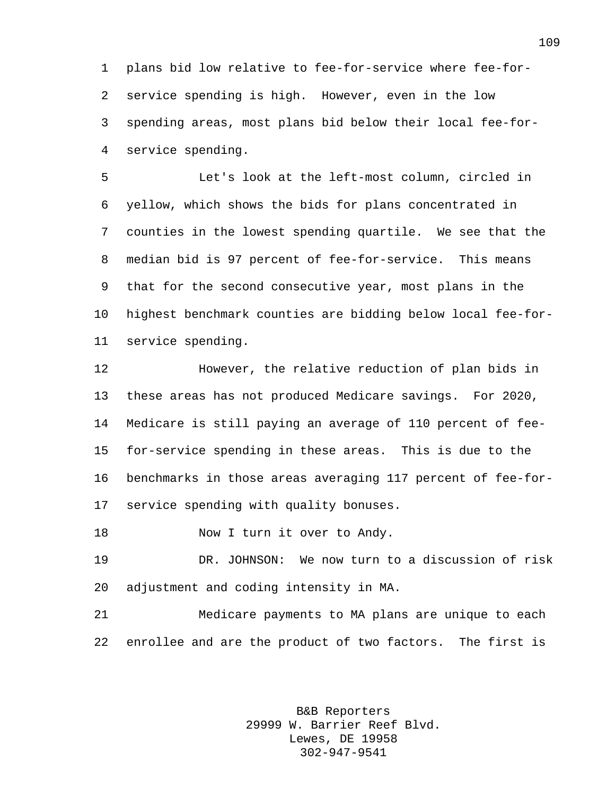plans bid low relative to fee-for-service where fee-for- service spending is high. However, even in the low spending areas, most plans bid below their local fee-for-service spending.

 Let's look at the left-most column, circled in yellow, which shows the bids for plans concentrated in counties in the lowest spending quartile. We see that the median bid is 97 percent of fee-for-service. This means that for the second consecutive year, most plans in the highest benchmark counties are bidding below local fee-for-service spending.

 However, the relative reduction of plan bids in these areas has not produced Medicare savings. For 2020, Medicare is still paying an average of 110 percent of fee- for-service spending in these areas. This is due to the benchmarks in those areas averaging 117 percent of fee-for-service spending with quality bonuses.

18 Now I turn it over to Andy.

 DR. JOHNSON: We now turn to a discussion of risk adjustment and coding intensity in MA.

 Medicare payments to MA plans are unique to each enrollee and are the product of two factors. The first is

> B&B Reporters 29999 W. Barrier Reef Blvd. Lewes, DE 19958 302-947-9541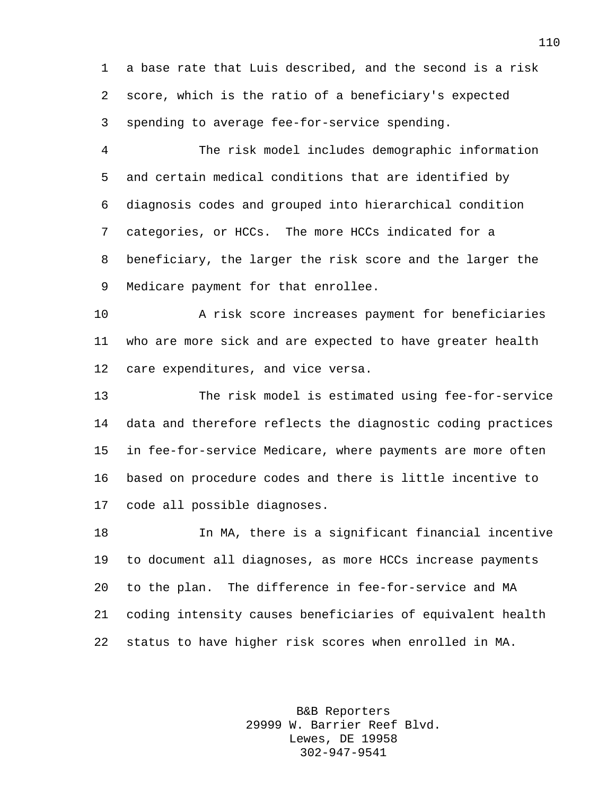a base rate that Luis described, and the second is a risk score, which is the ratio of a beneficiary's expected spending to average fee-for-service spending.

 The risk model includes demographic information and certain medical conditions that are identified by diagnosis codes and grouped into hierarchical condition categories, or HCCs. The more HCCs indicated for a beneficiary, the larger the risk score and the larger the Medicare payment for that enrollee.

 A risk score increases payment for beneficiaries who are more sick and are expected to have greater health care expenditures, and vice versa.

 The risk model is estimated using fee-for-service data and therefore reflects the diagnostic coding practices in fee-for-service Medicare, where payments are more often based on procedure codes and there is little incentive to code all possible diagnoses.

 In MA, there is a significant financial incentive to document all diagnoses, as more HCCs increase payments to the plan. The difference in fee-for-service and MA coding intensity causes beneficiaries of equivalent health status to have higher risk scores when enrolled in MA.

> B&B Reporters 29999 W. Barrier Reef Blvd. Lewes, DE 19958 302-947-9541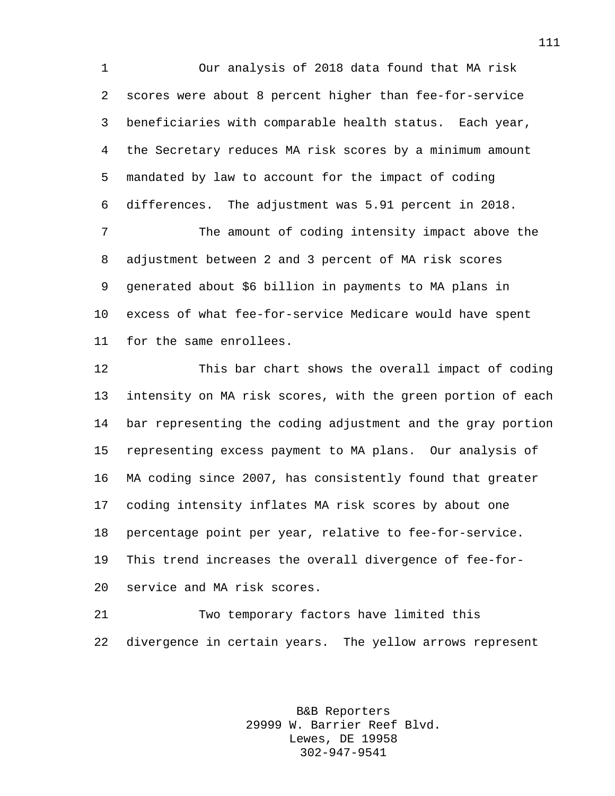Our analysis of 2018 data found that MA risk scores were about 8 percent higher than fee-for-service beneficiaries with comparable health status. Each year, the Secretary reduces MA risk scores by a minimum amount mandated by law to account for the impact of coding differences. The adjustment was 5.91 percent in 2018.

 The amount of coding intensity impact above the adjustment between 2 and 3 percent of MA risk scores generated about \$6 billion in payments to MA plans in excess of what fee-for-service Medicare would have spent for the same enrollees.

 This bar chart shows the overall impact of coding intensity on MA risk scores, with the green portion of each bar representing the coding adjustment and the gray portion representing excess payment to MA plans. Our analysis of MA coding since 2007, has consistently found that greater coding intensity inflates MA risk scores by about one percentage point per year, relative to fee-for-service. This trend increases the overall divergence of fee-for-service and MA risk scores.

 Two temporary factors have limited this divergence in certain years. The yellow arrows represent

> B&B Reporters 29999 W. Barrier Reef Blvd. Lewes, DE 19958 302-947-9541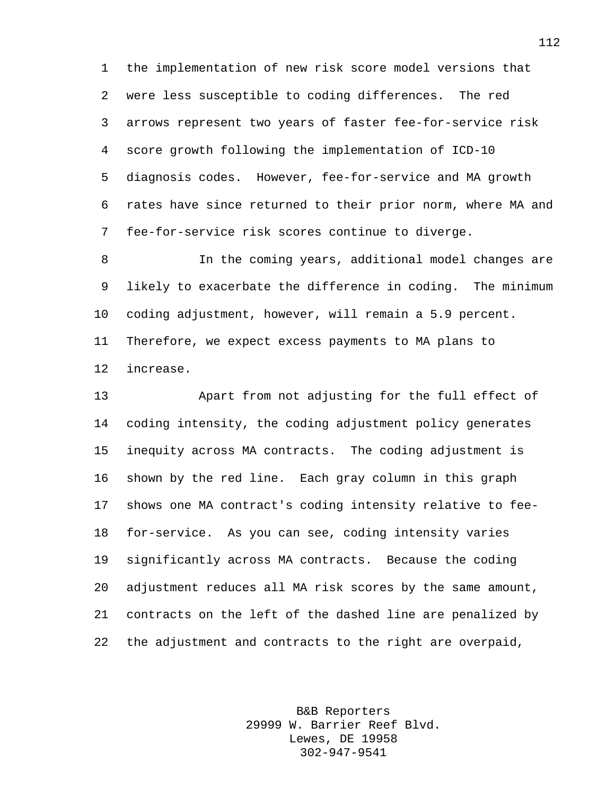the implementation of new risk score model versions that were less susceptible to coding differences. The red arrows represent two years of faster fee-for-service risk score growth following the implementation of ICD-10 diagnosis codes. However, fee-for-service and MA growth rates have since returned to their prior norm, where MA and fee-for-service risk scores continue to diverge.

 In the coming years, additional model changes are likely to exacerbate the difference in coding. The minimum coding adjustment, however, will remain a 5.9 percent. Therefore, we expect excess payments to MA plans to increase.

 Apart from not adjusting for the full effect of coding intensity, the coding adjustment policy generates inequity across MA contracts. The coding adjustment is shown by the red line. Each gray column in this graph shows one MA contract's coding intensity relative to fee- for-service. As you can see, coding intensity varies significantly across MA contracts. Because the coding adjustment reduces all MA risk scores by the same amount, contracts on the left of the dashed line are penalized by the adjustment and contracts to the right are overpaid,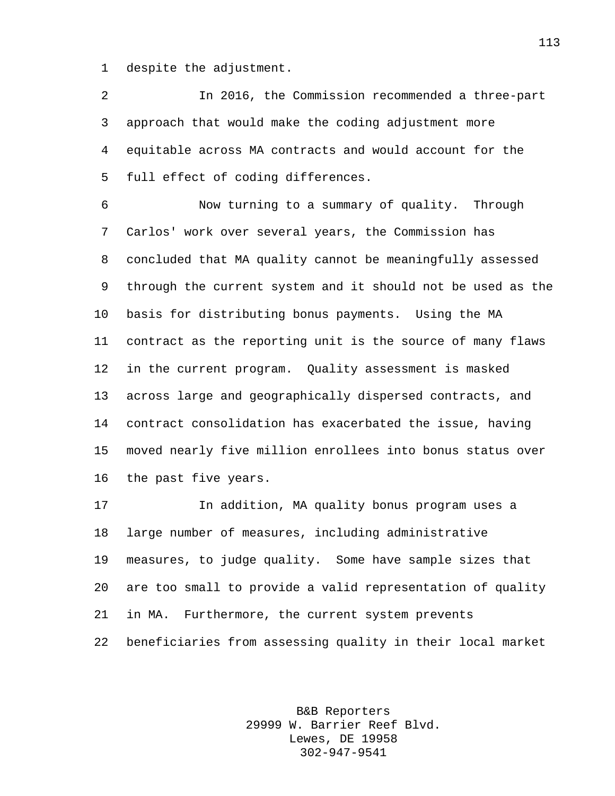despite the adjustment.

 In 2016, the Commission recommended a three-part approach that would make the coding adjustment more equitable across MA contracts and would account for the full effect of coding differences.

 Now turning to a summary of quality. Through Carlos' work over several years, the Commission has concluded that MA quality cannot be meaningfully assessed through the current system and it should not be used as the basis for distributing bonus payments. Using the MA contract as the reporting unit is the source of many flaws in the current program. Quality assessment is masked across large and geographically dispersed contracts, and contract consolidation has exacerbated the issue, having moved nearly five million enrollees into bonus status over the past five years.

 In addition, MA quality bonus program uses a large number of measures, including administrative measures, to judge quality. Some have sample sizes that are too small to provide a valid representation of quality in MA. Furthermore, the current system prevents beneficiaries from assessing quality in their local market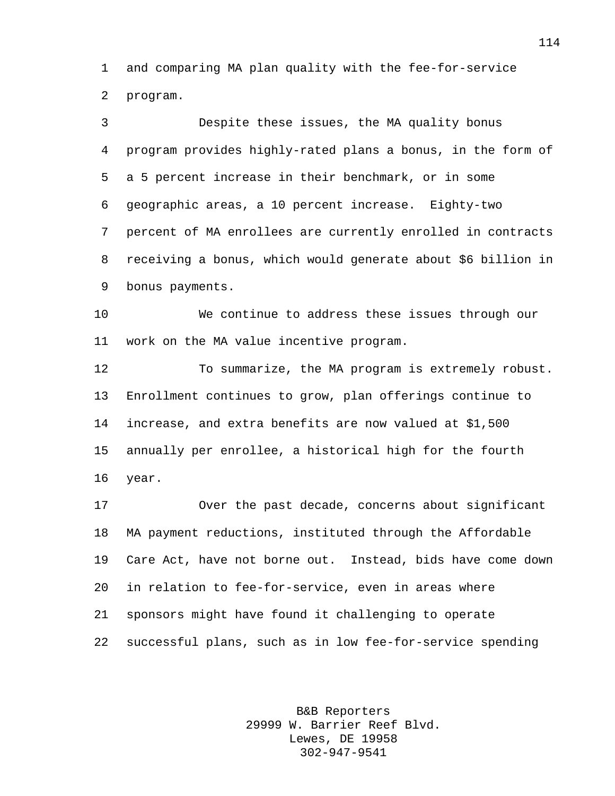and comparing MA plan quality with the fee-for-service program.

 Despite these issues, the MA quality bonus program provides highly-rated plans a bonus, in the form of a 5 percent increase in their benchmark, or in some geographic areas, a 10 percent increase. Eighty-two percent of MA enrollees are currently enrolled in contracts receiving a bonus, which would generate about \$6 billion in bonus payments.

 We continue to address these issues through our work on the MA value incentive program.

 To summarize, the MA program is extremely robust. Enrollment continues to grow, plan offerings continue to increase, and extra benefits are now valued at \$1,500 annually per enrollee, a historical high for the fourth year.

 Over the past decade, concerns about significant MA payment reductions, instituted through the Affordable Care Act, have not borne out. Instead, bids have come down in relation to fee-for-service, even in areas where sponsors might have found it challenging to operate successful plans, such as in low fee-for-service spending

> B&B Reporters 29999 W. Barrier Reef Blvd. Lewes, DE 19958 302-947-9541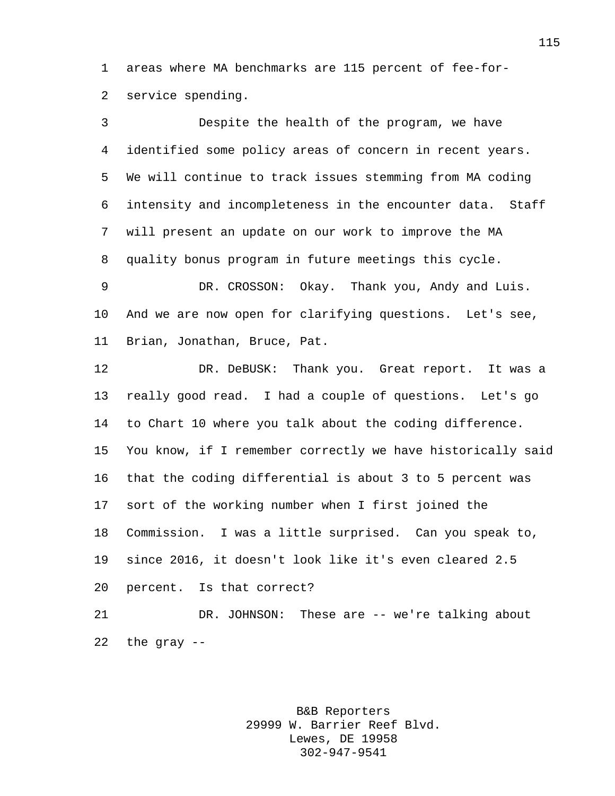areas where MA benchmarks are 115 percent of fee-for-service spending.

 Despite the health of the program, we have identified some policy areas of concern in recent years. We will continue to track issues stemming from MA coding intensity and incompleteness in the encounter data. Staff will present an update on our work to improve the MA quality bonus program in future meetings this cycle. DR. CROSSON: Okay. Thank you, Andy and Luis. And we are now open for clarifying questions. Let's see, Brian, Jonathan, Bruce, Pat. DR. DeBUSK: Thank you. Great report. It was a really good read. I had a couple of questions. Let's go to Chart 10 where you talk about the coding difference. You know, if I remember correctly we have historically said that the coding differential is about 3 to 5 percent was sort of the working number when I first joined the Commission. I was a little surprised. Can you speak to, since 2016, it doesn't look like it's even cleared 2.5 percent. Is that correct?

 DR. JOHNSON: These are -- we're talking about 22 the gray  $-$ 

> B&B Reporters 29999 W. Barrier Reef Blvd. Lewes, DE 19958 302-947-9541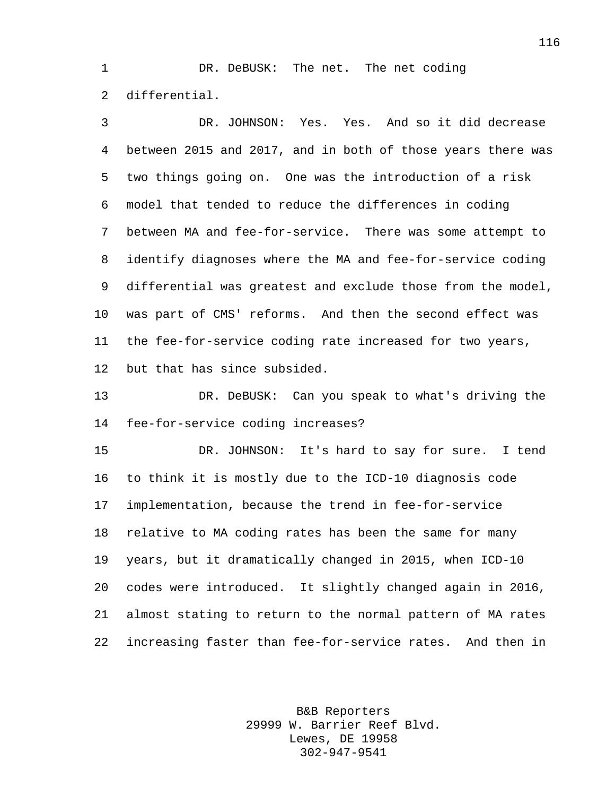1 DR. DeBUSK: The net. The net coding differential.

 DR. JOHNSON: Yes. Yes. And so it did decrease between 2015 and 2017, and in both of those years there was two things going on. One was the introduction of a risk model that tended to reduce the differences in coding between MA and fee-for-service. There was some attempt to identify diagnoses where the MA and fee-for-service coding differential was greatest and exclude those from the model, was part of CMS' reforms. And then the second effect was the fee-for-service coding rate increased for two years, but that has since subsided.

 DR. DeBUSK: Can you speak to what's driving the fee-for-service coding increases?

 DR. JOHNSON: It's hard to say for sure. I tend to think it is mostly due to the ICD-10 diagnosis code implementation, because the trend in fee-for-service relative to MA coding rates has been the same for many years, but it dramatically changed in 2015, when ICD-10 codes were introduced. It slightly changed again in 2016, almost stating to return to the normal pattern of MA rates increasing faster than fee-for-service rates. And then in

> B&B Reporters 29999 W. Barrier Reef Blvd. Lewes, DE 19958 302-947-9541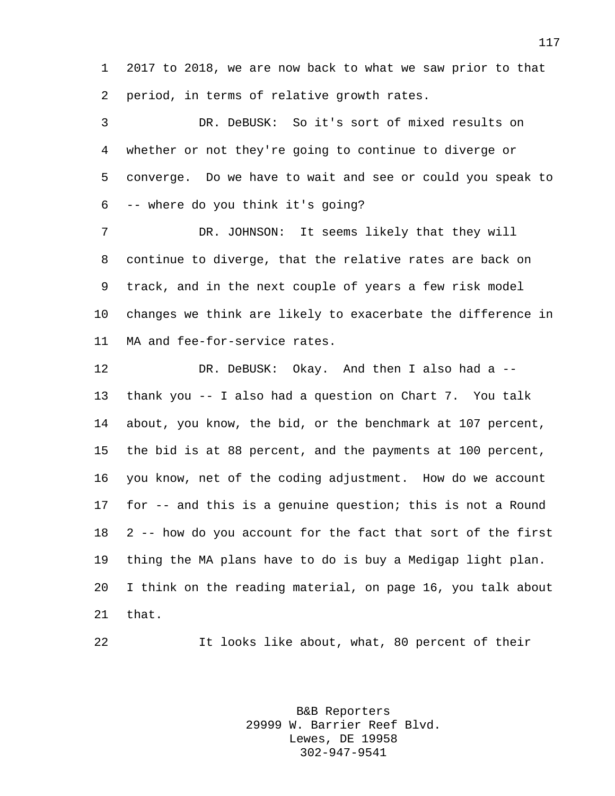2017 to 2018, we are now back to what we saw prior to that period, in terms of relative growth rates.

 DR. DeBUSK: So it's sort of mixed results on whether or not they're going to continue to diverge or converge. Do we have to wait and see or could you speak to -- where do you think it's going?

 DR. JOHNSON: It seems likely that they will continue to diverge, that the relative rates are back on track, and in the next couple of years a few risk model changes we think are likely to exacerbate the difference in MA and fee-for-service rates.

 DR. DeBUSK: Okay. And then I also had a -- thank you -- I also had a question on Chart 7. You talk about, you know, the bid, or the benchmark at 107 percent, the bid is at 88 percent, and the payments at 100 percent, you know, net of the coding adjustment. How do we account for -- and this is a genuine question; this is not a Round 2 -- how do you account for the fact that sort of the first thing the MA plans have to do is buy a Medigap light plan. I think on the reading material, on page 16, you talk about that.

It looks like about, what, 80 percent of their

B&B Reporters 29999 W. Barrier Reef Blvd. Lewes, DE 19958 302-947-9541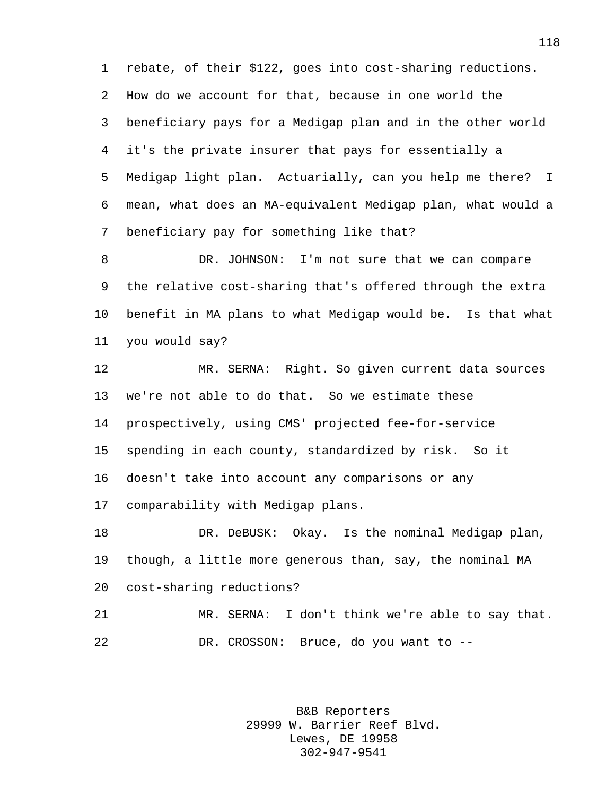rebate, of their \$122, goes into cost-sharing reductions. How do we account for that, because in one world the beneficiary pays for a Medigap plan and in the other world it's the private insurer that pays for essentially a Medigap light plan. Actuarially, can you help me there? I mean, what does an MA-equivalent Medigap plan, what would a beneficiary pay for something like that?

 DR. JOHNSON: I'm not sure that we can compare the relative cost-sharing that's offered through the extra benefit in MA plans to what Medigap would be. Is that what you would say?

 MR. SERNA: Right. So given current data sources we're not able to do that. So we estimate these prospectively, using CMS' projected fee-for-service spending in each county, standardized by risk. So it doesn't take into account any comparisons or any comparability with Medigap plans.

 DR. DeBUSK: Okay. Is the nominal Medigap plan, though, a little more generous than, say, the nominal MA cost-sharing reductions?

 MR. SERNA: I don't think we're able to say that. DR. CROSSON: Bruce, do you want to --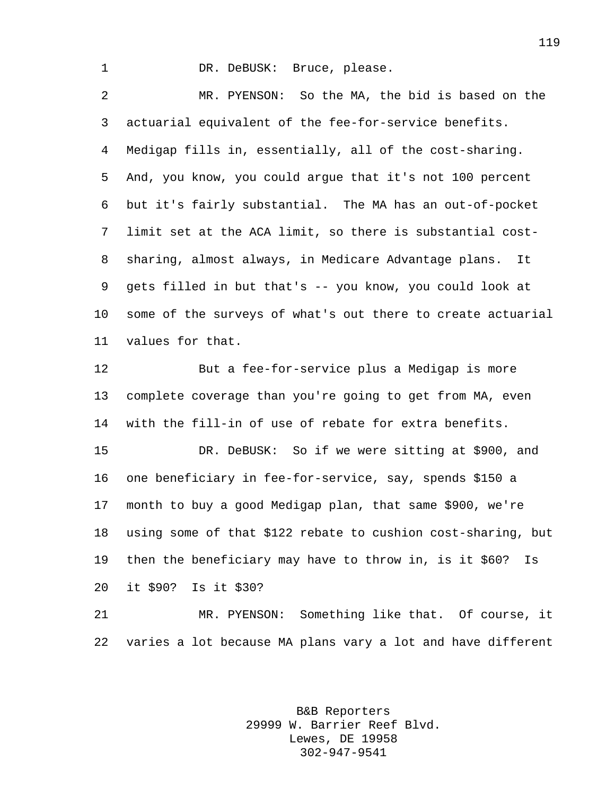## 1 DR. DeBUSK: Bruce, please.

 MR. PYENSON: So the MA, the bid is based on the actuarial equivalent of the fee-for-service benefits. Medigap fills in, essentially, all of the cost-sharing. And, you know, you could argue that it's not 100 percent but it's fairly substantial. The MA has an out-of-pocket limit set at the ACA limit, so there is substantial cost- sharing, almost always, in Medicare Advantage plans. It gets filled in but that's -- you know, you could look at some of the surveys of what's out there to create actuarial values for that.

 But a fee-for-service plus a Medigap is more complete coverage than you're going to get from MA, even with the fill-in of use of rebate for extra benefits.

 DR. DeBUSK: So if we were sitting at \$900, and one beneficiary in fee-for-service, say, spends \$150 a month to buy a good Medigap plan, that same \$900, we're using some of that \$122 rebate to cushion cost-sharing, but then the beneficiary may have to throw in, is it \$60? Is it \$90? Is it \$30?

 MR. PYENSON: Something like that. Of course, it varies a lot because MA plans vary a lot and have different

> B&B Reporters 29999 W. Barrier Reef Blvd. Lewes, DE 19958 302-947-9541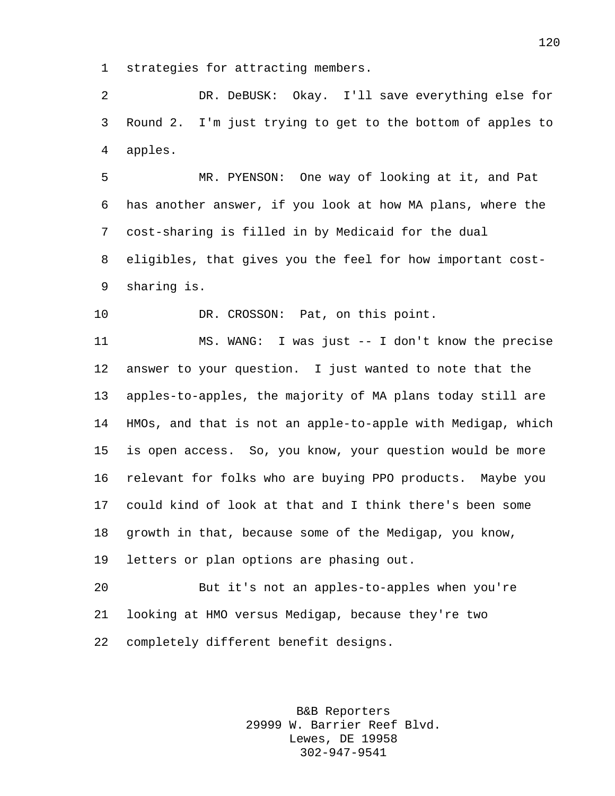strategies for attracting members.

 DR. DeBUSK: Okay. I'll save everything else for Round 2. I'm just trying to get to the bottom of apples to apples.

 MR. PYENSON: One way of looking at it, and Pat has another answer, if you look at how MA plans, where the cost-sharing is filled in by Medicaid for the dual eligibles, that gives you the feel for how important cost-sharing is.

10 DR. CROSSON: Pat, on this point.

 MS. WANG: I was just -- I don't know the precise answer to your question. I just wanted to note that the apples-to-apples, the majority of MA plans today still are HMOs, and that is not an apple-to-apple with Medigap, which is open access. So, you know, your question would be more relevant for folks who are buying PPO products. Maybe you could kind of look at that and I think there's been some growth in that, because some of the Medigap, you know, letters or plan options are phasing out.

 But it's not an apples-to-apples when you're looking at HMO versus Medigap, because they're two completely different benefit designs.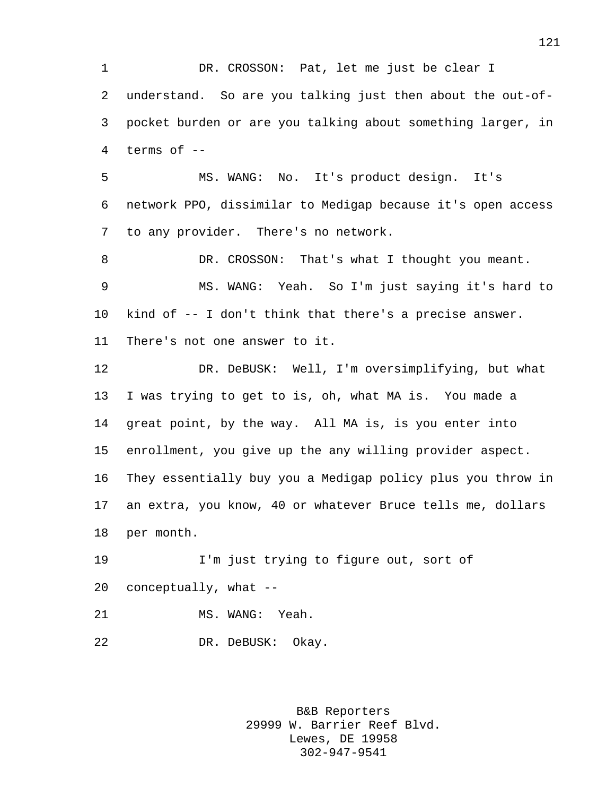DR. CROSSON: Pat, let me just be clear I understand. So are you talking just then about the out-of- pocket burden or are you talking about something larger, in terms of --

 MS. WANG: No. It's product design. It's network PPO, dissimilar to Medigap because it's open access to any provider. There's no network.

8 DR. CROSSON: That's what I thought you meant. MS. WANG: Yeah. So I'm just saying it's hard to kind of -- I don't think that there's a precise answer. There's not one answer to it.

 DR. DeBUSK: Well, I'm oversimplifying, but what I was trying to get to is, oh, what MA is. You made a great point, by the way. All MA is, is you enter into enrollment, you give up the any willing provider aspect. They essentially buy you a Medigap policy plus you throw in an extra, you know, 40 or whatever Bruce tells me, dollars per month.

 I'm just trying to figure out, sort of conceptually, what --

21 MS. WANG: Yeah.

DR. DeBUSK: Okay.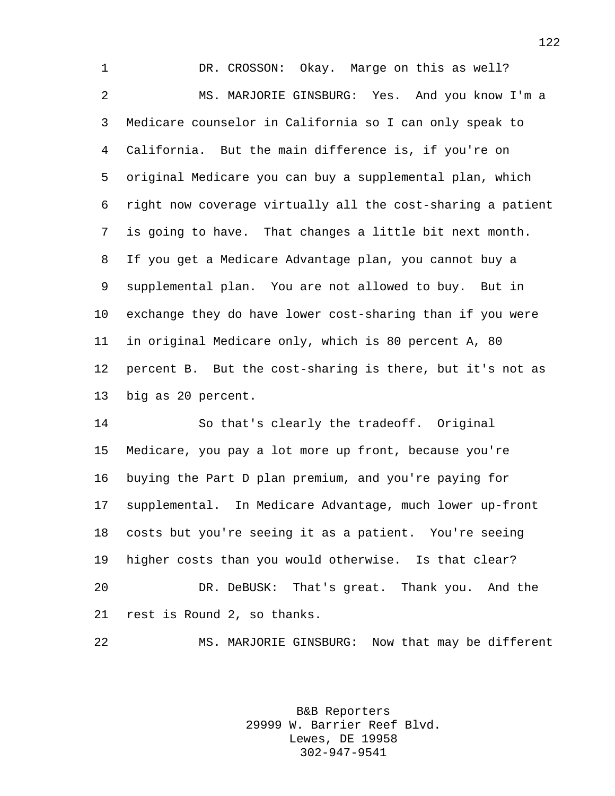DR. CROSSON: Okay. Marge on this as well? MS. MARJORIE GINSBURG: Yes. And you know I'm a Medicare counselor in California so I can only speak to California. But the main difference is, if you're on original Medicare you can buy a supplemental plan, which right now coverage virtually all the cost-sharing a patient is going to have. That changes a little bit next month. If you get a Medicare Advantage plan, you cannot buy a supplemental plan. You are not allowed to buy. But in exchange they do have lower cost-sharing than if you were in original Medicare only, which is 80 percent A, 80 percent B. But the cost-sharing is there, but it's not as big as 20 percent.

 So that's clearly the tradeoff. Original Medicare, you pay a lot more up front, because you're buying the Part D plan premium, and you're paying for supplemental. In Medicare Advantage, much lower up-front costs but you're seeing it as a patient. You're seeing higher costs than you would otherwise. Is that clear? DR. DeBUSK: That's great. Thank you. And the rest is Round 2, so thanks.

MS. MARJORIE GINSBURG: Now that may be different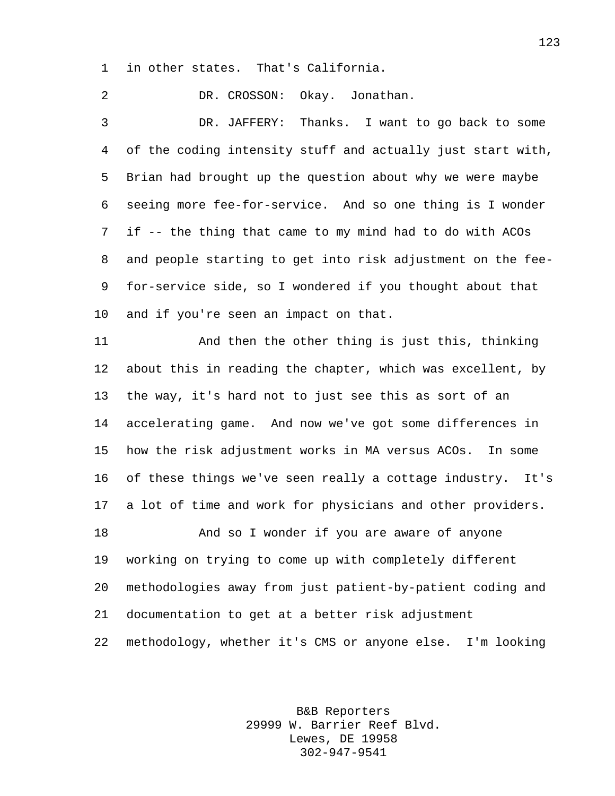in other states. That's California.

 DR. CROSSON: Okay. Jonathan. DR. JAFFERY: Thanks. I want to go back to some of the coding intensity stuff and actually just start with, Brian had brought up the question about why we were maybe seeing more fee-for-service. And so one thing is I wonder if -- the thing that came to my mind had to do with ACOs and people starting to get into risk adjustment on the fee- for-service side, so I wondered if you thought about that and if you're seen an impact on that. And then the other thing is just this, thinking about this in reading the chapter, which was excellent, by the way, it's hard not to just see this as sort of an accelerating game. And now we've got some differences in

 how the risk adjustment works in MA versus ACOs. In some of these things we've seen really a cottage industry. It's a lot of time and work for physicians and other providers.

 And so I wonder if you are aware of anyone working on trying to come up with completely different methodologies away from just patient-by-patient coding and documentation to get at a better risk adjustment methodology, whether it's CMS or anyone else. I'm looking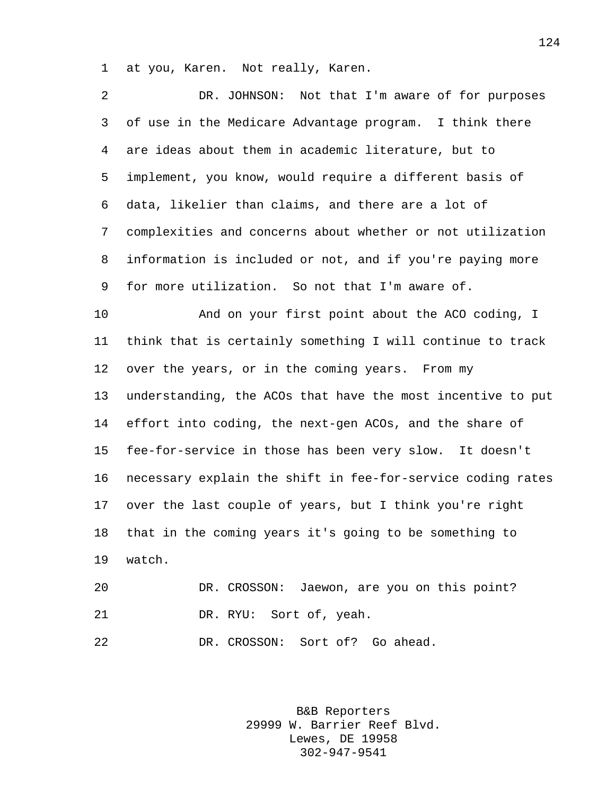at you, Karen. Not really, Karen.

| 2  | DR. JOHNSON: Not that I'm aware of for purposes             |
|----|-------------------------------------------------------------|
| 3  | of use in the Medicare Advantage program. I think there     |
| 4  | are ideas about them in academic literature, but to         |
| 5  | implement, you know, would require a different basis of     |
| 6  | data, likelier than claims, and there are a lot of          |
| 7  | complexities and concerns about whether or not utilization  |
| 8  | information is included or not, and if you're paying more   |
| 9  | for more utilization. So not that I'm aware of.             |
| 10 | And on your first point about the ACO coding, I             |
| 11 | think that is certainly something I will continue to track  |
| 12 | over the years, or in the coming years. From my             |
| 13 | understanding, the ACOs that have the most incentive to put |
| 14 | effort into coding, the next-gen ACOs, and the share of     |
| 15 | fee-for-service in those has been very slow. It doesn't     |
| 16 | necessary explain the shift in fee-for-service coding rates |
| 17 | over the last couple of years, but I think you're right     |
| 18 | that in the coming years it's going to be something to      |
| 19 | watch.                                                      |
| 20 | DR. CROSSON: Jaewon, are you on this point?                 |
| 21 | DR. RYU: Sort of, yeah.                                     |

DR. CROSSON: Sort of? Go ahead.

B&B Reporters 29999 W. Barrier Reef Blvd. Lewes, DE 19958 302-947-9541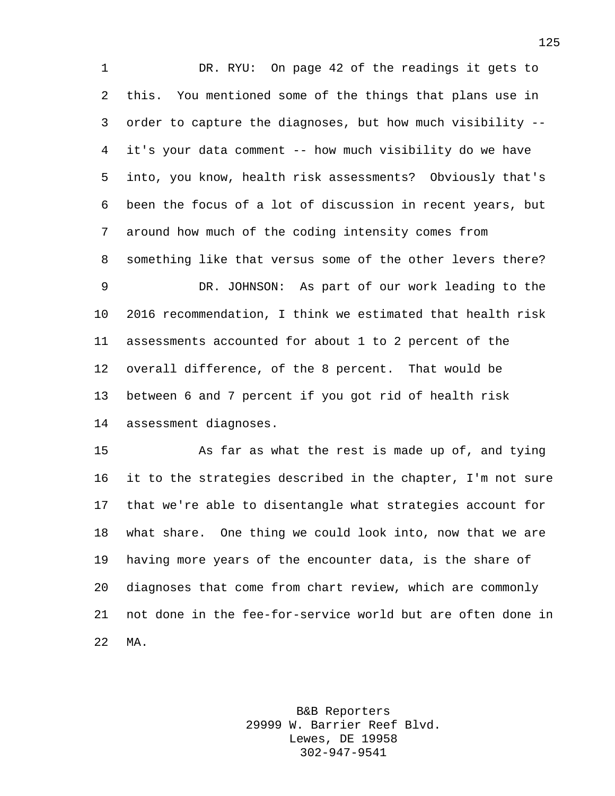DR. RYU: On page 42 of the readings it gets to this. You mentioned some of the things that plans use in order to capture the diagnoses, but how much visibility -- it's your data comment -- how much visibility do we have into, you know, health risk assessments? Obviously that's been the focus of a lot of discussion in recent years, but around how much of the coding intensity comes from something like that versus some of the other levers there? DR. JOHNSON: As part of our work leading to the 2016 recommendation, I think we estimated that health risk assessments accounted for about 1 to 2 percent of the overall difference, of the 8 percent. That would be between 6 and 7 percent if you got rid of health risk assessment diagnoses.

 As far as what the rest is made up of, and tying it to the strategies described in the chapter, I'm not sure that we're able to disentangle what strategies account for what share. One thing we could look into, now that we are having more years of the encounter data, is the share of diagnoses that come from chart review, which are commonly not done in the fee-for-service world but are often done in MA.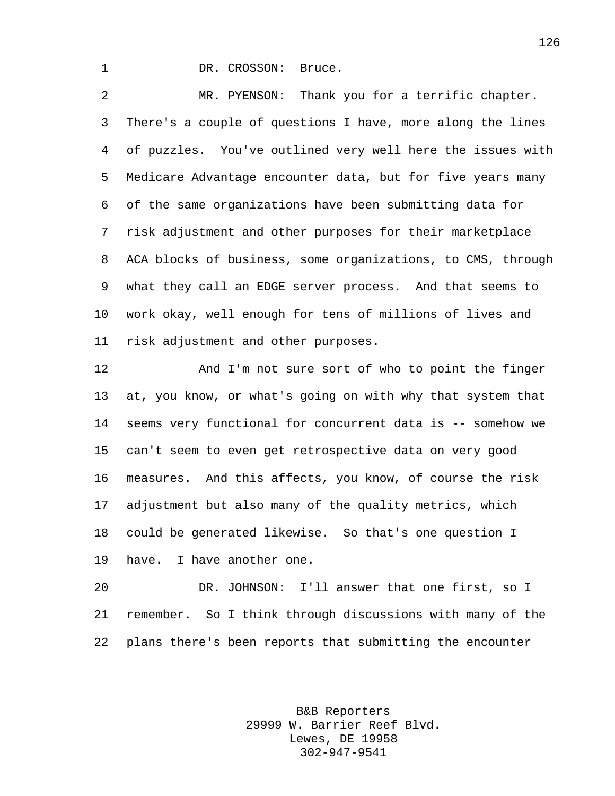1 DR. CROSSON: Bruce.

 MR. PYENSON: Thank you for a terrific chapter. There's a couple of questions I have, more along the lines of puzzles. You've outlined very well here the issues with Medicare Advantage encounter data, but for five years many of the same organizations have been submitting data for risk adjustment and other purposes for their marketplace ACA blocks of business, some organizations, to CMS, through what they call an EDGE server process. And that seems to work okay, well enough for tens of millions of lives and risk adjustment and other purposes.

 And I'm not sure sort of who to point the finger at, you know, or what's going on with why that system that seems very functional for concurrent data is -- somehow we can't seem to even get retrospective data on very good measures. And this affects, you know, of course the risk adjustment but also many of the quality metrics, which could be generated likewise. So that's one question I have. I have another one.

 DR. JOHNSON: I'll answer that one first, so I remember. So I think through discussions with many of the plans there's been reports that submitting the encounter

> B&B Reporters 29999 W. Barrier Reef Blvd. Lewes, DE 19958 302-947-9541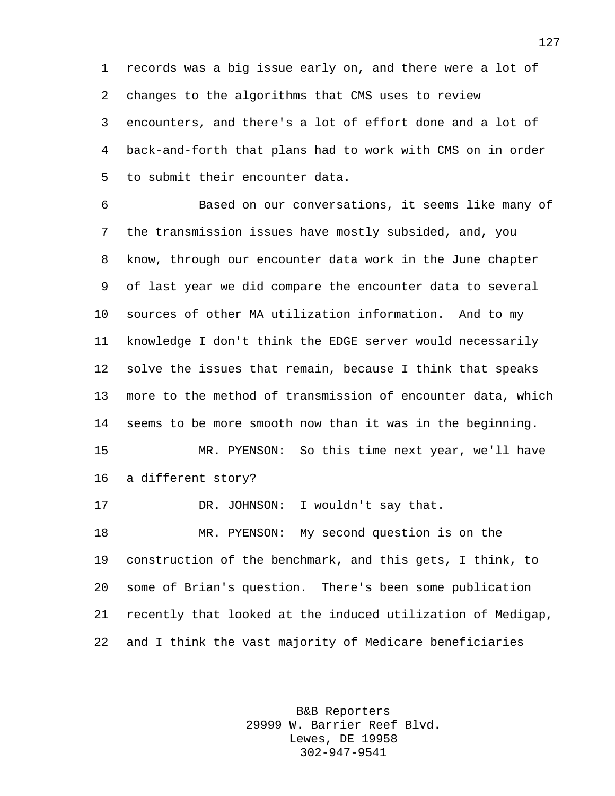records was a big issue early on, and there were a lot of changes to the algorithms that CMS uses to review encounters, and there's a lot of effort done and a lot of back-and-forth that plans had to work with CMS on in order to submit their encounter data.

 Based on our conversations, it seems like many of the transmission issues have mostly subsided, and, you know, through our encounter data work in the June chapter of last year we did compare the encounter data to several sources of other MA utilization information. And to my knowledge I don't think the EDGE server would necessarily solve the issues that remain, because I think that speaks more to the method of transmission of encounter data, which seems to be more smooth now than it was in the beginning. MR. PYENSON: So this time next year, we'll have a different story? 17 DR. JOHNSON: I wouldn't say that. MR. PYENSON: My second question is on the construction of the benchmark, and this gets, I think, to some of Brian's question. There's been some publication

 recently that looked at the induced utilization of Medigap, and I think the vast majority of Medicare beneficiaries

> B&B Reporters 29999 W. Barrier Reef Blvd. Lewes, DE 19958 302-947-9541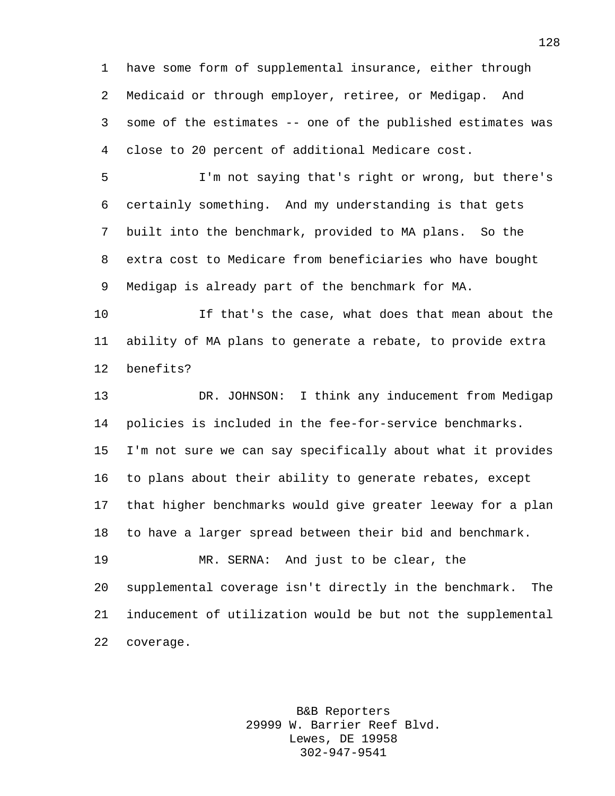have some form of supplemental insurance, either through Medicaid or through employer, retiree, or Medigap. And some of the estimates -- one of the published estimates was close to 20 percent of additional Medicare cost.

 I'm not saying that's right or wrong, but there's certainly something. And my understanding is that gets built into the benchmark, provided to MA plans. So the extra cost to Medicare from beneficiaries who have bought Medigap is already part of the benchmark for MA.

 If that's the case, what does that mean about the ability of MA plans to generate a rebate, to provide extra benefits?

 DR. JOHNSON: I think any inducement from Medigap policies is included in the fee-for-service benchmarks. I'm not sure we can say specifically about what it provides to plans about their ability to generate rebates, except that higher benchmarks would give greater leeway for a plan to have a larger spread between their bid and benchmark. MR. SERNA: And just to be clear, the supplemental coverage isn't directly in the benchmark. The inducement of utilization would be but not the supplemental

coverage.

B&B Reporters 29999 W. Barrier Reef Blvd. Lewes, DE 19958 302-947-9541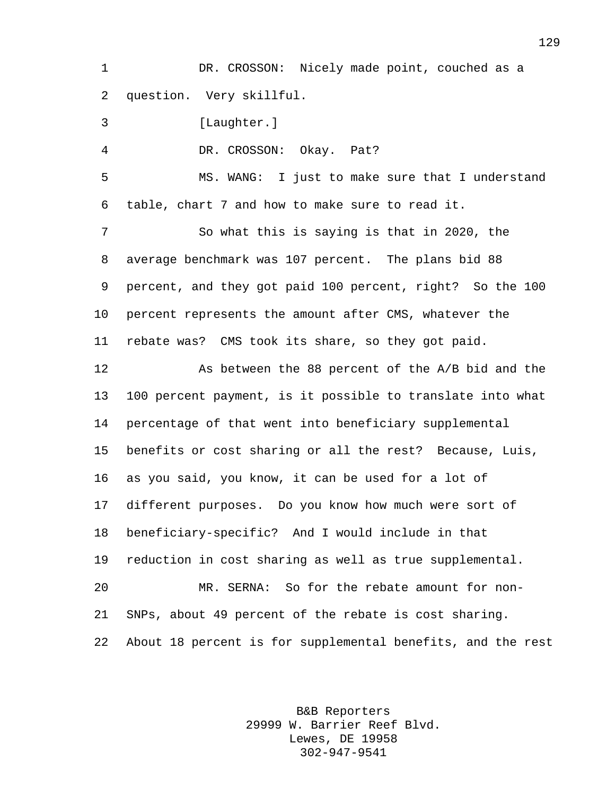1 DR. CROSSON: Nicely made point, couched as a question. Very skillful.

[Laughter.]

DR. CROSSON: Okay. Pat?

 MS. WANG: I just to make sure that I understand table, chart 7 and how to make sure to read it.

 So what this is saying is that in 2020, the average benchmark was 107 percent. The plans bid 88 percent, and they got paid 100 percent, right? So the 100 percent represents the amount after CMS, whatever the rebate was? CMS took its share, so they got paid.

 As between the 88 percent of the A/B bid and the 100 percent payment, is it possible to translate into what percentage of that went into beneficiary supplemental benefits or cost sharing or all the rest? Because, Luis, as you said, you know, it can be used for a lot of different purposes. Do you know how much were sort of beneficiary-specific? And I would include in that reduction in cost sharing as well as true supplemental. MR. SERNA: So for the rebate amount for non- SNPs, about 49 percent of the rebate is cost sharing. About 18 percent is for supplemental benefits, and the rest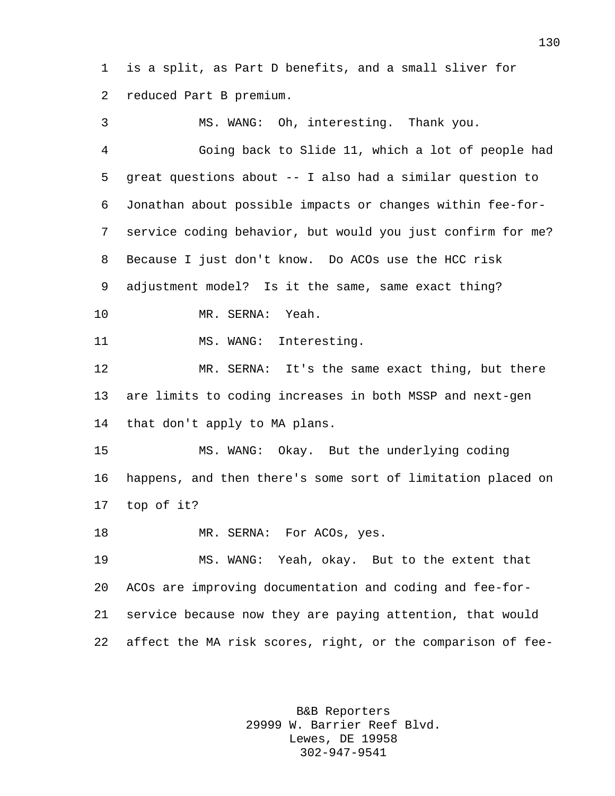is a split, as Part D benefits, and a small sliver for reduced Part B premium.

 MS. WANG: Oh, interesting. Thank you. Going back to Slide 11, which a lot of people had great questions about -- I also had a similar question to Jonathan about possible impacts or changes within fee-for- service coding behavior, but would you just confirm for me? Because I just don't know. Do ACOs use the HCC risk adjustment model? Is it the same, same exact thing? MR. SERNA: Yeah. 11 MS. WANG: Interesting. MR. SERNA: It's the same exact thing, but there are limits to coding increases in both MSSP and next-gen that don't apply to MA plans. MS. WANG: Okay. But the underlying coding happens, and then there's some sort of limitation placed on top of it? 18 MR. SERNA: For ACOs, yes. MS. WANG: Yeah, okay. But to the extent that ACOs are improving documentation and coding and fee-for- service because now they are paying attention, that would affect the MA risk scores, right, or the comparison of fee-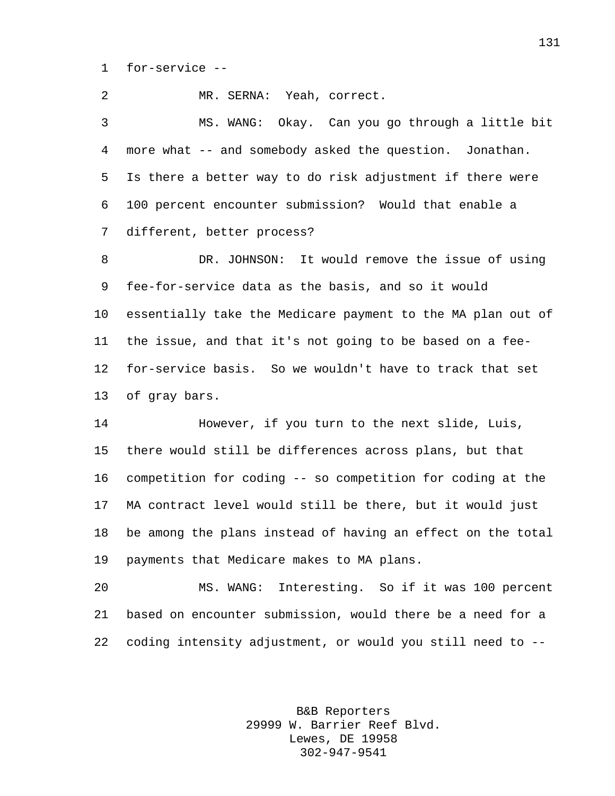for-service --

 MR. SERNA: Yeah, correct. MS. WANG: Okay. Can you go through a little bit more what -- and somebody asked the question. Jonathan. Is there a better way to do risk adjustment if there were 100 percent encounter submission? Would that enable a different, better process? DR. JOHNSON: It would remove the issue of using fee-for-service data as the basis, and so it would essentially take the Medicare payment to the MA plan out of the issue, and that it's not going to be based on a fee- for-service basis. So we wouldn't have to track that set of gray bars. However, if you turn to the next slide, Luis, there would still be differences across plans, but that competition for coding -- so competition for coding at the MA contract level would still be there, but it would just be among the plans instead of having an effect on the total payments that Medicare makes to MA plans. MS. WANG: Interesting. So if it was 100 percent based on encounter submission, would there be a need for a coding intensity adjustment, or would you still need to --

> B&B Reporters 29999 W. Barrier Reef Blvd. Lewes, DE 19958 302-947-9541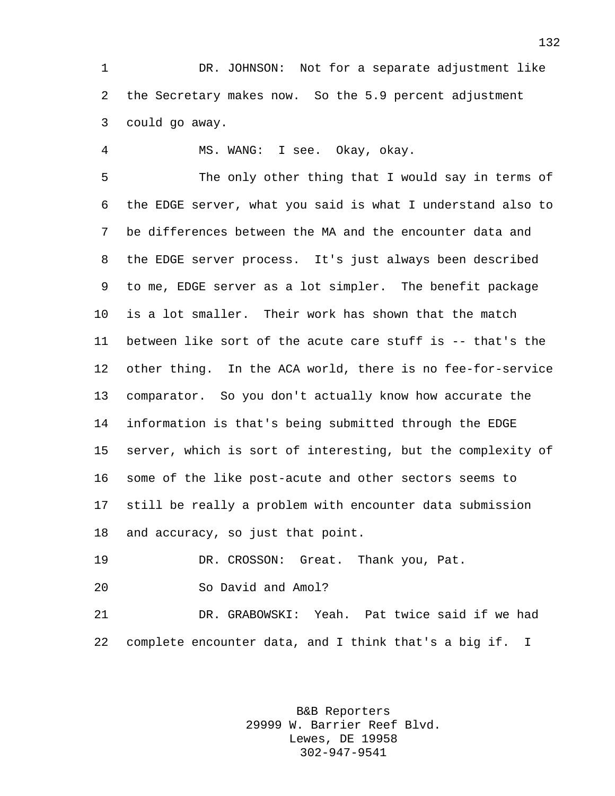DR. JOHNSON: Not for a separate adjustment like the Secretary makes now. So the 5.9 percent adjustment could go away.

MS. WANG: I see. Okay, okay.

 The only other thing that I would say in terms of the EDGE server, what you said is what I understand also to be differences between the MA and the encounter data and the EDGE server process. It's just always been described to me, EDGE server as a lot simpler. The benefit package is a lot smaller. Their work has shown that the match between like sort of the acute care stuff is -- that's the other thing. In the ACA world, there is no fee-for-service comparator. So you don't actually know how accurate the information is that's being submitted through the EDGE server, which is sort of interesting, but the complexity of some of the like post-acute and other sectors seems to still be really a problem with encounter data submission and accuracy, so just that point.

DR. CROSSON: Great. Thank you, Pat.

So David and Amol?

 DR. GRABOWSKI: Yeah. Pat twice said if we had complete encounter data, and I think that's a big if. I

> B&B Reporters 29999 W. Barrier Reef Blvd. Lewes, DE 19958 302-947-9541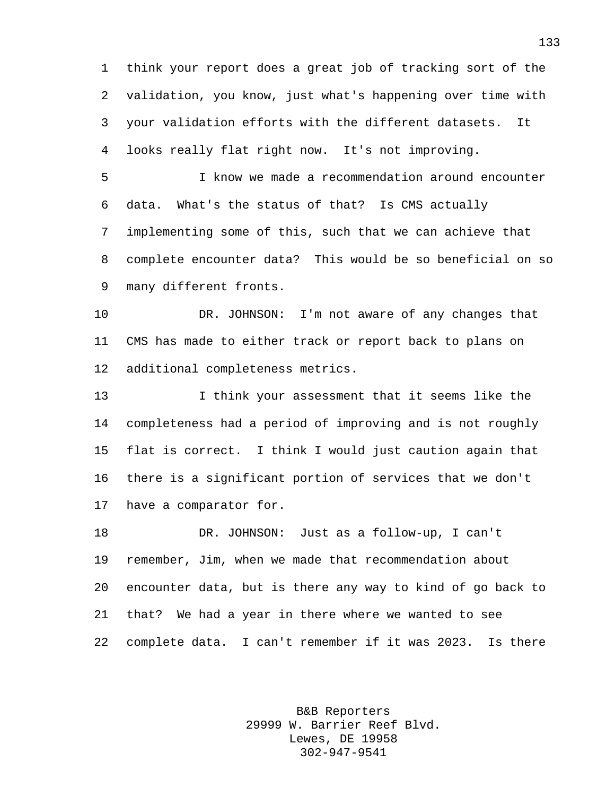think your report does a great job of tracking sort of the validation, you know, just what's happening over time with your validation efforts with the different datasets. It looks really flat right now. It's not improving.

 I know we made a recommendation around encounter data. What's the status of that? Is CMS actually implementing some of this, such that we can achieve that complete encounter data? This would be so beneficial on so many different fronts.

 DR. JOHNSON: I'm not aware of any changes that CMS has made to either track or report back to plans on additional completeness metrics.

 I think your assessment that it seems like the completeness had a period of improving and is not roughly flat is correct. I think I would just caution again that there is a significant portion of services that we don't have a comparator for.

 DR. JOHNSON: Just as a follow-up, I can't remember, Jim, when we made that recommendation about encounter data, but is there any way to kind of go back to that? We had a year in there where we wanted to see complete data. I can't remember if it was 2023. Is there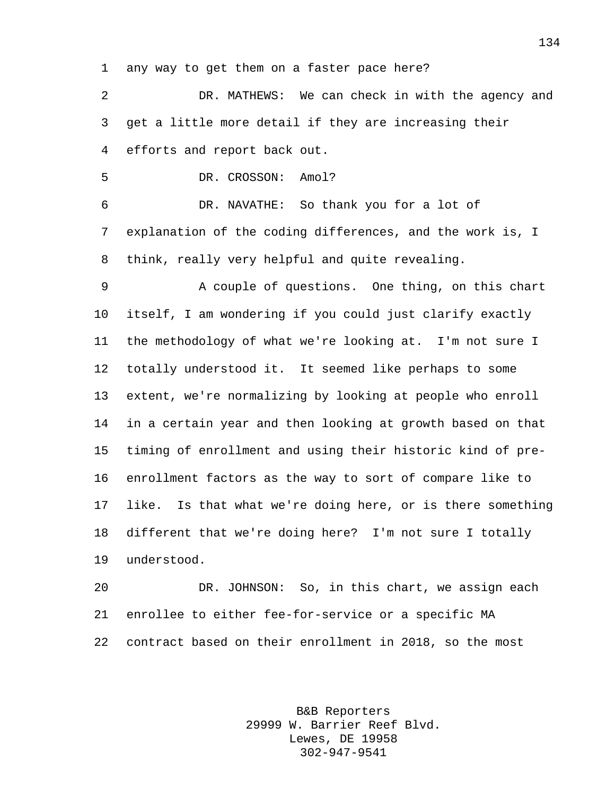any way to get them on a faster pace here?

 DR. MATHEWS: We can check in with the agency and get a little more detail if they are increasing their efforts and report back out.

DR. CROSSON: Amol?

 DR. NAVATHE: So thank you for a lot of explanation of the coding differences, and the work is, I think, really very helpful and quite revealing.

9 A couple of questions. One thing, on this chart itself, I am wondering if you could just clarify exactly the methodology of what we're looking at. I'm not sure I totally understood it. It seemed like perhaps to some extent, we're normalizing by looking at people who enroll in a certain year and then looking at growth based on that timing of enrollment and using their historic kind of pre- enrollment factors as the way to sort of compare like to like. Is that what we're doing here, or is there something different that we're doing here? I'm not sure I totally understood.

 DR. JOHNSON: So, in this chart, we assign each enrollee to either fee-for-service or a specific MA contract based on their enrollment in 2018, so the most

> B&B Reporters 29999 W. Barrier Reef Blvd. Lewes, DE 19958 302-947-9541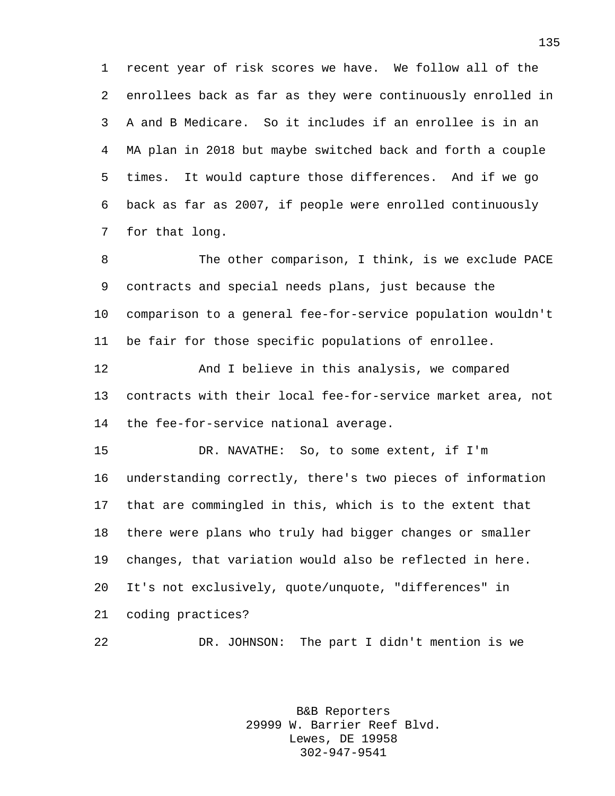recent year of risk scores we have. We follow all of the enrollees back as far as they were continuously enrolled in A and B Medicare. So it includes if an enrollee is in an MA plan in 2018 but maybe switched back and forth a couple times. It would capture those differences. And if we go back as far as 2007, if people were enrolled continuously for that long.

8 The other comparison, I think, is we exclude PACE contracts and special needs plans, just because the comparison to a general fee-for-service population wouldn't be fair for those specific populations of enrollee.

 And I believe in this analysis, we compared contracts with their local fee-for-service market area, not the fee-for-service national average.

 DR. NAVATHE: So, to some extent, if I'm understanding correctly, there's two pieces of information that are commingled in this, which is to the extent that there were plans who truly had bigger changes or smaller changes, that variation would also be reflected in here. It's not exclusively, quote/unquote, "differences" in coding practices?

DR. JOHNSON: The part I didn't mention is we

B&B Reporters 29999 W. Barrier Reef Blvd. Lewes, DE 19958 302-947-9541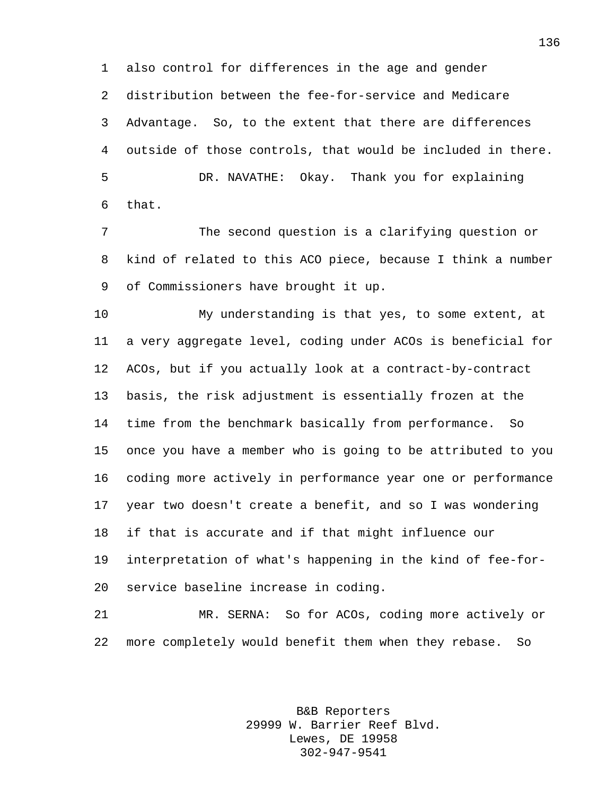also control for differences in the age and gender distribution between the fee-for-service and Medicare Advantage. So, to the extent that there are differences outside of those controls, that would be included in there. DR. NAVATHE: Okay. Thank you for explaining that.

 The second question is a clarifying question or kind of related to this ACO piece, because I think a number of Commissioners have brought it up.

 My understanding is that yes, to some extent, at a very aggregate level, coding under ACOs is beneficial for ACOs, but if you actually look at a contract-by-contract basis, the risk adjustment is essentially frozen at the time from the benchmark basically from performance. So once you have a member who is going to be attributed to you coding more actively in performance year one or performance year two doesn't create a benefit, and so I was wondering if that is accurate and if that might influence our interpretation of what's happening in the kind of fee-for-service baseline increase in coding.

 MR. SERNA: So for ACOs, coding more actively or more completely would benefit them when they rebase. So

> B&B Reporters 29999 W. Barrier Reef Blvd. Lewes, DE 19958 302-947-9541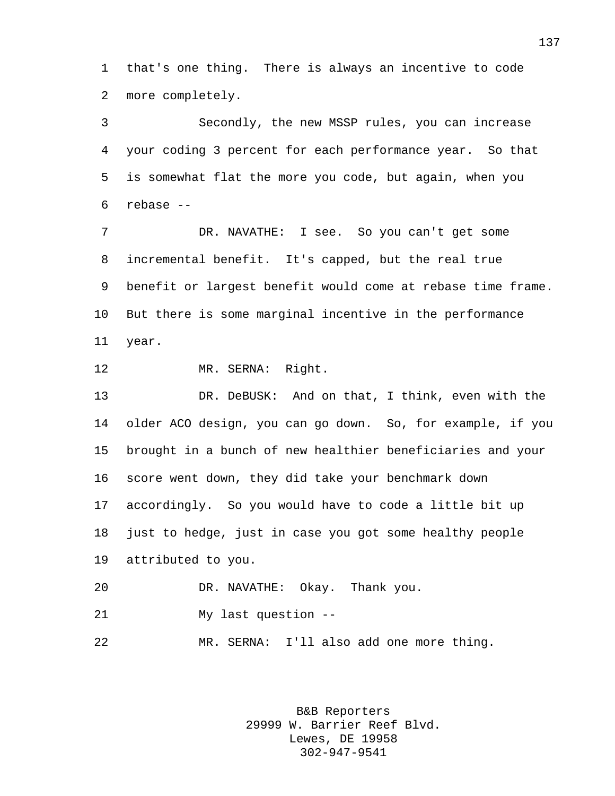that's one thing. There is always an incentive to code more completely.

 Secondly, the new MSSP rules, you can increase your coding 3 percent for each performance year. So that is somewhat flat the more you code, but again, when you rebase --

 DR. NAVATHE: I see. So you can't get some incremental benefit. It's capped, but the real true benefit or largest benefit would come at rebase time frame. But there is some marginal incentive in the performance year.

MR. SERNA: Right.

 DR. DeBUSK: And on that, I think, even with the older ACO design, you can go down. So, for example, if you brought in a bunch of new healthier beneficiaries and your score went down, they did take your benchmark down accordingly. So you would have to code a little bit up just to hedge, just in case you got some healthy people attributed to you.

 DR. NAVATHE: Okay. Thank you. My last question -- MR. SERNA: I'll also add one more thing.

> B&B Reporters 29999 W. Barrier Reef Blvd. Lewes, DE 19958 302-947-9541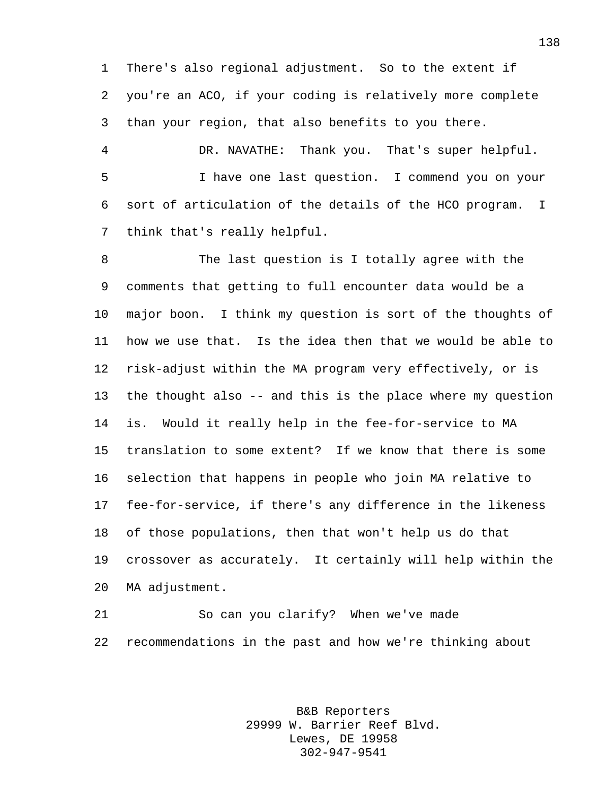There's also regional adjustment. So to the extent if you're an ACO, if your coding is relatively more complete than your region, that also benefits to you there.

 DR. NAVATHE: Thank you. That's super helpful. I have one last question. I commend you on your sort of articulation of the details of the HCO program. I think that's really helpful.

 The last question is I totally agree with the comments that getting to full encounter data would be a major boon. I think my question is sort of the thoughts of how we use that. Is the idea then that we would be able to risk-adjust within the MA program very effectively, or is the thought also -- and this is the place where my question is. Would it really help in the fee-for-service to MA translation to some extent? If we know that there is some selection that happens in people who join MA relative to fee-for-service, if there's any difference in the likeness of those populations, then that won't help us do that crossover as accurately. It certainly will help within the MA adjustment.

 So can you clarify? When we've made recommendations in the past and how we're thinking about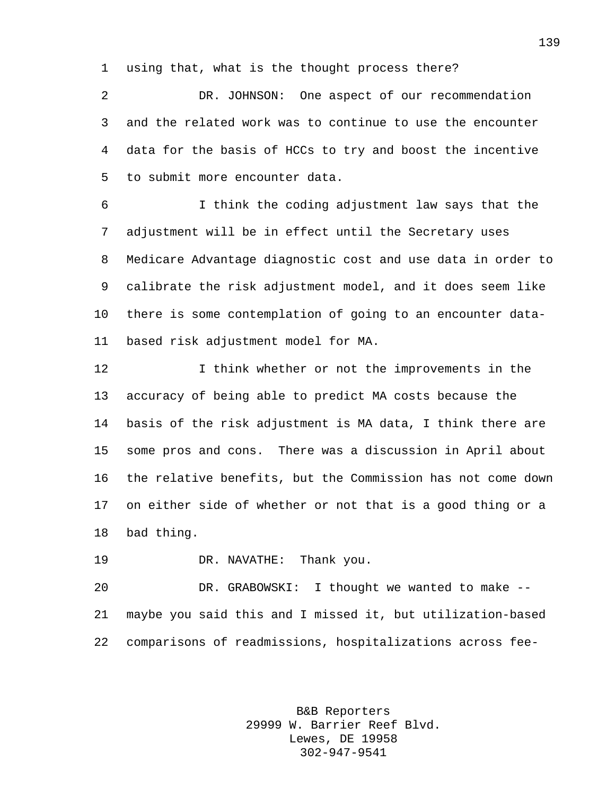using that, what is the thought process there?

 DR. JOHNSON: One aspect of our recommendation and the related work was to continue to use the encounter data for the basis of HCCs to try and boost the incentive to submit more encounter data.

 I think the coding adjustment law says that the adjustment will be in effect until the Secretary uses Medicare Advantage diagnostic cost and use data in order to calibrate the risk adjustment model, and it does seem like there is some contemplation of going to an encounter data-based risk adjustment model for MA.

12 12 I think whether or not the improvements in the accuracy of being able to predict MA costs because the basis of the risk adjustment is MA data, I think there are some pros and cons. There was a discussion in April about the relative benefits, but the Commission has not come down on either side of whether or not that is a good thing or a bad thing.

DR. NAVATHE: Thank you.

 DR. GRABOWSKI: I thought we wanted to make -- maybe you said this and I missed it, but utilization-based comparisons of readmissions, hospitalizations across fee-

> B&B Reporters 29999 W. Barrier Reef Blvd. Lewes, DE 19958 302-947-9541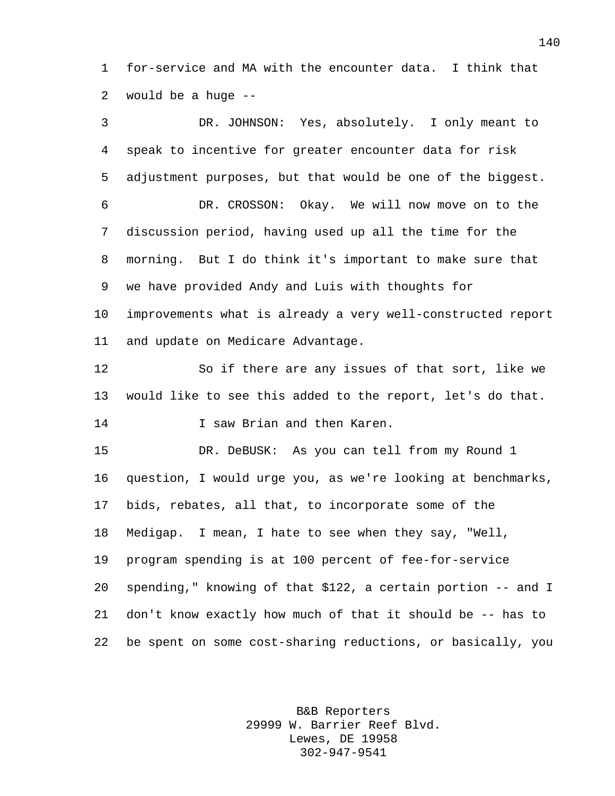for-service and MA with the encounter data. I think that would be a huge --

 DR. JOHNSON: Yes, absolutely. I only meant to speak to incentive for greater encounter data for risk adjustment purposes, but that would be one of the biggest. DR. CROSSON: Okay. We will now move on to the discussion period, having used up all the time for the morning. But I do think it's important to make sure that we have provided Andy and Luis with thoughts for improvements what is already a very well-constructed report and update on Medicare Advantage. So if there are any issues of that sort, like we would like to see this added to the report, let's do that. **I** saw Brian and then Karen. DR. DeBUSK: As you can tell from my Round 1 question, I would urge you, as we're looking at benchmarks, bids, rebates, all that, to incorporate some of the Medigap. I mean, I hate to see when they say, "Well, program spending is at 100 percent of fee-for-service spending," knowing of that \$122, a certain portion -- and I don't know exactly how much of that it should be -- has to be spent on some cost-sharing reductions, or basically, you

> B&B Reporters 29999 W. Barrier Reef Blvd. Lewes, DE 19958 302-947-9541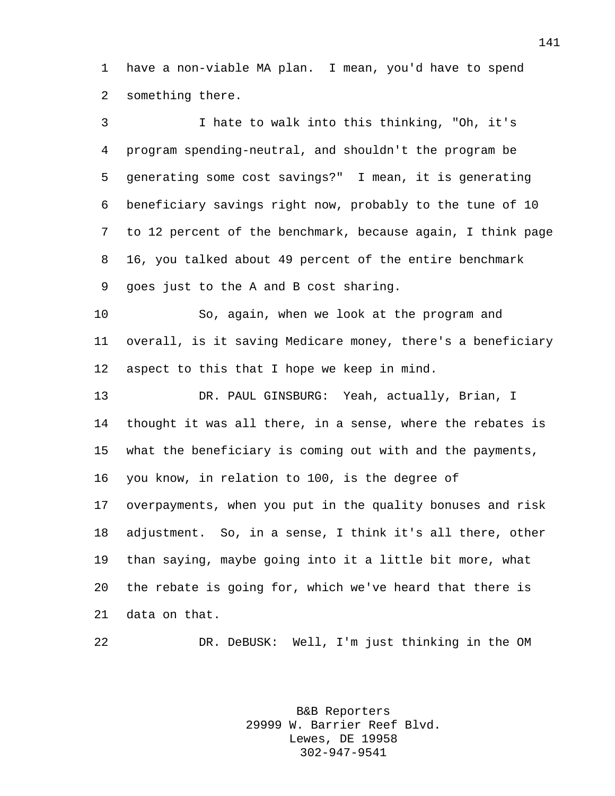have a non-viable MA plan. I mean, you'd have to spend something there.

 I hate to walk into this thinking, "Oh, it's program spending-neutral, and shouldn't the program be generating some cost savings?" I mean, it is generating beneficiary savings right now, probably to the tune of 10 to 12 percent of the benchmark, because again, I think page 16, you talked about 49 percent of the entire benchmark goes just to the A and B cost sharing. So, again, when we look at the program and overall, is it saving Medicare money, there's a beneficiary aspect to this that I hope we keep in mind. DR. PAUL GINSBURG: Yeah, actually, Brian, I thought it was all there, in a sense, where the rebates is what the beneficiary is coming out with and the payments, you know, in relation to 100, is the degree of overpayments, when you put in the quality bonuses and risk adjustment. So, in a sense, I think it's all there, other than saying, maybe going into it a little bit more, what the rebate is going for, which we've heard that there is data on that.

DR. DeBUSK: Well, I'm just thinking in the OM

B&B Reporters 29999 W. Barrier Reef Blvd. Lewes, DE 19958 302-947-9541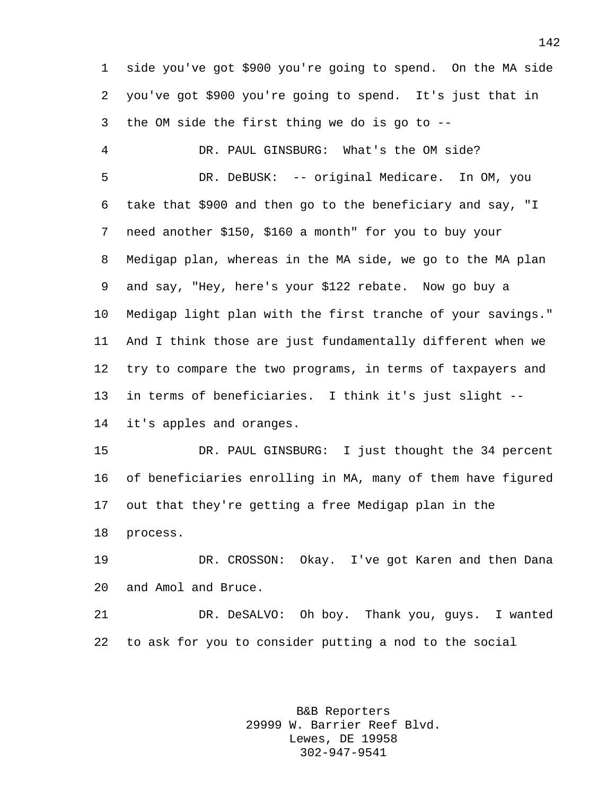side you've got \$900 you're going to spend. On the MA side you've got \$900 you're going to spend. It's just that in the OM side the first thing we do is go to --

 DR. PAUL GINSBURG: What's the OM side? DR. DeBUSK: -- original Medicare. In OM, you take that \$900 and then go to the beneficiary and say, "I need another \$150, \$160 a month" for you to buy your Medigap plan, whereas in the MA side, we go to the MA plan and say, "Hey, here's your \$122 rebate. Now go buy a Medigap light plan with the first tranche of your savings." And I think those are just fundamentally different when we try to compare the two programs, in terms of taxpayers and in terms of beneficiaries. I think it's just slight -- it's apples and oranges.

 DR. PAUL GINSBURG: I just thought the 34 percent of beneficiaries enrolling in MA, many of them have figured out that they're getting a free Medigap plan in the process.

 DR. CROSSON: Okay. I've got Karen and then Dana and Amol and Bruce.

 DR. DeSALVO: Oh boy. Thank you, guys. I wanted to ask for you to consider putting a nod to the social

> B&B Reporters 29999 W. Barrier Reef Blvd. Lewes, DE 19958 302-947-9541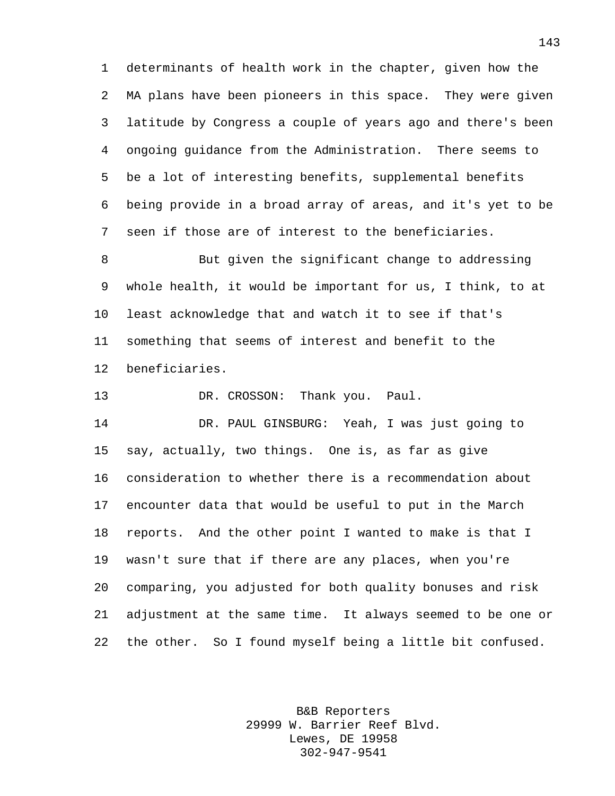determinants of health work in the chapter, given how the MA plans have been pioneers in this space. They were given latitude by Congress a couple of years ago and there's been ongoing guidance from the Administration. There seems to be a lot of interesting benefits, supplemental benefits being provide in a broad array of areas, and it's yet to be seen if those are of interest to the beneficiaries.

 But given the significant change to addressing whole health, it would be important for us, I think, to at least acknowledge that and watch it to see if that's something that seems of interest and benefit to the beneficiaries.

DR. CROSSON: Thank you. Paul.

 DR. PAUL GINSBURG: Yeah, I was just going to say, actually, two things. One is, as far as give consideration to whether there is a recommendation about encounter data that would be useful to put in the March reports. And the other point I wanted to make is that I wasn't sure that if there are any places, when you're comparing, you adjusted for both quality bonuses and risk adjustment at the same time. It always seemed to be one or the other. So I found myself being a little bit confused.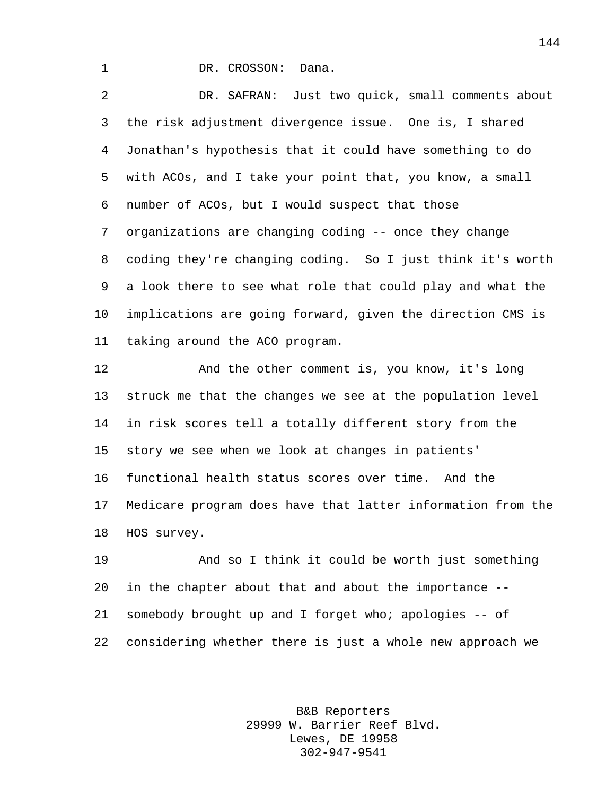1 DR. CROSSON: Dana.

 DR. SAFRAN: Just two quick, small comments about the risk adjustment divergence issue. One is, I shared Jonathan's hypothesis that it could have something to do with ACOs, and I take your point that, you know, a small number of ACOs, but I would suspect that those organizations are changing coding -- once they change coding they're changing coding. So I just think it's worth a look there to see what role that could play and what the implications are going forward, given the direction CMS is taking around the ACO program.

12 And the other comment is, you know, it's long struck me that the changes we see at the population level in risk scores tell a totally different story from the story we see when we look at changes in patients' functional health status scores over time. And the Medicare program does have that latter information from the HOS survey.

 And so I think it could be worth just something in the chapter about that and about the importance -- somebody brought up and I forget who; apologies -- of considering whether there is just a whole new approach we

> B&B Reporters 29999 W. Barrier Reef Blvd. Lewes, DE 19958 302-947-9541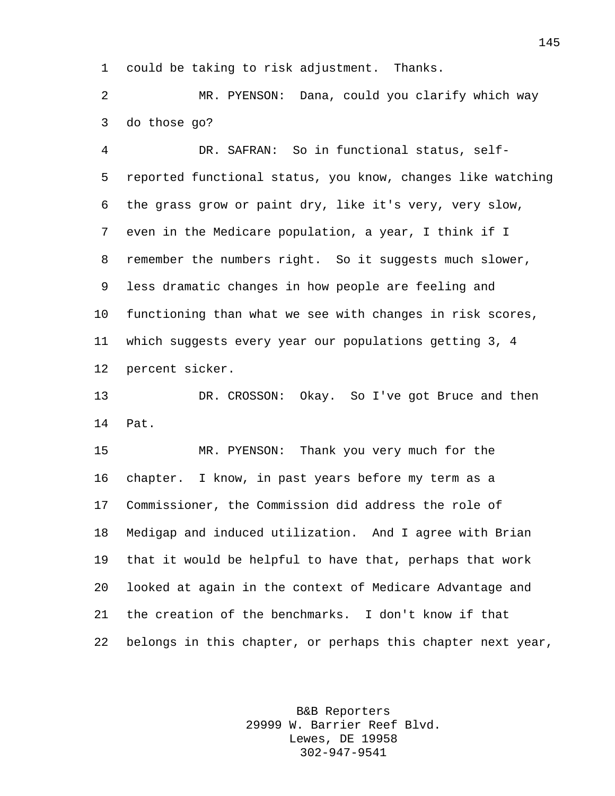could be taking to risk adjustment. Thanks.

 MR. PYENSON: Dana, could you clarify which way do those go?

 DR. SAFRAN: So in functional status, self- reported functional status, you know, changes like watching the grass grow or paint dry, like it's very, very slow, even in the Medicare population, a year, I think if I remember the numbers right. So it suggests much slower, less dramatic changes in how people are feeling and functioning than what we see with changes in risk scores, which suggests every year our populations getting 3, 4 percent sicker.

 DR. CROSSON: Okay. So I've got Bruce and then Pat.

 MR. PYENSON: Thank you very much for the chapter. I know, in past years before my term as a Commissioner, the Commission did address the role of Medigap and induced utilization. And I agree with Brian that it would be helpful to have that, perhaps that work looked at again in the context of Medicare Advantage and the creation of the benchmarks. I don't know if that belongs in this chapter, or perhaps this chapter next year,

> B&B Reporters 29999 W. Barrier Reef Blvd. Lewes, DE 19958 302-947-9541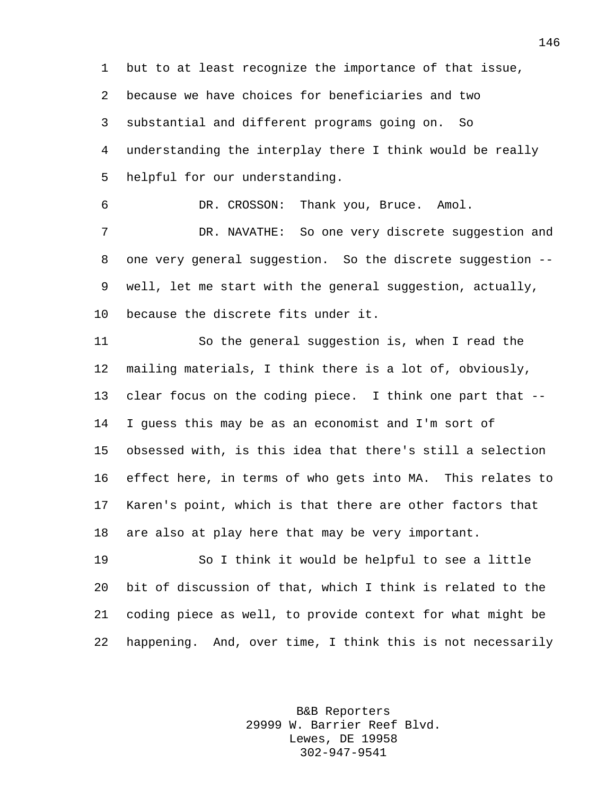but to at least recognize the importance of that issue, because we have choices for beneficiaries and two substantial and different programs going on. So understanding the interplay there I think would be really helpful for our understanding.

DR. CROSSON: Thank you, Bruce. Amol.

 DR. NAVATHE: So one very discrete suggestion and one very general suggestion. So the discrete suggestion -- well, let me start with the general suggestion, actually, because the discrete fits under it.

 So the general suggestion is, when I read the mailing materials, I think there is a lot of, obviously, clear focus on the coding piece. I think one part that -- I guess this may be as an economist and I'm sort of obsessed with, is this idea that there's still a selection effect here, in terms of who gets into MA. This relates to Karen's point, which is that there are other factors that are also at play here that may be very important.

 So I think it would be helpful to see a little bit of discussion of that, which I think is related to the coding piece as well, to provide context for what might be happening. And, over time, I think this is not necessarily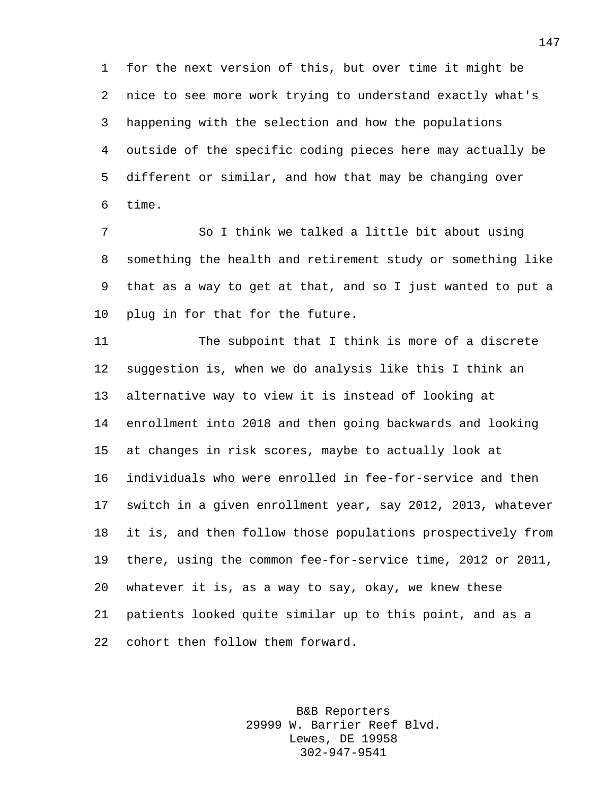for the next version of this, but over time it might be nice to see more work trying to understand exactly what's happening with the selection and how the populations outside of the specific coding pieces here may actually be different or similar, and how that may be changing over time.

 So I think we talked a little bit about using something the health and retirement study or something like that as a way to get at that, and so I just wanted to put a plug in for that for the future.

 The subpoint that I think is more of a discrete suggestion is, when we do analysis like this I think an alternative way to view it is instead of looking at enrollment into 2018 and then going backwards and looking at changes in risk scores, maybe to actually look at individuals who were enrolled in fee-for-service and then switch in a given enrollment year, say 2012, 2013, whatever it is, and then follow those populations prospectively from there, using the common fee-for-service time, 2012 or 2011, whatever it is, as a way to say, okay, we knew these patients looked quite similar up to this point, and as a cohort then follow them forward.

> B&B Reporters 29999 W. Barrier Reef Blvd. Lewes, DE 19958 302-947-9541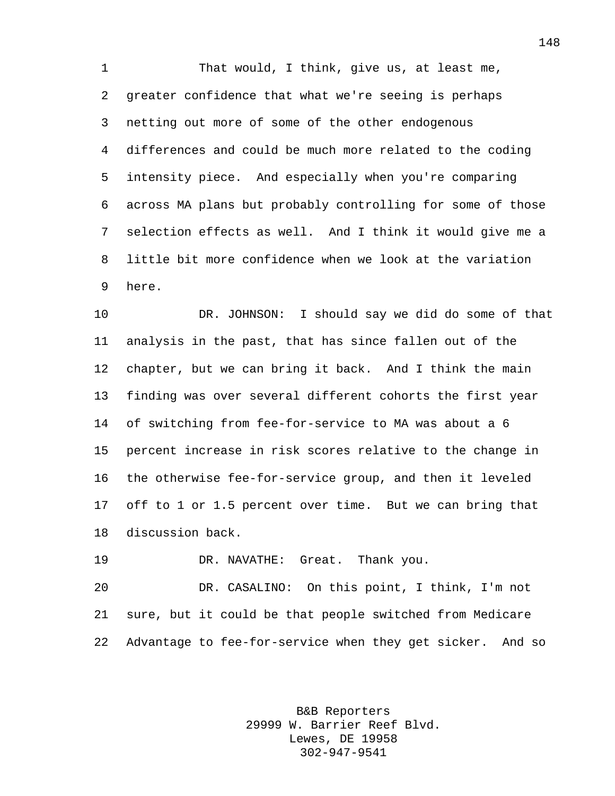1 That would, I think, give us, at least me, greater confidence that what we're seeing is perhaps netting out more of some of the other endogenous differences and could be much more related to the coding intensity piece. And especially when you're comparing across MA plans but probably controlling for some of those selection effects as well. And I think it would give me a little bit more confidence when we look at the variation here.

 DR. JOHNSON: I should say we did do some of that analysis in the past, that has since fallen out of the chapter, but we can bring it back. And I think the main finding was over several different cohorts the first year of switching from fee-for-service to MA was about a 6 percent increase in risk scores relative to the change in the otherwise fee-for-service group, and then it leveled off to 1 or 1.5 percent over time. But we can bring that discussion back.

DR. NAVATHE: Great. Thank you.

 DR. CASALINO: On this point, I think, I'm not sure, but it could be that people switched from Medicare Advantage to fee-for-service when they get sicker. And so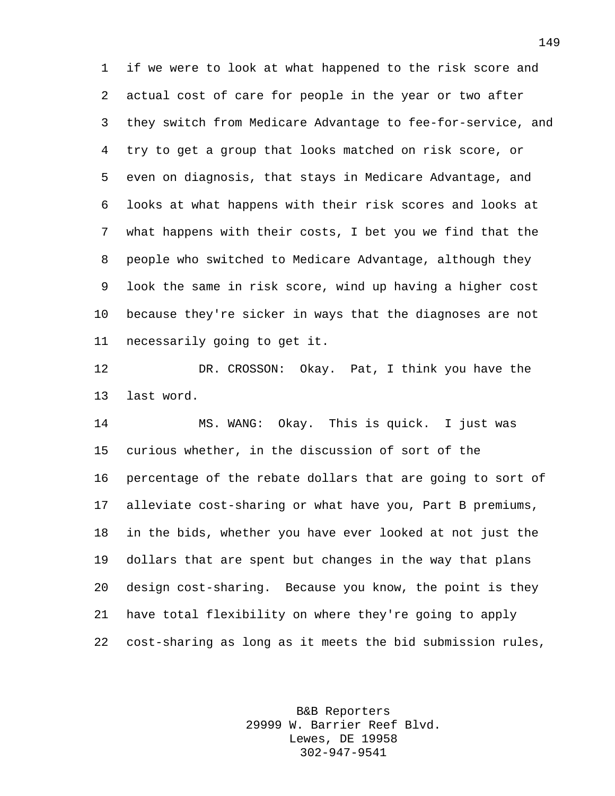if we were to look at what happened to the risk score and actual cost of care for people in the year or two after they switch from Medicare Advantage to fee-for-service, and try to get a group that looks matched on risk score, or even on diagnosis, that stays in Medicare Advantage, and looks at what happens with their risk scores and looks at what happens with their costs, I bet you we find that the people who switched to Medicare Advantage, although they look the same in risk score, wind up having a higher cost because they're sicker in ways that the diagnoses are not necessarily going to get it.

 DR. CROSSON: Okay. Pat, I think you have the last word.

 MS. WANG: Okay. This is quick. I just was curious whether, in the discussion of sort of the percentage of the rebate dollars that are going to sort of alleviate cost-sharing or what have you, Part B premiums, in the bids, whether you have ever looked at not just the dollars that are spent but changes in the way that plans design cost-sharing. Because you know, the point is they have total flexibility on where they're going to apply cost-sharing as long as it meets the bid submission rules,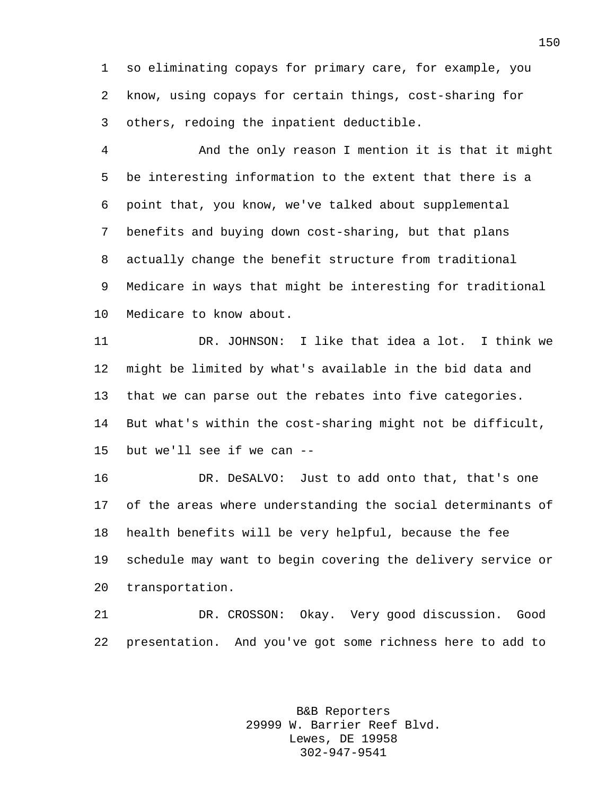so eliminating copays for primary care, for example, you know, using copays for certain things, cost-sharing for others, redoing the inpatient deductible.

 And the only reason I mention it is that it might be interesting information to the extent that there is a point that, you know, we've talked about supplemental benefits and buying down cost-sharing, but that plans actually change the benefit structure from traditional Medicare in ways that might be interesting for traditional Medicare to know about.

 DR. JOHNSON: I like that idea a lot. I think we might be limited by what's available in the bid data and that we can parse out the rebates into five categories. But what's within the cost-sharing might not be difficult, but we'll see if we can --

 DR. DeSALVO: Just to add onto that, that's one of the areas where understanding the social determinants of health benefits will be very helpful, because the fee schedule may want to begin covering the delivery service or transportation.

 DR. CROSSON: Okay. Very good discussion. Good presentation. And you've got some richness here to add to

> B&B Reporters 29999 W. Barrier Reef Blvd. Lewes, DE 19958 302-947-9541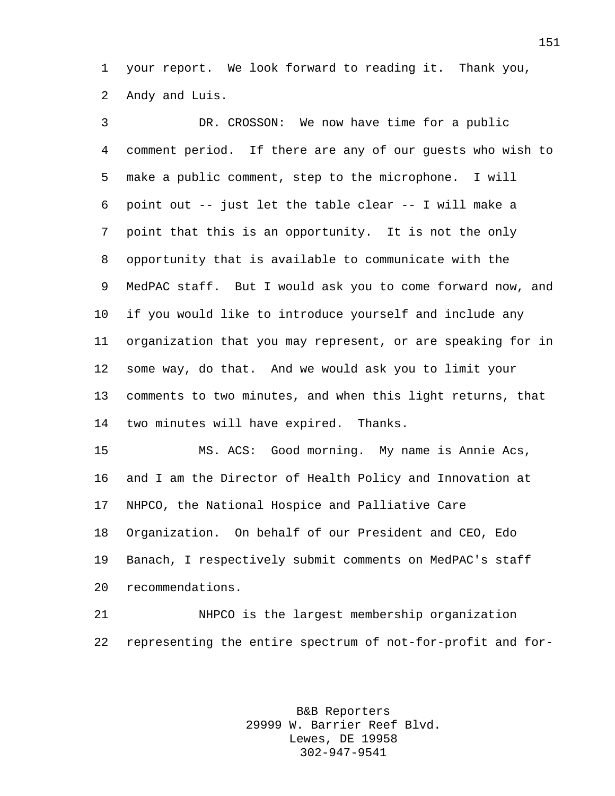your report. We look forward to reading it. Thank you, Andy and Luis.

 DR. CROSSON: We now have time for a public comment period. If there are any of our guests who wish to make a public comment, step to the microphone. I will point out -- just let the table clear -- I will make a point that this is an opportunity. It is not the only opportunity that is available to communicate with the MedPAC staff. But I would ask you to come forward now, and if you would like to introduce yourself and include any organization that you may represent, or are speaking for in some way, do that. And we would ask you to limit your comments to two minutes, and when this light returns, that two minutes will have expired. Thanks.

 MS. ACS: Good morning. My name is Annie Acs, and I am the Director of Health Policy and Innovation at NHPCO, the National Hospice and Palliative Care Organization. On behalf of our President and CEO, Edo Banach, I respectively submit comments on MedPAC's staff recommendations.

 NHPCO is the largest membership organization representing the entire spectrum of not-for-profit and for-

> B&B Reporters 29999 W. Barrier Reef Blvd. Lewes, DE 19958 302-947-9541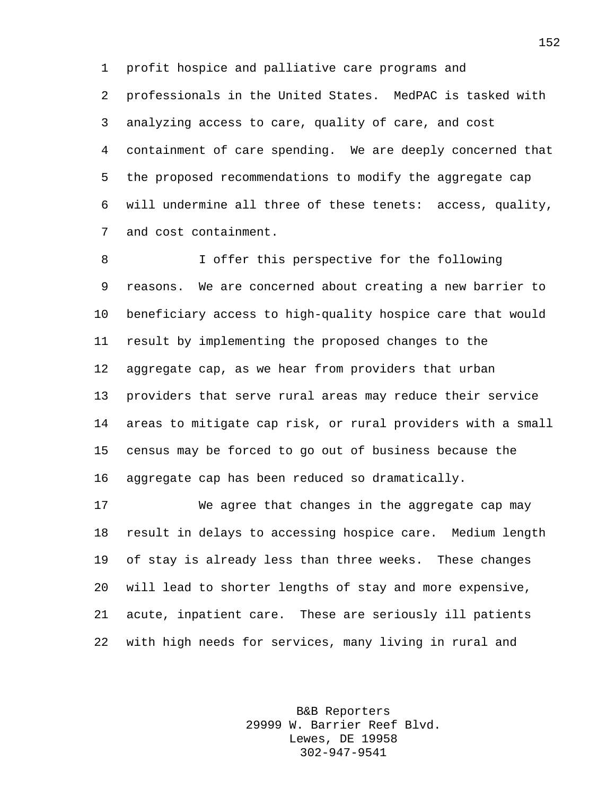profit hospice and palliative care programs and professionals in the United States. MedPAC is tasked with analyzing access to care, quality of care, and cost containment of care spending. We are deeply concerned that the proposed recommendations to modify the aggregate cap will undermine all three of these tenets: access, quality, and cost containment.

8 I offer this perspective for the following reasons. We are concerned about creating a new barrier to beneficiary access to high-quality hospice care that would result by implementing the proposed changes to the aggregate cap, as we hear from providers that urban providers that serve rural areas may reduce their service areas to mitigate cap risk, or rural providers with a small census may be forced to go out of business because the aggregate cap has been reduced so dramatically.

 We agree that changes in the aggregate cap may result in delays to accessing hospice care. Medium length of stay is already less than three weeks. These changes will lead to shorter lengths of stay and more expensive, acute, inpatient care. These are seriously ill patients with high needs for services, many living in rural and